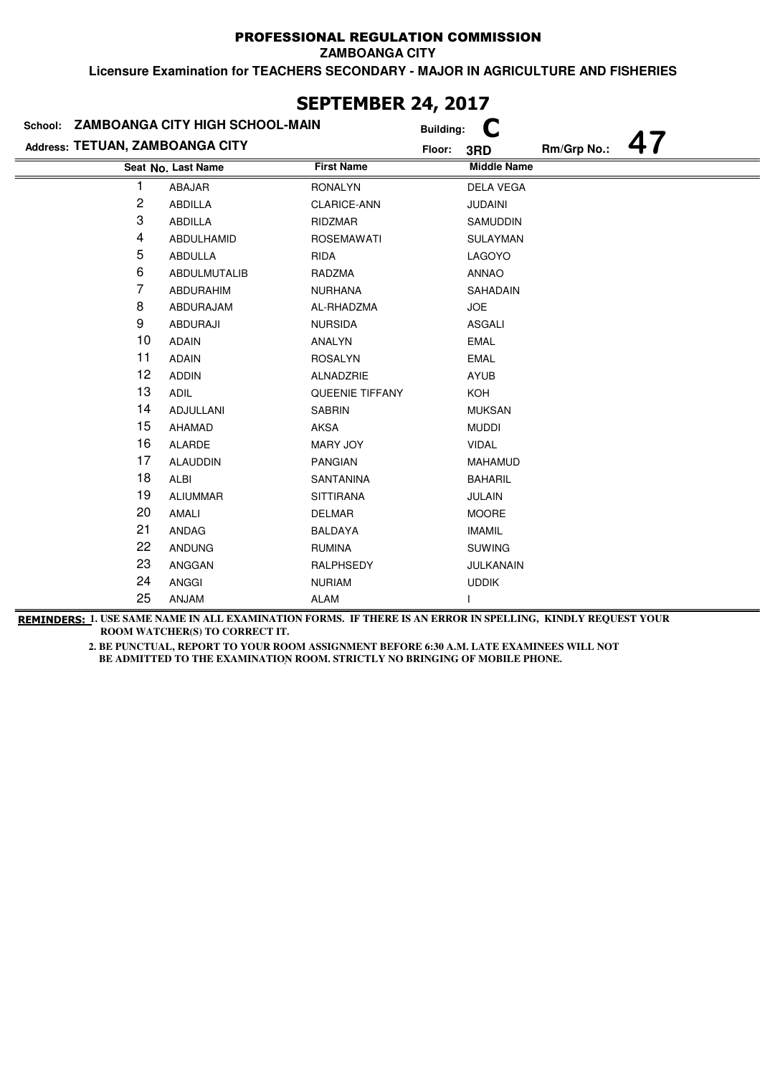**ZAMBOANGA CITY**

**Licensure Examination for TEACHERS SECONDARY - MAJOR IN AGRICULTURE AND FISHERIES**

|                                 | School: ZAMBOANGA CITY HIGH SCHOOL-MAIN |                        | <b>Building:</b> |                    |             |  |
|---------------------------------|-----------------------------------------|------------------------|------------------|--------------------|-------------|--|
| Address: TETUAN, ZAMBOANGA CITY |                                         |                        | Floor:           | 3RD                | Rm/Grp No.: |  |
|                                 | Seat No. Last Name                      | <b>First Name</b>      |                  | <b>Middle Name</b> |             |  |
| 1                               | ABAJAR                                  | <b>RONALYN</b>         |                  | <b>DELA VEGA</b>   |             |  |
| 2                               | ABDILLA                                 | <b>CLARICE-ANN</b>     |                  | <b>JUDAINI</b>     |             |  |
| 3                               | ABDILLA                                 | RIDZMAR                |                  | <b>SAMUDDIN</b>    |             |  |
| 4                               | ABDULHAMID                              | <b>ROSEMAWATI</b>      |                  | <b>SULAYMAN</b>    |             |  |
| 5                               | ABDULLA                                 | RIDA                   |                  | LAGOYO             |             |  |
| 6                               | ABDULMUTALIB                            | RADZMA                 |                  | <b>ANNAO</b>       |             |  |
| 7                               | <b>ABDURAHIM</b>                        | <b>NURHANA</b>         |                  | SAHADAIN           |             |  |
| 8                               | ABDURAJAM                               | AL-RHADZMA             |                  | <b>JOE</b>         |             |  |
| 9                               | <b>ABDURAJI</b>                         | <b>NURSIDA</b>         |                  | ASGALI             |             |  |
| 10                              | <b>ADAIN</b>                            | ANALYN                 |                  | <b>EMAL</b>        |             |  |
| 11                              | <b>ADAIN</b>                            | <b>ROSALYN</b>         |                  | <b>EMAL</b>        |             |  |
| 12                              | <b>ADDIN</b>                            | ALNADZRIE              |                  | AYUB               |             |  |
| 13                              | <b>ADIL</b>                             | <b>QUEENIE TIFFANY</b> |                  | KOH                |             |  |
| 14                              | ADJULLANI                               | <b>SABRIN</b>          |                  | <b>MUKSAN</b>      |             |  |
| 15                              | <b>AHAMAD</b>                           | <b>AKSA</b>            |                  | <b>MUDDI</b>       |             |  |
| 16                              | ALARDE                                  | MARY JOY               |                  | <b>VIDAL</b>       |             |  |
| 17                              | <b>ALAUDDIN</b>                         | <b>PANGIAN</b>         |                  | <b>MAHAMUD</b>     |             |  |
| 18                              | ALBI                                    | SANTANINA              |                  | <b>BAHARIL</b>     |             |  |
| 19                              | <b>ALIUMMAR</b>                         | <b>SITTIRANA</b>       |                  | <b>JULAIN</b>      |             |  |
| 20                              | AMALI                                   | <b>DELMAR</b>          |                  | <b>MOORE</b>       |             |  |
| 21                              | ANDAG                                   | <b>BALDAYA</b>         |                  | <b>IMAMIL</b>      |             |  |
| 22                              | <b>ANDUNG</b>                           | <b>RUMINA</b>          |                  | <b>SUWING</b>      |             |  |
| 23                              | ANGGAN                                  | RALPHSEDY              |                  | JULKANAIN          |             |  |
| 24                              | <b>ANGGI</b>                            | <b>NURIAM</b>          |                  | <b>UDDIK</b>       |             |  |
| 25                              | ANJAM                                   | <b>ALAM</b>            |                  |                    |             |  |

## **SEPTEMBER 24, 2017**

**REMINDERS: 1. USE SAME NAME IN ALL EXAMINATION FORMS. IF THERE IS AN ERROR IN SPELLING, KINDLY REQUEST YOUR ROOM WATCHER(S) TO CORRECT IT.**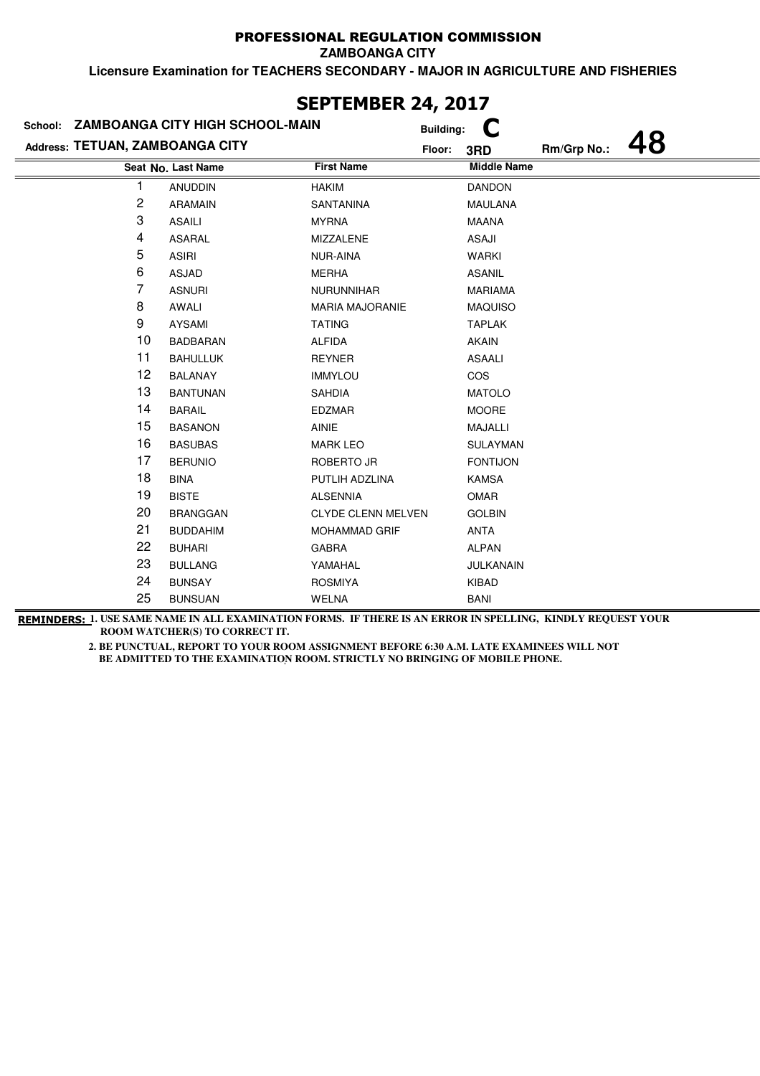**ZAMBOANGA CITY**

**Licensure Examination for TEACHERS SECONDARY - MAJOR IN AGRICULTURE AND FISHERIES**

|                                 | School: ZAMBOANGA CITY HIGH SCHOOL-MAIN |                           | <b>Building:</b> |                    |             |  |
|---------------------------------|-----------------------------------------|---------------------------|------------------|--------------------|-------------|--|
| Address: TETUAN, ZAMBOANGA CITY |                                         |                           | Floor:           | 3RD                | Rm/Grp No.: |  |
|                                 | Seat No. Last Name                      | <b>First Name</b>         |                  | <b>Middle Name</b> |             |  |
| 1                               | <b>ANUDDIN</b>                          | <b>HAKIM</b>              |                  | <b>DANDON</b>      |             |  |
| 2                               | ARAMAIN                                 | SANTANINA                 |                  | MAULANA            |             |  |
| 3                               | <b>ASAILI</b>                           | <b>MYRNA</b>              |                  | <b>MAANA</b>       |             |  |
| 4                               | <b>ASARAL</b>                           | MIZZALENE                 |                  | ASAJI              |             |  |
| 5                               | <b>ASIRI</b>                            | NUR-AINA                  |                  | <b>WARKI</b>       |             |  |
| 6                               | ASJAD                                   | <b>MERHA</b>              |                  | <b>ASANIL</b>      |             |  |
| 7                               | <b>ASNURI</b>                           | <b>NURUNNIHAR</b>         |                  | <b>MARIAMA</b>     |             |  |
| 8                               | AWALI                                   | <b>MARIA MAJORANIE</b>    |                  | <b>MAQUISO</b>     |             |  |
| 9                               | AYSAMI                                  | <b>TATING</b>             |                  | <b>TAPLAK</b>      |             |  |
| 10                              | <b>BADBARAN</b>                         | <b>ALFIDA</b>             |                  | <b>AKAIN</b>       |             |  |
| 11                              | <b>BAHULLUK</b>                         | <b>REYNER</b>             |                  | <b>ASAALI</b>      |             |  |
| 12                              | <b>BALANAY</b>                          | <b>IMMYLOU</b>            |                  | COS                |             |  |
| 13                              | <b>BANTUNAN</b>                         | <b>SAHDIA</b>             |                  | <b>MATOLO</b>      |             |  |
| 14                              | <b>BARAIL</b>                           | <b>EDZMAR</b>             |                  | <b>MOORE</b>       |             |  |
| 15                              | <b>BASANON</b>                          | <b>AINIE</b>              |                  | MAJALLI            |             |  |
| 16                              | <b>BASUBAS</b>                          | <b>MARK LEO</b>           |                  | <b>SULAYMAN</b>    |             |  |
| 17                              | <b>BERUNIO</b>                          | ROBERTO JR                |                  | <b>FONTIJON</b>    |             |  |
| 18                              | <b>BINA</b>                             | PUTLIH ADZLINA            |                  | <b>KAMSA</b>       |             |  |
| 19                              | <b>BISTE</b>                            | <b>ALSENNIA</b>           |                  | <b>OMAR</b>        |             |  |
| 20                              | <b>BRANGGAN</b>                         | <b>CLYDE CLENN MELVEN</b> |                  | <b>GOLBIN</b>      |             |  |
| 21                              | <b>BUDDAHIM</b>                         | <b>MOHAMMAD GRIF</b>      |                  | ANTA               |             |  |
| 22                              | <b>BUHARI</b>                           | <b>GABRA</b>              |                  | <b>ALPAN</b>       |             |  |
| 23                              | <b>BULLANG</b>                          | YAMAHAL                   |                  | JULKANAIN          |             |  |
| 24                              | <b>BUNSAY</b>                           | <b>ROSMIYA</b>            |                  | <b>KIBAD</b>       |             |  |
| 25                              | <b>BUNSUAN</b>                          | <b>WELNA</b>              |                  | <b>BANI</b>        |             |  |

## **SEPTEMBER 24, 2017**

**REMINDERS: 1. USE SAME NAME IN ALL EXAMINATION FORMS. IF THERE IS AN ERROR IN SPELLING, KINDLY REQUEST YOUR ROOM WATCHER(S) TO CORRECT IT.**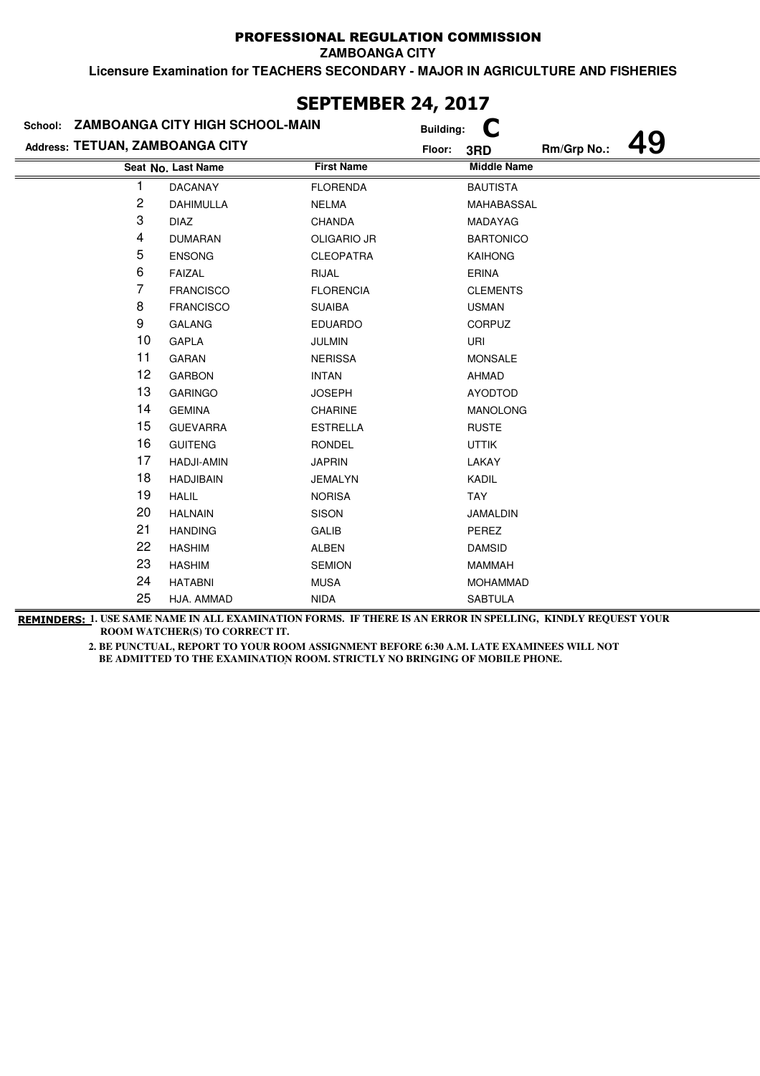**ZAMBOANGA CITY**

**Licensure Examination for TEACHERS SECONDARY - MAJOR IN AGRICULTURE AND FISHERIES**

|                                 | School: ZAMBOANGA CITY HIGH SCHOOL-MAIN | <b>Building:</b>   | C                  |             |  |
|---------------------------------|-----------------------------------------|--------------------|--------------------|-------------|--|
| Address: TETUAN, ZAMBOANGA CITY |                                         | Floor:             | 3RD                | Rm/Grp No.: |  |
|                                 | Seat No. Last Name                      | <b>First Name</b>  | <b>Middle Name</b> |             |  |
|                                 | <b>DACANAY</b>                          | <b>FLORENDA</b>    | <b>BAUTISTA</b>    |             |  |
| 2                               | <b>DAHIMULLA</b>                        | <b>NELMA</b>       | MAHABASSAL         |             |  |
| 3                               | <b>DIAZ</b>                             | <b>CHANDA</b>      | MADAYAG            |             |  |
| 4                               | <b>DUMARAN</b>                          | <b>OLIGARIO JR</b> | <b>BARTONICO</b>   |             |  |
| 5                               | <b>ENSONG</b>                           | <b>CLEOPATRA</b>   | <b>KAIHONG</b>     |             |  |
| 6                               | <b>FAIZAL</b>                           | RIJAL              | ERINA              |             |  |
| 7                               | <b>FRANCISCO</b>                        | <b>FLORENCIA</b>   | <b>CLEMENTS</b>    |             |  |
| 8                               | <b>FRANCISCO</b>                        | <b>SUAIBA</b>      | <b>USMAN</b>       |             |  |
| 9                               | <b>GALANG</b>                           | <b>EDUARDO</b>     | <b>CORPUZ</b>      |             |  |
| 10                              | <b>GAPLA</b>                            | <b>JULMIN</b>      | URI                |             |  |
| 11                              | GARAN                                   | <b>NERISSA</b>     | <b>MONSALE</b>     |             |  |
| 12                              | <b>GARBON</b>                           | <b>INTAN</b>       | AHMAD              |             |  |
| 13                              | <b>GARINGO</b>                          | <b>JOSEPH</b>      | <b>AYODTOD</b>     |             |  |
| 14                              | <b>GEMINA</b>                           | <b>CHARINE</b>     | <b>MANOLONG</b>    |             |  |
| 15                              | <b>GUEVARRA</b>                         | <b>ESTRELLA</b>    | <b>RUSTE</b>       |             |  |
| 16                              | <b>GUITENG</b>                          | <b>RONDEL</b>      | <b>UTTIK</b>       |             |  |
| 17                              | <b>HADJI-AMIN</b>                       | <b>JAPRIN</b>      | LAKAY              |             |  |
| 18                              | <b>HADJIBAIN</b>                        | <b>JEMALYN</b>     | KADIL              |             |  |
| 19                              | <b>HALIL</b>                            | <b>NORISA</b>      | TAY                |             |  |
| 20                              | <b>HALNAIN</b>                          | <b>SISON</b>       | JAMALDIN           |             |  |
| 21                              | <b>HANDING</b>                          | <b>GALIB</b>       | PEREZ              |             |  |
| 22                              | <b>HASHIM</b>                           | ALBEN              | <b>DAMSID</b>      |             |  |
| 23                              | <b>HASHIM</b>                           | <b>SEMION</b>      | <b>MAMMAH</b>      |             |  |
| 24                              | <b>HATABNI</b>                          | <b>MUSA</b>        | <b>MOHAMMAD</b>    |             |  |
| 25                              | HJA. AMMAD                              | <b>NIDA</b>        | <b>SABTULA</b>     |             |  |

### **SEPTEMBER 24, 2017**

**REMINDERS: 1. USE SAME NAME IN ALL EXAMINATION FORMS. IF THERE IS AN ERROR IN SPELLING, KINDLY REQUEST YOUR ROOM WATCHER(S) TO CORRECT IT.**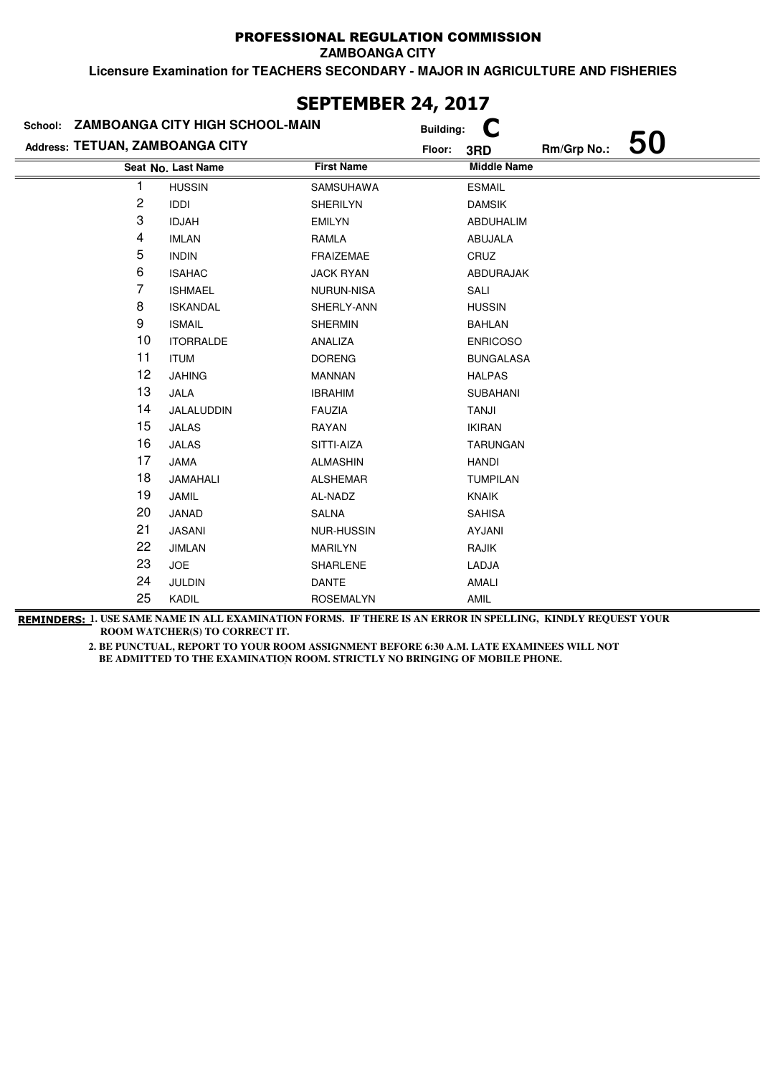**ZAMBOANGA CITY**

**Licensure Examination for TEACHERS SECONDARY - MAJOR IN AGRICULTURE AND FISHERIES**

|                                 | School: ZAMBOANGA CITY HIGH SCHOOL-MAIN | <b>Building:</b>  | C                  |             |    |
|---------------------------------|-----------------------------------------|-------------------|--------------------|-------------|----|
| Address: TETUAN, ZAMBOANGA CITY |                                         | Floor:            | 3RD                | Rm/Grp No.: | 50 |
|                                 | Seat No. Last Name                      | <b>First Name</b> | <b>Middle Name</b> |             |    |
|                                 | <b>HUSSIN</b>                           | SAMSUHAWA         | <b>ESMAIL</b>      |             |    |
| 2                               | <b>IDDI</b>                             | SHERILYN          | <b>DAMSIK</b>      |             |    |
| 3                               | <b>IDJAH</b>                            | <b>EMILYN</b>     | ABDUHALIM          |             |    |
| 4                               | <b>IMLAN</b>                            | RAMLA             | ABUJALA            |             |    |
| 5                               | <b>INDIN</b>                            | <b>FRAIZEMAE</b>  | CRUZ               |             |    |
| 6                               | <b>ISAHAC</b>                           | <b>JACK RYAN</b>  | ABDURAJAK          |             |    |
| 7                               | <b>ISHMAEL</b>                          | <b>NURUN-NISA</b> | SALI               |             |    |
| 8                               | <b>ISKANDAL</b>                         | SHERLY-ANN        | <b>HUSSIN</b>      |             |    |
| 9                               | <b>ISMAIL</b>                           | <b>SHERMIN</b>    | <b>BAHLAN</b>      |             |    |
| 10                              | <b>ITORRALDE</b>                        | ANALIZA           | <b>ENRICOSO</b>    |             |    |
| 11                              | <b>ITUM</b>                             | <b>DORENG</b>     | <b>BUNGALASA</b>   |             |    |
| 12                              | <b>JAHING</b>                           | <b>MANNAN</b>     | <b>HALPAS</b>      |             |    |
| 13                              | JALA                                    | <b>IBRAHIM</b>    | <b>SUBAHANI</b>    |             |    |
| 14                              | JALALUDDIN                              | <b>FAUZIA</b>     | <b>TANJI</b>       |             |    |
| 15                              | <b>JALAS</b>                            | RAYAN             | <b>IKIRAN</b>      |             |    |
| 16                              | <b>JALAS</b>                            | SITTI-AIZA        | <b>TARUNGAN</b>    |             |    |
| 17                              | <b>JAMA</b>                             | <b>ALMASHIN</b>   | HANDI              |             |    |
| 18                              | JAMAHALI                                | <b>ALSHEMAR</b>   | <b>TUMPILAN</b>    |             |    |
| 19                              | JAMIL                                   | AL-NADZ           | KNAIK              |             |    |
| 20                              | JANAD                                   | <b>SALNA</b>      | <b>SAHISA</b>      |             |    |
| 21                              | <b>JASANI</b>                           | <b>NUR-HUSSIN</b> | AYJANI             |             |    |
| 22                              | <b>JIMLAN</b>                           | <b>MARILYN</b>    | RAJIK              |             |    |
| 23                              | <b>JOE</b>                              | SHARLENE          | LADJA              |             |    |
| 24                              | <b>JULDIN</b>                           | <b>DANTE</b>      | AMALI              |             |    |
| 25                              | KADIL                                   | <b>ROSEMALYN</b>  | AMIL               |             |    |

## **SEPTEMBER 24, 2017**

**REMINDERS: 1. USE SAME NAME IN ALL EXAMINATION FORMS. IF THERE IS AN ERROR IN SPELLING, KINDLY REQUEST YOUR ROOM WATCHER(S) TO CORRECT IT.**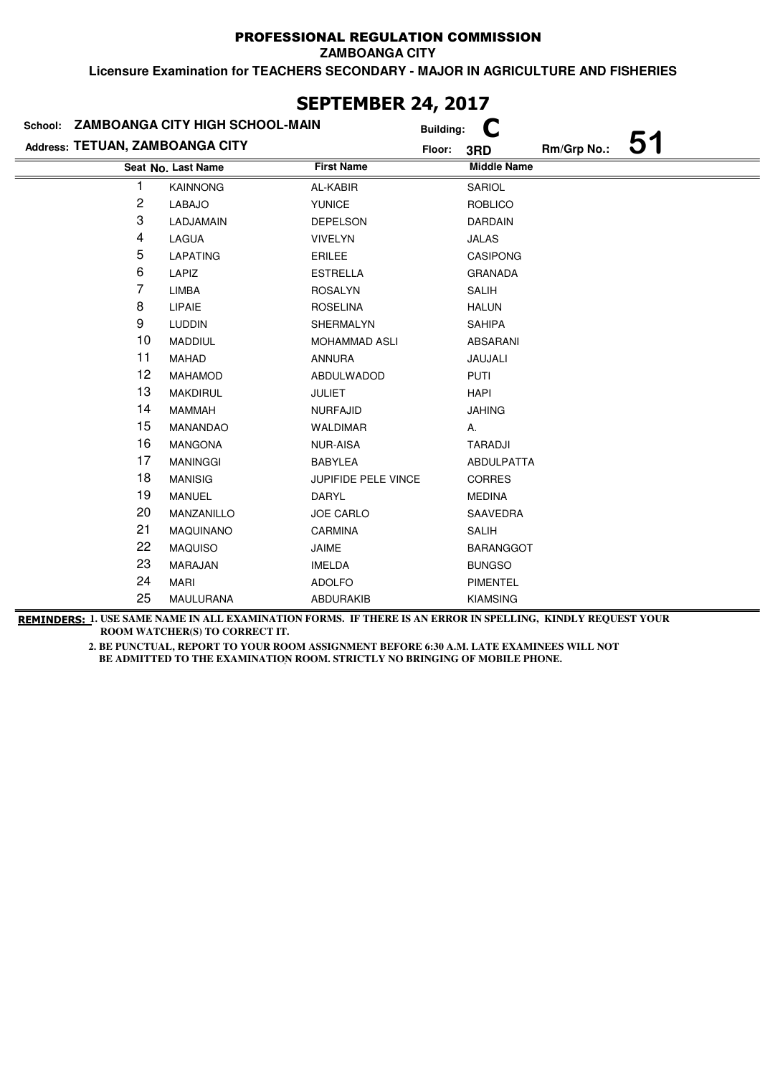**ZAMBOANGA CITY**

**Licensure Examination for TEACHERS SECONDARY - MAJOR IN AGRICULTURE AND FISHERIES**

|                                 | School: ZAMBOANGA CITY HIGH SCHOOL-MAIN |                            | <b>Building:</b> |                    |             |    |
|---------------------------------|-----------------------------------------|----------------------------|------------------|--------------------|-------------|----|
| Address: TETUAN, ZAMBOANGA CITY |                                         |                            | Floor:           | 3RD                | Rm/Grp No.: | 51 |
|                                 | Seat No. Last Name                      | <b>First Name</b>          |                  | <b>Middle Name</b> |             |    |
|                                 | <b>KAINNONG</b>                         | AL-KABIR                   |                  | SARIOL             |             |    |
| 2                               | <b>LABAJO</b>                           | <b>YUNICE</b>              |                  | <b>ROBLICO</b>     |             |    |
| 3                               | LADJAMAIN                               | <b>DEPELSON</b>            |                  | <b>DARDAIN</b>     |             |    |
| 4                               | LAGUA                                   | <b>VIVELYN</b>             |                  | JALAS              |             |    |
| 5                               | LAPATING                                | <b>ERILEE</b>              |                  | <b>CASIPONG</b>    |             |    |
| 6                               | LAPIZ                                   | <b>ESTRELLA</b>            |                  | <b>GRANADA</b>     |             |    |
| 7                               | <b>LIMBA</b>                            | <b>ROSALYN</b>             |                  | <b>SALIH</b>       |             |    |
| 8                               | LIPAIE                                  | <b>ROSELINA</b>            |                  | <b>HALUN</b>       |             |    |
| 9                               | <b>LUDDIN</b>                           | SHERMALYN                  |                  | SAHIPA             |             |    |
| 10                              | <b>MADDIUL</b>                          | <b>MOHAMMAD ASLI</b>       |                  | ABSARANI           |             |    |
| 11                              | <b>MAHAD</b>                            | <b>ANNURA</b>              |                  | JAUJALI            |             |    |
| 12                              | <b>MAHAMOD</b>                          | ABDULWADOD                 |                  | <b>PUTI</b>        |             |    |
| 13                              | <b>MAKDIRUL</b>                         | <b>JULIET</b>              |                  | <b>HAPI</b>        |             |    |
| 14                              | <b>MAMMAH</b>                           | <b>NURFAJID</b>            |                  | <b>JAHING</b>      |             |    |
| 15                              | MANANDAO                                | <b>WALDIMAR</b>            |                  | Α.                 |             |    |
| 16                              | <b>MANGONA</b>                          | <b>NUR-AISA</b>            |                  | <b>TARADJI</b>     |             |    |
| 17                              | <b>MANINGGI</b>                         | <b>BABYLEA</b>             |                  | ABDULPATTA         |             |    |
| 18                              | <b>MANISIG</b>                          | <b>JUPIFIDE PELE VINCE</b> |                  | <b>CORRES</b>      |             |    |
| 19                              | <b>MANUEL</b>                           | DARYL                      |                  | <b>MEDINA</b>      |             |    |
| 20                              | MANZANILLO                              | <b>JOE CARLO</b>           |                  | SAAVEDRA           |             |    |
| 21                              | <b>MAQUINANO</b>                        | CARMINA                    |                  | <b>SALIH</b>       |             |    |
| 22                              | <b>MAQUISO</b>                          | JAIME                      |                  | <b>BARANGGOT</b>   |             |    |
| 23                              | MARAJAN                                 | <b>IMELDA</b>              |                  | <b>BUNGSO</b>      |             |    |
| 24                              | <b>MARI</b>                             | <b>ADOLFO</b>              |                  | <b>PIMENTEL</b>    |             |    |
| 25                              | MAULURANA                               | <b>ABDURAKIB</b>           |                  | <b>KIAMSING</b>    |             |    |

**SEPTEMBER 24, 2017**

**REMINDERS: 1. USE SAME NAME IN ALL EXAMINATION FORMS. IF THERE IS AN ERROR IN SPELLING, KINDLY REQUEST YOUR ROOM WATCHER(S) TO CORRECT IT.**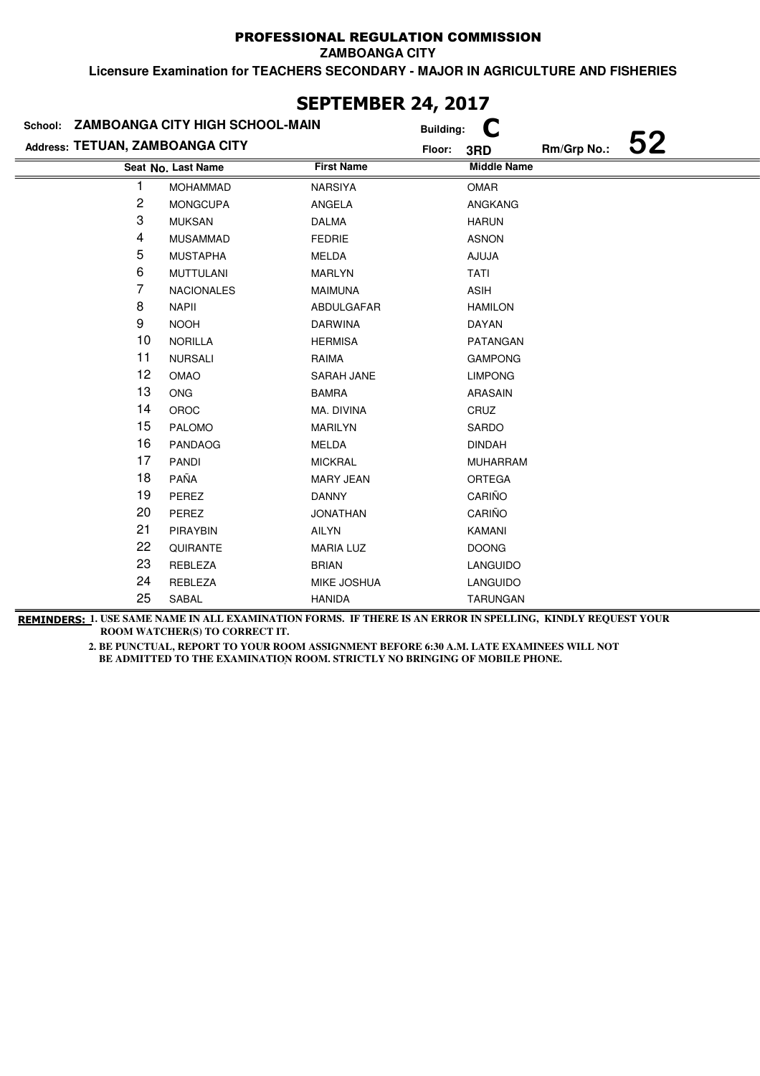**ZAMBOANGA CITY**

**Licensure Examination for TEACHERS SECONDARY - MAJOR IN AGRICULTURE AND FISHERIES**

|                                 | School: ZAMBOANGA CITY HIGH SCHOOL-MAIN |                   | C<br><b>Building:</b> |             |    |
|---------------------------------|-----------------------------------------|-------------------|-----------------------|-------------|----|
| Address: TETUAN, ZAMBOANGA CITY |                                         | Floor:            | 3RD                   | Rm/Grp No.: | 52 |
|                                 | Seat No. Last Name                      | <b>First Name</b> | <b>Middle Name</b>    |             |    |
|                                 | <b>MOHAMMAD</b>                         | NARSIYA           | <b>OMAR</b>           |             |    |
| 2                               | <b>MONGCUPA</b>                         | ANGELA            | ANGKANG               |             |    |
| 3                               | <b>MUKSAN</b>                           | <b>DALMA</b>      | <b>HARUN</b>          |             |    |
| 4                               | <b>MUSAMMAD</b>                         | <b>FEDRIE</b>     | <b>ASNON</b>          |             |    |
| 5                               | <b>MUSTAPHA</b>                         | MELDA             | AJUJA                 |             |    |
| 6                               | <b>MUTTULANI</b>                        | <b>MARLYN</b>     | <b>TATI</b>           |             |    |
| 7                               | <b>NACIONALES</b>                       | <b>MAIMUNA</b>    | <b>ASIH</b>           |             |    |
| 8                               | <b>NAPII</b>                            | ABDULGAFAR        | <b>HAMILON</b>        |             |    |
| 9                               | <b>NOOH</b>                             | <b>DARWINA</b>    | <b>DAYAN</b>          |             |    |
| 10                              | <b>NORILLA</b>                          | <b>HERMISA</b>    | PATANGAN              |             |    |
| 11                              | <b>NURSALI</b>                          | RAIMA             | <b>GAMPONG</b>        |             |    |
| 12                              | OMAO                                    | SARAH JANE        | <b>LIMPONG</b>        |             |    |
| 13                              | <b>ONG</b>                              | <b>BAMRA</b>      | ARASAIN               |             |    |
| 14                              | <b>OROC</b>                             | MA. DIVINA        | CRUZ                  |             |    |
| 15                              | PALOMO                                  | <b>MARILYN</b>    | SARDO                 |             |    |
| 16                              | <b>PANDAOG</b>                          | MELDA             | <b>DINDAH</b>         |             |    |
| 17                              | <b>PANDI</b>                            | <b>MICKRAL</b>    | <b>MUHARRAM</b>       |             |    |
| 18                              | PAÑA                                    | <b>MARY JEAN</b>  | ORTEGA                |             |    |
| 19                              | PEREZ                                   | <b>DANNY</b>      | CARIÑO                |             |    |
| 20                              | PEREZ                                   | <b>JONATHAN</b>   | CARIÑO                |             |    |
| 21                              | <b>PIRAYBIN</b>                         | AILYN             | KAMANI                |             |    |
| 22                              | QUIRANTE                                | <b>MARIA LUZ</b>  | <b>DOONG</b>          |             |    |
| 23                              | REBLEZA                                 | <b>BRIAN</b>      | LANGUIDO              |             |    |
| 24                              | REBLEZA                                 | MIKE JOSHUA       | LANGUIDO              |             |    |
| 25                              | SABAL                                   | <b>HANIDA</b>     | <b>TARUNGAN</b>       |             |    |

### **SEPTEMBER 24, 2017**

**REMINDERS: 1. USE SAME NAME IN ALL EXAMINATION FORMS. IF THERE IS AN ERROR IN SPELLING, KINDLY REQUEST YOUR ROOM WATCHER(S) TO CORRECT IT.**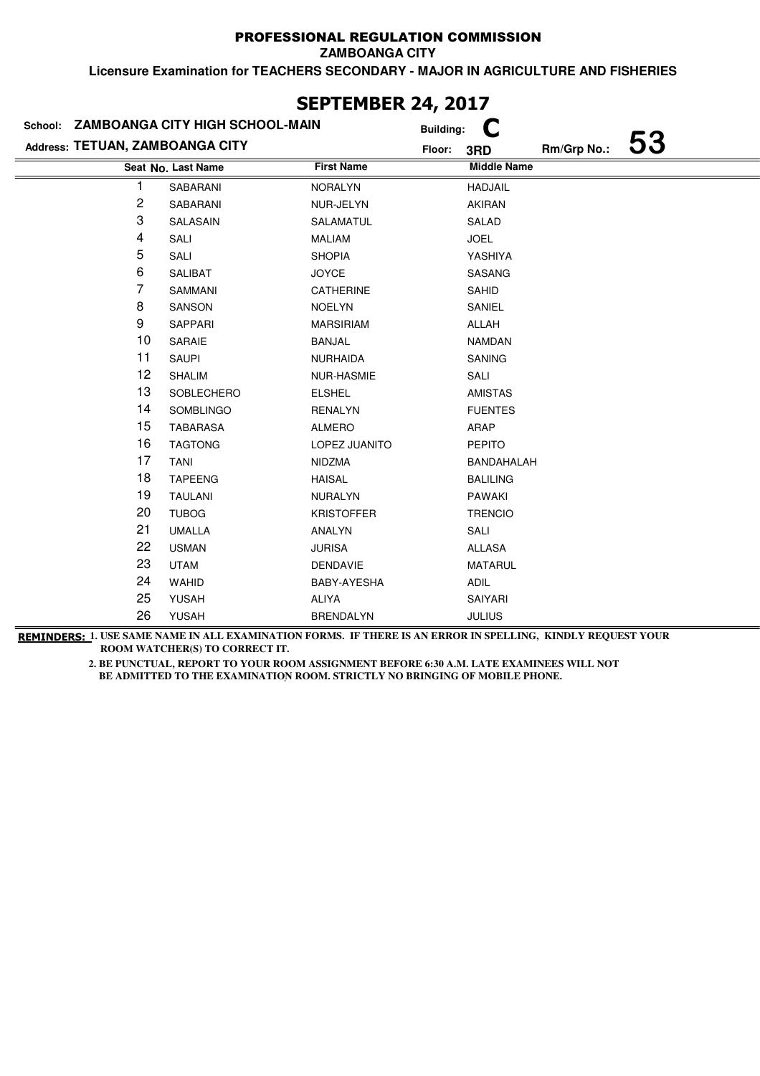**ZAMBOANGA CITY**

**Licensure Examination for TEACHERS SECONDARY - MAJOR IN AGRICULTURE AND FISHERIES**

| School: ZAMBOANGA CITY HIGH SCHOOL-MAIN |                    |                   | <b>Building:</b> | C                  |             |    |
|-----------------------------------------|--------------------|-------------------|------------------|--------------------|-------------|----|
| Address: TETUAN, ZAMBOANGA CITY         |                    |                   | Floor:           | 3RD                | Rm/Grp No.: | 53 |
|                                         | Seat No. Last Name | <b>First Name</b> |                  | <b>Middle Name</b> |             |    |
|                                         | SABARANI           | <b>NORALYN</b>    |                  | <b>HADJAIL</b>     |             |    |
| 2                                       | SABARANI           | NUR-JELYN         |                  | <b>AKIRAN</b>      |             |    |
| 3                                       | SALASAIN           | SALAMATUL         |                  | SALAD              |             |    |
| 4                                       | SALI               | <b>MALIAM</b>     |                  | <b>JOEL</b>        |             |    |
| 5                                       | SALI               | <b>SHOPIA</b>     |                  | YASHIYA            |             |    |
| 6                                       | SALIBAT            | <b>JOYCE</b>      |                  | SASANG             |             |    |
| 7                                       | SAMMANI            | CATHERINE         |                  | SAHID              |             |    |
| 8                                       | <b>SANSON</b>      | <b>NOELYN</b>     |                  | SANIEL             |             |    |
| 9                                       | SAPPARI            | <b>MARSIRIAM</b>  |                  | ALLAH              |             |    |
| 10                                      | SARAIE             | <b>BANJAL</b>     |                  | <b>NAMDAN</b>      |             |    |
| 11                                      | <b>SAUPI</b>       | <b>NURHAIDA</b>   |                  | <b>SANING</b>      |             |    |
| 12                                      | SHALIM             | NUR-HASMIE        |                  | SALI               |             |    |
| 13                                      | SOBLECHERO         | <b>ELSHEL</b>     |                  | <b>AMISTAS</b>     |             |    |
| 14                                      | SOMBLINGO          | <b>RENALYN</b>    |                  | <b>FUENTES</b>     |             |    |
| 15                                      | <b>TABARASA</b>    | <b>ALMERO</b>     |                  | ARAP               |             |    |
| 16                                      | <b>TAGTONG</b>     | LOPEZ JUANITO     |                  | <b>PEPITO</b>      |             |    |
| 17                                      | <b>TANI</b>        | <b>NIDZMA</b>     |                  | BANDAHALAH         |             |    |
| 18                                      | <b>TAPEENG</b>     | <b>HAISAL</b>     |                  | <b>BALILING</b>    |             |    |
| 19                                      | <b>TAULANI</b>     | <b>NURALYN</b>    |                  | <b>PAWAKI</b>      |             |    |
| 20                                      | <b>TUBOG</b>       | <b>KRISTOFFER</b> |                  | <b>TRENCIO</b>     |             |    |
| 21                                      | <b>UMALLA</b>      | ANALYN            |                  | SALI               |             |    |
| 22                                      | <b>USMAN</b>       | <b>JURISA</b>     |                  | ALLASA             |             |    |
| 23                                      | <b>UTAM</b>        | <b>DENDAVIE</b>   |                  | <b>MATARUL</b>     |             |    |
| 24                                      | WAHID              | BABY-AYESHA       |                  | ADIL               |             |    |
| 25                                      | <b>YUSAH</b>       | <b>ALIYA</b>      |                  | SAIYARI            |             |    |
| 26                                      | <b>YUSAH</b>       | <b>BRENDALYN</b>  |                  | <b>JULIUS</b>      |             |    |

### **SEPTEMBER 24, 2017**

**REMINDERS: 1. USE SAME NAME IN ALL EXAMINATION FORMS. IF THERE IS AN ERROR IN SPELLING, KINDLY REQUEST YOUR ROOM WATCHER(S) TO CORRECT IT.**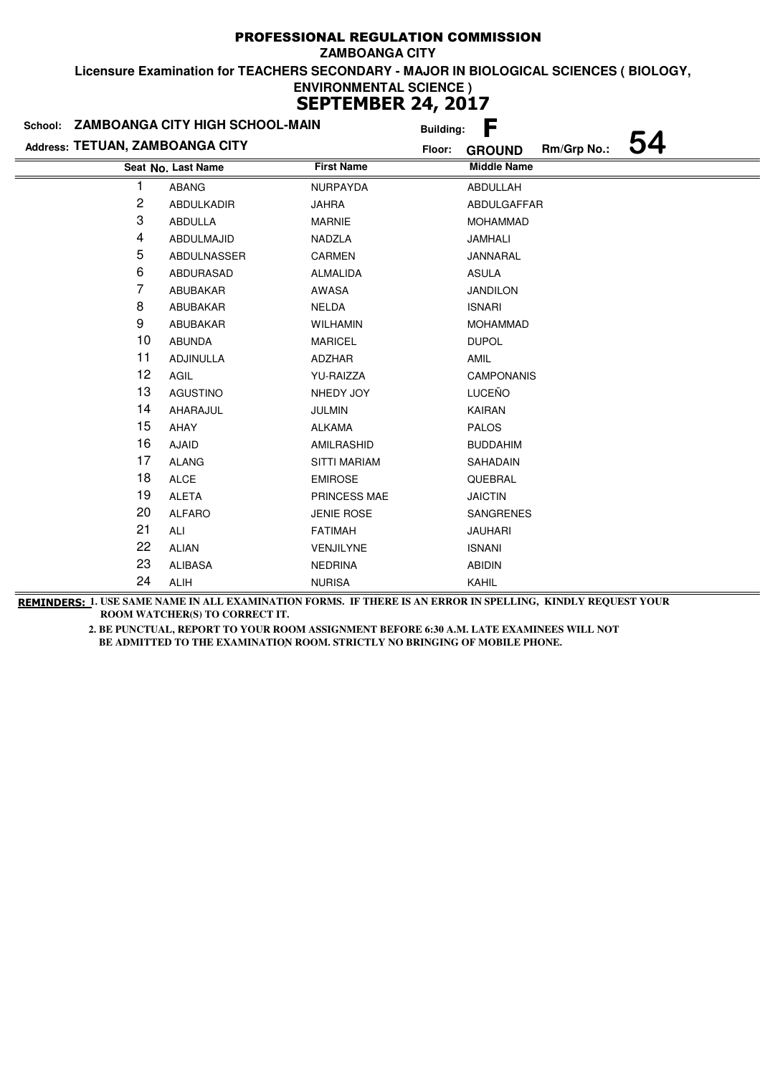| School: ZAMBOANGA CITY HIGH SCHOOL-MAIN |                    | <b>Building:</b>    | F                            |  |
|-----------------------------------------|--------------------|---------------------|------------------------------|--|
| Address: TETUAN, ZAMBOANGA CITY         |                    | Floor:              | Rm/Grp No.:<br><b>GROUND</b> |  |
|                                         | Seat No. Last Name | <b>First Name</b>   | <b>Middle Name</b>           |  |
|                                         | <b>ABANG</b>       | <b>NURPAYDA</b>     | ABDULLAH                     |  |
| 2                                       | <b>ABDULKADIR</b>  | <b>JAHRA</b>        | ABDULGAFFAR                  |  |
| 3                                       | <b>ABDULLA</b>     | <b>MARNIE</b>       | <b>MOHAMMAD</b>              |  |
| 4                                       | ABDULMAJID         | NADZLA              | JAMHALI                      |  |
| 5                                       | ABDULNASSER        | <b>CARMEN</b>       | JANNARAL                     |  |
| 6                                       | ABDURASAD          | <b>ALMALIDA</b>     | <b>ASULA</b>                 |  |
| 7                                       | ABUBAKAR           | AWASA               | <b>JANDILON</b>              |  |
| 8                                       | ABUBAKAR           | <b>NELDA</b>        | <b>ISNARI</b>                |  |
| 9                                       | ABUBAKAR           | <b>WILHAMIN</b>     | <b>MOHAMMAD</b>              |  |
| 10                                      | <b>ABUNDA</b>      | <b>MARICEL</b>      | <b>DUPOL</b>                 |  |
| 11                                      | ADJINULLA          | ADZHAR              | AMIL                         |  |
| 12                                      | AGIL               | YU-RAIZZA           | <b>CAMPONANIS</b>            |  |
| 13                                      | <b>AGUSTINO</b>    | NHEDY JOY           | LUCEÑO                       |  |
| 14                                      | AHARAJUL           | <b>JULMIN</b>       | KAIRAN                       |  |
| 15                                      | AHAY               | <b>ALKAMA</b>       | <b>PALOS</b>                 |  |
| 16                                      | <b>AJAID</b>       | AMILRASHID          | <b>BUDDAHIM</b>              |  |
| 17                                      | <b>ALANG</b>       | <b>SITTI MARIAM</b> | SAHADAIN                     |  |
| 18                                      | <b>ALCE</b>        | <b>EMIROSE</b>      | QUEBRAL                      |  |
| 19                                      | <b>ALETA</b>       | PRINCESS MAE        | <b>JAICTIN</b>               |  |
| 20                                      | <b>ALFARO</b>      | <b>JENIE ROSE</b>   | <b>SANGRENES</b>             |  |
| 21                                      | ALI                | <b>FATIMAH</b>      | <b>JAUHARI</b>               |  |
| 22                                      | <b>ALIAN</b>       | VENJILYNE           | <b>ISNANI</b>                |  |
| 23                                      | <b>ALIBASA</b>     | <b>NEDRINA</b>      | <b>ABIDIN</b>                |  |
| 24                                      | <b>ALIH</b>        | <b>NURISA</b>       | <b>KAHIL</b>                 |  |

**REMINDERS: 1. USE SAME NAME IN ALL EXAMINATION FORMS. IF THERE IS AN ERROR IN SPELLING, KINDLY REQUEST YOUR ROOM WATCHER(S) TO CORRECT IT.**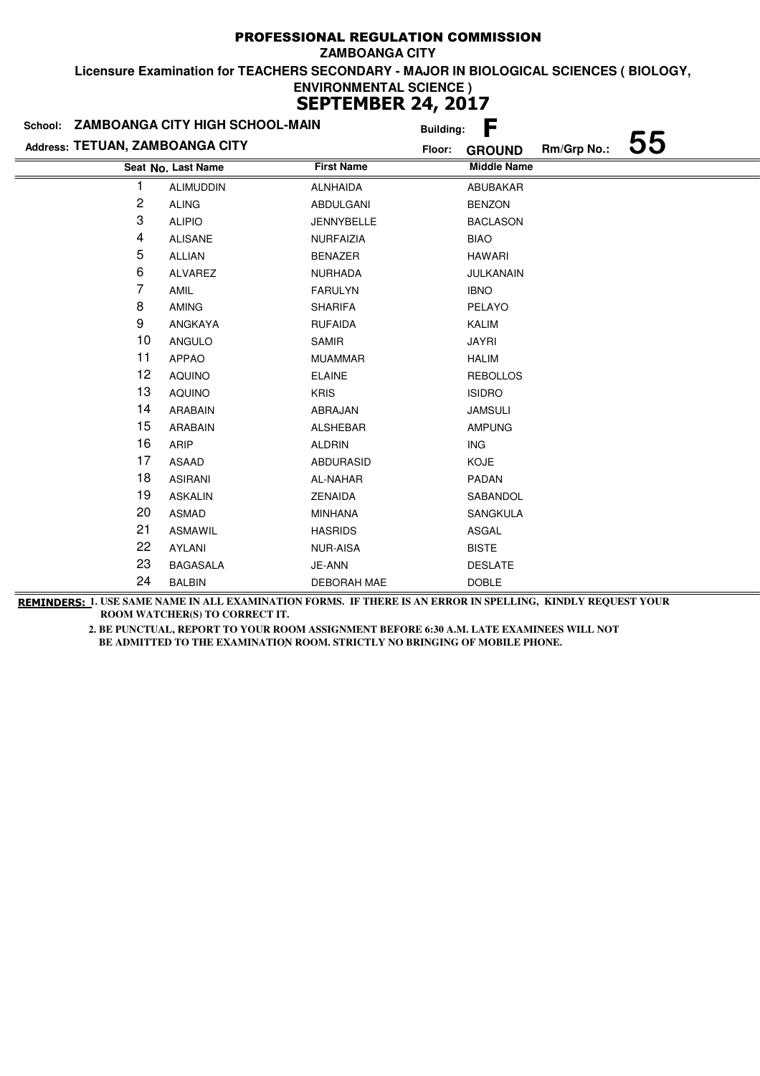|                                 | School: ZAMBOANGA CITY HIGH SCHOOL-MAIN | <b>Building:</b>   | F                  |             |    |
|---------------------------------|-----------------------------------------|--------------------|--------------------|-------------|----|
| Address: TETUAN, ZAMBOANGA CITY |                                         | Floor:             | <b>GROUND</b>      | Rm/Grp No.: | 55 |
|                                 | Seat No. Last Name                      | <b>First Name</b>  | <b>Middle Name</b> |             |    |
|                                 | <b>ALIMUDDIN</b>                        | <b>ALNHAIDA</b>    | <b>ABUBAKAR</b>    |             |    |
| 2                               | <b>ALING</b>                            | ABDULGANI          | <b>BENZON</b>      |             |    |
| 3                               | <b>ALIPIO</b>                           | <b>JENNYBELLE</b>  | <b>BACLASON</b>    |             |    |
| 4                               | <b>ALISANE</b>                          | <b>NURFAIZIA</b>   | <b>BIAO</b>        |             |    |
| 5                               | <b>ALLIAN</b>                           | <b>BENAZER</b>     | <b>HAWARI</b>      |             |    |
| 6                               | ALVAREZ                                 | <b>NURHADA</b>     | JULKANAIN          |             |    |
| 7                               | AMIL                                    | <b>FARULYN</b>     | <b>IBNO</b>        |             |    |
| 8                               | <b>AMING</b>                            | <b>SHARIFA</b>     | PELAYO             |             |    |
| 9                               | ANGKAYA                                 | <b>RUFAIDA</b>     | <b>KALIM</b>       |             |    |
| 10                              | ANGULO                                  | <b>SAMIR</b>       | <b>JAYRI</b>       |             |    |
| 11                              | <b>APPAO</b>                            | <b>MUAMMAR</b>     | <b>HALIM</b>       |             |    |
| 12                              | <b>AQUINO</b>                           | <b>ELAINE</b>      | <b>REBOLLOS</b>    |             |    |
| 13                              | <b>AQUINO</b>                           | <b>KRIS</b>        | <b>ISIDRO</b>      |             |    |
| 14                              | <b>ARABAIN</b>                          | ABRAJAN            | <b>JAMSULI</b>     |             |    |
| 15                              | ARABAIN                                 | <b>ALSHEBAR</b>    | <b>AMPUNG</b>      |             |    |
| 16                              | ARIP                                    | <b>ALDRIN</b>      | ING                |             |    |
| 17                              | ASAAD                                   | <b>ABDURASID</b>   | <b>KOJE</b>        |             |    |
| 18                              | <b>ASIRANI</b>                          | AL-NAHAR           | PADAN              |             |    |
| 19                              | <b>ASKALIN</b>                          | <b>ZENAIDA</b>     | SABANDOL           |             |    |
| 20                              | <b>ASMAD</b>                            | <b>MINHANA</b>     | <b>SANGKULA</b>    |             |    |
| 21                              | <b>ASMAWIL</b>                          | <b>HASRIDS</b>     | ASGAL              |             |    |
| 22                              | AYLANI                                  | <b>NUR-AISA</b>    | <b>BISTE</b>       |             |    |
| 23                              | <b>BAGASALA</b>                         | JE-ANN             | <b>DESLATE</b>     |             |    |
| 24                              | <b>BALBIN</b>                           | <b>DEBORAH MAE</b> | <b>DOBLE</b>       |             |    |
|                                 |                                         |                    |                    |             |    |

**REMINDERS: 1. USE SAME NAME IN ALL EXAMINATION FORMS. IF THERE IS AN ERROR IN SPELLING, KINDLY REQUEST YOUR ROOM WATCHER(S) TO CORRECT IT.**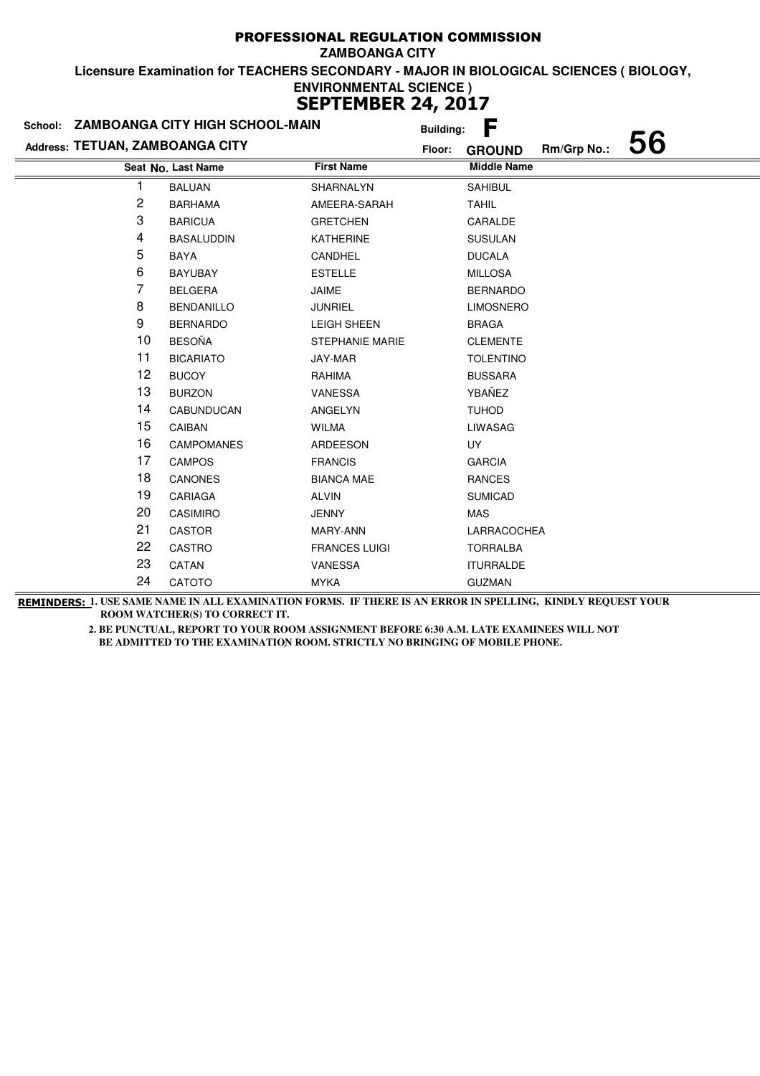|                                 | School: ZAMBOANGA CITY HIGH SCHOOL-MAIN |                        | <b>Building:</b> | F                  |             |    |
|---------------------------------|-----------------------------------------|------------------------|------------------|--------------------|-------------|----|
| Address: TETUAN, ZAMBOANGA CITY |                                         |                        | Floor:           | <b>GROUND</b>      | Rm/Grp No.: | 56 |
|                                 | Seat No. Last Name                      | <b>First Name</b>      |                  | <b>Middle Name</b> |             |    |
|                                 | <b>BALUAN</b>                           | SHARNALYN              |                  | <b>SAHIBUL</b>     |             |    |
| 2                               | <b>BARHAMA</b>                          | AMEERA-SARAH           |                  | <b>TAHIL</b>       |             |    |
| 3                               | <b>BARICUA</b>                          | <b>GRETCHEN</b>        |                  | CARALDE            |             |    |
| 4                               | <b>BASALUDDIN</b>                       | <b>KATHERINE</b>       |                  | <b>SUSULAN</b>     |             |    |
| 5                               | BAYA                                    | CANDHEL                |                  | <b>DUCALA</b>      |             |    |
| 6                               | <b>BAYUBAY</b>                          | <b>ESTELLE</b>         |                  | <b>MILLOSA</b>     |             |    |
| 7                               | <b>BELGERA</b>                          | JAIME                  |                  | <b>BERNARDO</b>    |             |    |
| 8                               | <b>BENDANILLO</b>                       | <b>JUNRIEL</b>         |                  | <b>LIMOSNERO</b>   |             |    |
| 9                               | <b>BERNARDO</b>                         | <b>LEIGH SHEEN</b>     |                  | <b>BRAGA</b>       |             |    |
| 10                              | <b>BESOÑA</b>                           | <b>STEPHANIE MARIE</b> |                  | <b>CLEMENTE</b>    |             |    |
| 11                              | <b>BICARIATO</b>                        | JAY-MAR                |                  | <b>TOLENTINO</b>   |             |    |
| 12                              | <b>BUCOY</b>                            | RAHIMA                 |                  | <b>BUSSARA</b>     |             |    |
| 13                              | <b>BURZON</b>                           | VANESSA                |                  | YBAÑEZ             |             |    |
| 14                              | CABUNDUCAN                              | ANGELYN                |                  | <b>TUHOD</b>       |             |    |
| 15                              | CAIBAN                                  | <b>WILMA</b>           |                  | <b>LIWASAG</b>     |             |    |
| 16                              | <b>CAMPOMANES</b>                       | ARDEESON               |                  | UY                 |             |    |
| 17                              | <b>CAMPOS</b>                           | <b>FRANCIS</b>         |                  | <b>GARCIA</b>      |             |    |
| 18                              | <b>CANONES</b>                          | <b>BIANCA MAE</b>      |                  | <b>RANCES</b>      |             |    |
| 19                              | CARIAGA                                 | <b>ALVIN</b>           |                  | <b>SUMICAD</b>     |             |    |
| 20                              | <b>CASIMIRO</b>                         | <b>JENNY</b>           |                  | <b>MAS</b>         |             |    |
| 21                              | <b>CASTOR</b>                           | MARY-ANN               |                  | LARRACOCHEA        |             |    |
| 22                              | <b>CASTRO</b>                           | <b>FRANCES LUIGI</b>   |                  | <b>TORRALBA</b>    |             |    |
| 23                              | CATAN                                   | VANESSA                |                  | <b>ITURRALDE</b>   |             |    |
| 24                              | CATOTO                                  | <b>MYKA</b>            |                  | <b>GUZMAN</b>      |             |    |

**REMINDERS: 1. USE SAME NAME IN ALL EXAMINATION FORMS. IF THERE IS AN ERROR IN SPELLING, KINDLY REQUEST YOUR ROOM WATCHER(S) TO CORRECT IT.**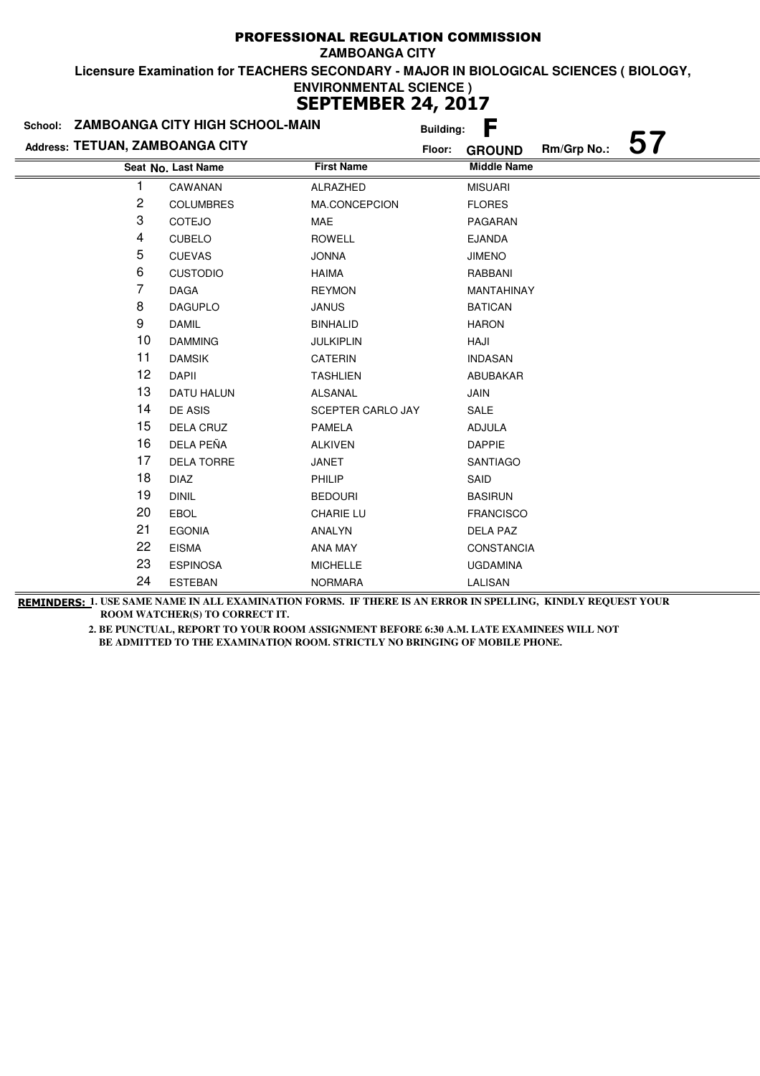|                                 | School: ZAMBOANGA CITY HIGH SCHOOL-MAIN |                   | <b>Building:</b> | F                  |             |  |
|---------------------------------|-----------------------------------------|-------------------|------------------|--------------------|-------------|--|
| Address: TETUAN, ZAMBOANGA CITY |                                         |                   | Floor:           | <b>GROUND</b>      | Rm/Grp No.: |  |
|                                 | Seat No. Last Name                      | <b>First Name</b> |                  | <b>Middle Name</b> |             |  |
|                                 | CAWANAN                                 | ALRAZHED          |                  | <b>MISUARI</b>     |             |  |
| 2                               | <b>COLUMBRES</b>                        | MA.CONCEPCION     |                  | <b>FLORES</b>      |             |  |
| 3                               | COTEJO                                  | MAE               |                  | PAGARAN            |             |  |
| 4                               | <b>CUBELO</b>                           | <b>ROWELL</b>     |                  | <b>EJANDA</b>      |             |  |
| 5                               | <b>CUEVAS</b>                           | <b>JONNA</b>      |                  | <b>JIMENO</b>      |             |  |
| 6                               | <b>CUSTODIO</b>                         | <b>HAIMA</b>      |                  | RABBANI            |             |  |
| 7                               | <b>DAGA</b>                             | <b>REYMON</b>     |                  | MANTAHINAY         |             |  |
| 8                               | <b>DAGUPLO</b>                          | <b>JANUS</b>      |                  | <b>BATICAN</b>     |             |  |
| 9                               | <b>DAMIL</b>                            | <b>BINHALID</b>   |                  | <b>HARON</b>       |             |  |
| 10                              | <b>DAMMING</b>                          | <b>JULKIPLIN</b>  |                  | HAJI               |             |  |
| 11                              | <b>DAMSIK</b>                           | <b>CATERIN</b>    |                  | <b>INDASAN</b>     |             |  |
| 12                              | <b>DAPII</b>                            | <b>TASHLIEN</b>   |                  | ABUBAKAR           |             |  |
| 13                              | <b>DATU HALUN</b>                       | <b>ALSANAL</b>    |                  | JAIN               |             |  |
| 14                              | DE ASIS                                 | SCEPTER CARLO JAY |                  | SALE               |             |  |
| 15                              | <b>DELA CRUZ</b>                        | <b>PAMELA</b>     |                  | <b>ADJULA</b>      |             |  |
| 16                              | DELA PEÑA                               | <b>ALKIVEN</b>    |                  | <b>DAPPIE</b>      |             |  |
| 17                              | DELA TORRE                              | JANET             |                  | <b>SANTIAGO</b>    |             |  |
| 18                              | <b>DIAZ</b>                             | PHILIP            |                  | SAID               |             |  |
| 19                              | <b>DINIL</b>                            | <b>BEDOURI</b>    |                  | <b>BASIRUN</b>     |             |  |
| 20                              | <b>EBOL</b>                             | <b>CHARIE LU</b>  |                  | <b>FRANCISCO</b>   |             |  |
| 21                              | <b>EGONIA</b>                           | ANALYN            |                  | <b>DELA PAZ</b>    |             |  |
| 22                              | <b>EISMA</b>                            | ANA MAY           |                  | <b>CONSTANCIA</b>  |             |  |
| 23                              | <b>ESPINOSA</b>                         | <b>MICHELLE</b>   |                  | <b>UGDAMINA</b>    |             |  |
| 24                              | <b>ESTEBAN</b>                          | <b>NORMARA</b>    |                  | LALISAN            |             |  |

**REMINDERS: 1. USE SAME NAME IN ALL EXAMINATION FORMS. IF THERE IS AN ERROR IN SPELLING, KINDLY REQUEST YOUR ROOM WATCHER(S) TO CORRECT IT.**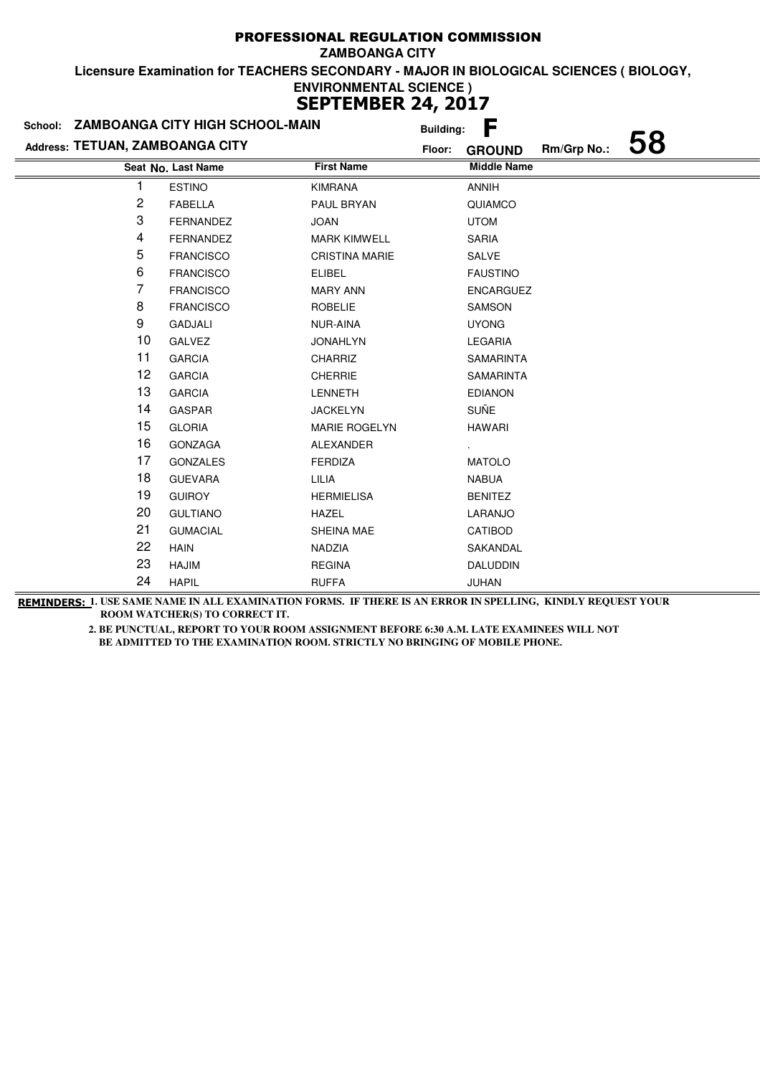|                                 | School: ZAMBOANGA CITY HIGH SCHOOL-MAIN |                       | <b>Building:</b> | F                  |             |    |
|---------------------------------|-----------------------------------------|-----------------------|------------------|--------------------|-------------|----|
| Address: TETUAN, ZAMBOANGA CITY |                                         |                       | Floor:           | <b>GROUND</b>      | Rm/Grp No.: | 58 |
|                                 | Seat No. Last Name                      | <b>First Name</b>     |                  | <b>Middle Name</b> |             |    |
|                                 | <b>ESTINO</b>                           | <b>KIMRANA</b>        |                  | <b>ANNIH</b>       |             |    |
| 2                               | <b>FABELLA</b>                          | PAUL BRYAN            |                  | QUIAMCO            |             |    |
| 3                               | <b>FERNANDEZ</b>                        | <b>JOAN</b>           |                  | <b>UTOM</b>        |             |    |
| 4                               | <b>FERNANDEZ</b>                        | <b>MARK KIMWELL</b>   |                  | <b>SARIA</b>       |             |    |
| 5                               | <b>FRANCISCO</b>                        | <b>CRISTINA MARIE</b> |                  | SALVE              |             |    |
| 6                               | <b>FRANCISCO</b>                        | <b>ELIBEL</b>         |                  | <b>FAUSTINO</b>    |             |    |
| 7                               | <b>FRANCISCO</b>                        | <b>MARY ANN</b>       |                  | <b>ENCARGUEZ</b>   |             |    |
| 8                               | <b>FRANCISCO</b>                        | <b>ROBELIE</b>        |                  | SAMSON             |             |    |
| 9                               | <b>GADJALI</b>                          | NUR-AINA              |                  | <b>UYONG</b>       |             |    |
| 10                              | <b>GALVEZ</b>                           | <b>JONAHLYN</b>       |                  | <b>LEGARIA</b>     |             |    |
| 11                              | <b>GARCIA</b>                           | CHARRIZ               |                  | <b>SAMARINTA</b>   |             |    |
| 12                              | <b>GARCIA</b>                           | <b>CHERRIE</b>        |                  | <b>SAMARINTA</b>   |             |    |
| 13                              | <b>GARCIA</b>                           | <b>LENNETH</b>        |                  | <b>EDIANON</b>     |             |    |
| 14                              | <b>GASPAR</b>                           | <b>JACKELYN</b>       |                  | <b>SUÑE</b>        |             |    |
| 15                              | <b>GLORIA</b>                           | <b>MARIE ROGELYN</b>  |                  | <b>HAWARI</b>      |             |    |
| 16                              | GONZAGA                                 | ALEXANDER             |                  |                    |             |    |
| 17                              | <b>GONZALES</b>                         | <b>FERDIZA</b>        |                  | <b>MATOLO</b>      |             |    |
| 18                              | <b>GUEVARA</b>                          | LILIA                 |                  | <b>NABUA</b>       |             |    |
| 19                              | <b>GUIROY</b>                           | <b>HERMIELISA</b>     |                  | <b>BENITEZ</b>     |             |    |
| 20                              | <b>GULTIANO</b>                         | <b>HAZEL</b>          |                  | LARANJO            |             |    |
| 21                              | <b>GUMACIAL</b>                         | SHEINA MAE            |                  | CATIBOD            |             |    |
| 22                              | <b>HAIN</b>                             | NADZIA                |                  | SAKANDAL           |             |    |
| 23                              | <b>HAJIM</b>                            | <b>REGINA</b>         |                  | <b>DALUDDIN</b>    |             |    |
| 24                              | <b>HAPIL</b>                            | <b>RUFFA</b>          |                  | JUHAN              |             |    |

**REMINDERS: 1. USE SAME NAME IN ALL EXAMINATION FORMS. IF THERE IS AN ERROR IN SPELLING, KINDLY REQUEST YOUR ROOM WATCHER(S) TO CORRECT IT.**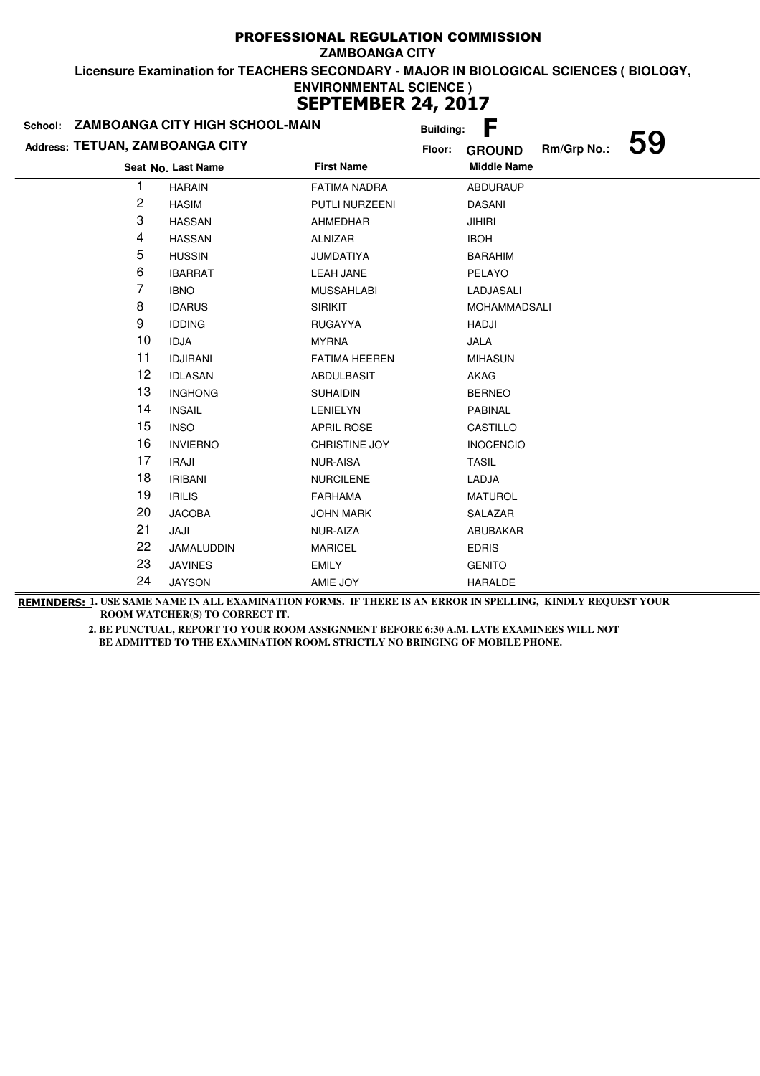|                                 | School: ZAMBOANGA CITY HIGH SCHOOL-MAIN | <b>Building:</b>     | F                                  |
|---------------------------------|-----------------------------------------|----------------------|------------------------------------|
| Address: TETUAN, ZAMBOANGA CITY |                                         | Floor:               | 59<br>Rm/Grp No.:<br><b>GROUND</b> |
|                                 | Seat No. Last Name                      | <b>First Name</b>    | <b>Middle Name</b>                 |
| 1                               | <b>HARAIN</b>                           | <b>FATIMA NADRA</b>  | <b>ABDURAUP</b>                    |
| 2                               | <b>HASIM</b>                            | PUTLI NURZEENI       | <b>DASANI</b>                      |
| 3                               | <b>HASSAN</b>                           | <b>AHMEDHAR</b>      | <b>JIHIRI</b>                      |
| 4                               | <b>HASSAN</b>                           | ALNIZAR              | <b>IBOH</b>                        |
| 5                               | <b>HUSSIN</b>                           | <b>JUMDATIYA</b>     | <b>BARAHIM</b>                     |
| 6                               | <b>IBARRAT</b>                          | <b>LEAH JANE</b>     | PELAYO                             |
| 7                               | <b>IBNO</b>                             | <b>MUSSAHLABI</b>    | LADJASALI                          |
| 8                               | <b>IDARUS</b>                           | <b>SIRIKIT</b>       | <b>MOHAMMADSALI</b>                |
| 9                               | <b>IDDING</b>                           | <b>RUGAYYA</b>       | HADJI                              |
| 10                              | <b>IDJA</b>                             | <b>MYRNA</b>         | JALA                               |
| 11                              | <b>IDJIRANI</b>                         | <b>FATIMA HEEREN</b> | <b>MIHASUN</b>                     |
| 12                              | <b>IDLASAN</b>                          | ABDULBASIT           | AKAG                               |
| 13                              | <b>INGHONG</b>                          | <b>SUHAIDIN</b>      | <b>BERNEO</b>                      |
| 14                              | <b>INSAIL</b>                           | <b>LENIELYN</b>      | PABINAL                            |
| 15                              | <b>INSO</b>                             | <b>APRIL ROSE</b>    | CASTILLO                           |
| 16                              | <b>INVIERNO</b>                         | CHRISTINE JOY        | <b>INOCENCIO</b>                   |
| 17                              | <b>IRAJI</b>                            | <b>NUR-AISA</b>      | <b>TASIL</b>                       |
| 18                              | <b>IRIBANI</b>                          | <b>NURCILENE</b>     | LADJA                              |
| 19                              | <b>IRILIS</b>                           | <b>FARHAMA</b>       | <b>MATUROL</b>                     |
| 20                              | <b>JACOBA</b>                           | <b>JOHN MARK</b>     | SALAZAR                            |
| 21                              | JAJI                                    | NUR-AIZA             | ABUBAKAR                           |
| 22                              | JAMALUDDIN                              | <b>MARICEL</b>       | <b>EDRIS</b>                       |
| 23                              | <b>JAVINES</b>                          | <b>EMILY</b>         | <b>GENITO</b>                      |
| 24                              | <b>JAYSON</b>                           | AMIE JOY             | HARALDE                            |

**REMINDERS: 1. USE SAME NAME IN ALL EXAMINATION FORMS. IF THERE IS AN ERROR IN SPELLING, KINDLY REQUEST YOUR ROOM WATCHER(S) TO CORRECT IT.**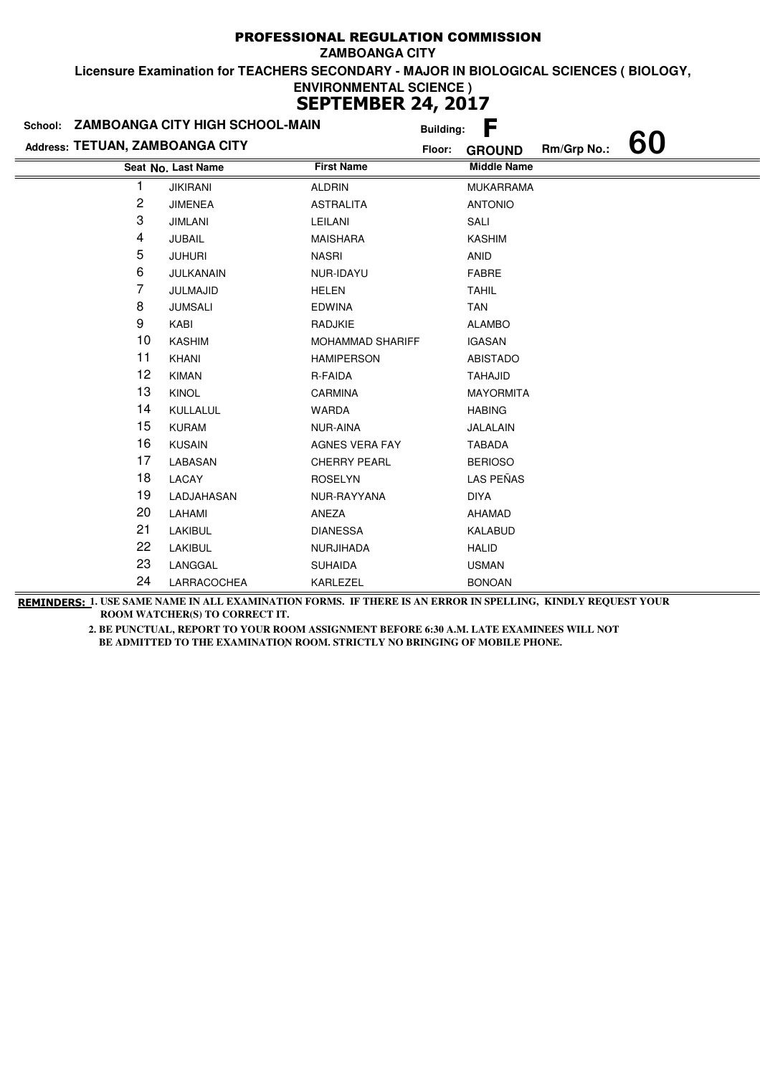| School:                         | ZAMBOANGA CITY HIGH SCHOOL-MAIN |                         | <b>Building:</b> | F                  |             |    |
|---------------------------------|---------------------------------|-------------------------|------------------|--------------------|-------------|----|
| Address: TETUAN, ZAMBOANGA CITY |                                 |                         | Floor:           | <b>GROUND</b>      | Rm/Grp No.: | 60 |
|                                 | Seat No. Last Name              | <b>First Name</b>       |                  | <b>Middle Name</b> |             |    |
| 1                               | <b>JIKIRANI</b>                 | <b>ALDRIN</b>           |                  | <b>MUKARRAMA</b>   |             |    |
| 2                               | <b>JIMENEA</b>                  | <b>ASTRALITA</b>        |                  | <b>ANTONIO</b>     |             |    |
| 3                               | <b>JIMLANI</b>                  | LEILANI                 |                  | SALI               |             |    |
| 4                               | <b>JUBAIL</b>                   | <b>MAISHARA</b>         |                  | <b>KASHIM</b>      |             |    |
| 5                               | <b>JUHURI</b>                   | <b>NASRI</b>            |                  | <b>ANID</b>        |             |    |
| 6                               | JULKANAIN                       | NUR-IDAYU               |                  | <b>FABRE</b>       |             |    |
| 7                               | JULMAJID                        | <b>HELEN</b>            |                  | <b>TAHIL</b>       |             |    |
| 8                               | <b>JUMSALI</b>                  | <b>EDWINA</b>           |                  | <b>TAN</b>         |             |    |
| 9                               | KABI                            | <b>RADJKIE</b>          |                  | <b>ALAMBO</b>      |             |    |
| 10                              | <b>KASHIM</b>                   | <b>MOHAMMAD SHARIFF</b> |                  | <b>IGASAN</b>      |             |    |
| 11                              | KHANI                           | <b>HAMIPERSON</b>       |                  | <b>ABISTADO</b>    |             |    |
| 12                              | <b>KIMAN</b>                    | R-FAIDA                 |                  | <b>TAHAJID</b>     |             |    |
| 13                              | <b>KINOL</b>                    | CARMINA                 |                  | <b>MAYORMITA</b>   |             |    |
| 14                              | KULLALUL                        | <b>WARDA</b>            |                  | <b>HABING</b>      |             |    |
| 15                              | <b>KURAM</b>                    | NUR-AINA                |                  | JALALAIN           |             |    |
| 16                              | <b>KUSAIN</b>                   | <b>AGNES VERA FAY</b>   |                  | <b>TABADA</b>      |             |    |
| 17                              | LABASAN                         | <b>CHERRY PEARL</b>     |                  | <b>BERIOSO</b>     |             |    |
| 18                              | LACAY                           | <b>ROSELYN</b>          |                  | LAS PEÑAS          |             |    |
| 19                              | LADJAHASAN                      | NUR-RAYYANA             |                  | <b>DIYA</b>        |             |    |
| 20                              | LAHAMI                          | ANEZA                   |                  | AHAMAD             |             |    |
| 21                              | LAKIBUL                         | <b>DIANESSA</b>         |                  | KALABUD            |             |    |
| 22                              | LAKIBUL                         | <b>NURJIHADA</b>        |                  | <b>HALID</b>       |             |    |
| 23                              | LANGGAL                         | <b>SUHAIDA</b>          |                  | <b>USMAN</b>       |             |    |
| 24                              | LARRACOCHEA                     | KARLEZEL                |                  | <b>BONOAN</b>      |             |    |

**REMINDERS: 1. USE SAME NAME IN ALL EXAMINATION FORMS. IF THERE IS AN ERROR IN SPELLING, KINDLY REQUEST YOUR ROOM WATCHER(S) TO CORRECT IT.**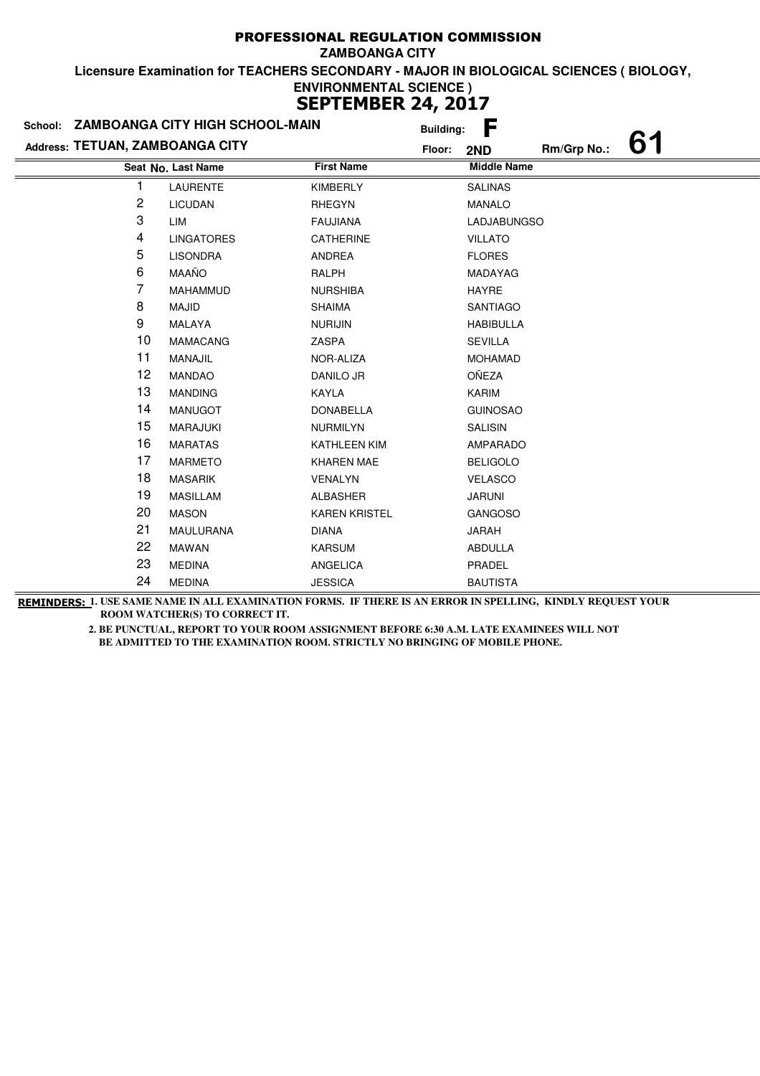|                                 | School: ZAMBOANGA CITY HIGH SCHOOL-MAIN | <b>Building:</b>     | F                        |
|---------------------------------|-----------------------------------------|----------------------|--------------------------|
| Address: TETUAN, ZAMBOANGA CITY |                                         | Floor:               | 61<br>Rm/Grp No.:<br>2ND |
|                                 | Seat No. Last Name                      | <b>First Name</b>    | <b>Middle Name</b>       |
|                                 | LAURENTE                                | <b>KIMBERLY</b>      | <b>SALINAS</b>           |
| 2                               | <b>LICUDAN</b>                          | <b>RHEGYN</b>        | <b>MANALO</b>            |
| 3                               | LIM                                     | <b>FAUJIANA</b>      | <b>LADJABUNGSO</b>       |
| 4                               | <b>LINGATORES</b>                       | CATHERINE            | <b>VILLATO</b>           |
| 5                               | <b>LISONDRA</b>                         | ANDREA               | <b>FLORES</b>            |
| 6                               | <b>MAAÑO</b>                            | RALPH                | MADAYAG                  |
| 7                               | <b>MAHAMMUD</b>                         | <b>NURSHIBA</b>      | <b>HAYRE</b>             |
| 8                               | <b>MAJID</b>                            | <b>SHAIMA</b>        | <b>SANTIAGO</b>          |
| 9                               | MALAYA                                  | <b>NURIJIN</b>       | <b>HABIBULLA</b>         |
| 10                              | <b>MAMACANG</b>                         | ZASPA                | <b>SEVILLA</b>           |
| 11                              | MANAJIL                                 | NOR-ALIZA            | <b>MOHAMAD</b>           |
| 12                              | <b>MANDAO</b>                           | DANILO JR            | OÑEZA                    |
| 13                              | <b>MANDING</b>                          | <b>KAYLA</b>         | <b>KARIM</b>             |
| 14                              | <b>MANUGOT</b>                          | <b>DONABELLA</b>     | <b>GUINOSAO</b>          |
| 15                              | <b>MARAJUKI</b>                         | <b>NURMILYN</b>      | <b>SALISIN</b>           |
| 16                              | <b>MARATAS</b>                          | KATHLEEN KIM         | AMPARADO                 |
| 17                              | <b>MARMETO</b>                          | <b>KHAREN MAE</b>    | <b>BELIGOLO</b>          |
| 18                              | <b>MASARIK</b>                          | VENALYN              | <b>VELASCO</b>           |
| 19                              | <b>MASILLAM</b>                         | <b>ALBASHER</b>      | <b>JARUNI</b>            |
| 20                              | <b>MASON</b>                            | <b>KAREN KRISTEL</b> | <b>GANGOSO</b>           |
| 21                              | <b>MAULURANA</b>                        | <b>DIANA</b>         | <b>JARAH</b>             |
| 22                              | <b>MAWAN</b>                            | <b>KARSUM</b>        | <b>ABDULLA</b>           |
| 23                              | <b>MEDINA</b>                           | ANGELICA             | PRADEL                   |
| 24                              | <b>MEDINA</b>                           | <b>JESSICA</b>       | <b>BAUTISTA</b>          |

**REMINDERS: 1. USE SAME NAME IN ALL EXAMINATION FORMS. IF THERE IS AN ERROR IN SPELLING, KINDLY REQUEST YOUR ROOM WATCHER(S) TO CORRECT IT.**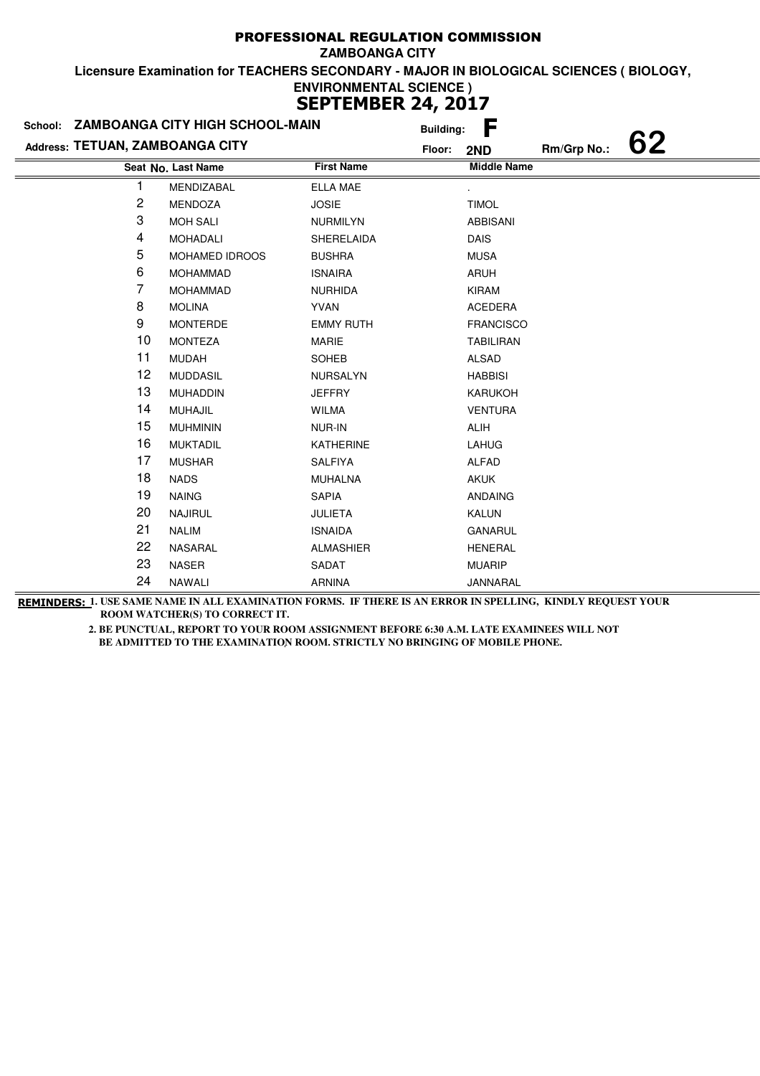| School: ZAMBOANGA CITY HIGH SCHOOL-MAIN |                    |                   | <b>Building:</b> | F                  |             |    |
|-----------------------------------------|--------------------|-------------------|------------------|--------------------|-------------|----|
| Address: TETUAN, ZAMBOANGA CITY         |                    |                   | Floor:           | 2ND                | Rm/Grp No.: | 62 |
|                                         | Seat No. Last Name | <b>First Name</b> |                  | <b>Middle Name</b> |             |    |
| 1                                       | MENDIZABAL         | <b>ELLA MAE</b>   |                  |                    |             |    |
| 2                                       | MENDOZA            | <b>JOSIE</b>      |                  | <b>TIMOL</b>       |             |    |
| 3                                       | <b>MOH SALI</b>    | <b>NURMILYN</b>   |                  | <b>ABBISANI</b>    |             |    |
| 4                                       | <b>MOHADALI</b>    | SHERELAIDA        |                  | <b>DAIS</b>        |             |    |
| 5                                       | MOHAMED IDROOS     | <b>BUSHRA</b>     |                  | <b>MUSA</b>        |             |    |
| 6                                       | <b>MOHAMMAD</b>    | <b>ISNAIRA</b>    |                  | <b>ARUH</b>        |             |    |
| 7                                       | <b>MOHAMMAD</b>    | <b>NURHIDA</b>    |                  | KIRAM              |             |    |
| 8                                       | <b>MOLINA</b>      | <b>YVAN</b>       |                  | <b>ACEDERA</b>     |             |    |
| 9                                       | <b>MONTERDE</b>    | <b>EMMY RUTH</b>  |                  | <b>FRANCISCO</b>   |             |    |
| 10                                      | <b>MONTEZA</b>     | <b>MARIE</b>      |                  | <b>TABILIRAN</b>   |             |    |
| 11                                      | <b>MUDAH</b>       | SOHEB             |                  | <b>ALSAD</b>       |             |    |
| 12                                      | <b>MUDDASIL</b>    | NURSALYN          |                  | <b>HABBISI</b>     |             |    |
| 13                                      | <b>MUHADDIN</b>    | <b>JEFFRY</b>     |                  | <b>KARUKOH</b>     |             |    |
| 14                                      | <b>MUHAJIL</b>     | <b>WILMA</b>      |                  | <b>VENTURA</b>     |             |    |
| 15                                      | <b>MUHMININ</b>    | NUR-IN            |                  | <b>ALIH</b>        |             |    |
| 16                                      | <b>MUKTADIL</b>    | <b>KATHERINE</b>  |                  | <b>LAHUG</b>       |             |    |
| 17                                      | <b>MUSHAR</b>      | SALFIYA           |                  | <b>ALFAD</b>       |             |    |
| 18                                      | <b>NADS</b>        | <b>MUHALNA</b>    |                  | <b>AKUK</b>        |             |    |
| 19                                      | <b>NAING</b>       | <b>SAPIA</b>      |                  | <b>ANDAING</b>     |             |    |
| 20                                      | <b>NAJIRUL</b>     | <b>JULIETA</b>    |                  | <b>KALUN</b>       |             |    |
| 21                                      | <b>NALIM</b>       | <b>ISNAIDA</b>    |                  | <b>GANARUL</b>     |             |    |
| 22                                      | NASARAL            | <b>ALMASHIER</b>  |                  | <b>HENERAL</b>     |             |    |
| 23                                      | <b>NASER</b>       | SADAT             |                  | <b>MUARIP</b>      |             |    |
| 24                                      | <b>NAWALI</b>      | <b>ARNINA</b>     |                  | JANNARAL           |             |    |

**REMINDERS: 1. USE SAME NAME IN ALL EXAMINATION FORMS. IF THERE IS AN ERROR IN SPELLING, KINDLY REQUEST YOUR ROOM WATCHER(S) TO CORRECT IT.**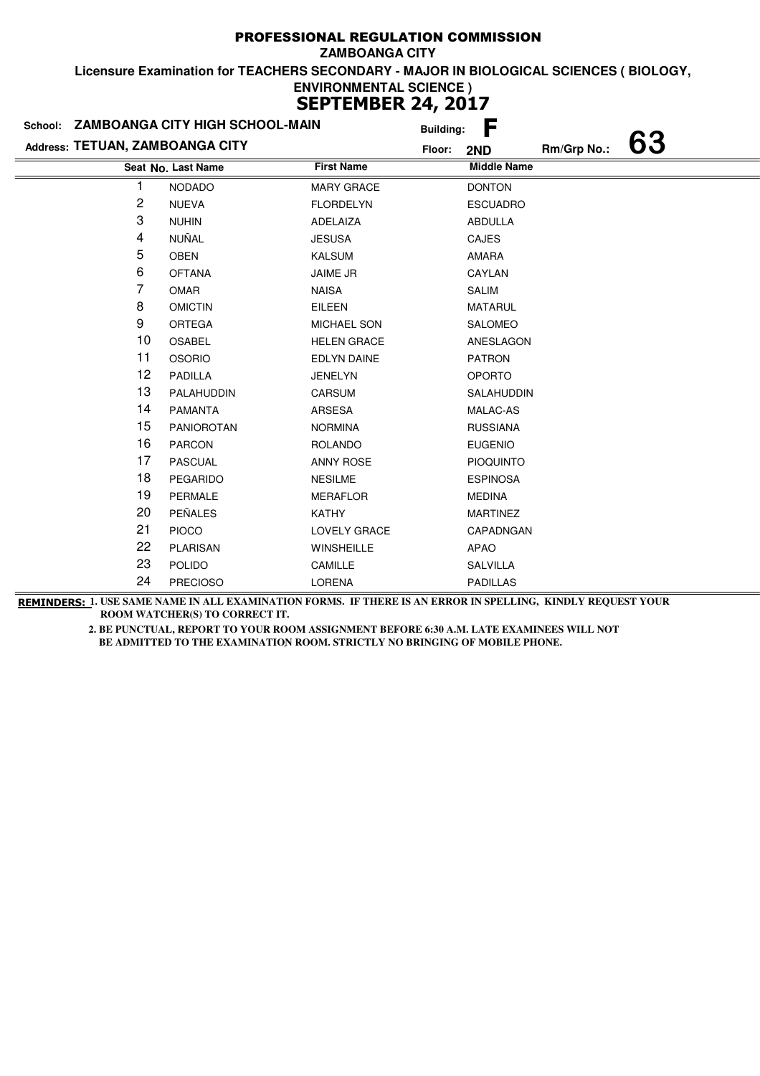|                                 | School: ZAMBOANGA CITY HIGH SCHOOL-MAIN |                    | <b>Building:</b> | F                  |             |    |
|---------------------------------|-----------------------------------------|--------------------|------------------|--------------------|-------------|----|
| Address: TETUAN, ZAMBOANGA CITY |                                         | Floor:             |                  | 2ND                | Rm/Grp No.: | 63 |
|                                 | Seat No. Last Name                      | <b>First Name</b>  |                  | <b>Middle Name</b> |             |    |
|                                 | <b>NODADO</b>                           | <b>MARY GRACE</b>  |                  | <b>DONTON</b>      |             |    |
| 2                               | <b>NUEVA</b>                            | <b>FLORDELYN</b>   |                  | <b>ESCUADRO</b>    |             |    |
| 3                               | <b>NUHIN</b>                            | ADELAIZA           |                  | ABDULLA            |             |    |
| 4                               | NUÑAL                                   | <b>JESUSA</b>      |                  | <b>CAJES</b>       |             |    |
| 5                               | <b>OBEN</b>                             | <b>KALSUM</b>      |                  | AMARA              |             |    |
| 6                               | <b>OFTANA</b>                           | <b>JAIME JR</b>    |                  | CAYLAN             |             |    |
| 7                               | OMAR                                    | <b>NAISA</b>       |                  | <b>SALIM</b>       |             |    |
| 8                               | <b>OMICTIN</b>                          | <b>EILEEN</b>      |                  | <b>MATARUL</b>     |             |    |
| 9                               | <b>ORTEGA</b>                           | <b>MICHAEL SON</b> |                  | <b>SALOMEO</b>     |             |    |
| 10                              | OSABEL                                  | <b>HELEN GRACE</b> |                  | ANESLAGON          |             |    |
| 11                              | <b>OSORIO</b>                           | EDLYN DAINE        |                  | <b>PATRON</b>      |             |    |
| 12                              | <b>PADILLA</b>                          | <b>JENELYN</b>     |                  | <b>OPORTO</b>      |             |    |
| 13                              | PALAHUDDIN                              | CARSUM             |                  | SALAHUDDIN         |             |    |
| 14                              | <b>PAMANTA</b>                          | ARSESA             |                  | MALAC-AS           |             |    |
| 15                              | PANIOROTAN                              | <b>NORMINA</b>     |                  | <b>RUSSIANA</b>    |             |    |
| 16                              | <b>PARCON</b>                           | <b>ROLANDO</b>     |                  | <b>EUGENIO</b>     |             |    |
| 17                              | <b>PASCUAL</b>                          | <b>ANNY ROSE</b>   |                  | <b>PIOQUINTO</b>   |             |    |
| 18                              | <b>PEGARIDO</b>                         | <b>NESILME</b>     |                  | <b>ESPINOSA</b>    |             |    |
| 19                              | <b>PERMALE</b>                          | <b>MERAFLOR</b>    |                  | <b>MEDINA</b>      |             |    |
| 20                              | <b>PEÑALES</b>                          | <b>KATHY</b>       |                  | <b>MARTINEZ</b>    |             |    |
| 21                              | <b>PIOCO</b>                            | LOVELY GRACE       |                  | CAPADNGAN          |             |    |
| 22                              | <b>PLARISAN</b>                         | WINSHEILLE         |                  | APAO               |             |    |
| 23                              | <b>POLIDO</b>                           | CAMILLE            |                  | SALVILLA           |             |    |
| 24                              | <b>PRECIOSO</b>                         | <b>LORENA</b>      |                  | <b>PADILLAS</b>    |             |    |

**REMINDERS: 1. USE SAME NAME IN ALL EXAMINATION FORMS. IF THERE IS AN ERROR IN SPELLING, KINDLY REQUEST YOUR ROOM WATCHER(S) TO CORRECT IT.**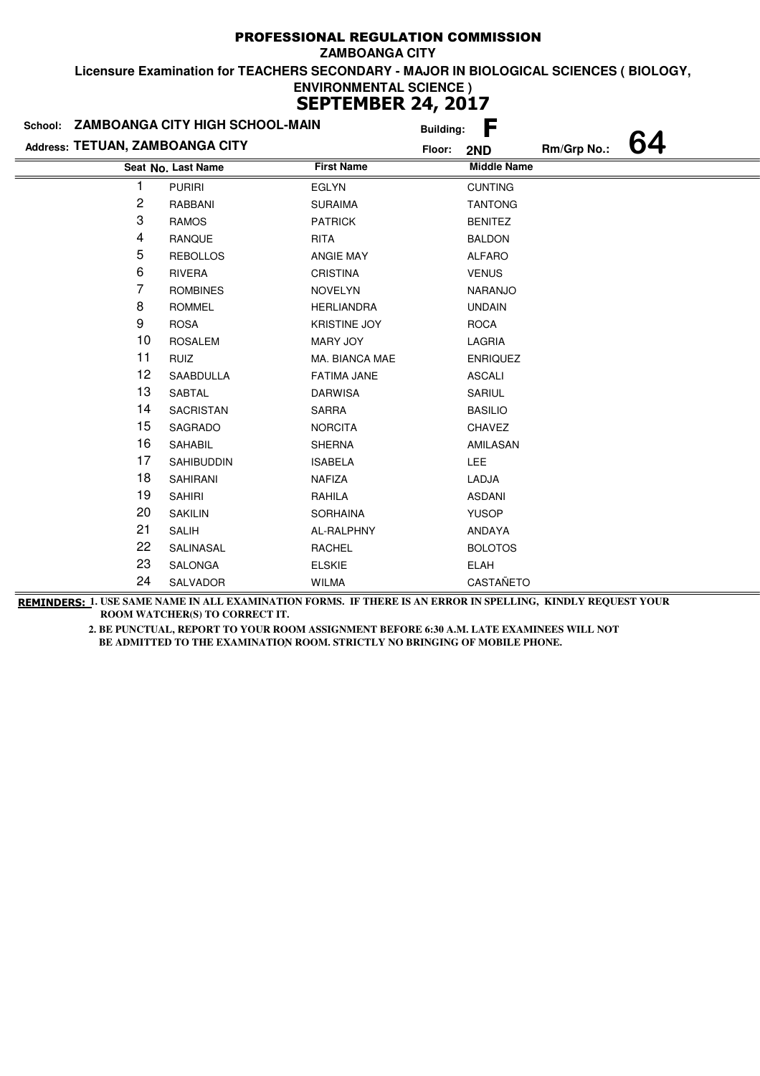|                                 | School: ZAMBOANGA CITY HIGH SCHOOL-MAIN |                     | <b>Building:</b> | F                  |  |
|---------------------------------|-----------------------------------------|---------------------|------------------|--------------------|--|
| Address: TETUAN, ZAMBOANGA CITY |                                         |                     | Floor:<br>2ND    | Rm/Grp No.:        |  |
|                                 | Seat No. Last Name                      | <b>First Name</b>   |                  | <b>Middle Name</b> |  |
| 1                               | <b>PURIRI</b>                           | <b>EGLYN</b>        |                  | <b>CUNTING</b>     |  |
| 2                               | RABBANI                                 | <b>SURAIMA</b>      |                  | <b>TANTONG</b>     |  |
| 3                               | <b>RAMOS</b>                            | <b>PATRICK</b>      | <b>BENITEZ</b>   |                    |  |
| 4                               | RANQUE                                  | <b>RITA</b>         | <b>BALDON</b>    |                    |  |
| 5                               | <b>REBOLLOS</b>                         | <b>ANGIE MAY</b>    | <b>ALFARO</b>    |                    |  |
| 6                               | RIVERA                                  | <b>CRISTINA</b>     | <b>VENUS</b>     |                    |  |
| 7                               | <b>ROMBINES</b>                         | <b>NOVELYN</b>      |                  | <b>NARANJO</b>     |  |
| 8                               | <b>ROMMEL</b>                           | <b>HERLIANDRA</b>   | <b>UNDAIN</b>    |                    |  |
| 9                               | <b>ROSA</b>                             | <b>KRISTINE JOY</b> | <b>ROCA</b>      |                    |  |
| 10                              | <b>ROSALEM</b>                          | MARY JOY            | LAGRIA           |                    |  |
| 11                              | RUIZ                                    | MA. BIANCA MAE      |                  | <b>ENRIQUEZ</b>    |  |
| 12                              | <b>SAABDULLA</b>                        | <b>FATIMA JANE</b>  | <b>ASCALI</b>    |                    |  |
| 13                              | SABTAL                                  | <b>DARWISA</b>      | SARIUL           |                    |  |
| 14                              | SACRISTAN                               | SARRA               | <b>BASILIO</b>   |                    |  |
| 15                              | SAGRADO                                 | <b>NORCITA</b>      | CHAVEZ           |                    |  |
| 16                              | SAHABIL                                 | <b>SHERNA</b>       |                  | AMILASAN           |  |
| 17                              | <b>SAHIBUDDIN</b>                       | <b>ISABELA</b>      | <b>LEE</b>       |                    |  |
| 18                              | <b>SAHIRANI</b>                         | <b>NAFIZA</b>       | LADJA            |                    |  |
| 19                              | <b>SAHIRI</b>                           | RAHILA              | <b>ASDANI</b>    |                    |  |
| 20                              | <b>SAKILIN</b>                          | <b>SORHAINA</b>     | <b>YUSOP</b>     |                    |  |
| 21                              | <b>SALIH</b>                            | AL-RALPHNY          | ANDAYA           |                    |  |
| 22                              | SALINASAL                               | <b>RACHEL</b>       |                  | <b>BOLOTOS</b>     |  |
| 23                              | SALONGA                                 | <b>ELSKIE</b>       | ELAH             |                    |  |
| 24                              | SALVADOR                                | <b>WILMA</b>        |                  | CASTAÑETO          |  |

**REMINDERS: 1. USE SAME NAME IN ALL EXAMINATION FORMS. IF THERE IS AN ERROR IN SPELLING, KINDLY REQUEST YOUR ROOM WATCHER(S) TO CORRECT IT.**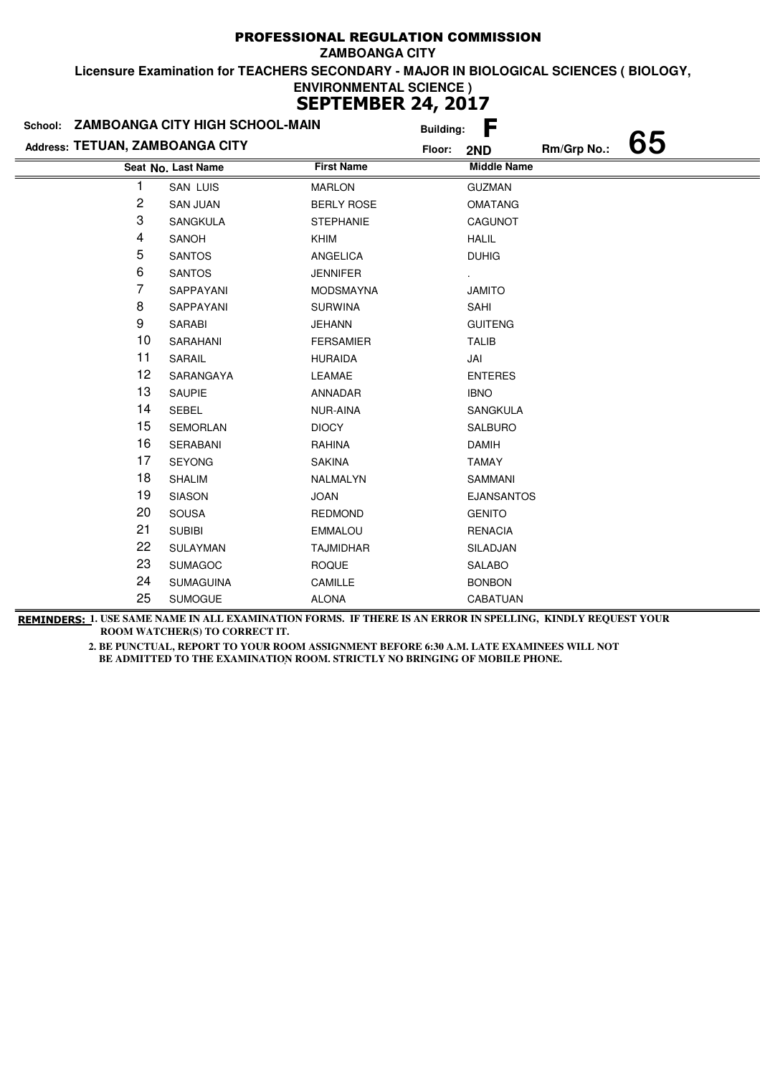| School:                         | ZAMBOANGA CITY HIGH SCHOOL-MAIN |                   | <b>Building:</b> | F                  |             |    |
|---------------------------------|---------------------------------|-------------------|------------------|--------------------|-------------|----|
| Address: TETUAN, ZAMBOANGA CITY |                                 |                   | Floor:           | 2ND                | Rm/Grp No.: | 65 |
|                                 | Seat No. Last Name              | <b>First Name</b> |                  | <b>Middle Name</b> |             |    |
|                                 | <b>SAN LUIS</b>                 | <b>MARLON</b>     |                  | <b>GUZMAN</b>      |             |    |
| 2                               | <b>SAN JUAN</b>                 | <b>BERLY ROSE</b> |                  | <b>OMATANG</b>     |             |    |
| 3                               | SANGKULA                        | <b>STEPHANIE</b>  |                  | CAGUNOT            |             |    |
| 4                               | SANOH                           | KHIM              |                  | <b>HALIL</b>       |             |    |
| 5                               | <b>SANTOS</b>                   | ANGELICA          |                  | <b>DUHIG</b>       |             |    |
| 6                               | <b>SANTOS</b>                   | <b>JENNIFER</b>   |                  |                    |             |    |
| 7                               | SAPPAYANI                       | <b>MODSMAYNA</b>  |                  | <b>JAMITO</b>      |             |    |
| 8                               | SAPPAYANI                       | <b>SURWINA</b>    |                  | SAHI               |             |    |
| 9                               | SARABI                          | JEHANN            |                  | <b>GUITENG</b>     |             |    |
| 10                              | SARAHANI                        | <b>FERSAMIER</b>  |                  | <b>TALIB</b>       |             |    |
| 11                              | SARAIL                          | <b>HURAIDA</b>    |                  | JAI                |             |    |
| 12                              | SARANGAYA                       | LEAMAE            |                  | <b>ENTERES</b>     |             |    |
| 13                              | SAUPIE                          | ANNADAR           |                  | <b>IBNO</b>        |             |    |
| 14                              | <b>SEBEL</b>                    | NUR-AINA          |                  | <b>SANGKULA</b>    |             |    |
| 15                              | <b>SEMORLAN</b>                 | <b>DIOCY</b>      |                  | <b>SALBURO</b>     |             |    |
| 16                              | SERABANI                        | RAHINA            |                  | <b>DAMIH</b>       |             |    |
| 17                              | <b>SEYONG</b>                   | <b>SAKINA</b>     |                  | <b>TAMAY</b>       |             |    |
| 18                              | <b>SHALIM</b>                   | NALMALYN          |                  | SAMMANI            |             |    |
| 19                              | <b>SIASON</b>                   | <b>JOAN</b>       |                  | <b>EJANSANTOS</b>  |             |    |
| 20                              | <b>SOUSA</b>                    | <b>REDMOND</b>    |                  | <b>GENITO</b>      |             |    |
| 21                              | <b>SUBIBI</b>                   | <b>EMMALOU</b>    |                  | <b>RENACIA</b>     |             |    |
| 22                              | SULAYMAN                        | <b>TAJMIDHAR</b>  |                  | SILADJAN           |             |    |
| 23                              | <b>SUMAGOC</b>                  | <b>ROQUE</b>      |                  | SALABO             |             |    |
| 24                              | <b>SUMAGUINA</b>                | CAMILLE           |                  | <b>BONBON</b>      |             |    |
| 25                              | <b>SUMOGUE</b>                  | <b>ALONA</b>      |                  | CABATUAN           |             |    |

**REMINDERS: 1. USE SAME NAME IN ALL EXAMINATION FORMS. IF THERE IS AN ERROR IN SPELLING, KINDLY REQUEST YOUR ROOM WATCHER(S) TO CORRECT IT.**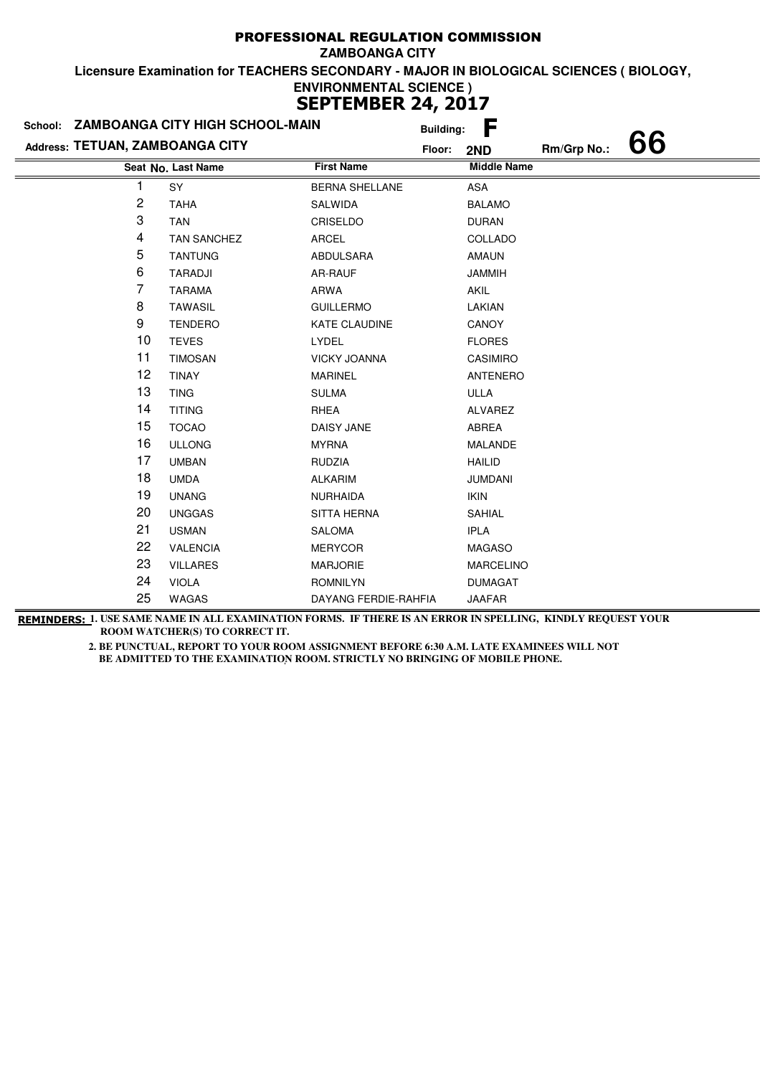|                                 | School: ZAMBOANGA CITY HIGH SCHOOL-MAIN |                       | <b>Building:</b> | F                  |             |    |
|---------------------------------|-----------------------------------------|-----------------------|------------------|--------------------|-------------|----|
| Address: TETUAN, ZAMBOANGA CITY |                                         |                       | Floor:           | 2ND                | Rm/Grp No.: | 66 |
|                                 | Seat No. Last Name                      | <b>First Name</b>     |                  | <b>Middle Name</b> |             |    |
|                                 | SY                                      | <b>BERNA SHELLANE</b> |                  | <b>ASA</b>         |             |    |
| 2                               | <b>TAHA</b>                             | SALWIDA               |                  | <b>BALAMO</b>      |             |    |
| 3                               | <b>TAN</b>                              | CRISELDO              |                  | <b>DURAN</b>       |             |    |
| 4                               | <b>TAN SANCHEZ</b>                      | ARCEL                 |                  | COLLADO            |             |    |
| 5                               | <b>TANTUNG</b>                          | ABDULSARA             |                  | <b>AMAUN</b>       |             |    |
| 6                               | TARADJI                                 | AR-RAUF               |                  | <b>JAMMIH</b>      |             |    |
| 7                               | <b>TARAMA</b>                           | ARWA                  |                  | <b>AKIL</b>        |             |    |
| 8                               | <b>TAWASIL</b>                          | <b>GUILLERMO</b>      |                  | LAKIAN             |             |    |
| 9                               | <b>TENDERO</b>                          | <b>KATE CLAUDINE</b>  |                  | <b>CANOY</b>       |             |    |
| 10                              | <b>TEVES</b>                            | LYDEL                 |                  | <b>FLORES</b>      |             |    |
| 11                              | <b>TIMOSAN</b>                          | <b>VICKY JOANNA</b>   |                  | CASIMIRO           |             |    |
| 12                              | <b>TINAY</b>                            | <b>MARINEL</b>        |                  | <b>ANTENERO</b>    |             |    |
| 13                              | <b>TING</b>                             | <b>SULMA</b>          |                  | ULLA               |             |    |
| 14                              | <b>TITING</b>                           | <b>RHEA</b>           |                  | ALVAREZ            |             |    |
| 15                              | <b>TOCAO</b>                            | DAISY JANE            |                  | ABREA              |             |    |
| 16                              | <b>ULLONG</b>                           | <b>MYRNA</b>          |                  | <b>MALANDE</b>     |             |    |
| 17                              | <b>UMBAN</b>                            | <b>RUDZIA</b>         |                  | <b>HAILID</b>      |             |    |
| 18                              | <b>UMDA</b>                             | <b>ALKARIM</b>        |                  | <b>JUMDANI</b>     |             |    |
| 19                              | <b>UNANG</b>                            | <b>NURHAIDA</b>       |                  | <b>IKIN</b>        |             |    |
| 20                              | <b>UNGGAS</b>                           | <b>SITTA HERNA</b>    |                  | <b>SAHIAL</b>      |             |    |
| 21                              | <b>USMAN</b>                            | <b>SALOMA</b>         |                  | <b>IPLA</b>        |             |    |
| 22                              | <b>VALENCIA</b>                         | <b>MERYCOR</b>        |                  | <b>MAGASO</b>      |             |    |
| 23                              | <b>VILLARES</b>                         | <b>MARJORIE</b>       |                  | <b>MARCELINO</b>   |             |    |
| 24                              | <b>VIOLA</b>                            | <b>ROMNILYN</b>       |                  | <b>DUMAGAT</b>     |             |    |
| 25                              | <b>WAGAS</b>                            | DAYANG FERDIE-RAHFIA  |                  | <b>JAAFAR</b>      |             |    |

**REMINDERS: 1. USE SAME NAME IN ALL EXAMINATION FORMS. IF THERE IS AN ERROR IN SPELLING, KINDLY REQUEST YOUR ROOM WATCHER(S) TO CORRECT IT.**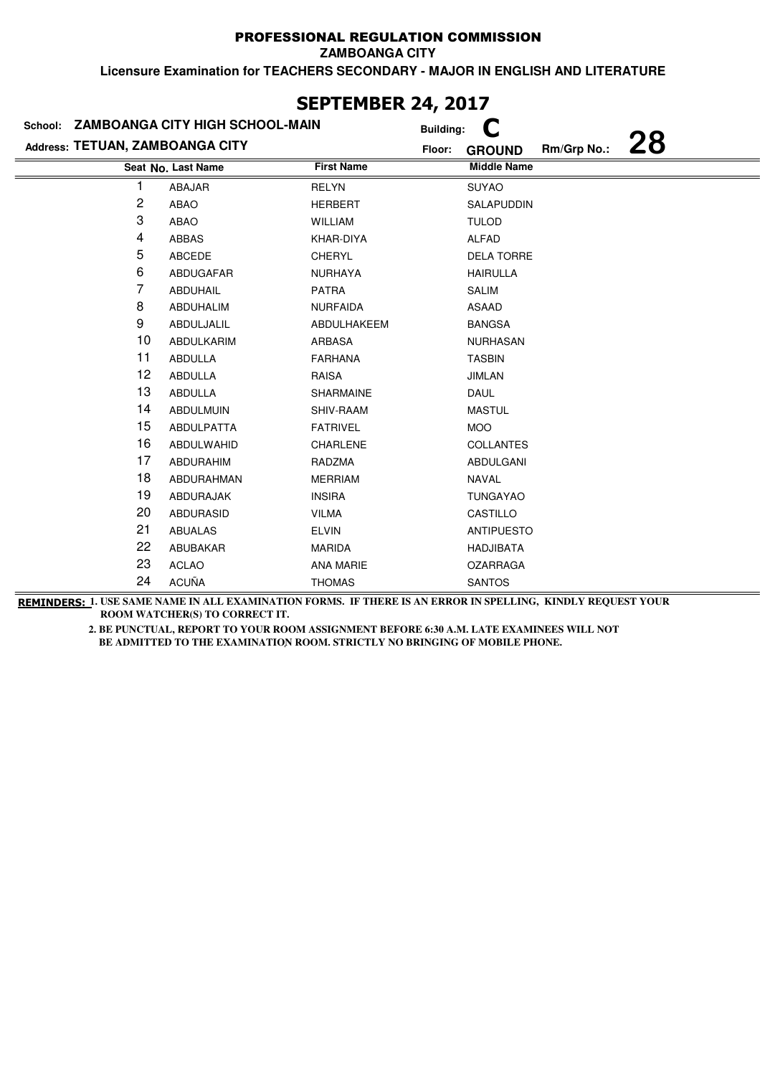**ZAMBOANGA CITY**

**Licensure Examination for TEACHERS SECONDARY - MAJOR IN ENGLISH AND LITERATURE**

|                                 | School: ZAMBOANGA CITY HIGH SCHOOL-MAIN |                   | <b>Building:</b>                             |  |
|---------------------------------|-----------------------------------------|-------------------|----------------------------------------------|--|
| Address: TETUAN, ZAMBOANGA CITY |                                         |                   | 28<br>Rm/Grp No.:<br>Floor:<br><b>GROUND</b> |  |
|                                 | Seat No. Last Name                      | <b>First Name</b> | <b>Middle Name</b>                           |  |
|                                 | ABAJAR                                  | <b>RELYN</b>      | <b>SUYAO</b>                                 |  |
| 2                               | ABAO                                    | <b>HERBERT</b>    | SALAPUDDIN                                   |  |
| 3                               | ABAO                                    | <b>WILLIAM</b>    | <b>TULOD</b>                                 |  |
| 4                               | <b>ABBAS</b>                            | KHAR-DIYA         | ALFAD                                        |  |
| 5                               | ABCEDE                                  | <b>CHERYL</b>     | <b>DELA TORRE</b>                            |  |
| 6                               | ABDUGAFAR                               | <b>NURHAYA</b>    | <b>HAIRULLA</b>                              |  |
| 7                               | ABDUHAIL                                | <b>PATRA</b>      | <b>SALIM</b>                                 |  |
| 8                               | ABDUHALIM                               | <b>NURFAIDA</b>   | ASAAD                                        |  |
| 9                               | ABDULJALIL                              | ABDULHAKEEM       | <b>BANGSA</b>                                |  |
| 10                              | ABDULKARIM                              | ARBASA            | <b>NURHASAN</b>                              |  |
| 11                              | ABDULLA                                 | <b>FARHANA</b>    | <b>TASBIN</b>                                |  |
| 12                              | <b>ABDULLA</b>                          | <b>RAISA</b>      | <b>JIMLAN</b>                                |  |
| 13                              | ABDULLA                                 | SHARMAINE         | DAUL                                         |  |
| 14                              | <b>ABDULMUIN</b>                        | SHIV-RAAM         | <b>MASTUL</b>                                |  |
| 15                              | <b>ABDULPATTA</b>                       | <b>FATRIVEL</b>   | <b>MOO</b>                                   |  |
| 16                              | ABDULWAHID                              | CHARLENE          | <b>COLLANTES</b>                             |  |
| 17                              | ABDURAHIM                               | RADZMA            | ABDULGANI                                    |  |
| 18                              | ABDURAHMAN                              | <b>MERRIAM</b>    | <b>NAVAL</b>                                 |  |
| 19                              | ABDURAJAK                               | <b>INSIRA</b>     | <b>TUNGAYAO</b>                              |  |
| 20                              | <b>ABDURASID</b>                        | <b>VILMA</b>      | CASTILLO                                     |  |
| 21                              | <b>ABUALAS</b>                          | <b>ELVIN</b>      | <b>ANTIPUESTO</b>                            |  |
| 22                              | ABUBAKAR                                | <b>MARIDA</b>     | HADJIBATA                                    |  |
| 23                              | <b>ACLAO</b>                            | <b>ANA MARIE</b>  | <b>OZARRAGA</b>                              |  |
| 24                              | <b>ACUÑA</b>                            | <b>THOMAS</b>     | <b>SANTOS</b>                                |  |

# **SEPTEMBER 24, 2017**

**REMINDERS: 1. USE SAME NAME IN ALL EXAMINATION FORMS. IF THERE IS AN ERROR IN SPELLING, KINDLY REQUEST YOUR ROOM WATCHER(S) TO CORRECT IT.**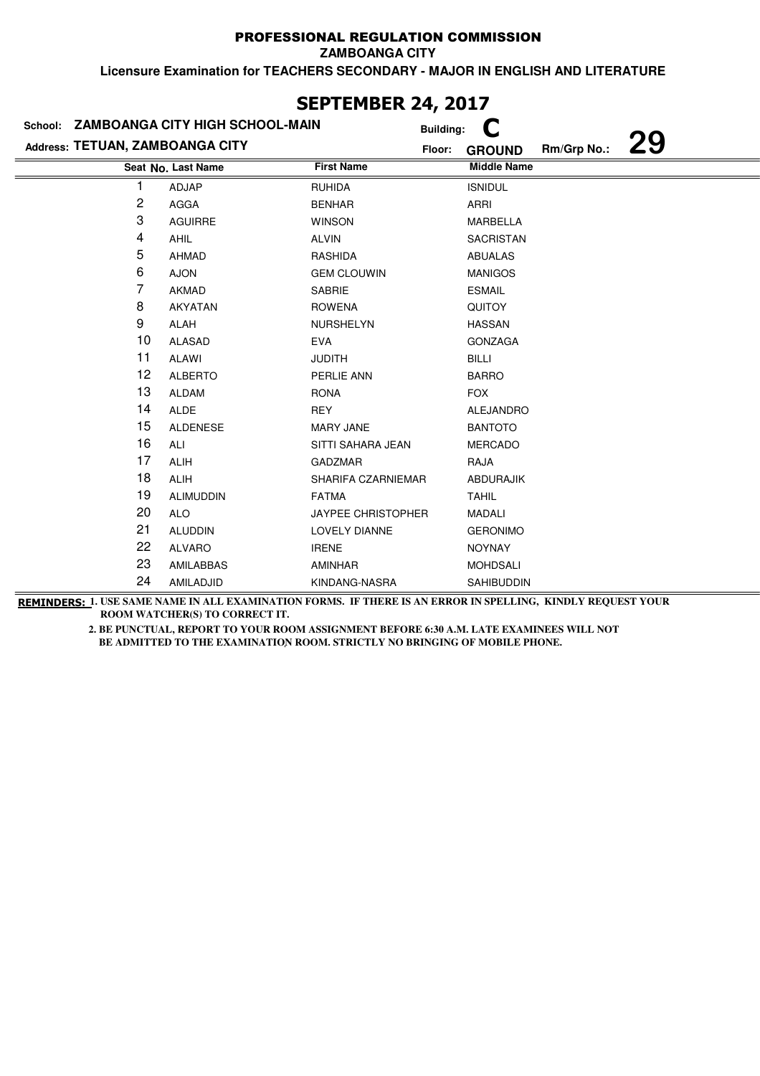**ZAMBOANGA CITY**

**Licensure Examination for TEACHERS SECONDARY - MAJOR IN ENGLISH AND LITERATURE**

|                                 | School: ZAMBOANGA CITY HIGH SCHOOL-MAIN |                           | <b>Building:</b> |                    |             |           |
|---------------------------------|-----------------------------------------|---------------------------|------------------|--------------------|-------------|-----------|
| Address: TETUAN, ZAMBOANGA CITY |                                         |                           | Floor:           | <b>GROUND</b>      | Rm/Grp No.: | <b>29</b> |
|                                 | Seat No. Last Name                      | <b>First Name</b>         |                  | <b>Middle Name</b> |             |           |
|                                 | ADJAP                                   | <b>RUHIDA</b>             |                  | <b>ISNIDUL</b>     |             |           |
| $\overline{c}$                  | <b>AGGA</b>                             | <b>BENHAR</b>             |                  | ARRI               |             |           |
| 3                               | <b>AGUIRRE</b>                          | <b>WINSON</b>             |                  | MARBELLA           |             |           |
| 4                               | <b>AHIL</b>                             | <b>ALVIN</b>              |                  | <b>SACRISTAN</b>   |             |           |
| 5                               | <b>AHMAD</b>                            | RASHIDA                   |                  | <b>ABUALAS</b>     |             |           |
| 6                               | <b>AJON</b>                             | <b>GEM CLOUWIN</b>        |                  | <b>MANIGOS</b>     |             |           |
| 7                               | AKMAD                                   | SABRIE                    |                  | <b>ESMAIL</b>      |             |           |
| 8                               | AKYATAN                                 | <b>ROWENA</b>             |                  | <b>QUITOY</b>      |             |           |
| 9                               | ALAH                                    | NURSHELYN                 |                  | <b>HASSAN</b>      |             |           |
| 10                              | <b>ALASAD</b>                           | <b>EVA</b>                |                  | <b>GONZAGA</b>     |             |           |
| 11                              | <b>ALAWI</b>                            | <b>JUDITH</b>             |                  | <b>BILLI</b>       |             |           |
| 12                              | <b>ALBERTO</b>                          | PERLIE ANN                |                  | <b>BARRO</b>       |             |           |
| 13                              | <b>ALDAM</b>                            | <b>RONA</b>               |                  | <b>FOX</b>         |             |           |
| 14                              | <b>ALDE</b>                             | <b>REY</b>                |                  | <b>ALEJANDRO</b>   |             |           |
| 15                              | <b>ALDENESE</b>                         | <b>MARY JANE</b>          |                  | <b>BANTOTO</b>     |             |           |
| 16                              | ALI                                     | SITTI SAHARA JEAN         |                  | <b>MERCADO</b>     |             |           |
| 17                              | ALIH                                    | <b>GADZMAR</b>            |                  | RAJA               |             |           |
| 18                              | <b>ALIH</b>                             | SHARIFA CZARNIEMAR        |                  | <b>ABDURAJIK</b>   |             |           |
| 19                              | <b>ALIMUDDIN</b>                        | <b>FATMA</b>              |                  | <b>TAHIL</b>       |             |           |
| 20                              | <b>ALO</b>                              | <b>JAYPEE CHRISTOPHER</b> |                  | <b>MADALI</b>      |             |           |
| 21                              | <b>ALUDDIN</b>                          | LOVELY DIANNE             |                  | <b>GERONIMO</b>    |             |           |
| 22                              | <b>ALVARO</b>                           | <b>IRENE</b>              |                  | <b>NOYNAY</b>      |             |           |
| 23                              | AMILABBAS                               | AMINHAR                   |                  | <b>MOHDSALI</b>    |             |           |
| 24                              | AMILADJID                               | KINDANG-NASRA             |                  | SAHIBUDDIN         |             |           |

**SEPTEMBER 24, 2017**

**REMINDERS: 1. USE SAME NAME IN ALL EXAMINATION FORMS. IF THERE IS AN ERROR IN SPELLING, KINDLY REQUEST YOUR ROOM WATCHER(S) TO CORRECT IT.**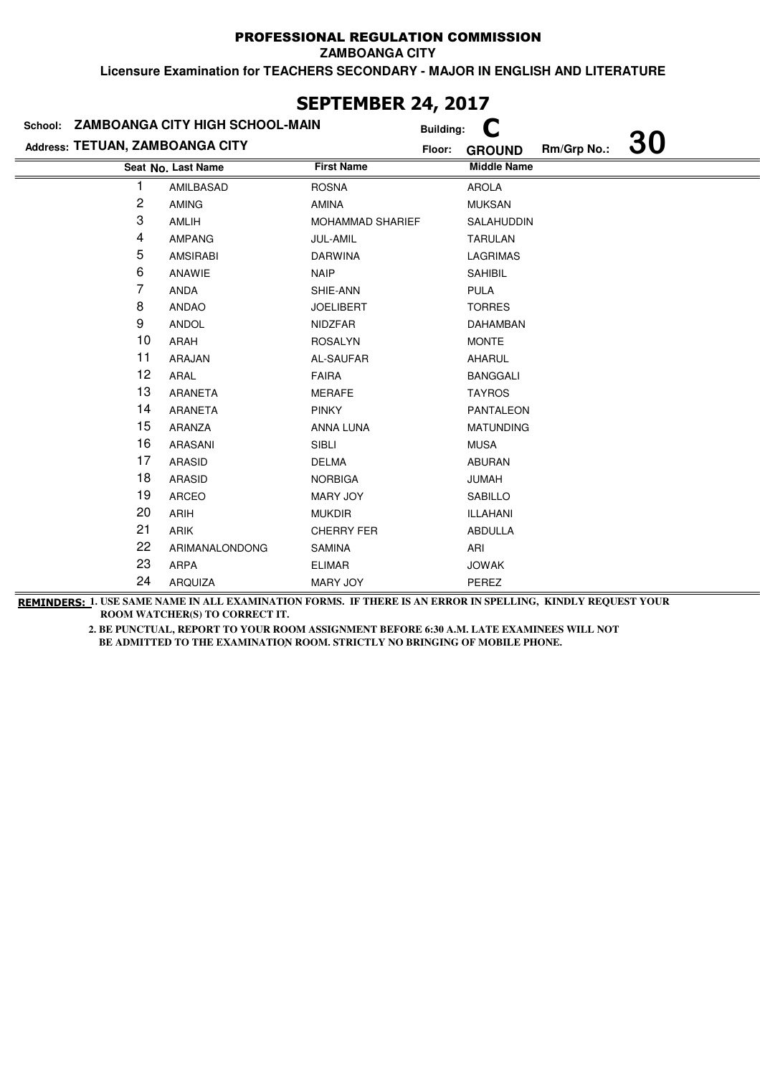**ZAMBOANGA CITY**

**Licensure Examination for TEACHERS SECONDARY - MAJOR IN ENGLISH AND LITERATURE**

|                                 | School: ZAMBOANGA CITY HIGH SCHOOL-MAIN |                         | <b>Building:</b> |                    |             |           |
|---------------------------------|-----------------------------------------|-------------------------|------------------|--------------------|-------------|-----------|
| Address: TETUAN, ZAMBOANGA CITY |                                         |                         | Floor:           | <b>GROUND</b>      | Rm/Grp No.: | <b>30</b> |
|                                 | Seat No. Last Name                      | <b>First Name</b>       |                  | <b>Middle Name</b> |             |           |
|                                 | AMILBASAD                               | <b>ROSNA</b>            |                  | <b>AROLA</b>       |             |           |
| 2                               | <b>AMING</b>                            | AMINA                   |                  | <b>MUKSAN</b>      |             |           |
| 3                               | AMLIH                                   | <b>MOHAMMAD SHARIEF</b> |                  | SALAHUDDIN         |             |           |
| 4                               | <b>AMPANG</b>                           | JUL-AMIL                |                  | <b>TARULAN</b>     |             |           |
| 5                               | <b>AMSIRABI</b>                         | <b>DARWINA</b>          |                  | LAGRIMAS           |             |           |
| 6                               | ANAWIE                                  | <b>NAIP</b>             |                  | <b>SAHIBIL</b>     |             |           |
| 7                               | ANDA                                    | SHIE-ANN                |                  | <b>PULA</b>        |             |           |
| 8                               | <b>ANDAO</b>                            | <b>JOELIBERT</b>        |                  | <b>TORRES</b>      |             |           |
| 9                               | <b>ANDOL</b>                            | <b>NIDZFAR</b>          |                  | <b>DAHAMBAN</b>    |             |           |
| 10                              | ARAH                                    | <b>ROSALYN</b>          |                  | <b>MONTE</b>       |             |           |
| 11                              | ARAJAN                                  | AL-SAUFAR               |                  | <b>AHARUL</b>      |             |           |
| 12                              | ARAL                                    | <b>FAIRA</b>            |                  | <b>BANGGALI</b>    |             |           |
| 13                              | ARANETA                                 | <b>MERAFE</b>           |                  | <b>TAYROS</b>      |             |           |
| 14                              | ARANETA                                 | <b>PINKY</b>            |                  | <b>PANTALEON</b>   |             |           |
| 15                              | ARANZA                                  | ANNA LUNA               |                  | <b>MATUNDING</b>   |             |           |
| 16                              | ARASANI                                 | <b>SIBLI</b>            |                  | <b>MUSA</b>        |             |           |
| 17                              | ARASID                                  | <b>DELMA</b>            |                  | <b>ABURAN</b>      |             |           |
| 18                              | ARASID                                  | <b>NORBIGA</b>          |                  | <b>HANUL</b>       |             |           |
| 19                              | ARCEO                                   | MARY JOY                |                  | <b>SABILLO</b>     |             |           |
| 20                              | <b>ARIH</b>                             | <b>MUKDIR</b>           |                  | <b>ILLAHANI</b>    |             |           |
| 21                              | <b>ARIK</b>                             | <b>CHERRY FER</b>       |                  | ABDULLA            |             |           |
| 22                              | ARIMANALONDONG                          | <b>SAMINA</b>           |                  | ARI                |             |           |
| 23                              | <b>ARPA</b>                             | <b>ELIMAR</b>           |                  | <b>JOWAK</b>       |             |           |
| 24                              | ARQUIZA                                 | <b>MARY JOY</b>         |                  | PEREZ              |             |           |

## **SEPTEMBER 24, 2017**

**REMINDERS: 1. USE SAME NAME IN ALL EXAMINATION FORMS. IF THERE IS AN ERROR IN SPELLING, KINDLY REQUEST YOUR ROOM WATCHER(S) TO CORRECT IT.**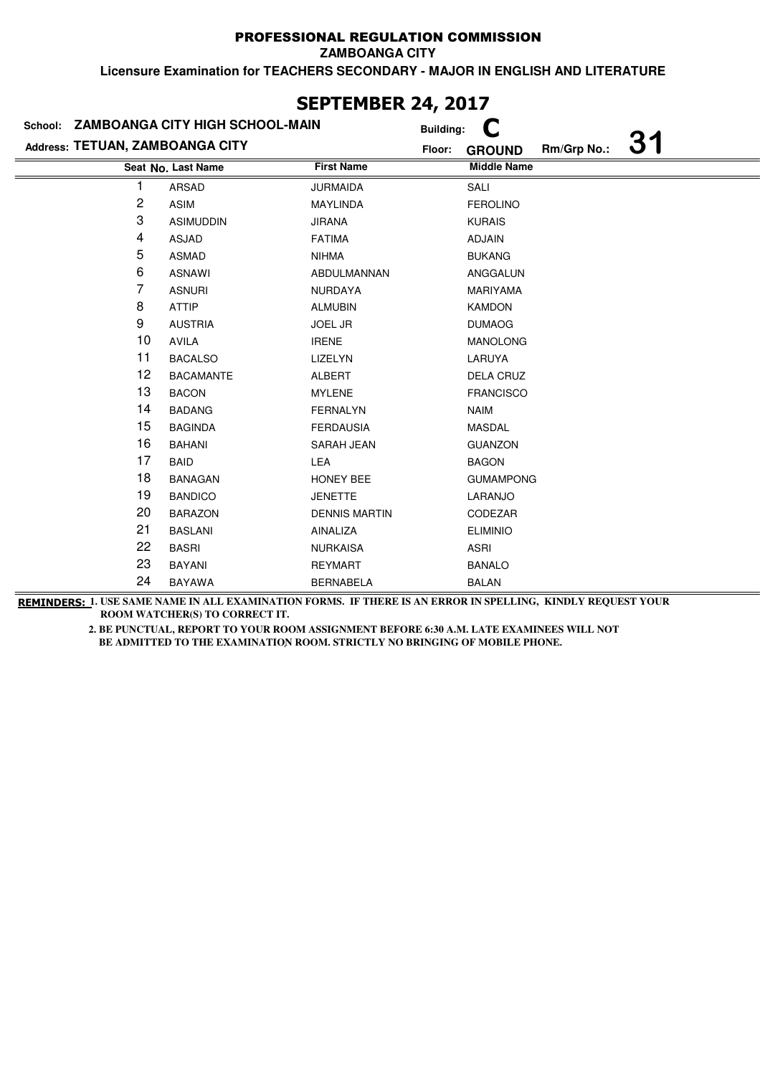**ZAMBOANGA CITY**

**Licensure Examination for TEACHERS SECONDARY - MAJOR IN ENGLISH AND LITERATURE**

|                                 | School: ZAMBOANGA CITY HIGH SCHOOL-MAIN |                      | <b>Building:</b> |                    |             |  |
|---------------------------------|-----------------------------------------|----------------------|------------------|--------------------|-------------|--|
| Address: TETUAN, ZAMBOANGA CITY |                                         |                      | Floor:           | <b>GROUND</b>      | Rm/Grp No.: |  |
|                                 | Seat No. Last Name                      | <b>First Name</b>    |                  | <b>Middle Name</b> |             |  |
| 1                               | <b>ARSAD</b>                            | <b>JURMAIDA</b>      |                  | SALI               |             |  |
| 2                               | <b>ASIM</b>                             | <b>MAYLINDA</b>      |                  | <b>FEROLINO</b>    |             |  |
| 3                               | <b>ASIMUDDIN</b>                        | <b>JIRANA</b>        |                  | <b>KURAIS</b>      |             |  |
| 4                               | <b>ASJAD</b>                            | <b>FATIMA</b>        |                  | ADJAIN             |             |  |
| 5                               | <b>ASMAD</b>                            | <b>NIHMA</b>         |                  | <b>BUKANG</b>      |             |  |
| 6                               | <b>ASNAWI</b>                           | <b>ABDULMANNAN</b>   |                  | ANGGALUN           |             |  |
| 7                               | <b>ASNURI</b>                           | <b>NURDAYA</b>       |                  | <b>MARIYAMA</b>    |             |  |
| 8                               | <b>ATTIP</b>                            | <b>ALMUBIN</b>       |                  | <b>KAMDON</b>      |             |  |
| 9                               | <b>AUSTRIA</b>                          | <b>JOEL JR</b>       |                  | <b>DUMAOG</b>      |             |  |
| 10                              | AVILA                                   | <b>IRENE</b>         |                  | <b>MANOLONG</b>    |             |  |
| 11                              | <b>BACALSO</b>                          | LIZELYN              |                  | LARUYA             |             |  |
| 12                              | <b>BACAMANTE</b>                        | ALBERT               |                  | DELA CRUZ          |             |  |
| 13                              | <b>BACON</b>                            | <b>MYLENE</b>        |                  | <b>FRANCISCO</b>   |             |  |
| 14                              | <b>BADANG</b>                           | <b>FERNALYN</b>      |                  | <b>NAIM</b>        |             |  |
| 15                              | <b>BAGINDA</b>                          | <b>FERDAUSIA</b>     |                  | <b>MASDAL</b>      |             |  |
| 16                              | <b>BAHANI</b>                           | SARAH JEAN           |                  | <b>GUANZON</b>     |             |  |
| 17                              | <b>BAID</b>                             | <b>LEA</b>           |                  | <b>BAGON</b>       |             |  |
| 18                              | <b>BANAGAN</b>                          | HONEY BEE            |                  | <b>GUMAMPONG</b>   |             |  |
| 19                              | <b>BANDICO</b>                          | <b>JENETTE</b>       |                  | LARANJO            |             |  |
| 20                              | <b>BARAZON</b>                          | <b>DENNIS MARTIN</b> |                  | CODEZAR            |             |  |
| 21                              | <b>BASLANI</b>                          | AINALIZA             |                  | <b>ELIMINIO</b>    |             |  |
| 22                              | <b>BASRI</b>                            | <b>NURKAISA</b>      |                  | ASRI               |             |  |
| 23                              | <b>BAYANI</b>                           | <b>REYMART</b>       |                  | <b>BANALO</b>      |             |  |
| 24                              | <b>BAYAWA</b>                           | <b>BERNABELA</b>     |                  | <b>BALAN</b>       |             |  |

# **SEPTEMBER 24, 2017**

**REMINDERS: 1. USE SAME NAME IN ALL EXAMINATION FORMS. IF THERE IS AN ERROR IN SPELLING, KINDLY REQUEST YOUR ROOM WATCHER(S) TO CORRECT IT.**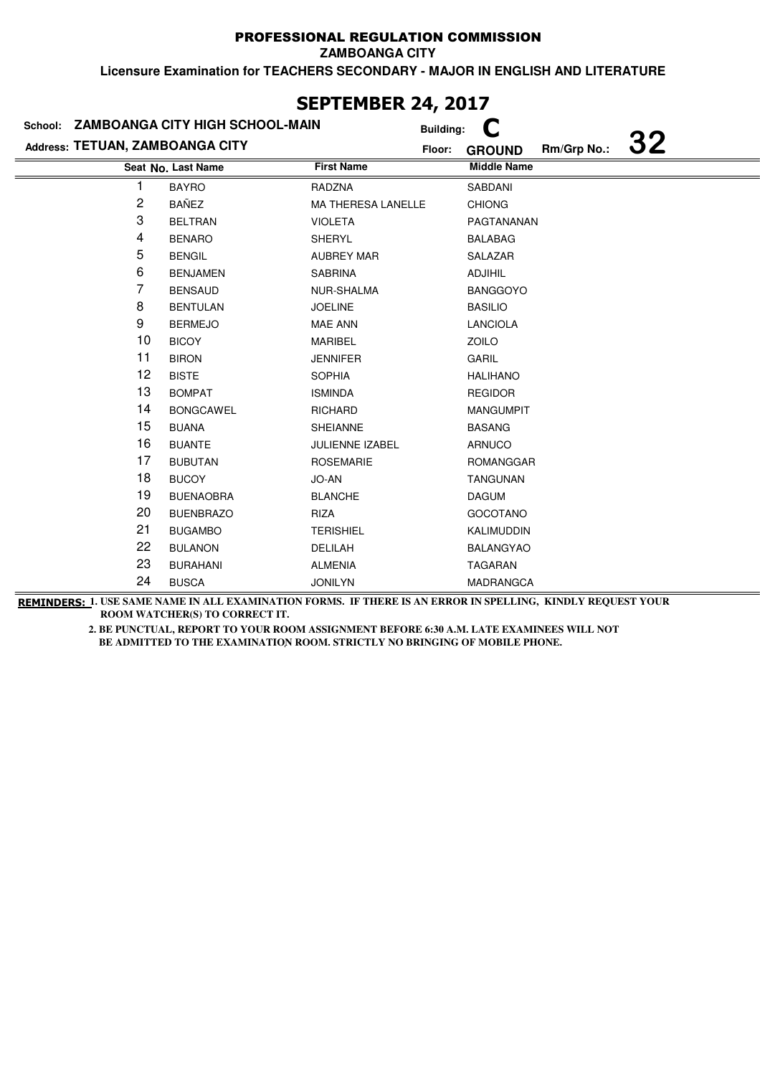**ZAMBOANGA CITY**

**Licensure Examination for TEACHERS SECONDARY - MAJOR IN ENGLISH AND LITERATURE**

|                                 | School: ZAMBOANGA CITY HIGH SCHOOL-MAIN | <b>Building:</b>   |                                    |
|---------------------------------|-----------------------------------------|--------------------|------------------------------------|
| Address: TETUAN, ZAMBOANGA CITY |                                         | Floor:             | 32<br>Rm/Grp No.:<br><b>GROUND</b> |
|                                 | Seat No. Last Name                      | <b>First Name</b>  | <b>Middle Name</b>                 |
|                                 | <b>BAYRO</b>                            | RADZNA             | SABDANI                            |
| 2                               | <b>BAÑEZ</b>                            | MA THERESA LANELLE | <b>CHIONG</b>                      |
| 3                               | <b>BELTRAN</b>                          | <b>VIOLETA</b>     | PAGTANANAN                         |
| 4                               | <b>BENARO</b>                           | SHERYL             | <b>BALABAG</b>                     |
| 5                               | <b>BENGIL</b>                           | <b>AUBREY MAR</b>  | SALAZAR                            |
| 6                               | <b>BENJAMEN</b>                         | <b>SABRINA</b>     | <b>ADJIHIL</b>                     |
| 7                               | <b>BENSAUD</b>                          | NUR-SHALMA         | <b>BANGGOYO</b>                    |
| 8                               | <b>BENTULAN</b>                         | <b>JOELINE</b>     | <b>BASILIO</b>                     |
| 9                               | <b>BERMEJO</b>                          | <b>MAE ANN</b>     | <b>LANCIOLA</b>                    |
| 10                              | <b>BICOY</b>                            | <b>MARIBEL</b>     | ZOILO                              |
| 11                              | <b>BIRON</b>                            | <b>JENNIFER</b>    | <b>GARIL</b>                       |
| 12                              | <b>BISTE</b>                            | <b>SOPHIA</b>      | <b>HALIHANO</b>                    |
| 13                              | <b>BOMPAT</b>                           | <b>ISMINDA</b>     | <b>REGIDOR</b>                     |
| 14                              | <b>BONGCAWEL</b>                        | <b>RICHARD</b>     | <b>MANGUMPIT</b>                   |
| 15                              | <b>BUANA</b>                            | <b>SHEIANNE</b>    | <b>BASANG</b>                      |
| 16                              | <b>BUANTE</b>                           | JULIENNE IZABEL    | ARNUCO                             |
| 17                              | <b>BUBUTAN</b>                          | <b>ROSEMARIE</b>   | <b>ROMANGGAR</b>                   |
| 18                              | <b>BUCOY</b>                            | JO-AN              | <b>TANGUNAN</b>                    |
| 19                              | <b>BUENAOBRA</b>                        | <b>BLANCHE</b>     | <b>DAGUM</b>                       |
| 20                              | <b>BUENBRAZO</b>                        | RIZA               | <b>GOCOTANO</b>                    |
| 21                              | <b>BUGAMBO</b>                          | <b>TERISHIEL</b>   | KALIMUDDIN                         |
| 22                              | <b>BULANON</b>                          | DELILAH            | <b>BALANGYAO</b>                   |
| 23                              | <b>BURAHANI</b>                         | <b>ALMENIA</b>     | <b>TAGARAN</b>                     |
| 24                              | <b>BUSCA</b>                            | <b>JONILYN</b>     | <b>MADRANGCA</b>                   |

**REMINDERS: 1. USE SAME NAME IN ALL EXAMINATION FORMS. IF THERE IS AN ERROR IN SPELLING, KINDLY REQUEST YOUR ROOM WATCHER(S) TO CORRECT IT.** 

> **2. BE PUNCTUAL, REPORT TO YOUR ROOM ASSIGNMENT BEFORE 6:30 A.M. LATE EXAMINEES WILL NOT BE ADMITTED TO THE EXAMINATION ROOM. STRICTLY NO BRINGING OF MOBILE PHONE.**

## **SEPTEMBER 24, 2017**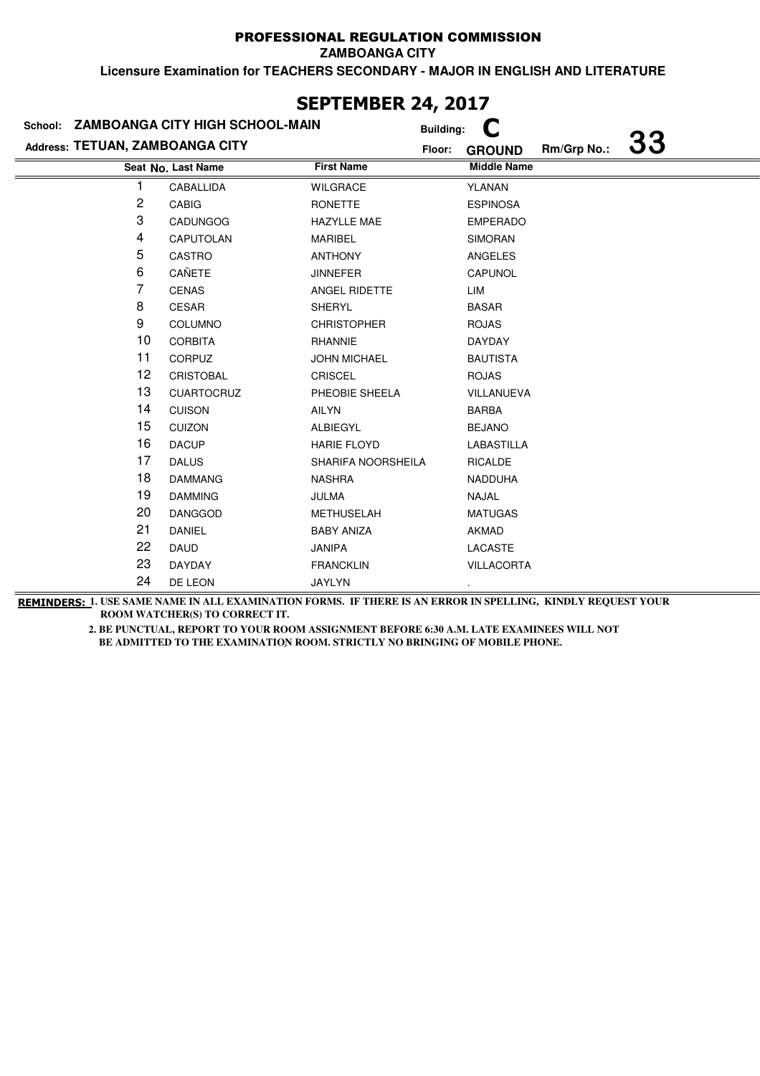**ZAMBOANGA CITY**

**Licensure Examination for TEACHERS SECONDARY - MAJOR IN ENGLISH AND LITERATURE**

| School: ZAMBOANGA CITY HIGH SCHOOL-MAIN |                    | <b>Building:</b>    |        |                    |             |           |
|-----------------------------------------|--------------------|---------------------|--------|--------------------|-------------|-----------|
| Address: TETUAN, ZAMBOANGA CITY         |                    |                     | Floor: | <b>GROUND</b>      | Rm/Grp No.: | <b>33</b> |
|                                         | Seat No. Last Name | <b>First Name</b>   |        | <b>Middle Name</b> |             |           |
|                                         | CABALLIDA          | <b>WILGRACE</b>     |        | YLANAN             |             |           |
| 2                                       | <b>CABIG</b>       | RONETTE             |        | <b>ESPINOSA</b>    |             |           |
| 3                                       | <b>CADUNGOG</b>    | <b>HAZYLLE MAE</b>  |        | <b>EMPERADO</b>    |             |           |
| 4                                       | CAPUTOLAN          | MARIBEL             |        | <b>SIMORAN</b>     |             |           |
| 5                                       | CASTRO             | <b>ANTHONY</b>      |        | ANGELES            |             |           |
| 6                                       | CAÑETE             | <b>JINNEFER</b>     |        | CAPUNOL            |             |           |
| 7                                       | <b>CENAS</b>       | ANGEL RIDETTE       |        | LIM                |             |           |
| 8                                       | <b>CESAR</b>       | <b>SHERYL</b>       |        | <b>BASAR</b>       |             |           |
| 9                                       | COLUMNO            | <b>CHRISTOPHER</b>  |        | <b>ROJAS</b>       |             |           |
| 10                                      | <b>CORBITA</b>     | RHANNIE             |        | DAYDAY             |             |           |
| 11                                      | CORPUZ             | <b>JOHN MICHAEL</b> |        | <b>BAUTISTA</b>    |             |           |
| 12                                      | <b>CRISTOBAL</b>   | <b>CRISCEL</b>      |        | <b>ROJAS</b>       |             |           |
| 13                                      | <b>CUARTOCRUZ</b>  | PHEOBIE SHEELA      |        | VILLANUEVA         |             |           |
| 14                                      | <b>CUISON</b>      | <b>AILYN</b>        |        | <b>BARBA</b>       |             |           |
| 15                                      | <b>CUIZON</b>      | ALBIEGYL            |        | <b>BEJANO</b>      |             |           |
| 16                                      | <b>DACUP</b>       | <b>HARIE FLOYD</b>  |        | LABASTILLA         |             |           |
| 17                                      | <b>DALUS</b>       | SHARIFA NOORSHEILA  |        | <b>RICALDE</b>     |             |           |
| 18                                      | <b>DAMMANG</b>     | <b>NASHRA</b>       |        | <b>NADDUHA</b>     |             |           |
| 19                                      | <b>DAMMING</b>     | JULMA               |        | NAJAL              |             |           |
| 20                                      | <b>DANGGOD</b>     | <b>METHUSELAH</b>   |        | <b>MATUGAS</b>     |             |           |
| 21                                      | <b>DANIEL</b>      | <b>BABY ANIZA</b>   |        | <b>AKMAD</b>       |             |           |
| 22                                      | DAUD               | JANIPA              |        | LACASTE            |             |           |
| 23                                      | <b>DAYDAY</b>      | <b>FRANCKLIN</b>    |        | <b>VILLACORTA</b>  |             |           |
| 24                                      | DE LEON            | <b>JAYLYN</b>       |        |                    |             |           |

# **SEPTEMBER 24, 2017**

**REMINDERS: 1. USE SAME NAME IN ALL EXAMINATION FORMS. IF THERE IS AN ERROR IN SPELLING, KINDLY REQUEST YOUR ROOM WATCHER(S) TO CORRECT IT.**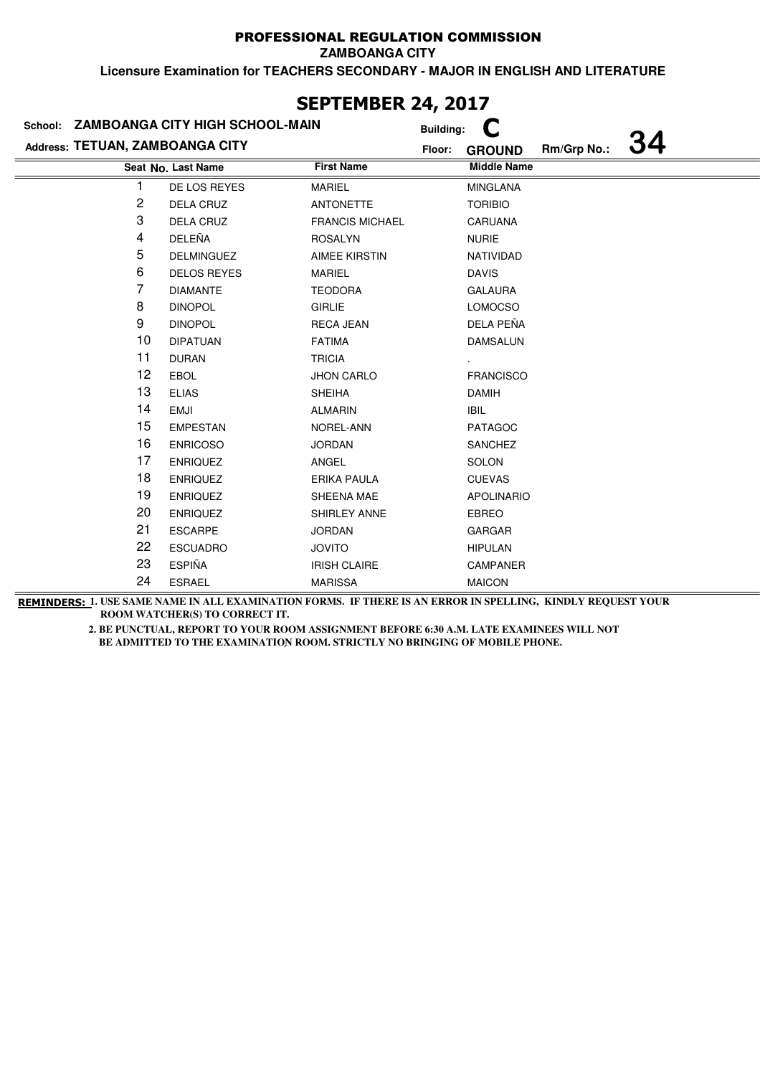**ZAMBOANGA CITY**

**Licensure Examination for TEACHERS SECONDARY - MAJOR IN ENGLISH AND LITERATURE**

|                                 | School: ZAMBOANGA CITY HIGH SCHOOL-MAIN |                        | <b>Building:</b>                             |
|---------------------------------|-----------------------------------------|------------------------|----------------------------------------------|
| Address: TETUAN, ZAMBOANGA CITY |                                         |                        | 34<br>Rm/Grp No.:<br>Floor:<br><b>GROUND</b> |
|                                 | Seat No. Last Name                      | <b>First Name</b>      | <b>Middle Name</b>                           |
|                                 | DE LOS REYES                            | <b>MARIEL</b>          | <b>MINGLANA</b>                              |
| 2                               | <b>DELA CRUZ</b>                        | <b>ANTONETTE</b>       | <b>TORIBIO</b>                               |
| 3                               | DELA CRUZ                               | <b>FRANCIS MICHAEL</b> | <b>CARUANA</b>                               |
| 4                               | DELEÑA                                  | <b>ROSALYN</b>         | <b>NURIE</b>                                 |
| 5                               | <b>DELMINGUEZ</b>                       | <b>AIMEE KIRSTIN</b>   | NATIVIDAD                                    |
| 6                               | <b>DELOS REYES</b>                      | MARIEL                 | <b>DAVIS</b>                                 |
| 7                               | <b>DIAMANTE</b>                         | <b>TEODORA</b>         | <b>GALAURA</b>                               |
| 8                               | <b>DINOPOL</b>                          | <b>GIRLIE</b>          | LOMOCSO                                      |
| 9                               | <b>DINOPOL</b>                          | <b>RECA JEAN</b>       | DELA PEÑA                                    |
| 10                              | <b>DIPATUAN</b>                         | <b>FATIMA</b>          | <b>DAMSALUN</b>                              |
| 11                              | <b>DURAN</b>                            | <b>TRICIA</b>          |                                              |
| 12                              | <b>EBOL</b>                             | <b>JHON CARLO</b>      | <b>FRANCISCO</b>                             |
| 13                              | <b>ELIAS</b>                            | <b>SHEIHA</b>          | <b>DAMIH</b>                                 |
| 14                              | <b>EMJI</b>                             | <b>ALMARIN</b>         | <b>IBIL</b>                                  |
| 15                              | <b>EMPESTAN</b>                         | NOREL-ANN              | <b>PATAGOC</b>                               |
| 16                              | <b>ENRICOSO</b>                         | <b>JORDAN</b>          | <b>SANCHEZ</b>                               |
| 17                              | <b>ENRIQUEZ</b>                         | ANGEL                  | <b>SOLON</b>                                 |
| 18                              | <b>ENRIQUEZ</b>                         | <b>ERIKA PAULA</b>     | <b>CUEVAS</b>                                |
| 19                              | <b>ENRIQUEZ</b>                         | SHEENA MAE             | <b>APOLINARIO</b>                            |
| 20                              | <b>ENRIQUEZ</b>                         | SHIRLEY ANNE           | <b>EBREO</b>                                 |
| 21                              | <b>ESCARPE</b>                          | <b>JORDAN</b>          | <b>GARGAR</b>                                |
| 22                              | <b>ESCUADRO</b>                         | <b>JOVITO</b>          | <b>HIPULAN</b>                               |
| 23                              | <b>ESPIÑA</b>                           | <b>IRISH CLAIRE</b>    | CAMPANER                                     |
| 24                              | <b>ESRAEL</b>                           | <b>MARISSA</b>         | <b>MAICON</b>                                |

## **SEPTEMBER 24, 2017**

**REMINDERS: 1. USE SAME NAME IN ALL EXAMINATION FORMS. IF THERE IS AN ERROR IN SPELLING, KINDLY REQUEST YOUR ROOM WATCHER(S) TO CORRECT IT.**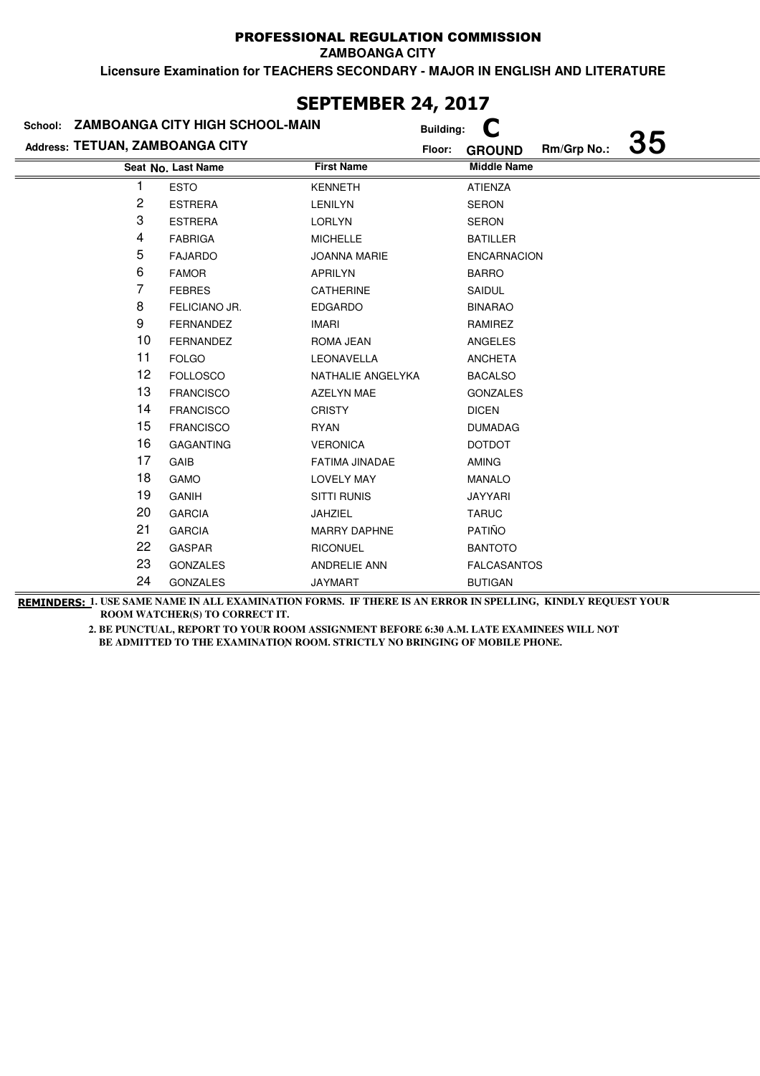**ZAMBOANGA CITY**

**Licensure Examination for TEACHERS SECONDARY - MAJOR IN ENGLISH AND LITERATURE**

| School: ZAMBOANGA CITY HIGH SCHOOL-MAIN |                    | <b>Building:</b>    |        |                    |             |           |
|-----------------------------------------|--------------------|---------------------|--------|--------------------|-------------|-----------|
| Address: TETUAN, ZAMBOANGA CITY         |                    |                     | Floor: | <b>GROUND</b>      | Rm/Grp No.: | <b>35</b> |
|                                         | Seat No. Last Name | <b>First Name</b>   |        | <b>Middle Name</b> |             |           |
| 1                                       | <b>ESTO</b>        | <b>KENNETH</b>      |        | <b>ATIENZA</b>     |             |           |
| 2                                       | <b>ESTRERA</b>     | <b>LENILYN</b>      |        | <b>SERON</b>       |             |           |
| 3                                       | <b>ESTRERA</b>     | <b>LORLYN</b>       |        | <b>SERON</b>       |             |           |
| 4                                       | <b>FABRIGA</b>     | <b>MICHELLE</b>     |        | <b>BATILLER</b>    |             |           |
| 5                                       | <b>FAJARDO</b>     | <b>JOANNA MARIE</b> |        | <b>ENCARNACION</b> |             |           |
| 6                                       | <b>FAMOR</b>       | <b>APRILYN</b>      |        | <b>BARRO</b>       |             |           |
| 7                                       | <b>FEBRES</b>      | CATHERINE           |        | SAIDUL             |             |           |
| 8                                       | FELICIANO JR.      | <b>EDGARDO</b>      |        | <b>BINARAO</b>     |             |           |
| 9                                       | <b>FERNANDEZ</b>   | <b>IMARI</b>        |        | RAMIREZ            |             |           |
| 10                                      | <b>FERNANDEZ</b>   | ROMA JEAN           |        | ANGELES            |             |           |
| 11                                      | <b>FOLGO</b>       | LEONAVELLA          |        | <b>ANCHETA</b>     |             |           |
| 12                                      | <b>FOLLOSCO</b>    | NATHALIE ANGELYKA   |        | <b>BACALSO</b>     |             |           |
| 13                                      | <b>FRANCISCO</b>   | <b>AZELYN MAE</b>   |        | <b>GONZALES</b>    |             |           |
| 14                                      | <b>FRANCISCO</b>   | <b>CRISTY</b>       |        | <b>DICEN</b>       |             |           |
| 15                                      | <b>FRANCISCO</b>   | <b>RYAN</b>         |        | <b>DUMADAG</b>     |             |           |
| 16                                      | <b>GAGANTING</b>   | <b>VERONICA</b>     |        | <b>DOTDOT</b>      |             |           |
| 17                                      | GAIB               | FATIMA JINADAE      |        | <b>AMING</b>       |             |           |
| 18                                      | <b>GAMO</b>        | <b>LOVELY MAY</b>   |        | <b>MANALO</b>      |             |           |
| 19                                      | <b>GANIH</b>       | <b>SITTI RUNIS</b>  |        | <b>JAYYARI</b>     |             |           |
| 20                                      | <b>GARCIA</b>      | <b>JAHZIEL</b>      |        | <b>TARUC</b>       |             |           |
| 21                                      | <b>GARCIA</b>      | <b>MARRY DAPHNE</b> |        | PATIÑO             |             |           |
| 22                                      | <b>GASPAR</b>      | <b>RICONUEL</b>     |        | <b>BANTOTO</b>     |             |           |
| 23                                      | <b>GONZALES</b>    | <b>ANDRELIE ANN</b> |        | <b>FALCASANTOS</b> |             |           |
| 24                                      | <b>GONZALES</b>    | <b>JAYMART</b>      |        | <b>BUTIGAN</b>     |             |           |

# **SEPTEMBER 24, 2017**

**REMINDERS: 1. USE SAME NAME IN ALL EXAMINATION FORMS. IF THERE IS AN ERROR IN SPELLING, KINDLY REQUEST YOUR ROOM WATCHER(S) TO CORRECT IT.**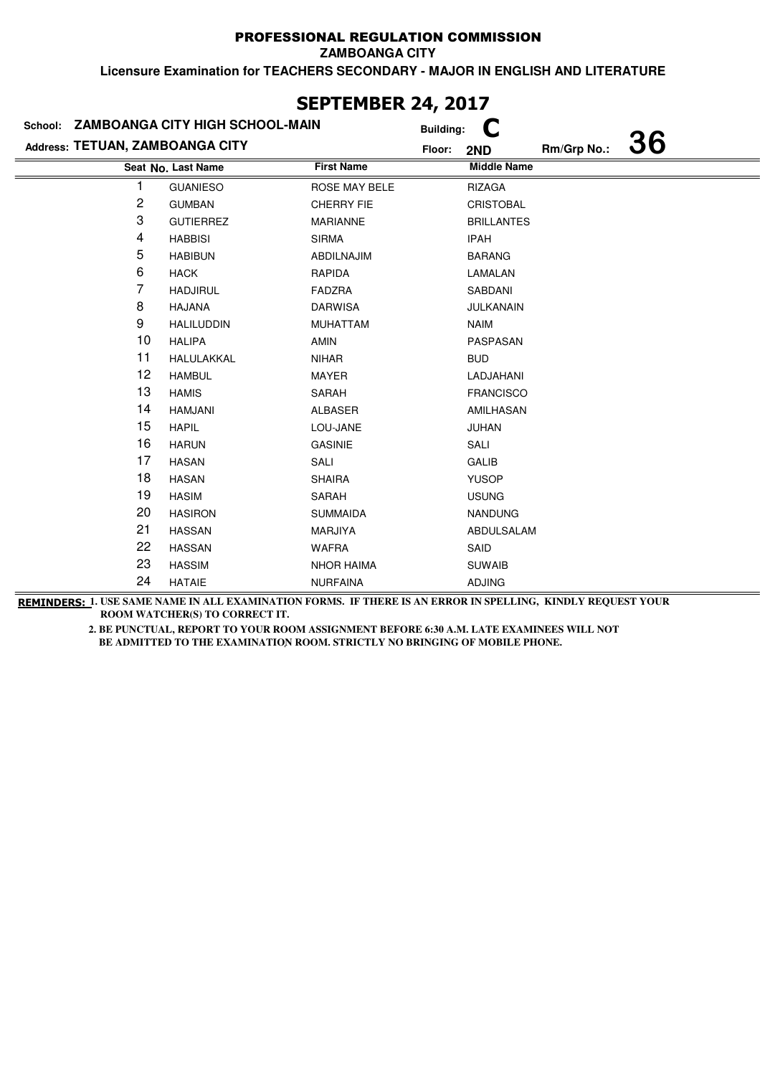**ZAMBOANGA CITY**

**Licensure Examination for TEACHERS SECONDARY - MAJOR IN ENGLISH AND LITERATURE**

| School: ZAMBOANGA CITY HIGH SCHOOL-MAIN |                    |                   | <b>Building:</b> |                    |             |           |
|-----------------------------------------|--------------------|-------------------|------------------|--------------------|-------------|-----------|
| Address: TETUAN, ZAMBOANGA CITY         |                    |                   | Floor:           | 2ND                | Rm/Grp No.: | <b>36</b> |
|                                         | Seat No. Last Name | <b>First Name</b> |                  | <b>Middle Name</b> |             |           |
| 1                                       | <b>GUANIESO</b>    | ROSE MAY BELE     |                  | <b>RIZAGA</b>      |             |           |
| 2                                       | <b>GUMBAN</b>      | <b>CHERRY FIE</b> |                  | <b>CRISTOBAL</b>   |             |           |
| 3                                       | <b>GUTIERREZ</b>   | <b>MARIANNE</b>   |                  | <b>BRILLANTES</b>  |             |           |
| 4                                       | <b>HABBISI</b>     | <b>SIRMA</b>      |                  | <b>IPAH</b>        |             |           |
| 5                                       | <b>HABIBUN</b>     | ABDILNAJIM        |                  | <b>BARANG</b>      |             |           |
| 6                                       | <b>HACK</b>        | <b>RAPIDA</b>     |                  | LAMALAN            |             |           |
| 7                                       | <b>HADJIRUL</b>    | <b>FADZRA</b>     |                  | SABDANI            |             |           |
| 8                                       | <b>HAJANA</b>      | <b>DARWISA</b>    |                  | <b>JULKANAIN</b>   |             |           |
| 9                                       | <b>HALILUDDIN</b>  | <b>MUHATTAM</b>   |                  | <b>NAIM</b>        |             |           |
| 10                                      | <b>HALIPA</b>      | AMIN              |                  | PASPASAN           |             |           |
| 11                                      | HALULAKKAL         | <b>NIHAR</b>      |                  | <b>BUD</b>         |             |           |
| 12                                      | <b>HAMBUL</b>      | MAYER             |                  | LADJAHANI          |             |           |
| 13                                      | <b>HAMIS</b>       | SARAH             |                  | <b>FRANCISCO</b>   |             |           |
| 14                                      | <b>HAMJANI</b>     | <b>ALBASER</b>    |                  | AMILHASAN          |             |           |
| 15                                      | <b>HAPIL</b>       | LOU-JANE          |                  | JUHAN              |             |           |
| 16                                      | <b>HARUN</b>       | <b>GASINIE</b>    |                  | SALI               |             |           |
| 17                                      | <b>HASAN</b>       | SALI              |                  | GALIB              |             |           |
| 18                                      | <b>HASAN</b>       | <b>SHAIRA</b>     |                  | <b>YUSOP</b>       |             |           |
| 19                                      | <b>HASIM</b>       | SARAH             |                  | <b>USUNG</b>       |             |           |
| 20                                      | <b>HASIRON</b>     | <b>SUMMAIDA</b>   |                  | <b>NANDUNG</b>     |             |           |
| 21                                      | <b>HASSAN</b>      | MARJIYA           |                  | ABDULSALAM         |             |           |
| 22                                      | <b>HASSAN</b>      | <b>WAFRA</b>      |                  | SAID               |             |           |
| 23                                      | <b>HASSIM</b>      | <b>NHOR HAIMA</b> |                  | <b>SUWAIB</b>      |             |           |
| 24                                      | <b>HATAIE</b>      | <b>NURFAINA</b>   |                  | <b>ADJING</b>      |             |           |

# **SEPTEMBER 24, 2017**

**REMINDERS: 1. USE SAME NAME IN ALL EXAMINATION FORMS. IF THERE IS AN ERROR IN SPELLING, KINDLY REQUEST YOUR ROOM WATCHER(S) TO CORRECT IT.**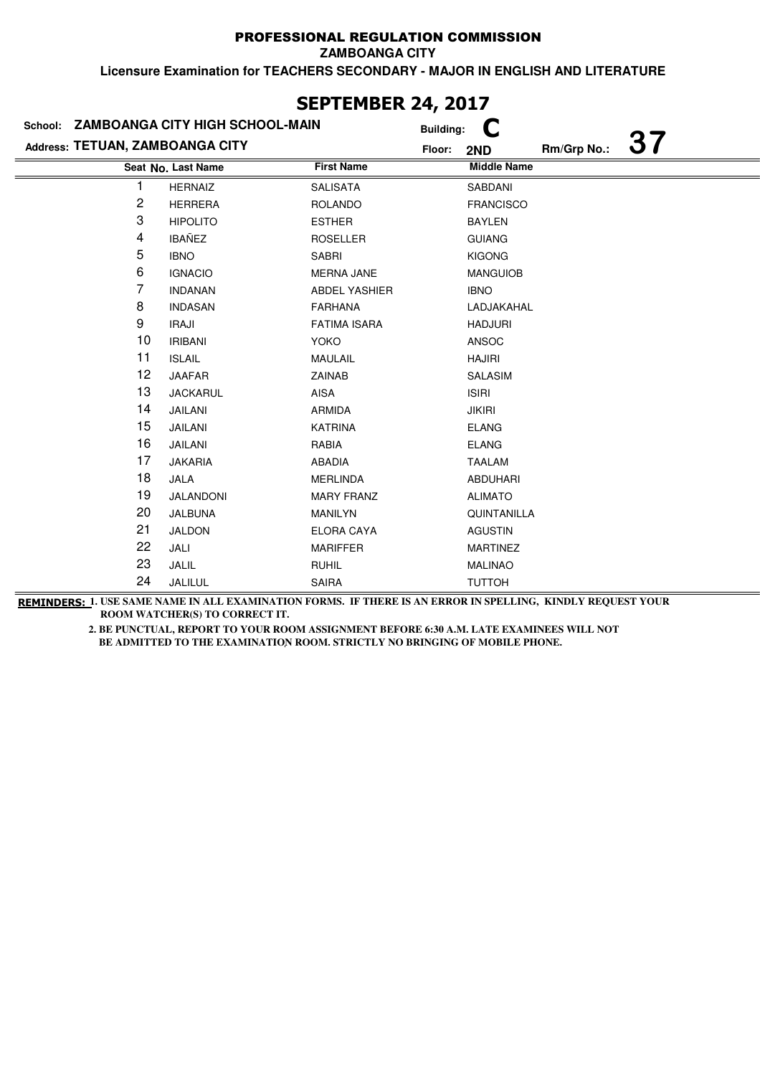**ZAMBOANGA CITY**

**Licensure Examination for TEACHERS SECONDARY - MAJOR IN ENGLISH AND LITERATURE**

|                                 | School: ZAMBOANGA CITY HIGH SCHOOL-MAIN |                      | <b>Building:</b>   |             |           |
|---------------------------------|-----------------------------------------|----------------------|--------------------|-------------|-----------|
| Address: TETUAN, ZAMBOANGA CITY |                                         |                      | Floor:<br>2ND      | Rm/Grp No.: | <b>37</b> |
|                                 | Seat No. Last Name                      | <b>First Name</b>    | <b>Middle Name</b> |             |           |
|                                 | <b>HERNAIZ</b>                          | <b>SALISATA</b>      | SABDANI            |             |           |
| 2                               | <b>HERRERA</b>                          | <b>ROLANDO</b>       | <b>FRANCISCO</b>   |             |           |
| 3                               | <b>HIPOLITO</b>                         | <b>ESTHER</b>        | <b>BAYLEN</b>      |             |           |
| 4                               | <b>IBAÑEZ</b>                           | <b>ROSELLER</b>      | <b>GUIANG</b>      |             |           |
| 5                               | <b>IBNO</b>                             | <b>SABRI</b>         | <b>KIGONG</b>      |             |           |
| 6                               | <b>IGNACIO</b>                          | MERNA JANE           | <b>MANGUIOB</b>    |             |           |
| 7                               | <b>INDANAN</b>                          | <b>ABDEL YASHIER</b> | <b>IBNO</b>        |             |           |
| 8                               | <b>INDASAN</b>                          | <b>FARHANA</b>       | LADJAKAHAL         |             |           |
| 9                               | IRAJI                                   | <b>FATIMA ISARA</b>  | <b>HADJURI</b>     |             |           |
| 10                              | <b>IRIBANI</b>                          | YOKO                 | ANSOC              |             |           |
| 11                              | <b>ISLAIL</b>                           | MAULAIL              | <b>HAJIRI</b>      |             |           |
| 12                              | <b>JAAFAR</b>                           | <b>ZAINAB</b>        | SALASIM            |             |           |
| 13                              | <b>JACKARUL</b>                         | AISA                 | <b>ISIRI</b>       |             |           |
| 14                              | JAILANI                                 | <b>ARMIDA</b>        | <b>JIKIRI</b>      |             |           |
| 15                              | JAILANI                                 | <b>KATRINA</b>       | <b>ELANG</b>       |             |           |
| 16                              | JAILANI                                 | RABIA                | <b>ELANG</b>       |             |           |
| 17                              | <b>JAKARIA</b>                          | <b>ABADIA</b>        | <b>TAALAM</b>      |             |           |
| 18                              | JALA                                    | <b>MERLINDA</b>      | <b>ABDUHARI</b>    |             |           |
| 19                              | JALANDONI                               | <b>MARY FRANZ</b>    | <b>ALIMATO</b>     |             |           |
| 20                              | JALBUNA                                 | <b>MANILYN</b>       | <b>QUINTANILLA</b> |             |           |
| 21                              | <b>JALDON</b>                           | ELORA CAYA           | <b>AGUSTIN</b>     |             |           |
| 22                              | JALI                                    | <b>MARIFFER</b>      | <b>MARTINEZ</b>    |             |           |
| 23                              | JALIL                                   | <b>RUHIL</b>         | <b>MALINAO</b>     |             |           |
| 24                              | JALILUL                                 | SAIRA                | <b>TUTTOH</b>      |             |           |

# **SEPTEMBER 24, 2017**

**REMINDERS: 1. USE SAME NAME IN ALL EXAMINATION FORMS. IF THERE IS AN ERROR IN SPELLING, KINDLY REQUEST YOUR ROOM WATCHER(S) TO CORRECT IT.**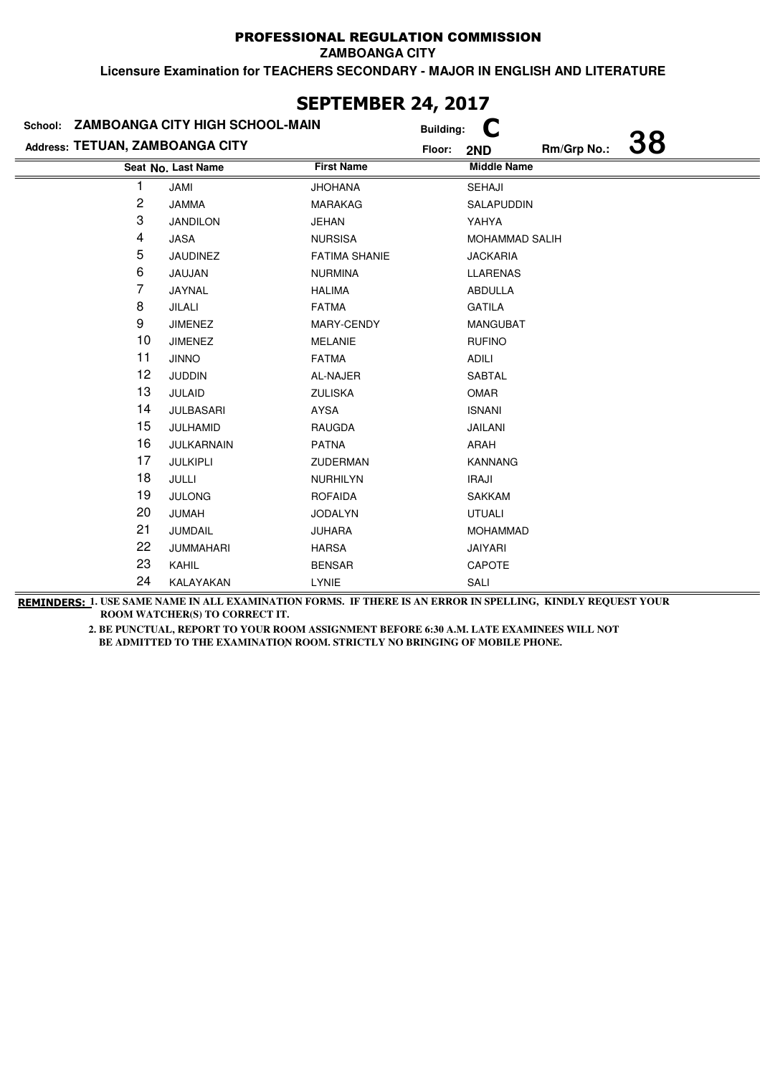**ZAMBOANGA CITY**

**Licensure Examination for TEACHERS SECONDARY - MAJOR IN ENGLISH AND LITERATURE**

|                                 | School: ZAMBOANGA CITY HIGH SCHOOL-MAIN |                      | <b>Building:</b>                          |
|---------------------------------|-----------------------------------------|----------------------|-------------------------------------------|
| Address: TETUAN, ZAMBOANGA CITY |                                         |                      | <b>38</b><br>Rm/Grp No.:<br>Floor:<br>2ND |
|                                 | Seat No. Last Name                      | <b>First Name</b>    | <b>Middle Name</b>                        |
|                                 | JAMI                                    | <b>JHOHANA</b>       | SEHAJI                                    |
| 2                               | <b>JAMMA</b>                            | <b>MARAKAG</b>       | SALAPUDDIN                                |
| 3                               | <b>JANDILON</b>                         | <b>JEHAN</b>         | YAHYA                                     |
| 4                               | JASA                                    | <b>NURSISA</b>       | <b>MOHAMMAD SALIH</b>                     |
| 5                               | JAUDINEZ                                | <b>FATIMA SHANIE</b> | <b>JACKARIA</b>                           |
| 6                               | JAUJAN                                  | <b>NURMINA</b>       | <b>LLARENAS</b>                           |
| 7                               | JAYNAL                                  | <b>HALIMA</b>        | ABDULLA                                   |
| 8                               | JILALI                                  | <b>FATMA</b>         | GATILA                                    |
| 9                               | <b>JIMENEZ</b>                          | MARY-CENDY           | <b>MANGUBAT</b>                           |
| 10                              | <b>JIMENEZ</b>                          | <b>MELANIE</b>       | <b>RUFINO</b>                             |
| 11                              | <b>JINNO</b>                            | <b>FATMA</b>         | ADILI                                     |
| 12                              | <b>JUDDIN</b>                           | AL-NAJER             | <b>SABTAL</b>                             |
| 13                              | <b>JULAID</b>                           | <b>ZULISKA</b>       | OMAR                                      |
| 14                              | <b>JULBASARI</b>                        | <b>AYSA</b>          | <b>ISNANI</b>                             |
| 15                              | JULHAMID                                | RAUGDA               | JAILANI                                   |
| 16                              | JULKARNAIN                              | <b>PATNA</b>         | ARAH                                      |
| 17                              | JULKIPLI                                | <b>ZUDERMAN</b>      | <b>KANNANG</b>                            |
| 18                              | JULLI                                   | <b>NURHILYN</b>      | <b>IRAJI</b>                              |
| 19                              | <b>JULONG</b>                           | <b>ROFAIDA</b>       | <b>SAKKAM</b>                             |
| 20                              | JUMAH                                   | <b>JODALYN</b>       | <b>UTUALI</b>                             |
| 21                              | <b>JUMDAIL</b>                          | <b>JUHARA</b>        | <b>MOHAMMAD</b>                           |
| 22                              | <b>JUMMAHARI</b>                        | <b>HARSA</b>         | <b>JAIYARI</b>                            |
| 23                              | <b>KAHIL</b>                            | <b>BENSAR</b>        | <b>CAPOTE</b>                             |
| 24                              | KALAYAKAN                               | LYNIE                | SALI                                      |

## **SEPTEMBER 24, 2017**

**REMINDERS: 1. USE SAME NAME IN ALL EXAMINATION FORMS. IF THERE IS AN ERROR IN SPELLING, KINDLY REQUEST YOUR ROOM WATCHER(S) TO CORRECT IT.**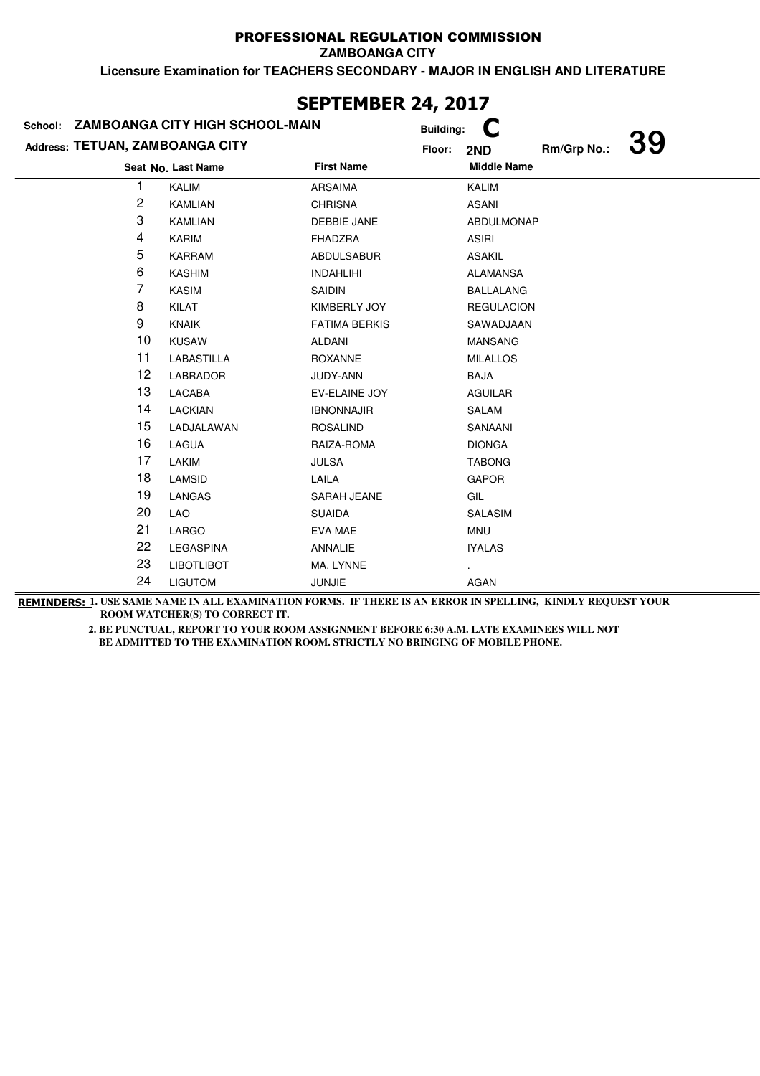**ZAMBOANGA CITY**

**Licensure Examination for TEACHERS SECONDARY - MAJOR IN ENGLISH AND LITERATURE**

| School: ZAMBOANGA CITY HIGH SCHOOL-MAIN |                    |                      | <b>Building:</b> |                    |             |           |
|-----------------------------------------|--------------------|----------------------|------------------|--------------------|-------------|-----------|
| Address: TETUAN, ZAMBOANGA CITY         |                    |                      | Floor:           | 2ND                | Rm/Grp No.: | <b>39</b> |
|                                         | Seat No. Last Name | <b>First Name</b>    |                  | <b>Middle Name</b> |             |           |
| 1                                       | <b>KALIM</b>       | <b>ARSAIMA</b>       |                  | <b>KALIM</b>       |             |           |
| 2                                       | <b>KAMLIAN</b>     | <b>CHRISNA</b>       |                  | <b>ASANI</b>       |             |           |
| 3                                       | <b>KAMLIAN</b>     | <b>DEBBIE JANE</b>   |                  | <b>ABDULMONAP</b>  |             |           |
| 4                                       | <b>KARIM</b>       | <b>FHADZRA</b>       |                  | <b>ASIRI</b>       |             |           |
| 5                                       | <b>KARRAM</b>      | ABDULSABUR           |                  | <b>ASAKIL</b>      |             |           |
| 6                                       | <b>KASHIM</b>      | <b>INDAHLIHI</b>     |                  | <b>ALAMANSA</b>    |             |           |
| 7                                       | <b>KASIM</b>       | SAIDIN               |                  | <b>BALLALANG</b>   |             |           |
| 8                                       | KILAT              | KIMBERLY JOY         |                  | <b>REGULACION</b>  |             |           |
| 9                                       | <b>KNAIK</b>       | <b>FATIMA BERKIS</b> |                  | SAWADJAAN          |             |           |
| 10                                      | <b>KUSAW</b>       | ALDANI               |                  | <b>MANSANG</b>     |             |           |
| 11                                      | LABASTILLA         | <b>ROXANNE</b>       |                  | <b>MILALLOS</b>    |             |           |
| 12                                      | LABRADOR           | JUDY-ANN             |                  | <b>BAJA</b>        |             |           |
| 13                                      | LACABA             | EV-ELAINE JOY        |                  | <b>AGUILAR</b>     |             |           |
| 14                                      | <b>LACKIAN</b>     | <b>IBNONNAJIR</b>    |                  | SALAM              |             |           |
| 15                                      | LADJALAWAN         | <b>ROSALIND</b>      |                  | SANAANI            |             |           |
| 16                                      | LAGUA              | RAIZA-ROMA           |                  | <b>DIONGA</b>      |             |           |
| 17                                      | LAKIM              | <b>JULSA</b>         |                  | <b>TABONG</b>      |             |           |
| 18                                      | LAMSID             | LAILA                |                  | <b>GAPOR</b>       |             |           |
| 19                                      | LANGAS             | SARAH JEANE          |                  | GIL                |             |           |
| 20                                      | <b>LAO</b>         | <b>SUAIDA</b>        |                  | SALASIM            |             |           |
| 21                                      | LARGO              | EVA MAE              |                  | MNU                |             |           |
| 22                                      | LEGASPINA          | ANNALIE              |                  | <b>IYALAS</b>      |             |           |
| 23                                      | <b>LIBOTLIBOT</b>  | MA. LYNNE            |                  |                    |             |           |
| 24                                      | <b>LIGUTOM</b>     | <b>JUNJIE</b>        |                  | <b>AGAN</b>        |             |           |

# **SEPTEMBER 24, 2017**

**REMINDERS: 1. USE SAME NAME IN ALL EXAMINATION FORMS. IF THERE IS AN ERROR IN SPELLING, KINDLY REQUEST YOUR ROOM WATCHER(S) TO CORRECT IT.**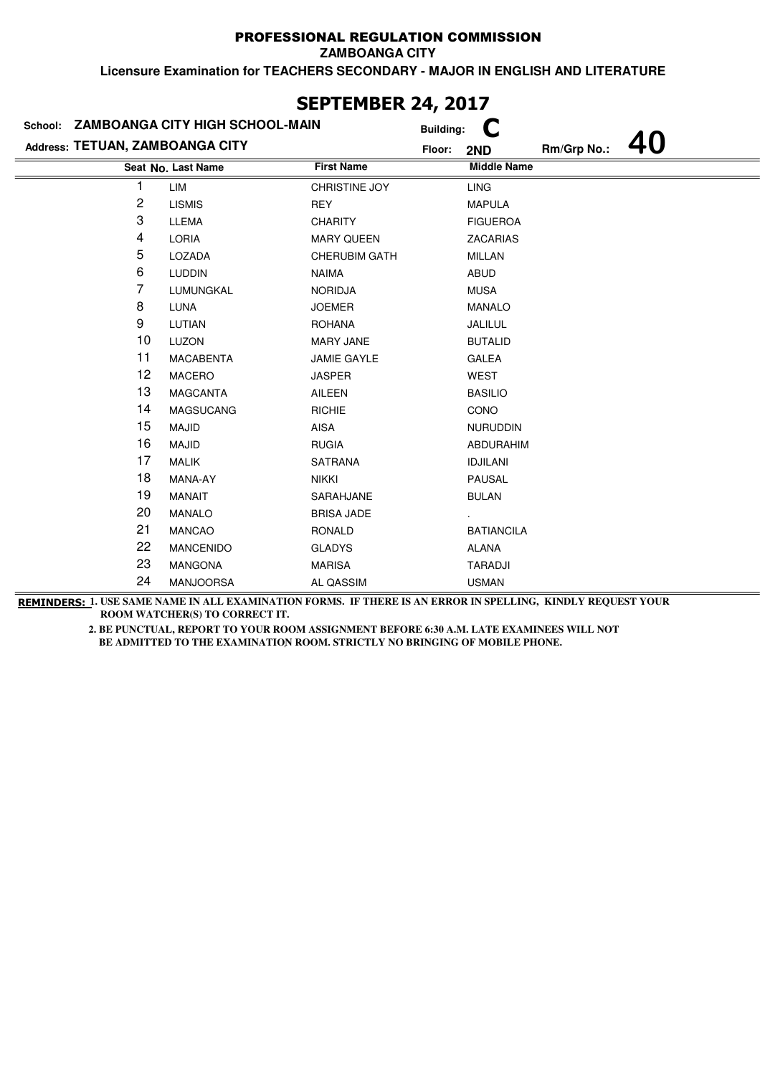**ZAMBOANGA CITY**

**Licensure Examination for TEACHERS SECONDARY - MAJOR IN ENGLISH AND LITERATURE**

| School: ZAMBOANGA CITY HIGH SCHOOL-MAIN |                    |                      | <b>Building:</b> |                    |             |  |
|-----------------------------------------|--------------------|----------------------|------------------|--------------------|-------------|--|
| Address: TETUAN, ZAMBOANGA CITY         |                    |                      | Floor:           | 2ND                | Rm/Grp No.: |  |
|                                         | Seat No. Last Name | <b>First Name</b>    |                  | <b>Middle Name</b> |             |  |
|                                         | LIM                | CHRISTINE JOY        |                  | <b>LING</b>        |             |  |
| 2                                       | <b>LISMIS</b>      | <b>REY</b>           |                  | <b>MAPULA</b>      |             |  |
| 3                                       | <b>LLEMA</b>       | <b>CHARITY</b>       |                  | <b>FIGUEROA</b>    |             |  |
| 4                                       | <b>LORIA</b>       | <b>MARY QUEEN</b>    |                  | <b>ZACARIAS</b>    |             |  |
| 5                                       | LOZADA             | <b>CHERUBIM GATH</b> |                  | <b>MILLAN</b>      |             |  |
| 6                                       | <b>LUDDIN</b>      | <b>NAIMA</b>         |                  | ABUD               |             |  |
| 7                                       | LUMUNGKAL          | <b>NORIDJA</b>       |                  | <b>MUSA</b>        |             |  |
| 8                                       | LUNA               | <b>JOEMER</b>        |                  | <b>MANALO</b>      |             |  |
| 9                                       | LUTIAN             | <b>ROHANA</b>        |                  | JALILUL            |             |  |
| 10                                      | <b>LUZON</b>       | <b>MARY JANE</b>     |                  | <b>BUTALID</b>     |             |  |
| 11                                      | <b>MACABENTA</b>   | <b>JAMIE GAYLE</b>   |                  | GALEA              |             |  |
| 12                                      | <b>MACERO</b>      | <b>JASPER</b>        |                  | WEST               |             |  |
| 13                                      | <b>MAGCANTA</b>    | AILEEN               |                  | <b>BASILIO</b>     |             |  |
| 14                                      | MAGSUCANG          | <b>RICHIE</b>        |                  | <b>CONO</b>        |             |  |
| 15                                      | <b>MAJID</b>       | AISA                 |                  | <b>NURUDDIN</b>    |             |  |
| 16                                      | <b>MAJID</b>       | <b>RUGIA</b>         |                  | ABDURAHIM          |             |  |
| 17                                      | <b>MALIK</b>       | <b>SATRANA</b>       |                  | <b>IDJILANI</b>    |             |  |
| 18                                      | MANA-AY            | <b>NIKKI</b>         |                  | <b>PAUSAL</b>      |             |  |
| 19                                      | <b>MANAIT</b>      | SARAHJANE            |                  | <b>BULAN</b>       |             |  |
| 20                                      | <b>MANALO</b>      | <b>BRISA JADE</b>    |                  |                    |             |  |
| 21                                      | <b>MANCAO</b>      | <b>RONALD</b>        |                  | <b>BATIANCILA</b>  |             |  |
| 22                                      | <b>MANCENIDO</b>   | <b>GLADYS</b>        |                  | <b>ALANA</b>       |             |  |
| 23                                      | <b>MANGONA</b>     | <b>MARISA</b>        |                  | TARADJI            |             |  |
| 24                                      | <b>MANJOORSA</b>   | AL QASSIM            |                  | <b>USMAN</b>       |             |  |

# **SEPTEMBER 24, 2017**

**REMINDERS: 1. USE SAME NAME IN ALL EXAMINATION FORMS. IF THERE IS AN ERROR IN SPELLING, KINDLY REQUEST YOUR ROOM WATCHER(S) TO CORRECT IT.**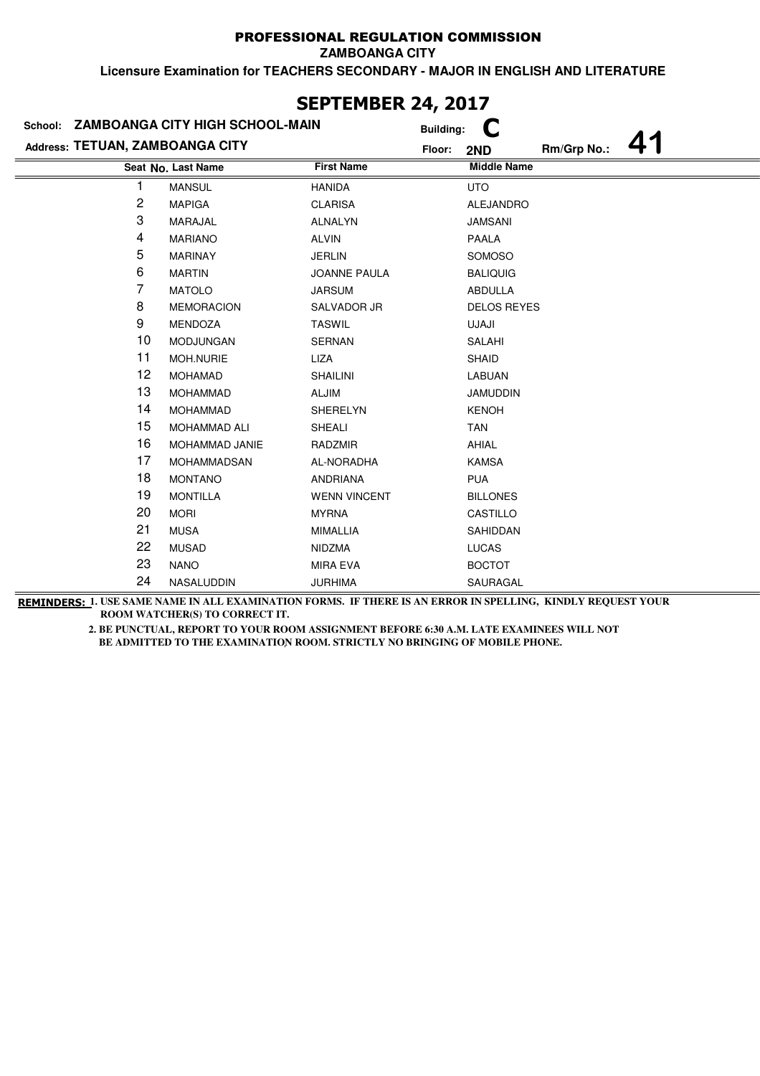**ZAMBOANGA CITY**

**Licensure Examination for TEACHERS SECONDARY - MAJOR IN ENGLISH AND LITERATURE**

| School: ZAMBOANGA CITY HIGH SCHOOL-MAIN |                     |                     | <b>Building:</b>             |
|-----------------------------------------|---------------------|---------------------|------------------------------|
| Address: TETUAN, ZAMBOANGA CITY         |                     |                     | Rm/Grp No.:<br>Floor:<br>2ND |
|                                         | Seat No. Last Name  | <b>First Name</b>   | <b>Middle Name</b>           |
| 1                                       | <b>MANSUL</b>       | <b>HANIDA</b>       | <b>UTO</b>                   |
| 2                                       | <b>MAPIGA</b>       | <b>CLARISA</b>      | <b>ALEJANDRO</b>             |
| 3                                       | MARAJAL             | <b>ALNALYN</b>      | <b>JAMSANI</b>               |
| 4                                       | <b>MARIANO</b>      | <b>ALVIN</b>        | <b>PAALA</b>                 |
| 5                                       | <b>MARINAY</b>      | <b>JERLIN</b>       | SOMOSO                       |
| 6                                       | <b>MARTIN</b>       | <b>JOANNE PAULA</b> | <b>BALIQUIG</b>              |
| 7                                       | <b>MATOLO</b>       | <b>JARSUM</b>       | <b>ABDULLA</b>               |
| 8                                       | <b>MEMORACION</b>   | SALVADOR JR         | <b>DELOS REYES</b>           |
| 9                                       | MENDOZA             | <b>TASWIL</b>       | UJAJI                        |
| 10                                      | MODJUNGAN           | SERNAN              | SALAHI                       |
| 11                                      | MOH.NURIE           | LIZA                | SHAID                        |
| 12                                      | <b>MOHAMAD</b>      | <b>SHAILINI</b>     | LABUAN                       |
| 13                                      | <b>MOHAMMAD</b>     | ALJIM               | <b>JAMUDDIN</b>              |
| 14                                      | <b>MOHAMMAD</b>     | <b>SHERELYN</b>     | <b>KENOH</b>                 |
| 15                                      | <b>MOHAMMAD ALI</b> | SHEALI              | TAN                          |
| 16                                      | MOHAMMAD JANIE      | RADZMIR             | AHIAL                        |
| 17                                      | <b>MOHAMMADSAN</b>  | AL-NORADHA          | <b>KAMSA</b>                 |
| 18                                      | <b>MONTANO</b>      | <b>ANDRIANA</b>     | <b>PUA</b>                   |
| 19                                      | <b>MONTILLA</b>     | <b>WENN VINCENT</b> | <b>BILLONES</b>              |
| 20                                      | <b>MORI</b>         | <b>MYRNA</b>        | CASTILLO                     |
| 21                                      | <b>MUSA</b>         | <b>MIMALLIA</b>     | SAHIDDAN                     |
| 22                                      | <b>MUSAD</b>        | <b>NIDZMA</b>       | <b>LUCAS</b>                 |
| 23                                      | <b>NANO</b>         | <b>MIRA EVA</b>     | <b>BOCTOT</b>                |
| 24                                      | NASALUDDIN          | <b>JURHIMA</b>      | SAURAGAL                     |

# **SEPTEMBER 24, 2017**

**REMINDERS: 1. USE SAME NAME IN ALL EXAMINATION FORMS. IF THERE IS AN ERROR IN SPELLING, KINDLY REQUEST YOUR ROOM WATCHER(S) TO CORRECT IT.**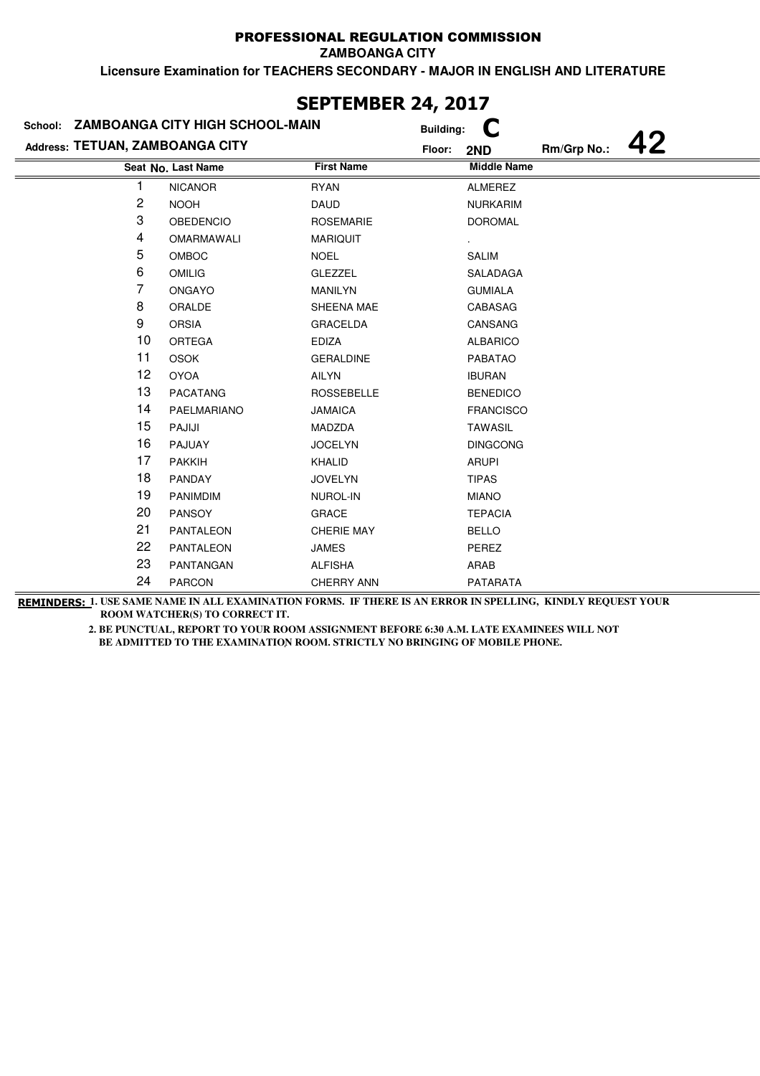**ZAMBOANGA CITY**

**Licensure Examination for TEACHERS SECONDARY - MAJOR IN ENGLISH AND LITERATURE**

| School: ZAMBOANGA CITY HIGH SCHOOL-MAIN |                    |                   | <b>Building:</b>             |  |
|-----------------------------------------|--------------------|-------------------|------------------------------|--|
| Address: TETUAN, ZAMBOANGA CITY         |                    |                   | Rm/Grp No.:<br>Floor:<br>2ND |  |
|                                         | Seat No. Last Name | <b>First Name</b> | <b>Middle Name</b>           |  |
| 1                                       | <b>NICANOR</b>     | <b>RYAN</b>       | <b>ALMEREZ</b>               |  |
| 2                                       | <b>NOOH</b>        | <b>DAUD</b>       | <b>NURKARIM</b>              |  |
| 3                                       | <b>OBEDENCIO</b>   | <b>ROSEMARIE</b>  | <b>DOROMAL</b>               |  |
| 4                                       | OMARMAWALI         | <b>MARIQUIT</b>   |                              |  |
| 5                                       | <b>OMBOC</b>       | <b>NOEL</b>       | <b>SALIM</b>                 |  |
| 6                                       | <b>OMILIG</b>      | <b>GLEZZEL</b>    | SALADAGA                     |  |
| 7                                       | <b>ONGAYO</b>      | <b>MANILYN</b>    | <b>GUMIALA</b>               |  |
| 8                                       | ORALDE             | SHEENA MAE        | CABASAG                      |  |
| 9                                       | <b>ORSIA</b>       | <b>GRACELDA</b>   | <b>CANSANG</b>               |  |
| 10                                      | <b>ORTEGA</b>      | <b>EDIZA</b>      | <b>ALBARICO</b>              |  |
| 11                                      | <b>OSOK</b>        | <b>GERALDINE</b>  | <b>PABATAO</b>               |  |
| 12                                      | <b>OYOA</b>        | <b>AILYN</b>      | <b>IBURAN</b>                |  |
| 13                                      | <b>PACATANG</b>    | <b>ROSSEBELLE</b> | <b>BENEDICO</b>              |  |
| 14                                      | PAELMARIANO        | <b>JAMAICA</b>    | <b>FRANCISCO</b>             |  |
| 15                                      | PAJIJI             | MADZDA            | <b>TAWASIL</b>               |  |
| 16                                      | PAJUAY             | <b>JOCELYN</b>    | <b>DINGCONG</b>              |  |
| 17                                      | <b>PAKKIH</b>      | KHALID            | <b>ARUPI</b>                 |  |
| 18                                      | PANDAY             | <b>JOVELYN</b>    | <b>TIPAS</b>                 |  |
| 19                                      | <b>PANIMDIM</b>    | NUROL-IN          | <b>MIANO</b>                 |  |
| 20                                      | <b>PANSOY</b>      | <b>GRACE</b>      | <b>TEPACIA</b>               |  |
| 21                                      | <b>PANTALEON</b>   | <b>CHERIE MAY</b> | <b>BELLO</b>                 |  |
| 22                                      | <b>PANTALEON</b>   | <b>JAMES</b>      | PEREZ                        |  |
| 23                                      | PANTANGAN          | <b>ALFISHA</b>    | ARAB                         |  |
| 24                                      | <b>PARCON</b>      | <b>CHERRY ANN</b> | <b>PATARATA</b>              |  |

# **SEPTEMBER 24, 2017**

**REMINDERS: 1. USE SAME NAME IN ALL EXAMINATION FORMS. IF THERE IS AN ERROR IN SPELLING, KINDLY REQUEST YOUR ROOM WATCHER(S) TO CORRECT IT.**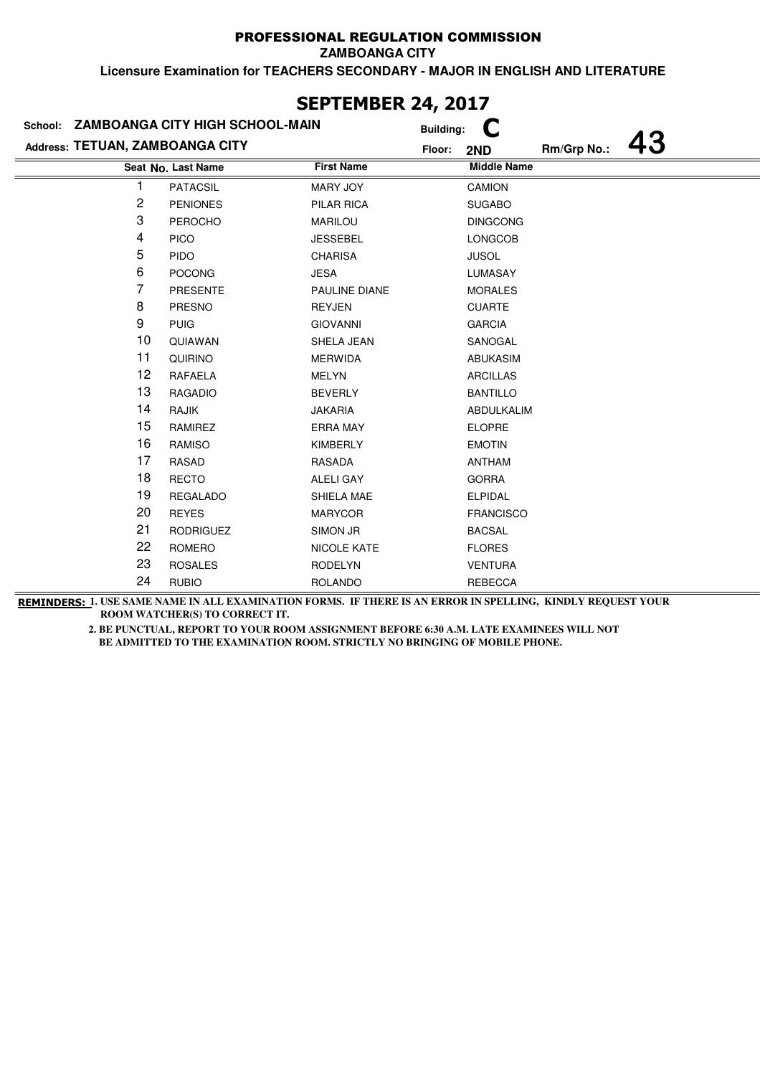**ZAMBOANGA CITY**

**Licensure Examination for TEACHERS SECONDARY - MAJOR IN ENGLISH AND LITERATURE**

|                                 | School: ZAMBOANGA CITY HIGH SCHOOL-MAIN |                    | <b>Building:</b>                   |
|---------------------------------|-----------------------------------------|--------------------|------------------------------------|
| Address: TETUAN, ZAMBOANGA CITY |                                         |                    | 43<br>Rm/Grp No.:<br>Floor:<br>2ND |
|                                 | Seat No. Last Name                      | <b>First Name</b>  | <b>Middle Name</b>                 |
|                                 | <b>PATACSIL</b>                         | MARY JOY           | CAMION                             |
| 2                               | <b>PENIONES</b>                         | <b>PILAR RICA</b>  | <b>SUGABO</b>                      |
| 3                               | <b>PEROCHO</b>                          | <b>MARILOU</b>     | <b>DINGCONG</b>                    |
| 4                               | <b>PICO</b>                             | <b>JESSEBEL</b>    | LONGCOB                            |
| 5                               | <b>PIDO</b>                             | <b>CHARISA</b>     | <b>JUSOL</b>                       |
| 6                               | <b>POCONG</b>                           | <b>JESA</b>        | <b>LUMASAY</b>                     |
| 7                               | <b>PRESENTE</b>                         | PAULINE DIANE      | <b>MORALES</b>                     |
| 8                               | PRESNO                                  | REYJEN             | <b>CUARTE</b>                      |
| 9                               | <b>PUIG</b>                             | <b>GIOVANNI</b>    | <b>GARCIA</b>                      |
| 10                              | QUIAWAN                                 | SHELA JEAN         | SANOGAL                            |
| 11                              | QUIRINO                                 | <b>MERWIDA</b>     | <b>ABUKASIM</b>                    |
| 12                              | RAFAELA                                 | <b>MELYN</b>       | <b>ARCILLAS</b>                    |
| 13                              | <b>RAGADIO</b>                          | <b>BEVERLY</b>     | <b>BANTILLO</b>                    |
| 14                              | RAJIK                                   | <b>JAKARIA</b>     | ABDULKALIM                         |
| 15                              | RAMIREZ                                 | <b>ERRA MAY</b>    | <b>ELOPRE</b>                      |
| 16                              | <b>RAMISO</b>                           | <b>KIMBERLY</b>    | <b>EMOTIN</b>                      |
| 17                              | <b>RASAD</b>                            | <b>RASADA</b>      | ANTHAM                             |
| 18                              | <b>RECTO</b>                            | <b>ALELI GAY</b>   | <b>GORRA</b>                       |
| 19                              | <b>REGALADO</b>                         | SHIELA MAE         | <b>ELPIDAL</b>                     |
| 20                              | <b>REYES</b>                            | <b>MARYCOR</b>     | <b>FRANCISCO</b>                   |
| 21                              | <b>RODRIGUEZ</b>                        | SIMON JR           | <b>BACSAL</b>                      |
| 22                              | ROMERO                                  | <b>NICOLE KATE</b> | <b>FLORES</b>                      |
| 23                              | <b>ROSALES</b>                          | <b>RODELYN</b>     | <b>VENTURA</b>                     |
| 24                              | <b>RUBIO</b>                            | <b>ROLANDO</b>     | <b>REBECCA</b>                     |

## **SEPTEMBER 24, 2017**

**REMINDERS: 1. USE SAME NAME IN ALL EXAMINATION FORMS. IF THERE IS AN ERROR IN SPELLING, KINDLY REQUEST YOUR ROOM WATCHER(S) TO CORRECT IT.**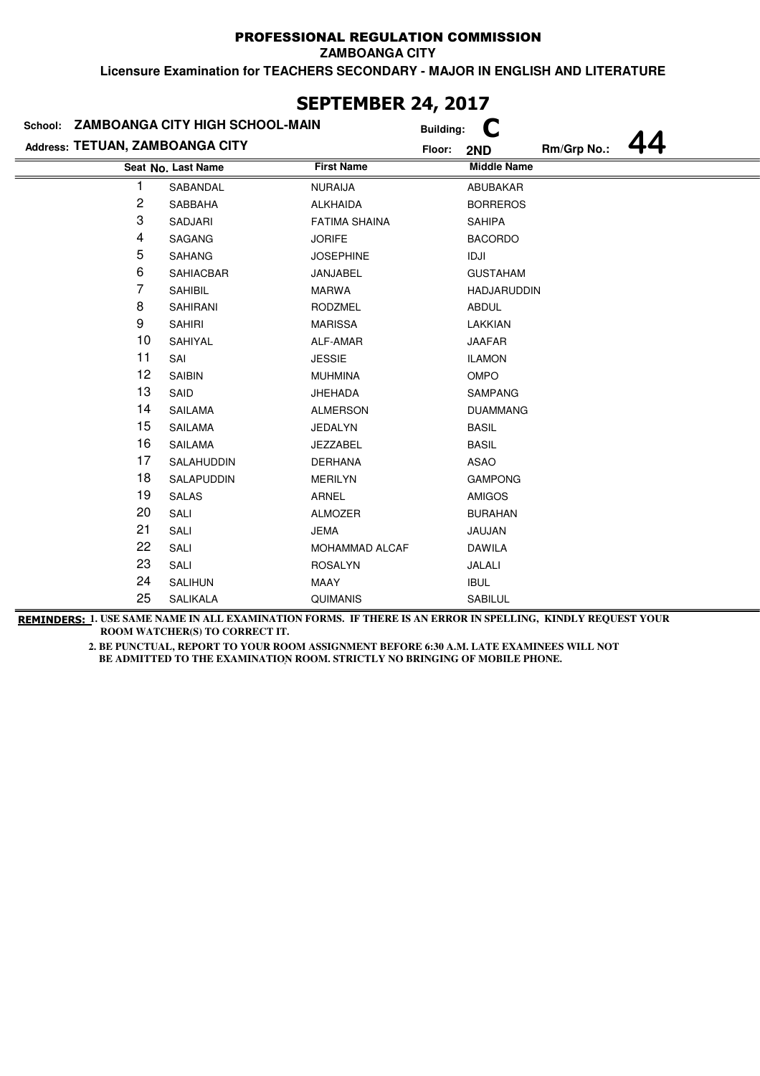**ZAMBOANGA CITY**

**Licensure Examination for TEACHERS SECONDARY - MAJOR IN ENGLISH AND LITERATURE**

|                                 | School: ZAMBOANGA CITY HIGH SCHOOL-MAIN |                      | <b>Building:</b> |                    |             |  |
|---------------------------------|-----------------------------------------|----------------------|------------------|--------------------|-------------|--|
| Address: TETUAN, ZAMBOANGA CITY |                                         |                      | Floor:           | 2ND                | Rm/Grp No.: |  |
|                                 | Seat No. Last Name                      | <b>First Name</b>    |                  | <b>Middle Name</b> |             |  |
| 1                               | SABANDAL                                | <b>NURAIJA</b>       |                  | ABUBAKAR           |             |  |
| 2                               | SABBAHA                                 | <b>ALKHAIDA</b>      |                  | <b>BORREROS</b>    |             |  |
| 3                               | <b>SADJARI</b>                          | <b>FATIMA SHAINA</b> |                  | <b>SAHIPA</b>      |             |  |
| 4                               | SAGANG                                  | <b>JORIFE</b>        |                  | <b>BACORDO</b>     |             |  |
| 5                               | <b>SAHANG</b>                           | <b>JOSEPHINE</b>     |                  | IDJI               |             |  |
| 6                               | <b>SAHIACBAR</b>                        | JANJABEL             |                  | <b>GUSTAHAM</b>    |             |  |
| 7                               | <b>SAHIBIL</b>                          | <b>MARWA</b>         |                  | <b>HADJARUDDIN</b> |             |  |
| 8                               | <b>SAHIRANI</b>                         | <b>RODZMEL</b>       |                  | <b>ABDUL</b>       |             |  |
| 9                               | <b>SAHIRI</b>                           | <b>MARISSA</b>       |                  | LAKKIAN            |             |  |
| 10                              | SAHIYAL                                 | ALF-AMAR             |                  | <b>JAAFAR</b>      |             |  |
| 11                              | SAI                                     | <b>JESSIE</b>        |                  | <b>ILAMON</b>      |             |  |
| 12                              | <b>SAIBIN</b>                           | <b>MUHMINA</b>       |                  | OMPO               |             |  |
| 13                              | SAID                                    | <b>JHEHADA</b>       |                  | <b>SAMPANG</b>     |             |  |
| 14                              | <b>SAILAMA</b>                          | <b>ALMERSON</b>      |                  | <b>DUAMMANG</b>    |             |  |
| 15                              | SAILAMA                                 | JEDALYN              |                  | <b>BASIL</b>       |             |  |
| 16                              | <b>SAILAMA</b>                          | <b>JEZZABEL</b>      |                  | <b>BASIL</b>       |             |  |
| 17                              | SALAHUDDIN                              | <b>DERHANA</b>       |                  | <b>ASAO</b>        |             |  |
| 18                              | SALAPUDDIN                              | <b>MERILYN</b>       |                  | <b>GAMPONG</b>     |             |  |
| 19                              | <b>SALAS</b>                            | ARNEL                |                  | <b>AMIGOS</b>      |             |  |
| 20                              | SALI                                    | <b>ALMOZER</b>       |                  | <b>BURAHAN</b>     |             |  |
| 21                              | SALI                                    | <b>JEMA</b>          |                  | JAUJAN             |             |  |
| 22                              | SALI                                    | MOHAMMAD ALCAF       |                  | <b>DAWILA</b>      |             |  |
| 23                              | SALI                                    | <b>ROSALYN</b>       |                  | JALALI             |             |  |
| 24                              | SALIHUN                                 | MAAY                 |                  | <b>IBUL</b>        |             |  |
| 25                              | <b>SALIKALA</b>                         | <b>QUIMANIS</b>      |                  | SABILUL            |             |  |

### **SEPTEMBER 24, 2017**

**REMINDERS: 1. USE SAME NAME IN ALL EXAMINATION FORMS. IF THERE IS AN ERROR IN SPELLING, KINDLY REQUEST YOUR ROOM WATCHER(S) TO CORRECT IT.**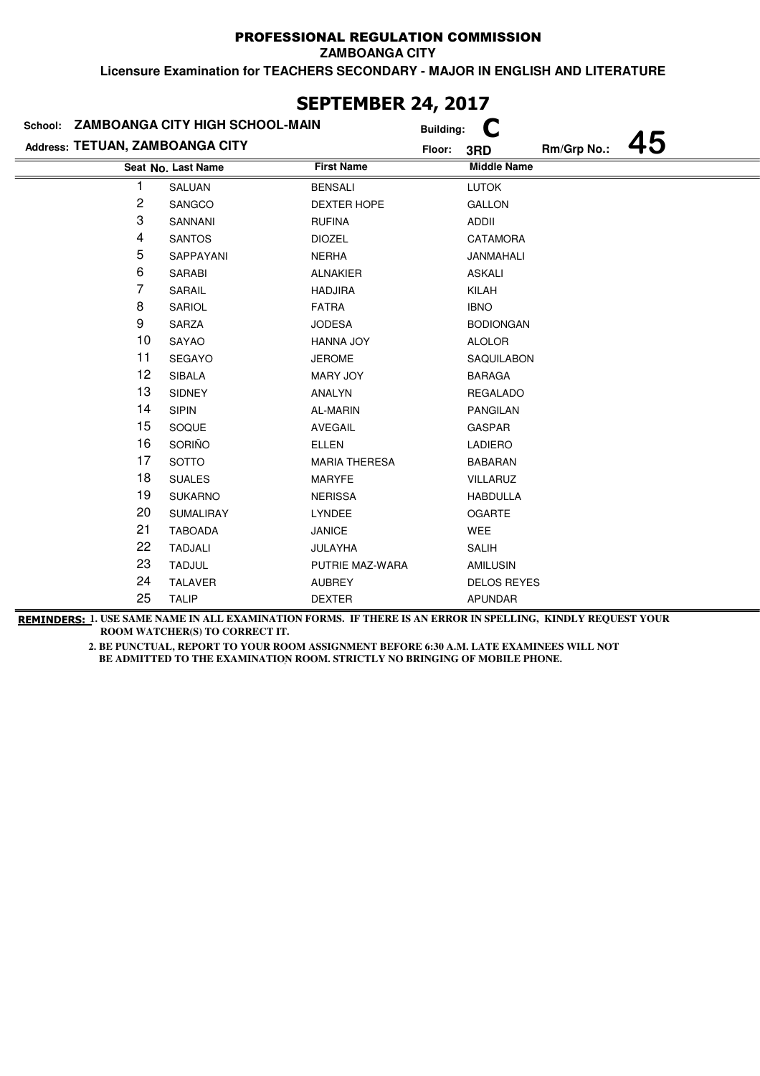**ZAMBOANGA CITY**

**Licensure Examination for TEACHERS SECONDARY - MAJOR IN ENGLISH AND LITERATURE**

|                                 | School: ZAMBOANGA CITY HIGH SCHOOL-MAIN |                      | <b>Building:</b> |                    |             |  |
|---------------------------------|-----------------------------------------|----------------------|------------------|--------------------|-------------|--|
| Address: TETUAN, ZAMBOANGA CITY |                                         |                      | Floor:           | 3RD                | Rm/Grp No.: |  |
|                                 | Seat No. Last Name                      | <b>First Name</b>    |                  | <b>Middle Name</b> |             |  |
| 1                               | SALUAN                                  | <b>BENSALI</b>       |                  | <b>LUTOK</b>       |             |  |
| 2                               | SANGCO                                  | <b>DEXTER HOPE</b>   |                  | <b>GALLON</b>      |             |  |
| 3                               | SANNANI                                 | <b>RUFINA</b>        |                  | ADDII              |             |  |
| 4                               | <b>SANTOS</b>                           | <b>DIOZEL</b>        |                  | <b>CATAMORA</b>    |             |  |
| 5                               | SAPPAYANI                               | <b>NERHA</b>         |                  | JANMAHALI          |             |  |
| 6                               | SARABI                                  | <b>ALNAKIER</b>      |                  | <b>ASKALI</b>      |             |  |
| 7                               | SARAIL                                  | <b>HADJIRA</b>       |                  | KILAH              |             |  |
| 8                               | SARIOL                                  | <b>FATRA</b>         |                  | <b>IBNO</b>        |             |  |
| 9                               | SARZA                                   | <b>JODESA</b>        |                  | <b>BODIONGAN</b>   |             |  |
| 10                              | SAYAO                                   | HANNA JOY            |                  | <b>ALOLOR</b>      |             |  |
| 11                              | SEGAYO                                  | <b>JEROME</b>        |                  | SAQUILABON         |             |  |
| 12                              | <b>SIBALA</b>                           | MARY JOY             |                  | <b>BARAGA</b>      |             |  |
| 13                              | <b>SIDNEY</b>                           | ANALYN               |                  | <b>REGALADO</b>    |             |  |
| 14                              | <b>SIPIN</b>                            | AL-MARIN             |                  | <b>PANGILAN</b>    |             |  |
| 15                              | SOQUE                                   | <b>AVEGAIL</b>       |                  | <b>GASPAR</b>      |             |  |
| 16                              | SORIÑO                                  | <b>ELLEN</b>         |                  | <b>LADIERO</b>     |             |  |
| 17                              | <b>SOTTO</b>                            | <b>MARIA THERESA</b> |                  | <b>BABARAN</b>     |             |  |
| 18                              | <b>SUALES</b>                           | <b>MARYFE</b>        |                  | <b>VILLARUZ</b>    |             |  |
| 19                              | <b>SUKARNO</b>                          | <b>NERISSA</b>       |                  | <b>HABDULLA</b>    |             |  |
| 20                              | SUMALIRAY                               | LYNDEE               |                  | <b>OGARTE</b>      |             |  |
| 21                              | <b>TABOADA</b>                          | <b>JANICE</b>        |                  | WEE                |             |  |
| 22                              | <b>TADJALI</b>                          | <b>JULAYHA</b>       |                  | <b>SALIH</b>       |             |  |
| 23                              | <b>TADJUL</b>                           | PUTRIE MAZ-WARA      |                  | <b>AMILUSIN</b>    |             |  |
| 24                              | <b>TALAVER</b>                          | <b>AUBREY</b>        |                  | <b>DELOS REYES</b> |             |  |
| 25                              | <b>TALIP</b>                            | <b>DEXTER</b>        |                  | <b>APUNDAR</b>     |             |  |

**SEPTEMBER 24, 2017**

**REMINDERS: 1. USE SAME NAME IN ALL EXAMINATION FORMS. IF THERE IS AN ERROR IN SPELLING, KINDLY REQUEST YOUR ROOM WATCHER(S) TO CORRECT IT.**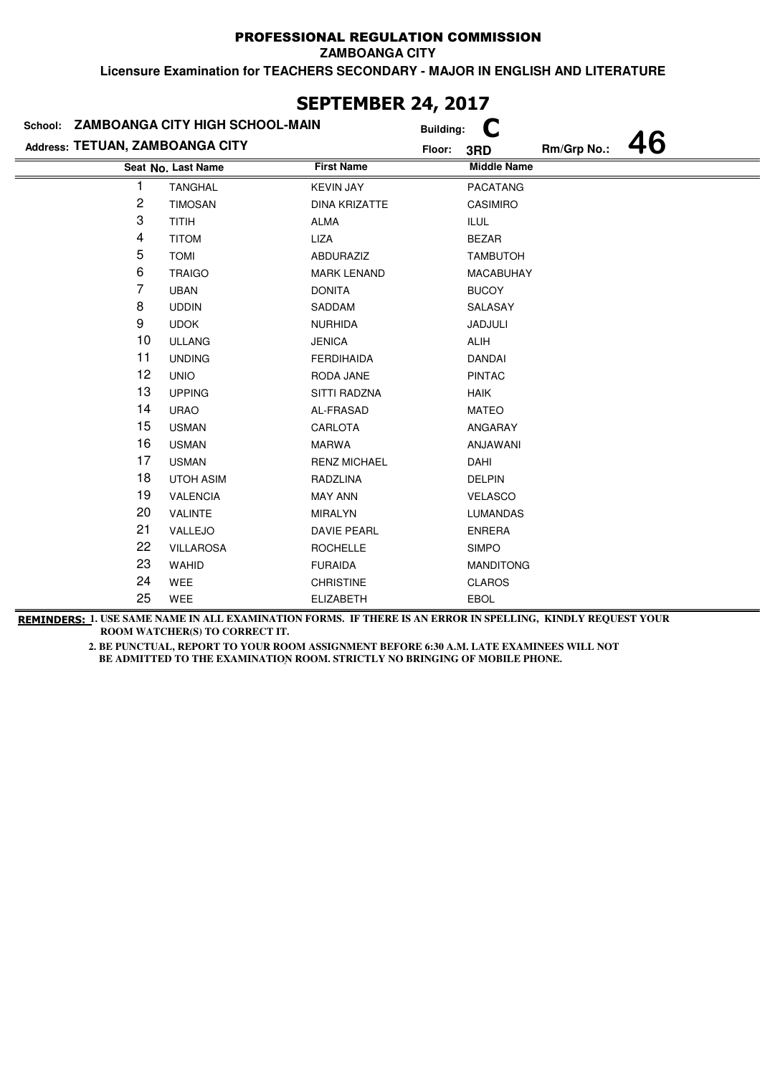**ZAMBOANGA CITY**

**Licensure Examination for TEACHERS SECONDARY - MAJOR IN ENGLISH AND LITERATURE**

|                                 | School: ZAMBOANGA CITY HIGH SCHOOL-MAIN |                      | <b>Building:</b> |                    |             |    |
|---------------------------------|-----------------------------------------|----------------------|------------------|--------------------|-------------|----|
| Address: TETUAN, ZAMBOANGA CITY |                                         |                      | Floor:           | 3RD                | Rm/Grp No.: | 46 |
|                                 | Seat No. Last Name                      | <b>First Name</b>    |                  | <b>Middle Name</b> |             |    |
| 1                               | <b>TANGHAL</b>                          | <b>KEVIN JAY</b>     |                  | <b>PACATANG</b>    |             |    |
| 2                               | <b>TIMOSAN</b>                          | <b>DINA KRIZATTE</b> |                  | <b>CASIMIRO</b>    |             |    |
| 3                               | <b>TITIH</b>                            | ALMA                 |                  | <b>ILUL</b>        |             |    |
| 4                               | <b>TITOM</b>                            | LIZA                 |                  | <b>BEZAR</b>       |             |    |
| 5                               | <b>TOMI</b>                             | <b>ABDURAZIZ</b>     |                  | <b>TAMBUTOH</b>    |             |    |
| 6                               | <b>TRAIGO</b>                           | <b>MARK LENAND</b>   |                  | <b>MACABUHAY</b>   |             |    |
| 7                               | <b>UBAN</b>                             | <b>DONITA</b>        |                  | <b>BUCOY</b>       |             |    |
| 8                               | <b>UDDIN</b>                            | SADDAM               |                  | SALASAY            |             |    |
| 9                               | <b>UDOK</b>                             | <b>NURHIDA</b>       |                  | JADJULI            |             |    |
| 10                              | <b>ULLANG</b>                           | <b>JENICA</b>        |                  | <b>ALIH</b>        |             |    |
| 11                              | <b>UNDING</b>                           | <b>FERDIHAIDA</b>    |                  | <b>DANDAI</b>      |             |    |
| 12                              | <b>UNIO</b>                             | RODA JANE            |                  | <b>PINTAC</b>      |             |    |
| 13                              | <b>UPPING</b>                           | SITTI RADZNA         |                  | <b>HAIK</b>        |             |    |
| 14                              | <b>URAO</b>                             | AL-FRASAD            |                  | <b>MATEO</b>       |             |    |
| 15                              | <b>USMAN</b>                            | CARLOTA              |                  | ANGARAY            |             |    |
| 16                              | <b>USMAN</b>                            | MARWA                |                  | ANJAWANI           |             |    |
| 17                              | <b>USMAN</b>                            | <b>RENZ MICHAEL</b>  |                  | DAHI               |             |    |
| 18                              | <b>UTOH ASIM</b>                        | RADZLINA             |                  | <b>DELPIN</b>      |             |    |
| 19                              | <b>VALENCIA</b>                         | <b>MAY ANN</b>       |                  | <b>VELASCO</b>     |             |    |
| 20                              | <b>VALINTE</b>                          | <b>MIRALYN</b>       |                  | LUMANDAS           |             |    |
| 21                              | VALLEJO                                 | <b>DAVIE PEARL</b>   |                  | <b>ENRERA</b>      |             |    |
| 22                              | <b>VILLAROSA</b>                        | <b>ROCHELLE</b>      |                  | <b>SIMPO</b>       |             |    |
| 23                              | WAHID                                   | <b>FURAIDA</b>       |                  | <b>MANDITONG</b>   |             |    |
| 24                              | WEE                                     | <b>CHRISTINE</b>     |                  | <b>CLAROS</b>      |             |    |
| 25                              | WEE                                     | <b>ELIZABETH</b>     |                  | <b>EBOL</b>        |             |    |

# **SEPTEMBER 24, 2017**

**REMINDERS: 1. USE SAME NAME IN ALL EXAMINATION FORMS. IF THERE IS AN ERROR IN SPELLING, KINDLY REQUEST YOUR ROOM WATCHER(S) TO CORRECT IT.**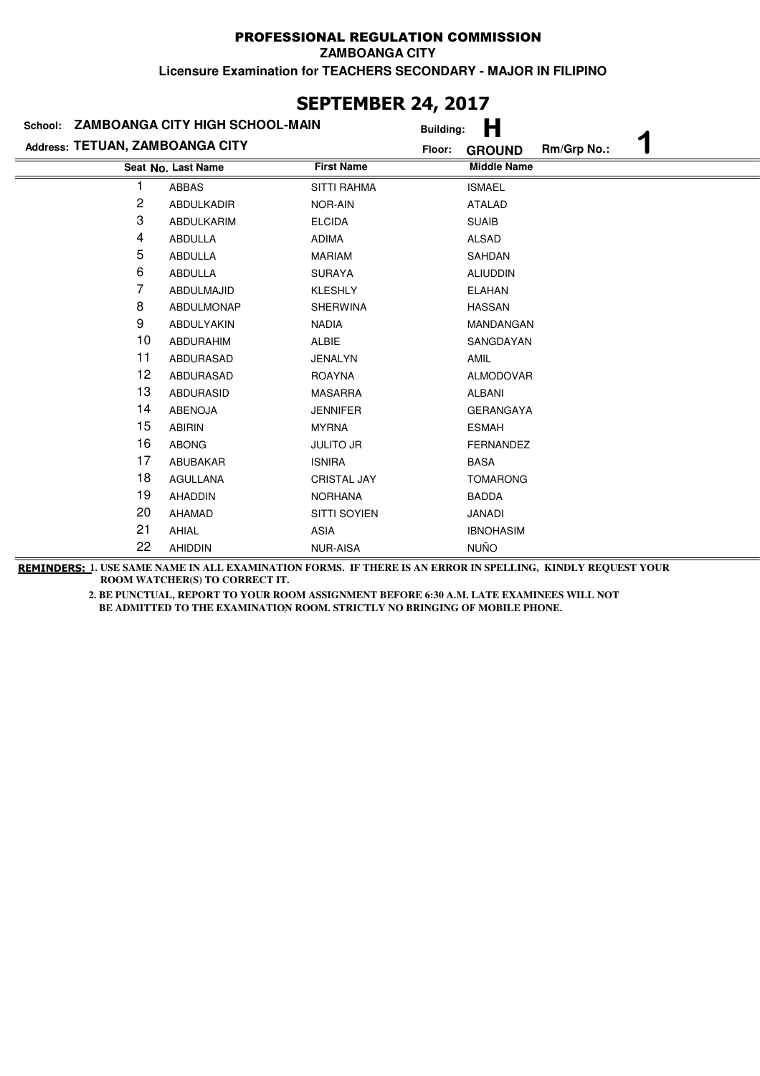### **Last Name Middle Name Address: TETUAN, ZAMBOANGA CITY School: ZAMBOANGA CITY HIGH SCHOOL-MAIN Building: H Floor: GROUND Rm/Grp No.: 1 Seat No.** 1 ABBAS SITTI RAHMA ISMAEL 2 ABDULKADIR NOR-AIN ATALAD 3 ABDULKARIM ELCIDA SUAIB 4 ABDULLA ADIMA ALSAD 5 ABDULLA MARIAM SAHDAN 6 ABDULLA SURAYA ALIUDDIN 7 ABDULMAJID KLESHLY ELAHAN 8 ABDULMONAP SHERWINA HASSAN 9 ABDULYAKIN NADIA MANDANGAN 10 ABDURAHIM ALBIE SANGDAYAN 11 ABDURASAD JENALYN AMIL 12 ABDURASAD ROAYNA ALMODOVAR 13 ABDURASID MASARRA ALBANI 14 ABENOJA JENNIFER GERANGAYA 15 ABIRIN MYRNA ESMAH 16 ABONG JULITO JR FERNANDEZ 17 ABUBAKAR ISNIRA BASA 18 AGULLANA CRISTAL JAY TOMARONG 19 AHADDIN NORHANA BADDA 20 AHAMAD SITTI SOYIEN JANADI 21 AHIAL ASIA ASIA IBNOHASIM 22 AHIDDIN NUR-AISA NUÑO

**REMINDERS: 1. USE SAME NAME IN ALL EXAMINATION FORMS. IF THERE IS AN ERROR IN SPELLING, KINDLY REQUEST YOUR ROOM WATCHER(S) TO CORRECT IT.** 

> **2. BE PUNCTUAL, REPORT TO YOUR ROOM ASSIGNMENT BEFORE 6:30 A.M. LATE EXAMINEES WILL NOT**  BE ADMITTED TO THE EXAMINATION ROOM. STRICTLY NO BRINGING OF MOBILE PHONE.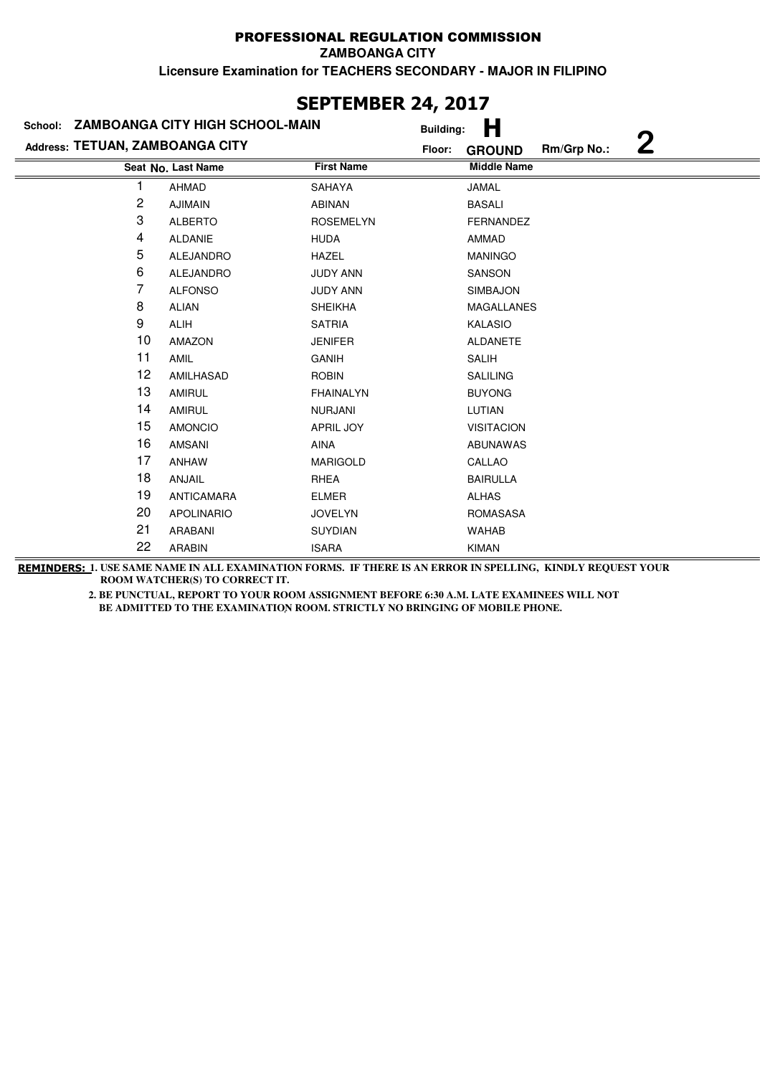**ZAMBOANGA CITY**

**Licensure Examination for TEACHERS SECONDARY - MAJOR IN FILIPINO**

|                                 | School: ZAMBOANGA CITY HIGH SCHOOL-MAIN | <b>Building:</b>  | Н                                 |
|---------------------------------|-----------------------------------------|-------------------|-----------------------------------|
| Address: TETUAN, ZAMBOANGA CITY |                                         | Floor:            | 2<br>Rm/Grp No.:<br><b>GROUND</b> |
|                                 | Seat No. Last Name                      | <b>First Name</b> | <b>Middle Name</b>                |
|                                 | <b>AHMAD</b>                            | SAHAYA            | <b>JAMAL</b>                      |
| 2                               | <b>AJIMAIN</b>                          | <b>ABINAN</b>     | <b>BASALI</b>                     |
| 3                               | <b>ALBERTO</b>                          | <b>ROSEMELYN</b>  | <b>FERNANDEZ</b>                  |
| 4                               | ALDANIE                                 | <b>HUDA</b>       | AMMAD                             |
| 5                               | <b>ALEJANDRO</b>                        | <b>HAZEL</b>      | <b>MANINGO</b>                    |
| 6                               | ALEJANDRO                               | <b>JUDY ANN</b>   | <b>SANSON</b>                     |
| 7                               | <b>ALFONSO</b>                          | <b>JUDY ANN</b>   | <b>SIMBAJON</b>                   |
| 8                               | <b>ALIAN</b>                            | <b>SHEIKHA</b>    | MAGALLANES                        |
| 9                               | <b>ALIH</b>                             | <b>SATRIA</b>     | KALASIO                           |
| 10                              | <b>AMAZON</b>                           | <b>JENIFER</b>    | <b>ALDANETE</b>                   |
| 11                              | AMIL                                    | <b>GANIH</b>      | <b>SALIH</b>                      |
| 12                              | AMILHASAD                               | <b>ROBIN</b>      | <b>SALILING</b>                   |
| 13                              | <b>AMIRUL</b>                           | <b>FHAINALYN</b>  | <b>BUYONG</b>                     |
| 14                              | <b>AMIRUL</b>                           | <b>NURJANI</b>    | LUTIAN                            |
| 15                              | <b>AMONCIO</b>                          | <b>APRIL JOY</b>  | <b>VISITACION</b>                 |
| 16                              | <b>AMSANI</b>                           | AINA              | <b>ABUNAWAS</b>                   |
| 17                              | <b>ANHAW</b>                            | <b>MARIGOLD</b>   | CALLAO                            |
| 18                              | ANJAIL                                  | RHEA              | <b>BAIRULLA</b>                   |
| 19                              | <b>ANTICAMARA</b>                       | <b>ELMER</b>      | <b>ALHAS</b>                      |
| 20                              | <b>APOLINARIO</b>                       | <b>JOVELYN</b>    | <b>ROMASASA</b>                   |
| 21                              | <b>ARABANI</b>                          | <b>SUYDIAN</b>    | <b>WAHAB</b>                      |
| 22                              | <b>ARABIN</b>                           | <b>ISARA</b>      | <b>KIMAN</b>                      |

**REMINDERS: 1. USE SAME NAME IN ALL EXAMINATION FORMS. IF THERE IS AN ERROR IN SPELLING, KINDLY REQUEST YOUR ROOM WATCHER(S) TO CORRECT IT.** 

> **2. BE PUNCTUAL, REPORT TO YOUR ROOM ASSIGNMENT BEFORE 6:30 A.M. LATE EXAMINEES WILL NOT BE ADMITTED TO THE EXAMINATION ROOM. STRICTLY NO BRINGING OF MOBILE PHONE.**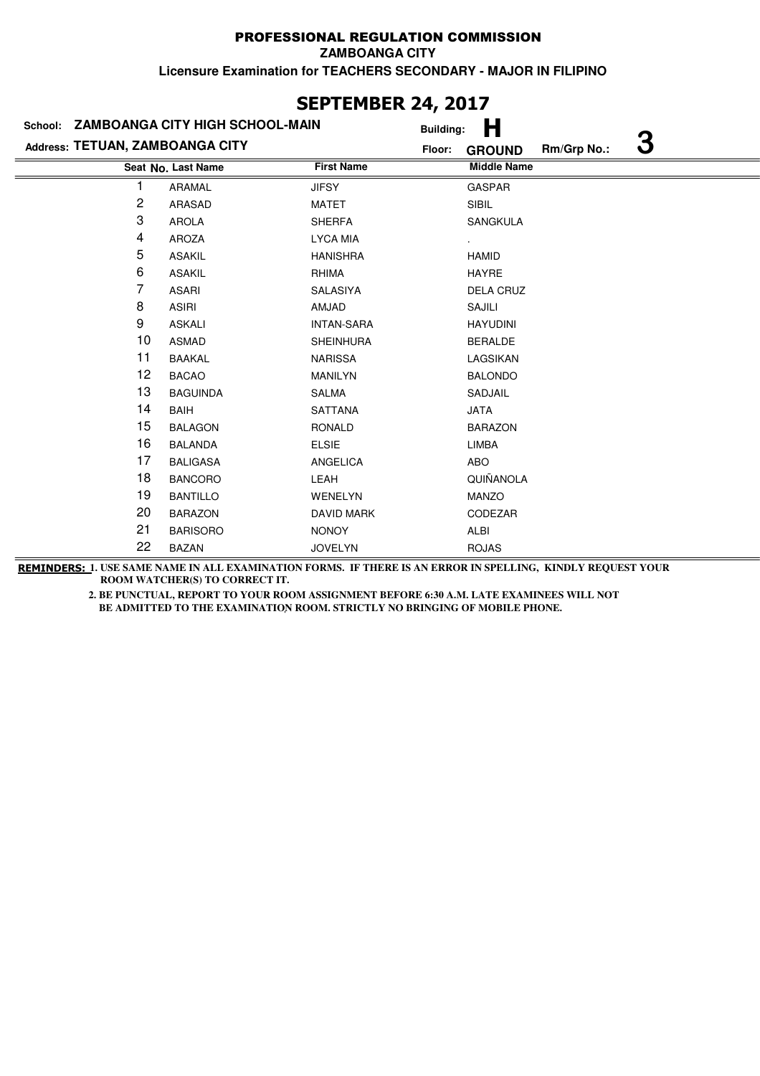|                                 |                                         | JEFIEMDER 44, ZUL/ |                  |                    |             |   |
|---------------------------------|-----------------------------------------|--------------------|------------------|--------------------|-------------|---|
|                                 | School: ZAMBOANGA CITY HIGH SCHOOL-MAIN |                    | <b>Building:</b> | Н                  |             |   |
| Address: TETUAN, ZAMBOANGA CITY |                                         |                    | Floor:           | <b>GROUND</b>      | Rm/Grp No.: | З |
|                                 | Seat No. Last Name                      | <b>First Name</b>  |                  | <b>Middle Name</b> |             |   |
|                                 | ARAMAL                                  | <b>JIFSY</b>       |                  | <b>GASPAR</b>      |             |   |
| $\overline{c}$                  | <b>ARASAD</b>                           | MATET              |                  | SIBIL              |             |   |
| 3                               | <b>AROLA</b>                            | <b>SHERFA</b>      |                  | SANGKULA           |             |   |
| 4                               | <b>AROZA</b>                            | <b>LYCA MIA</b>    |                  |                    |             |   |
| 5                               | <b>ASAKIL</b>                           | <b>HANISHRA</b>    |                  | <b>HAMID</b>       |             |   |
| 6                               | <b>ASAKIL</b>                           | RHIMA              |                  | HAYRE              |             |   |
| 7                               | <b>ASARI</b>                            | <b>SALASIYA</b>    |                  | <b>DELA CRUZ</b>   |             |   |
| 8                               | <b>ASIRI</b>                            | AMJAD              |                  | SAJILI             |             |   |
| 9                               | <b>ASKALI</b>                           | <b>INTAN-SARA</b>  |                  | <b>HAYUDINI</b>    |             |   |
| 10                              | <b>ASMAD</b>                            | <b>SHEINHURA</b>   |                  | <b>BERALDE</b>     |             |   |
| 11                              | <b>BAAKAL</b>                           | <b>NARISSA</b>     |                  | LAGSIKAN           |             |   |
| 12                              | <b>BACAO</b>                            | <b>MANILYN</b>     |                  | <b>BALONDO</b>     |             |   |
| 13                              | <b>BAGUINDA</b>                         | SALMA              |                  | SADJAIL            |             |   |
| 14                              | <b>BAIH</b>                             | <b>SATTANA</b>     |                  | <b>JATA</b>        |             |   |
| 15                              | <b>BALAGON</b>                          | <b>RONALD</b>      |                  | <b>BARAZON</b>     |             |   |
| 16                              | <b>BALANDA</b>                          | <b>ELSIE</b>       |                  | <b>LIMBA</b>       |             |   |
| 17                              | <b>BALIGASA</b>                         | <b>ANGELICA</b>    |                  | ABO                |             |   |
| 18                              | <b>BANCORO</b>                          | LEAH               |                  | QUIÑANOLA          |             |   |
| 19                              | <b>BANTILLO</b>                         | WENELYN            |                  | <b>MANZO</b>       |             |   |
| 20                              | <b>BARAZON</b>                          | <b>DAVID MARK</b>  |                  | CODEZAR            |             |   |
| 21                              | <b>BARISORO</b>                         | <b>NONOY</b>       |                  | ALBI               |             |   |
| 22                              | <b>BAZAN</b>                            | <b>JOVELYN</b>     |                  | <b>ROJAS</b>       |             |   |

**REMINDERS: 1. USE SAME NAME IN ALL EXAMINATION FORMS. IF THERE IS AN ERROR IN SPELLING, KINDLY REQUEST YOUR ROOM WATCHER(S) TO CORRECT IT.** 

 **2. BE PUNCTUAL, REPORT TO YOUR ROOM ASSIGNMENT BEFORE 6:30 A.M. LATE EXAMINEES WILL NOT BE ADMITTED TO THE EXAMINATION ROOM. STRICTLY NO BRINGING OF MOBILE PHONE.**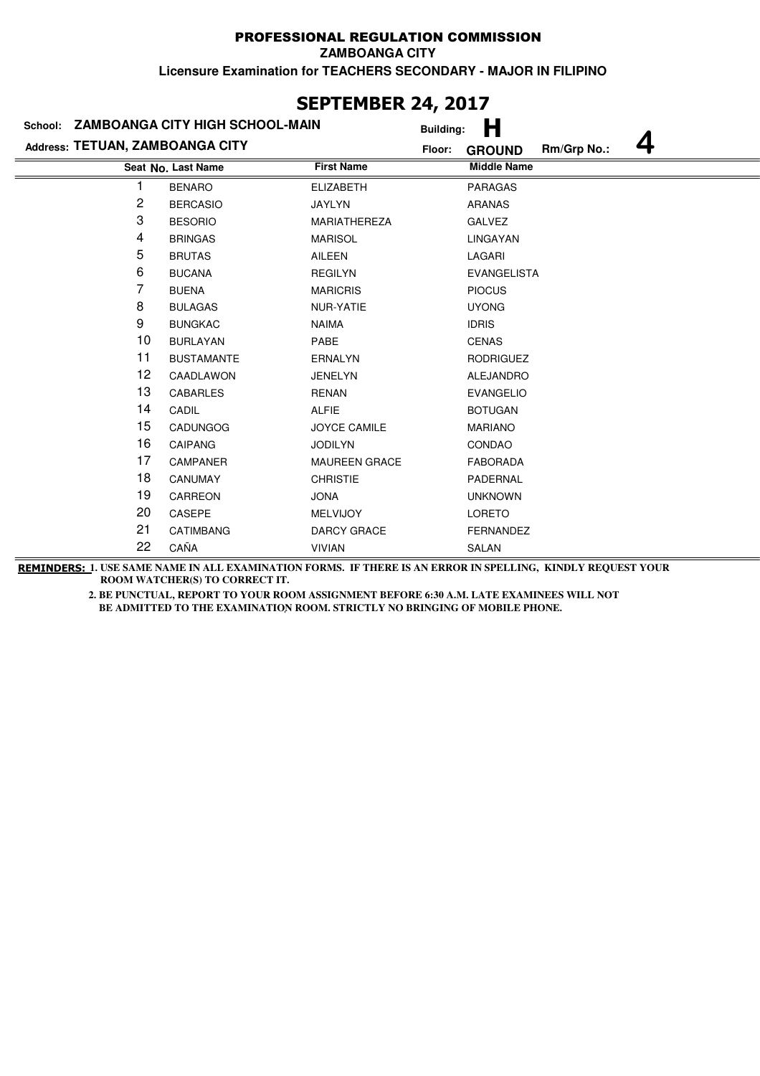**ZAMBOANGA CITY**

**Licensure Examination for TEACHERS SECONDARY - MAJOR IN FILIPINO**

|                                 | School: ZAMBOANGA CITY HIGH SCHOOL-MAIN | <b>Building:</b>     | Н                                 |
|---------------------------------|-----------------------------------------|----------------------|-----------------------------------|
| Address: TETUAN, ZAMBOANGA CITY |                                         | Floor:               | 4<br>Rm/Grp No.:<br><b>GROUND</b> |
|                                 | Seat No. Last Name                      | <b>First Name</b>    | <b>Middle Name</b>                |
|                                 | <b>BENARO</b>                           | <b>ELIZABETH</b>     | <b>PARAGAS</b>                    |
| 2                               | <b>BERCASIO</b>                         | JAYLYN               | <b>ARANAS</b>                     |
| 3                               | <b>BESORIO</b>                          | <b>MARIATHEREZA</b>  | <b>GALVEZ</b>                     |
| 4                               | <b>BRINGAS</b>                          | <b>MARISOL</b>       | LINGAYAN                          |
| 5                               | <b>BRUTAS</b>                           | AILEEN               | LAGARI                            |
| 6                               | <b>BUCANA</b>                           | <b>REGILYN</b>       | <b>EVANGELISTA</b>                |
| 7                               | <b>BUENA</b>                            | <b>MARICRIS</b>      | <b>PIOCUS</b>                     |
| 8                               | <b>BULAGAS</b>                          | NUR-YATIE            | <b>UYONG</b>                      |
| 9                               | <b>BUNGKAC</b>                          | <b>NAIMA</b>         | <b>IDRIS</b>                      |
| 10                              | <b>BURLAYAN</b>                         | PABE                 | <b>CENAS</b>                      |
| 11                              | <b>BUSTAMANTE</b>                       | <b>ERNALYN</b>       | <b>RODRIGUEZ</b>                  |
| 12                              | CAADLAWON                               | <b>JENELYN</b>       | ALEJANDRO                         |
| 13                              | <b>CABARLES</b>                         | <b>RENAN</b>         | <b>EVANGELIO</b>                  |
| 14                              | CADIL                                   | <b>ALFIE</b>         | <b>BOTUGAN</b>                    |
| 15                              | <b>CADUNGOG</b>                         | <b>JOYCE CAMILE</b>  | <b>MARIANO</b>                    |
| 16                              | <b>CAIPANG</b>                          | <b>JODILYN</b>       | CONDAO                            |
| 17                              | <b>CAMPANER</b>                         | <b>MAUREEN GRACE</b> | <b>FABORADA</b>                   |
| 18                              | <b>CANUMAY</b>                          | <b>CHRISTIE</b>      | PADERNAL                          |
| 19                              | CARREON                                 | <b>JONA</b>          | <b>UNKNOWN</b>                    |
| 20                              | CASEPE                                  | <b>MELVIJOY</b>      | <b>LORETO</b>                     |
| 21                              | <b>CATIMBANG</b>                        | <b>DARCY GRACE</b>   | FERNANDEZ                         |
| 22                              | CAÑA                                    | <b>VIVIAN</b>        | <b>SALAN</b>                      |

**REMINDERS: 1. USE SAME NAME IN ALL EXAMINATION FORMS. IF THERE IS AN ERROR IN SPELLING, KINDLY REQUEST YOUR ROOM WATCHER(S) TO CORRECT IT.** 

> **2. BE PUNCTUAL, REPORT TO YOUR ROOM ASSIGNMENT BEFORE 6:30 A.M. LATE EXAMINEES WILL NOT BE ADMITTED TO THE EXAMINATION ROOM. STRICTLY NO BRINGING OF MOBILE PHONE.**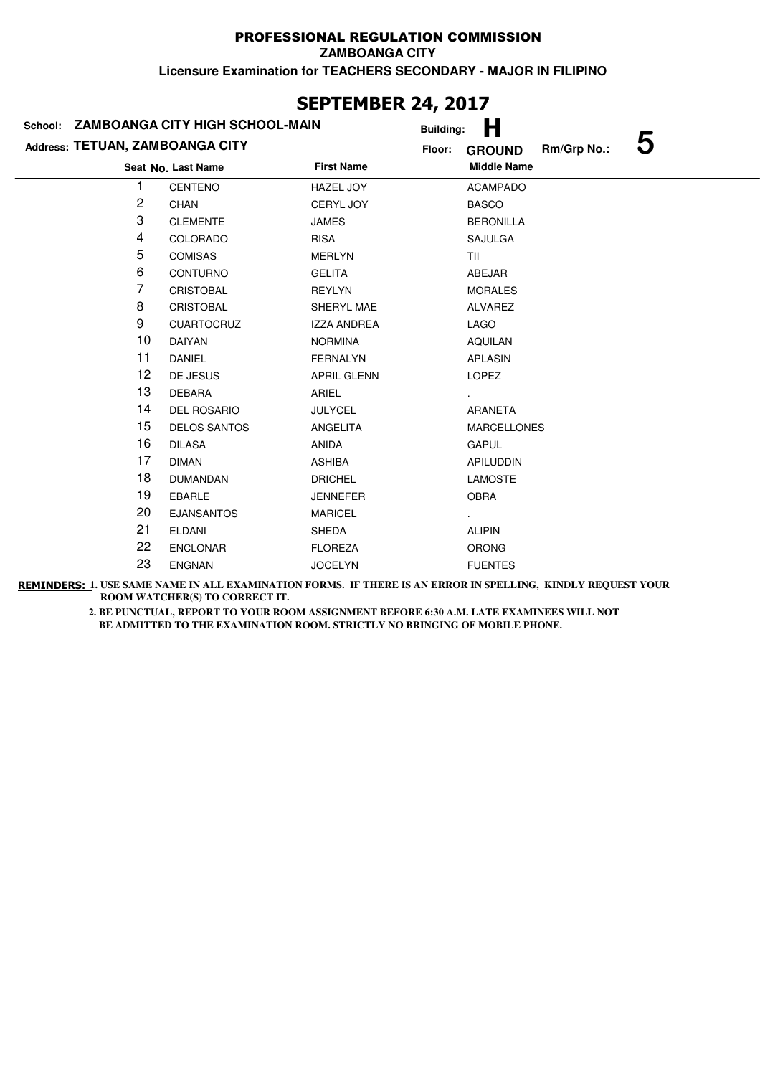**ZAMBOANGA CITY**

**Licensure Examination for TEACHERS SECONDARY - MAJOR IN FILIPINO**

|                                 | School: ZAMBOANGA CITY HIGH SCHOOL-MAIN |                    | .,<br>н<br><b>Building:</b>                 |
|---------------------------------|-----------------------------------------|--------------------|---------------------------------------------|
| Address: TETUAN, ZAMBOANGA CITY |                                         |                    | 5<br>Rm/Grp No.:<br>Floor:<br><b>GROUND</b> |
|                                 | Seat No. Last Name                      | <b>First Name</b>  | <b>Middle Name</b>                          |
|                                 | CENTENO                                 | <b>HAZEL JOY</b>   | <b>ACAMPADO</b>                             |
| 2                               | <b>CHAN</b>                             | <b>CERYL JOY</b>   | <b>BASCO</b>                                |
| 3                               | <b>CLEMENTE</b>                         | <b>JAMES</b>       | <b>BERONILLA</b>                            |
| 4                               | COLORADO                                | <b>RISA</b>        | <b>SAJULGA</b>                              |
| 5                               | <b>COMISAS</b>                          | <b>MERLYN</b>      | TII                                         |
| 6                               | <b>CONTURNO</b>                         | <b>GELITA</b>      | ABEJAR                                      |
| 7                               | <b>CRISTOBAL</b>                        | <b>REYLYN</b>      | <b>MORALES</b>                              |
| 8                               | <b>CRISTOBAL</b>                        | SHERYL MAE         | ALVAREZ                                     |
| 9                               | <b>CUARTOCRUZ</b>                       | <b>IZZA ANDREA</b> | LAGO                                        |
| 10                              | DAIYAN                                  | <b>NORMINA</b>     | <b>AQUILAN</b>                              |
| 11                              | <b>DANIEL</b>                           | <b>FERNALYN</b>    | APLASIN                                     |
| 12                              | DE JESUS                                | <b>APRIL GLENN</b> | <b>LOPEZ</b>                                |
| 13                              | <b>DEBARA</b>                           | ARIEL              |                                             |
| 14                              | DEL ROSARIO                             | <b>JULYCEL</b>     | ARANETA                                     |
| 15                              | <b>DELOS SANTOS</b>                     | ANGELITA           | <b>MARCELLONES</b>                          |
| 16                              | <b>DILASA</b>                           | ANIDA              | <b>GAPUL</b>                                |
| 17                              | <b>DIMAN</b>                            | <b>ASHIBA</b>      | <b>APILUDDIN</b>                            |
| 18                              | <b>DUMANDAN</b>                         | <b>DRICHEL</b>     | <b>LAMOSTE</b>                              |
| 19                              | <b>EBARLE</b>                           | <b>JENNEFER</b>    | <b>OBRA</b>                                 |
| 20                              | <b>EJANSANTOS</b>                       | <b>MARICEL</b>     |                                             |
| 21                              | <b>ELDANI</b>                           | <b>SHEDA</b>       | <b>ALIPIN</b>                               |
| 22                              | <b>ENCLONAR</b>                         | <b>FLOREZA</b>     | <b>ORONG</b>                                |
| 23                              | <b>ENGNAN</b>                           | <b>JOCELYN</b>     | <b>FUENTES</b>                              |

## **SEPTEMBER 24, 2017**

**REMINDERS: 1. USE SAME NAME IN ALL EXAMINATION FORMS. IF THERE IS AN ERROR IN SPELLING, KINDLY REQUEST YOUR ROOM WATCHER(S) TO CORRECT IT.**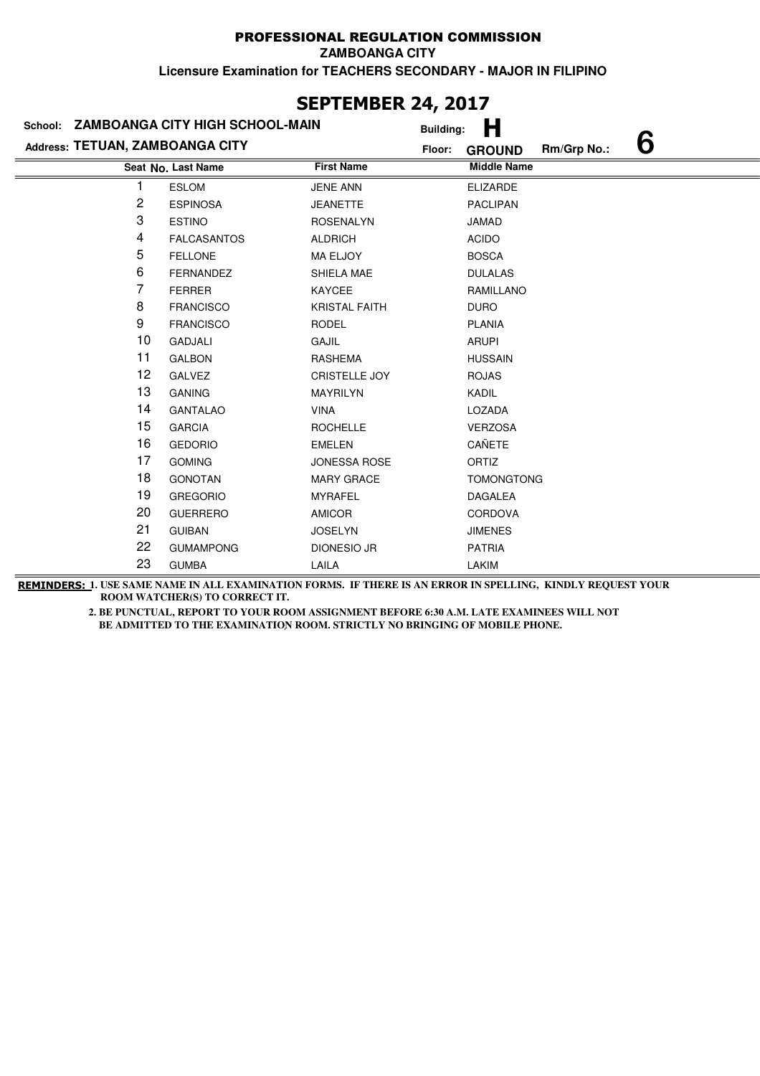**ZAMBOANGA CITY**

**Licensure Examination for TEACHERS SECONDARY - MAJOR IN FILIPINO**

| JLI ILIIDLI\ £TĮ £V1/           |                                         |                      |                  |                    |             |   |  |  |
|---------------------------------|-----------------------------------------|----------------------|------------------|--------------------|-------------|---|--|--|
|                                 | School: ZAMBOANGA CITY HIGH SCHOOL-MAIN |                      | <b>Building:</b> | Н                  |             |   |  |  |
| Address: TETUAN, ZAMBOANGA CITY |                                         |                      | Floor:           | <b>GROUND</b>      | Rm/Grp No.: | 6 |  |  |
|                                 | Seat No. Last Name                      | <b>First Name</b>    |                  | <b>Middle Name</b> |             |   |  |  |
|                                 | <b>ESLOM</b>                            | <b>JENE ANN</b>      |                  | <b>ELIZARDE</b>    |             |   |  |  |
| 2                               | <b>ESPINOSA</b>                         | <b>JEANETTE</b>      |                  | <b>PACLIPAN</b>    |             |   |  |  |
| 3                               | <b>ESTINO</b>                           | <b>ROSENALYN</b>     |                  | <b>JAMAD</b>       |             |   |  |  |
| 4                               | <b>FALCASANTOS</b>                      | <b>ALDRICH</b>       |                  | <b>ACIDO</b>       |             |   |  |  |
| 5                               | <b>FELLONE</b>                          | MA ELJOY             |                  | <b>BOSCA</b>       |             |   |  |  |
| 6                               | <b>FERNANDEZ</b>                        | SHIELA MAE           |                  | <b>DULALAS</b>     |             |   |  |  |
| 7                               | <b>FERRER</b>                           | KAYCEE               |                  | <b>RAMILLANO</b>   |             |   |  |  |
| 8                               | <b>FRANCISCO</b>                        | <b>KRISTAL FAITH</b> |                  | <b>DURO</b>        |             |   |  |  |
| 9                               | <b>FRANCISCO</b>                        | <b>RODEL</b>         |                  | <b>PLANIA</b>      |             |   |  |  |
| 10                              | <b>GADJALI</b>                          | GAJIL                |                  | <b>ARUPI</b>       |             |   |  |  |
| 11                              | <b>GALBON</b>                           | <b>RASHEMA</b>       |                  | <b>HUSSAIN</b>     |             |   |  |  |
| 12                              | <b>GALVEZ</b>                           | <b>CRISTELLE JOY</b> |                  | <b>ROJAS</b>       |             |   |  |  |
| 13                              | <b>GANING</b>                           | <b>MAYRILYN</b>      |                  | KADIL              |             |   |  |  |
| 14                              | <b>GANTALAO</b>                         | <b>VINA</b>          |                  | LOZADA             |             |   |  |  |
| 15                              | <b>GARCIA</b>                           | <b>ROCHELLE</b>      |                  | <b>VERZOSA</b>     |             |   |  |  |
| 16                              | <b>GEDORIO</b>                          | <b>EMELEN</b>        |                  | CAÑETE             |             |   |  |  |
| 17                              | <b>GOMING</b>                           | <b>JONESSA ROSE</b>  |                  | ORTIZ              |             |   |  |  |
| 18                              | <b>GONOTAN</b>                          | <b>MARY GRACE</b>    |                  | <b>TOMONGTONG</b>  |             |   |  |  |
| 19                              | <b>GREGORIO</b>                         | <b>MYRAFEL</b>       |                  | <b>DAGALEA</b>     |             |   |  |  |
| 20                              | <b>GUERRERO</b>                         | <b>AMICOR</b>        |                  | CORDOVA            |             |   |  |  |
| 21                              | <b>GUIBAN</b>                           | <b>JOSELYN</b>       |                  | <b>JIMENES</b>     |             |   |  |  |
| 22                              | <b>GUMAMPONG</b>                        | <b>DIONESIO JR</b>   |                  | <b>PATRIA</b>      |             |   |  |  |
| 23                              | <b>GUMBA</b>                            | LAILA                |                  | <b>LAKIM</b>       |             |   |  |  |

## **SEPTEMBER 24, 2017**

**REMINDERS: 1. USE SAME NAME IN ALL EXAMINATION FORMS. IF THERE IS AN ERROR IN SPELLING, KINDLY REQUEST YOUR ROOM WATCHER(S) TO CORRECT IT.**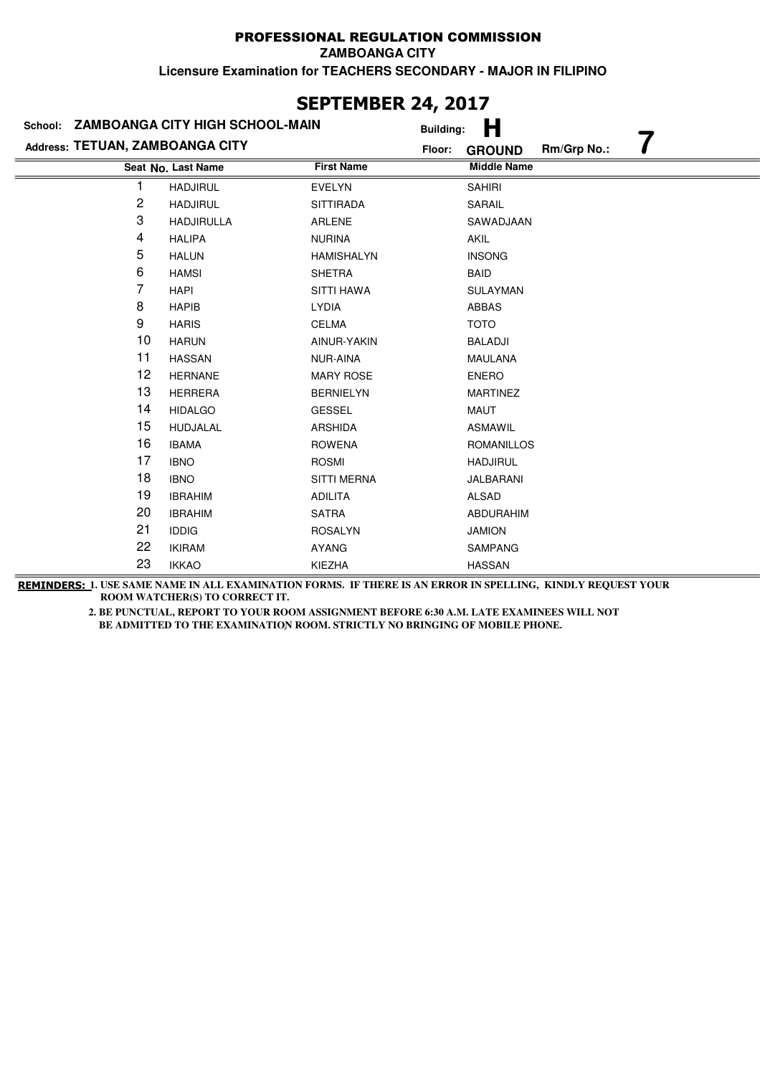**ZAMBOANGA CITY**

**Licensure Examination for TEACHERS SECONDARY - MAJOR IN FILIPINO**

|                                 | School: ZAMBOANGA CITY HIGH SCHOOL-MAIN | <b>Building:</b>   | Н                            |
|---------------------------------|-----------------------------------------|--------------------|------------------------------|
| Address: TETUAN, ZAMBOANGA CITY |                                         | Floor:             | Rm/Grp No.:<br><b>GROUND</b> |
|                                 | Seat No. Last Name                      | <b>First Name</b>  | <b>Middle Name</b>           |
|                                 | <b>HADJIRUL</b>                         | <b>EVELYN</b>      | <b>SAHIRI</b>                |
| 2                               | <b>HADJIRUL</b>                         | <b>SITTIRADA</b>   | <b>SARAIL</b>                |
| 3                               | <b>HADJIRULLA</b>                       | <b>ARLENE</b>      | SAWADJAAN                    |
| 4                               | <b>HALIPA</b>                           | <b>NURINA</b>      | <b>AKIL</b>                  |
| 5                               | <b>HALUN</b>                            | <b>HAMISHALYN</b>  | <b>INSONG</b>                |
| 6                               | <b>HAMSI</b>                            | <b>SHETRA</b>      | BAID                         |
| 7                               | <b>HAPI</b>                             | <b>SITTI HAWA</b>  | <b>SULAYMAN</b>              |
| 8                               | <b>HAPIB</b>                            | <b>LYDIA</b>       | ABBAS                        |
| 9                               | <b>HARIS</b>                            | <b>CELMA</b>       | <b>TOTO</b>                  |
| 10                              | <b>HARUN</b>                            | AINUR-YAKIN        | <b>BALADJI</b>               |
| 11                              | <b>HASSAN</b>                           | NUR-AINA           | <b>MAULANA</b>               |
| 12                              | <b>HERNANE</b>                          | <b>MARY ROSE</b>   | <b>ENERO</b>                 |
| 13                              | <b>HERRERA</b>                          | <b>BERNIELYN</b>   | <b>MARTINEZ</b>              |
| 14                              | <b>HIDALGO</b>                          | <b>GESSEL</b>      | MAUT                         |
| 15                              | HUDJALAL                                | <b>ARSHIDA</b>     | <b>ASMAWIL</b>               |
| 16                              | <b>IBAMA</b>                            | <b>ROWENA</b>      | <b>ROMANILLOS</b>            |
| 17                              | <b>IBNO</b>                             | <b>ROSMI</b>       | <b>HADJIRUL</b>              |
| 18                              | <b>IBNO</b>                             | <b>SITTI MERNA</b> | JALBARANI                    |
| 19                              | <b>IBRAHIM</b>                          | <b>ADILITA</b>     | ALSAD                        |
| 20                              | <b>IBRAHIM</b>                          | <b>SATRA</b>       | ABDURAHIM                    |
| 21                              | <b>IDDIG</b>                            | <b>ROSALYN</b>     | <b>JAMION</b>                |
| 22                              | <b>IKIRAM</b>                           | <b>AYANG</b>       | <b>SAMPANG</b>               |
| 23                              | <b>IKKAO</b>                            | KIEZHA             | <b>HASSAN</b>                |

## **SEPTEMBER 24, 2017**

**REMINDERS: 1. USE SAME NAME IN ALL EXAMINATION FORMS. IF THERE IS AN ERROR IN SPELLING, KINDLY REQUEST YOUR ROOM WATCHER(S) TO CORRECT IT.**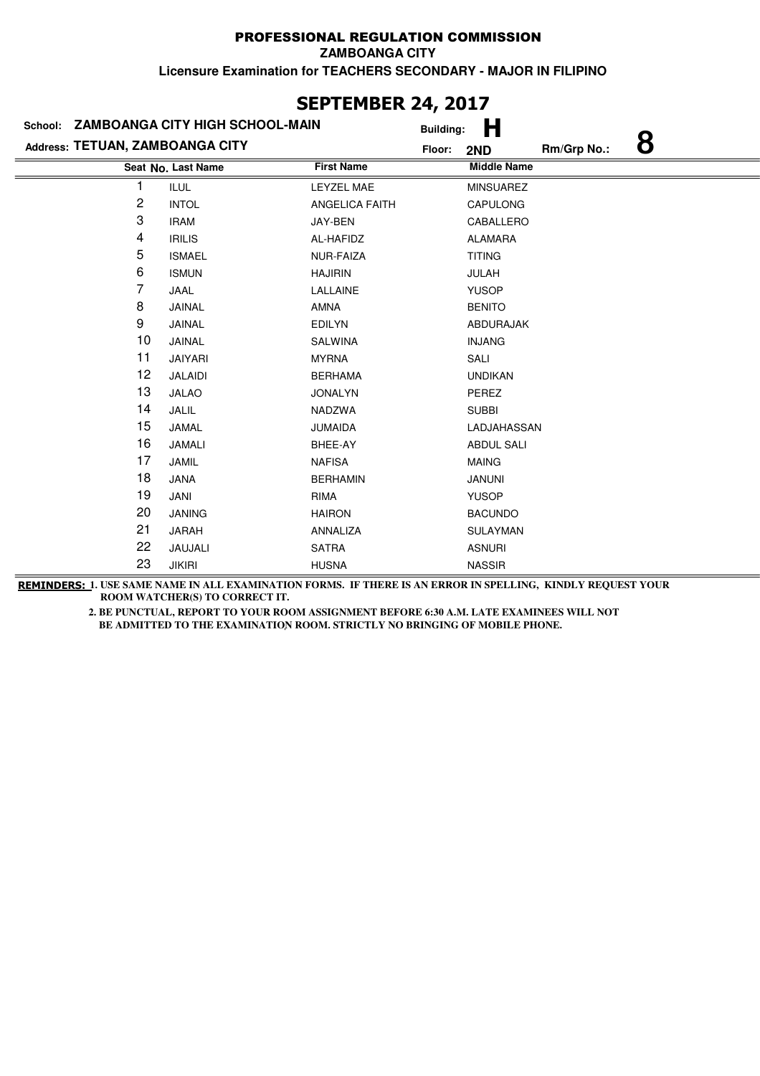### **Last Name First Name Middle Name Seat No. Address: TETUAN, ZAMBOANGA CITY School: ZAMBOANGA CITY HIGH SCHOOL-MAIN Building: H Floor: 2ND Rm/Grp No.: 8** 1 ILUL LEYZEL MAE MINSUAREZ 2 INTOL ANGELICA FAITH CAPULONG 3 IRAM JAY-BEN CABALLERO 4 IRILIS AL-HAFIDZ ALAMARA 5 ISMAEL NUR-FAIZA TITING 6 ISMUN HAJIRIN JULAH 7 JAAL LALLAINE YUSOP 8 JAINAL AMNA AMA 9 JAINAL EDILYN ABDURAJAK 10 JAINAL SALWINA SALWINA INJANG 11 JAIYARI MYRNA SALI 12 JALAIDI BERHAMA UNDIKAN 13 JALAO JONALYN PEREZ 14 JALIL NADZWA SUBBI 15 JAMAL JUMAIDA LADJAHASSAN 16 JAMALI BHEE-AY ABDUL SALI 17 JAMIL NAFISA NAFISA MAING 18 JANA BERHAMIN JANUNI 19 JANI RIMA YUSOP 20 JANING HAIRON BACUNDO 21 JARAH ANNALIZA SULAYMAN 22 JAUJALI SATRA SATRA ASNURI 23 JIKIRI HUSNA HUSNA NASSIR

**SEPTEMBER 24, 2017**

**REMINDERS: 1. USE SAME NAME IN ALL EXAMINATION FORMS. IF THERE IS AN ERROR IN SPELLING, KINDLY REQUEST YOUR ROOM WATCHER(S) TO CORRECT IT.**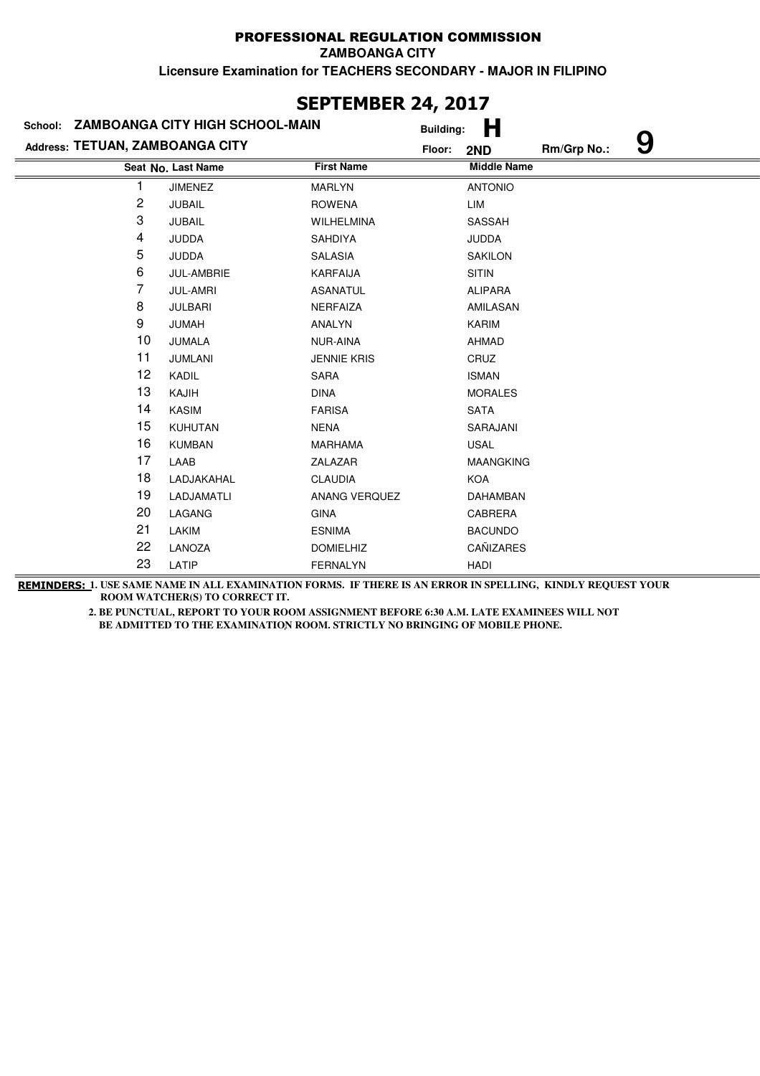|                                 | JLI ILITIDLIN ATĮ AVIJ<br>School: ZAMBOANGA CITY HIGH SCHOOL-MAIN<br><b>Building:</b> |                    |        |                    |             |   |  |
|---------------------------------|---------------------------------------------------------------------------------------|--------------------|--------|--------------------|-------------|---|--|
| Address: TETUAN, ZAMBOANGA CITY |                                                                                       |                    | Floor: | н<br>2ND           | Rm/Grp No.: | 9 |  |
|                                 | Seat No. Last Name                                                                    | <b>First Name</b>  |        | <b>Middle Name</b> |             |   |  |
| 1                               | <b>JIMENEZ</b>                                                                        | MARLYN             |        | <b>ANTONIO</b>     |             |   |  |
| 2                               | <b>JUBAIL</b>                                                                         | <b>ROWENA</b>      |        | LIM                |             |   |  |
| 3                               | <b>JUBAIL</b>                                                                         | WILHELMINA         |        | SASSAH             |             |   |  |
| 4                               | <b>JUDDA</b>                                                                          | SAHDIYA            |        | <b>JUDDA</b>       |             |   |  |
| 5                               | <b>JUDDA</b>                                                                          | SALASIA            |        | <b>SAKILON</b>     |             |   |  |
| 6                               | JUL-AMBRIE                                                                            | <b>KARFAIJA</b>    |        | <b>SITIN</b>       |             |   |  |
| 7                               | <b>JUL-AMRI</b>                                                                       | <b>ASANATUL</b>    |        | <b>ALIPARA</b>     |             |   |  |
| 8                               | <b>JULBARI</b>                                                                        | NERFAIZA           |        | AMILASAN           |             |   |  |
| 9                               | <b>JUMAH</b>                                                                          | ANALYN             |        | KARIM              |             |   |  |
| 10                              | JUMALA                                                                                | NUR-AINA           |        | <b>AHMAD</b>       |             |   |  |
| 11                              | <b>JUMLANI</b>                                                                        | <b>JENNIE KRIS</b> |        | CRUZ               |             |   |  |
| 12                              | KADIL                                                                                 | SARA               |        | <b>ISMAN</b>       |             |   |  |
| 13                              | KAJIH                                                                                 | <b>DINA</b>        |        | <b>MORALES</b>     |             |   |  |
| 14                              | <b>KASIM</b>                                                                          | <b>FARISA</b>      |        | <b>SATA</b>        |             |   |  |
| 15                              | <b>KUHUTAN</b>                                                                        | <b>NENA</b>        |        | SARAJANI           |             |   |  |
| 16                              | <b>KUMBAN</b>                                                                         | <b>MARHAMA</b>     |        | <b>USAL</b>        |             |   |  |
| 17                              | LAAB                                                                                  | ZALAZAR            |        | <b>MAANGKING</b>   |             |   |  |
| 18                              | LADJAKAHAL                                                                            | <b>CLAUDIA</b>     |        | <b>KOA</b>         |             |   |  |
| 19                              | LADJAMATLI                                                                            | ANANG VERQUEZ      |        | <b>DAHAMBAN</b>    |             |   |  |
| 20                              | LAGANG                                                                                | <b>GINA</b>        |        | CABRERA            |             |   |  |
| 21                              | LAKIM                                                                                 | <b>ESNIMA</b>      |        | <b>BACUNDO</b>     |             |   |  |
| 22                              | LANOZA                                                                                | <b>DOMIELHIZ</b>   |        | CAÑIZARES          |             |   |  |
| 23                              | LATIP                                                                                 | <b>FERNALYN</b>    |        | <b>HADI</b>        |             |   |  |

**SEPTEMBER 24, 2017**

**REMINDERS: 1. USE SAME NAME IN ALL EXAMINATION FORMS. IF THERE IS AN ERROR IN SPELLING, KINDLY REQUEST YOUR ROOM WATCHER(S) TO CORRECT IT.**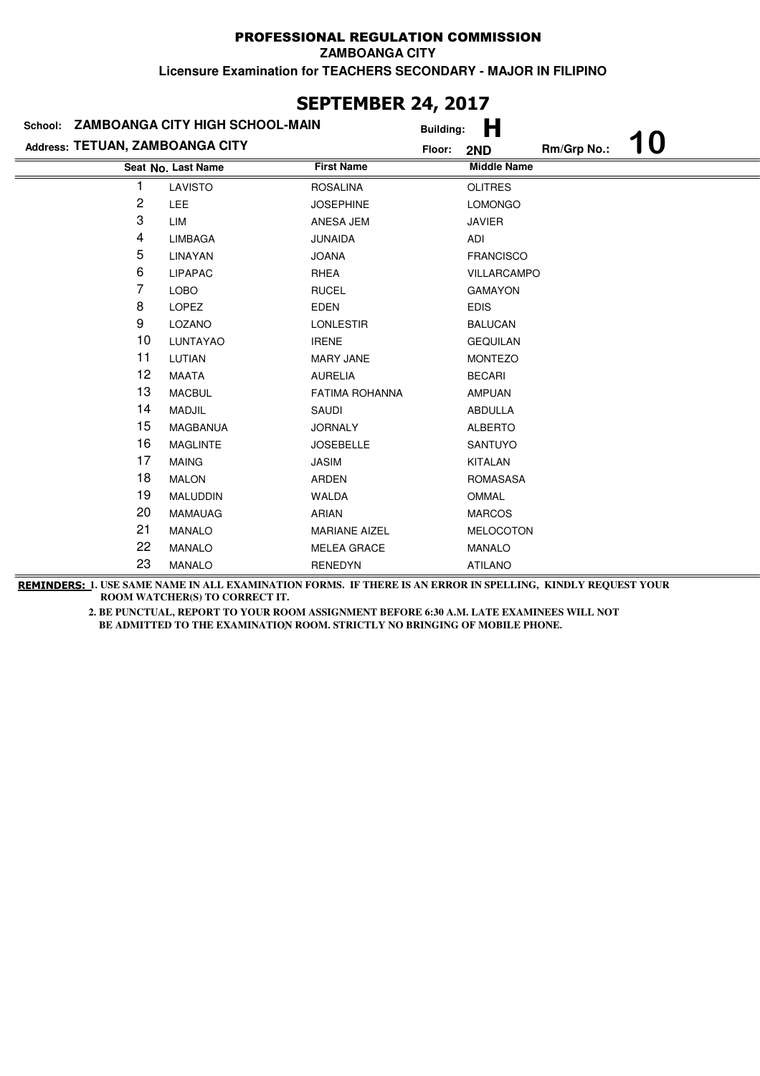| JLI ILIIDLI\ £TĮ £V1/           |                                         |                       |                  |                    |             |           |  |  |
|---------------------------------|-----------------------------------------|-----------------------|------------------|--------------------|-------------|-----------|--|--|
|                                 | School: ZAMBOANGA CITY HIGH SCHOOL-MAIN |                       | <b>Building:</b> | Н                  |             |           |  |  |
| Address: TETUAN, ZAMBOANGA CITY |                                         |                       | Floor:           | 2ND                | Rm/Grp No.: | <b>10</b> |  |  |
|                                 | Seat No. Last Name                      | <b>First Name</b>     |                  | <b>Middle Name</b> |             |           |  |  |
| 1                               | LAVISTO                                 | <b>ROSALINA</b>       |                  | <b>OLITRES</b>     |             |           |  |  |
| 2                               | LEE                                     | <b>JOSEPHINE</b>      |                  | <b>LOMONGO</b>     |             |           |  |  |
| 3                               | <b>LIM</b>                              | ANESA JEM             |                  | <b>JAVIER</b>      |             |           |  |  |
| 4                               | <b>LIMBAGA</b>                          | <b>JUNAIDA</b>        |                  | ADI                |             |           |  |  |
| 5                               | LINAYAN                                 | <b>JOANA</b>          |                  | <b>FRANCISCO</b>   |             |           |  |  |
| 6                               | <b>LIPAPAC</b>                          | <b>RHEA</b>           |                  | <b>VILLARCAMPO</b> |             |           |  |  |
| 7                               | <b>LOBO</b>                             | <b>RUCEL</b>          |                  | <b>GAMAYON</b>     |             |           |  |  |
| 8                               | <b>LOPEZ</b>                            | <b>EDEN</b>           |                  | <b>EDIS</b>        |             |           |  |  |
| 9                               | LOZANO                                  | <b>LONLESTIR</b>      |                  | <b>BALUCAN</b>     |             |           |  |  |
| 10                              | LUNTAYAO                                | <b>IRENE</b>          |                  | <b>GEQUILAN</b>    |             |           |  |  |
| 11                              | LUTIAN                                  | <b>MARY JANE</b>      |                  | <b>MONTEZO</b>     |             |           |  |  |
| 12                              | <b>MAATA</b>                            | <b>AURELIA</b>        |                  | <b>BECARI</b>      |             |           |  |  |
| 13                              | <b>MACBUL</b>                           | <b>FATIMA ROHANNA</b> |                  | <b>AMPUAN</b>      |             |           |  |  |
| 14                              | <b>MADJIL</b>                           | SAUDI                 |                  | <b>ABDULLA</b>     |             |           |  |  |
| 15                              | <b>MAGBANUA</b>                         | <b>JORNALY</b>        |                  | <b>ALBERTO</b>     |             |           |  |  |
| 16                              | <b>MAGLINTE</b>                         | <b>JOSEBELLE</b>      |                  | <b>SANTUYO</b>     |             |           |  |  |
| 17                              | <b>MAING</b>                            | <b>JASIM</b>          |                  | <b>KITALAN</b>     |             |           |  |  |
| 18                              | <b>MALON</b>                            | ARDEN                 |                  | <b>ROMASASA</b>    |             |           |  |  |
| 19                              | <b>MALUDDIN</b>                         | WALDA                 |                  | OMMAL              |             |           |  |  |
| 20                              | <b>MAMAUAG</b>                          | <b>ARIAN</b>          |                  | <b>MARCOS</b>      |             |           |  |  |
| 21                              | <b>MANALO</b>                           | <b>MARIANE AIZEL</b>  |                  | MELOCOTON          |             |           |  |  |
| 22                              | <b>MANALO</b>                           | <b>MELEA GRACE</b>    |                  | <b>MANALO</b>      |             |           |  |  |
| 23                              | <b>MANALO</b>                           | <b>RENEDYN</b>        |                  | <b>ATILANO</b>     |             |           |  |  |

## **SEPTEMBER 24, 2017**

**REMINDERS: 1. USE SAME NAME IN ALL EXAMINATION FORMS. IF THERE IS AN ERROR IN SPELLING, KINDLY REQUEST YOUR ROOM WATCHER(S) TO CORRECT IT.**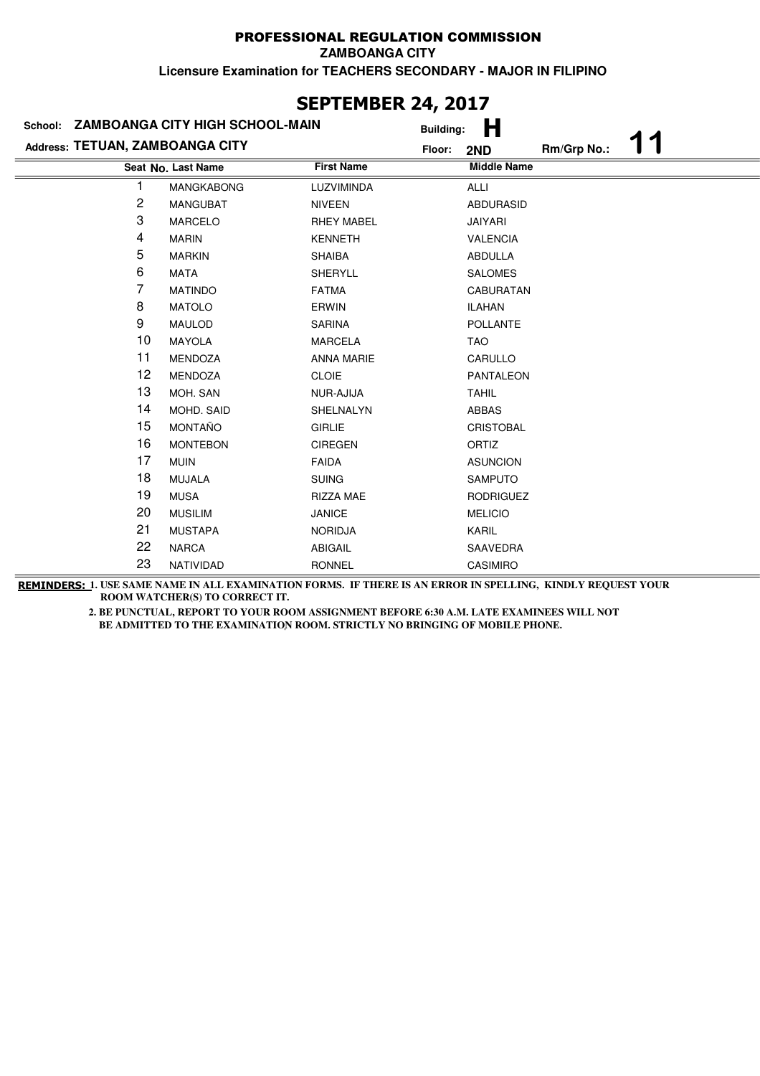| <b>SEPIEMBER 24, 2017</b>       |                                         |                   |                  |                    |             |  |  |  |
|---------------------------------|-----------------------------------------|-------------------|------------------|--------------------|-------------|--|--|--|
|                                 | School: ZAMBOANGA CITY HIGH SCHOOL-MAIN |                   | <b>Building:</b> | н                  |             |  |  |  |
| Address: TETUAN, ZAMBOANGA CITY |                                         |                   | Floor:           | 2ND                | Rm/Grp No.: |  |  |  |
|                                 | Seat No. Last Name                      | <b>First Name</b> |                  | <b>Middle Name</b> |             |  |  |  |
|                                 | MANGKABONG                              | LUZVIMINDA        |                  | <b>ALLI</b>        |             |  |  |  |
| 2                               | <b>MANGUBAT</b>                         | <b>NIVEEN</b>     |                  | <b>ABDURASID</b>   |             |  |  |  |
| 3                               | <b>MARCELO</b>                          | <b>RHEY MABEL</b> |                  | <b>JAIYARI</b>     |             |  |  |  |
| 4                               | <b>MARIN</b>                            | <b>KENNETH</b>    |                  | <b>VALENCIA</b>    |             |  |  |  |
| 5                               | <b>MARKIN</b>                           | <b>SHAIBA</b>     |                  | <b>ABDULLA</b>     |             |  |  |  |
| 6                               | <b>MATA</b>                             | <b>SHERYLL</b>    |                  | <b>SALOMES</b>     |             |  |  |  |
| 7                               | <b>MATINDO</b>                          | <b>FATMA</b>      |                  | <b>CABURATAN</b>   |             |  |  |  |
| 8                               | <b>MATOLO</b>                           | ERWIN             |                  | <b>ILAHAN</b>      |             |  |  |  |
| 9                               | <b>MAULOD</b>                           | <b>SARINA</b>     |                  | <b>POLLANTE</b>    |             |  |  |  |
| 10                              | <b>MAYOLA</b>                           | <b>MARCELA</b>    |                  | <b>TAO</b>         |             |  |  |  |
| 11                              | <b>MENDOZA</b>                          | <b>ANNA MARIE</b> |                  | CARULLO            |             |  |  |  |
| 12                              | <b>MENDOZA</b>                          | <b>CLOIE</b>      |                  | <b>PANTALEON</b>   |             |  |  |  |
| 13                              | MOH. SAN                                | NUR-AJIJA         |                  | <b>TAHIL</b>       |             |  |  |  |
| 14                              | MOHD. SAID                              | SHELNALYN         |                  | <b>ABBAS</b>       |             |  |  |  |
| 15                              | <b>MONTAÑO</b>                          | <b>GIRLIE</b>     |                  | <b>CRISTOBAL</b>   |             |  |  |  |
| 16                              | <b>MONTEBON</b>                         | <b>CIREGEN</b>    |                  | <b>ORTIZ</b>       |             |  |  |  |
| 17                              | <b>MUIN</b>                             | <b>FAIDA</b>      |                  | <b>ASUNCION</b>    |             |  |  |  |
| 18                              | MUJALA                                  | <b>SUING</b>      |                  | <b>SAMPUTO</b>     |             |  |  |  |
| 19                              | <b>MUSA</b>                             | <b>RIZZA MAE</b>  |                  | <b>RODRIGUEZ</b>   |             |  |  |  |
| 20                              | <b>MUSILIM</b>                          | <b>JANICE</b>     |                  | <b>MELICIO</b>     |             |  |  |  |
| 21                              | <b>MUSTAPA</b>                          | <b>NORIDJA</b>    |                  | KARIL              |             |  |  |  |
| 22                              | <b>NARCA</b>                            | <b>ABIGAIL</b>    |                  | SAAVEDRA           |             |  |  |  |
| 23                              | NATIVIDAD                               | <b>RONNEL</b>     |                  | CASIMIRO           |             |  |  |  |

# **SEPTEMBER 24, 2017**

**REMINDERS: 1. USE SAME NAME IN ALL EXAMINATION FORMS. IF THERE IS AN ERROR IN SPELLING, KINDLY REQUEST YOUR ROOM WATCHER(S) TO CORRECT IT.**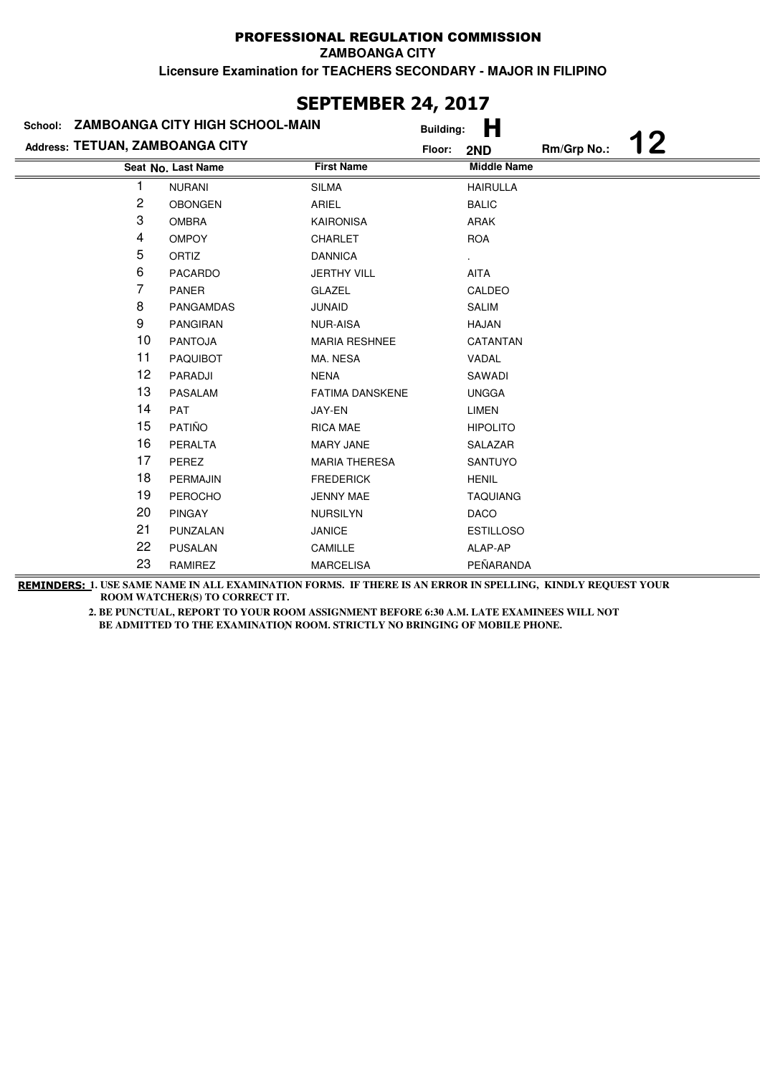|                                 |                                        | <b>SEPTEMBER 24, 2017</b> |                  |                    |             |    |
|---------------------------------|----------------------------------------|---------------------------|------------------|--------------------|-------------|----|
| School:                         | <b>ZAMBOANGA CITY HIGH SCHOOL-MAIN</b> |                           | <b>Building:</b> | Н                  |             |    |
| Address: TETUAN, ZAMBOANGA CITY |                                        |                           | Floor:           | 2ND                | Rm/Grp No.: | 12 |
|                                 | Seat No. Last Name                     | <b>First Name</b>         |                  | <b>Middle Name</b> |             |    |
| 1                               | <b>NURANI</b>                          | <b>SILMA</b>              |                  | <b>HAIRULLA</b>    |             |    |
| 2                               | <b>OBONGEN</b>                         | ARIEL                     |                  | <b>BALIC</b>       |             |    |
| 3                               | <b>OMBRA</b>                           | <b>KAIRONISA</b>          |                  | ARAK               |             |    |
| 4                               | <b>OMPOY</b>                           | <b>CHARLET</b>            |                  | <b>ROA</b>         |             |    |
| 5                               | ORTIZ                                  | <b>DANNICA</b>            |                  |                    |             |    |
| 6                               | <b>PACARDO</b>                         | <b>JERTHY VILL</b>        |                  | <b>AITA</b>        |             |    |
| 7                               | <b>PANER</b>                           | <b>GLAZEL</b>             |                  | CALDEO             |             |    |
| 8                               | <b>PANGAMDAS</b>                       | <b>JUNAID</b>             |                  | <b>SALIM</b>       |             |    |
| 9                               | <b>PANGIRAN</b>                        | <b>NUR-AISA</b>           |                  | <b>HAJAN</b>       |             |    |
| 10                              | <b>PANTOJA</b>                         | <b>MARIA RESHNEE</b>      |                  | CATANTAN           |             |    |
| 11                              | <b>PAQUIBOT</b>                        | MA. NESA                  |                  | VADAL              |             |    |
| 12                              | PARADJI                                | <b>NENA</b>               |                  | SAWADI             |             |    |
| 13                              | PASALAM                                | <b>FATIMA DANSKENE</b>    |                  | <b>UNGGA</b>       |             |    |
| 14                              | PAT                                    | JAY-EN                    |                  | <b>LIMEN</b>       |             |    |
| 15                              | PATIÑO                                 | <b>RICA MAE</b>           |                  | <b>HIPOLITO</b>    |             |    |
| 16                              | <b>PERALTA</b>                         | <b>MARY JANE</b>          |                  | SALAZAR            |             |    |
| 17                              | PEREZ                                  | <b>MARIA THERESA</b>      |                  | SANTUYO            |             |    |
| 18                              | PERMAJIN                               | <b>FREDERICK</b>          |                  | <b>HENIL</b>       |             |    |
| 19                              | <b>PEROCHO</b>                         | <b>JENNY MAE</b>          |                  | <b>TAQUIANG</b>    |             |    |
| 20                              | <b>PINGAY</b>                          | <b>NURSILYN</b>           |                  | <b>DACO</b>        |             |    |
| 21                              | PUNZALAN                               | <b>JANICE</b>             |                  | <b>ESTILLOSO</b>   |             |    |
| 22                              | <b>PUSALAN</b>                         | CAMILLE                   |                  | ALAP-AP            |             |    |
| 23                              | RAMIREZ                                | <b>MARCELISA</b>          |                  | PEÑARANDA          |             |    |

# **SEPTEMBER 24, 2017**

**REMINDERS: 1. USE SAME NAME IN ALL EXAMINATION FORMS. IF THERE IS AN ERROR IN SPELLING, KINDLY REQUEST YOUR ROOM WATCHER(S) TO CORRECT IT.**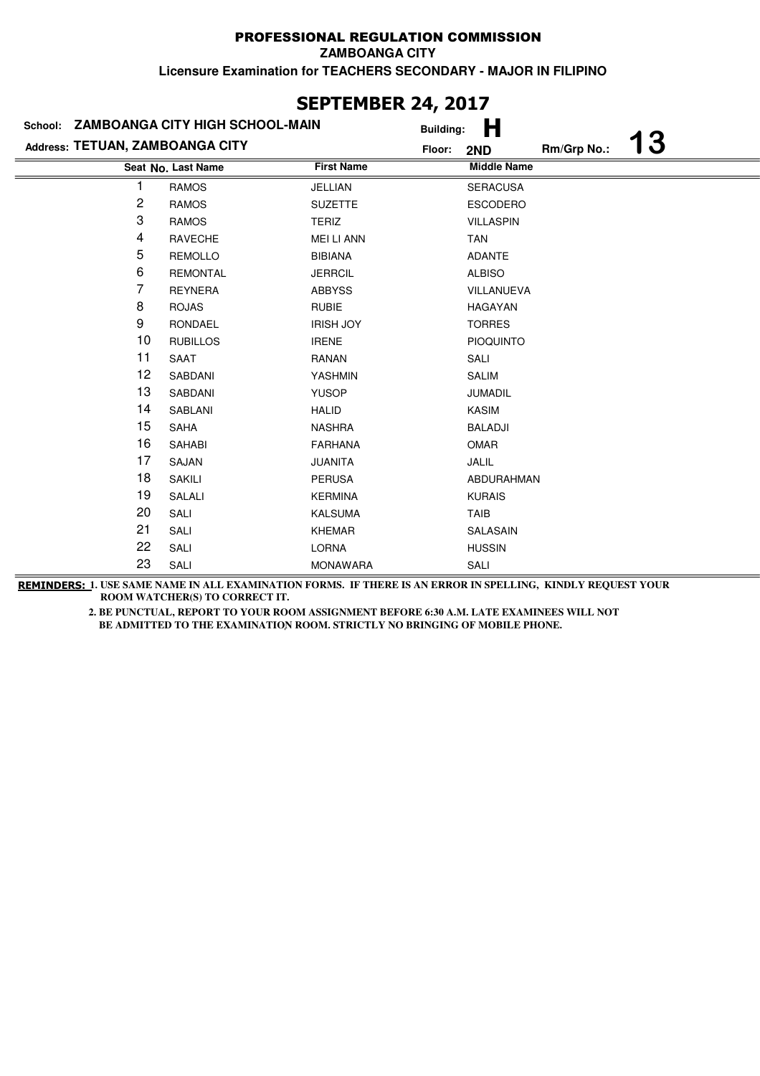| SEPIEMBER 24, 2017              |                                         |                   |                  |                    |             |           |  |
|---------------------------------|-----------------------------------------|-------------------|------------------|--------------------|-------------|-----------|--|
|                                 | School: ZAMBOANGA CITY HIGH SCHOOL-MAIN |                   | <b>Building:</b> | Н                  |             |           |  |
| Address: TETUAN, ZAMBOANGA CITY |                                         |                   | Floor:           | 2ND                | Rm/Grp No.: | <b>13</b> |  |
|                                 | Seat No. Last Name                      | <b>First Name</b> |                  | <b>Middle Name</b> |             |           |  |
|                                 | <b>RAMOS</b>                            | JELLIAN           |                  | <b>SERACUSA</b>    |             |           |  |
| $\overline{c}$                  | <b>RAMOS</b>                            | <b>SUZETTE</b>    |                  | <b>ESCODERO</b>    |             |           |  |
| 3                               | <b>RAMOS</b>                            | <b>TERIZ</b>      |                  | <b>VILLASPIN</b>   |             |           |  |
| 4                               | <b>RAVECHE</b>                          | <b>MEI LI ANN</b> |                  | <b>TAN</b>         |             |           |  |
| 5                               | <b>REMOLLO</b>                          | <b>BIBIANA</b>    |                  | <b>ADANTE</b>      |             |           |  |
| 6                               | <b>REMONTAL</b>                         | <b>JERRCIL</b>    |                  | <b>ALBISO</b>      |             |           |  |
| 7                               | <b>REYNERA</b>                          | <b>ABBYSS</b>     |                  | VILLANUEVA         |             |           |  |
| 8                               | <b>ROJAS</b>                            | <b>RUBIE</b>      |                  | <b>HAGAYAN</b>     |             |           |  |
| 9                               | RONDAEL                                 | <b>IRISH JOY</b>  |                  | <b>TORRES</b>      |             |           |  |
| 10                              | <b>RUBILLOS</b>                         | <b>IRENE</b>      |                  | <b>PIOQUINTO</b>   |             |           |  |
| 11                              | SAAT                                    | RANAN             |                  | SALI               |             |           |  |
| 12                              | SABDANI                                 | YASHMIN           |                  | <b>SALIM</b>       |             |           |  |
| 13                              | SABDANI                                 | <b>YUSOP</b>      |                  | <b>JUMADIL</b>     |             |           |  |
| 14                              | <b>SABLANI</b>                          | <b>HALID</b>      |                  | <b>KASIM</b>       |             |           |  |
| 15                              | SAHA                                    | <b>NASHRA</b>     |                  | <b>BALADJI</b>     |             |           |  |
| 16                              | SAHABI                                  | <b>FARHANA</b>    |                  | OMAR               |             |           |  |
| 17                              | SAJAN                                   | <b>JUANITA</b>    |                  | JALIL              |             |           |  |
| 18                              | <b>SAKILI</b>                           | <b>PERUSA</b>     |                  | ABDURAHMAN         |             |           |  |
| 19                              | SALALI                                  | <b>KERMINA</b>    |                  | <b>KURAIS</b>      |             |           |  |
| 20                              | SALI                                    | <b>KALSUMA</b>    |                  | <b>TAIB</b>        |             |           |  |
| 21                              | SALI                                    | <b>KHEMAR</b>     |                  | SALASAIN           |             |           |  |
| 22                              | SALI                                    | <b>LORNA</b>      |                  | <b>HUSSIN</b>      |             |           |  |
| 23                              | SALI                                    | <b>MONAWARA</b>   |                  | SALI               |             |           |  |

# **SEPTEMBER 24, 2017**

**REMINDERS: 1. USE SAME NAME IN ALL EXAMINATION FORMS. IF THERE IS AN ERROR IN SPELLING, KINDLY REQUEST YOUR ROOM WATCHER(S) TO CORRECT IT.**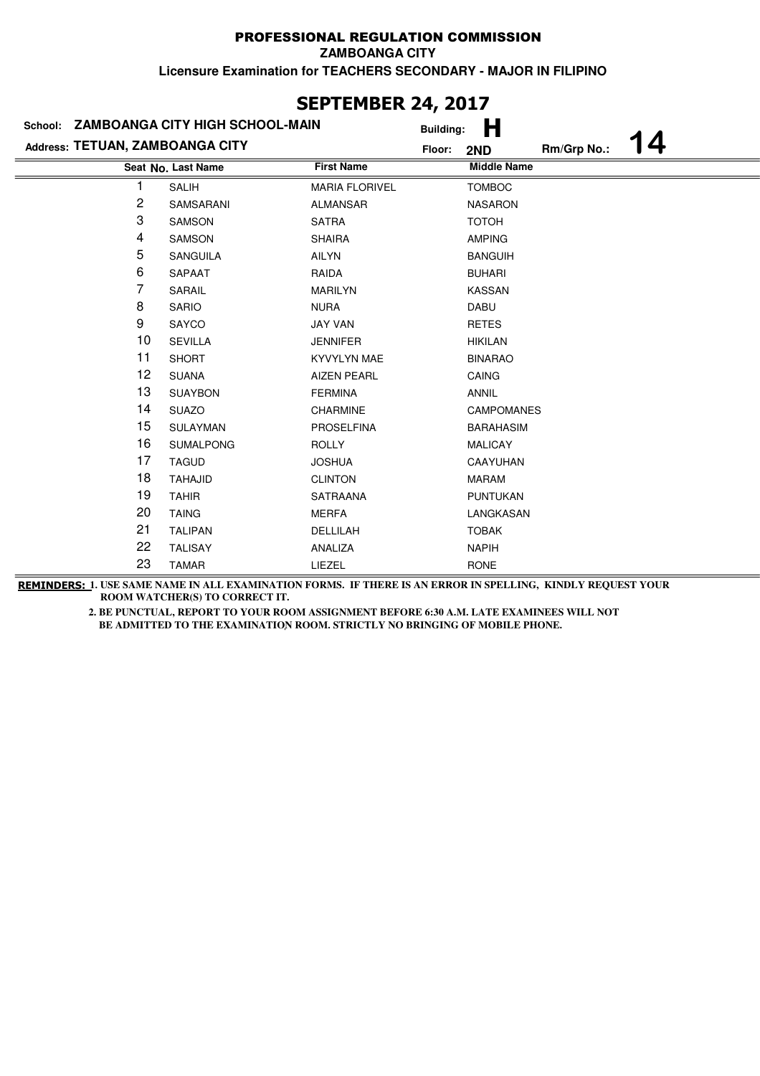| SEPIEMBER 24, 2017              |                                         |                       |                  |                    |             |    |  |
|---------------------------------|-----------------------------------------|-----------------------|------------------|--------------------|-------------|----|--|
|                                 | School: ZAMBOANGA CITY HIGH SCHOOL-MAIN |                       | <b>Building:</b> | Н                  |             |    |  |
| Address: TETUAN, ZAMBOANGA CITY |                                         |                       | Floor:           | 2ND                | Rm/Grp No.: | 14 |  |
|                                 | Seat No. Last Name                      | <b>First Name</b>     |                  | <b>Middle Name</b> |             |    |  |
|                                 | <b>SALIH</b>                            | <b>MARIA FLORIVEL</b> |                  | <b>TOMBOC</b>      |             |    |  |
| 2                               | SAMSARANI                               | <b>ALMANSAR</b>       |                  | <b>NASARON</b>     |             |    |  |
| 3                               | SAMSON                                  | <b>SATRA</b>          |                  | <b>TOTOH</b>       |             |    |  |
| 4                               | SAMSON                                  | <b>SHAIRA</b>         |                  | <b>AMPING</b>      |             |    |  |
| 5                               | <b>SANGUILA</b>                         | <b>AILYN</b>          |                  | <b>BANGUIH</b>     |             |    |  |
| 6                               | SAPAAT                                  | RAIDA                 |                  | <b>BUHARI</b>      |             |    |  |
| 7                               | SARAIL                                  | <b>MARILYN</b>        |                  | <b>KASSAN</b>      |             |    |  |
| 8                               | <b>SARIO</b>                            | <b>NURA</b>           |                  | DABU               |             |    |  |
| 9                               | SAYCO                                   | <b>JAY VAN</b>        |                  | <b>RETES</b>       |             |    |  |
| 10                              | <b>SEVILLA</b>                          | <b>JENNIFER</b>       |                  | <b>HIKILAN</b>     |             |    |  |
| 11                              | <b>SHORT</b>                            | <b>KYVYLYN MAE</b>    |                  | <b>BINARAO</b>     |             |    |  |
| 12                              | <b>SUANA</b>                            | <b>AIZEN PEARL</b>    |                  | <b>CAING</b>       |             |    |  |
| 13                              | <b>SUAYBON</b>                          | <b>FERMINA</b>        |                  | <b>ANNIL</b>       |             |    |  |
| 14                              | <b>SUAZO</b>                            | CHARMINE              |                  | <b>CAMPOMANES</b>  |             |    |  |
| 15                              | SULAYMAN                                | <b>PROSELFINA</b>     |                  | <b>BARAHASIM</b>   |             |    |  |
| 16                              | <b>SUMALPONG</b>                        | <b>ROLLY</b>          |                  | <b>MALICAY</b>     |             |    |  |
| 17                              | <b>TAGUD</b>                            | <b>JOSHUA</b>         |                  | CAAYUHAN           |             |    |  |
| 18                              | <b>TAHAJID</b>                          | <b>CLINTON</b>        |                  | <b>MARAM</b>       |             |    |  |
| 19                              | <b>TAHIR</b>                            | <b>SATRAANA</b>       |                  | <b>PUNTUKAN</b>    |             |    |  |
| 20                              | <b>TAING</b>                            | <b>MERFA</b>          |                  | LANGKASAN          |             |    |  |
| 21                              | <b>TALIPAN</b>                          | DELLILAH              |                  | <b>TOBAK</b>       |             |    |  |
| 22                              | <b>TALISAY</b>                          | ANALIZA               |                  | <b>NAPIH</b>       |             |    |  |
| 23                              | <b>TAMAR</b>                            | LIEZEL                |                  | <b>RONE</b>        |             |    |  |

# **SEPTEMBER 24, 2017**

**REMINDERS: 1. USE SAME NAME IN ALL EXAMINATION FORMS. IF THERE IS AN ERROR IN SPELLING, KINDLY REQUEST YOUR ROOM WATCHER(S) TO CORRECT IT.**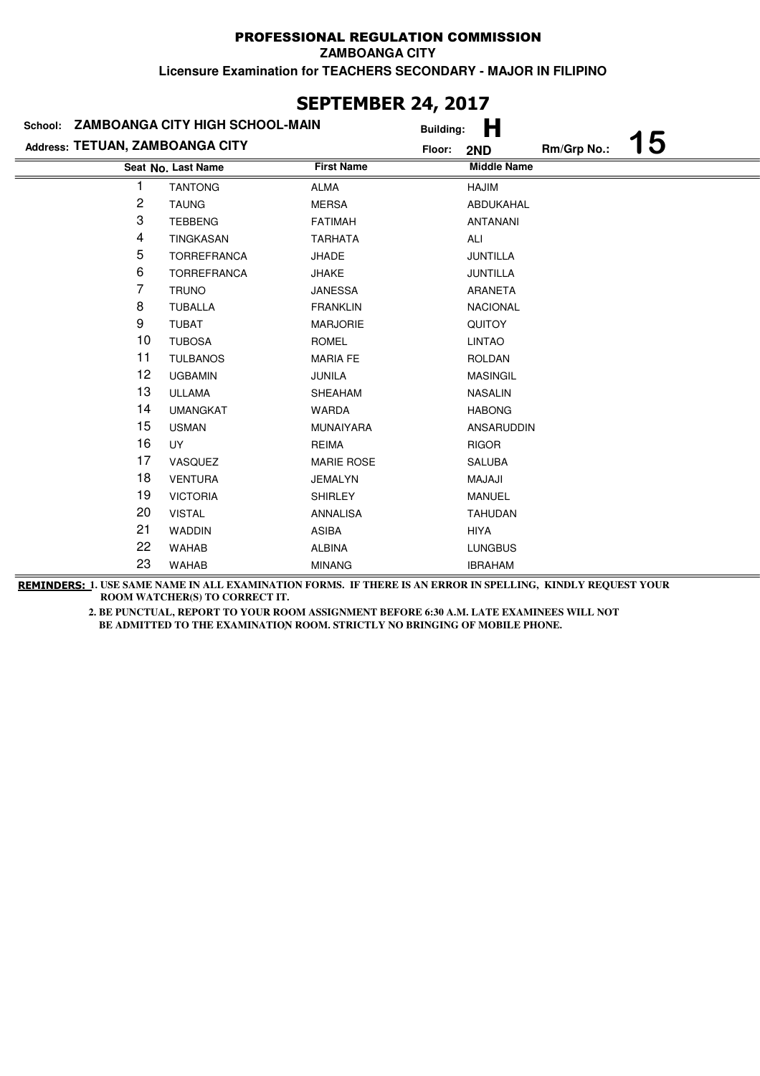| <b>SEPTEMBER 24, 2017</b>       |                                 |                   |                  |                    |             |           |  |
|---------------------------------|---------------------------------|-------------------|------------------|--------------------|-------------|-----------|--|
| School:                         | ZAMBOANGA CITY HIGH SCHOOL-MAIN |                   | <b>Building:</b> | н                  |             |           |  |
| Address: TETUAN, ZAMBOANGA CITY |                                 | Floor:            |                  | 2ND                | Rm/Grp No.: | <b>15</b> |  |
|                                 | Seat No. Last Name              | <b>First Name</b> |                  | <b>Middle Name</b> |             |           |  |
| 1                               | <b>TANTONG</b>                  | ALMA              |                  | HAJIM              |             |           |  |
| 2                               | <b>TAUNG</b>                    | <b>MERSA</b>      |                  | ABDUKAHAL          |             |           |  |
| 3                               | <b>TEBBENG</b>                  | <b>FATIMAH</b>    |                  | <b>ANTANANI</b>    |             |           |  |
| 4                               | TINGKASAN                       | <b>TARHATA</b>    |                  | ALI                |             |           |  |
| 5                               | <b>TORREFRANCA</b>              | <b>JHADE</b>      |                  | <b>JUNTILLA</b>    |             |           |  |
| 6                               | <b>TORREFRANCA</b>              | <b>JHAKE</b>      |                  | <b>JUNTILLA</b>    |             |           |  |
| 7                               | <b>TRUNO</b>                    | <b>JANESSA</b>    |                  | ARANETA            |             |           |  |
| 8                               | <b>TUBALLA</b>                  | <b>FRANKLIN</b>   |                  | <b>NACIONAL</b>    |             |           |  |
| 9                               | <b>TUBAT</b>                    | <b>MARJORIE</b>   |                  | <b>QUITOY</b>      |             |           |  |
| 10                              | <b>TUBOSA</b>                   | <b>ROMEL</b>      |                  | <b>LINTAO</b>      |             |           |  |
| 11                              | <b>TULBANOS</b>                 | <b>MARIA FE</b>   |                  | <b>ROLDAN</b>      |             |           |  |
| 12                              | <b>UGBAMIN</b>                  | JUNILA            |                  | <b>MASINGIL</b>    |             |           |  |
| 13                              | <b>ULLAMA</b>                   | <b>SHEAHAM</b>    |                  | <b>NASALIN</b>     |             |           |  |
| 14                              | <b>UMANGKAT</b>                 | <b>WARDA</b>      |                  | <b>HABONG</b>      |             |           |  |
| 15                              | <b>USMAN</b>                    | <b>MUNAIYARA</b>  |                  | ANSARUDDIN         |             |           |  |
| 16                              | <b>UY</b>                       | <b>REIMA</b>      |                  | <b>RIGOR</b>       |             |           |  |
| 17                              | VASQUEZ                         | <b>MARIE ROSE</b> |                  | <b>SALUBA</b>      |             |           |  |
| 18                              | <b>VENTURA</b>                  | <b>JEMALYN</b>    |                  | <b>ILALAM</b>      |             |           |  |
| 19                              | <b>VICTORIA</b>                 | <b>SHIRLEY</b>    |                  | <b>MANUEL</b>      |             |           |  |
| 20                              | <b>VISTAL</b>                   | <b>ANNALISA</b>   |                  | <b>TAHUDAN</b>     |             |           |  |
| 21                              | <b>WADDIN</b>                   | <b>ASIBA</b>      |                  | <b>HIYA</b>        |             |           |  |
| 22                              | <b>WAHAB</b>                    | <b>ALBINA</b>     |                  | <b>LUNGBUS</b>     |             |           |  |
| 23                              | <b>WAHAB</b>                    | <b>MINANG</b>     |                  | <b>IBRAHAM</b>     |             |           |  |

# **SEPTEMBER 24, 2017**

**REMINDERS: 1. USE SAME NAME IN ALL EXAMINATION FORMS. IF THERE IS AN ERROR IN SPELLING, KINDLY REQUEST YOUR ROOM WATCHER(S) TO CORRECT IT.**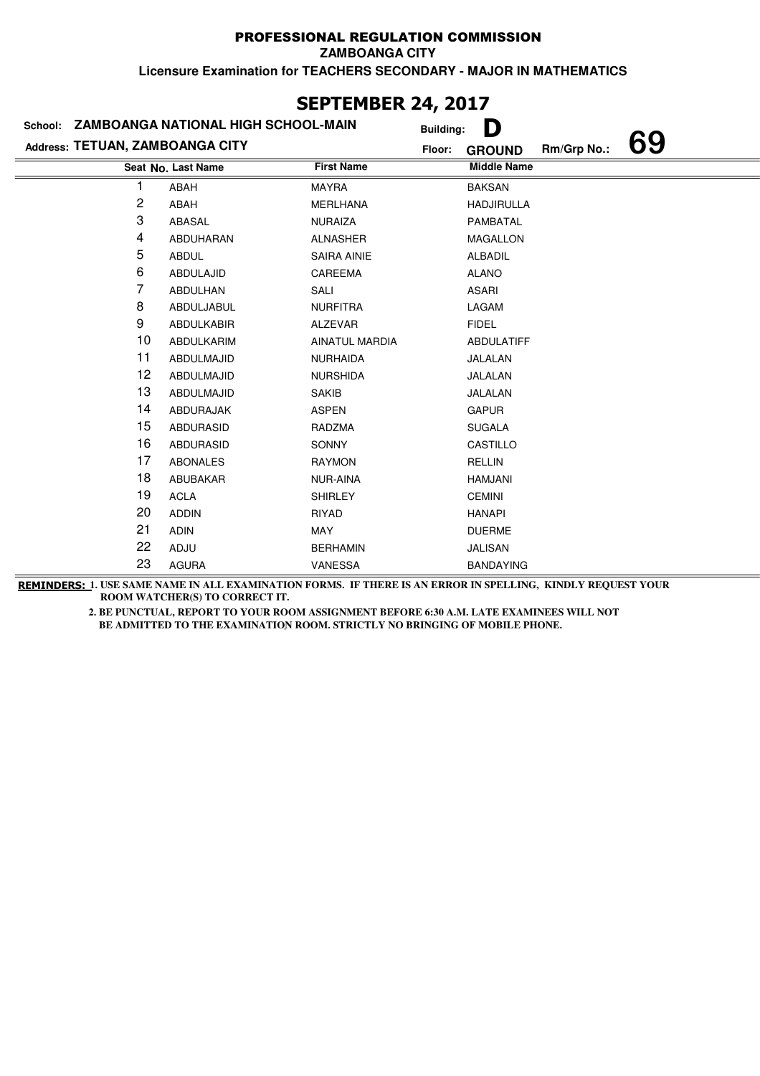**ZAMBOANGA CITY**

**Licensure Examination for TEACHERS SECONDARY - MAJOR IN MATHEMATICS**

|                                 | VLI IEFIDEI\ <del>A</del> tį <b>av</b> ij<br>ZAMBOANGA NATIONAL HIGH SCHOOL-MAIN |                    |                  |                    |             |    |  |  |
|---------------------------------|----------------------------------------------------------------------------------|--------------------|------------------|--------------------|-------------|----|--|--|
| School:                         |                                                                                  |                    | <b>Building:</b> | D                  |             |    |  |  |
| Address: TETUAN, ZAMBOANGA CITY |                                                                                  |                    | Floor:           | <b>GROUND</b>      | Rm/Grp No.: | 69 |  |  |
|                                 | Seat No. Last Name                                                               | <b>First Name</b>  |                  | <b>Middle Name</b> |             |    |  |  |
|                                 | ABAH                                                                             | <b>MAYRA</b>       |                  | <b>BAKSAN</b>      |             |    |  |  |
| 2                               | ABAH                                                                             | <b>MERLHANA</b>    |                  | <b>HADJIRULLA</b>  |             |    |  |  |
| 3                               | ABASAL                                                                           | <b>NURAIZA</b>     |                  | PAMBATAL           |             |    |  |  |
| 4                               | ABDUHARAN                                                                        | <b>ALNASHER</b>    |                  | <b>MAGALLON</b>    |             |    |  |  |
| 5                               | <b>ABDUL</b>                                                                     | <b>SAIRA AINIE</b> |                  | <b>ALBADIL</b>     |             |    |  |  |
| 6                               | ABDULAJID                                                                        | CAREEMA            |                  | <b>ALANO</b>       |             |    |  |  |
| 7                               | ABDULHAN                                                                         | SALI               |                  | <b>ASARI</b>       |             |    |  |  |
| 8                               | ABDULJABUL                                                                       | <b>NURFITRA</b>    |                  | LAGAM              |             |    |  |  |
| 9                               | <b>ABDULKABIR</b>                                                                | <b>ALZEVAR</b>     |                  | <b>FIDEL</b>       |             |    |  |  |
| 10                              | ABDULKARIM                                                                       | AINATUL MARDIA     |                  | <b>ABDULATIFF</b>  |             |    |  |  |
| 11                              | ABDULMAJID                                                                       | <b>NURHAIDA</b>    |                  | JALALAN            |             |    |  |  |
| 12                              | ABDULMAJID                                                                       | <b>NURSHIDA</b>    |                  | JALALAN            |             |    |  |  |
| 13                              | ABDULMAJID                                                                       | <b>SAKIB</b>       |                  | JALALAN            |             |    |  |  |
| 14                              | ABDURAJAK                                                                        | <b>ASPEN</b>       |                  | <b>GAPUR</b>       |             |    |  |  |
| 15                              | <b>ABDURASID</b>                                                                 | <b>RADZMA</b>      |                  | <b>SUGALA</b>      |             |    |  |  |
| 16                              | <b>ABDURASID</b>                                                                 | <b>SONNY</b>       |                  | CASTILLO           |             |    |  |  |
| 17                              | <b>ABONALES</b>                                                                  | <b>RAYMON</b>      |                  | <b>RELLIN</b>      |             |    |  |  |
| 18                              | ABUBAKAR                                                                         | NUR-AINA           |                  | <b>HAMJANI</b>     |             |    |  |  |
| 19                              | <b>ACLA</b>                                                                      | <b>SHIRLEY</b>     |                  | <b>CEMINI</b>      |             |    |  |  |
| 20                              | <b>ADDIN</b>                                                                     | <b>RIYAD</b>       |                  | <b>HANAPI</b>      |             |    |  |  |
| 21                              | <b>ADIN</b>                                                                      | MAY                |                  | <b>DUERME</b>      |             |    |  |  |
| 22                              | ADJU                                                                             | <b>BERHAMIN</b>    |                  | <b>JALISAN</b>     |             |    |  |  |
| 23                              | <b>AGURA</b>                                                                     | VANESSA            |                  | <b>BANDAYING</b>   |             |    |  |  |

### **SEPTEMBER 24, 2017**

**REMINDERS: 1. USE SAME NAME IN ALL EXAMINATION FORMS. IF THERE IS AN ERROR IN SPELLING, KINDLY REQUEST YOUR ROOM WATCHER(S) TO CORRECT IT.**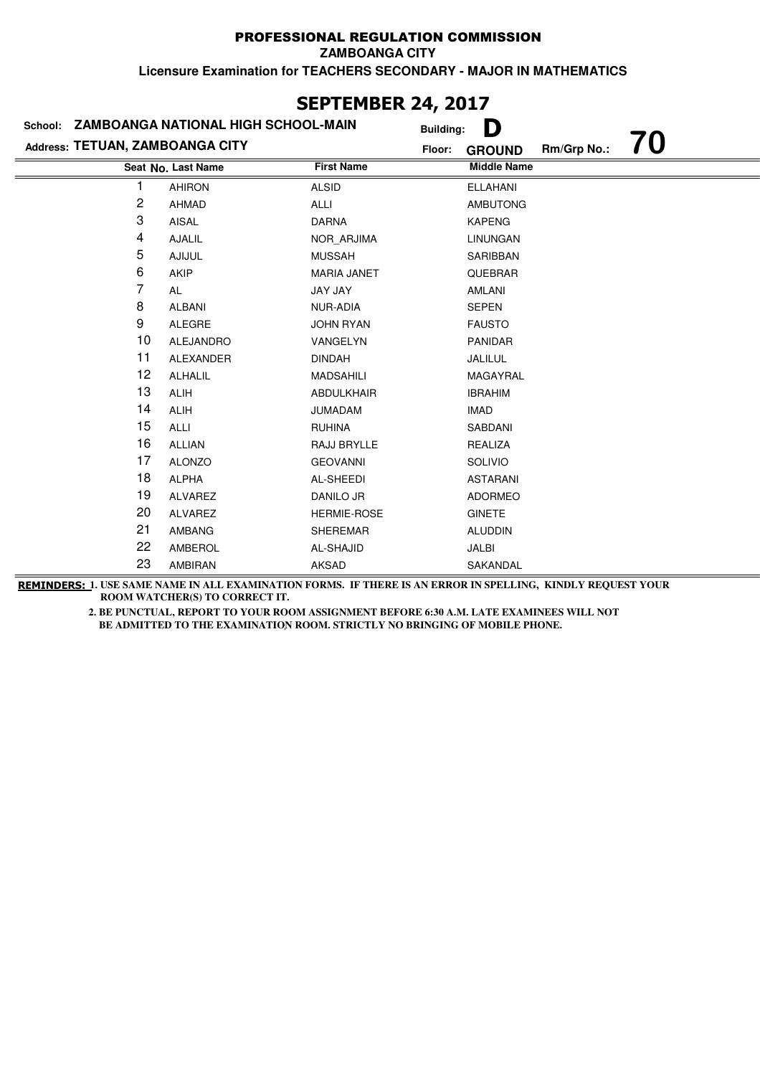# **SEPTEMBER 24, 2017**

|                                 | School: ZAMBOANGA NATIONAL HIGH SCHOOL-MAIN |                    | D<br><b>Building:</b>                        |
|---------------------------------|---------------------------------------------|--------------------|----------------------------------------------|
| Address: TETUAN, ZAMBOANGA CITY |                                             |                    | 70<br>Rm/Grp No.:<br>Floor:<br><b>GROUND</b> |
|                                 | Seat No. Last Name                          | <b>First Name</b>  | <b>Middle Name</b>                           |
|                                 | <b>AHIRON</b>                               | <b>ALSID</b>       | <b>ELLAHANI</b>                              |
| 2                               | <b>AHMAD</b>                                | ALLI               | <b>AMBUTONG</b>                              |
| 3                               | AISAL                                       | <b>DARNA</b>       | <b>KAPENG</b>                                |
| 4                               | AJALIL                                      | NOR ARJIMA         | <b>LINUNGAN</b>                              |
| 5                               | <b>AJIJUL</b>                               | <b>MUSSAH</b>      | SARIBBAN                                     |
| 6                               | AKIP                                        | <b>MARIA JANET</b> | QUEBRAR                                      |
| 7                               | AL                                          | JAY JAY            | <b>AMLANI</b>                                |
| 8                               | <b>ALBANI</b>                               | NUR-ADIA           | <b>SEPEN</b>                                 |
| 9                               | ALEGRE                                      | <b>JOHN RYAN</b>   | <b>FAUSTO</b>                                |
| 10                              | ALEJANDRO                                   | VANGELYN           | PANIDAR                                      |
| 11                              | ALEXANDER                                   | <b>DINDAH</b>      | JALILUL                                      |
| 12                              | <b>ALHALIL</b>                              | <b>MADSAHILI</b>   | MAGAYRAL                                     |
| 13                              | <b>ALIH</b>                                 | ABDULKHAIR         | <b>IBRAHIM</b>                               |
| 14                              | <b>ALIH</b>                                 | <b>JUMADAM</b>     | <b>IMAD</b>                                  |
| 15                              | <b>ALLI</b>                                 | <b>RUHINA</b>      | SABDANI                                      |
| 16                              | <b>ALLIAN</b>                               | RAJJ BRYLLE        | REALIZA                                      |
| 17                              | <b>ALONZO</b>                               | <b>GEOVANNI</b>    | SOLIVIO                                      |
| 18                              | <b>ALPHA</b>                                | AL-SHEEDI          | <b>ASTARANI</b>                              |
| 19                              | ALVAREZ                                     | DANILO JR          | <b>ADORMEO</b>                               |
| 20                              | ALVAREZ                                     | <b>HERMIE-ROSE</b> | <b>GINETE</b>                                |
| 21                              | AMBANG                                      | <b>SHEREMAR</b>    | <b>ALUDDIN</b>                               |
| 22                              | AMBEROL                                     | AL-SHAJID          | JALBI                                        |
| 23                              | AMBIRAN                                     | AKSAD              | SAKANDAL                                     |

**REMINDERS: 1. USE SAME NAME IN ALL EXAMINATION FORMS. IF THERE IS AN ERROR IN SPELLING, KINDLY REQUEST YOUR ROOM WATCHER(S) TO CORRECT IT.**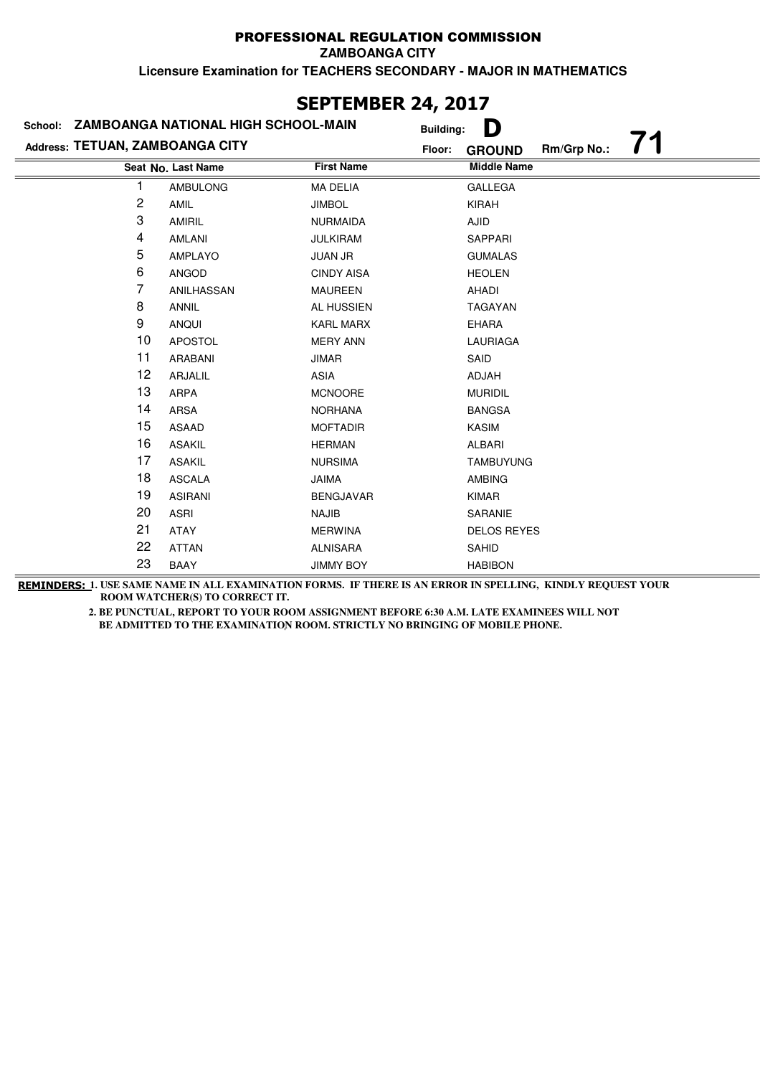### **Last Name Middle Name Address: TETUAN, ZAMBOANGA CITY School: ZAMBOANGA NATIONAL HIGH SCHOOL-MAIN Building: D Floor: GROUND Rm/Grp No.: 71 Seat No.** 1 AMBULONG MA DELIA GALLEGA 2 AMIL JIMBOL **IMBOL** KIRAH 3 AMIRIL NURMAIDA AJID 4 AMLANI JULKIRAM SAPPARI 5 AMPLAYO JUAN JR GUMALAS 6 ANGOD CINDY AISA HEOLEN 7 ANILHASSAN MAUREEN AHADI 8 ANNIL AL HUSSIEN TAGAYAN 9 ANQUI KARL MARX EHARA 10 APOSTOL MERY ANN LAURIAGA 11 ARABANI JIMAR SAID 12 ARJALIL ASIA ASIA ADJAH 13 ARPA MCNOORE MURIDIL 14 ARSA NORHANA BANGSA 15 ASAAD MOFTADIR KASIM 16 ASAKIL HERMAN HERMAN ALBARI 17 ASAKIL NURSIMA TAMBUYUNG 18 ASCALA JAIMA JAMBING 19 ASIRANI BENGJAVAR KIMAR 20 ASRI NAJIB SARANIE 21 ATAY MERWINA DELOS REYES 22 ATTAN ALNISARA SAHID 23 BAAY JIMMY BOY HABIBON

**SEPTEMBER 24, 2017**

**REMINDERS: 1. USE SAME NAME IN ALL EXAMINATION FORMS. IF THERE IS AN ERROR IN SPELLING, KINDLY REQUEST YOUR ROOM WATCHER(S) TO CORRECT IT.**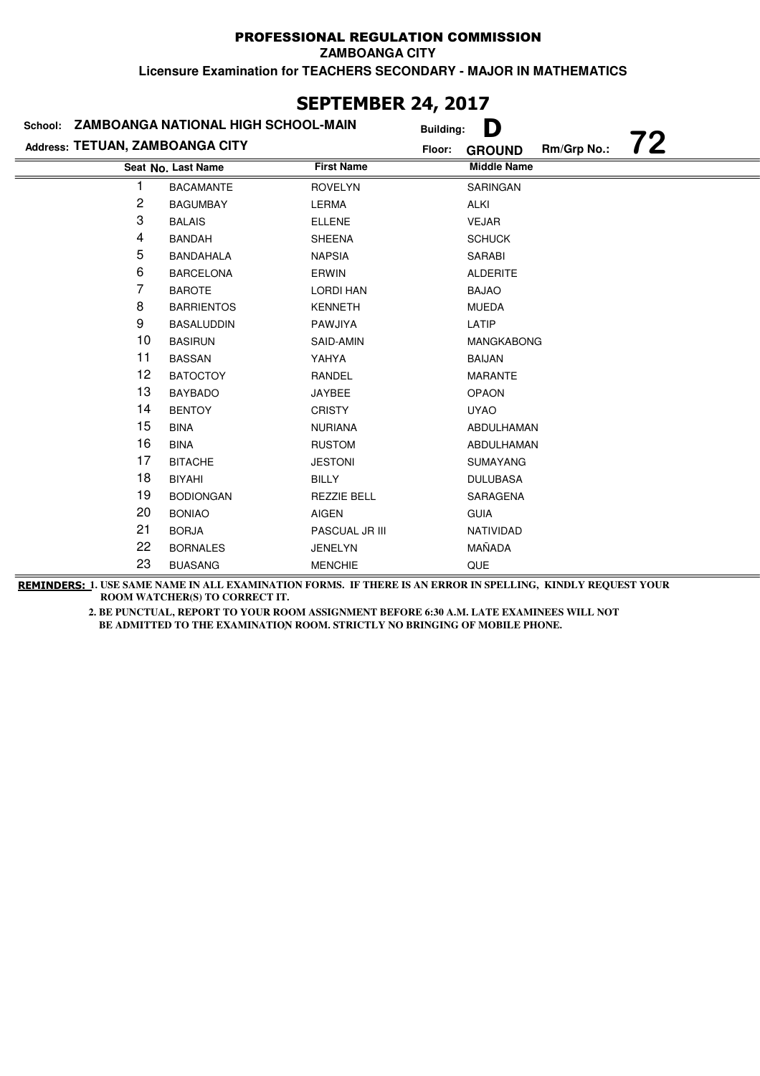#### PROFESSIONAL REGULATION COMMISSION **ZAMBOANGA CITY**

**Licensure Examination for TEACHERS SECONDARY - MAJOR IN MATHEMATICS**

|                                 |                                     | JLF ILITIDLIN 47, 4V1/ |                                              |
|---------------------------------|-------------------------------------|------------------------|----------------------------------------------|
| School:                         | ZAMBOANGA NATIONAL HIGH SCHOOL-MAIN |                        | D<br><b>Building:</b>                        |
| Address: TETUAN, ZAMBOANGA CITY |                                     |                        | 72<br>Rm/Grp No.:<br>Floor:<br><b>GROUND</b> |
|                                 | Seat No. Last Name                  | <b>First Name</b>      | <b>Middle Name</b>                           |
|                                 | <b>BACAMANTE</b>                    | <b>ROVELYN</b>         | <b>SARINGAN</b>                              |
| 2                               | <b>BAGUMBAY</b>                     | LERMA                  | <b>ALKI</b>                                  |
| 3                               | <b>BALAIS</b>                       | <b>ELLENE</b>          | <b>VEJAR</b>                                 |
| 4                               | <b>BANDAH</b>                       | <b>SHEENA</b>          | <b>SCHUCK</b>                                |
| 5                               | <b>BANDAHALA</b>                    | <b>NAPSIA</b>          | <b>SARABI</b>                                |
| 6                               | <b>BARCELONA</b>                    | ERWIN                  | <b>ALDERITE</b>                              |
| 7                               | <b>BAROTE</b>                       | <b>LORDI HAN</b>       | <b>BAJAO</b>                                 |
| 8                               | <b>BARRIENTOS</b>                   | <b>KENNETH</b>         | <b>MUEDA</b>                                 |
| 9                               | <b>BASALUDDIN</b>                   | PAWJIYA                | LATIP                                        |
| 10                              | <b>BASIRUN</b>                      | SAID-AMIN              | <b>MANGKABONG</b>                            |
| 11                              | <b>BASSAN</b>                       | YAHYA                  | <b>BAIJAN</b>                                |
| 12                              | <b>BATOCTOY</b>                     | RANDEL                 | <b>MARANTE</b>                               |
| 13                              | <b>BAYBADO</b>                      | <b>JAYBEE</b>          | <b>OPAON</b>                                 |
| 14                              | <b>BENTOY</b>                       | <b>CRISTY</b>          | <b>UYAO</b>                                  |
| 15                              | <b>BINA</b>                         | <b>NURIANA</b>         | ABDULHAMAN                                   |
| 16                              | <b>BINA</b>                         | <b>RUSTOM</b>          | ABDULHAMAN                                   |
| 17                              | <b>BITACHE</b>                      | <b>JESTONI</b>         | <b>SUMAYANG</b>                              |
| 18                              | <b>BIYAHI</b>                       | <b>BILLY</b>           | <b>DULUBASA</b>                              |
| 19                              | <b>BODIONGAN</b>                    | <b>REZZIE BELL</b>     | SARAGENA                                     |
| 20                              | <b>BONIAO</b>                       | <b>AIGEN</b>           | <b>GUIA</b>                                  |
| 21                              | <b>BORJA</b>                        | PASCUAL JR III         | NATIVIDAD                                    |
| 22                              | <b>BORNALES</b>                     | <b>JENELYN</b>         | MAÑADA                                       |
| 23                              | <b>BUASANG</b>                      | <b>MENCHIE</b>         | QUE                                          |

### **SEPTEMBER 24, 2017**

**REMINDERS: 1. USE SAME NAME IN ALL EXAMINATION FORMS. IF THERE IS AN ERROR IN SPELLING, KINDLY REQUEST YOUR ROOM WATCHER(S) TO CORRECT IT.**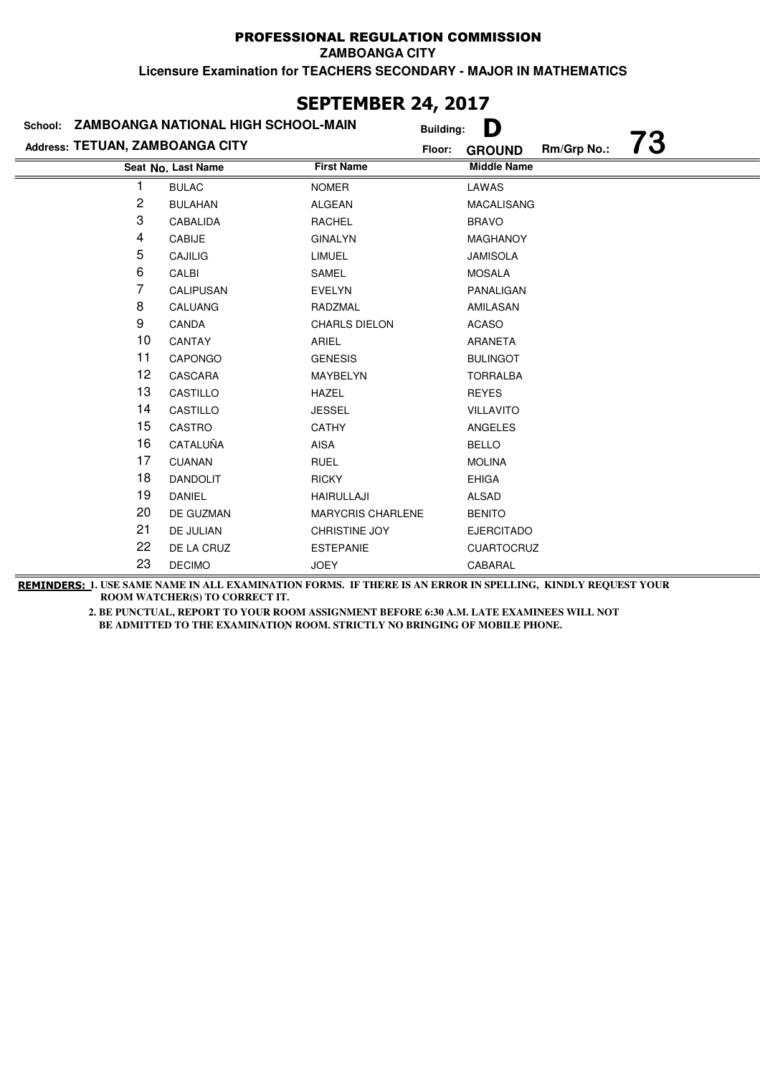**ZAMBOANGA CITY**

**Licensure Examination for TEACHERS SECONDARY - MAJOR IN MATHEMATICS**

### **Last Name Middle Name Address: TETUAN, ZAMBOANGA CITY School: ZAMBOANGA NATIONAL HIGH SCHOOL-MAIN Building: D Floor: GROUND Rm/Grp No.: 73 Seat No.** 1 BULAC NOMER LAWAS 2 BULAHAN ALGEAN MACALISANG 3 CABALIDA RACHEL BRAVO 4 CABIJE GINALYN MAGHANOY 5 CAJILIG LIMUEL JAMISOLA 6 CALBI SAMEL SAMEL MOSALA 7 CALIPUSAN EVELYN PANALIGAN 8 CALUANG RADZMAL AMILASAN 9 CANDA CHARLS DIELON ACASO 10 CANTAY **ARIEL ARANETA** 11 CAPONGO GENESIS BULINGOT 12 CASCARA MAYBELYN TORRALBA 13 CASTILLO HAZEL REYES 14 CASTILLO JESSEL VILLAVITO 15 CASTRO CATHY CATHY ANGELES 16 CATALUÑA AISA AISA BELLO 17 CUANAN RUEL NOLINA 18 DANDOLIT RICKY **EHIGA** 19 DANIEL HAIRULLAJI ALSAD 20 DE GUZMAN MARYCRIS CHARLENE BENITO 21 DE JULIAN CHRISTINE JOY EJERCITADO 22 DE LA CRUZ ESTEPANIE CUARTOCRUZ 23 DECIMO JOEY CABARAL

**SEPTEMBER 24, 2017**

**REMINDERS: 1. USE SAME NAME IN ALL EXAMINATION FORMS. IF THERE IS AN ERROR IN SPELLING, KINDLY REQUEST YOUR ROOM WATCHER(S) TO CORRECT IT.**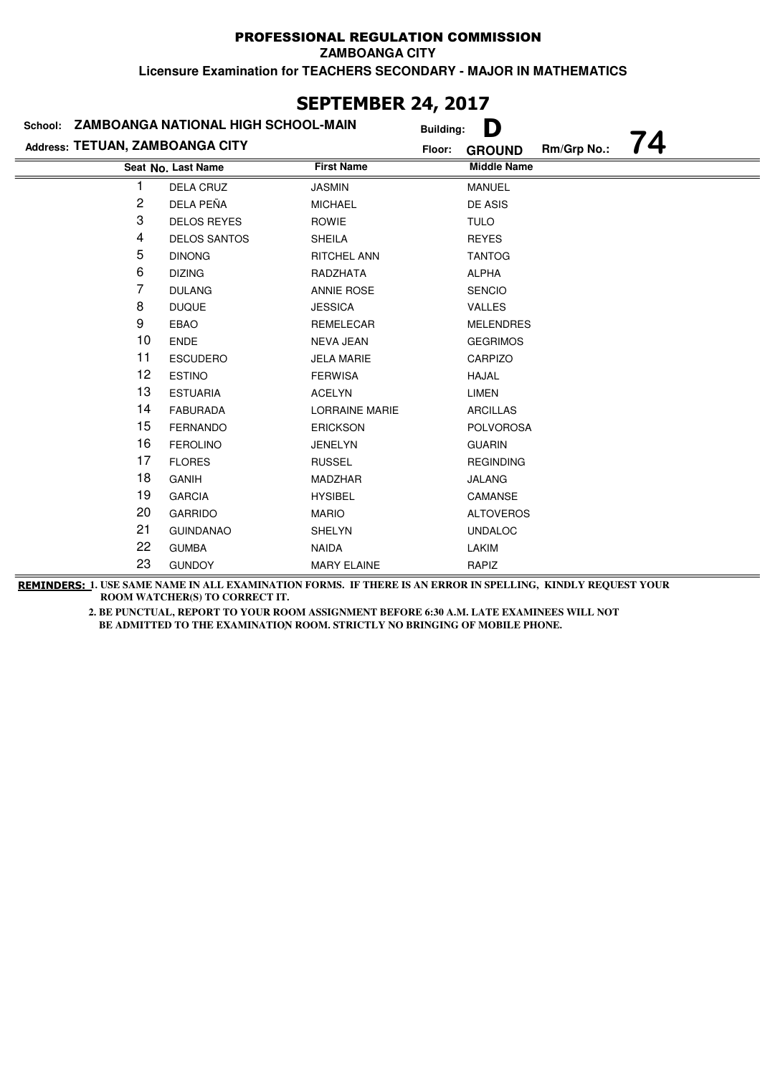**ZAMBOANGA CITY**

**Licensure Examination for TEACHERS SECONDARY - MAJOR IN MATHEMATICS**

| School:                         | <b>ZAMBOANGA NATIONAL HIGH SCHOOL-MAIN</b> |                       | D<br><b>Building:</b>              |
|---------------------------------|--------------------------------------------|-----------------------|------------------------------------|
| Address: TETUAN, ZAMBOANGA CITY |                                            | Floor:                | 74<br>Rm/Grp No.:<br><b>GROUND</b> |
|                                 | Seat No. Last Name                         | <b>First Name</b>     | <b>Middle Name</b>                 |
|                                 | DELA CRUZ                                  | <b>JASMIN</b>         | <b>MANUEL</b>                      |
| 2                               | DELA PEÑA                                  | <b>MICHAEL</b>        | DE ASIS                            |
| 3                               | <b>DELOS REYES</b>                         | <b>ROWIE</b>          | <b>TULO</b>                        |
| 4                               | <b>DELOS SANTOS</b>                        | <b>SHEILA</b>         | <b>REYES</b>                       |
| 5                               | <b>DINONG</b>                              | <b>RITCHEL ANN</b>    | <b>TANTOG</b>                      |
| 6                               | <b>DIZING</b>                              | RADZHATA              | <b>ALPHA</b>                       |
| 7                               | <b>DULANG</b>                              | <b>ANNIE ROSE</b>     | <b>SENCIO</b>                      |
| 8                               | <b>DUQUE</b>                               | <b>JESSICA</b>        | <b>VALLES</b>                      |
| 9                               | <b>EBAO</b>                                | <b>REMELECAR</b>      | <b>MELENDRES</b>                   |
| 10                              | <b>ENDE</b>                                | <b>NEVA JEAN</b>      | <b>GEGRIMOS</b>                    |
| 11                              | <b>ESCUDERO</b>                            | <b>JELA MARIE</b>     | CARPIZO                            |
| 12                              | <b>ESTINO</b>                              | <b>FERWISA</b>        | <b>HAJAL</b>                       |
| 13                              | <b>ESTUARIA</b>                            | <b>ACELYN</b>         | <b>LIMEN</b>                       |
| 14                              | <b>FABURADA</b>                            | <b>LORRAINE MARIE</b> | <b>ARCILLAS</b>                    |
| 15                              | <b>FERNANDO</b>                            | <b>ERICKSON</b>       | <b>POLVOROSA</b>                   |
| 16                              | <b>FEROLINO</b>                            | <b>JENELYN</b>        | <b>GUARIN</b>                      |
| 17                              | <b>FLORES</b>                              | <b>RUSSEL</b>         | <b>REGINDING</b>                   |
| 18                              | <b>GANIH</b>                               | <b>MADZHAR</b>        | <b>JALANG</b>                      |
| 19                              | <b>GARCIA</b>                              | <b>HYSIBEL</b>        | CAMANSE                            |
| 20                              | <b>GARRIDO</b>                             | <b>MARIO</b>          | <b>ALTOVEROS</b>                   |
| 21                              | <b>GUINDANAO</b>                           | SHELYN                | <b>UNDALOC</b>                     |
| 22                              | <b>GUMBA</b>                               | <b>NAIDA</b>          | LAKIM                              |
| 23                              | <b>GUNDOY</b>                              | <b>MARY ELAINE</b>    | RAPIZ                              |

### **SEPTEMBER 24, 2017**

**REMINDERS: 1. USE SAME NAME IN ALL EXAMINATION FORMS. IF THERE IS AN ERROR IN SPELLING, KINDLY REQUEST YOUR ROOM WATCHER(S) TO CORRECT IT.**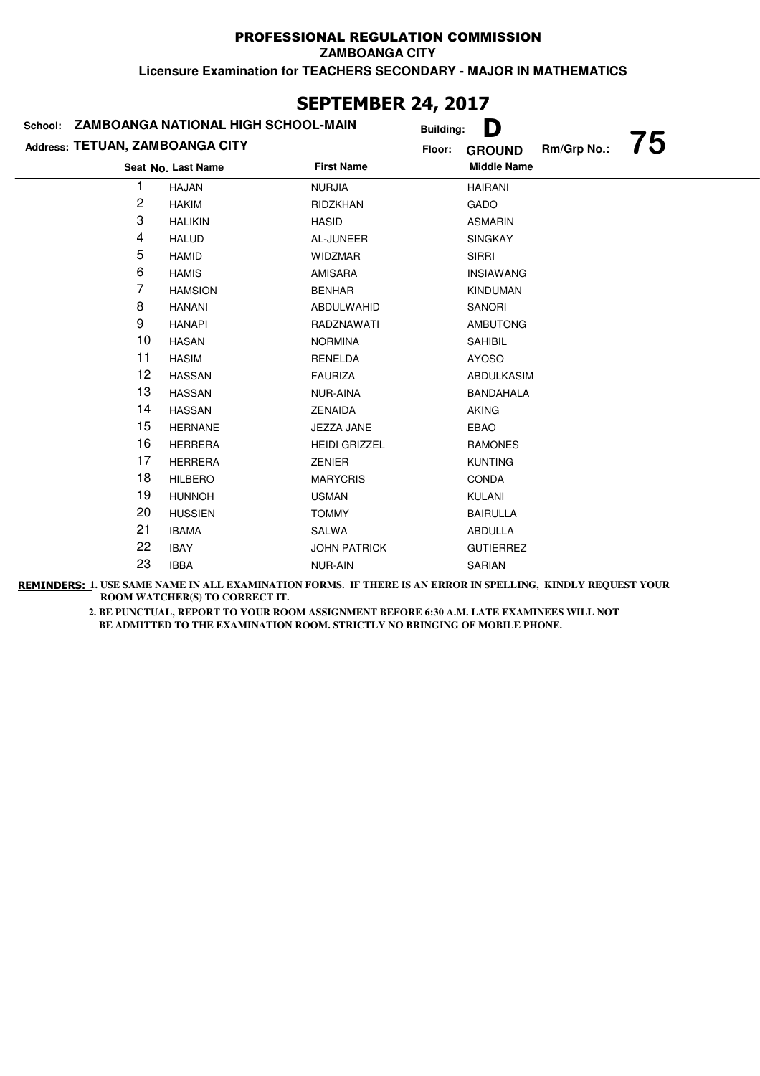**ZAMBOANGA CITY**

**Licensure Examination for TEACHERS SECONDARY - MAJOR IN MATHEMATICS**

### **Last Name Middle Name Address: TETUAN, ZAMBOANGA CITY School: ZAMBOANGA NATIONAL HIGH SCHOOL-MAIN Building: D Floor: GROUND Rm/Grp No.: 75 Seat No.** 1 HAJAN NURJIA NURJIA HAIRANI 2 HAKIM RIDZKHAN GADO 3 HALIKIN HASID ASMARIN 4 HALUD AL-JUNEER SINGKAY 5 HAMID WIDZMAR SIRRI 6 HAMIS AMISARA INSIAWANG 7 HAMSION BENHAR KINDUMAN 8 HANANI ABDULWAHID SANORI 9 HANAPI RADZNAWATI AMBUTONG 10 HASAN NORMINA SAHIBIL 11 HASIM RENELDA AYOSO 12 HASSAN FAURIZA ABDULKASIM 13 HASSAN NUR-AINA BANDAHALA 14 HASSAN ZENAIDA AKING 15 HERNANE JEZZA JANE EBAO 16 HERRERA HEIDI GRIZZEL RAMONES 17 HERRERA ZENIER KUNTING 18 HILBERO MARYCRIS CONDA 19 HUNNOH USMAN USMAN KULANI 20 HUSSIEN TOMMY BAIRULLA 21 IBAMA SALWA ABDULLA 22 IBAY JOHN PATRICK GUTIERREZ 23 IBBA NUR-AIN SARIAN

**SEPTEMBER 24, 2017**

**REMINDERS: 1. USE SAME NAME IN ALL EXAMINATION FORMS. IF THERE IS AN ERROR IN SPELLING, KINDLY REQUEST YOUR ROOM WATCHER(S) TO CORRECT IT.**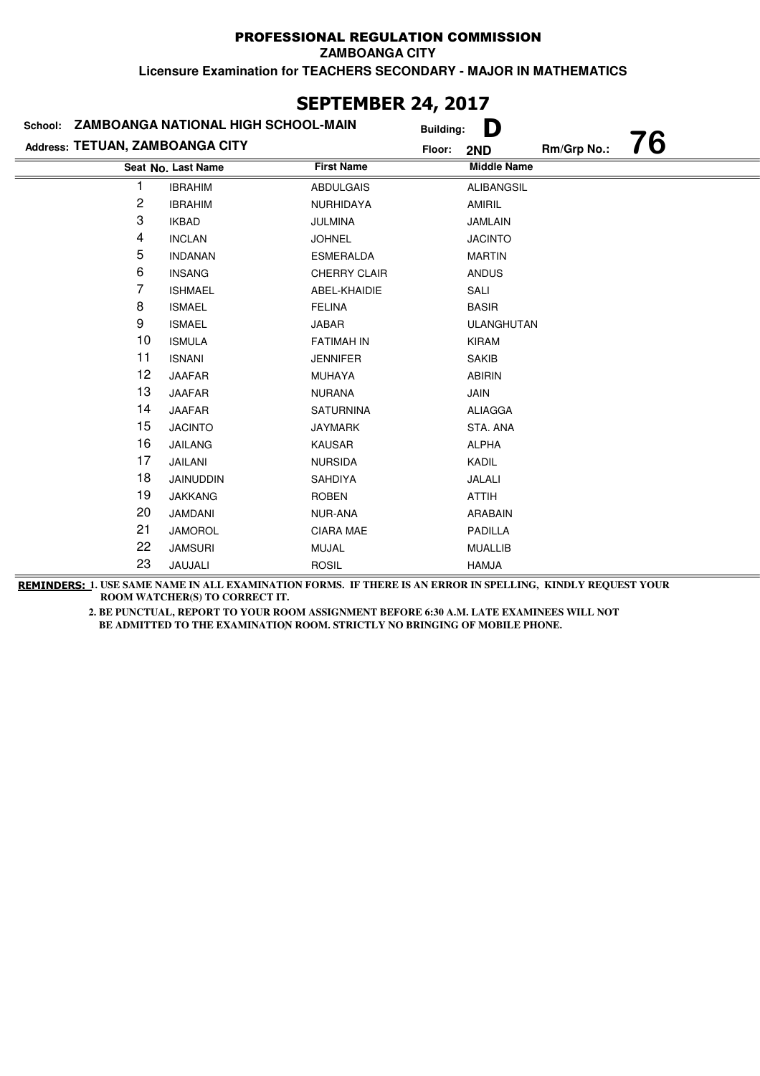|                                 |                                     | <b>SEPTEMBER 24, 2017</b> |                  |                    |             |    |
|---------------------------------|-------------------------------------|---------------------------|------------------|--------------------|-------------|----|
| School:                         | ZAMBOANGA NATIONAL HIGH SCHOOL-MAIN |                           | <b>Building:</b> | D                  |             |    |
| Address: TETUAN, ZAMBOANGA CITY |                                     |                           | Floor:           | 2ND                | Rm/Grp No.: | 76 |
|                                 | Seat No. Last Name                  | <b>First Name</b>         |                  | <b>Middle Name</b> |             |    |
|                                 | <b>IBRAHIM</b>                      | <b>ABDULGAIS</b>          |                  | ALIBANGSIL         |             |    |
| 2                               | <b>IBRAHIM</b>                      | NURHIDAYA                 |                  | AMIRIL             |             |    |
| 3                               | <b>IKBAD</b>                        | <b>JULMINA</b>            |                  | <b>JAMLAIN</b>     |             |    |
| 4                               | <b>INCLAN</b>                       | <b>JOHNEL</b>             |                  | <b>JACINTO</b>     |             |    |
| 5                               | <b>INDANAN</b>                      | <b>ESMERALDA</b>          |                  | <b>MARTIN</b>      |             |    |
| 6                               | <b>INSANG</b>                       | <b>CHERRY CLAIR</b>       |                  | <b>ANDUS</b>       |             |    |
| 7                               | <b>ISHMAEL</b>                      | ABEL-KHAIDIE              |                  | SALI               |             |    |
| 8                               | <b>ISMAEL</b>                       | <b>FELINA</b>             |                  | <b>BASIR</b>       |             |    |
| 9                               | <b>ISMAEL</b>                       | <b>JABAR</b>              |                  | ULANGHUTAN         |             |    |
| 10                              | <b>ISMULA</b>                       | <b>FATIMAH IN</b>         |                  | <b>KIRAM</b>       |             |    |
| 11                              | <b>ISNANI</b>                       | <b>JENNIFER</b>           |                  | <b>SAKIB</b>       |             |    |
| 12                              | <b>JAAFAR</b>                       | <b>MUHAYA</b>             |                  | <b>ABIRIN</b>      |             |    |
| 13                              | <b>JAAFAR</b>                       | <b>NURANA</b>             |                  | <b>JAIN</b>        |             |    |
| 14                              | <b>JAAFAR</b>                       | <b>SATURNINA</b>          |                  | <b>ALIAGGA</b>     |             |    |
| 15                              | <b>JACINTO</b>                      | <b>JAYMARK</b>            |                  | STA. ANA           |             |    |
| 16                              | <b>JAILANG</b>                      | <b>KAUSAR</b>             |                  | <b>ALPHA</b>       |             |    |
| 17                              | JAILANI                             | <b>NURSIDA</b>            |                  | KADIL              |             |    |
| 18                              | JAINUDDIN                           | <b>SAHDIYA</b>            |                  | JALALI             |             |    |
| 19                              | <b>JAKKANG</b>                      | <b>ROBEN</b>              |                  | <b>ATTIH</b>       |             |    |
| 20                              | <b>JAMDANI</b>                      | NUR-ANA                   |                  | <b>ARABAIN</b>     |             |    |
| 21                              | <b>JAMOROL</b>                      | <b>CIARA MAE</b>          |                  | PADILLA            |             |    |
| 22                              | <b>JAMSURI</b>                      | MUJAL                     |                  | <b>MUALLIB</b>     |             |    |
| 23                              | JAUJALI                             | <b>ROSIL</b>              |                  | <b>HAMJA</b>       |             |    |

# **SEPTEMBER 24, 2017**

**REMINDERS: 1. USE SAME NAME IN ALL EXAMINATION FORMS. IF THERE IS AN ERROR IN SPELLING, KINDLY REQUEST YOUR ROOM WATCHER(S) TO CORRECT IT.**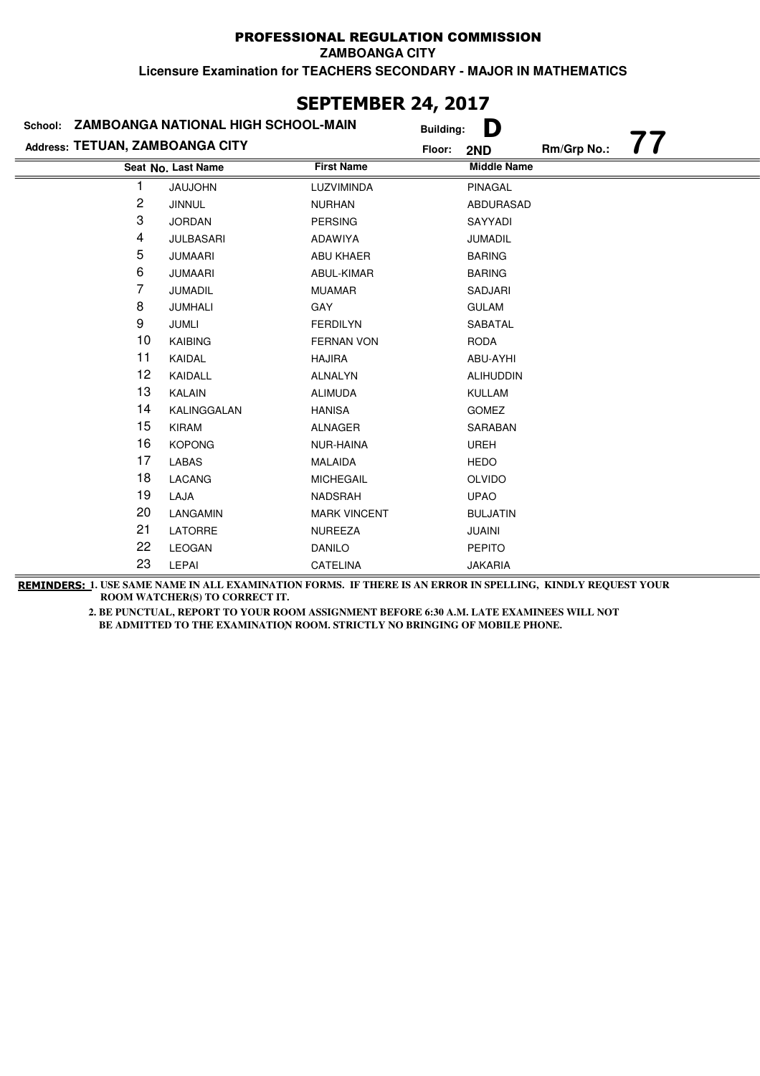|                                 |                                             | JLI ILIIDLI\ £TĮ £V1/ |                  |                    |             |    |
|---------------------------------|---------------------------------------------|-----------------------|------------------|--------------------|-------------|----|
|                                 | School: ZAMBOANGA NATIONAL HIGH SCHOOL-MAIN |                       | <b>Building:</b> | D                  |             |    |
| Address: TETUAN, ZAMBOANGA CITY |                                             |                       | Floor:           | 2ND                | Rm/Grp No.: | 77 |
|                                 | Seat No. Last Name                          | <b>First Name</b>     |                  | <b>Middle Name</b> |             |    |
| 1                               | <b>JAUJOHN</b>                              | LUZVIMINDA            |                  | PINAGAL            |             |    |
| 2                               | <b>JINNUL</b>                               | <b>NURHAN</b>         |                  | ABDURASAD          |             |    |
| 3                               | <b>JORDAN</b>                               | <b>PERSING</b>        |                  | SAYYADI            |             |    |
| 4                               | <b>JULBASARI</b>                            | ADAWIYA               |                  | <b>JUMADIL</b>     |             |    |
| 5                               | <b>JUMAARI</b>                              | <b>ABU KHAER</b>      |                  | <b>BARING</b>      |             |    |
| 6                               | <b>JUMAARI</b>                              | ABUL-KIMAR            |                  | <b>BARING</b>      |             |    |
| 7                               | <b>JUMADIL</b>                              | <b>MUAMAR</b>         |                  | SADJARI            |             |    |
| 8                               | JUMHALI                                     | GAY                   |                  | <b>GULAM</b>       |             |    |
| 9                               | JUMLI                                       | <b>FERDILYN</b>       |                  | SABATAL            |             |    |
| 10                              | KAIBING                                     | <b>FERNAN VON</b>     |                  | <b>RODA</b>        |             |    |
| 11                              | KAIDAL                                      | <b>HAJIRA</b>         |                  | ABU-AYHI           |             |    |
| 12                              | KAIDALL                                     | <b>ALNALYN</b>        |                  | <b>ALIHUDDIN</b>   |             |    |
| 13                              | <b>KALAIN</b>                               | <b>ALIMUDA</b>        |                  | <b>KULLAM</b>      |             |    |
| 14                              | KALINGGALAN                                 | <b>HANISA</b>         |                  | <b>GOMEZ</b>       |             |    |
| 15                              | <b>KIRAM</b>                                | <b>ALNAGER</b>        |                  | SARABAN            |             |    |
| 16                              | <b>KOPONG</b>                               | NUR-HAINA             |                  | <b>UREH</b>        |             |    |
| 17                              | LABAS                                       | <b>MALAIDA</b>        |                  | <b>HEDO</b>        |             |    |
| 18                              | LACANG                                      | <b>MICHEGAIL</b>      |                  | <b>OLVIDO</b>      |             |    |
| 19                              | LAJA                                        | NADSRAH               |                  | <b>UPAO</b>        |             |    |
| 20                              | LANGAMIN                                    | <b>MARK VINCENT</b>   |                  | <b>BULJATIN</b>    |             |    |
| 21                              | LATORRE                                     | <b>NUREEZA</b>        |                  | <b>JUAINI</b>      |             |    |
| 22                              | <b>LEOGAN</b>                               | <b>DANILO</b>         |                  | <b>PEPITO</b>      |             |    |
| 23                              | <b>LEPAI</b>                                | <b>CATELINA</b>       |                  | <b>JAKARIA</b>     |             |    |

## **SEPTEMBER 24, 2017**

**REMINDERS: 1. USE SAME NAME IN ALL EXAMINATION FORMS. IF THERE IS AN ERROR IN SPELLING, KINDLY REQUEST YOUR ROOM WATCHER(S) TO CORRECT IT.**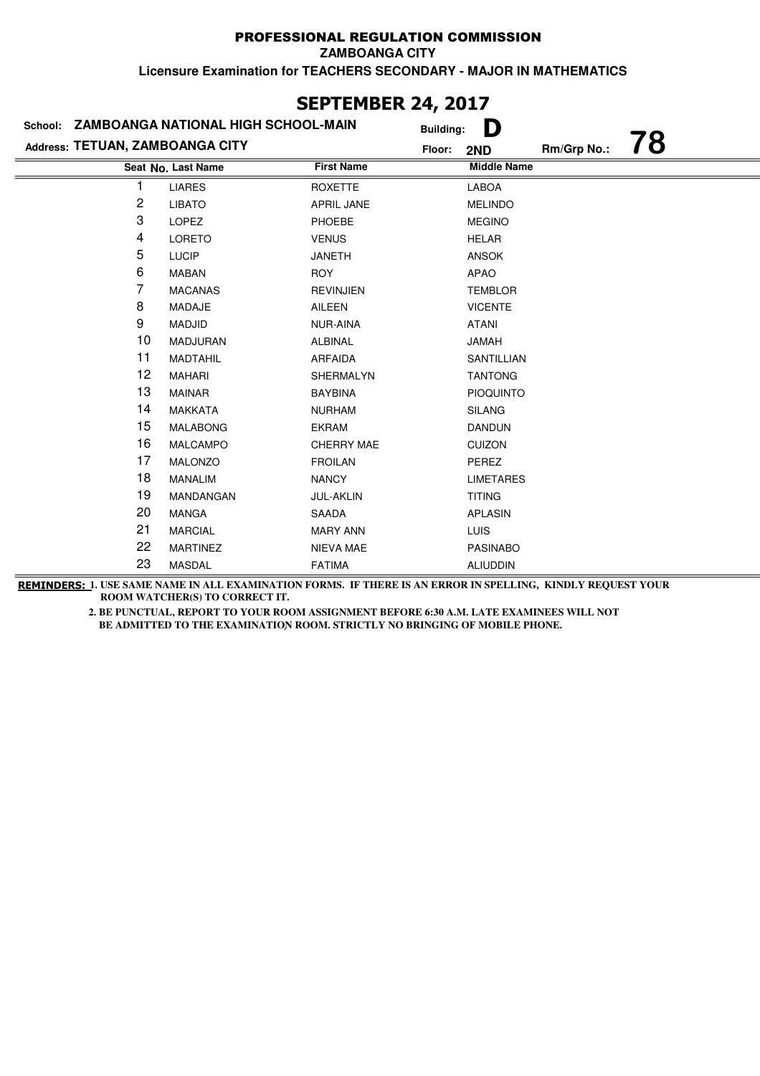|                                 |                                     | JLF I LI'IDLR 44, 4V17 |                  |                    |             |    |
|---------------------------------|-------------------------------------|------------------------|------------------|--------------------|-------------|----|
| School:                         | ZAMBOANGA NATIONAL HIGH SCHOOL-MAIN |                        | <b>Building:</b> | D                  |             |    |
| Address: TETUAN, ZAMBOANGA CITY |                                     |                        | Floor:           | 2ND                | Rm/Grp No.: | 78 |
|                                 | Seat No. Last Name                  | <b>First Name</b>      |                  | <b>Middle Name</b> |             |    |
|                                 | <b>LIARES</b>                       | <b>ROXETTE</b>         |                  | LABOA              |             |    |
| 2                               | <b>LIBATO</b>                       | APRIL JANE             |                  | <b>MELINDO</b>     |             |    |
| 3                               | <b>LOPEZ</b>                        | PHOEBE                 |                  | <b>MEGINO</b>      |             |    |
| 4                               | <b>LORETO</b>                       | <b>VENUS</b>           |                  | <b>HELAR</b>       |             |    |
| 5                               | <b>LUCIP</b>                        | <b>JANETH</b>          |                  | <b>ANSOK</b>       |             |    |
| 6                               | <b>MABAN</b>                        | <b>ROY</b>             |                  | <b>APAO</b>        |             |    |
| 7                               | <b>MACANAS</b>                      | <b>REVINJIEN</b>       |                  | <b>TEMBLOR</b>     |             |    |
| 8                               | MADAJE                              | <b>AILEEN</b>          |                  | <b>VICENTE</b>     |             |    |
| 9                               | <b>MADJID</b>                       | <b>NUR-AINA</b>        |                  | <b>ATANI</b>       |             |    |
| 10                              | <b>MADJURAN</b>                     | <b>ALBINAL</b>         |                  | <b>JAMAH</b>       |             |    |
| 11                              | <b>MADTAHIL</b>                     | <b>ARFAIDA</b>         |                  | SANTILLIAN         |             |    |
| 12                              | <b>MAHARI</b>                       | SHERMALYN              |                  | <b>TANTONG</b>     |             |    |
| 13                              | <b>MAINAR</b>                       | <b>BAYBINA</b>         |                  | <b>PIOQUINTO</b>   |             |    |
| 14                              | <b>MAKKATA</b>                      | <b>NURHAM</b>          |                  | <b>SILANG</b>      |             |    |
| 15                              | <b>MALABONG</b>                     | <b>EKRAM</b>           |                  | <b>DANDUN</b>      |             |    |
| 16                              | <b>MALCAMPO</b>                     | CHERRY MAE             |                  | <b>CUIZON</b>      |             |    |
| 17                              | <b>MALONZO</b>                      | <b>FROILAN</b>         |                  | PEREZ              |             |    |
| 18                              | <b>MANALIM</b>                      | <b>NANCY</b>           |                  | <b>LIMETARES</b>   |             |    |
| 19                              | MANDANGAN                           | <b>JUL-AKLIN</b>       |                  | <b>TITING</b>      |             |    |
| 20                              | <b>MANGA</b>                        | <b>SAADA</b>           |                  | <b>APLASIN</b>     |             |    |
| 21                              | <b>MARCIAL</b>                      | <b>MARY ANN</b>        |                  | <b>LUIS</b>        |             |    |
| 22                              | <b>MARTINEZ</b>                     | NIEVA MAE              |                  | <b>PASINABO</b>    |             |    |
| 23                              | <b>MASDAL</b>                       | <b>FATIMA</b>          |                  | <b>ALIUDDIN</b>    |             |    |

# **SEPTEMBER 24, 2017**

**REMINDERS: 1. USE SAME NAME IN ALL EXAMINATION FORMS. IF THERE IS AN ERROR IN SPELLING, KINDLY REQUEST YOUR ROOM WATCHER(S) TO CORRECT IT.**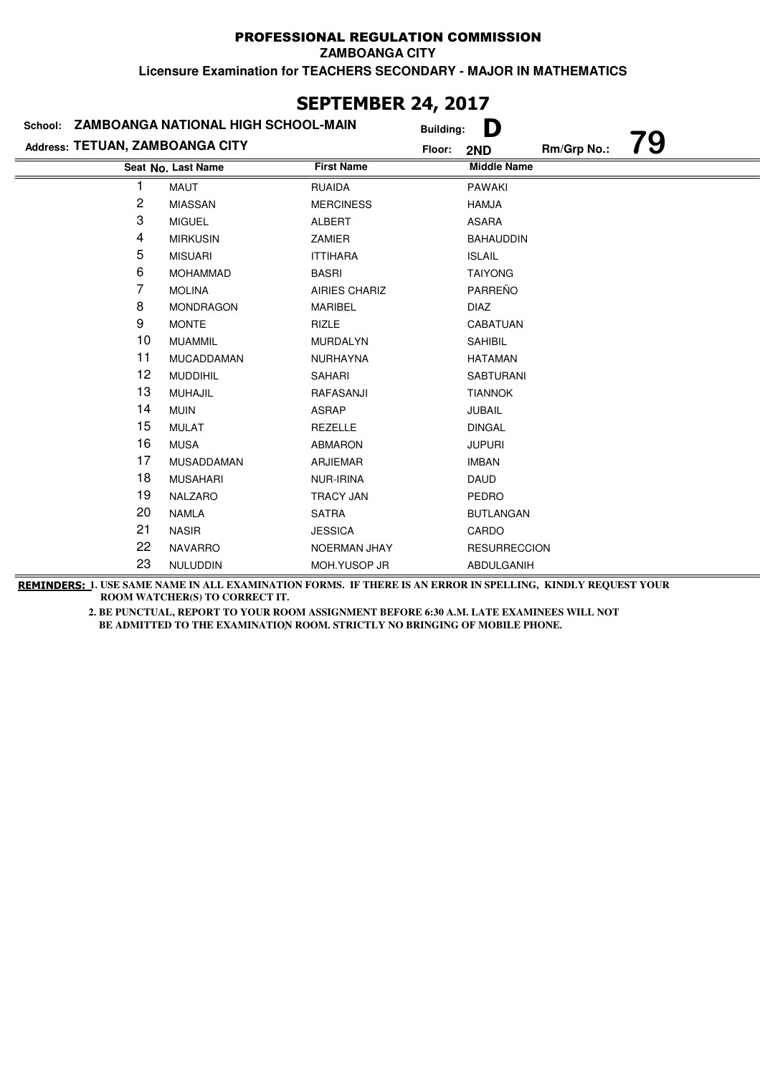| SEPIEMBEK 24, 2017              |                                             |                      |                  |                     |             |    |
|---------------------------------|---------------------------------------------|----------------------|------------------|---------------------|-------------|----|
|                                 | School: ZAMBOANGA NATIONAL HIGH SCHOOL-MAIN |                      | <b>Building:</b> | D                   |             |    |
| Address: TETUAN, ZAMBOANGA CITY |                                             |                      | Floor:           | 2ND                 | Rm/Grp No.: | 79 |
|                                 | Seat No. Last Name                          | <b>First Name</b>    |                  | <b>Middle Name</b>  |             |    |
|                                 | MAUT                                        | <b>RUAIDA</b>        |                  | <b>PAWAKI</b>       |             |    |
| $\overline{\mathbf{c}}$         | <b>MIASSAN</b>                              | <b>MERCINESS</b>     |                  | <b>HAMJA</b>        |             |    |
| 3                               | <b>MIGUEL</b>                               | <b>ALBERT</b>        |                  | <b>ASARA</b>        |             |    |
| 4                               | <b>MIRKUSIN</b>                             | ZAMIER               |                  | <b>BAHAUDDIN</b>    |             |    |
| 5                               | <b>MISUARI</b>                              | <b>ITTIHARA</b>      |                  | <b>ISLAIL</b>       |             |    |
| 6                               | <b>MOHAMMAD</b>                             | <b>BASRI</b>         |                  | <b>TAIYONG</b>      |             |    |
| 7                               | <b>MOLINA</b>                               | <b>AIRIES CHARIZ</b> |                  | PARREÑO             |             |    |
| 8                               | <b>MONDRAGON</b>                            | <b>MARIBEL</b>       |                  | <b>DIAZ</b>         |             |    |
| 9                               | <b>MONTE</b>                                | <b>RIZLE</b>         |                  | CABATUAN            |             |    |
| 10                              | <b>MUAMMIL</b>                              | <b>MURDALYN</b>      |                  | <b>SAHIBIL</b>      |             |    |
| 11                              | <b>MUCADDAMAN</b>                           | <b>NURHAYNA</b>      |                  | <b>HATAMAN</b>      |             |    |
| 12                              | <b>MUDDIHIL</b>                             | SAHARI               |                  | <b>SABTURANI</b>    |             |    |
| 13                              | <b>MUHAJIL</b>                              | RAFASANJI            |                  | <b>TIANNOK</b>      |             |    |
| 14                              | <b>MUIN</b>                                 | <b>ASRAP</b>         |                  | <b>JUBAIL</b>       |             |    |
| 15                              | <b>MULAT</b>                                | <b>REZELLE</b>       |                  | <b>DINGAL</b>       |             |    |
| 16                              | <b>MUSA</b>                                 | <b>ABMARON</b>       |                  | <b>JUPURI</b>       |             |    |
| 17                              | MUSADDAMAN                                  | <b>ARJIEMAR</b>      |                  | <b>IMBAN</b>        |             |    |
| 18                              | <b>MUSAHARI</b>                             | NUR-IRINA            |                  | <b>DAUD</b>         |             |    |
| 19                              | <b>NALZARO</b>                              | <b>TRACY JAN</b>     |                  | PEDRO               |             |    |
| 20                              | <b>NAMLA</b>                                | <b>SATRA</b>         |                  | <b>BUTLANGAN</b>    |             |    |
| 21                              | <b>NASIR</b>                                | <b>JESSICA</b>       |                  | CARDO               |             |    |
| 22                              | <b>NAVARRO</b>                              | <b>NOERMAN JHAY</b>  |                  | <b>RESURRECCION</b> |             |    |
| 23                              | NULUDDIN                                    | MOH.YUSOP JR         |                  | ABDULGANIH          |             |    |

# **SEPTEMBER 24, 2017**

**REMINDERS: 1. USE SAME NAME IN ALL EXAMINATION FORMS. IF THERE IS AN ERROR IN SPELLING, KINDLY REQUEST YOUR ROOM WATCHER(S) TO CORRECT IT.**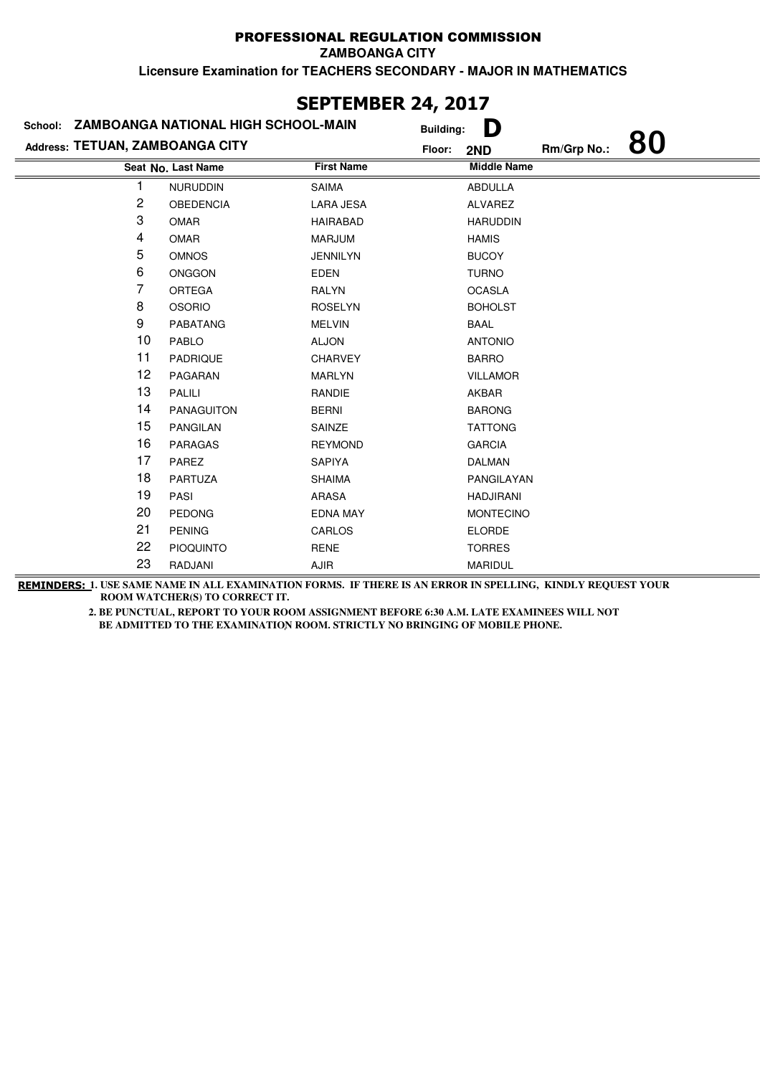| JLF I LI'IDLR 47, 4V1/                      |                    |                   |                  |                    |             |    |
|---------------------------------------------|--------------------|-------------------|------------------|--------------------|-------------|----|
| School: ZAMBOANGA NATIONAL HIGH SCHOOL-MAIN |                    |                   | <b>Building:</b> | D                  |             |    |
| Address: TETUAN, ZAMBOANGA CITY             |                    |                   | Floor:           | 2ND                | Rm/Grp No.: | 80 |
|                                             | Seat No. Last Name | <b>First Name</b> |                  | <b>Middle Name</b> |             |    |
|                                             | <b>NURUDDIN</b>    | <b>SAIMA</b>      |                  | <b>ABDULLA</b>     |             |    |
| 2                                           | <b>OBEDENCIA</b>   | <b>LARA JESA</b>  |                  | ALVAREZ            |             |    |
| 3                                           | <b>OMAR</b>        | <b>HAIRABAD</b>   |                  | <b>HARUDDIN</b>    |             |    |
| 4                                           | <b>OMAR</b>        | <b>MARJUM</b>     |                  | <b>HAMIS</b>       |             |    |
| 5                                           | <b>OMNOS</b>       | <b>JENNILYN</b>   |                  | <b>BUCOY</b>       |             |    |
| 6                                           | <b>ONGGON</b>      | <b>EDEN</b>       |                  | <b>TURNO</b>       |             |    |
| 7                                           | <b>ORTEGA</b>      | <b>RALYN</b>      |                  | <b>OCASLA</b>      |             |    |
| 8                                           | <b>OSORIO</b>      | <b>ROSELYN</b>    |                  | <b>BOHOLST</b>     |             |    |
| 9                                           | <b>PABATANG</b>    | <b>MELVIN</b>     |                  | <b>BAAL</b>        |             |    |
| 10                                          | PABLO              | <b>ALJON</b>      |                  | <b>ANTONIO</b>     |             |    |
| 11                                          | <b>PADRIQUE</b>    | <b>CHARVEY</b>    |                  | <b>BARRO</b>       |             |    |
| 12                                          | PAGARAN            | <b>MARLYN</b>     |                  | <b>VILLAMOR</b>    |             |    |
| 13                                          | <b>PALILI</b>      | <b>RANDIE</b>     |                  | AKBAR              |             |    |
| 14                                          | <b>PANAGUITON</b>  | <b>BERNI</b>      |                  | <b>BARONG</b>      |             |    |
| 15                                          | <b>PANGILAN</b>    | SAINZE            |                  | <b>TATTONG</b>     |             |    |
| 16                                          | <b>PARAGAS</b>     | <b>REYMOND</b>    |                  | <b>GARCIA</b>      |             |    |
| 17                                          | <b>PAREZ</b>       | <b>SAPIYA</b>     |                  | <b>DALMAN</b>      |             |    |
| 18                                          | PARTUZA            | <b>SHAIMA</b>     |                  | PANGILAYAN         |             |    |
| 19                                          | PASI               | <b>ARASA</b>      |                  | <b>HADJIRANI</b>   |             |    |
| 20                                          | <b>PEDONG</b>      | <b>EDNA MAY</b>   |                  | <b>MONTECINO</b>   |             |    |
| 21                                          | <b>PENING</b>      | CARLOS            |                  | <b>ELORDE</b>      |             |    |
| 22                                          | <b>PIOQUINTO</b>   | <b>RENE</b>       |                  | <b>TORRES</b>      |             |    |
| 23                                          | RADJANI            | AJIR              |                  | <b>MARIDUL</b>     |             |    |

## **SEPTEMBER 24, 2017**

**REMINDERS: 1. USE SAME NAME IN ALL EXAMINATION FORMS. IF THERE IS AN ERROR IN SPELLING, KINDLY REQUEST YOUR ROOM WATCHER(S) TO CORRECT IT.**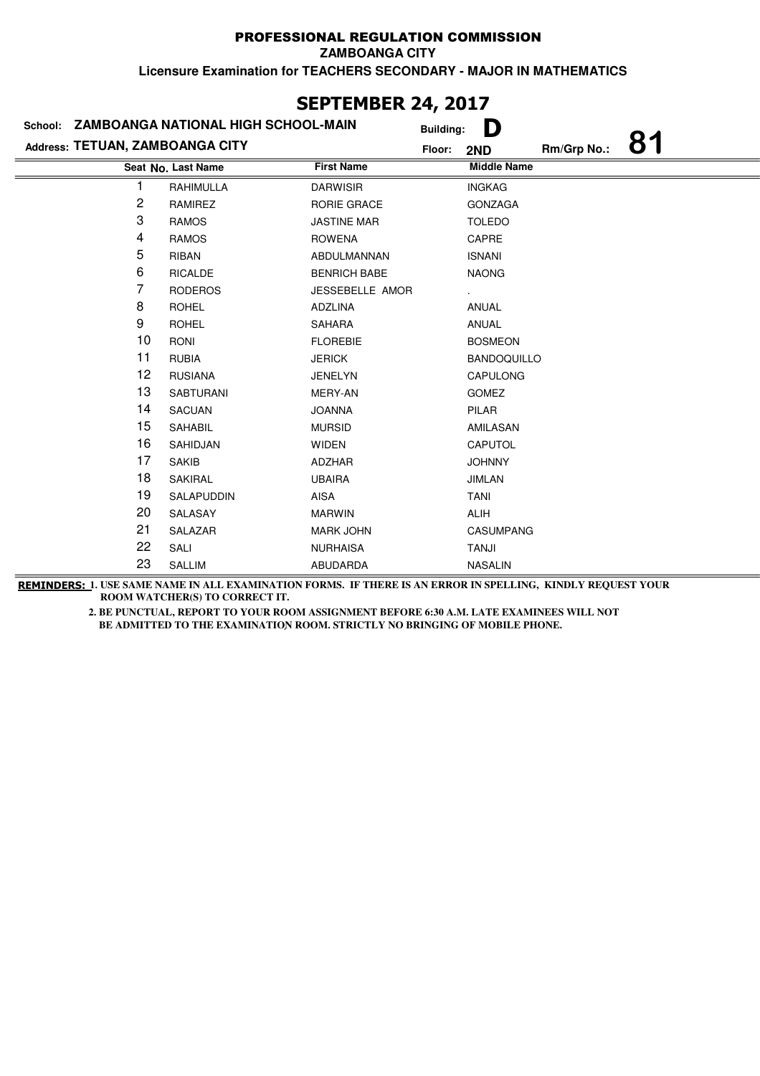| SCPIEMBEK 24, 2017 |                                                                                |                    |                     |                       |                    |             |    |
|--------------------|--------------------------------------------------------------------------------|--------------------|---------------------|-----------------------|--------------------|-------------|----|
|                    | School: ZAMBOANGA NATIONAL HIGH SCHOOL-MAIN<br>Address: TETUAN, ZAMBOANGA CITY |                    |                     | D<br><b>Building:</b> |                    |             |    |
|                    |                                                                                |                    |                     | Floor:                | 2ND                | Rm/Grp No.: | 81 |
|                    |                                                                                | Seat No. Last Name | <b>First Name</b>   |                       | <b>Middle Name</b> |             |    |
|                    |                                                                                | RAHIMULLA          | <b>DARWISIR</b>     |                       | <b>INGKAG</b>      |             |    |
|                    | 2                                                                              | RAMIREZ            | <b>RORIE GRACE</b>  |                       | <b>GONZAGA</b>     |             |    |
|                    | 3                                                                              | <b>RAMOS</b>       | <b>JASTINE MAR</b>  |                       | <b>TOLEDO</b>      |             |    |
|                    | 4                                                                              | <b>RAMOS</b>       | <b>ROWENA</b>       |                       | CAPRE              |             |    |
|                    | 5                                                                              | <b>RIBAN</b>       | ABDULMANNAN         |                       | <b>ISNANI</b>      |             |    |
|                    | 6                                                                              | <b>RICALDE</b>     | <b>BENRICH BABE</b> |                       | <b>NAONG</b>       |             |    |
|                    | 7                                                                              | <b>RODEROS</b>     | JESSEBELLE AMOR     |                       |                    |             |    |
|                    | 8                                                                              | <b>ROHEL</b>       | ADZLINA             |                       | <b>ANUAL</b>       |             |    |
|                    | 9                                                                              | <b>ROHEL</b>       | <b>SAHARA</b>       |                       | ANUAL              |             |    |
|                    | 10                                                                             | <b>RONI</b>        | <b>FLOREBIE</b>     |                       | <b>BOSMEON</b>     |             |    |
|                    | 11                                                                             | <b>RUBIA</b>       | <b>JERICK</b>       |                       | <b>BANDOQUILLO</b> |             |    |
|                    | 12                                                                             | <b>RUSIANA</b>     | <b>JENELYN</b>      |                       | <b>CAPULONG</b>    |             |    |
|                    | 13                                                                             | <b>SABTURANI</b>   | MERY-AN             |                       | <b>GOMEZ</b>       |             |    |
|                    | 14                                                                             | <b>SACUAN</b>      | <b>JOANNA</b>       |                       | PILAR              |             |    |
|                    | 15                                                                             | SAHABIL            | <b>MURSID</b>       |                       | AMILASAN           |             |    |
|                    | 16                                                                             | SAHIDJAN           | <b>WIDEN</b>        |                       | CAPUTOL            |             |    |
|                    | 17                                                                             | <b>SAKIB</b>       | <b>ADZHAR</b>       |                       | <b>JOHNNY</b>      |             |    |
|                    | 18                                                                             | <b>SAKIRAL</b>     | <b>UBAIRA</b>       |                       | <b>JIMLAN</b>      |             |    |
|                    | 19                                                                             | SALAPUDDIN         | AISA                |                       | <b>TANI</b>        |             |    |
|                    | 20                                                                             | SALASAY            | <b>MARWIN</b>       |                       | ALIH               |             |    |
|                    | 21                                                                             | SALAZAR            | <b>MARK JOHN</b>    |                       | <b>CASUMPANG</b>   |             |    |
|                    | 22                                                                             | SALI               | <b>NURHAISA</b>     |                       | TANJI              |             |    |
|                    | 23                                                                             | <b>SALLIM</b>      | ABUDARDA            |                       | <b>NASALIN</b>     |             |    |

## **SEPTEMBER 24, 2017**

**REMINDERS: 1. USE SAME NAME IN ALL EXAMINATION FORMS. IF THERE IS AN ERROR IN SPELLING, KINDLY REQUEST YOUR ROOM WATCHER(S) TO CORRECT IT.**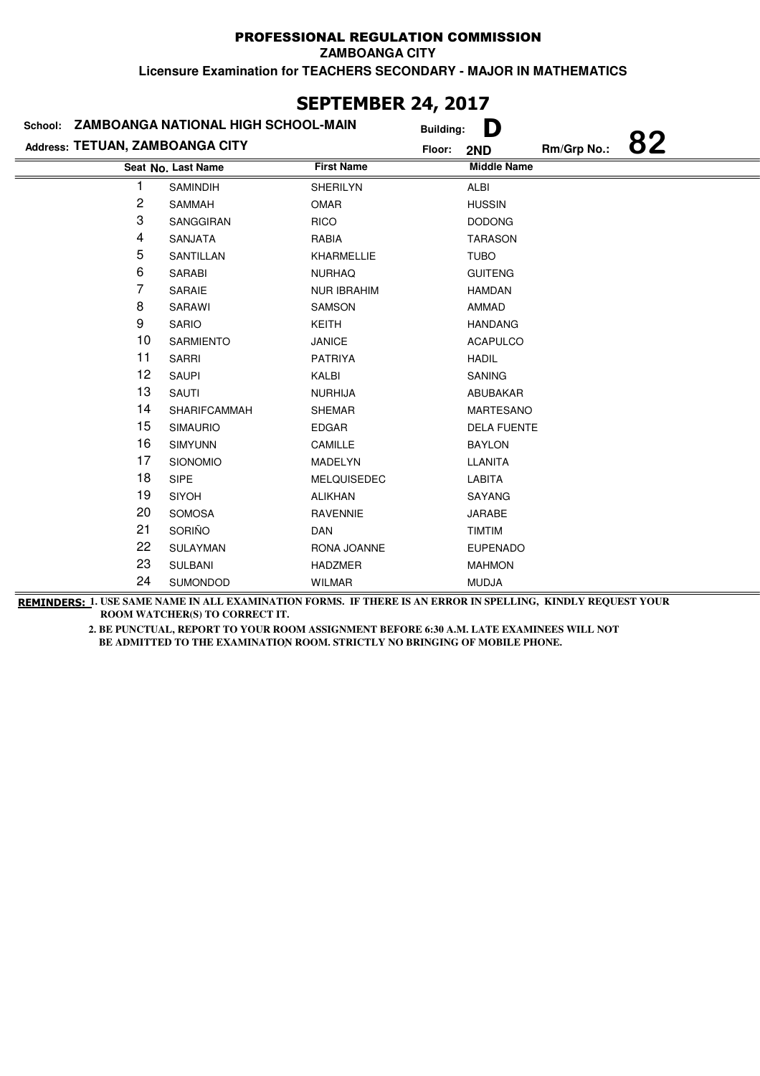| <b>SEPIEMBER 24, 2017</b>                   |                     |                    |                  |                    |             |    |  |
|---------------------------------------------|---------------------|--------------------|------------------|--------------------|-------------|----|--|
| School: ZAMBOANGA NATIONAL HIGH SCHOOL-MAIN |                     |                    | <b>Building:</b> | D                  |             |    |  |
| Address: TETUAN, ZAMBOANGA CITY             |                     |                    | Floor:           | 2ND                | Rm/Grp No.: | 82 |  |
|                                             | Seat No. Last Name  | <b>First Name</b>  |                  | <b>Middle Name</b> |             |    |  |
| 1                                           | SAMINDIH            | <b>SHERILYN</b>    |                  | ALBI               |             |    |  |
| 2                                           | SAMMAH              | <b>OMAR</b>        |                  | <b>HUSSIN</b>      |             |    |  |
| 3                                           | <b>SANGGIRAN</b>    | <b>RICO</b>        |                  | <b>DODONG</b>      |             |    |  |
| 4                                           | SANJATA             | RABIA              |                  | <b>TARASON</b>     |             |    |  |
| 5                                           | SANTILLAN           | <b>KHARMELLIE</b>  |                  | <b>TUBO</b>        |             |    |  |
| 6                                           | <b>SARABI</b>       | <b>NURHAQ</b>      |                  | <b>GUITENG</b>     |             |    |  |
| 7                                           | SARAIE              | <b>NUR IBRAHIM</b> |                  | <b>HAMDAN</b>      |             |    |  |
| 8                                           | <b>SARAWI</b>       | <b>SAMSON</b>      |                  | AMMAD              |             |    |  |
| 9                                           | <b>SARIO</b>        | <b>KEITH</b>       |                  | <b>HANDANG</b>     |             |    |  |
| 10                                          | <b>SARMIENTO</b>    | <b>JANICE</b>      |                  | <b>ACAPULCO</b>    |             |    |  |
| 11                                          | <b>SARRI</b>        | <b>PATRIYA</b>     |                  | <b>HADIL</b>       |             |    |  |
| 12                                          | <b>SAUPI</b>        | KALBI              |                  | <b>SANING</b>      |             |    |  |
| 13                                          | SAUTI               | <b>NURHIJA</b>     |                  | ABUBAKAR           |             |    |  |
| 14                                          | <b>SHARIFCAMMAH</b> | <b>SHEMAR</b>      |                  | <b>MARTESANO</b>   |             |    |  |
| 15                                          | <b>SIMAURIO</b>     | EDGAR              |                  | <b>DELA FUENTE</b> |             |    |  |
| 16                                          | <b>SIMYUNN</b>      | CAMILLE            |                  | <b>BAYLON</b>      |             |    |  |
| 17                                          | SIONOMIO            | <b>MADELYN</b>     |                  | LLANITA            |             |    |  |
| 18                                          | <b>SIPE</b>         | <b>MELQUISEDEC</b> |                  | <b>LABITA</b>      |             |    |  |
| 19                                          | <b>SIYOH</b>        | <b>ALIKHAN</b>     |                  | SAYANG             |             |    |  |
| 20                                          | <b>SOMOSA</b>       | <b>RAVENNIE</b>    |                  | <b>JARABE</b>      |             |    |  |
| 21                                          | SORIÑO              | <b>DAN</b>         |                  | <b>TIMTIM</b>      |             |    |  |
| 22                                          | <b>SULAYMAN</b>     | RONA JOANNE        |                  | <b>EUPENADO</b>    |             |    |  |
| 23                                          | <b>SULBANI</b>      | <b>HADZMER</b>     |                  | <b>MAHMON</b>      |             |    |  |
| 24                                          | SUMONDOD            | <b>WILMAR</b>      |                  | <b>MUDJA</b>       |             |    |  |

# **SEPTEMBER 24, 2017**

**REMINDERS: 1. USE SAME NAME IN ALL EXAMINATION FORMS. IF THERE IS AN ERROR IN SPELLING, KINDLY REQUEST YOUR ROOM WATCHER(S) TO CORRECT IT.**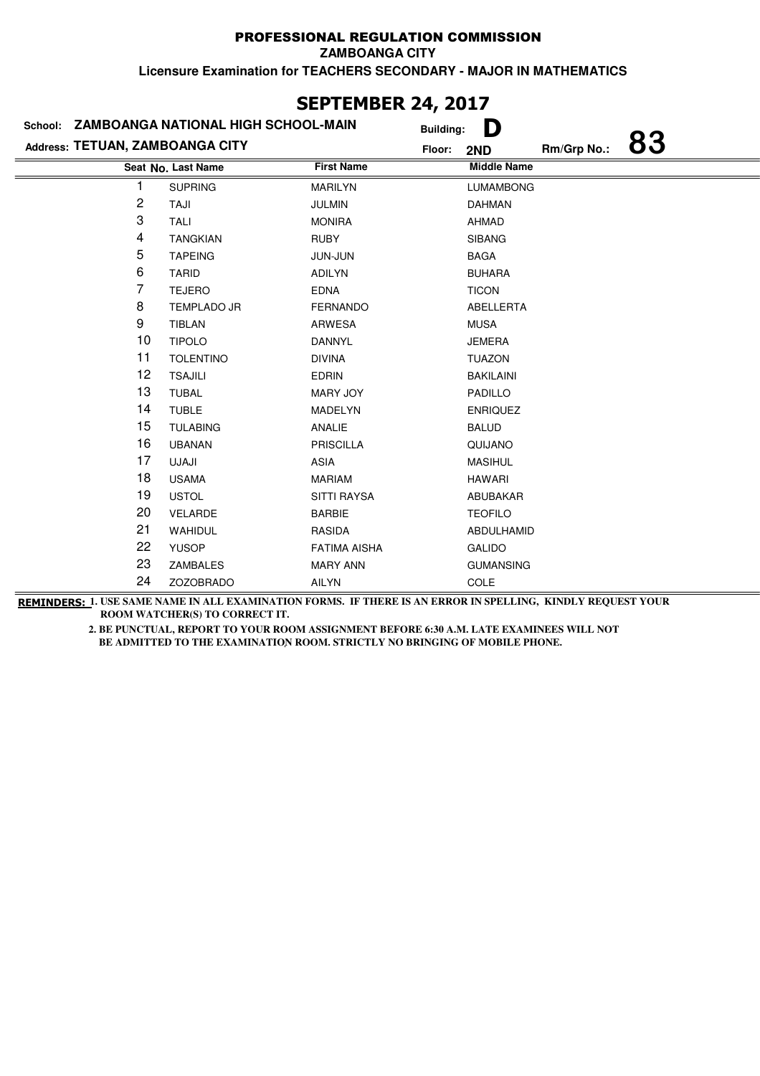**ZAMBOANGA CITY**

**Licensure Examination for TEACHERS SECONDARY - MAJOR IN MATHEMATICS**

| ZAMBOANGA NATIONAL HIGH SCHOOL-MAIN<br>School: | <b>Building:</b>   | D                   |                    |             |    |
|------------------------------------------------|--------------------|---------------------|--------------------|-------------|----|
| Address: TETUAN, ZAMBOANGA CITY                |                    |                     | 2ND                | Rm/Grp No.: | 83 |
|                                                | Seat No. Last Name | <b>First Name</b>   | <b>Middle Name</b> |             |    |
|                                                | <b>SUPRING</b>     | <b>MARILYN</b>      | <b>LUMAMBONG</b>   |             |    |
| 2                                              | TAJI               | <b>JULMIN</b>       | <b>DAHMAN</b>      |             |    |
| 3                                              | <b>TALI</b>        | <b>MONIRA</b>       | <b>AHMAD</b>       |             |    |
| 4                                              | <b>TANGKIAN</b>    | <b>RUBY</b>         | <b>SIBANG</b>      |             |    |
| 5                                              | <b>TAPEING</b>     | <b>JUN-JUN</b>      | <b>BAGA</b>        |             |    |
| 6                                              | <b>TARID</b>       | <b>ADILYN</b>       | <b>BUHARA</b>      |             |    |
| 7                                              | <b>TEJERO</b>      | <b>EDNA</b>         | <b>TICON</b>       |             |    |
| 8                                              | <b>TEMPLADO JR</b> | <b>FERNANDO</b>     | ABELLERTA          |             |    |
| 9                                              | <b>TIBLAN</b>      | ARWESA              | <b>MUSA</b>        |             |    |
| 10                                             | <b>TIPOLO</b>      | <b>DANNYL</b>       | <b>JEMERA</b>      |             |    |
| 11                                             | <b>TOLENTINO</b>   | <b>DIVINA</b>       | <b>TUAZON</b>      |             |    |
| 12                                             | <b>TSAJILI</b>     | <b>EDRIN</b>        | <b>BAKILAINI</b>   |             |    |
| 13                                             | <b>TUBAL</b>       | MARY JOY            | PADILLO            |             |    |
| 14                                             | <b>TUBLE</b>       | MADELYN             | <b>ENRIQUEZ</b>    |             |    |
| 15                                             | <b>TULABING</b>    | ANALIE              | <b>BALUD</b>       |             |    |
| 16                                             | <b>UBANAN</b>      | <b>PRISCILLA</b>    | QUIJANO            |             |    |
| 17                                             | UJAJI              | ASIA                | <b>MASIHUL</b>     |             |    |
| 18                                             | <b>USAMA</b>       | <b>MARIAM</b>       | <b>HAWARI</b>      |             |    |
| 19                                             | <b>USTOL</b>       | SITTI RAYSA         | ABUBAKAR           |             |    |
| 20                                             | VELARDE            | <b>BARBIE</b>       | <b>TEOFILO</b>     |             |    |
| 21                                             | WAHIDUL            | RASIDA              | ABDULHAMID         |             |    |
| 22                                             | <b>YUSOP</b>       | <b>FATIMA AISHA</b> | <b>GALIDO</b>      |             |    |
| 23                                             | ZAMBALES           | <b>MARY ANN</b>     | <b>GUMANSING</b>   |             |    |
| 24                                             | ZOZOBRADO          | AILYN               | COLE               |             |    |

### **SEPTEMBER 24, 2017**

**REMINDERS: 1. USE SAME NAME IN ALL EXAMINATION FORMS. IF THERE IS AN ERROR IN SPELLING, KINDLY REQUEST YOUR ROOM WATCHER(S) TO CORRECT IT.**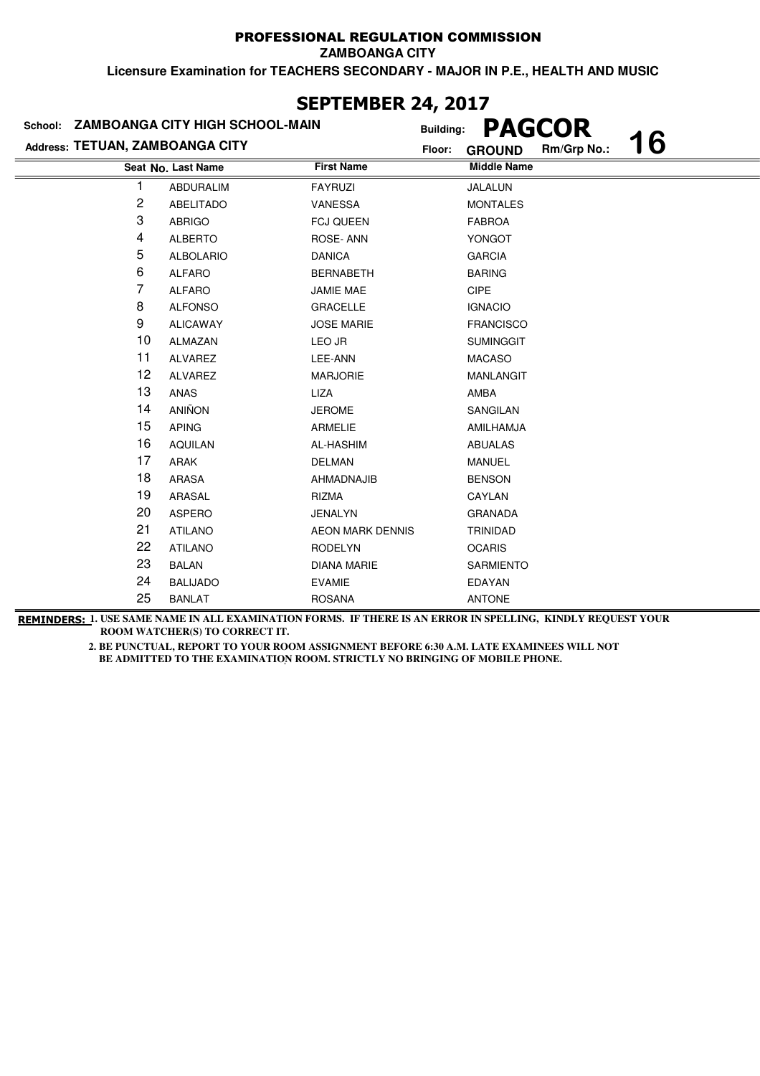**ZAMBOANGA CITY**

**Licensure Examination for TEACHERS SECONDARY - MAJOR IN P.E., HEALTH AND MUSIC**

| LI I LI IVLI\ 47/ 4V1/<br>School: ZAMBOANGA CITY HIGH SCHOOL-MAIN<br><b>Building:</b> |                    |                         |                              |           |  |  |  |
|---------------------------------------------------------------------------------------|--------------------|-------------------------|------------------------------|-----------|--|--|--|
| Address: TETUAN, ZAMBOANGA CITY                                                       |                    |                         | <b>PAGCOR</b>                | <b>16</b> |  |  |  |
|                                                                                       |                    |                         | Rm/Grp No.:<br><b>GROUND</b> |           |  |  |  |
|                                                                                       | Seat No. Last Name | <b>First Name</b>       | <b>Middle Name</b>           |           |  |  |  |
|                                                                                       | <b>ABDURALIM</b>   | <b>FAYRUZI</b>          | JALALUN                      |           |  |  |  |
| 2                                                                                     | <b>ABELITADO</b>   | <b>VANESSA</b>          | <b>MONTALES</b>              |           |  |  |  |
| 3                                                                                     | <b>ABRIGO</b>      | <b>FCJ QUEEN</b>        | <b>FABROA</b>                |           |  |  |  |
| 4                                                                                     | <b>ALBERTO</b>     | ROSE-ANN                | YONGOT                       |           |  |  |  |
| 5                                                                                     | <b>ALBOLARIO</b>   | <b>DANICA</b>           | <b>GARCIA</b>                |           |  |  |  |
| 6                                                                                     | <b>ALFARO</b>      | <b>BERNABETH</b>        | <b>BARING</b>                |           |  |  |  |
| 7                                                                                     | <b>ALFARO</b>      | <b>JAMIE MAE</b>        | <b>CIPE</b>                  |           |  |  |  |
| 8                                                                                     | <b>ALFONSO</b>     | <b>GRACELLE</b>         | <b>IGNACIO</b>               |           |  |  |  |
| 9                                                                                     | <b>ALICAWAY</b>    | <b>JOSE MARIE</b>       | <b>FRANCISCO</b>             |           |  |  |  |
| 10                                                                                    | <b>ALMAZAN</b>     | LEO JR                  | <b>SUMINGGIT</b>             |           |  |  |  |
| 11                                                                                    | <b>ALVAREZ</b>     | LEE-ANN                 | <b>MACASO</b>                |           |  |  |  |
| 12                                                                                    | <b>ALVAREZ</b>     | <b>MARJORIE</b>         | <b>MANLANGIT</b>             |           |  |  |  |
| 13                                                                                    | ANAS               | LIZA                    | AMBA                         |           |  |  |  |
| 14                                                                                    | <b>ANIÑON</b>      | <b>JEROME</b>           | SANGILAN                     |           |  |  |  |
| 15                                                                                    | <b>APING</b>       | <b>ARMELIE</b>          | AMILHAMJA                    |           |  |  |  |
| 16                                                                                    | <b>AQUILAN</b>     | <b>AL-HASHIM</b>        | <b>ABUALAS</b>               |           |  |  |  |
| 17                                                                                    | ARAK               | <b>DELMAN</b>           | <b>MANUEL</b>                |           |  |  |  |
| 18                                                                                    | <b>ARASA</b>       | AHMADNAJIB              | <b>BENSON</b>                |           |  |  |  |
| 19                                                                                    | ARASAL             | <b>RIZMA</b>            | CAYLAN                       |           |  |  |  |
| 20                                                                                    | <b>ASPERO</b>      | <b>JENALYN</b>          | <b>GRANADA</b>               |           |  |  |  |
| 21                                                                                    | <b>ATILANO</b>     | <b>AEON MARK DENNIS</b> | <b>TRINIDAD</b>              |           |  |  |  |
| 22                                                                                    | <b>ATILANO</b>     | <b>RODELYN</b>          | <b>OCARIS</b>                |           |  |  |  |
| 23                                                                                    | <b>BALAN</b>       | <b>DIANA MARIE</b>      | <b>SARMIENTO</b>             |           |  |  |  |
| 24                                                                                    | <b>BALIJADO</b>    | <b>EVAMIE</b>           | <b>EDAYAN</b>                |           |  |  |  |
| 25                                                                                    | <b>BANLAT</b>      | <b>ROSANA</b>           | <b>ANTONE</b>                |           |  |  |  |

**REMINDERS: 1. USE SAME NAME IN ALL EXAMINATION FORMS. IF THERE IS AN ERROR IN SPELLING, KINDLY REQUEST YOUR ROOM WATCHER(S) TO CORRECT IT.** 

 **2. BE PUNCTUAL, REPORT TO YOUR ROOM ASSIGNMENT BEFORE 6:30 A.M. LATE EXAMINEES WILL NOT**  BE ADMITTED TO THE EXAMINATION ROOM. STRICTLY NO BRINGING OF MOBILE PHONE.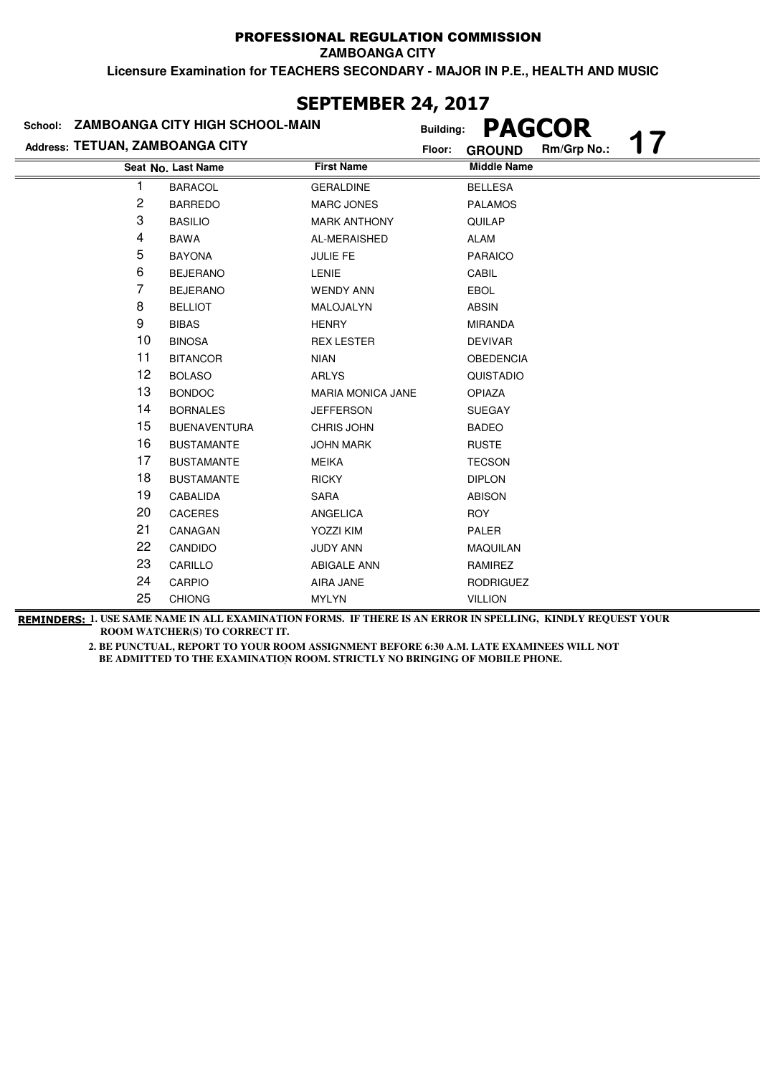**ZAMBOANGA CITY**

**Licensure Examination for TEACHERS SECONDARY - MAJOR IN P.E., HEALTH AND MUSIC**

| <b>ZAMBOANGA CITY HIGH SCHOOL-MAIN</b><br>School: |                     |                          | <b>PAGCOR</b><br><b>Building:</b>            |
|---------------------------------------------------|---------------------|--------------------------|----------------------------------------------|
| Address: TETUAN, ZAMBOANGA CITY                   |                     |                          | 17<br>Rm/Grp No.:<br>Floor:<br><b>GROUND</b> |
|                                                   | Seat No. Last Name  | <b>First Name</b>        | <b>Middle Name</b>                           |
| 1                                                 | <b>BARACOL</b>      | <b>GERALDINE</b>         | <b>BELLESA</b>                               |
| 2                                                 | <b>BARREDO</b>      | <b>MARC JONES</b>        | <b>PALAMOS</b>                               |
| 3                                                 | <b>BASILIO</b>      | <b>MARK ANTHONY</b>      | QUILAP                                       |
| 4                                                 | <b>BAWA</b>         | AL-MERAISHED             | ALAM                                         |
| 5                                                 | <b>BAYONA</b>       | <b>JULIE FE</b>          | <b>PARAICO</b>                               |
| 6                                                 | <b>BEJERANO</b>     | <b>LENIE</b>             | CABIL                                        |
| 7                                                 | <b>BEJERANO</b>     | <b>WENDY ANN</b>         | <b>EBOL</b>                                  |
| 8                                                 | <b>BELLIOT</b>      | MALOJALYN                | <b>ABSIN</b>                                 |
| 9                                                 | <b>BIBAS</b>        | <b>HENRY</b>             | <b>MIRANDA</b>                               |
| 10                                                | <b>BINOSA</b>       | <b>REX LESTER</b>        | <b>DEVIVAR</b>                               |
| 11                                                | <b>BITANCOR</b>     | <b>NIAN</b>              | <b>OBEDENCIA</b>                             |
| 12                                                | <b>BOLASO</b>       | <b>ARLYS</b>             | QUISTADIO                                    |
| 13                                                | <b>BONDOC</b>       | <b>MARIA MONICA JANE</b> | OPIAZA                                       |
| 14                                                | <b>BORNALES</b>     | <b>JEFFERSON</b>         | <b>SUEGAY</b>                                |
| 15                                                | <b>BUENAVENTURA</b> | <b>CHRIS JOHN</b>        | <b>BADEO</b>                                 |
| 16                                                | <b>BUSTAMANTE</b>   | <b>JOHN MARK</b>         | <b>RUSTE</b>                                 |
| 17                                                | <b>BUSTAMANTE</b>   | <b>MEIKA</b>             | <b>TECSON</b>                                |
| 18                                                | <b>BUSTAMANTE</b>   | <b>RICKY</b>             | <b>DIPLON</b>                                |
| 19                                                | CABALIDA            | <b>SARA</b>              | <b>ABISON</b>                                |
| 20                                                | <b>CACERES</b>      | ANGELICA                 | <b>ROY</b>                                   |
| 21                                                | CANAGAN             | <b>YOZZI KIM</b>         | PALER                                        |
| 22                                                | CANDIDO             | <b>JUDY ANN</b>          | <b>MAQUILAN</b>                              |
| 23                                                | CARILLO             | <b>ABIGALE ANN</b>       | RAMIREZ                                      |
| 24                                                | <b>CARPIO</b>       | AIRA JANE                | <b>RODRIGUEZ</b>                             |
| 25                                                | <b>CHIONG</b>       | <b>MYLYN</b>             | <b>VILLION</b>                               |

**SEPTEMBER 24, 2017**

**REMINDERS: 1. USE SAME NAME IN ALL EXAMINATION FORMS. IF THERE IS AN ERROR IN SPELLING, KINDLY REQUEST YOUR ROOM WATCHER(S) TO CORRECT IT.**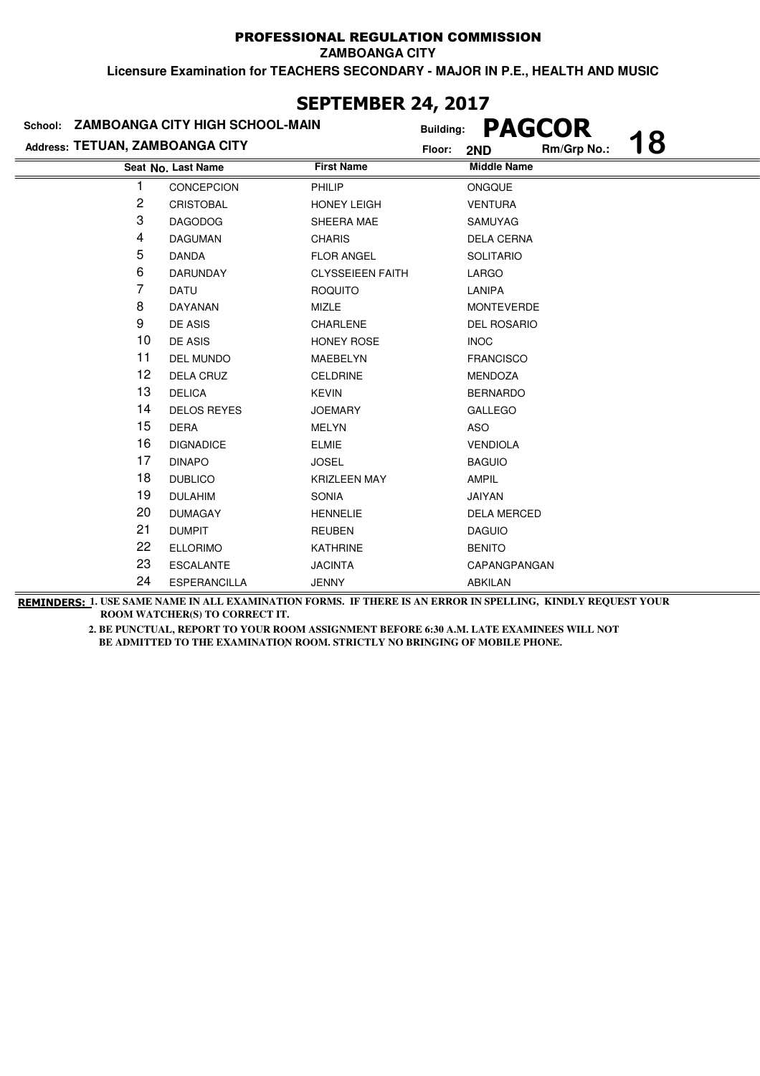**ZAMBOANGA CITY**

**Licensure Examination for TEACHERS SECONDARY - MAJOR IN P.E., HEALTH AND MUSIC**

| School: ZAMBOANGA CITY HIGH SCHOOL-MAIN |                     |                         | <b>PAGCOR</b><br><b>Building:</b><br>18 |                    |             |  |
|-----------------------------------------|---------------------|-------------------------|-----------------------------------------|--------------------|-------------|--|
| Address: TETUAN, ZAMBOANGA CITY         |                     |                         | Floor:                                  | 2ND                | Rm/Grp No.: |  |
|                                         | Seat No. Last Name  | <b>First Name</b>       |                                         | <b>Middle Name</b> |             |  |
|                                         | <b>CONCEPCION</b>   | PHILIP                  |                                         | ONGQUE             |             |  |
| 2                                       | <b>CRISTOBAL</b>    | <b>HONEY LEIGH</b>      |                                         | <b>VENTURA</b>     |             |  |
| 3                                       | <b>DAGODOG</b>      | SHEERA MAE              |                                         | <b>SAMUYAG</b>     |             |  |
| 4                                       | <b>DAGUMAN</b>      | <b>CHARIS</b>           |                                         | <b>DELA CERNA</b>  |             |  |
| 5                                       | <b>DANDA</b>        | <b>FLOR ANGEL</b>       |                                         | <b>SOLITARIO</b>   |             |  |
| 6                                       | <b>DARUNDAY</b>     | <b>CLYSSEIEEN FAITH</b> |                                         | LARGO              |             |  |
| 7                                       | DATU                | <b>ROQUITO</b>          |                                         | LANIPA             |             |  |
| 8                                       | DAYANAN             | <b>MIZLE</b>            |                                         | <b>MONTEVERDE</b>  |             |  |
| 9                                       | DE ASIS             | <b>CHARLENE</b>         |                                         | <b>DEL ROSARIO</b> |             |  |
| 10                                      | DE ASIS             | <b>HONEY ROSE</b>       |                                         | <b>INOC</b>        |             |  |
| 11                                      | <b>DEL MUNDO</b>    | MAEBELYN                |                                         | <b>FRANCISCO</b>   |             |  |
| 12                                      | <b>DELA CRUZ</b>    | <b>CELDRINE</b>         |                                         | <b>MENDOZA</b>     |             |  |
| 13                                      | <b>DELICA</b>       | <b>KEVIN</b>            |                                         | <b>BERNARDO</b>    |             |  |
| 14                                      | <b>DELOS REYES</b>  | <b>JOEMARY</b>          |                                         | <b>GALLEGO</b>     |             |  |
| 15                                      | <b>DERA</b>         | <b>MELYN</b>            |                                         | <b>ASO</b>         |             |  |
| 16                                      | <b>DIGNADICE</b>    | <b>ELMIE</b>            |                                         | <b>VENDIOLA</b>    |             |  |
| 17                                      | <b>DINAPO</b>       | <b>JOSEL</b>            |                                         | <b>BAGUIO</b>      |             |  |
| 18                                      | <b>DUBLICO</b>      | <b>KRIZLEEN MAY</b>     |                                         | <b>AMPIL</b>       |             |  |
| 19                                      | <b>DULAHIM</b>      | <b>SONIA</b>            |                                         | JAIYAN             |             |  |
| 20                                      | <b>DUMAGAY</b>      | <b>HENNELIE</b>         |                                         | <b>DELA MERCED</b> |             |  |
| 21                                      | <b>DUMPIT</b>       | <b>REUBEN</b>           |                                         | <b>DAGUIO</b>      |             |  |
| 22                                      | <b>ELLORIMO</b>     | <b>KATHRINE</b>         |                                         | <b>BENITO</b>      |             |  |
| 23                                      | <b>ESCALANTE</b>    | <b>JACINTA</b>          |                                         | CAPANGPANGAN       |             |  |
| 24                                      | <b>ESPERANCILLA</b> | <b>JENNY</b>            |                                         | <b>ABKILAN</b>     |             |  |

### **SEPTEMBER 24, 2017**

**REMINDERS: 1. USE SAME NAME IN ALL EXAMINATION FORMS. IF THERE IS AN ERROR IN SPELLING, KINDLY REQUEST YOUR ROOM WATCHER(S) TO CORRECT IT.**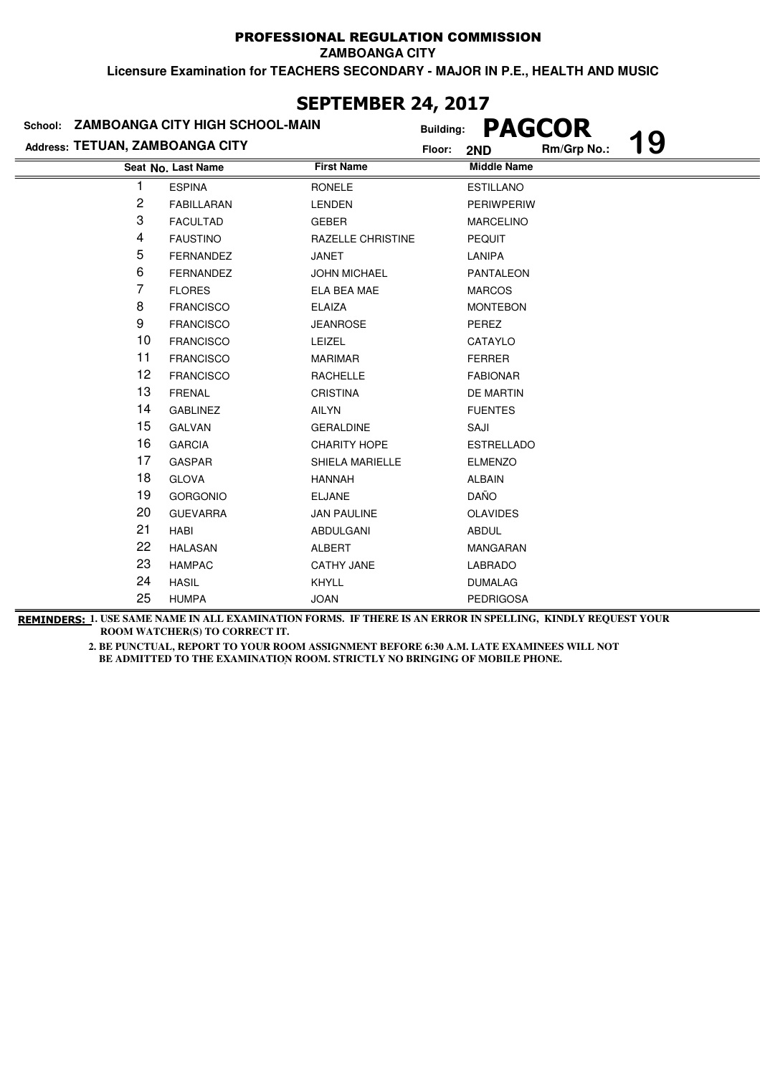**ZAMBOANGA CITY**

**Licensure Examination for TEACHERS SECONDARY - MAJOR IN P.E., HEALTH AND MUSIC**

| JLF I LI'IDLR <del>zt</del> ; zvi <i>i</i> |                                         |                          |                  |                    |               |           |
|--------------------------------------------|-----------------------------------------|--------------------------|------------------|--------------------|---------------|-----------|
|                                            | School: ZAMBOANGA CITY HIGH SCHOOL-MAIN |                          | <b>Building:</b> |                    | <b>PAGCOR</b> |           |
| Address: TETUAN, ZAMBOANGA CITY            |                                         |                          | Floor:           | 2ND                | Rm/Grp No.:   | <b>19</b> |
|                                            | Seat No. Last Name                      | <b>First Name</b>        |                  | <b>Middle Name</b> |               |           |
|                                            | <b>ESPINA</b>                           | <b>RONELE</b>            |                  | <b>ESTILLANO</b>   |               |           |
| 2                                          | <b>FABILLARAN</b>                       | <b>LENDEN</b>            |                  | <b>PERIWPERIW</b>  |               |           |
| 3                                          | <b>FACULTAD</b>                         | <b>GEBER</b>             |                  | <b>MARCELINO</b>   |               |           |
| 4                                          | <b>FAUSTINO</b>                         | <b>RAZELLE CHRISTINE</b> |                  | <b>PEQUIT</b>      |               |           |
| 5                                          | <b>FERNANDEZ</b>                        | <b>JANET</b>             |                  | <b>LANIPA</b>      |               |           |
| 6                                          | <b>FERNANDEZ</b>                        | <b>JOHN MICHAEL</b>      |                  | <b>PANTALEON</b>   |               |           |
| 7                                          | <b>FLORES</b>                           | ELA BEA MAE              |                  | <b>MARCOS</b>      |               |           |
| 8                                          | <b>FRANCISCO</b>                        | <b>ELAIZA</b>            |                  | <b>MONTEBON</b>    |               |           |
| 9                                          | <b>FRANCISCO</b>                        | <b>JEANROSE</b>          |                  | PEREZ              |               |           |
| 10                                         | <b>FRANCISCO</b>                        | <b>LEIZEL</b>            |                  | CATAYLO            |               |           |
| 11                                         | <b>FRANCISCO</b>                        | <b>MARIMAR</b>           |                  | <b>FERRER</b>      |               |           |
| 12                                         | <b>FRANCISCO</b>                        | <b>RACHELLE</b>          |                  | <b>FABIONAR</b>    |               |           |
| 13                                         | <b>FRENAL</b>                           | <b>CRISTINA</b>          |                  | <b>DE MARTIN</b>   |               |           |
| 14                                         | <b>GABLINEZ</b>                         | <b>AILYN</b>             |                  | <b>FUENTES</b>     |               |           |
| 15                                         | <b>GALVAN</b>                           | <b>GERALDINE</b>         |                  | SAJI               |               |           |
| 16                                         | <b>GARCIA</b>                           | <b>CHARITY HOPE</b>      |                  | <b>ESTRELLADO</b>  |               |           |
| 17                                         | <b>GASPAR</b>                           | <b>SHIELA MARIELLE</b>   |                  | <b>ELMENZO</b>     |               |           |
| 18                                         | <b>GLOVA</b>                            | <b>HANNAH</b>            |                  | <b>ALBAIN</b>      |               |           |
| 19                                         | <b>GORGONIO</b>                         | <b>ELJANE</b>            |                  | DAÑO               |               |           |
| 20                                         | <b>GUEVARRA</b>                         | <b>JAN PAULINE</b>       |                  | <b>OLAVIDES</b>    |               |           |
| 21                                         | <b>HABI</b>                             | ABDULGANI                |                  | <b>ABDUL</b>       |               |           |
| 22                                         | <b>HALASAN</b>                          | <b>ALBERT</b>            |                  | <b>MANGARAN</b>    |               |           |
| 23                                         | <b>HAMPAC</b>                           | <b>CATHY JANE</b>        |                  | <b>LABRADO</b>     |               |           |
| 24                                         | <b>HASIL</b>                            | <b>KHYLL</b>             |                  | <b>DUMALAG</b>     |               |           |
| 25                                         | <b>HUMPA</b>                            | <b>JOAN</b>              |                  | <b>PEDRIGOSA</b>   |               |           |

**REMINDERS: 1. USE SAME NAME IN ALL EXAMINATION FORMS. IF THERE IS AN ERROR IN SPELLING, KINDLY REQUEST YOUR ROOM WATCHER(S) TO CORRECT IT.** 

> **2. BE PUNCTUAL, REPORT TO YOUR ROOM ASSIGNMENT BEFORE 6:30 A.M. LATE EXAMINEES WILL NOT**  BE ADMITTED TO THE EXAMINATION ROOM. STRICTLY NO BRINGING OF MOBILE PHONE.

# **SEPTEMBER 24, 2017**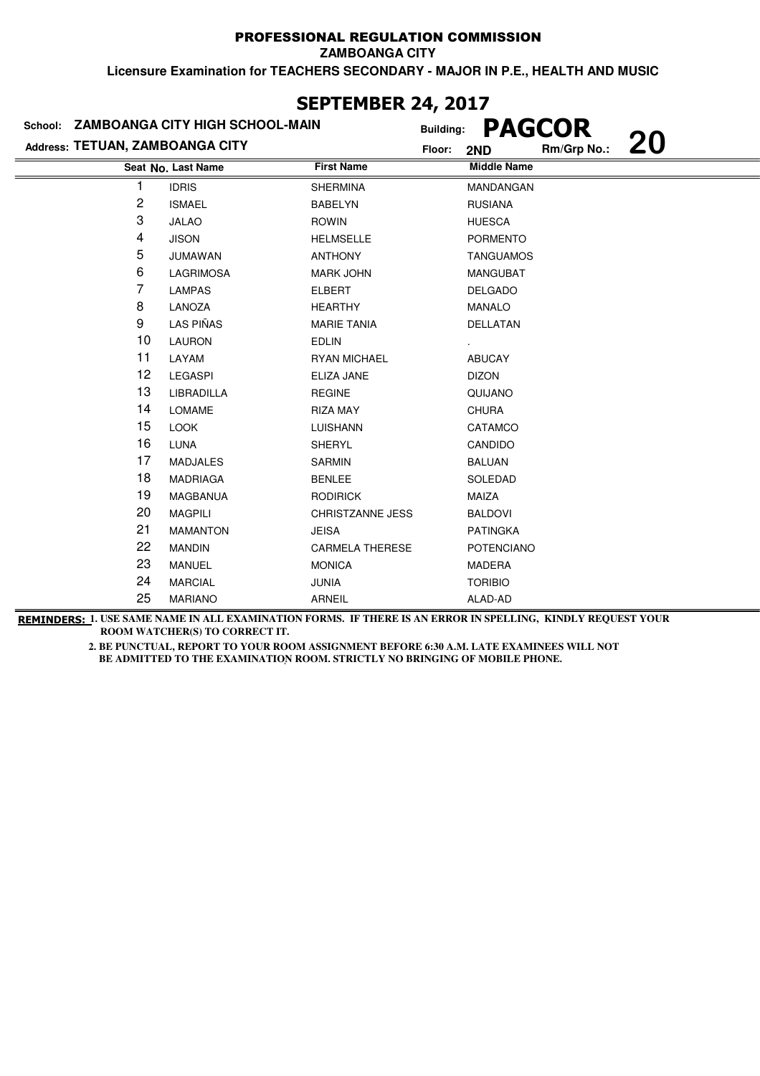**ZAMBOANGA CITY**

**Licensure Examination for TEACHERS SECONDARY - MAJOR IN P.E., HEALTH AND MUSIC**

|                                 | School: ZAMBOANGA CITY HIGH SCHOOL-MAIN |                        | <b>Building:</b>   | <b>PAGCOR</b> |           |
|---------------------------------|-----------------------------------------|------------------------|--------------------|---------------|-----------|
| Address: TETUAN, ZAMBOANGA CITY |                                         |                        | Floor:<br>2ND      | Rm/Grp No.:   | <b>20</b> |
|                                 | Seat No. Last Name                      | <b>First Name</b>      | <b>Middle Name</b> |               |           |
|                                 | <b>IDRIS</b>                            | <b>SHERMINA</b>        | MANDANGAN          |               |           |
| 2                               | <b>ISMAEL</b>                           | <b>BABELYN</b>         | <b>RUSIANA</b>     |               |           |
| 3                               | <b>JALAO</b>                            | <b>ROWIN</b>           | <b>HUESCA</b>      |               |           |
| 4                               | <b>JISON</b>                            | <b>HELMSELLE</b>       | <b>PORMENTO</b>    |               |           |
| 5                               | <b>JUMAWAN</b>                          | <b>ANTHONY</b>         | <b>TANGUAMOS</b>   |               |           |
| 6                               | <b>LAGRIMOSA</b>                        | <b>MARK JOHN</b>       | <b>MANGUBAT</b>    |               |           |
| 7                               | <b>LAMPAS</b>                           | <b>ELBERT</b>          | <b>DELGADO</b>     |               |           |
| 8                               | LANOZA                                  | <b>HEARTHY</b>         | <b>MANALO</b>      |               |           |
| 9                               | LAS PIÑAS                               | <b>MARIE TANIA</b>     | DELLATAN           |               |           |
| 10                              | <b>LAURON</b>                           | <b>EDLIN</b>           |                    |               |           |
| 11                              | LAYAM                                   | <b>RYAN MICHAEL</b>    | <b>ABUCAY</b>      |               |           |
| 12                              | <b>LEGASPI</b>                          | ELIZA JANE             | <b>DIZON</b>       |               |           |
| 13                              | LIBRADILLA                              | <b>REGINE</b>          | QUIJANO            |               |           |
| 14                              | <b>LOMAME</b>                           | <b>RIZA MAY</b>        | <b>CHURA</b>       |               |           |
| 15                              | <b>LOOK</b>                             | <b>LUISHANN</b>        | CATAMCO            |               |           |
| 16                              | <b>LUNA</b>                             | <b>SHERYL</b>          | CANDIDO            |               |           |
| 17                              | <b>MADJALES</b>                         | <b>SARMIN</b>          | <b>BALUAN</b>      |               |           |
| 18                              | <b>MADRIAGA</b>                         | <b>BENLEE</b>          | SOLEDAD            |               |           |
| 19                              | MAGBANUA                                | <b>RODIRICK</b>        | MAIZA              |               |           |
| 20                              | <b>MAGPILI</b>                          | CHRISTZANNE JESS       | <b>BALDOVI</b>     |               |           |
| 21                              | <b>MAMANTON</b>                         | <b>JEISA</b>           | <b>PATINGKA</b>    |               |           |
| 22                              | <b>MANDIN</b>                           | <b>CARMELA THERESE</b> | <b>POTENCIANO</b>  |               |           |
| 23                              | <b>MANUEL</b>                           | <b>MONICA</b>          | MADERA             |               |           |
| 24                              | <b>MARCIAL</b>                          | <b>JUNIA</b>           | <b>TORIBIO</b>     |               |           |
| 25                              | <b>MARIANO</b>                          | <b>ARNEIL</b>          | ALAD-AD            |               |           |

### **SEPTEMBER 24, 2017**

**REMINDERS: 1. USE SAME NAME IN ALL EXAMINATION FORMS. IF THERE IS AN ERROR IN SPELLING, KINDLY REQUEST YOUR ROOM WATCHER(S) TO CORRECT IT.**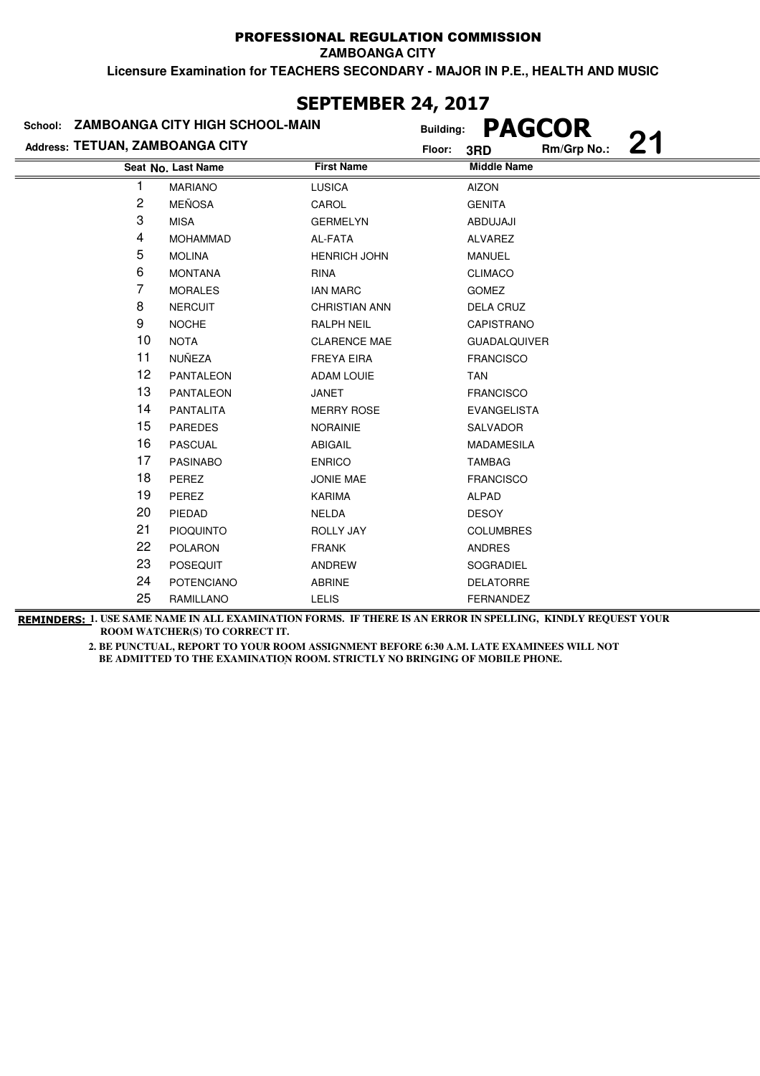**ZAMBOANGA CITY**

**Licensure Examination for TEACHERS SECONDARY - MAJOR IN P.E., HEALTH AND MUSIC**

| Address: TETUAN, ZAMBOANGA CITY | School: ZAMBOANGA CITY HIGH SCHOOL-MAIN |                      | <b>PAGCOR</b><br><b>Building:</b><br>21<br>Rm/Grp No.:<br>Floor:<br>3RD |
|---------------------------------|-----------------------------------------|----------------------|-------------------------------------------------------------------------|
|                                 | Seat No. Last Name                      | <b>First Name</b>    | <b>Middle Name</b>                                                      |
|                                 | <b>MARIANO</b>                          | <b>LUSICA</b>        | <b>AIZON</b>                                                            |
| $\overline{\mathbf{c}}$         | <b>MEÑOSA</b>                           | CAROL                | <b>GENITA</b>                                                           |
| 3                               | <b>MISA</b>                             | <b>GERMELYN</b>      | ABDUJAJI                                                                |
| 4                               | <b>MOHAMMAD</b>                         | AL-FATA              | <b>ALVAREZ</b>                                                          |
| 5                               | <b>MOLINA</b>                           | <b>HENRICH JOHN</b>  | <b>MANUEL</b>                                                           |
| 6                               | <b>MONTANA</b>                          | <b>RINA</b>          | <b>CLIMACO</b>                                                          |
| 7                               | <b>MORALES</b>                          | <b>IAN MARC</b>      | <b>GOMEZ</b>                                                            |
| 8                               | <b>NERCUIT</b>                          | <b>CHRISTIAN ANN</b> | DELA CRUZ                                                               |
| 9                               | <b>NOCHE</b>                            | <b>RALPH NEIL</b>    | CAPISTRANO                                                              |
| 10                              | <b>NOTA</b>                             | <b>CLARENCE MAE</b>  | <b>GUADALQUIVER</b>                                                     |
| 11                              | NUÑEZA                                  | <b>FREYA EIRA</b>    | <b>FRANCISCO</b>                                                        |
| 12                              | <b>PANTALEON</b>                        | <b>ADAM LOUIE</b>    | <b>TAN</b>                                                              |
| 13                              | <b>PANTALEON</b>                        | JANET                | <b>FRANCISCO</b>                                                        |
| 14                              | PANTALITA                               | <b>MERRY ROSE</b>    | <b>EVANGELISTA</b>                                                      |
| 15                              | <b>PAREDES</b>                          | <b>NORAINIE</b>      | <b>SALVADOR</b>                                                         |
| 16                              | <b>PASCUAL</b>                          | <b>ABIGAIL</b>       | <b>MADAMESILA</b>                                                       |
| 17                              | <b>PASINABO</b>                         | <b>ENRICO</b>        | <b>TAMBAG</b>                                                           |
| 18                              | PEREZ                                   | JONIE MAE            | <b>FRANCISCO</b>                                                        |
| 19                              | PEREZ                                   | <b>KARIMA</b>        | <b>ALPAD</b>                                                            |
| 20                              | PIEDAD                                  | <b>NELDA</b>         | <b>DESOY</b>                                                            |
| 21                              | <b>PIOQUINTO</b>                        | <b>ROLLY JAY</b>     | <b>COLUMBRES</b>                                                        |
| 22                              | <b>POLARON</b>                          | <b>FRANK</b>         | <b>ANDRES</b>                                                           |
| 23                              | <b>POSEQUIT</b>                         | ANDREW               | SOGRADIEL                                                               |
| 24                              | <b>POTENCIANO</b>                       | <b>ABRINE</b>        | <b>DELATORRE</b>                                                        |
| 25                              | RAMILLANO                               | <b>LELIS</b>         | FERNANDEZ                                                               |

**SEPTEMBER 24, 2017**

**REMINDERS: 1. USE SAME NAME IN ALL EXAMINATION FORMS. IF THERE IS AN ERROR IN SPELLING, KINDLY REQUEST YOUR ROOM WATCHER(S) TO CORRECT IT.**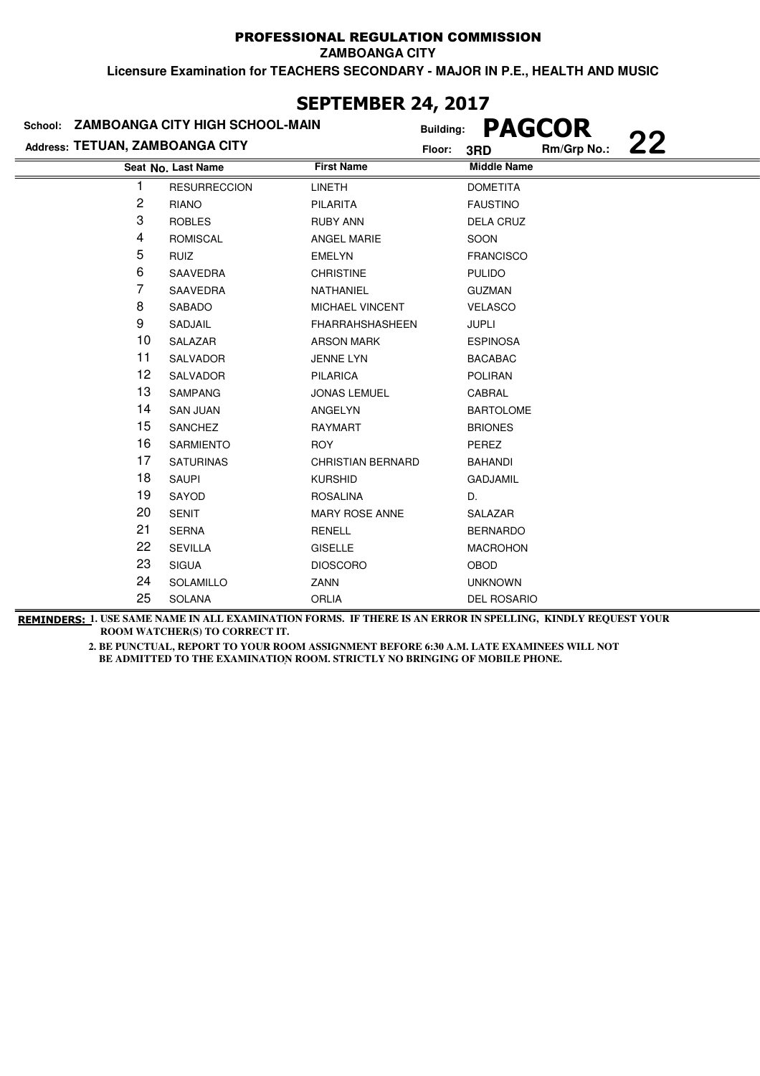**ZAMBOANGA CITY**

**Licensure Examination for TEACHERS SECONDARY - MAJOR IN P.E., HEALTH AND MUSIC**

| School: ZAMBOANGA CITY HIGH SCHOOL-MAIN | <b>Building:</b>    |                          | <b>PAGCOR</b> |                    |             |    |
|-----------------------------------------|---------------------|--------------------------|---------------|--------------------|-------------|----|
| Address: TETUAN, ZAMBOANGA CITY         |                     |                          | Floor:        | 3RD                | Rm/Grp No.: | 22 |
|                                         | Seat No. Last Name  | <b>First Name</b>        |               | <b>Middle Name</b> |             |    |
|                                         | <b>RESURRECCION</b> | <b>LINETH</b>            |               | <b>DOMETITA</b>    |             |    |
| 2                                       | <b>RIANO</b>        | <b>PILARITA</b>          |               | <b>FAUSTINO</b>    |             |    |
| 3                                       | <b>ROBLES</b>       | <b>RUBY ANN</b>          |               | <b>DELA CRUZ</b>   |             |    |
| 4                                       | <b>ROMISCAL</b>     | <b>ANGEL MARIE</b>       |               | SOON               |             |    |
| 5                                       | <b>RUIZ</b>         | <b>EMELYN</b>            |               | <b>FRANCISCO</b>   |             |    |
| 6                                       | <b>SAAVEDRA</b>     | <b>CHRISTINE</b>         |               | <b>PULIDO</b>      |             |    |
| 7                                       | SAAVEDRA            | NATHANIEL                |               | <b>GUZMAN</b>      |             |    |
| 8                                       | SABADO              | MICHAEL VINCENT          |               | <b>VELASCO</b>     |             |    |
| 9                                       | SADJAIL             | <b>FHARRAHSHASHEEN</b>   |               | <b>JUPLI</b>       |             |    |
| 10                                      | SALAZAR             | <b>ARSON MARK</b>        |               | <b>ESPINOSA</b>    |             |    |
| 11                                      | <b>SALVADOR</b>     | <b>JENNE LYN</b>         |               | <b>BACABAC</b>     |             |    |
| 12                                      | SALVADOR            | <b>PILARICA</b>          |               | <b>POLIRAN</b>     |             |    |
| 13                                      | <b>SAMPANG</b>      | <b>JONAS LEMUEL</b>      |               | CABRAL             |             |    |
| 14                                      | <b>SAN JUAN</b>     | ANGELYN                  |               | <b>BARTOLOME</b>   |             |    |
| 15                                      | <b>SANCHEZ</b>      | <b>RAYMART</b>           |               | <b>BRIONES</b>     |             |    |
| 16                                      | <b>SARMIENTO</b>    | <b>ROY</b>               |               | PEREZ              |             |    |
| 17                                      | <b>SATURINAS</b>    | <b>CHRISTIAN BERNARD</b> |               | <b>BAHANDI</b>     |             |    |
| 18                                      | <b>SAUPI</b>        | <b>KURSHID</b>           |               | <b>GADJAMIL</b>    |             |    |
| 19                                      | SAYOD               | <b>ROSALINA</b>          |               | D.                 |             |    |
| 20                                      | <b>SENIT</b>        | <b>MARY ROSE ANNE</b>    |               | SALAZAR            |             |    |
| 21                                      | <b>SERNA</b>        | RENELL                   |               | <b>BERNARDO</b>    |             |    |
| 22                                      | <b>SEVILLA</b>      | <b>GISELLE</b>           |               | <b>MACROHON</b>    |             |    |
| 23                                      | <b>SIGUA</b>        | <b>DIOSCORO</b>          |               | OBOD               |             |    |
| 24                                      | <b>SOLAMILLO</b>    | <b>ZANN</b>              |               | <b>UNKNOWN</b>     |             |    |
| 25                                      | <b>SOLANA</b>       | <b>ORLIA</b>             |               | <b>DEL ROSARIO</b> |             |    |

**REMINDERS: 1. USE SAME NAME IN ALL EXAMINATION FORMS. IF THERE IS AN ERROR IN SPELLING, KINDLY REQUEST YOUR ROOM WATCHER(S) TO CORRECT IT.** 

> **2. BE PUNCTUAL, REPORT TO YOUR ROOM ASSIGNMENT BEFORE 6:30 A.M. LATE EXAMINEES WILL NOT**  BE ADMITTED TO THE EXAMINATION ROOM. STRICTLY NO BRINGING OF MOBILE PHONE.

### **SEPTEMBER 24, 2017**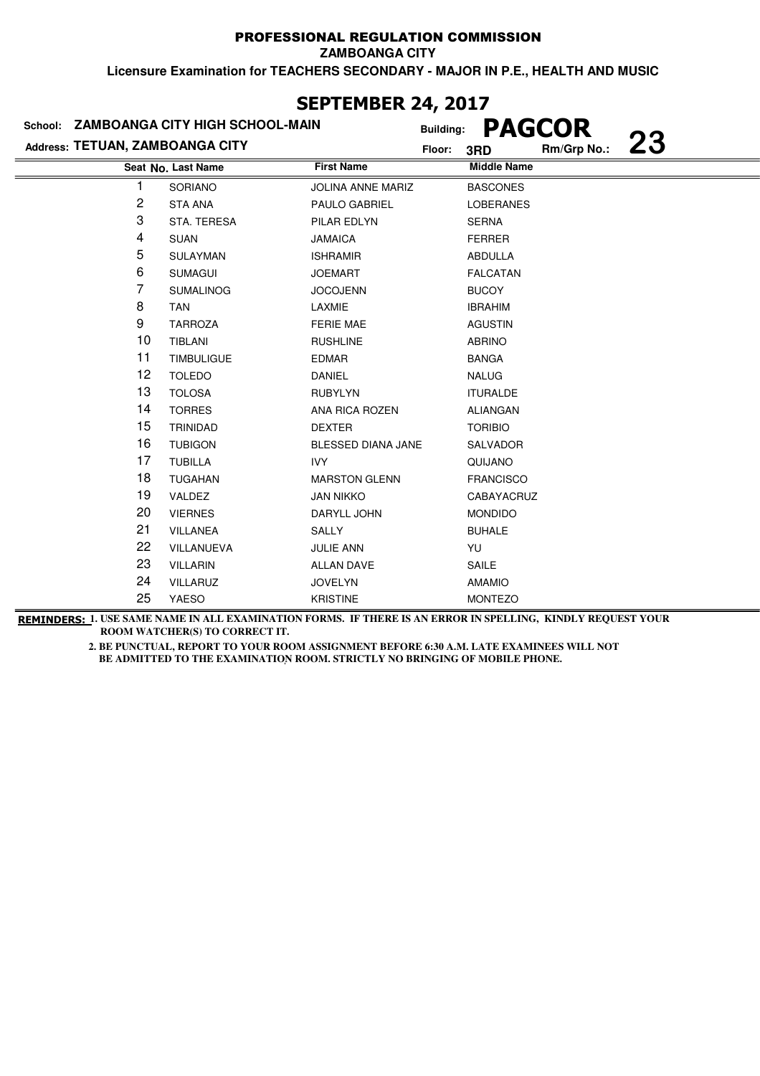**ZAMBOANGA CITY**

**Licensure Examination for TEACHERS SECONDARY - MAJOR IN P.E., HEALTH AND MUSIC**

|                                 | School: ZAMBOANGA CITY HIGH SCHOOL-MAIN | LI I LI'IVLI\ AT/ AV1/<br><b>Building:</b> |        | <b>PAGCOR</b>      |             |           |
|---------------------------------|-----------------------------------------|--------------------------------------------|--------|--------------------|-------------|-----------|
| Address: TETUAN, ZAMBOANGA CITY |                                         |                                            | Floor: | 3RD                | Rm/Grp No.: | <b>23</b> |
|                                 | Seat No. Last Name                      | <b>First Name</b>                          |        | <b>Middle Name</b> |             |           |
|                                 | SORIANO                                 | <b>JOLINA ANNE MARIZ</b>                   |        | <b>BASCONES</b>    |             |           |
| 2                               | <b>STA ANA</b>                          | PAULO GABRIEL                              |        | <b>LOBERANES</b>   |             |           |
| 3                               | STA. TERESA                             | PILAR EDLYN                                |        | <b>SERNA</b>       |             |           |
| 4                               | <b>SUAN</b>                             | <b>JAMAICA</b>                             |        | <b>FERRER</b>      |             |           |
| 5                               | <b>SULAYMAN</b>                         | <b>ISHRAMIR</b>                            |        | ABDULLA            |             |           |
| 6                               | <b>SUMAGUI</b>                          | <b>JOEMART</b>                             |        | <b>FALCATAN</b>    |             |           |
| 7                               | <b>SUMALINOG</b>                        | <b>JOCOJENN</b>                            |        | <b>BUCOY</b>       |             |           |
| 8                               | <b>TAN</b>                              | LAXMIE                                     |        | <b>IBRAHIM</b>     |             |           |
| 9                               | <b>TARROZA</b>                          | <b>FERIE MAE</b>                           |        | <b>AGUSTIN</b>     |             |           |
| 10                              | <b>TIBLANI</b>                          | <b>RUSHLINE</b>                            |        | <b>ABRINO</b>      |             |           |
| 11                              | <b>TIMBULIGUE</b>                       | <b>EDMAR</b>                               |        | <b>BANGA</b>       |             |           |
| 12                              | <b>TOLEDO</b>                           | <b>DANIEL</b>                              |        | <b>NALUG</b>       |             |           |
| 13                              | <b>TOLOSA</b>                           | <b>RUBYLYN</b>                             |        | <b>ITURALDE</b>    |             |           |
| 14                              | <b>TORRES</b>                           | ANA RICA ROZEN                             |        | <b>ALIANGAN</b>    |             |           |
| 15                              | TRINIDAD                                | <b>DEXTER</b>                              |        | <b>TORIBIO</b>     |             |           |
| 16                              | <b>TUBIGON</b>                          | BLESSED DIANA JANE                         |        | <b>SALVADOR</b>    |             |           |
| 17                              | <b>TUBILLA</b>                          | <b>IVY</b>                                 |        | QUIJANO            |             |           |
| 18                              | <b>TUGAHAN</b>                          | <b>MARSTON GLENN</b>                       |        | <b>FRANCISCO</b>   |             |           |
| 19                              | VALDEZ                                  | <b>JAN NIKKO</b>                           |        | CABAYACRUZ         |             |           |
| 20                              | <b>VIERNES</b>                          | DARYLL JOHN                                |        | <b>MONDIDO</b>     |             |           |
| 21                              | <b>VILLANEA</b>                         | SALLY                                      |        | <b>BUHALE</b>      |             |           |
| 22                              | VILLANUEVA                              | <b>JULIE ANN</b>                           |        | YU                 |             |           |
| 23                              | <b>VILLARIN</b>                         | <b>ALLAN DAVE</b>                          |        | SAILE              |             |           |
| 24                              | VILLARUZ                                | <b>JOVELYN</b>                             |        | <b>AMAMIO</b>      |             |           |
| 25                              | <b>YAESO</b>                            | <b>KRISTINE</b>                            |        | <b>MONTEZO</b>     |             |           |

### **SEPTEMBER 24, 2017**

**REMINDERS: 1. USE SAME NAME IN ALL EXAMINATION FORMS. IF THERE IS AN ERROR IN SPELLING, KINDLY REQUEST YOUR ROOM WATCHER(S) TO CORRECT IT.**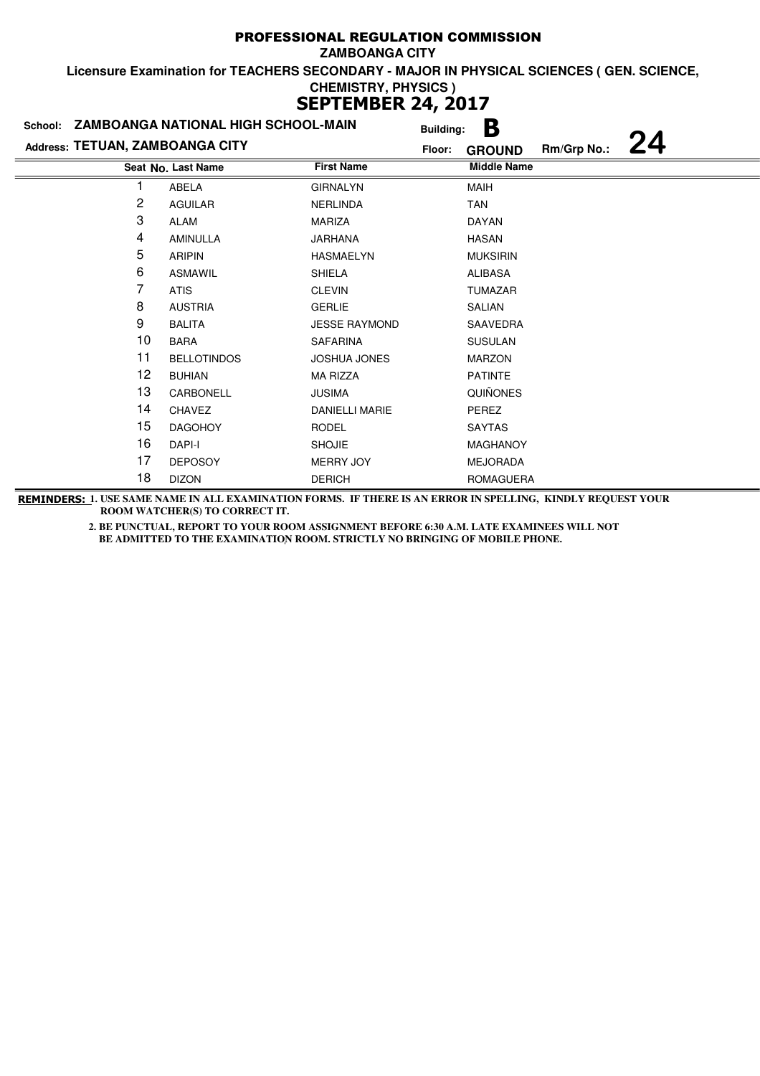|                                 | School: ZAMBOANGA NATIONAL HIGH SCHOOL-MAIN |                       | <b>Building:</b> | B                  |             |  |
|---------------------------------|---------------------------------------------|-----------------------|------------------|--------------------|-------------|--|
| Address: TETUAN, ZAMBOANGA CITY |                                             |                       | Floor:           | <b>GROUND</b>      | Rm/Grp No.: |  |
|                                 | Seat No. Last Name                          | <b>First Name</b>     |                  | <b>Middle Name</b> |             |  |
|                                 | ABELA                                       | <b>GIRNALYN</b>       |                  | <b>MAIH</b>        |             |  |
| 2                               | <b>AGUILAR</b>                              | <b>NERLINDA</b>       |                  | TAN                |             |  |
| 3                               | ALAM                                        | <b>MARIZA</b>         |                  | DAYAN              |             |  |
| 4                               | AMINULLA                                    | JARHANA               |                  | <b>HASAN</b>       |             |  |
| 5                               | <b>ARIPIN</b>                               | <b>HASMAELYN</b>      |                  | <b>MUKSIRIN</b>    |             |  |
| 6                               | <b>ASMAWIL</b>                              | <b>SHIELA</b>         |                  | <b>ALIBASA</b>     |             |  |
| 7                               | <b>ATIS</b>                                 | <b>CLEVIN</b>         |                  | <b>TUMAZAR</b>     |             |  |
| 8                               | <b>AUSTRIA</b>                              | <b>GERLIE</b>         |                  | SALIAN             |             |  |
| 9                               | <b>BALITA</b>                               | <b>JESSE RAYMOND</b>  |                  | SAAVEDRA           |             |  |
| 10                              | <b>BARA</b>                                 | <b>SAFARINA</b>       |                  | <b>SUSULAN</b>     |             |  |
| 11                              | <b>BELLOTINDOS</b>                          | <b>JOSHUA JONES</b>   |                  | <b>MARZON</b>      |             |  |
| 12                              | <b>BUHIAN</b>                               | <b>MA RIZZA</b>       |                  | <b>PATINTE</b>     |             |  |
| 13                              | CARBONELL                                   | <b>JUSIMA</b>         |                  | <b>QUIÑONES</b>    |             |  |
| 14                              | <b>CHAVEZ</b>                               | <b>DANIELLI MARIE</b> |                  | PEREZ              |             |  |
| 15                              | <b>DAGOHOY</b>                              | <b>RODEL</b>          |                  | <b>SAYTAS</b>      |             |  |
| 16                              | DAPI-I                                      | <b>SHOJIE</b>         |                  | <b>MAGHANOY</b>    |             |  |
| 17                              | <b>DEPOSOY</b>                              | <b>MERRY JOY</b>      |                  | <b>MEJORADA</b>    |             |  |
| 18                              | <b>DIZON</b>                                | <b>DERICH</b>         |                  | ROMAGUERA          |             |  |

**REMINDERS: 1. USE SAME NAME IN ALL EXAMINATION FORMS. IF THERE IS AN ERROR IN SPELLING, KINDLY REQUEST YOUR ROOM WATCHER(S) TO CORRECT IT.**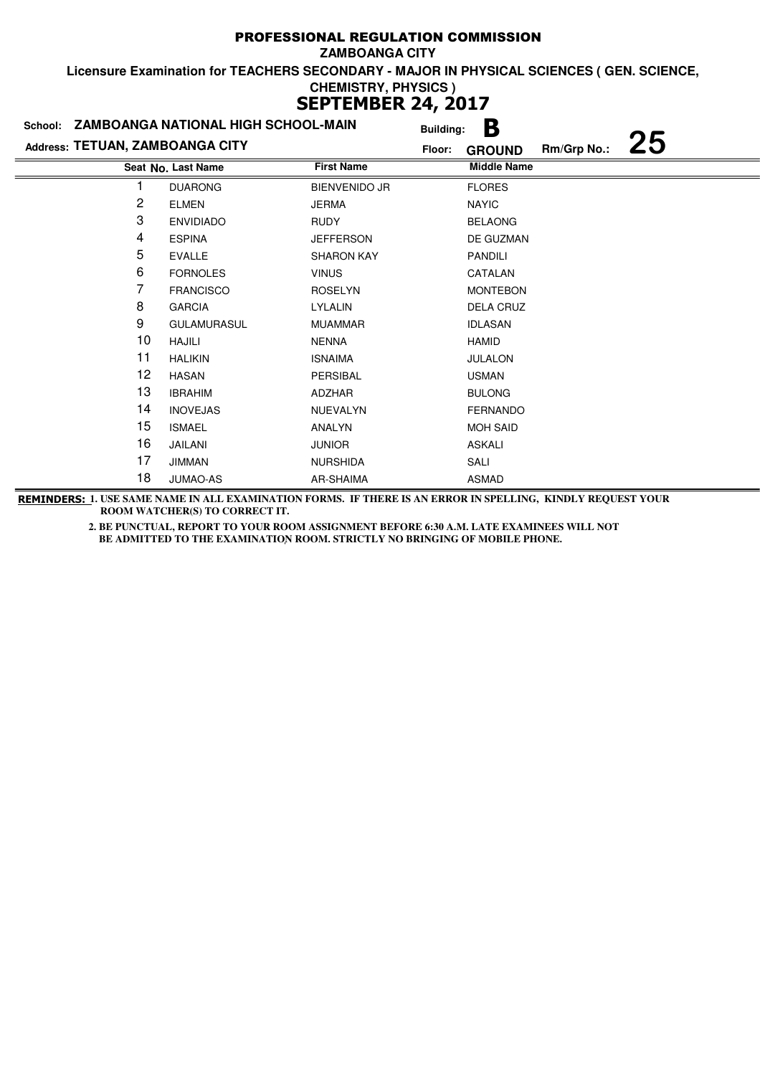| School:                         | ZAMBOANGA NATIONAL HIGH SCHOOL-MAIN |                      | <b>Building:</b> | Β                  |             |    |
|---------------------------------|-------------------------------------|----------------------|------------------|--------------------|-------------|----|
| Address: TETUAN, ZAMBOANGA CITY |                                     |                      | Floor:           | <b>GROUND</b>      | Rm/Grp No.: | 25 |
|                                 | Seat No. Last Name                  | <b>First Name</b>    |                  | <b>Middle Name</b> |             |    |
|                                 | <b>DUARONG</b>                      | <b>BIENVENIDO JR</b> |                  | <b>FLORES</b>      |             |    |
| 2                               | <b>ELMEN</b>                        | <b>JERMA</b>         |                  | <b>NAYIC</b>       |             |    |
| 3                               | <b>ENVIDIADO</b>                    | RUDY                 |                  | <b>BELAONG</b>     |             |    |
| 4                               | <b>ESPINA</b>                       | <b>JEFFERSON</b>     |                  | DE GUZMAN          |             |    |
| 5                               | <b>EVALLE</b>                       | <b>SHARON KAY</b>    |                  | <b>PANDILI</b>     |             |    |
| 6                               | <b>FORNOLES</b>                     | <b>VINUS</b>         |                  | CATALAN            |             |    |
| 7                               | <b>FRANCISCO</b>                    | <b>ROSELYN</b>       |                  | <b>MONTEBON</b>    |             |    |
| 8                               | <b>GARCIA</b>                       | LYLALIN              |                  | <b>DELA CRUZ</b>   |             |    |
| 9                               | <b>GULAMURASUL</b>                  | <b>MUAMMAR</b>       |                  | <b>IDLASAN</b>     |             |    |
| 10                              | HAJILI                              | <b>NENNA</b>         |                  | HAMID              |             |    |
| 11                              | <b>HALIKIN</b>                      | <b>ISNAIMA</b>       |                  | <b>JULALON</b>     |             |    |
| 12                              | <b>HASAN</b>                        | PERSIBAL             |                  | <b>USMAN</b>       |             |    |
| 13                              | <b>IBRAHIM</b>                      | ADZHAR               |                  | <b>BULONG</b>      |             |    |
| 14                              | <b>INOVEJAS</b>                     | NUEVALYN             |                  | <b>FERNANDO</b>    |             |    |
| 15                              | <b>ISMAEL</b>                       | ANALYN               |                  | <b>MOH SAID</b>    |             |    |
| 16                              | JAILANI                             | <b>JUNIOR</b>        |                  | <b>ASKALI</b>      |             |    |
| 17                              | <b>JIMMAN</b>                       | <b>NURSHIDA</b>      |                  | SALI               |             |    |
| 18                              | JUMAO-AS                            | AR-SHAIMA            |                  | ASMAD              |             |    |

**REMINDERS: 1. USE SAME NAME IN ALL EXAMINATION FORMS. IF THERE IS AN ERROR IN SPELLING, KINDLY REQUEST YOUR ROOM WATCHER(S) TO CORRECT IT.**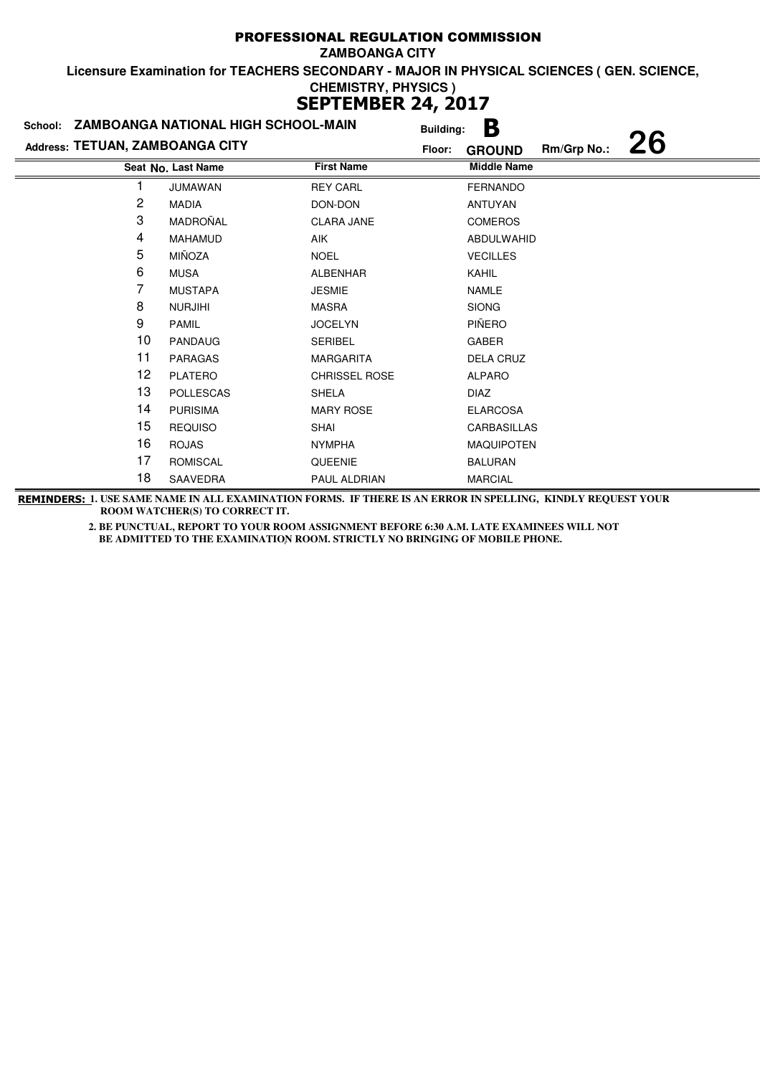|                                 | School: ZAMBOANGA NATIONAL HIGH SCHOOL-MAIN |                      | <b>Building:</b> | Β                  |             |           |
|---------------------------------|---------------------------------------------|----------------------|------------------|--------------------|-------------|-----------|
| Address: TETUAN, ZAMBOANGA CITY |                                             |                      | Floor:           | <b>GROUND</b>      | Rm/Grp No.: | <b>26</b> |
|                                 | Seat No. Last Name                          | <b>First Name</b>    |                  | <b>Middle Name</b> |             |           |
|                                 | <b>JUMAWAN</b>                              | <b>REY CARL</b>      |                  | <b>FERNANDO</b>    |             |           |
| 2                               | <b>MADIA</b>                                | DON-DON              |                  | ANTUYAN            |             |           |
| 3                               | MADROÑAL                                    | <b>CLARA JANE</b>    |                  | <b>COMEROS</b>     |             |           |
| 4                               | <b>MAHAMUD</b>                              | <b>AIK</b>           |                  | ABDULWAHID         |             |           |
| 5                               | MIÑOZA                                      | <b>NOEL</b>          |                  | <b>VECILLES</b>    |             |           |
| 6                               | <b>MUSA</b>                                 | <b>ALBENHAR</b>      |                  | KAHIL              |             |           |
| 7                               | <b>MUSTAPA</b>                              | <b>JESMIE</b>        |                  | NAMLE              |             |           |
| 8                               | <b>NURJIHI</b>                              | <b>MASRA</b>         |                  | <b>SIONG</b>       |             |           |
| 9                               | <b>PAMIL</b>                                | <b>JOCELYN</b>       |                  | PIÑERO             |             |           |
| 10                              | <b>PANDAUG</b>                              | <b>SERIBEL</b>       |                  | GABER              |             |           |
| 11                              | <b>PARAGAS</b>                              | <b>MARGARITA</b>     |                  | DELA CRUZ          |             |           |
| 12                              | <b>PLATERO</b>                              | <b>CHRISSEL ROSE</b> |                  | <b>ALPARO</b>      |             |           |
| 13                              | <b>POLLESCAS</b>                            | <b>SHELA</b>         |                  | <b>DIAZ</b>        |             |           |
| 14                              | <b>PURISIMA</b>                             | <b>MARY ROSE</b>     |                  | <b>ELARCOSA</b>    |             |           |
| 15                              | <b>REQUISO</b>                              | <b>SHAI</b>          |                  | <b>CARBASILLAS</b> |             |           |
| 16                              | <b>ROJAS</b>                                | <b>NYMPHA</b>        |                  | <b>MAQUIPOTEN</b>  |             |           |
| 17                              | <b>ROMISCAL</b>                             | <b>QUEENIE</b>       |                  | <b>BALURAN</b>     |             |           |
| 18                              | SAAVEDRA                                    | PAUL ALDRIAN         |                  | <b>MARCIAL</b>     |             |           |

**REMINDERS: 1. USE SAME NAME IN ALL EXAMINATION FORMS. IF THERE IS AN ERROR IN SPELLING, KINDLY REQUEST YOUR ROOM WATCHER(S) TO CORRECT IT.**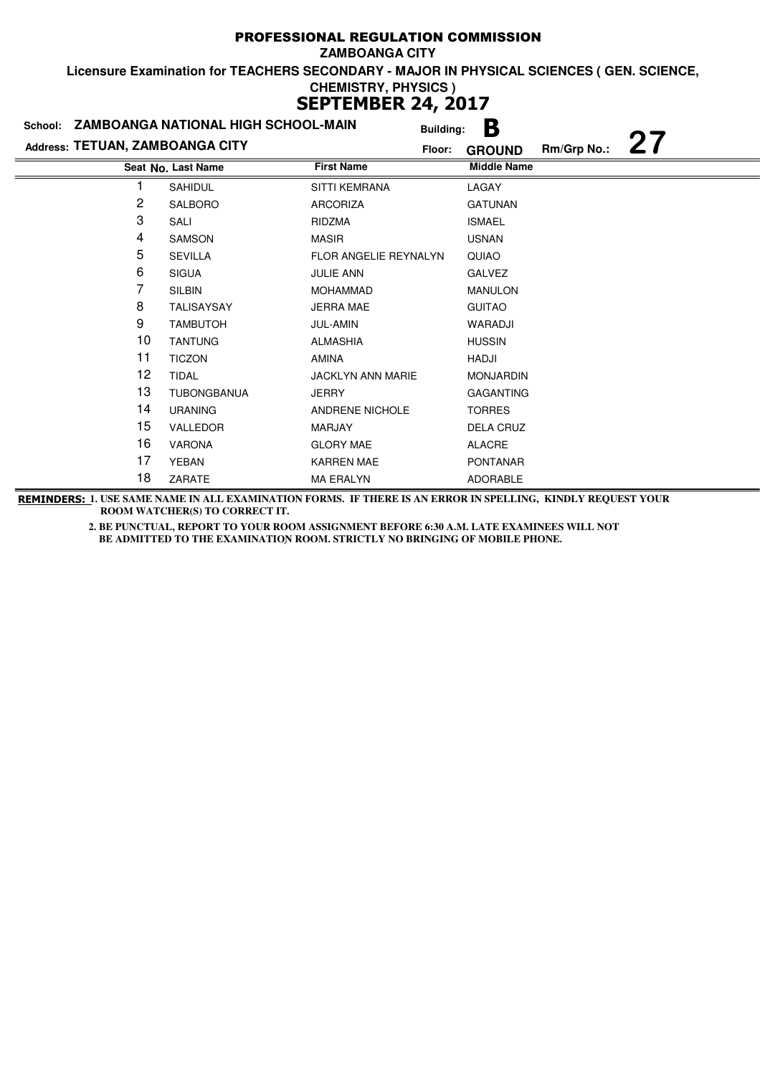| School: ZAMBOANGA NATIONAL HIGH SCHOOL-MAIN |                    |                              | <b>Building:</b> | Β                  |             |    |
|---------------------------------------------|--------------------|------------------------------|------------------|--------------------|-------------|----|
| Address: TETUAN, ZAMBOANGA CITY             |                    |                              | Floor:           | <b>GROUND</b>      | Rm/Grp No.: | 27 |
|                                             | Seat No. Last Name | <b>First Name</b>            |                  | <b>Middle Name</b> |             |    |
|                                             | SAHIDUL            | <b>SITTI KEMRANA</b>         |                  | LAGAY              |             |    |
| 2                                           | <b>SALBORO</b>     | <b>ARCORIZA</b>              |                  | <b>GATUNAN</b>     |             |    |
| 3                                           | SALI               | RIDZMA                       |                  | <b>ISMAEL</b>      |             |    |
| 4                                           | <b>SAMSON</b>      | <b>MASIR</b>                 |                  | <b>USNAN</b>       |             |    |
| 5                                           | <b>SEVILLA</b>     | <b>FLOR ANGELIE REYNALYN</b> |                  | QUIAO              |             |    |
| 6                                           | <b>SIGUA</b>       | <b>JULIE ANN</b>             |                  | <b>GALVEZ</b>      |             |    |
| 7                                           | <b>SILBIN</b>      | <b>MOHAMMAD</b>              |                  | <b>MANULON</b>     |             |    |
| 8                                           | <b>TALISAYSAY</b>  | <b>JERRA MAE</b>             |                  | <b>GUITAO</b>      |             |    |
| 9                                           | <b>TAMBUTOH</b>    | <b>JUL-AMIN</b>              |                  | WARADJI            |             |    |
| 10                                          | <b>TANTUNG</b>     | <b>ALMASHIA</b>              |                  | <b>HUSSIN</b>      |             |    |
| 11                                          | <b>TICZON</b>      | <b>AMINA</b>                 |                  | HADJI              |             |    |
| 12                                          | <b>TIDAL</b>       | <b>JACKLYN ANN MARIE</b>     |                  | <b>MONJARDIN</b>   |             |    |
| 13                                          | <b>TUBONGBANUA</b> | <b>JERRY</b>                 |                  | <b>GAGANTING</b>   |             |    |
| 14                                          | <b>URANING</b>     | <b>ANDRENE NICHOLE</b>       |                  | <b>TORRES</b>      |             |    |
| 15                                          | VALLEDOR           | MARJAY                       |                  | <b>DELA CRUZ</b>   |             |    |
| 16                                          | <b>VARONA</b>      | <b>GLORY MAE</b>             |                  | <b>ALACRE</b>      |             |    |
| 17                                          | YEBAN              | <b>KARREN MAE</b>            |                  | <b>PONTANAR</b>    |             |    |
| 18                                          | ZARATE             | MA ERALYN                    |                  | <b>ADORABLE</b>    |             |    |

**REMINDERS: 1. USE SAME NAME IN ALL EXAMINATION FORMS. IF THERE IS AN ERROR IN SPELLING, KINDLY REQUEST YOUR ROOM WATCHER(S) TO CORRECT IT.**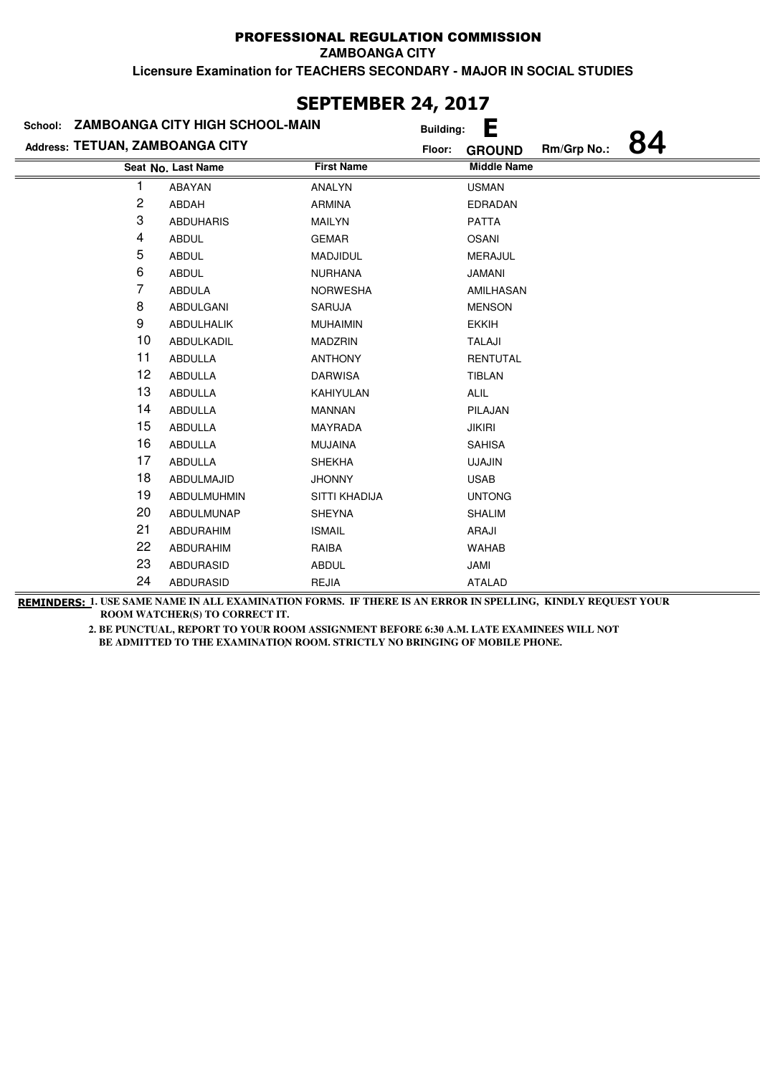**ZAMBOANGA CITY**

**Licensure Examination for TEACHERS SECONDARY - MAJOR IN SOCIAL STUDIES**

| 961 TEPIDEIS <del>27</del> 7 2917<br>School: ZAMBOANGA CITY HIGH SCHOOL-MAIN |                    |                   |                              |  |  |  |
|------------------------------------------------------------------------------|--------------------|-------------------|------------------------------|--|--|--|
|                                                                              |                    | <b>Building:</b>  | Е<br>84                      |  |  |  |
| Address: TETUAN, ZAMBOANGA CITY                                              |                    | Floor:            | Rm/Grp No.:<br><b>GROUND</b> |  |  |  |
|                                                                              | Seat No. Last Name | <b>First Name</b> | <b>Middle Name</b>           |  |  |  |
| 1                                                                            | ABAYAN             | <b>ANALYN</b>     | <b>USMAN</b>                 |  |  |  |
| 2                                                                            | ABDAH              | <b>ARMINA</b>     | <b>EDRADAN</b>               |  |  |  |
| 3                                                                            | <b>ABDUHARIS</b>   | <b>MAILYN</b>     | <b>PATTA</b>                 |  |  |  |
| 4                                                                            | <b>ABDUL</b>       | <b>GEMAR</b>      | <b>OSANI</b>                 |  |  |  |
| 5                                                                            | <b>ABDUL</b>       | <b>MADJIDUL</b>   | <b>MERAJUL</b>               |  |  |  |
| 6                                                                            | <b>ABDUL</b>       | <b>NURHANA</b>    | <b>JAMANI</b>                |  |  |  |
| 7                                                                            | <b>ABDULA</b>      | <b>NORWESHA</b>   | AMILHASAN                    |  |  |  |
| 8                                                                            | ABDULGANI          | <b>SARUJA</b>     | <b>MENSON</b>                |  |  |  |
| 9                                                                            | ABDULHALIK         | <b>MUHAIMIN</b>   | <b>EKKIH</b>                 |  |  |  |
| 10                                                                           | ABDULKADIL         | <b>MADZRIN</b>    | TALAJI                       |  |  |  |
| 11                                                                           | <b>ABDULLA</b>     | <b>ANTHONY</b>    | <b>RENTUTAL</b>              |  |  |  |
| 12                                                                           | ABDULLA            | <b>DARWISA</b>    | TIBLAN                       |  |  |  |
| 13                                                                           | <b>ABDULLA</b>     | KAHIYULAN         | ALIL                         |  |  |  |
| 14                                                                           | ABDULLA            | <b>MANNAN</b>     | PILAJAN                      |  |  |  |
| 15                                                                           | ABDULLA            | <b>MAYRADA</b>    | <b>JIKIRI</b>                |  |  |  |
| 16                                                                           | <b>ABDULLA</b>     | <b>MUJAINA</b>    | <b>SAHISA</b>                |  |  |  |
| 17                                                                           | ABDULLA            | <b>SHEKHA</b>     | <b>UJAJIN</b>                |  |  |  |
| 18                                                                           | ABDULMAJID         | <b>JHONNY</b>     | <b>USAB</b>                  |  |  |  |
| 19                                                                           | ABDULMUHMIN        | SITTI KHADIJA     | <b>UNTONG</b>                |  |  |  |
| 20                                                                           | ABDULMUNAP         | <b>SHEYNA</b>     | <b>SHALIM</b>                |  |  |  |
| 21                                                                           | <b>ABDURAHIM</b>   | <b>ISMAIL</b>     | ARAJI                        |  |  |  |
| 22                                                                           | ABDURAHIM          | RAIBA             | <b>WAHAB</b>                 |  |  |  |
| 23                                                                           | <b>ABDURASID</b>   | <b>ABDUL</b>      | JAMI                         |  |  |  |
| 24                                                                           | <b>ABDURASID</b>   | <b>REJIA</b>      | <b>ATALAD</b>                |  |  |  |

### **SEPTEMBER 24, 2017**

**REMINDERS: 1. USE SAME NAME IN ALL EXAMINATION FORMS. IF THERE IS AN ERROR IN SPELLING, KINDLY REQUEST YOUR ROOM WATCHER(S) TO CORRECT IT.**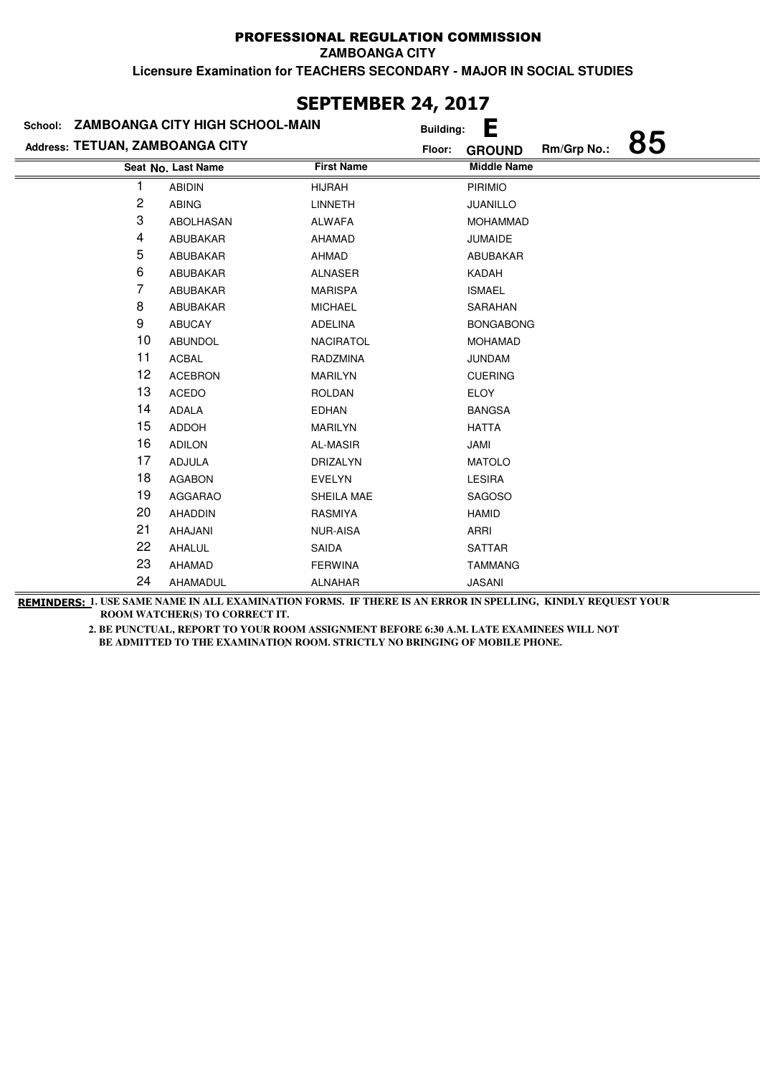**ZAMBOANGA CITY**

**Licensure Examination for TEACHERS SECONDARY - MAJOR IN SOCIAL STUDIES**

| JLF ILI'IDLI\ <del>zt</del> į zvi <i>i</i> |                    |                   |                       |             |    |  |
|--------------------------------------------|--------------------|-------------------|-----------------------|-------------|----|--|
| School: ZAMBOANGA CITY HIGH SCHOOL-MAIN    |                    |                   | Е<br><b>Building:</b> |             |    |  |
| Address: TETUAN, ZAMBOANGA CITY            |                    | Floor:            | <b>GROUND</b>         | Rm/Grp No.: | 85 |  |
|                                            | Seat No. Last Name | <b>First Name</b> | <b>Middle Name</b>    |             |    |  |
|                                            | <b>ABIDIN</b>      | <b>HIJRAH</b>     | <b>PIRIMIO</b>        |             |    |  |
| 2                                          | <b>ABING</b>       | <b>LINNETH</b>    | <b>JUANILLO</b>       |             |    |  |
| 3                                          | ABOLHASAN          | <b>ALWAFA</b>     | <b>MOHAMMAD</b>       |             |    |  |
| 4                                          | ABUBAKAR           | <b>AHAMAD</b>     | <b>JUMAIDE</b>        |             |    |  |
| 5                                          | ABUBAKAR           | AHMAD             | ABUBAKAR              |             |    |  |
| 6                                          | ABUBAKAR           | <b>ALNASER</b>    | KADAH                 |             |    |  |
| 7                                          | ABUBAKAR           | <b>MARISPA</b>    | <b>ISMAEL</b>         |             |    |  |
| 8                                          | ABUBAKAR           | <b>MICHAEL</b>    | SARAHAN               |             |    |  |
| 9                                          | <b>ABUCAY</b>      | <b>ADELINA</b>    | <b>BONGABONG</b>      |             |    |  |
| 10                                         | <b>ABUNDOL</b>     | <b>NACIRATOL</b>  | <b>MOHAMAD</b>        |             |    |  |
| 11                                         | <b>ACBAL</b>       | RADZMINA          | <b>JUNDAM</b>         |             |    |  |
| 12                                         | <b>ACEBRON</b>     | <b>MARILYN</b>    | <b>CUERING</b>        |             |    |  |
| 13                                         | <b>ACEDO</b>       | <b>ROLDAN</b>     | <b>ELOY</b>           |             |    |  |
| 14                                         | ADALA              | <b>EDHAN</b>      | <b>BANGSA</b>         |             |    |  |
| 15                                         | <b>ADDOH</b>       | <b>MARILYN</b>    | <b>HATTA</b>          |             |    |  |
| 16                                         | <b>ADILON</b>      | <b>AL-MASIR</b>   | JAMI                  |             |    |  |
| 17                                         | <b>ADJULA</b>      | DRIZALYN          | <b>MATOLO</b>         |             |    |  |
| 18                                         | <b>AGABON</b>      | <b>EVELYN</b>     | <b>LESIRA</b>         |             |    |  |
| 19                                         | <b>AGGARAO</b>     | SHEILA MAE        | <b>SAGOSO</b>         |             |    |  |
| 20                                         | <b>AHADDIN</b>     | <b>RASMIYA</b>    | <b>HAMID</b>          |             |    |  |
| 21                                         | AHAJANI            | <b>NUR-AISA</b>   | ARRI                  |             |    |  |
| 22                                         | AHALUL             | <b>SAIDA</b>      | <b>SATTAR</b>         |             |    |  |
| 23                                         | <b>AHAMAD</b>      | <b>FERWINA</b>    | <b>TAMMANG</b>        |             |    |  |
| 24                                         | AHAMADUL           | <b>ALNAHAR</b>    | <b>JASANI</b>         |             |    |  |

# **SEPTEMBER 24, 2017**

**REMINDERS: 1. USE SAME NAME IN ALL EXAMINATION FORMS. IF THERE IS AN ERROR IN SPELLING, KINDLY REQUEST YOUR ROOM WATCHER(S) TO CORRECT IT.**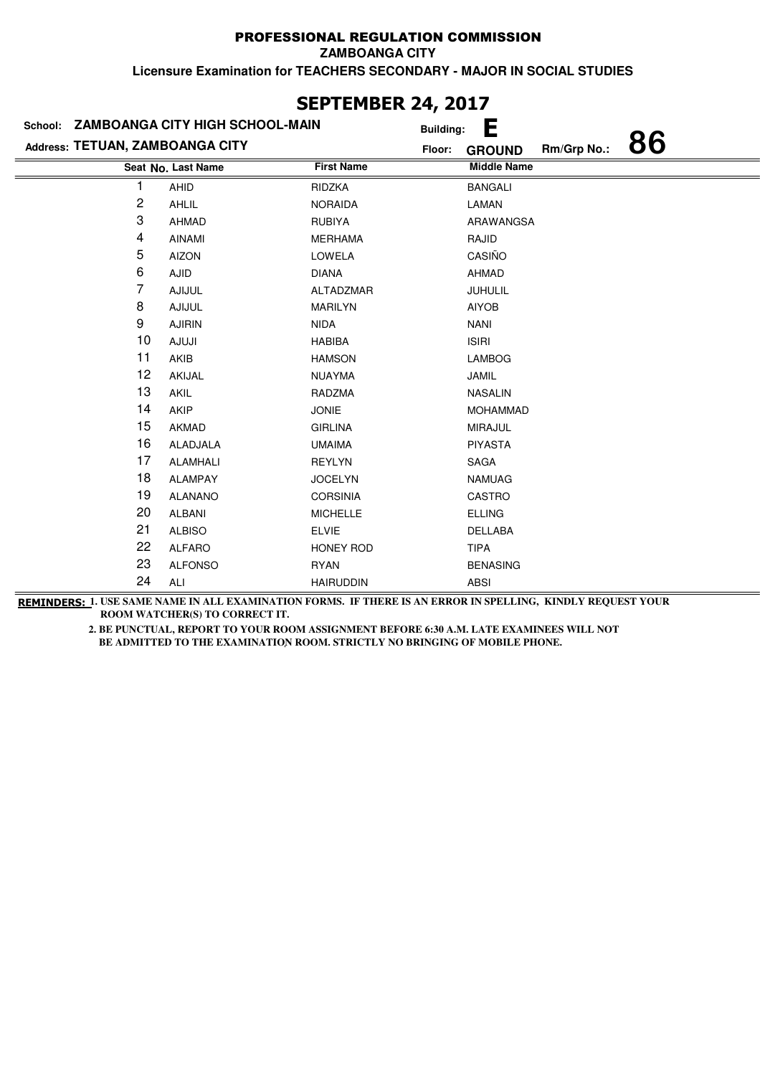**ZAMBOANGA CITY**

**Licensure Examination for TEACHERS SECONDARY - MAJOR IN SOCIAL STUDIES**

| Address: TETUAN, ZAMBOANGA CITY | School: ZAMBOANGA CITY HIGH SCHOOL-MAIN | <b>Building:</b><br>Floor: | Е<br>86<br>Rm/Grp No.:              |
|---------------------------------|-----------------------------------------|----------------------------|-------------------------------------|
|                                 | Seat No. Last Name                      | <b>First Name</b>          | <b>GROUND</b><br><b>Middle Name</b> |
| 1                               | AHID                                    | RIDZKA                     | <b>BANGALI</b>                      |
| 2                               | AHLIL                                   | <b>NORAIDA</b>             | LAMAN                               |
| 3                               | <b>AHMAD</b>                            | <b>RUBIYA</b>              | ARAWANGSA                           |
| 4                               | <b>AINAMI</b>                           | <b>MERHAMA</b>             | RAJID                               |
| 5                               | <b>AIZON</b>                            | LOWELA                     | CASIÑO                              |
| 6                               | <b>AJID</b>                             | <b>DIANA</b>               | <b>AHMAD</b>                        |
| 7                               | <b>AJIJUL</b>                           | ALTADZMAR                  | JUHULIL                             |
| 8                               | <b>AJIJUL</b>                           | MARILYN                    | <b>AIYOB</b>                        |
| 9                               | <b>AJIRIN</b>                           | <b>NIDA</b>                | <b>NANI</b>                         |
| 10                              | <b>AJUJI</b>                            | <b>HABIBA</b>              | <b>ISIRI</b>                        |
| 11                              | AKIB                                    | <b>HAMSON</b>              | <b>LAMBOG</b>                       |
| 12                              | AKIJAL                                  | <b>NUAYMA</b>              | <b>JAMIL</b>                        |
| 13                              | AKIL                                    | RADZMA                     | <b>NASALIN</b>                      |
| 14                              | AKIP                                    | <b>JONIE</b>               | <b>MOHAMMAD</b>                     |
| 15                              | <b>AKMAD</b>                            | <b>GIRLINA</b>             | <b>MIRAJUL</b>                      |
| 16                              | <b>ALADJALA</b>                         | <b>UMAIMA</b>              | <b>PIYASTA</b>                      |
| 17                              | <b>ALAMHALI</b>                         | <b>REYLYN</b>              | SAGA                                |
| 18                              | <b>ALAMPAY</b>                          | <b>JOCELYN</b>             | <b>NAMUAG</b>                       |
| 19                              | <b>ALANANO</b>                          | <b>CORSINIA</b>            | CASTRO                              |
| 20                              | <b>ALBANI</b>                           | <b>MICHELLE</b>            | <b>ELLING</b>                       |
| 21                              | <b>ALBISO</b>                           | <b>ELVIE</b>               | DELLABA                             |
| 22                              | <b>ALFARO</b>                           | HONEY ROD                  | <b>TIPA</b>                         |
| 23                              | <b>ALFONSO</b>                          | <b>RYAN</b>                | <b>BENASING</b>                     |
| 24                              | ALI                                     | <b>HAIRUDDIN</b>           | <b>ABSI</b>                         |

# **SEPTEMBER 24, 2017**

**REMINDERS: 1. USE SAME NAME IN ALL EXAMINATION FORMS. IF THERE IS AN ERROR IN SPELLING, KINDLY REQUEST YOUR ROOM WATCHER(S) TO CORRECT IT.**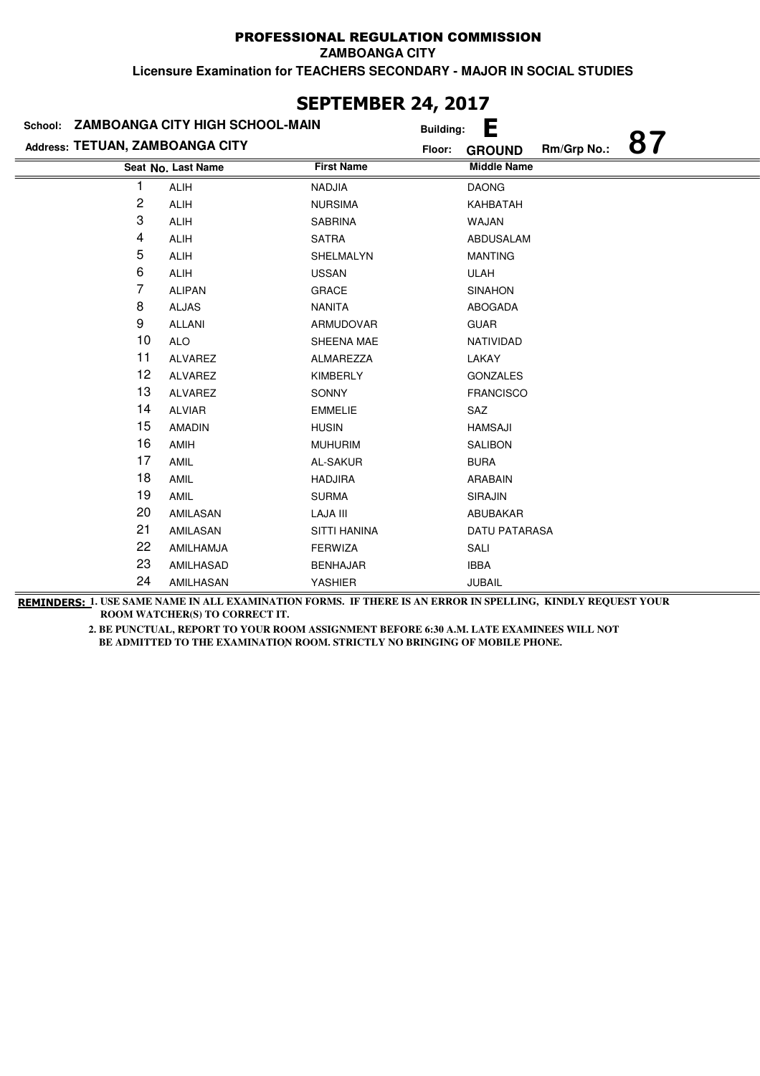**ZAMBOANGA CITY**

**Licensure Examination for TEACHERS SECONDARY - MAJOR IN SOCIAL STUDIES**

#### **Last Name First Name Middle Name Address: TETUAN, ZAMBOANGA CITY School: ZAMBOANGA CITY HIGH SCHOOL-MAIN Building: E Floor: GROUND Rm/Grp No.: 87 Seat No.** 1 ALIH NADJIA DAONG 2 ALIH NURSIMA KAHBATAH 3 ALIH SABRINA WAJAN 4 ALIH SATRA ABDUSALAM 5 ALIH SHELMALYN MANTING 6 ALIH USSAN USSAN ULAH 7 ALIPAN GRACE SINAHON 8 ALJAS NANITA ABOGADA 9 ALLANI ARMUDOVAR GUAR 10 ALO SHEENA MAE NATIVIDAD

### **SEPTEMBER 24, 2017**

21 AMILASAN SITTI HANINA DATU PATARASA 22 AMILHAMJA FERWIZA SALI 23 AMILHASAD BENHAJAR IBBA 24 AMILHASAN YASHIER JUBAIL **REMINDERS: 1. USE SAME NAME IN ALL EXAMINATION FORMS. IF THERE IS AN ERROR IN SPELLING, KINDLY REQUEST YOUR ROOM WATCHER(S) TO CORRECT IT.** 

11 ALVAREZ ALMAREZZA LAKAY 12 ALVAREZ KIMBERLY GONZALES 13 ALVAREZ SONNY FRANCISCO

14 ALVIAR EMMELIE SAZ 15 AMADIN HUSIN HAMSAJI 16 AMIH MUHURIM SALIBON 17 AMIL AL-SAKUR BURA 18 AMIL HADJIRA ARABAIN 19 AMIL SURMA SIRAJIN 20 AMILASAN LAJA III ABUBAKAR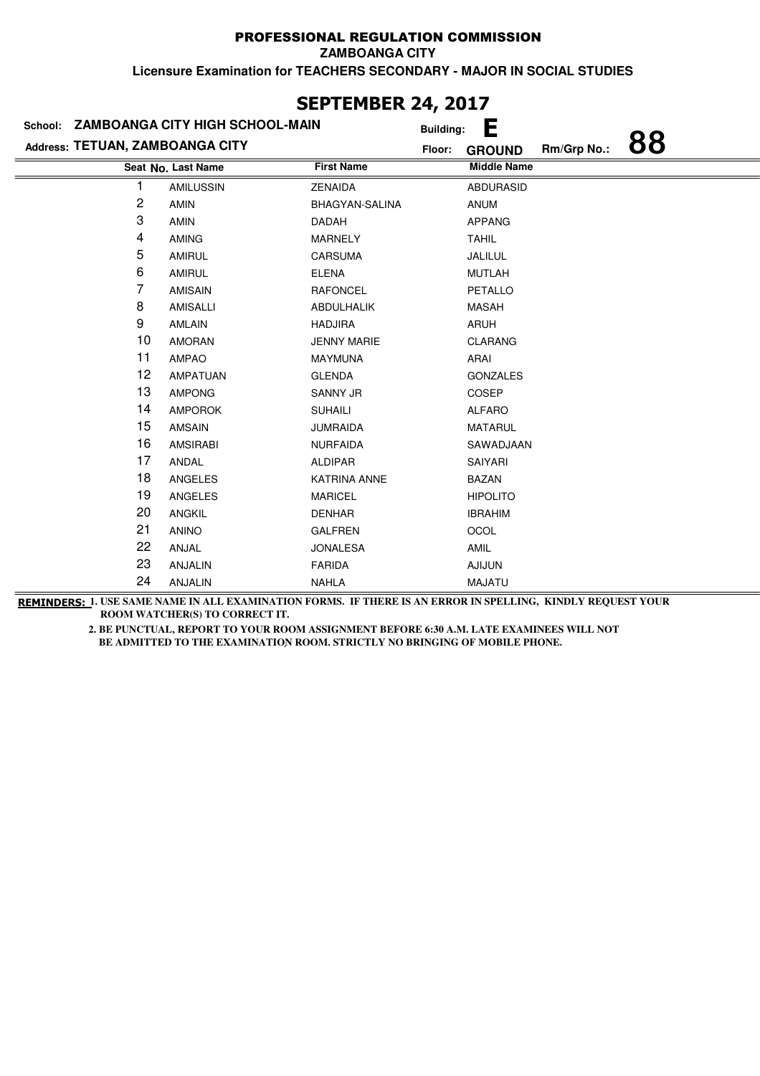**ZAMBOANGA CITY**

**Licensure Examination for TEACHERS SECONDARY - MAJOR IN SOCIAL STUDIES**

| School: ZAMBOANGA CITY HIGH SCHOOL-MAIN |                    |                     |        | Е<br><b>Building:</b> |             |    |
|-----------------------------------------|--------------------|---------------------|--------|-----------------------|-------------|----|
| Address: TETUAN, ZAMBOANGA CITY         |                    |                     | Floor: | <b>GROUND</b>         | Rm/Grp No.: | 88 |
|                                         | Seat No. Last Name | <b>First Name</b>   |        | <b>Middle Name</b>    |             |    |
| 1                                       | <b>AMILUSSIN</b>   | <b>ZENAIDA</b>      |        | <b>ABDURASID</b>      |             |    |
| 2                                       | <b>AMIN</b>        | BHAGYAN-SALINA      |        | <b>ANUM</b>           |             |    |
| 3                                       | <b>AMIN</b>        | <b>DADAH</b>        |        | <b>APPANG</b>         |             |    |
| 4                                       | <b>AMING</b>       | <b>MARNELY</b>      |        | <b>TAHIL</b>          |             |    |
| 5                                       | <b>AMIRUL</b>      | <b>CARSUMA</b>      |        | JALILUL               |             |    |
| 6                                       | <b>AMIRUL</b>      | <b>ELENA</b>        |        | <b>MUTLAH</b>         |             |    |
| 7                                       | <b>AMISAIN</b>     | <b>RAFONCEL</b>     |        | <b>PETALLO</b>        |             |    |
| 8                                       | <b>AMISALLI</b>    | <b>ABDULHALIK</b>   |        | <b>MASAH</b>          |             |    |
| 9                                       | AMLAIN             | <b>HADJIRA</b>      |        | ARUH                  |             |    |
| 10                                      | <b>AMORAN</b>      | <b>JENNY MARIE</b>  |        | <b>CLARANG</b>        |             |    |
| 11                                      | <b>AMPAO</b>       | <b>MAYMUNA</b>      |        | ARAI                  |             |    |
| 12                                      | <b>AMPATUAN</b>    | <b>GLENDA</b>       |        | <b>GONZALES</b>       |             |    |
| 13                                      | <b>AMPONG</b>      | <b>SANNY JR</b>     |        | <b>COSEP</b>          |             |    |
| 14                                      | <b>AMPOROK</b>     | <b>SUHAILI</b>      |        | <b>ALFARO</b>         |             |    |
| 15                                      | <b>AMSAIN</b>      | <b>JUMRAIDA</b>     |        | <b>MATARUL</b>        |             |    |
| 16                                      | <b>AMSIRABI</b>    | <b>NURFAIDA</b>     |        | SAWADJAAN             |             |    |
| 17                                      | ANDAL              | <b>ALDIPAR</b>      |        | SAIYARI               |             |    |
| 18                                      | ANGELES            | <b>KATRINA ANNE</b> |        | <b>BAZAN</b>          |             |    |
| 19                                      | <b>ANGELES</b>     | <b>MARICEL</b>      |        | <b>HIPOLITO</b>       |             |    |
| 20                                      | <b>ANGKIL</b>      | <b>DENHAR</b>       |        | <b>IBRAHIM</b>        |             |    |
| 21                                      | <b>ANINO</b>       | <b>GALFREN</b>      |        | OCOL                  |             |    |
| 22                                      | ANJAL              | <b>JONALESA</b>     |        | AMIL                  |             |    |
| 23                                      | <b>ANJALIN</b>     | <b>FARIDA</b>       |        | <b>AJIJUN</b>         |             |    |
| 24                                      | <b>ANJALIN</b>     | <b>NAHLA</b>        |        | <b>MAJATU</b>         |             |    |

# **SEPTEMBER 24, 2017**

**REMINDERS: 1. USE SAME NAME IN ALL EXAMINATION FORMS. IF THERE IS AN ERROR IN SPELLING, KINDLY REQUEST YOUR ROOM WATCHER(S) TO CORRECT IT.**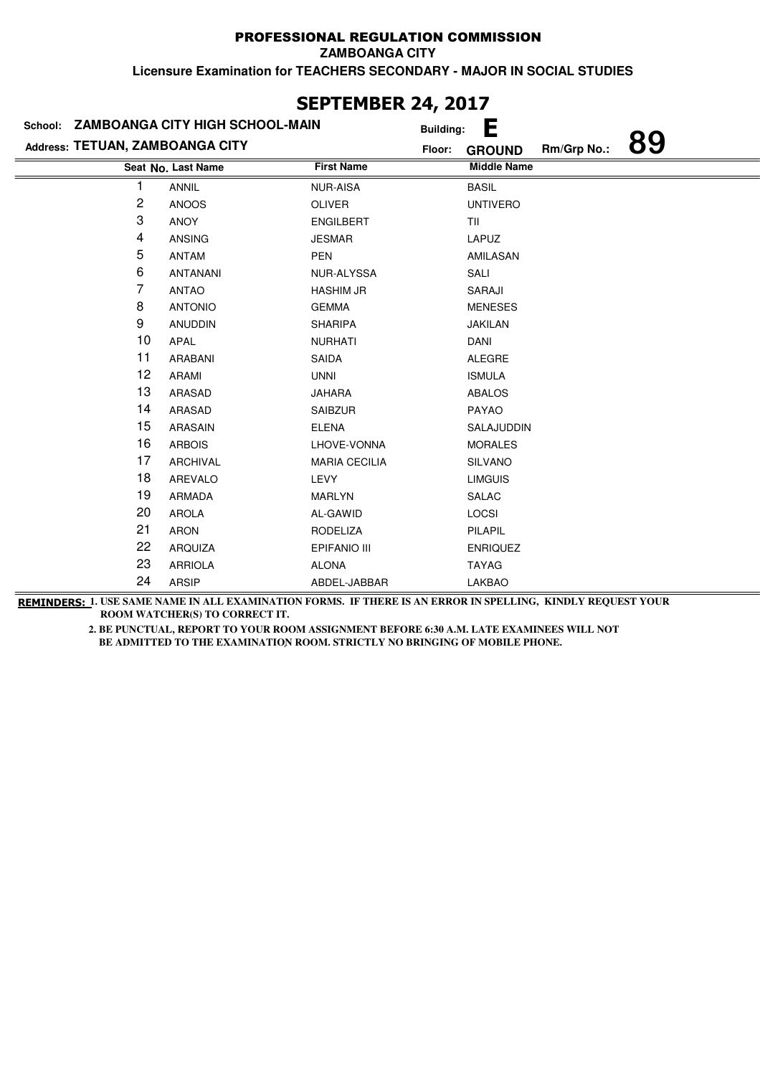**ZAMBOANGA CITY**

**Licensure Examination for TEACHERS SECONDARY - MAJOR IN SOCIAL STUDIES**

|                                 | School: ZAMBOANGA CITY HIGH SCHOOL-MAIN |                      | <b>Building:</b> | E                  |             |    |
|---------------------------------|-----------------------------------------|----------------------|------------------|--------------------|-------------|----|
| Address: TETUAN, ZAMBOANGA CITY |                                         |                      | Floor:           | <b>GROUND</b>      | Rm/Grp No.: | 89 |
|                                 | Seat No. Last Name                      | <b>First Name</b>    |                  | <b>Middle Name</b> |             |    |
| 1                               | <b>ANNIL</b>                            | <b>NUR-AISA</b>      |                  | <b>BASIL</b>       |             |    |
| $\overline{c}$                  | <b>ANOOS</b>                            | OLIVER               |                  | <b>UNTIVERO</b>    |             |    |
| 3                               | <b>ANOY</b>                             | <b>ENGILBERT</b>     |                  | TII                |             |    |
| 4                               | <b>ANSING</b>                           | <b>JESMAR</b>        |                  | LAPUZ              |             |    |
| 5                               | <b>ANTAM</b>                            | <b>PEN</b>           |                  | AMILASAN           |             |    |
| 6                               | <b>ANTANANI</b>                         | NUR-ALYSSA           |                  | SALI               |             |    |
| 7                               | <b>ANTAO</b>                            | <b>HASHIM JR</b>     |                  | SARAJI             |             |    |
| 8                               | <b>ANTONIO</b>                          | <b>GEMMA</b>         |                  | <b>MENESES</b>     |             |    |
| 9                               | <b>ANUDDIN</b>                          | <b>SHARIPA</b>       |                  | <b>JAKILAN</b>     |             |    |
| 10                              | APAL                                    | <b>NURHATI</b>       |                  | <b>DANI</b>        |             |    |
| 11                              | <b>ARABANI</b>                          | <b>SAIDA</b>         |                  | <b>ALEGRE</b>      |             |    |
| 12                              | ARAMI                                   | <b>UNNI</b>          |                  | <b>ISMULA</b>      |             |    |
| 13                              | ARASAD                                  | <b>JAHARA</b>        |                  | <b>ABALOS</b>      |             |    |
| 14                              | ARASAD                                  | <b>SAIBZUR</b>       |                  | <b>PAYAO</b>       |             |    |
| 15                              | <b>ARASAIN</b>                          | <b>ELENA</b>         |                  | SALAJUDDIN         |             |    |
| 16                              | <b>ARBOIS</b>                           | LHOVE-VONNA          |                  | <b>MORALES</b>     |             |    |
| 17                              | <b>ARCHIVAL</b>                         | <b>MARIA CECILIA</b> |                  | <b>SILVANO</b>     |             |    |
| 18                              | <b>AREVALO</b>                          | LEVY                 |                  | <b>LIMGUIS</b>     |             |    |
| 19                              | <b>ARMADA</b>                           | <b>MARLYN</b>        |                  | <b>SALAC</b>       |             |    |
| 20                              | <b>AROLA</b>                            | AL-GAWID             |                  | LOCSI              |             |    |
| 21                              | ARON                                    | <b>RODELIZA</b>      |                  | PILAPIL            |             |    |
| 22                              | ARQUIZA                                 | EPIFANIO III         |                  | <b>ENRIQUEZ</b>    |             |    |
| 23                              | <b>ARRIOLA</b>                          | <b>ALONA</b>         |                  | <b>TAYAG</b>       |             |    |
| 24                              | <b>ARSIP</b>                            | ABDEL-JABBAR         |                  | <b>LAKBAO</b>      |             |    |

**SEPTEMBER 24, 2017**

**REMINDERS: 1. USE SAME NAME IN ALL EXAMINATION FORMS. IF THERE IS AN ERROR IN SPELLING, KINDLY REQUEST YOUR ROOM WATCHER(S) TO CORRECT IT.**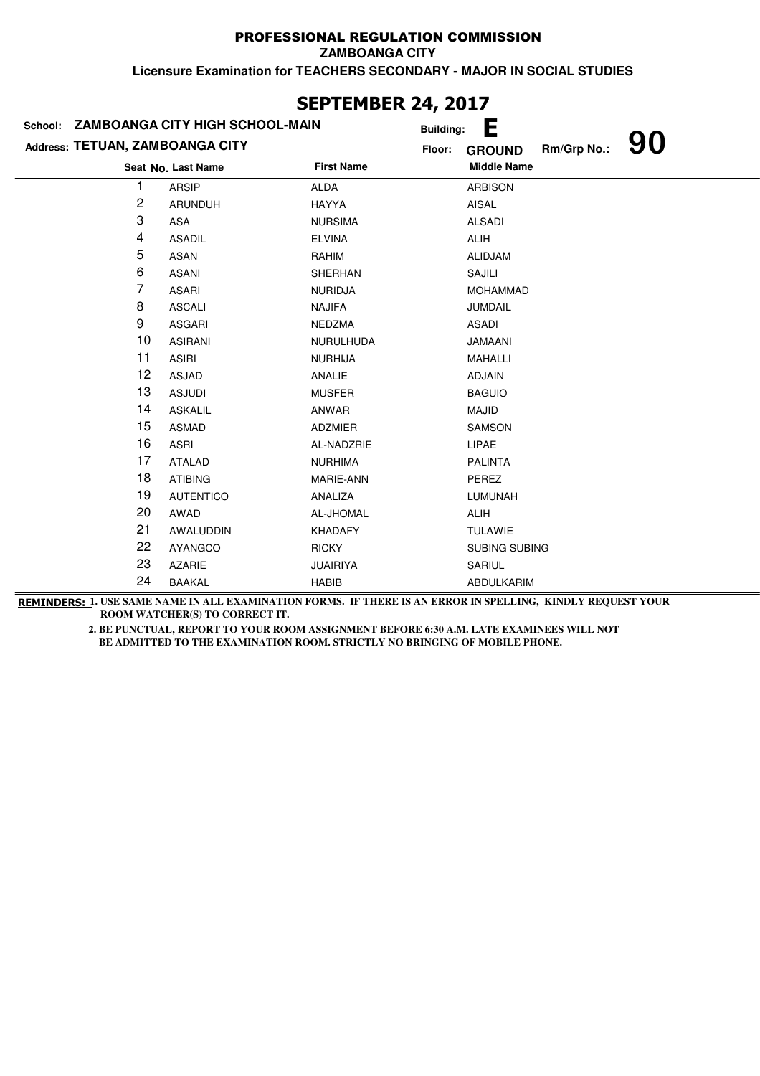**ZAMBOANGA CITY**

**Licensure Examination for TEACHERS SECONDARY - MAJOR IN SOCIAL STUDIES**

|                                 | School: ZAMBOANGA CITY HIGH SCHOOL-MAIN | .,<br><b>Building:</b> | Е                            |    |
|---------------------------------|-----------------------------------------|------------------------|------------------------------|----|
| Address: TETUAN, ZAMBOANGA CITY |                                         | Floor:                 | Rm/Grp No.:<br><b>GROUND</b> | 90 |
|                                 | Seat No. Last Name                      | <b>First Name</b>      | <b>Middle Name</b>           |    |
| 1                               | <b>ARSIP</b>                            | <b>ALDA</b>            | <b>ARBISON</b>               |    |
| 2                               | <b>ARUNDUH</b>                          | <b>HAYYA</b>           | AISAL                        |    |
| 3                               | <b>ASA</b>                              | <b>NURSIMA</b>         | <b>ALSADI</b>                |    |
| 4                               | <b>ASADIL</b>                           | <b>ELVINA</b>          | <b>ALIH</b>                  |    |
| 5                               | ASAN                                    | RAHIM                  | <b>ALIDJAM</b>               |    |
| 6                               | <b>ASANI</b>                            | <b>SHERHAN</b>         | SAJILI                       |    |
| 7                               | <b>ASARI</b>                            | <b>NURIDJA</b>         | <b>MOHAMMAD</b>              |    |
| 8                               | <b>ASCALI</b>                           | <b>NAJIFA</b>          | JUMDAIL                      |    |
| 9                               | <b>ASGARI</b>                           | <b>NEDZMA</b>          | <b>ASADI</b>                 |    |
| 10                              | <b>ASIRANI</b>                          | <b>NURULHUDA</b>       | <b>JAMAANI</b>               |    |
| 11                              | <b>ASIRI</b>                            | <b>NURHIJA</b>         | MAHALLI                      |    |
| 12                              | ASJAD                                   | ANALIE                 | <b>ADJAIN</b>                |    |
| 13                              | <b>ASJUDI</b>                           | <b>MUSFER</b>          | <b>BAGUIO</b>                |    |
| 14                              | <b>ASKALIL</b>                          | ANWAR                  | <b>MAJID</b>                 |    |
| 15                              | <b>ASMAD</b>                            | ADZMIER                | SAMSON                       |    |
| 16                              | <b>ASRI</b>                             | AL-NADZRIE             | LIPAE                        |    |
| 17                              | <b>ATALAD</b>                           | <b>NURHIMA</b>         | <b>PALINTA</b>               |    |
| 18                              | <b>ATIBING</b>                          | MARIE-ANN              | PEREZ                        |    |
| 19                              | <b>AUTENTICO</b>                        | ANALIZA                | LUMUNAH                      |    |
| 20                              | AWAD                                    | AL-JHOMAL              | ALIH                         |    |
| 21                              | AWALUDDIN                               | <b>KHADAFY</b>         | <b>TULAWIE</b>               |    |
| 22                              | <b>AYANGCO</b>                          | <b>RICKY</b>           | SUBING SUBING                |    |
| 23                              | <b>AZARIE</b>                           | <b>JUAIRIYA</b>        | SARIUL                       |    |
| 24                              | <b>BAAKAL</b>                           | <b>HABIB</b>           | ABDULKARIM                   |    |

### **SEPTEMBER 24, 2017**

**REMINDERS: 1. USE SAME NAME IN ALL EXAMINATION FORMS. IF THERE IS AN ERROR IN SPELLING, KINDLY REQUEST YOUR ROOM WATCHER(S) TO CORRECT IT.**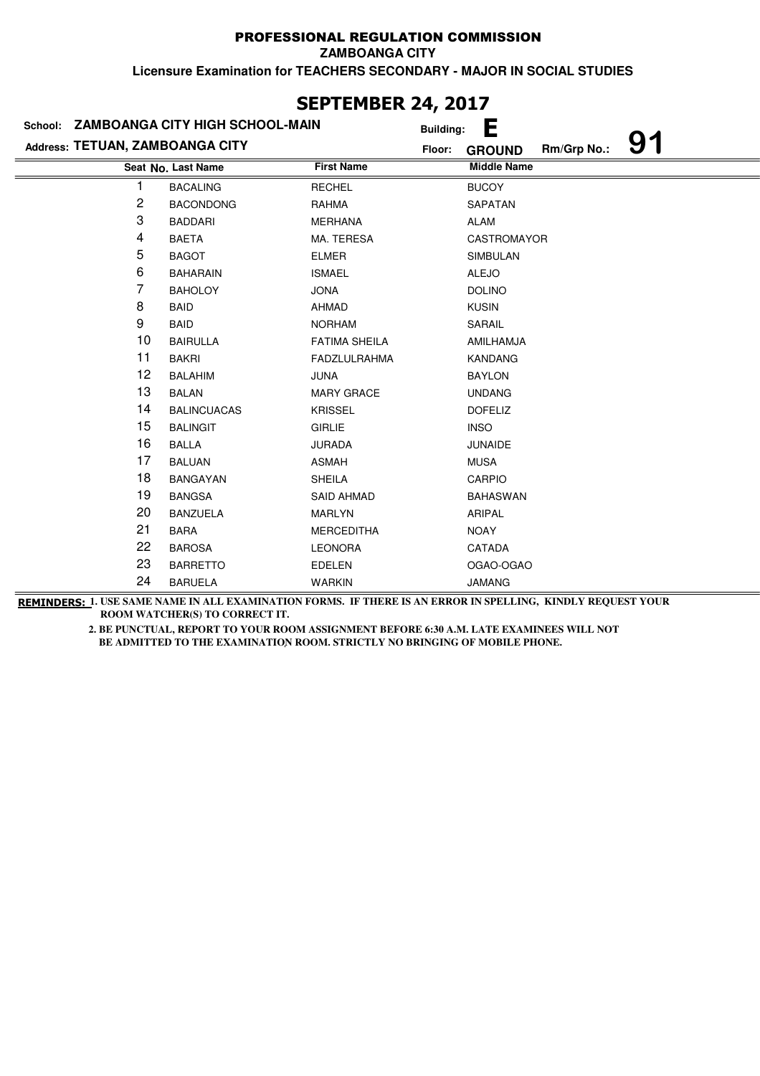**ZAMBOANGA CITY**

**Licensure Examination for TEACHERS SECONDARY - MAJOR IN SOCIAL STUDIES**

| JLF I LI'IDLI\ <del>ZT</del> ; ZVI <i>I</i> |                                         |                      |                  |                    |             |    |  |
|---------------------------------------------|-----------------------------------------|----------------------|------------------|--------------------|-------------|----|--|
|                                             | School: ZAMBOANGA CITY HIGH SCHOOL-MAIN |                      | <b>Building:</b> | Е                  |             |    |  |
| Address: TETUAN, ZAMBOANGA CITY             |                                         |                      | Floor:           | <b>GROUND</b>      | Rm/Grp No.: | 91 |  |
|                                             | Seat No. Last Name                      | <b>First Name</b>    |                  | <b>Middle Name</b> |             |    |  |
| 1                                           | <b>BACALING</b>                         | <b>RECHEL</b>        |                  | <b>BUCOY</b>       |             |    |  |
| $\overline{c}$                              | <b>BACONDONG</b>                        | <b>RAHMA</b>         |                  | SAPATAN            |             |    |  |
| 3                                           | <b>BADDARI</b>                          | <b>MERHANA</b>       |                  | <b>ALAM</b>        |             |    |  |
| 4                                           | <b>BAETA</b>                            | MA. TERESA           |                  | <b>CASTROMAYOR</b> |             |    |  |
| 5                                           | <b>BAGOT</b>                            | <b>ELMER</b>         |                  | <b>SIMBULAN</b>    |             |    |  |
| 6                                           | <b>BAHARAIN</b>                         | <b>ISMAEL</b>        |                  | <b>ALEJO</b>       |             |    |  |
| 7                                           | <b>BAHOLOY</b>                          | <b>JONA</b>          |                  | <b>DOLINO</b>      |             |    |  |
| 8                                           | <b>BAID</b>                             | <b>AHMAD</b>         |                  | <b>KUSIN</b>       |             |    |  |
| 9                                           | <b>BAID</b>                             | <b>NORHAM</b>        |                  | SARAIL             |             |    |  |
| 10                                          | <b>BAIRULLA</b>                         | <b>FATIMA SHEILA</b> |                  | AMILHAMJA          |             |    |  |
| 11                                          | <b>BAKRI</b>                            | <b>FADZLULRAHMA</b>  |                  | <b>KANDANG</b>     |             |    |  |
| 12                                          | <b>BALAHIM</b>                          | <b>JUNA</b>          |                  | <b>BAYLON</b>      |             |    |  |
| 13                                          | <b>BALAN</b>                            | <b>MARY GRACE</b>    |                  | <b>UNDANG</b>      |             |    |  |
| 14                                          | <b>BALINCUACAS</b>                      | <b>KRISSEL</b>       |                  | <b>DOFELIZ</b>     |             |    |  |
| 15                                          | <b>BALINGIT</b>                         | <b>GIRLIE</b>        |                  | <b>INSO</b>        |             |    |  |
| 16                                          | <b>BALLA</b>                            | <b>JURADA</b>        |                  | <b>JUNAIDE</b>     |             |    |  |
| 17                                          | <b>BALUAN</b>                           | <b>ASMAH</b>         |                  | <b>MUSA</b>        |             |    |  |
| 18                                          | <b>BANGAYAN</b>                         | <b>SHEILA</b>        |                  | CARPIO             |             |    |  |
| 19                                          | <b>BANGSA</b>                           | <b>SAID AHMAD</b>    |                  | <b>BAHASWAN</b>    |             |    |  |
| 20                                          | <b>BANZUELA</b>                         | <b>MARLYN</b>        |                  | <b>ARIPAL</b>      |             |    |  |
| 21                                          | <b>BARA</b>                             | <b>MERCEDITHA</b>    |                  | <b>NOAY</b>        |             |    |  |
| 22                                          | <b>BAROSA</b>                           | <b>LEONORA</b>       |                  | CATADA             |             |    |  |
| 23                                          | <b>BARRETTO</b>                         | <b>EDELEN</b>        |                  | OGAO-OGAO          |             |    |  |
| 24                                          | <b>BARUELA</b>                          | <b>WARKIN</b>        |                  | <b>JAMANG</b>      |             |    |  |
|                                             |                                         |                      |                  |                    |             |    |  |

### **SEPTEMBER 24, 2017**

**REMINDERS: 1. USE SAME NAME IN ALL EXAMINATION FORMS. IF THERE IS AN ERROR IN SPELLING, KINDLY REQUEST YOUR ROOM WATCHER(S) TO CORRECT IT.**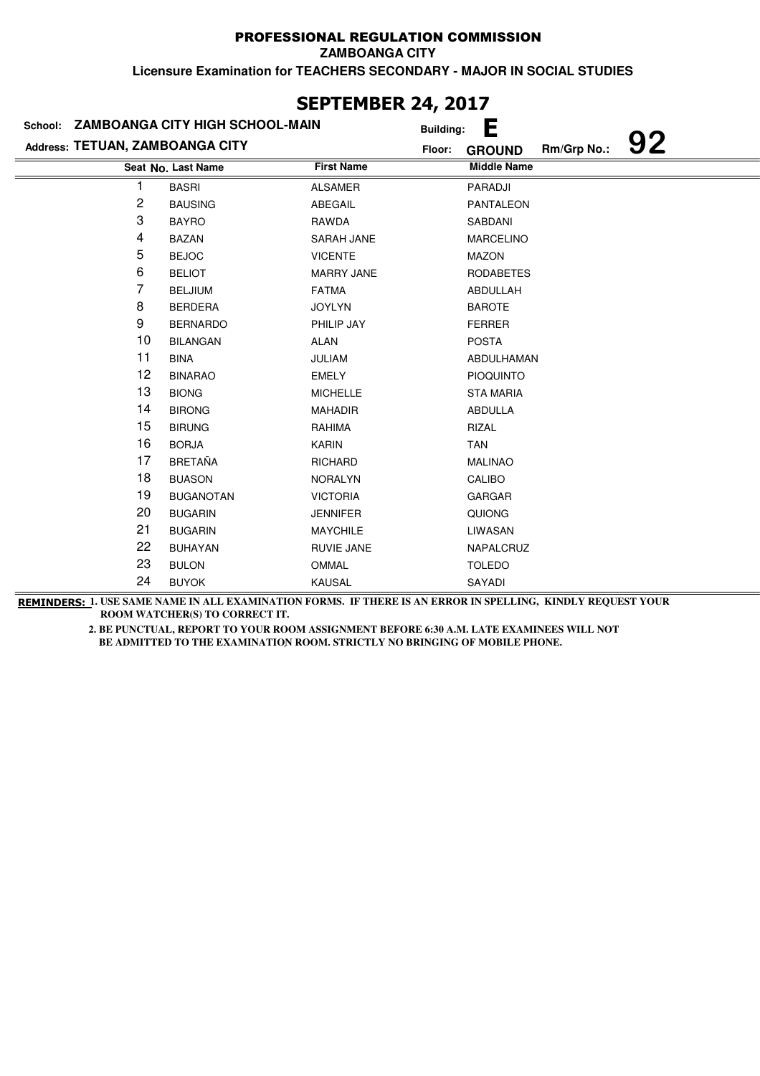**ZAMBOANGA CITY**

**Licensure Examination for TEACHERS SECONDARY - MAJOR IN SOCIAL STUDIES**

|                                 | School: ZAMBOANGA CITY HIGH SCHOOL-MAIN | <b>Building:</b>  | Е                                  |
|---------------------------------|-----------------------------------------|-------------------|------------------------------------|
| Address: TETUAN, ZAMBOANGA CITY |                                         | Floor:            | 92<br>Rm/Grp No.:<br><b>GROUND</b> |
|                                 | Seat No. Last Name                      | <b>First Name</b> | <b>Middle Name</b>                 |
|                                 | <b>BASRI</b>                            | <b>ALSAMER</b>    | PARADJI                            |
| 2                               | <b>BAUSING</b>                          | ABEGAIL           | <b>PANTALEON</b>                   |
| 3                               | <b>BAYRO</b>                            | RAWDA             | SABDANI                            |
| 4                               | <b>BAZAN</b>                            | <b>SARAH JANE</b> | <b>MARCELINO</b>                   |
| 5                               | <b>BEJOC</b>                            | <b>VICENTE</b>    | <b>MAZON</b>                       |
| 6                               | <b>BELIOT</b>                           | <b>MARRY JANE</b> | <b>RODABETES</b>                   |
| 7                               | <b>BELJIUM</b>                          | <b>FATMA</b>      | ABDULLAH                           |
| 8                               | <b>BERDERA</b>                          | <b>JOYLYN</b>     | <b>BAROTE</b>                      |
| 9                               | <b>BERNARDO</b>                         | PHILIP JAY        | <b>FERRER</b>                      |
| 10                              | <b>BILANGAN</b>                         | <b>ALAN</b>       | <b>POSTA</b>                       |
| 11                              | <b>BINA</b>                             | <b>JULIAM</b>     | ABDULHAMAN                         |
| 12                              | <b>BINARAO</b>                          | <b>EMELY</b>      | <b>PIOQUINTO</b>                   |
| 13                              | <b>BIONG</b>                            | <b>MICHELLE</b>   | <b>STA MARIA</b>                   |
| 14                              | <b>BIRONG</b>                           | <b>MAHADIR</b>    | <b>ABDULLA</b>                     |
| 15                              | <b>BIRUNG</b>                           | RAHIMA            | RIZAL                              |
| 16                              | <b>BORJA</b>                            | <b>KARIN</b>      | <b>TAN</b>                         |
| 17                              | <b>BRETAÑA</b>                          | <b>RICHARD</b>    | <b>MALINAO</b>                     |
| 18                              | <b>BUASON</b>                           | <b>NORALYN</b>    | CALIBO                             |
| 19                              | <b>BUGANOTAN</b>                        | <b>VICTORIA</b>   | <b>GARGAR</b>                      |
| 20                              | <b>BUGARIN</b>                          | <b>JENNIFER</b>   | QUIONG                             |
| 21                              | <b>BUGARIN</b>                          | <b>MAYCHILE</b>   | LIWASAN                            |
| 22                              | <b>BUHAYAN</b>                          | RUVIE JANE        | NAPALCRUZ                          |
| 23                              | <b>BULON</b>                            | <b>OMMAL</b>      | <b>TOLEDO</b>                      |
| 24                              | <b>BUYOK</b>                            | KAUSAL            | SAYADI                             |

**SEPTEMBER 24, 2017**

**REMINDERS: 1. USE SAME NAME IN ALL EXAMINATION FORMS. IF THERE IS AN ERROR IN SPELLING, KINDLY REQUEST YOUR ROOM WATCHER(S) TO CORRECT IT.**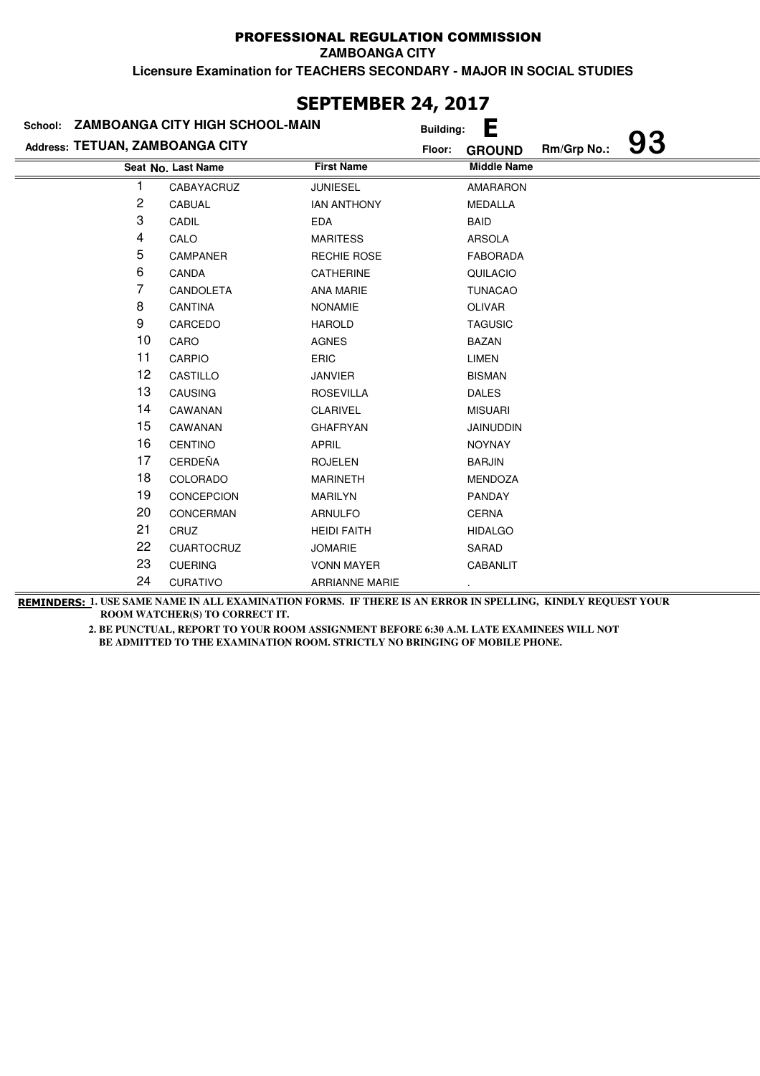**ZAMBOANGA CITY**

**Licensure Examination for TEACHERS SECONDARY - MAJOR IN SOCIAL STUDIES**

| School: ZAMBOANGA CITY HIGH SCHOOL-MAIN |                    |                       |                              |    |  |  |  |  |
|-----------------------------------------|--------------------|-----------------------|------------------------------|----|--|--|--|--|
|                                         |                    | <b>Building:</b>      | Е                            | 93 |  |  |  |  |
| Address: TETUAN, ZAMBOANGA CITY         |                    | Floor:                | Rm/Grp No.:<br><b>GROUND</b> |    |  |  |  |  |
|                                         | Seat No. Last Name | <b>First Name</b>     | <b>Middle Name</b>           |    |  |  |  |  |
| 1                                       | CABAYACRUZ         | <b>JUNIESEL</b>       | <b>AMARARON</b>              |    |  |  |  |  |
| 2                                       | CABUAL             | <b>IAN ANTHONY</b>    | <b>MEDALLA</b>               |    |  |  |  |  |
| 3                                       | CADIL              | <b>EDA</b>            | <b>BAID</b>                  |    |  |  |  |  |
| 4                                       | CALO               | <b>MARITESS</b>       | <b>ARSOLA</b>                |    |  |  |  |  |
| 5                                       | <b>CAMPANER</b>    | <b>RECHIE ROSE</b>    | <b>FABORADA</b>              |    |  |  |  |  |
| 6                                       | CANDA              | CATHERINE             | QUILACIO                     |    |  |  |  |  |
| 7                                       | CANDOLETA          | <b>ANA MARIE</b>      | <b>TUNACAO</b>               |    |  |  |  |  |
| 8                                       | CANTINA            | <b>NONAMIE</b>        | OLIVAR                       |    |  |  |  |  |
| 9                                       | CARCEDO            | <b>HAROLD</b>         | <b>TAGUSIC</b>               |    |  |  |  |  |
| 10                                      | CARO               | <b>AGNES</b>          | <b>BAZAN</b>                 |    |  |  |  |  |
| 11                                      | <b>CARPIO</b>      | <b>ERIC</b>           | <b>LIMEN</b>                 |    |  |  |  |  |
| 12                                      | CASTILLO           | <b>JANVIER</b>        | <b>BISMAN</b>                |    |  |  |  |  |
| 13                                      | CAUSING            | <b>ROSEVILLA</b>      | <b>DALES</b>                 |    |  |  |  |  |
| 14                                      | CAWANAN            | <b>CLARIVEL</b>       | <b>MISUARI</b>               |    |  |  |  |  |
| 15                                      | CAWANAN            | <b>GHAFRYAN</b>       | <b>JAINUDDIN</b>             |    |  |  |  |  |
| 16                                      | <b>CENTINO</b>     | <b>APRIL</b>          | <b>NOYNAY</b>                |    |  |  |  |  |
| 17                                      | <b>CERDEÑA</b>     | <b>ROJELEN</b>        | <b>BARJIN</b>                |    |  |  |  |  |
| 18                                      | COLORADO           | <b>MARINETH</b>       | <b>MENDOZA</b>               |    |  |  |  |  |
| 19                                      | CONCEPCION         | <b>MARILYN</b>        | <b>PANDAY</b>                |    |  |  |  |  |
| 20                                      | CONCERMAN          | <b>ARNULFO</b>        | <b>CERNA</b>                 |    |  |  |  |  |
| 21                                      | CRUZ               | <b>HEIDI FAITH</b>    | <b>HIDALGO</b>               |    |  |  |  |  |
| 22                                      | <b>CUARTOCRUZ</b>  | <b>JOMARIE</b>        | SARAD                        |    |  |  |  |  |
| 23                                      | <b>CUERING</b>     | <b>VONN MAYER</b>     | <b>CABANLIT</b>              |    |  |  |  |  |
| 24                                      | <b>CURATIVO</b>    | <b>ARRIANNE MARIE</b> |                              |    |  |  |  |  |

### **SEPTEMBER 24, 2017**

**REMINDERS: 1. USE SAME NAME IN ALL EXAMINATION FORMS. IF THERE IS AN ERROR IN SPELLING, KINDLY REQUEST YOUR ROOM WATCHER(S) TO CORRECT IT.**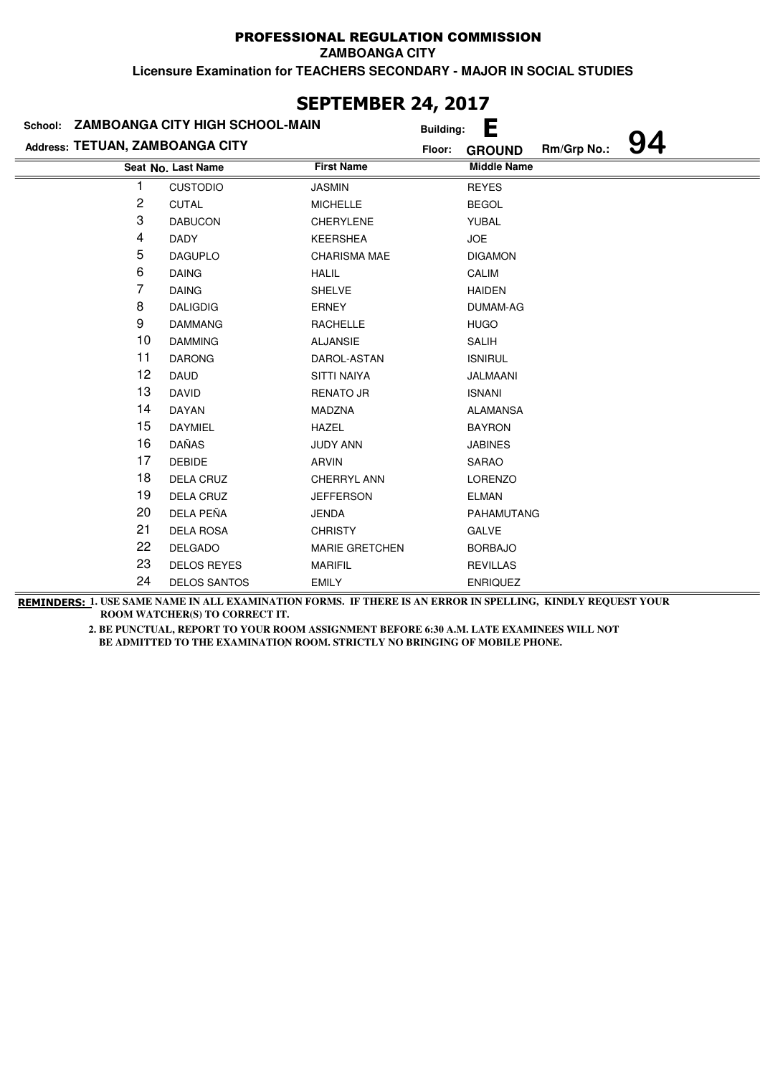**ZAMBOANGA CITY**

**Licensure Examination for TEACHERS SECONDARY - MAJOR IN SOCIAL STUDIES**

| JLI ILIIDLI\ £TĮ £V1/           |                                         |                       |                         |             |    |  |  |  |
|---------------------------------|-----------------------------------------|-----------------------|-------------------------|-------------|----|--|--|--|
|                                 | School: ZAMBOANGA CITY HIGH SCHOOL-MAIN |                       | Е<br><b>Building:</b>   |             |    |  |  |  |
| Address: TETUAN, ZAMBOANGA CITY |                                         |                       | Floor:<br><b>GROUND</b> | Rm/Grp No.: | 94 |  |  |  |
|                                 | Seat No. Last Name                      | <b>First Name</b>     | <b>Middle Name</b>      |             |    |  |  |  |
|                                 | <b>CUSTODIO</b>                         | <b>JASMIN</b>         | <b>REYES</b>            |             |    |  |  |  |
| $\overline{\mathbf{c}}$         | <b>CUTAL</b>                            | <b>MICHELLE</b>       | <b>BEGOL</b>            |             |    |  |  |  |
| 3                               | <b>DABUCON</b>                          | <b>CHERYLENE</b>      | YUBAL                   |             |    |  |  |  |
| 4                               | <b>DADY</b>                             | <b>KEERSHEA</b>       | <b>JOE</b>              |             |    |  |  |  |
| 5                               | <b>DAGUPLO</b>                          | <b>CHARISMA MAE</b>   | <b>DIGAMON</b>          |             |    |  |  |  |
| 6                               | <b>DAING</b>                            | <b>HALIL</b>          | CALIM                   |             |    |  |  |  |
| 7                               | <b>DAING</b>                            | <b>SHELVE</b>         | <b>HAIDEN</b>           |             |    |  |  |  |
| 8                               | <b>DALIGDIG</b>                         | <b>ERNEY</b>          | DUMAM-AG                |             |    |  |  |  |
| 9                               | <b>DAMMANG</b>                          | <b>RACHELLE</b>       | <b>HUGO</b>             |             |    |  |  |  |
| 10                              | <b>DAMMING</b>                          | <b>ALJANSIE</b>       | <b>SALIH</b>            |             |    |  |  |  |
| 11                              | <b>DARONG</b>                           | DAROL-ASTAN           | <b>ISNIRUL</b>          |             |    |  |  |  |
| 12                              | <b>DAUD</b>                             | <b>SITTI NAIYA</b>    | JALMAANI                |             |    |  |  |  |
| 13                              | <b>DAVID</b>                            | <b>RENATO JR</b>      | <b>ISNANI</b>           |             |    |  |  |  |
| 14                              | <b>DAYAN</b>                            | MADZNA                | <b>ALAMANSA</b>         |             |    |  |  |  |
| 15                              | DAYMIEL                                 | <b>HAZEL</b>          | <b>BAYRON</b>           |             |    |  |  |  |
| 16                              | <b>DAÑAS</b>                            | <b>JUDY ANN</b>       | <b>JABINES</b>          |             |    |  |  |  |
| 17                              | <b>DEBIDE</b>                           | <b>ARVIN</b>          | <b>SARAO</b>            |             |    |  |  |  |
| 18                              | <b>DELA CRUZ</b>                        | CHERRYL ANN           | <b>LORENZO</b>          |             |    |  |  |  |
| 19                              | DELA CRUZ                               | <b>JEFFERSON</b>      | <b>ELMAN</b>            |             |    |  |  |  |
| 20                              | DELA PEÑA                               | <b>JENDA</b>          | PAHAMUTANG              |             |    |  |  |  |
| 21                              | <b>DELA ROSA</b>                        | <b>CHRISTY</b>        | <b>GALVE</b>            |             |    |  |  |  |
| 22                              | <b>DELGADO</b>                          | <b>MARIE GRETCHEN</b> | <b>BORBAJO</b>          |             |    |  |  |  |
| 23                              | <b>DELOS REYES</b>                      | <b>MARIFIL</b>        | <b>REVILLAS</b>         |             |    |  |  |  |
| 24                              | <b>DELOS SANTOS</b>                     | <b>EMILY</b>          | <b>ENRIQUEZ</b>         |             |    |  |  |  |

# **SEPTEMBER 24, 2017**

**REMINDERS: 1. USE SAME NAME IN ALL EXAMINATION FORMS. IF THERE IS AN ERROR IN SPELLING, KINDLY REQUEST YOUR ROOM WATCHER(S) TO CORRECT IT.**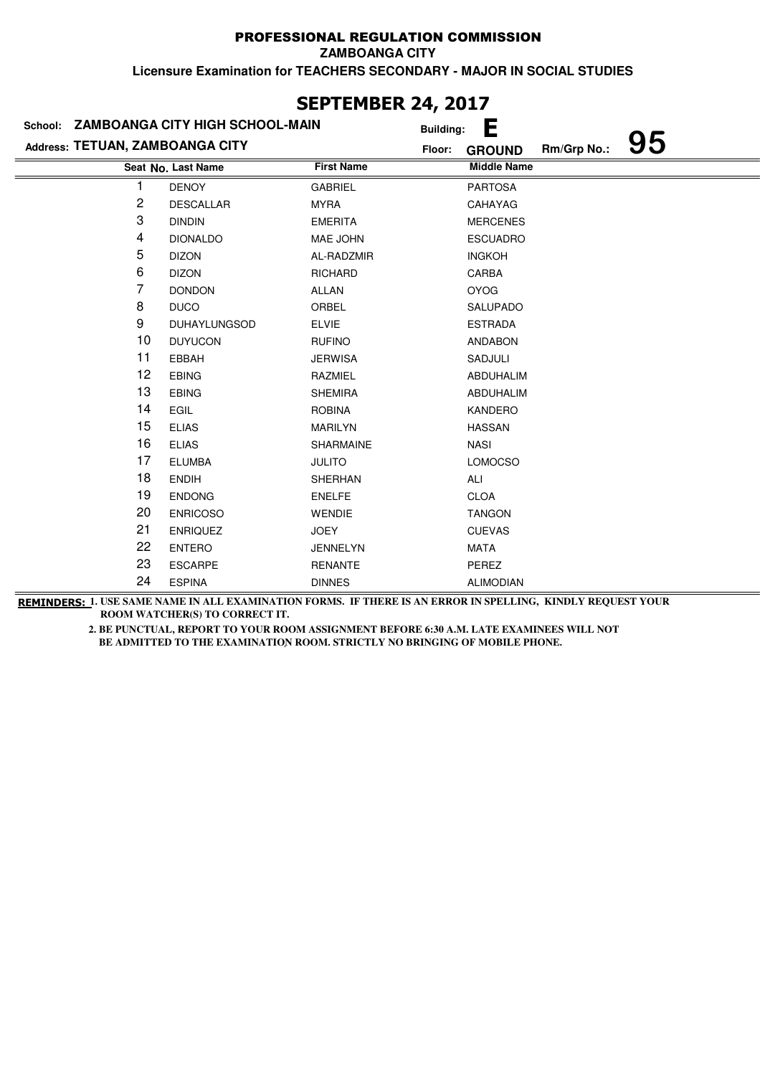**ZAMBOANGA CITY**

**Licensure Examination for TEACHERS SECONDARY - MAJOR IN SOCIAL STUDIES**

| JLI ILITULI\ 47, 4V1/           |                                         |                   |                         |                   |  |  |  |  |
|---------------------------------|-----------------------------------------|-------------------|-------------------------|-------------------|--|--|--|--|
|                                 | School: ZAMBOANGA CITY HIGH SCHOOL-MAIN |                   | Е<br><b>Building:</b>   |                   |  |  |  |  |
| Address: TETUAN, ZAMBOANGA CITY |                                         |                   | Floor:<br><b>GROUND</b> | 95<br>Rm/Grp No.: |  |  |  |  |
|                                 | Seat No. Last Name                      | <b>First Name</b> | <b>Middle Name</b>      |                   |  |  |  |  |
|                                 | <b>DENOY</b>                            | <b>GABRIEL</b>    | <b>PARTOSA</b>          |                   |  |  |  |  |
| $\overline{\mathbf{c}}$         | <b>DESCALLAR</b>                        | <b>MYRA</b>       | CAHAYAG                 |                   |  |  |  |  |
| 3                               | <b>DINDIN</b>                           | <b>EMERITA</b>    | <b>MERCENES</b>         |                   |  |  |  |  |
| 4                               | <b>DIONALDO</b>                         | MAE JOHN          | <b>ESCUADRO</b>         |                   |  |  |  |  |
| 5                               | <b>DIZON</b>                            | AL-RADZMIR        | <b>INGKOH</b>           |                   |  |  |  |  |
| 6                               | <b>DIZON</b>                            | <b>RICHARD</b>    | CARBA                   |                   |  |  |  |  |
| 7                               | <b>DONDON</b>                           | <b>ALLAN</b>      | <b>OYOG</b>             |                   |  |  |  |  |
| 8                               | <b>DUCO</b>                             | ORBEL             | SALUPADO                |                   |  |  |  |  |
| 9                               | <b>DUHAYLUNGSOD</b>                     | <b>ELVIE</b>      | <b>ESTRADA</b>          |                   |  |  |  |  |
| 10                              | <b>DUYUCON</b>                          | <b>RUFINO</b>     | <b>ANDABON</b>          |                   |  |  |  |  |
| 11                              | EBBAH                                   | <b>JERWISA</b>    | SADJULI                 |                   |  |  |  |  |
| 12                              | <b>EBING</b>                            | RAZMIEL           | <b>ABDUHALIM</b>        |                   |  |  |  |  |
| 13                              | <b>EBING</b>                            | <b>SHEMIRA</b>    | ABDUHALIM               |                   |  |  |  |  |
| 14                              | EGIL                                    | <b>ROBINA</b>     | KANDERO                 |                   |  |  |  |  |
| 15                              | <b>ELIAS</b>                            | MARILYN           | <b>HASSAN</b>           |                   |  |  |  |  |
| 16                              | <b>ELIAS</b>                            | <b>SHARMAINE</b>  | <b>NASI</b>             |                   |  |  |  |  |
| 17                              | <b>ELUMBA</b>                           | <b>JULITO</b>     | <b>LOMOCSO</b>          |                   |  |  |  |  |
| 18                              | <b>ENDIH</b>                            | <b>SHERHAN</b>    | ALI                     |                   |  |  |  |  |
| 19                              | <b>ENDONG</b>                           | <b>ENELFE</b>     | <b>CLOA</b>             |                   |  |  |  |  |
| 20                              | <b>ENRICOSO</b>                         | <b>WENDIE</b>     | <b>TANGON</b>           |                   |  |  |  |  |
| 21                              | <b>ENRIQUEZ</b>                         | <b>JOEY</b>       | <b>CUEVAS</b>           |                   |  |  |  |  |
| 22                              | <b>ENTERO</b>                           | <b>JENNELYN</b>   | <b>MATA</b>             |                   |  |  |  |  |
| 23                              | <b>ESCARPE</b>                          | <b>RENANTE</b>    | PEREZ                   |                   |  |  |  |  |
| 24                              | <b>ESPINA</b>                           | <b>DINNES</b>     | <b>ALIMODIAN</b>        |                   |  |  |  |  |

### **SEPTEMBER 24, 2017**

**REMINDERS: 1. USE SAME NAME IN ALL EXAMINATION FORMS. IF THERE IS AN ERROR IN SPELLING, KINDLY REQUEST YOUR ROOM WATCHER(S) TO CORRECT IT.**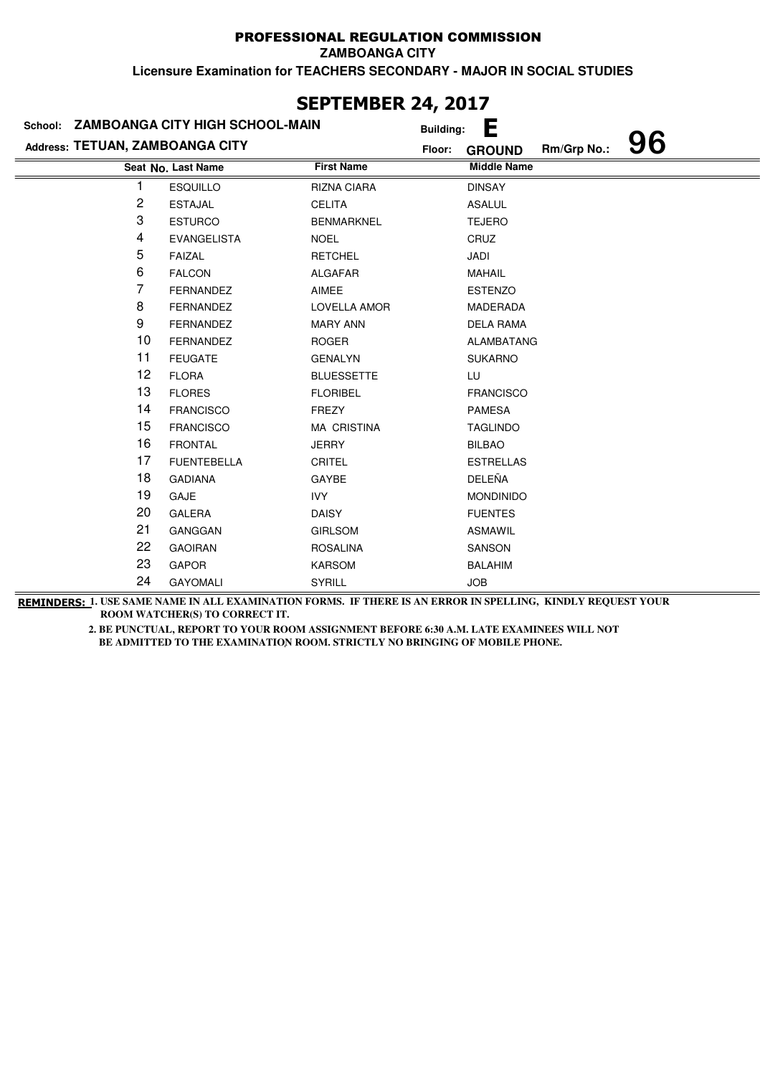**ZAMBOANGA CITY**

**Licensure Examination for TEACHERS SECONDARY - MAJOR IN SOCIAL STUDIES**

| JLF I LI'IDLN 47, 4V1/          |                                         |                    |                  |                    |             |    |  |
|---------------------------------|-----------------------------------------|--------------------|------------------|--------------------|-------------|----|--|
|                                 | School: ZAMBOANGA CITY HIGH SCHOOL-MAIN |                    | <b>Building:</b> | Е                  |             |    |  |
| Address: TETUAN, ZAMBOANGA CITY |                                         |                    | Floor:           | <b>GROUND</b>      | Rm/Grp No.: | 96 |  |
|                                 | Seat No. Last Name                      | <b>First Name</b>  |                  | <b>Middle Name</b> |             |    |  |
| 1                               | <b>ESQUILLO</b>                         | <b>RIZNA CIARA</b> |                  | <b>DINSAY</b>      |             |    |  |
| 2                               | <b>ESTAJAL</b>                          | <b>CELITA</b>      |                  | <b>ASALUL</b>      |             |    |  |
| 3                               | <b>ESTURCO</b>                          | <b>BENMARKNEL</b>  |                  | <b>TEJERO</b>      |             |    |  |
| 4                               | <b>EVANGELISTA</b>                      | <b>NOEL</b>        |                  | CRUZ               |             |    |  |
| 5                               | <b>FAIZAL</b>                           | <b>RETCHEL</b>     |                  | JADI               |             |    |  |
| 6                               | <b>FALCON</b>                           | <b>ALGAFAR</b>     |                  | MAHAIL             |             |    |  |
| 7                               | <b>FERNANDEZ</b>                        | AIMEE              |                  | <b>ESTENZO</b>     |             |    |  |
| 8                               | <b>FERNANDEZ</b>                        | LOVELLA AMOR       |                  | MADERADA           |             |    |  |
| 9                               | FERNANDEZ                               | <b>MARY ANN</b>    |                  | <b>DELA RAMA</b>   |             |    |  |
| 10                              | <b>FERNANDEZ</b>                        | <b>ROGER</b>       |                  | ALAMBATANG         |             |    |  |
| 11                              | <b>FEUGATE</b>                          | <b>GENALYN</b>     |                  | <b>SUKARNO</b>     |             |    |  |
| 12                              | <b>FLORA</b>                            | <b>BLUESSETTE</b>  |                  | LU                 |             |    |  |
| 13                              | <b>FLORES</b>                           | <b>FLORIBEL</b>    |                  | <b>FRANCISCO</b>   |             |    |  |
| 14                              | <b>FRANCISCO</b>                        | <b>FREZY</b>       |                  | <b>PAMESA</b>      |             |    |  |
| 15                              | <b>FRANCISCO</b>                        | <b>MA CRISTINA</b> |                  | <b>TAGLINDO</b>    |             |    |  |
| 16                              | <b>FRONTAL</b>                          | <b>JERRY</b>       |                  | <b>BILBAO</b>      |             |    |  |
| 17                              | <b>FUENTEBELLA</b>                      | CRITEL             |                  | <b>ESTRELLAS</b>   |             |    |  |
| 18                              | <b>GADIANA</b>                          | GAYBE              |                  | DELEÑA             |             |    |  |
| 19                              | GAJE                                    | <b>IVY</b>         |                  | <b>MONDINIDO</b>   |             |    |  |
| 20                              | <b>GALERA</b>                           | <b>DAISY</b>       |                  | <b>FUENTES</b>     |             |    |  |
| 21                              | GANGGAN                                 | <b>GIRLSOM</b>     |                  | <b>ASMAWIL</b>     |             |    |  |
| 22                              | <b>GAOIRAN</b>                          | <b>ROSALINA</b>    |                  | SANSON             |             |    |  |
| 23                              | <b>GAPOR</b>                            | <b>KARSOM</b>      |                  | <b>BALAHIM</b>     |             |    |  |
| 24                              | <b>GAYOMALI</b>                         | SYRILL             |                  | <b>JOB</b>         |             |    |  |
|                                 |                                         |                    |                  |                    |             |    |  |

### **SEPTEMBER 24, 2017**

**REMINDERS: 1. USE SAME NAME IN ALL EXAMINATION FORMS. IF THERE IS AN ERROR IN SPELLING, KINDLY REQUEST YOUR ROOM WATCHER(S) TO CORRECT IT.**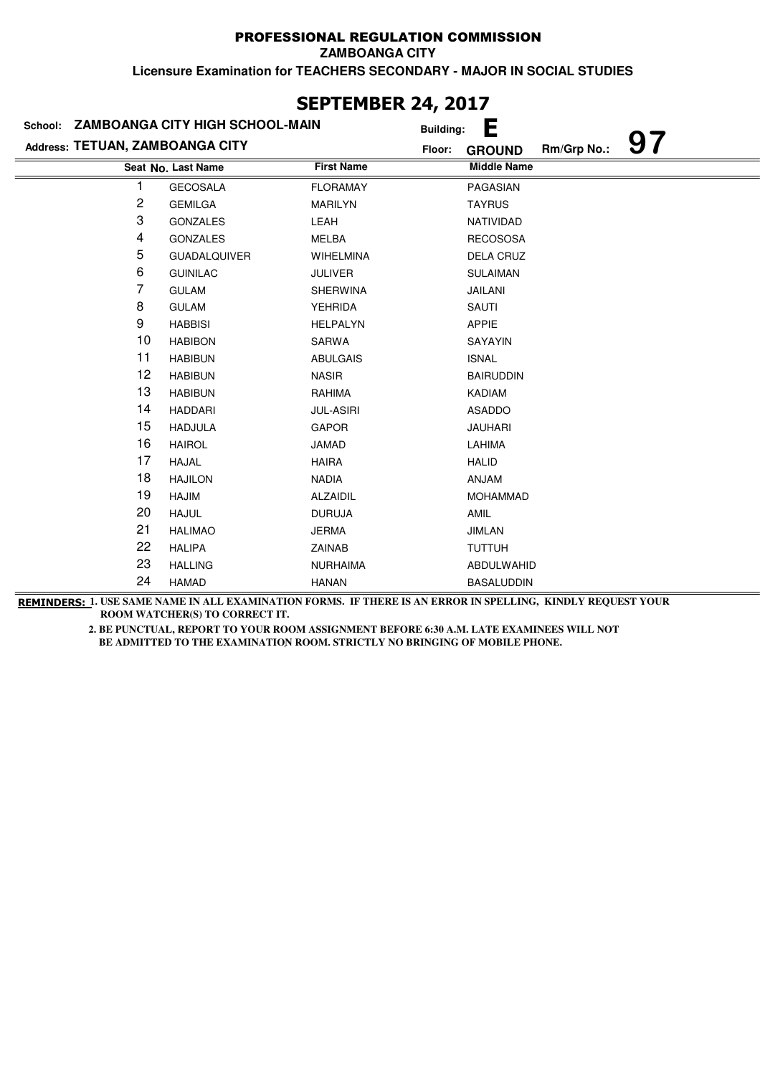**ZAMBOANGA CITY**

**Licensure Examination for TEACHERS SECONDARY - MAJOR IN SOCIAL STUDIES**

| JLF I LI'IDLI\ <del>ZT</del> ; ZVI <i>I</i> |                                         |                   |                                    |  |  |  |  |
|---------------------------------------------|-----------------------------------------|-------------------|------------------------------------|--|--|--|--|
|                                             | School: ZAMBOANGA CITY HIGH SCHOOL-MAIN |                   | Е<br><b>Building:</b>              |  |  |  |  |
| Address: TETUAN, ZAMBOANGA CITY             |                                         | Floor:            | 97<br>Rm/Grp No.:<br><b>GROUND</b> |  |  |  |  |
|                                             | Seat No. Last Name                      | <b>First Name</b> | <b>Middle Name</b>                 |  |  |  |  |
|                                             | <b>GECOSALA</b>                         | <b>FLORAMAY</b>   | PAGASIAN                           |  |  |  |  |
| $\sqrt{2}$                                  | <b>GEMILGA</b>                          | MARILYN           | <b>TAYRUS</b>                      |  |  |  |  |
| 3                                           | <b>GONZALES</b>                         | LEAH              | NATIVIDAD                          |  |  |  |  |
| 4                                           | <b>GONZALES</b>                         | MELBA             | <b>RECOSOSA</b>                    |  |  |  |  |
| 5                                           | <b>GUADALQUIVER</b>                     | WIHELMINA         | DELA CRUZ                          |  |  |  |  |
| 6                                           | <b>GUINILAC</b>                         | <b>JULIVER</b>    | <b>SULAIMAN</b>                    |  |  |  |  |
| 7                                           | <b>GULAM</b>                            | <b>SHERWINA</b>   | JAILANI                            |  |  |  |  |
| 8                                           | <b>GULAM</b>                            | <b>YEHRIDA</b>    | SAUTI                              |  |  |  |  |
| 9                                           | <b>HABBISI</b>                          | <b>HELPALYN</b>   | <b>APPIE</b>                       |  |  |  |  |
| 10                                          | <b>HABIBON</b>                          | SARWA             | SAYAYIN                            |  |  |  |  |
| 11                                          | <b>HABIBUN</b>                          | <b>ABULGAIS</b>   | <b>ISNAL</b>                       |  |  |  |  |
| 12                                          | <b>HABIBUN</b>                          | <b>NASIR</b>      | <b>BAIRUDDIN</b>                   |  |  |  |  |
| 13                                          | <b>HABIBUN</b>                          | RAHIMA            | KADIAM                             |  |  |  |  |
| 14                                          | <b>HADDARI</b>                          | <b>JUL-ASIRI</b>  | ASADDO                             |  |  |  |  |
| 15                                          | <b>HADJULA</b>                          | <b>GAPOR</b>      | <b>JAUHARI</b>                     |  |  |  |  |
| 16                                          | <b>HAIROL</b>                           | JAMAD             | LAHIMA                             |  |  |  |  |
| 17                                          | <b>HAJAL</b>                            | <b>HAIRA</b>      | <b>HALID</b>                       |  |  |  |  |
| 18                                          | <b>HAJILON</b>                          | <b>NADIA</b>      | <b>ANJAM</b>                       |  |  |  |  |
| 19                                          | <b>HAJIM</b>                            | <b>ALZAIDIL</b>   | <b>MOHAMMAD</b>                    |  |  |  |  |
| 20                                          | <b>HAJUL</b>                            | <b>DURUJA</b>     | AMIL                               |  |  |  |  |
| 21                                          | <b>HALIMAO</b>                          | <b>JERMA</b>      | <b>JIMLAN</b>                      |  |  |  |  |
| 22                                          | <b>HALIPA</b>                           | ZAINAB            | <b>TUTTUH</b>                      |  |  |  |  |
| 23                                          | <b>HALLING</b>                          | <b>NURHAIMA</b>   | ABDULWAHID                         |  |  |  |  |
| 24                                          | <b>HAMAD</b>                            | <b>HANAN</b>      | <b>BASALUDDIN</b>                  |  |  |  |  |

### **SEPTEMBER 24, 2017**

**REMINDERS: 1. USE SAME NAME IN ALL EXAMINATION FORMS. IF THERE IS AN ERROR IN SPELLING, KINDLY REQUEST YOUR ROOM WATCHER(S) TO CORRECT IT.**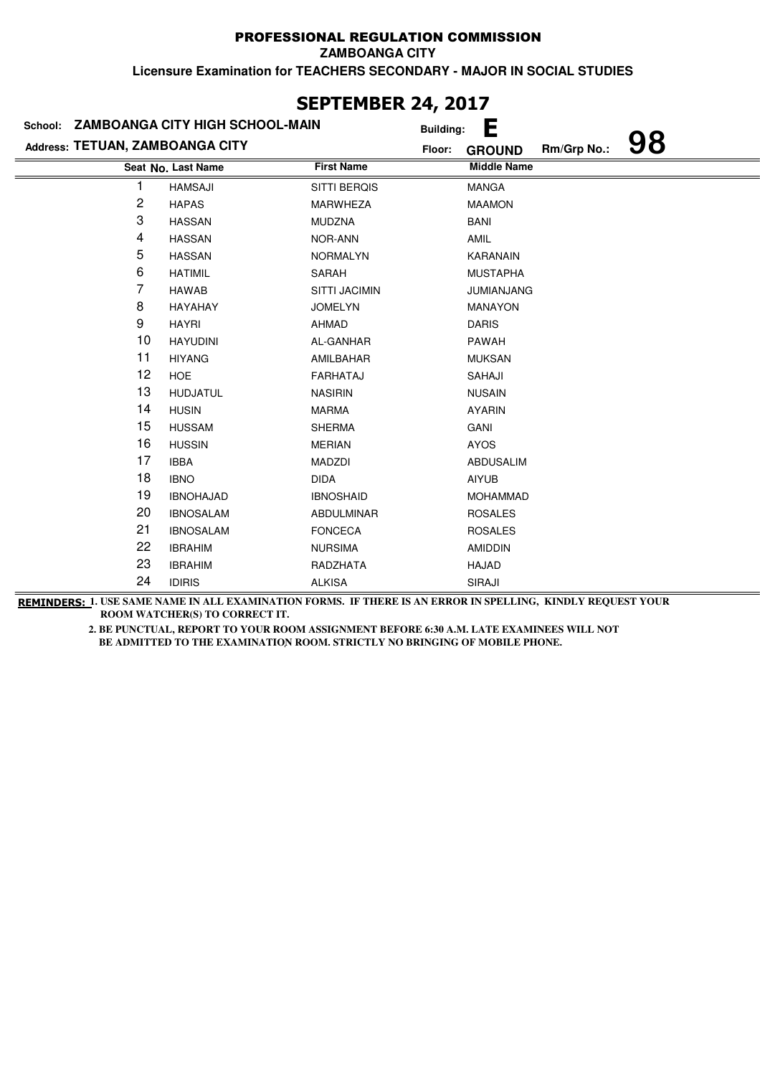**ZAMBOANGA CITY**

**Licensure Examination for TEACHERS SECONDARY - MAJOR IN SOCIAL STUDIES**

|                                 | School: ZAMBOANGA CITY HIGH SCHOOL-MAIN |                     | <b>Building:</b> | Е                  |             |    |
|---------------------------------|-----------------------------------------|---------------------|------------------|--------------------|-------------|----|
| Address: TETUAN, ZAMBOANGA CITY |                                         |                     | Floor:           | <b>GROUND</b>      | Rm/Grp No.: | 98 |
|                                 | Seat No. Last Name                      | <b>First Name</b>   |                  | <b>Middle Name</b> |             |    |
| 1                               | <b>HAMSAJI</b>                          | <b>SITTI BERQIS</b> |                  | <b>MANGA</b>       |             |    |
| $\sqrt{2}$                      | <b>HAPAS</b>                            | <b>MARWHEZA</b>     |                  | <b>MAAMON</b>      |             |    |
| 3                               | <b>HASSAN</b>                           | <b>MUDZNA</b>       |                  | <b>BANI</b>        |             |    |
| 4                               | <b>HASSAN</b>                           | NOR-ANN             |                  | <b>AMIL</b>        |             |    |
| 5                               | <b>HASSAN</b>                           | <b>NORMALYN</b>     |                  | <b>KARANAIN</b>    |             |    |
| 6                               | <b>HATIMIL</b>                          | SARAH               |                  | <b>MUSTAPHA</b>    |             |    |
| 7                               | <b>HAWAB</b>                            | SITTI JACIMIN       |                  | <b>JUMIANJANG</b>  |             |    |
| 8                               | HAYAHAY                                 | <b>JOMELYN</b>      |                  | <b>MANAYON</b>     |             |    |
| 9                               | <b>HAYRI</b>                            | AHMAD               |                  | <b>DARIS</b>       |             |    |
| 10                              | <b>HAYUDINI</b>                         | AL-GANHAR           |                  | PAWAH              |             |    |
| 11                              | <b>HIYANG</b>                           | AMILBAHAR           |                  | <b>MUKSAN</b>      |             |    |
| 12                              | <b>HOE</b>                              | <b>FARHATAJ</b>     |                  | SAHAJI             |             |    |
| 13                              | <b>HUDJATUL</b>                         | <b>NASIRIN</b>      |                  | <b>NUSAIN</b>      |             |    |
| 14                              | <b>HUSIN</b>                            | <b>MARMA</b>        |                  | <b>AYARIN</b>      |             |    |
| 15                              | <b>HUSSAM</b>                           | <b>SHERMA</b>       |                  | GANI               |             |    |
| 16                              | <b>HUSSIN</b>                           | <b>MERIAN</b>       |                  | <b>AYOS</b>        |             |    |
| 17                              | <b>IBBA</b>                             | <b>MADZDI</b>       |                  | <b>ABDUSALIM</b>   |             |    |
| 18                              | <b>IBNO</b>                             | <b>DIDA</b>         |                  | <b>AIYUB</b>       |             |    |
| 19                              | <b>IBNOHAJAD</b>                        | <b>IBNOSHAID</b>    |                  | <b>MOHAMMAD</b>    |             |    |
| 20                              | <b>IBNOSALAM</b>                        | ABDULMINAR          |                  | <b>ROSALES</b>     |             |    |
| 21                              | <b>IBNOSALAM</b>                        | <b>FONCECA</b>      |                  | <b>ROSALES</b>     |             |    |
| 22                              | <b>IBRAHIM</b>                          | <b>NURSIMA</b>      |                  | <b>AMIDDIN</b>     |             |    |
| 23                              | <b>IBRAHIM</b>                          | RADZHATA            |                  | HAJAD              |             |    |
| 24                              | <b>IDIRIS</b>                           | <b>ALKISA</b>       |                  | SIRAJI             |             |    |

### **SEPTEMBER 24, 2017**

**REMINDERS: 1. USE SAME NAME IN ALL EXAMINATION FORMS. IF THERE IS AN ERROR IN SPELLING, KINDLY REQUEST YOUR ROOM WATCHER(S) TO CORRECT IT.**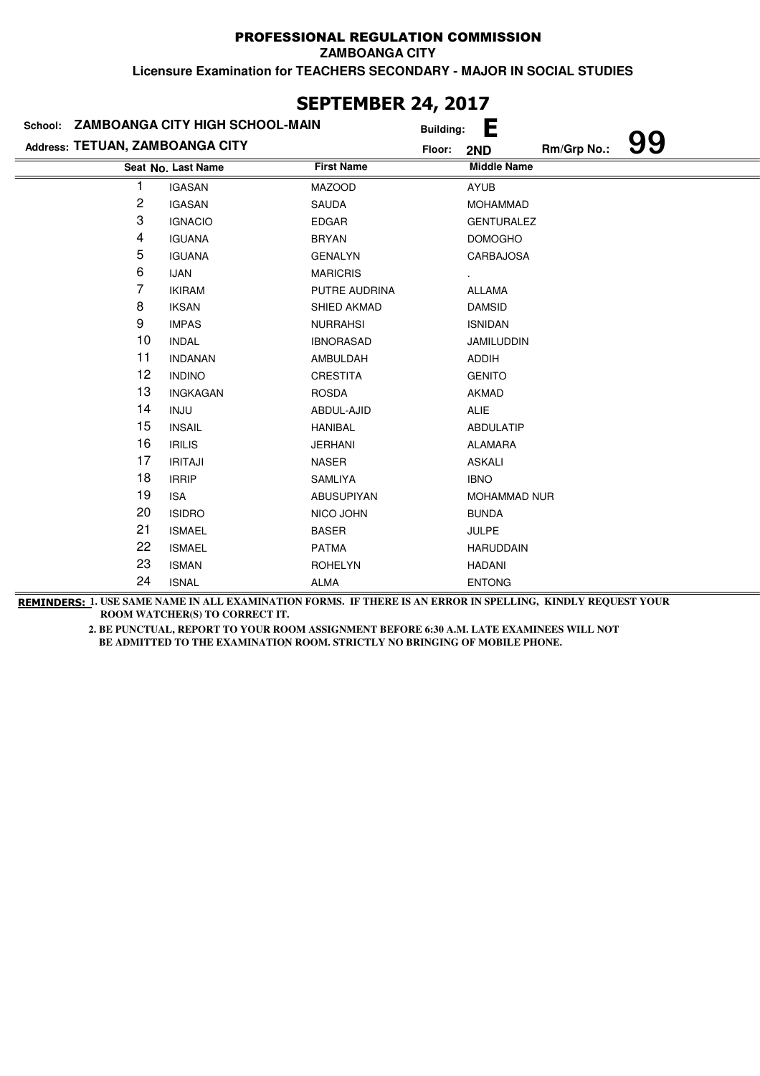**ZAMBOANGA CITY**

**Licensure Examination for TEACHERS SECONDARY - MAJOR IN SOCIAL STUDIES**

|                                 | School: ZAMBOANGA CITY HIGH SCHOOL-MAIN |                   | <u>., ., .,</u><br><b>Building:</b> | Е                   |             |    |
|---------------------------------|-----------------------------------------|-------------------|-------------------------------------|---------------------|-------------|----|
| Address: TETUAN, ZAMBOANGA CITY |                                         |                   | Floor:                              | 2ND                 | Rm/Grp No.: | 99 |
|                                 | Seat No. Last Name                      | <b>First Name</b> |                                     | <b>Middle Name</b>  |             |    |
| 1                               | <b>IGASAN</b>                           | <b>MAZOOD</b>     |                                     | <b>AYUB</b>         |             |    |
| 2                               | <b>IGASAN</b>                           | SAUDA             |                                     | <b>MOHAMMAD</b>     |             |    |
| 3                               | <b>IGNACIO</b>                          | <b>EDGAR</b>      |                                     | <b>GENTURALEZ</b>   |             |    |
| 4                               | <b>IGUANA</b>                           | <b>BRYAN</b>      |                                     | <b>DOMOGHO</b>      |             |    |
| 5                               | <b>IGUANA</b>                           | <b>GENALYN</b>    |                                     | <b>CARBAJOSA</b>    |             |    |
| 6                               | <b>IJAN</b>                             | <b>MARICRIS</b>   |                                     |                     |             |    |
| 7                               | <b>IKIRAM</b>                           | PUTRE AUDRINA     |                                     | <b>ALLAMA</b>       |             |    |
| 8                               | <b>IKSAN</b>                            | SHIED AKMAD       |                                     | <b>DAMSID</b>       |             |    |
| 9                               | <b>IMPAS</b>                            | <b>NURRAHSI</b>   |                                     | <b>ISNIDAN</b>      |             |    |
| 10                              | <b>INDAL</b>                            | <b>IBNORASAD</b>  |                                     | <b>JAMILUDDIN</b>   |             |    |
| 11                              | <b>INDANAN</b>                          | AMBULDAH          |                                     | ADDIH               |             |    |
| 12                              | <b>INDINO</b>                           | CRESTITA          |                                     | <b>GENITO</b>       |             |    |
| 13                              | <b>INGKAGAN</b>                         | <b>ROSDA</b>      |                                     | <b>AKMAD</b>        |             |    |
| 14                              | <b>INJU</b>                             | ABDUL-AJID        |                                     | ALIE                |             |    |
| 15                              | <b>INSAIL</b>                           | <b>HANIBAL</b>    |                                     | <b>ABDULATIP</b>    |             |    |
| 16                              | <b>IRILIS</b>                           | <b>JERHANI</b>    |                                     | <b>ALAMARA</b>      |             |    |
| 17                              | <b>IRITAJI</b>                          | <b>NASER</b>      |                                     | <b>ASKALI</b>       |             |    |
| 18                              | <b>IRRIP</b>                            | SAMLIYA           |                                     | <b>IBNO</b>         |             |    |
| 19                              | <b>ISA</b>                              | ABUSUPIYAN        |                                     | <b>MOHAMMAD NUR</b> |             |    |
| 20                              | <b>ISIDRO</b>                           | NICO JOHN         |                                     | <b>BUNDA</b>        |             |    |
| 21                              | <b>ISMAEL</b>                           | <b>BASER</b>      |                                     | <b>JULPE</b>        |             |    |
| 22                              | <b>ISMAEL</b>                           | <b>PATMA</b>      |                                     | <b>HARUDDAIN</b>    |             |    |
| 23                              | <b>ISMAN</b>                            | <b>ROHELYN</b>    |                                     | <b>HADANI</b>       |             |    |
| 24                              | <b>ISNAL</b>                            | <b>ALMA</b>       |                                     | <b>ENTONG</b>       |             |    |

### **SEPTEMBER 24, 2017**

**REMINDERS: 1. USE SAME NAME IN ALL EXAMINATION FORMS. IF THERE IS AN ERROR IN SPELLING, KINDLY REQUEST YOUR ROOM WATCHER(S) TO CORRECT IT.**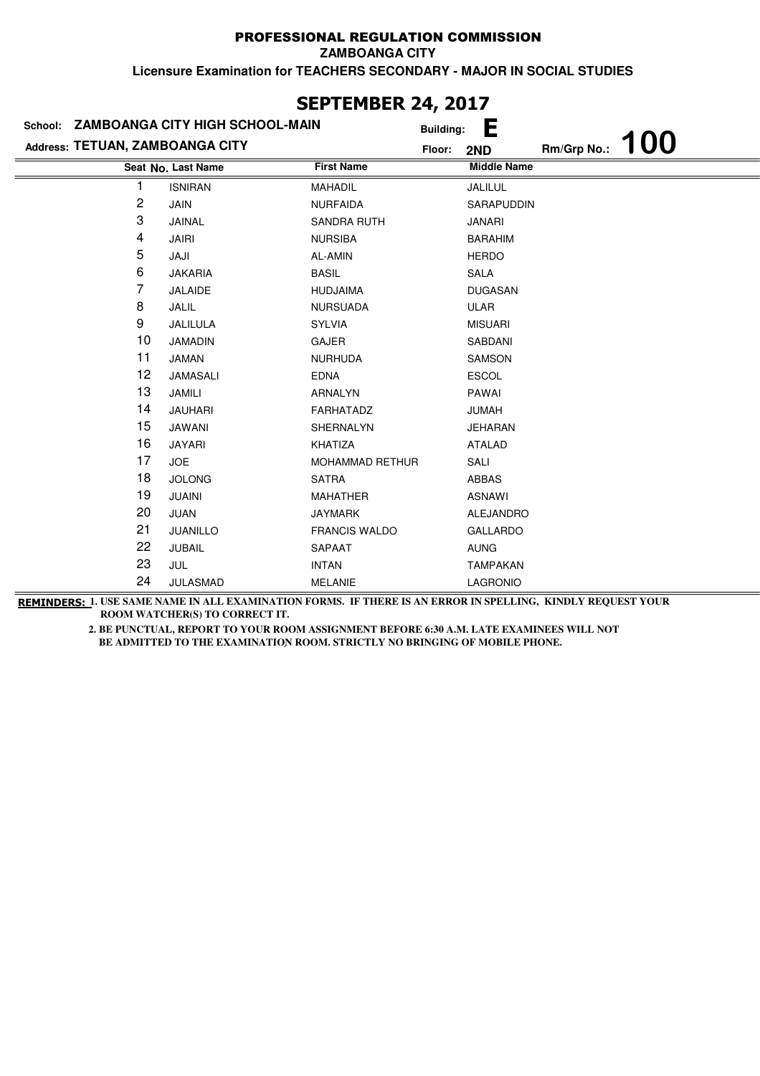**ZAMBOANGA CITY**

**Licensure Examination for TEACHERS SECONDARY - MAJOR IN SOCIAL STUDIES**

|                                 | School: ZAMBOANGA CITY HIGH SCHOOL-MAIN | <b>Building:</b>     | Е                  |             |            |
|---------------------------------|-----------------------------------------|----------------------|--------------------|-------------|------------|
| Address: TETUAN, ZAMBOANGA CITY |                                         | Floor:               | 2ND                | Rm/Grp No.: | <b>100</b> |
|                                 | Seat No. Last Name                      | <b>First Name</b>    | <b>Middle Name</b> |             |            |
| 1                               | <b>ISNIRAN</b>                          | <b>MAHADIL</b>       | JALILUL            |             |            |
| 2                               | <b>JAIN</b>                             | <b>NURFAIDA</b>      | SARAPUDDIN         |             |            |
| 3                               | JAINAL                                  | SANDRA RUTH          | JANARI             |             |            |
| 4                               | <b>JAIRI</b>                            | <b>NURSIBA</b>       | <b>BARAHIM</b>     |             |            |
| 5                               | JAJI                                    | AL-AMIN              | <b>HERDO</b>       |             |            |
| 6                               | <b>JAKARIA</b>                          | <b>BASIL</b>         | SALA               |             |            |
| 7                               | JALAIDE                                 | <b>HUDJAIMA</b>      | <b>DUGASAN</b>     |             |            |
| 8                               | JALIL                                   | <b>NURSUADA</b>      | ULAR               |             |            |
| 9                               | JALILULA                                | <b>SYLVIA</b>        | <b>MISUARI</b>     |             |            |
| 10                              | <b>JAMADIN</b>                          | GAJER                | SABDANI            |             |            |
| 11                              | <b>JAMAN</b>                            | <b>NURHUDA</b>       | <b>SAMSON</b>      |             |            |
| 12                              | JAMASALI                                | <b>EDNA</b>          | <b>ESCOL</b>       |             |            |
| 13                              | JAMILI                                  | ARNALYN              | PAWAI              |             |            |
| 14                              | <b>JAUHARI</b>                          | FARHATADZ            | <b>JUMAH</b>       |             |            |
| 15                              | JAWANI                                  | SHERNALYN            | JEHARAN            |             |            |
| 16                              | JAYARI                                  | KHATIZA              | <b>ATALAD</b>      |             |            |
| 17                              | <b>JOE</b>                              | MOHAMMAD RETHUR      | SALI               |             |            |
| 18                              | <b>JOLONG</b>                           | SATRA                | ABBAS              |             |            |
| 19                              | <b>JUAINI</b>                           | <b>MAHATHER</b>      | <b>ASNAWI</b>      |             |            |
| 20                              | JUAN                                    | <b>JAYMARK</b>       | <b>ALEJANDRO</b>   |             |            |
| 21                              | JUANILLO                                | <b>FRANCIS WALDO</b> | <b>GALLARDO</b>    |             |            |
| 22                              | <b>JUBAIL</b>                           | SAPAAT               | <b>AUNG</b>        |             |            |
| 23                              | JUL                                     | <b>INTAN</b>         | <b>TAMPAKAN</b>    |             |            |
| 24                              | <b>JULASMAD</b>                         | <b>MELANIE</b>       | <b>LAGRONIO</b>    |             |            |

### **SEPTEMBER 24, 2017**

**REMINDERS: 1. USE SAME NAME IN ALL EXAMINATION FORMS. IF THERE IS AN ERROR IN SPELLING, KINDLY REQUEST YOUR ROOM WATCHER(S) TO CORRECT IT.**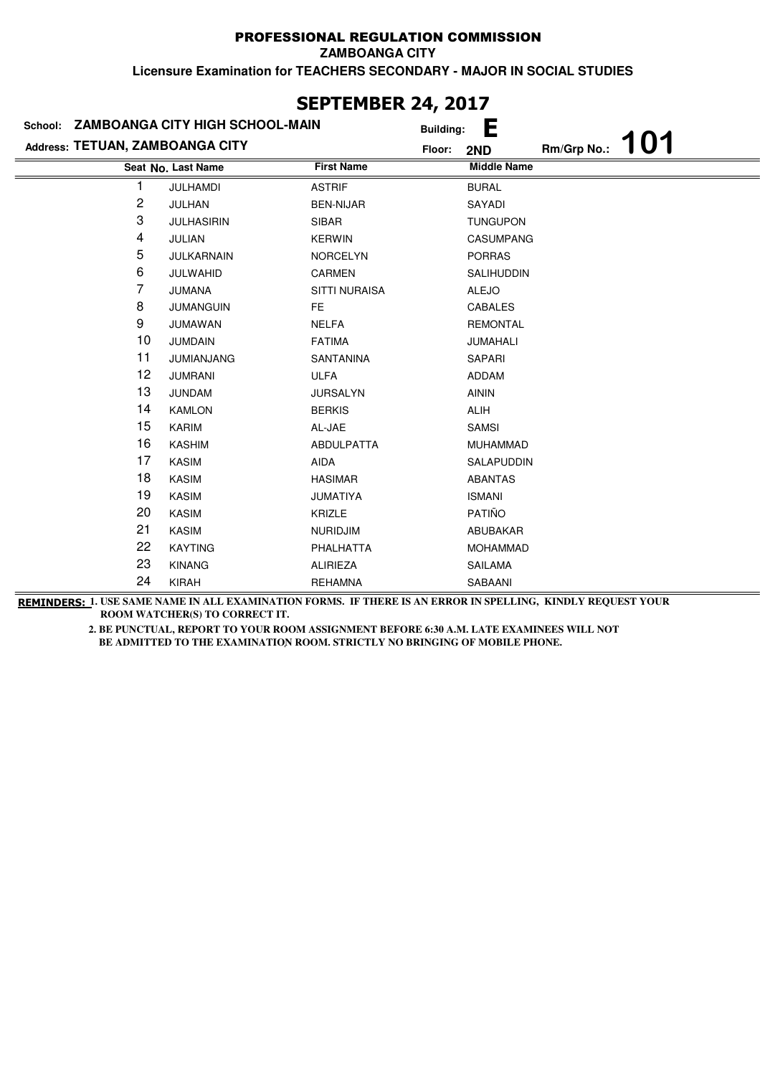**ZAMBOANGA CITY**

**Licensure Examination for TEACHERS SECONDARY - MAJOR IN SOCIAL STUDIES**

| JLI ILIIDLI\ £TĮ £V1/<br>School: ZAMBOANGA CITY HIGH SCHOOL-MAIN |                    |                      |                  |                    |             |            |
|------------------------------------------------------------------|--------------------|----------------------|------------------|--------------------|-------------|------------|
|                                                                  |                    |                      | <b>Building:</b> | Е                  |             | <b>101</b> |
| Address: TETUAN, ZAMBOANGA CITY                                  |                    |                      | Floor:           | 2ND                | Rm/Grp No.: |            |
|                                                                  | Seat No. Last Name | <b>First Name</b>    |                  | <b>Middle Name</b> |             |            |
|                                                                  | JULHAMDI           | <b>ASTRIF</b>        |                  | <b>BURAL</b>       |             |            |
| 2                                                                | JULHAN             | <b>BEN-NIJAR</b>     |                  | SAYADI             |             |            |
| 3                                                                | <b>JULHASIRIN</b>  | <b>SIBAR</b>         |                  | <b>TUNGUPON</b>    |             |            |
| 4                                                                | <b>JULIAN</b>      | <b>KERWIN</b>        |                  | <b>CASUMPANG</b>   |             |            |
| 5                                                                | JULKARNAIN         | <b>NORCELYN</b>      |                  | <b>PORRAS</b>      |             |            |
| 6                                                                | JULWAHID           | CARMEN               |                  | <b>SALIHUDDIN</b>  |             |            |
| 7                                                                | <b>JUMANA</b>      | <b>SITTI NURAISA</b> |                  | <b>ALEJO</b>       |             |            |
| 8                                                                | <b>JUMANGUIN</b>   | FE.                  |                  | CABALES            |             |            |
| 9                                                                | <b>JUMAWAN</b>     | <b>NELFA</b>         |                  | <b>REMONTAL</b>    |             |            |
| 10                                                               | <b>JUMDAIN</b>     | <b>FATIMA</b>        |                  | JUMAHALI           |             |            |
| 11                                                               | <b>JUMIANJANG</b>  | <b>SANTANINA</b>     |                  | <b>SAPARI</b>      |             |            |
| 12                                                               | <b>JUMRANI</b>     | <b>ULFA</b>          |                  | <b>ADDAM</b>       |             |            |
| 13                                                               | <b>JUNDAM</b>      | <b>JURSALYN</b>      |                  | <b>AININ</b>       |             |            |
| 14                                                               | <b>KAMLON</b>      | <b>BERKIS</b>        |                  | <b>ALIH</b>        |             |            |
| 15                                                               | <b>KARIM</b>       | AL-JAE               |                  | <b>SAMSI</b>       |             |            |
| 16                                                               | <b>KASHIM</b>      | <b>ABDULPATTA</b>    |                  | <b>MUHAMMAD</b>    |             |            |
| 17                                                               | KASIM              | AIDA                 |                  | SALAPUDDIN         |             |            |
| 18                                                               | <b>KASIM</b>       | <b>HASIMAR</b>       |                  | <b>ABANTAS</b>     |             |            |
| 19                                                               | <b>KASIM</b>       | <b>JUMATIYA</b>      |                  | <b>ISMANI</b>      |             |            |
| 20                                                               | <b>KASIM</b>       | <b>KRIZLE</b>        |                  | PATIÑO             |             |            |
| 21                                                               | <b>KASIM</b>       | <b>NURIDJIM</b>      |                  | ABUBAKAR           |             |            |
| 22                                                               | <b>KAYTING</b>     | PHALHATTA            |                  | <b>MOHAMMAD</b>    |             |            |
| 23                                                               | <b>KINANG</b>      | <b>ALIRIEZA</b>      |                  | SAILAMA            |             |            |
| 24                                                               | <b>KIRAH</b>       | <b>REHAMNA</b>       |                  | SABAANI            |             |            |

### **SEPTEMBER 24, 2017**

**REMINDERS: 1. USE SAME NAME IN ALL EXAMINATION FORMS. IF THERE IS AN ERROR IN SPELLING, KINDLY REQUEST YOUR ROOM WATCHER(S) TO CORRECT IT.**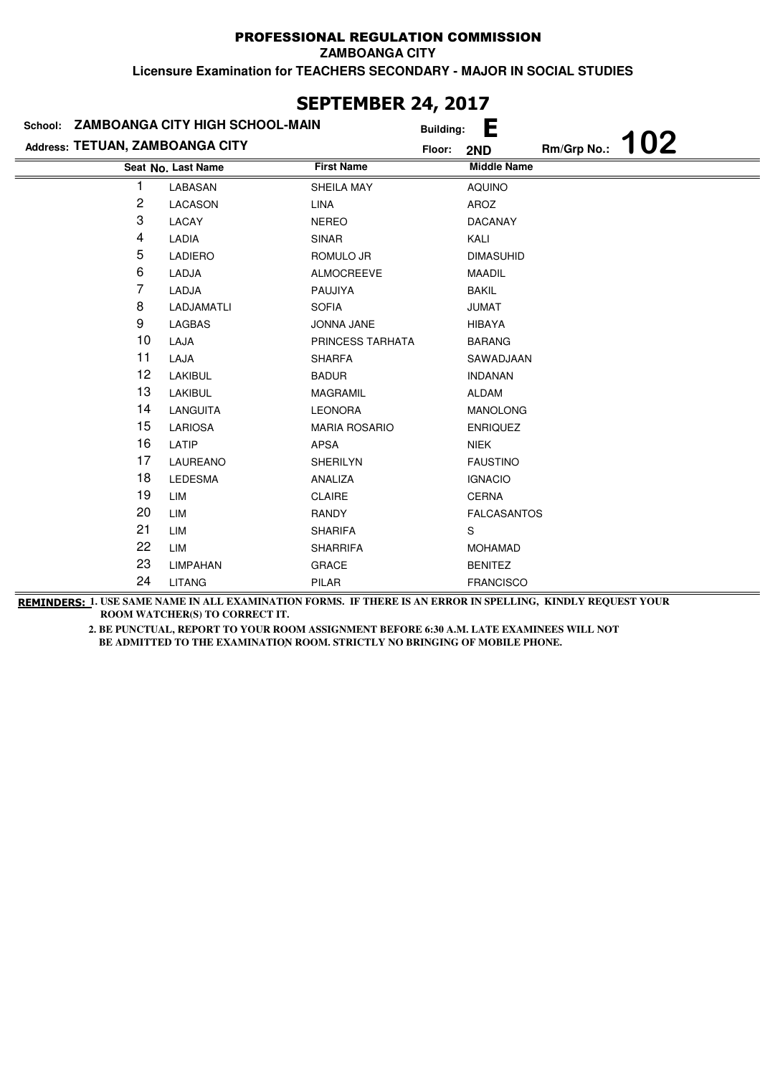**ZAMBOANGA CITY**

**Licensure Examination for TEACHERS SECONDARY - MAJOR IN SOCIAL STUDIES**

| School:                         | ZAMBOANGA CITY HIGH SCHOOL-MAIN |                      | <b>Building:</b> | Ε                  |             |     |
|---------------------------------|---------------------------------|----------------------|------------------|--------------------|-------------|-----|
| Address: TETUAN, ZAMBOANGA CITY |                                 |                      | Floor:           | 2ND                | Rm/Grp No.: | 102 |
|                                 | Seat No. Last Name              | <b>First Name</b>    |                  | <b>Middle Name</b> |             |     |
|                                 | LABASAN                         | <b>SHEILA MAY</b>    |                  | <b>AQUINO</b>      |             |     |
| 2                               | <b>LACASON</b>                  | <b>LINA</b>          |                  | AROZ               |             |     |
| 3                               | LACAY                           | <b>NEREO</b>         |                  | <b>DACANAY</b>     |             |     |
| 4                               | LADIA                           | <b>SINAR</b>         |                  | KALI               |             |     |
| 5                               | <b>LADIERO</b>                  | ROMULO JR            |                  | <b>DIMASUHID</b>   |             |     |
| 6                               | LADJA                           | <b>ALMOCREEVE</b>    |                  | <b>MAADIL</b>      |             |     |
| 7                               | LADJA                           | PAUJIYA              |                  | <b>BAKIL</b>       |             |     |
| 8                               | LADJAMATLI                      | <b>SOFIA</b>         |                  | <b>JUMAT</b>       |             |     |
| 9                               | <b>LAGBAS</b>                   | <b>JONNA JANE</b>    |                  | <b>HIBAYA</b>      |             |     |
| 10                              | LAJA                            | PRINCESS TARHATA     |                  | <b>BARANG</b>      |             |     |
| 11                              | LAJA                            | <b>SHARFA</b>        |                  | SAWADJAAN          |             |     |
| 12                              | LAKIBUL                         | <b>BADUR</b>         |                  | <b>INDANAN</b>     |             |     |
| 13                              | LAKIBUL                         | <b>MAGRAMIL</b>      |                  | <b>ALDAM</b>       |             |     |
| 14                              | LANGUITA                        | <b>LEONORA</b>       |                  | <b>MANOLONG</b>    |             |     |
| 15                              | <b>LARIOSA</b>                  | <b>MARIA ROSARIO</b> |                  | <b>ENRIQUEZ</b>    |             |     |
| 16                              | LATIP                           | APSA                 |                  | <b>NIEK</b>        |             |     |
| 17                              | LAUREANO                        | <b>SHERILYN</b>      |                  | <b>FAUSTINO</b>    |             |     |
| 18                              | LEDESMA                         | ANALIZA              |                  | <b>IGNACIO</b>     |             |     |
| 19                              | LIM                             | <b>CLAIRE</b>        |                  | <b>CERNA</b>       |             |     |
| 20                              | LIM                             | <b>RANDY</b>         |                  | <b>FALCASANTOS</b> |             |     |
| 21                              | LIM                             | <b>SHARIFA</b>       |                  | S                  |             |     |
| 22                              | LIM                             | <b>SHARRIFA</b>      |                  | <b>MOHAMAD</b>     |             |     |
| 23                              | <b>LIMPAHAN</b>                 | <b>GRACE</b>         |                  | <b>BENITEZ</b>     |             |     |
| 24                              | <b>LITANG</b>                   | PILAR                |                  | <b>FRANCISCO</b>   |             |     |

**SEPTEMBER 24, 2017**

**REMINDERS: 1. USE SAME NAME IN ALL EXAMINATION FORMS. IF THERE IS AN ERROR IN SPELLING, KINDLY REQUEST YOUR ROOM WATCHER(S) TO CORRECT IT.**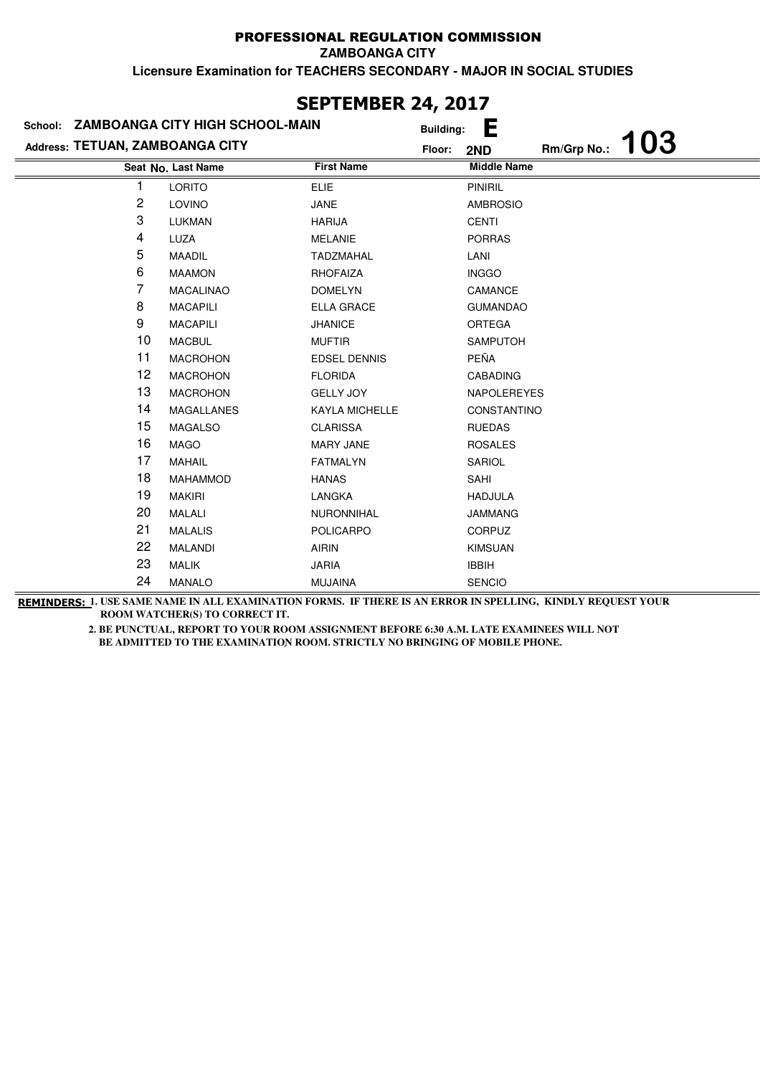**ZAMBOANGA CITY**

**Licensure Examination for TEACHERS SECONDARY - MAJOR IN SOCIAL STUDIES**

| VLI ILITPLI\ 67/ 6V1/<br>School: ZAMBOANGA CITY HIGH SCHOOL-MAIN |                    |                       |                  |                    |             |     |
|------------------------------------------------------------------|--------------------|-----------------------|------------------|--------------------|-------------|-----|
|                                                                  |                    |                       | <b>Building:</b> | Е                  |             |     |
| Address: TETUAN, ZAMBOANGA CITY                                  |                    |                       | Floor:           | 2ND                | Rm/Grp No.: | 103 |
|                                                                  | Seat No. Last Name | <b>First Name</b>     |                  | <b>Middle Name</b> |             |     |
|                                                                  | <b>LORITO</b>      | <b>ELIE</b>           |                  | <b>PINIRIL</b>     |             |     |
| 2                                                                | LOVINO             | <b>JANE</b>           |                  | <b>AMBROSIO</b>    |             |     |
| 3                                                                | LUKMAN             | <b>HARIJA</b>         |                  | CENTI              |             |     |
| 4                                                                | LUZA               | <b>MELANIE</b>        |                  | <b>PORRAS</b>      |             |     |
| 5                                                                | <b>MAADIL</b>      | <b>TADZMAHAL</b>      |                  | LANI               |             |     |
| 6                                                                | <b>MAAMON</b>      | <b>RHOFAIZA</b>       |                  | <b>INGGO</b>       |             |     |
| 7                                                                | <b>MACALINAO</b>   | <b>DOMELYN</b>        |                  | CAMANCE            |             |     |
| 8                                                                | <b>MACAPILI</b>    | <b>ELLA GRACE</b>     |                  | <b>GUMANDAO</b>    |             |     |
| 9                                                                | <b>MACAPILI</b>    | <b>JHANICE</b>        |                  | <b>ORTEGA</b>      |             |     |
| 10                                                               | <b>MACBUL</b>      | <b>MUFTIR</b>         |                  | <b>SAMPUTOH</b>    |             |     |
| 11                                                               | <b>MACROHON</b>    | <b>EDSEL DENNIS</b>   |                  | PEÑA               |             |     |
| 12                                                               | <b>MACROHON</b>    | <b>FLORIDA</b>        |                  | <b>CABADING</b>    |             |     |
| 13                                                               | <b>MACROHON</b>    | <b>GELLY JOY</b>      |                  | <b>NAPOLEREYES</b> |             |     |
| 14                                                               | <b>MAGALLANES</b>  | <b>KAYLA MICHELLE</b> |                  | <b>CONSTANTINO</b> |             |     |
| 15                                                               | <b>MAGALSO</b>     | <b>CLARISSA</b>       |                  | <b>RUEDAS</b>      |             |     |
| 16                                                               | <b>MAGO</b>        | <b>MARY JANE</b>      |                  | <b>ROSALES</b>     |             |     |
| 17                                                               | <b>MAHAIL</b>      | <b>FATMALYN</b>       |                  | SARIOL             |             |     |
| 18                                                               | MAHAMMOD           | <b>HANAS</b>          |                  | SAHI               |             |     |
| 19                                                               | <b>MAKIRI</b>      | LANGKA                |                  | <b>HADJULA</b>     |             |     |
| 20                                                               | MALALI             | NURONNIHAL            |                  | <b>JAMMANG</b>     |             |     |
| 21                                                               | <b>MALALIS</b>     | <b>POLICARPO</b>      |                  | <b>CORPUZ</b>      |             |     |
| 22                                                               | <b>MALANDI</b>     | <b>AIRIN</b>          |                  | <b>KIMSUAN</b>     |             |     |
| 23                                                               | <b>MALIK</b>       | <b>JARIA</b>          |                  | <b>IBBIH</b>       |             |     |
| 24                                                               | <b>MANALO</b>      | <b>MUJAINA</b>        |                  | <b>SENCIO</b>      |             |     |

**REMINDERS: 1. USE SAME NAME IN ALL EXAMINATION FORMS. IF THERE IS AN ERROR IN SPELLING, KINDLY REQUEST YOUR ROOM WATCHER(S) TO CORRECT IT.** 

> **2. BE PUNCTUAL, REPORT TO YOUR ROOM ASSIGNMENT BEFORE 6:30 A.M. LATE EXAMINEES WILL NOT BE ADMITTED TO THE EXAMINATION ROOM. STRICTLY NO BRINGING OF MOBILE PHONE.**

# **SEPTEMBER 24, 2017**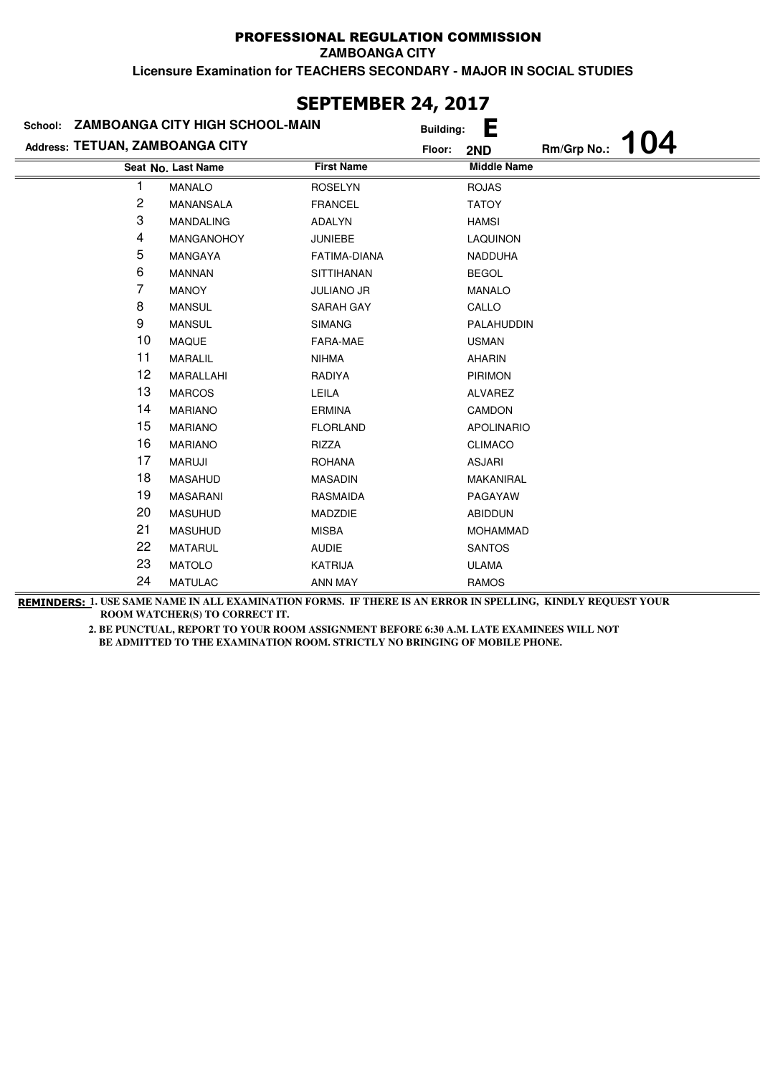#### **Licensure Examination for TEACHERS SECONDARY - MAJOR IN SOCIAL STUDIES** PROFESSIONAL REGULATION COMMISSION **ZAMBOANGA CITY**

**Last Name First Name Middle Name Seat No. Address: TETUAN, ZAMBOANGA CITY School: ZAMBOANGA CITY HIGH SCHOOL-MAIN Building: E Floor: 2ND Rm/Grp No.: 104** 1 MANALO ROSELYN ROJAS 2 MANANSALA FRANCEL TATOY 3 MANDALING ADALYN HAMSI 4 MANGANOHOY JUNIEBE LAQUINON 5 MANGAYA FATIMA-DIANA NADDUHA 6 MANNAN SITTIHANAN BEGOL 7 MANOY JULIANO JR MANALO 8 MANSUL SARAH GAY CALLO 9 MANSUL SIMANG PALAHUDDIN 10 MAQUE FARA-MAE USMAN 11 MARALIL NIHMA NIHMA AHARIN 12 MARALLAHI RADIYA PIRIMON 13 MARCOS LEILA **ALVAREZ** 14 MARIANO ERMINA CAMDON 15 MARIANO FLORLAND APOLINARIO 16 MARIANO RIZZA CLIMACO 17 MARUJI ROHANA ROHANA ASJARI 18 MASAHUD MASADIN MAKANIRAL 19 MASARANI RASMAIDA PAGAYAW 20 MASUHUD MADZDIE ABIDDUN 21 MASUHUD MISBA MOHAMMAD 22 MATARUL AUDIE SANTOS 23 MATOLO KATRIJA ULAMA 24 MATULAC ANN MAY RAMOS

**REMINDERS: 1. USE SAME NAME IN ALL EXAMINATION FORMS. IF THERE IS AN ERROR IN SPELLING, KINDLY REQUEST YOUR 2. BE PUNCTUAL, REPORT TO YOUR ROOM ASSIGNMENT BEFORE 6:30 A.M. LATE EXAMINEES WILL NOT ROOM WATCHER(S) TO CORRECT IT.** 

 **BE ADMITTED TO THE EXAMINATION ROOM. STRICTLY NO BRINGING OF MOBILE PHONE.** 

# **SEPTEMBER 24, 2017**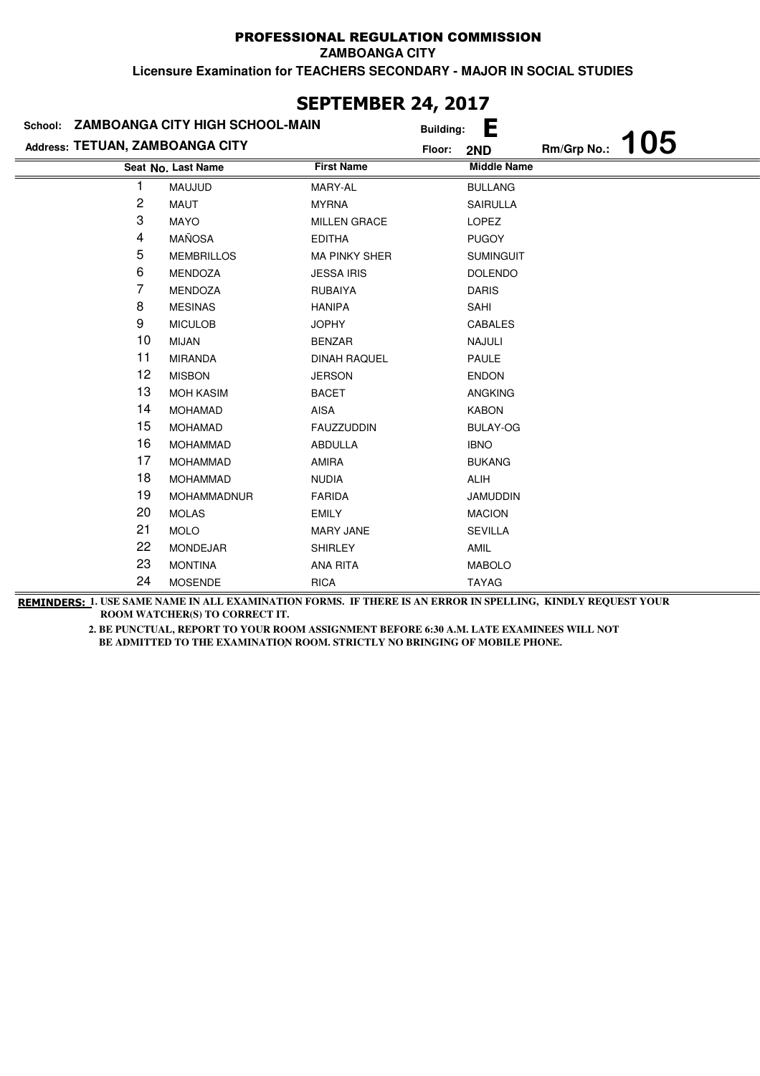**ZAMBOANGA CITY**

**Licensure Examination for TEACHERS SECONDARY - MAJOR IN SOCIAL STUDIES**

| School:                         | ZAMBOANGA CITY HIGH SCHOOL-MAIN |                      | .,<br><b>Building:</b> | Е                  |             |     |
|---------------------------------|---------------------------------|----------------------|------------------------|--------------------|-------------|-----|
| Address: TETUAN, ZAMBOANGA CITY |                                 |                      | Floor:                 | 2ND                | Rm/Grp No.: | 105 |
|                                 | Seat No. Last Name              | <b>First Name</b>    |                        | <b>Middle Name</b> |             |     |
|                                 | MAUJUD                          | MARY-AL              |                        | <b>BULLANG</b>     |             |     |
| 2                               | MAUT                            | <b>MYRNA</b>         |                        | <b>SAIRULLA</b>    |             |     |
| 3                               | <b>MAYO</b>                     | <b>MILLEN GRACE</b>  |                        | <b>LOPEZ</b>       |             |     |
| 4                               | MAÑOSA                          | <b>EDITHA</b>        |                        | <b>PUGOY</b>       |             |     |
| 5                               | <b>MEMBRILLOS</b>               | <b>MA PINKY SHER</b> |                        | <b>SUMINGUIT</b>   |             |     |
| 6                               | <b>MENDOZA</b>                  | <b>JESSA IRIS</b>    |                        | <b>DOLENDO</b>     |             |     |
| 7                               | MENDOZA                         | <b>RUBAIYA</b>       |                        | <b>DARIS</b>       |             |     |
| 8                               | <b>MESINAS</b>                  | <b>HANIPA</b>        |                        | SAHI               |             |     |
| 9                               | <b>MICULOB</b>                  | <b>JOPHY</b>         |                        | <b>CABALES</b>     |             |     |
| 10                              | <b>MIJAN</b>                    | <b>BENZAR</b>        |                        | NAJULI             |             |     |
| 11                              | <b>MIRANDA</b>                  | <b>DINAH RAQUEL</b>  |                        | PAULE              |             |     |
| 12                              | <b>MISBON</b>                   | <b>JERSON</b>        |                        | <b>ENDON</b>       |             |     |
| 13                              | <b>MOH KASIM</b>                | <b>BACET</b>         |                        | <b>ANGKING</b>     |             |     |
| 14                              | <b>MOHAMAD</b>                  | <b>AISA</b>          |                        | <b>KABON</b>       |             |     |
| 15                              | <b>MOHAMAD</b>                  | <b>FAUZZUDDIN</b>    |                        | <b>BULAY-OG</b>    |             |     |
| 16                              | <b>MOHAMMAD</b>                 | <b>ABDULLA</b>       |                        | <b>IBNO</b>        |             |     |
| 17                              | <b>MOHAMMAD</b>                 | <b>AMIRA</b>         |                        | <b>BUKANG</b>      |             |     |
| 18                              | <b>MOHAMMAD</b>                 | <b>NUDIA</b>         |                        | <b>ALIH</b>        |             |     |
| 19                              | MOHAMMADNUR                     | <b>FARIDA</b>        |                        | <b>JAMUDDIN</b>    |             |     |
| 20                              | <b>MOLAS</b>                    | <b>EMILY</b>         |                        | <b>MACION</b>      |             |     |
| 21                              | <b>MOLO</b>                     | <b>MARY JANE</b>     |                        | <b>SEVILLA</b>     |             |     |
| 22                              | <b>MONDEJAR</b>                 | <b>SHIRLEY</b>       |                        | AMIL               |             |     |
| 23                              | <b>MONTINA</b>                  | <b>ANA RITA</b>      |                        | <b>MABOLO</b>      |             |     |
| 24                              | <b>MOSENDE</b>                  | <b>RICA</b>          |                        | <b>TAYAG</b>       |             |     |

### **SEPTEMBER 24, 2017**

**REMINDERS: 1. USE SAME NAME IN ALL EXAMINATION FORMS. IF THERE IS AN ERROR IN SPELLING, KINDLY REQUEST YOUR ROOM WATCHER(S) TO CORRECT IT.**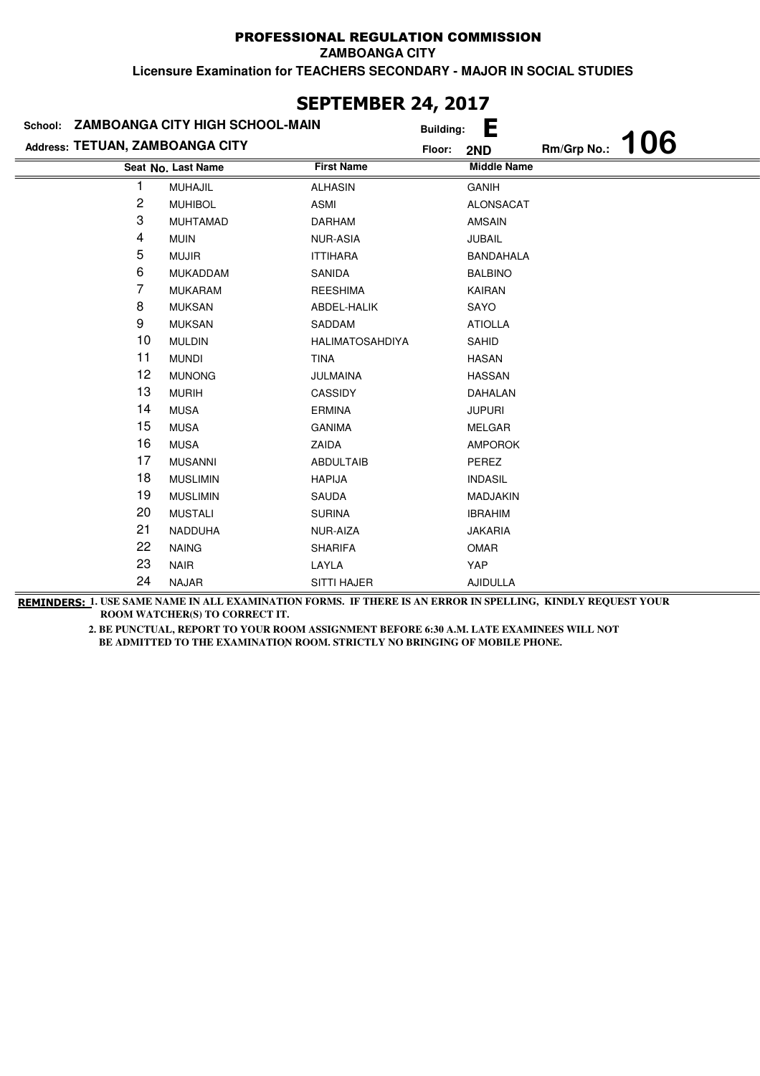**ZAMBOANGA CITY**

**Licensure Examination for TEACHERS SECONDARY - MAJOR IN SOCIAL STUDIES**

| JLI ILIIDLI\ £TĮ £V1/<br>School: ZAMBOANGA CITY HIGH SCHOOL-MAIN |                    |                        |                  |                    |             |     |  |
|------------------------------------------------------------------|--------------------|------------------------|------------------|--------------------|-------------|-----|--|
|                                                                  |                    |                        | <b>Building:</b> | Е                  |             |     |  |
| Address: TETUAN, ZAMBOANGA CITY                                  |                    |                        | Floor:           | 2ND                | Rm/Grp No.: | 106 |  |
|                                                                  | Seat No. Last Name | <b>First Name</b>      |                  | <b>Middle Name</b> |             |     |  |
|                                                                  | <b>MUHAJIL</b>     | <b>ALHASIN</b>         |                  | <b>GANIH</b>       |             |     |  |
| 2                                                                | <b>MUHIBOL</b>     | ASMI                   |                  | <b>ALONSACAT</b>   |             |     |  |
| 3                                                                | <b>MUHTAMAD</b>    | <b>DARHAM</b>          |                  | <b>AMSAIN</b>      |             |     |  |
| 4                                                                | <b>MUIN</b>        | <b>NUR-ASIA</b>        |                  | <b>JUBAIL</b>      |             |     |  |
| 5                                                                | <b>MUJIR</b>       | <b>ITTIHARA</b>        |                  | <b>BANDAHALA</b>   |             |     |  |
| 6                                                                | <b>MUKADDAM</b>    | SANIDA                 |                  | <b>BALBINO</b>     |             |     |  |
| 7                                                                | <b>MUKARAM</b>     | <b>REESHIMA</b>        |                  | KAIRAN             |             |     |  |
| 8                                                                | <b>MUKSAN</b>      | ABDEL-HALIK            |                  | SAYO               |             |     |  |
| 9                                                                | <b>MUKSAN</b>      | SADDAM                 |                  | <b>ATIOLLA</b>     |             |     |  |
| 10                                                               | <b>MULDIN</b>      | <b>HALIMATOSAHDIYA</b> |                  | SAHID              |             |     |  |
| 11                                                               | <b>MUNDI</b>       | <b>TINA</b>            |                  | <b>HASAN</b>       |             |     |  |
| 12                                                               | <b>MUNONG</b>      | JULMAINA               |                  | <b>HASSAN</b>      |             |     |  |
| 13                                                               | <b>MURIH</b>       | CASSIDY                |                  | DAHALAN            |             |     |  |
| 14                                                               | <b>MUSA</b>        | <b>ERMINA</b>          |                  | <b>JUPURI</b>      |             |     |  |
| 15                                                               | <b>MUSA</b>        | <b>GANIMA</b>          |                  | <b>MELGAR</b>      |             |     |  |
| 16                                                               | <b>MUSA</b>        | ZAIDA                  |                  | <b>AMPOROK</b>     |             |     |  |
| 17                                                               | <b>MUSANNI</b>     | <b>ABDULTAIB</b>       |                  | PEREZ              |             |     |  |
| 18                                                               | <b>MUSLIMIN</b>    | <b>HAPIJA</b>          |                  | <b>INDASIL</b>     |             |     |  |
| 19                                                               | <b>MUSLIMIN</b>    | <b>SAUDA</b>           |                  | <b>MADJAKIN</b>    |             |     |  |
| 20                                                               | <b>MUSTALI</b>     | <b>SURINA</b>          |                  | <b>IBRAHIM</b>     |             |     |  |
| 21                                                               | NADDUHA            | NUR-AIZA               |                  | <b>JAKARIA</b>     |             |     |  |
| 22                                                               | <b>NAING</b>       | <b>SHARIFA</b>         |                  | <b>OMAR</b>        |             |     |  |
| 23                                                               | <b>NAIR</b>        | LAYLA                  |                  | YAP                |             |     |  |
| 24                                                               | <b>NAJAR</b>       | SITTI HAJER            |                  | <b>AJIDULLA</b>    |             |     |  |

### **SEPTEMBER 24, 2017**

**REMINDERS: 1. USE SAME NAME IN ALL EXAMINATION FORMS. IF THERE IS AN ERROR IN SPELLING, KINDLY REQUEST YOUR ROOM WATCHER(S) TO CORRECT IT.**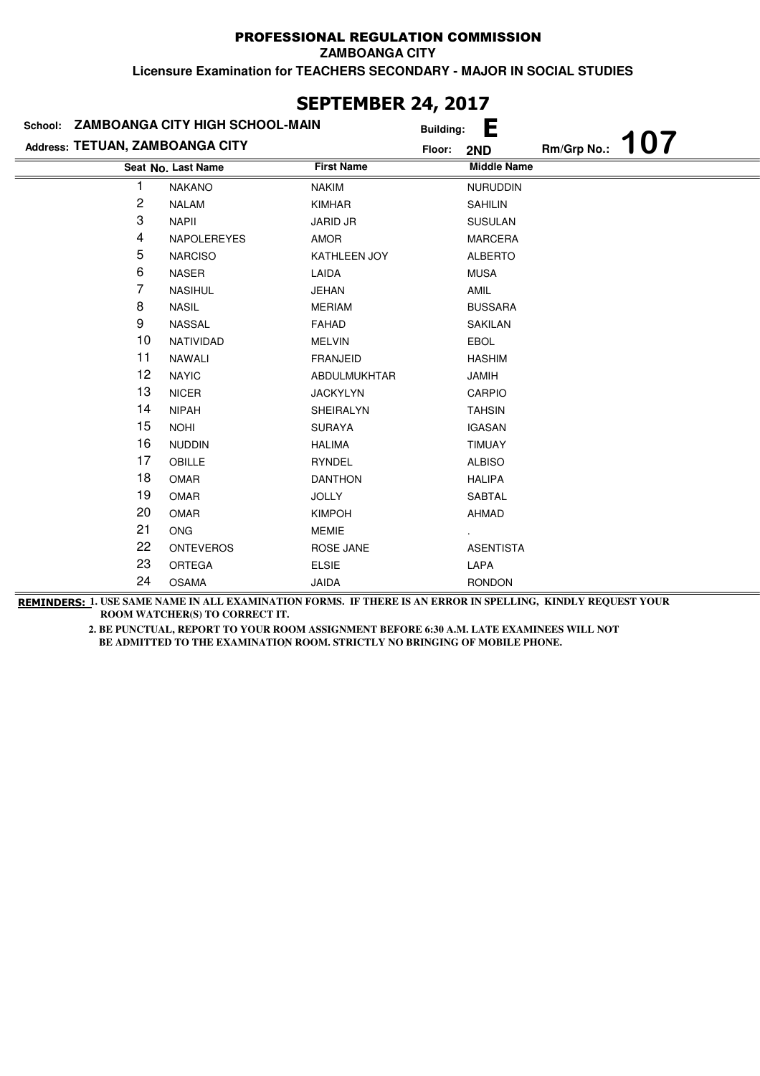**ZAMBOANGA CITY**

**Licensure Examination for TEACHERS SECONDARY - MAJOR IN SOCIAL STUDIES**

| Address: TETUAN, ZAMBOANGA CITY | School: ZAMBOANGA CITY HIGH SCHOOL-MAIN | <b>Building:</b>            | Е                         |             | <b>107</b> |
|---------------------------------|-----------------------------------------|-----------------------------|---------------------------|-------------|------------|
|                                 | Seat No. Last Name                      | Floor:<br><b>First Name</b> | 2ND<br><b>Middle Name</b> | Rm/Grp No.: |            |
| 1                               | <b>NAKANO</b>                           | <b>NAKIM</b>                | <b>NURUDDIN</b>           |             |            |
| 2                               | <b>NALAM</b>                            | <b>KIMHAR</b>               | <b>SAHILIN</b>            |             |            |
| 3                               | <b>NAPII</b>                            | <b>JARID JR</b>             | <b>SUSULAN</b>            |             |            |
| 4                               | NAPOLEREYES                             | AMOR                        | <b>MARCERA</b>            |             |            |
| 5                               | <b>NARCISO</b>                          | KATHLEEN JOY                | <b>ALBERTO</b>            |             |            |
| 6                               | <b>NASER</b>                            | LAIDA                       | <b>MUSA</b>               |             |            |
| 7                               | <b>NASIHUL</b>                          | <b>JEHAN</b>                | AMIL                      |             |            |
| 8                               | <b>NASIL</b>                            | <b>MERIAM</b>               | <b>BUSSARA</b>            |             |            |
| 9                               | NASSAL                                  | <b>FAHAD</b>                | <b>SAKILAN</b>            |             |            |
| 10                              | NATIVIDAD                               | <b>MELVIN</b>               | EBOL                      |             |            |
| 11                              | NAWALI                                  | <b>FRANJEID</b>             | <b>HASHIM</b>             |             |            |
| 12                              | <b>NAYIC</b>                            | ABDULMUKHTAR                | <b>JAMIH</b>              |             |            |
| 13                              | <b>NICER</b>                            | <b>JACKYLYN</b>             | CARPIO                    |             |            |
| 14                              | <b>NIPAH</b>                            | <b>SHEIRALYN</b>            | <b>TAHSIN</b>             |             |            |
| 15                              | <b>NOHI</b>                             | <b>SURAYA</b>               | <b>IGASAN</b>             |             |            |
| 16                              | <b>NUDDIN</b>                           | <b>HALIMA</b>               | <b>TIMUAY</b>             |             |            |
| 17                              | OBILLE                                  | <b>RYNDEL</b>               | <b>ALBISO</b>             |             |            |
| 18                              | OMAR                                    | <b>DANTHON</b>              | <b>HALIPA</b>             |             |            |
| 19                              | OMAR                                    | <b>JOLLY</b>                | <b>SABTAL</b>             |             |            |
| 20                              | <b>OMAR</b>                             | <b>KIMPOH</b>               | <b>AHMAD</b>              |             |            |
| 21                              | <b>ONG</b>                              | <b>MEMIE</b>                |                           |             |            |
| 22                              | <b>ONTEVEROS</b>                        | <b>ROSE JANE</b>            | <b>ASENTISTA</b>          |             |            |
| 23                              | <b>ORTEGA</b>                           | <b>ELSIE</b>                | LAPA                      |             |            |
| 24                              | <b>OSAMA</b>                            | <b>JAIDA</b>                | <b>RONDON</b>             |             |            |

### **SEPTEMBER 24, 2017**

**REMINDERS: 1. USE SAME NAME IN ALL EXAMINATION FORMS. IF THERE IS AN ERROR IN SPELLING, KINDLY REQUEST YOUR ROOM WATCHER(S) TO CORRECT IT.**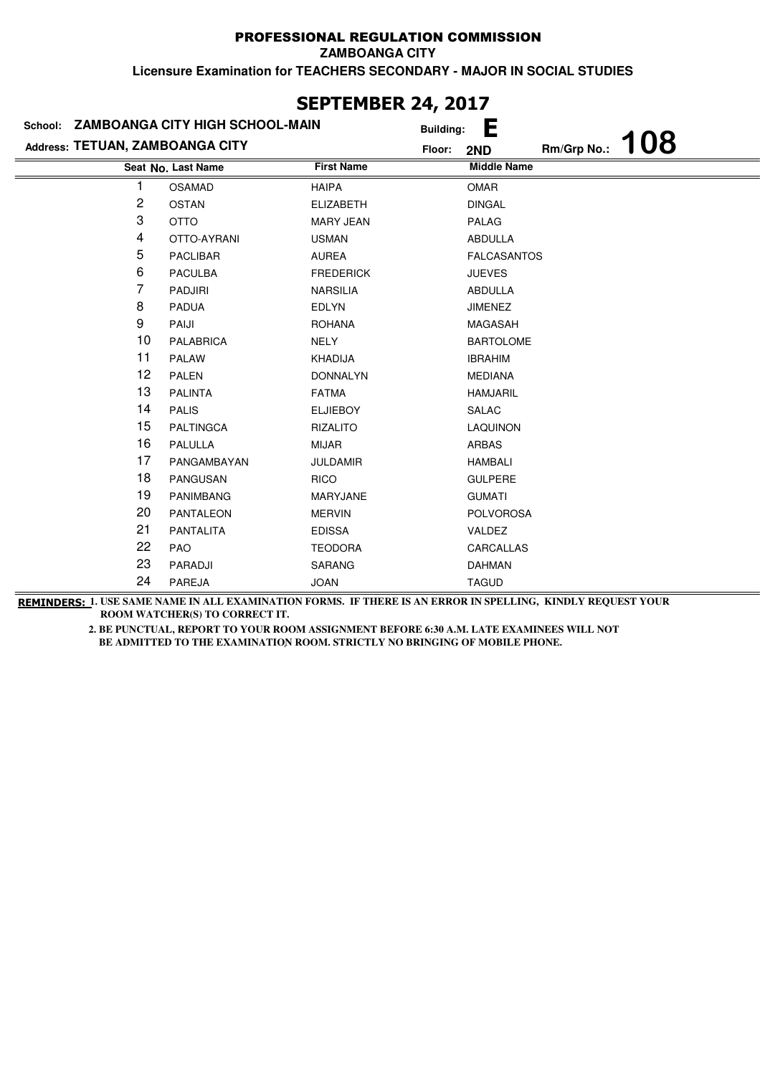**ZAMBOANGA CITY**

**Licensure Examination for TEACHERS SECONDARY - MAJOR IN SOCIAL STUDIES**

|                                 | School: ZAMBOANGA CITY HIGH SCHOOL-MAIN | <b>Building:</b>  | Е                         |
|---------------------------------|-----------------------------------------|-------------------|---------------------------|
| Address: TETUAN, ZAMBOANGA CITY |                                         | Floor:            | 108<br>Rm/Grp No.:<br>2ND |
|                                 | Seat No. Last Name                      | <b>First Name</b> | <b>Middle Name</b>        |
| 1                               | <b>OSAMAD</b>                           | <b>HAIPA</b>      | <b>OMAR</b>               |
| 2                               | <b>OSTAN</b>                            | <b>ELIZABETH</b>  | <b>DINGAL</b>             |
| 3                               | <b>OTTO</b>                             | <b>MARY JEAN</b>  | PALAG                     |
| 4                               | OTTO-AYRANI                             | <b>USMAN</b>      | ABDULLA                   |
| 5                               | <b>PACLIBAR</b>                         | AUREA             | <b>FALCASANTOS</b>        |
| 6                               | <b>PACULBA</b>                          | <b>FREDERICK</b>  | <b>JUEVES</b>             |
| 7                               | PADJIRI                                 | <b>NARSILIA</b>   | ABDULLA                   |
| 8                               | <b>PADUA</b>                            | <b>EDLYN</b>      | <b>JIMENEZ</b>            |
| 9                               | PAIJI                                   | <b>ROHANA</b>     | MAGASAH                   |
| 10                              | <b>PALABRICA</b>                        | NELY              | <b>BARTOLOME</b>          |
| 11                              | <b>PALAW</b>                            | <b>KHADIJA</b>    | <b>IBRAHIM</b>            |
| 12                              | PALEN                                   | <b>DONNALYN</b>   | <b>MEDIANA</b>            |
| 13                              | <b>PALINTA</b>                          | <b>FATMA</b>      | <b>HAMJARIL</b>           |
| 14                              | <b>PALIS</b>                            | <b>ELJIEBOY</b>   | SALAC                     |
| 15                              | <b>PALTINGCA</b>                        | <b>RIZALITO</b>   | LAQUINON                  |
| 16                              | PALULLA                                 | <b>MIJAR</b>      | <b>ARBAS</b>              |
| 17                              | PANGAMBAYAN                             | <b>JULDAMIR</b>   | <b>HAMBALI</b>            |
| 18                              | PANGUSAN                                | <b>RICO</b>       | <b>GULPERE</b>            |
| 19                              | <b>PANIMBANG</b>                        | MARYJANE          | <b>GUMATI</b>             |
| 20                              | <b>PANTALEON</b>                        | <b>MERVIN</b>     | <b>POLVOROSA</b>          |
| 21                              | <b>PANTALITA</b>                        | <b>EDISSA</b>     | VALDEZ                    |
| 22                              | <b>PAO</b>                              | <b>TEODORA</b>    | CARCALLAS                 |
| 23                              | PARADJI                                 | <b>SARANG</b>     | <b>DAHMAN</b>             |
| 24                              | PAREJA                                  | <b>JOAN</b>       | <b>TAGUD</b>              |

# **SEPTEMBER 24, 2017**

**REMINDERS: 1. USE SAME NAME IN ALL EXAMINATION FORMS. IF THERE IS AN ERROR IN SPELLING, KINDLY REQUEST YOUR ROOM WATCHER(S) TO CORRECT IT.**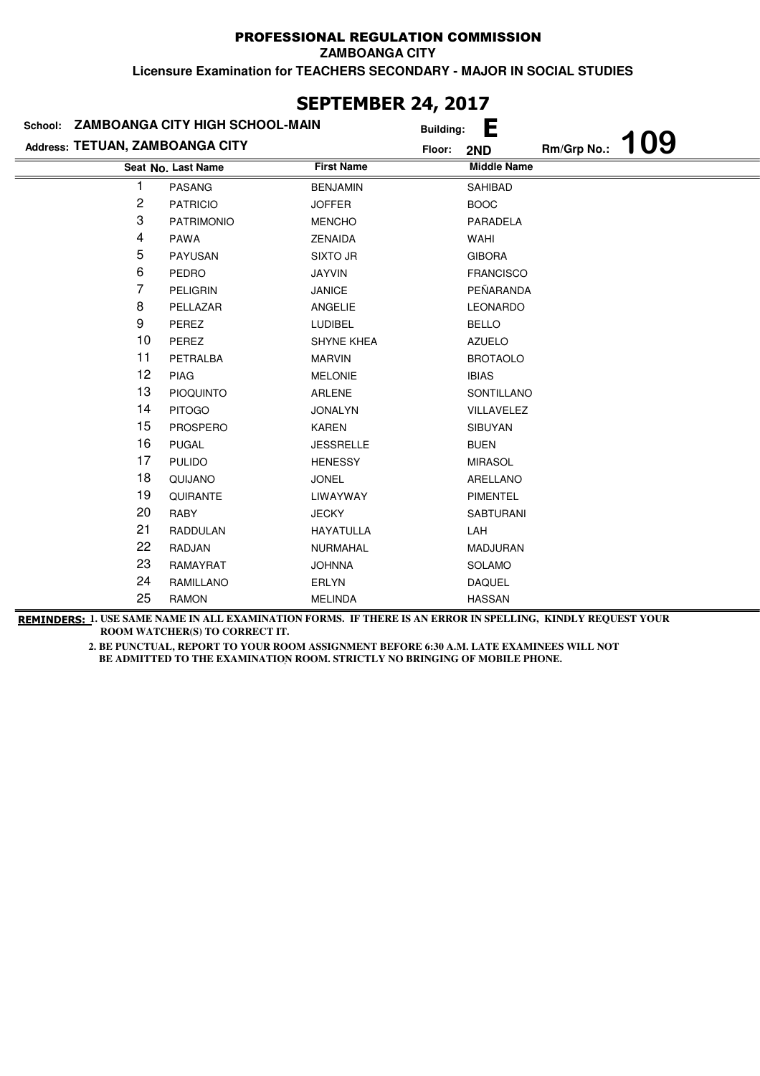**ZAMBOANGA CITY**

**Licensure Examination for TEACHERS SECONDARY - MAJOR IN SOCIAL STUDIES**

|                                 | School: ZAMBOANGA CITY HIGH SCHOOL-MAIN | <b>Building:</b>  | Е                  |             |            |
|---------------------------------|-----------------------------------------|-------------------|--------------------|-------------|------------|
| Address: TETUAN, ZAMBOANGA CITY |                                         | Floor:            | 2ND                | Rm/Grp No.: | <b>109</b> |
|                                 | Seat No. Last Name                      | <b>First Name</b> | <b>Middle Name</b> |             |            |
|                                 | <b>PASANG</b>                           | <b>BENJAMIN</b>   | SAHIBAD            |             |            |
| 2                               | <b>PATRICIO</b>                         | <b>JOFFER</b>     | <b>BOOC</b>        |             |            |
| 3                               | <b>PATRIMONIO</b>                       | <b>MENCHO</b>     | PARADELA           |             |            |
| 4                               | <b>PAWA</b>                             | <b>ZENAIDA</b>    | WAHI               |             |            |
| 5                               | <b>PAYUSAN</b>                          | <b>SIXTO JR</b>   | <b>GIBORA</b>      |             |            |
| 6                               | PEDRO                                   | <b>JAYVIN</b>     | <b>FRANCISCO</b>   |             |            |
| 7                               | PELIGRIN                                | <b>JANICE</b>     | PEÑARANDA          |             |            |
| 8                               | PELLAZAR                                | ANGELIE           | <b>LEONARDO</b>    |             |            |
| 9                               | PEREZ                                   | <b>LUDIBEL</b>    | <b>BELLO</b>       |             |            |
| 10                              | PEREZ                                   | <b>SHYNE KHEA</b> | <b>AZUELO</b>      |             |            |
| 11                              | PETRALBA                                | <b>MARVIN</b>     | <b>BROTAOLO</b>    |             |            |
| 12                              | <b>PIAG</b>                             | <b>MELONIE</b>    | <b>IBIAS</b>       |             |            |
| 13                              | <b>PIOQUINTO</b>                        | ARLENE            | SONTILLANO         |             |            |
| 14                              | <b>PITOGO</b>                           | <b>JONALYN</b>    | VILLAVELEZ         |             |            |
| 15                              | <b>PROSPERO</b>                         | <b>KAREN</b>      | <b>SIBUYAN</b>     |             |            |
| 16                              | <b>PUGAL</b>                            | <b>JESSRELLE</b>  | <b>BUEN</b>        |             |            |
| 17                              | <b>PULIDO</b>                           | <b>HENESSY</b>    | <b>MIRASOL</b>     |             |            |
| 18                              | QUIJANO                                 | <b>JONEL</b>      | ARELLANO           |             |            |
| 19                              | QUIRANTE                                | LIWAYWAY          | <b>PIMENTEL</b>    |             |            |
| 20                              | RABY                                    | <b>JECKY</b>      | <b>SABTURANI</b>   |             |            |
| 21                              | <b>RADDULAN</b>                         | <b>HAYATULLA</b>  | LAH                |             |            |
| 22                              | RADJAN                                  | NURMAHAL          | <b>MADJURAN</b>    |             |            |
| 23                              | RAMAYRAT                                | <b>JOHNNA</b>     | <b>SOLAMO</b>      |             |            |
| 24                              | RAMILLANO                               | <b>ERLYN</b>      | <b>DAQUEL</b>      |             |            |
| 25                              | <b>RAMON</b>                            | <b>MELINDA</b>    | <b>HASSAN</b>      |             |            |

### **SEPTEMBER 24, 2017**

**REMINDERS: 1. USE SAME NAME IN ALL EXAMINATION FORMS. IF THERE IS AN ERROR IN SPELLING, KINDLY REQUEST YOUR ROOM WATCHER(S) TO CORRECT IT.**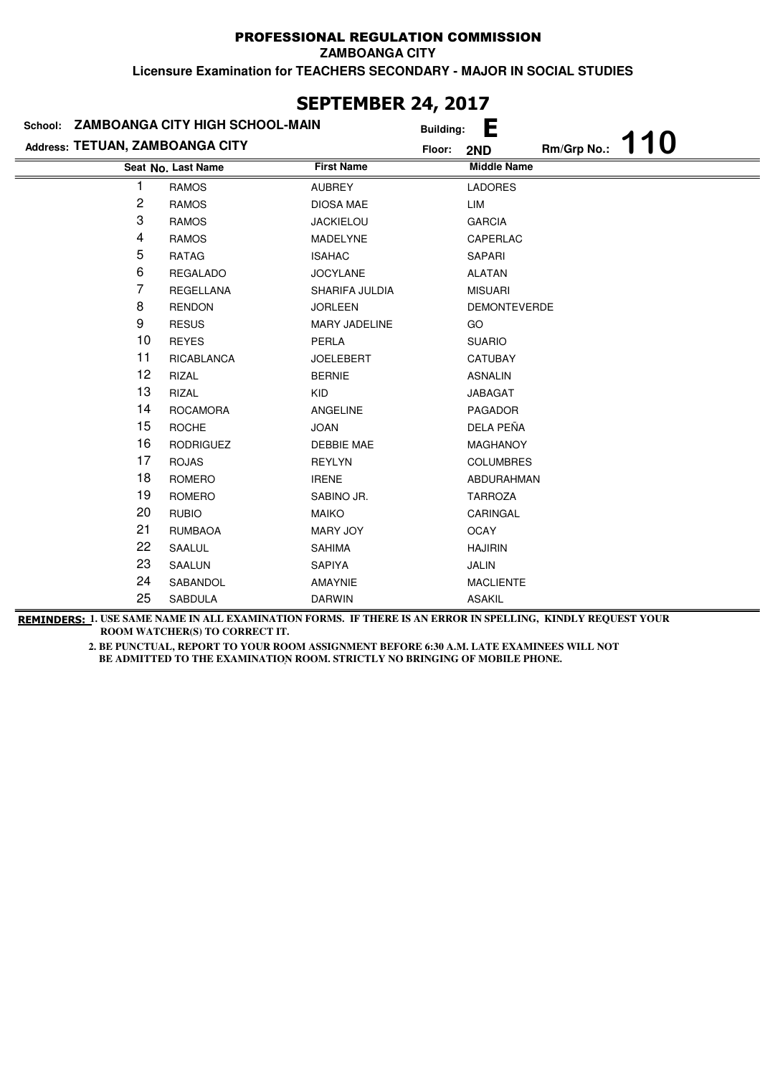**ZAMBOANGA CITY**

**Licensure Examination for TEACHERS SECONDARY - MAJOR IN SOCIAL STUDIES**

|                                 |    | School: ZAMBOANGA CITY HIGH SCHOOL-MAIN |                   | <b>Building:</b> | Е                   |             |            |
|---------------------------------|----|-----------------------------------------|-------------------|------------------|---------------------|-------------|------------|
| Address: TETUAN, ZAMBOANGA CITY |    |                                         |                   | Floor:           | 2ND                 | Rm/Grp No.: | <b>110</b> |
|                                 |    | Seat No. Last Name                      | <b>First Name</b> |                  | <b>Middle Name</b>  |             |            |
|                                 | 1  | <b>RAMOS</b>                            | <b>AUBREY</b>     |                  | <b>LADORES</b>      |             |            |
|                                 | 2  | <b>RAMOS</b>                            | <b>DIOSA MAE</b>  |                  | LIM                 |             |            |
|                                 | 3  | <b>RAMOS</b>                            | <b>JACKIELOU</b>  |                  | <b>GARCIA</b>       |             |            |
|                                 | 4  | <b>RAMOS</b>                            | MADELYNE          |                  | CAPERLAC            |             |            |
|                                 | 5  | RATAG                                   | <b>ISAHAC</b>     |                  | SAPARI              |             |            |
|                                 | 6  | <b>REGALADO</b>                         | <b>JOCYLANE</b>   |                  | <b>ALATAN</b>       |             |            |
|                                 | 7  | REGELLANA                               | SHARIFA JULDIA    |                  | <b>MISUARI</b>      |             |            |
|                                 | 8  | <b>RENDON</b>                           | <b>JORLEEN</b>    |                  | <b>DEMONTEVERDE</b> |             |            |
|                                 | 9  | <b>RESUS</b>                            | MARY JADELINE     |                  | GO                  |             |            |
|                                 | 10 | <b>REYES</b>                            | PERLA             |                  | <b>SUARIO</b>       |             |            |
|                                 | 11 | RICABLANCA                              | <b>JOELEBERT</b>  |                  | CATUBAY             |             |            |
|                                 | 12 | RIZAL                                   | <b>BERNIE</b>     |                  | <b>ASNALIN</b>      |             |            |
|                                 | 13 | <b>RIZAL</b>                            | <b>KID</b>        |                  | <b>JABAGAT</b>      |             |            |
|                                 | 14 | <b>ROCAMORA</b>                         | <b>ANGELINE</b>   |                  | <b>PAGADOR</b>      |             |            |
|                                 | 15 | <b>ROCHE</b>                            | <b>JOAN</b>       |                  | DELA PEÑA           |             |            |
|                                 | 16 | <b>RODRIGUEZ</b>                        | <b>DEBBIE MAE</b> |                  | MAGHANOY            |             |            |
|                                 | 17 | <b>ROJAS</b>                            | <b>REYLYN</b>     |                  | <b>COLUMBRES</b>    |             |            |
|                                 | 18 | ROMERO                                  | <b>IRENE</b>      |                  | ABDURAHMAN          |             |            |
|                                 | 19 | <b>ROMERO</b>                           | SABINO JR.        |                  | <b>TARROZA</b>      |             |            |
|                                 | 20 | <b>RUBIO</b>                            | <b>MAIKO</b>      |                  | CARINGAL            |             |            |
|                                 | 21 | <b>RUMBAOA</b>                          | MARY JOY          |                  | <b>OCAY</b>         |             |            |
|                                 | 22 | SAALUL                                  | <b>SAHIMA</b>     |                  | <b>HAJIRIN</b>      |             |            |
|                                 | 23 | SAALUN                                  | <b>SAPIYA</b>     |                  | <b>JALIN</b>        |             |            |
|                                 | 24 | SABANDOL                                | AMAYNIE           |                  | <b>MACLIENTE</b>    |             |            |
|                                 | 25 | <b>SABDULA</b>                          | <b>DARWIN</b>     |                  | <b>ASAKIL</b>       |             |            |
|                                 |    |                                         |                   |                  |                     |             |            |

**SEPTEMBER 24, 2017**

**REMINDERS: 1. USE SAME NAME IN ALL EXAMINATION FORMS. IF THERE IS AN ERROR IN SPELLING, KINDLY REQUEST YOUR ROOM WATCHER(S) TO CORRECT IT.**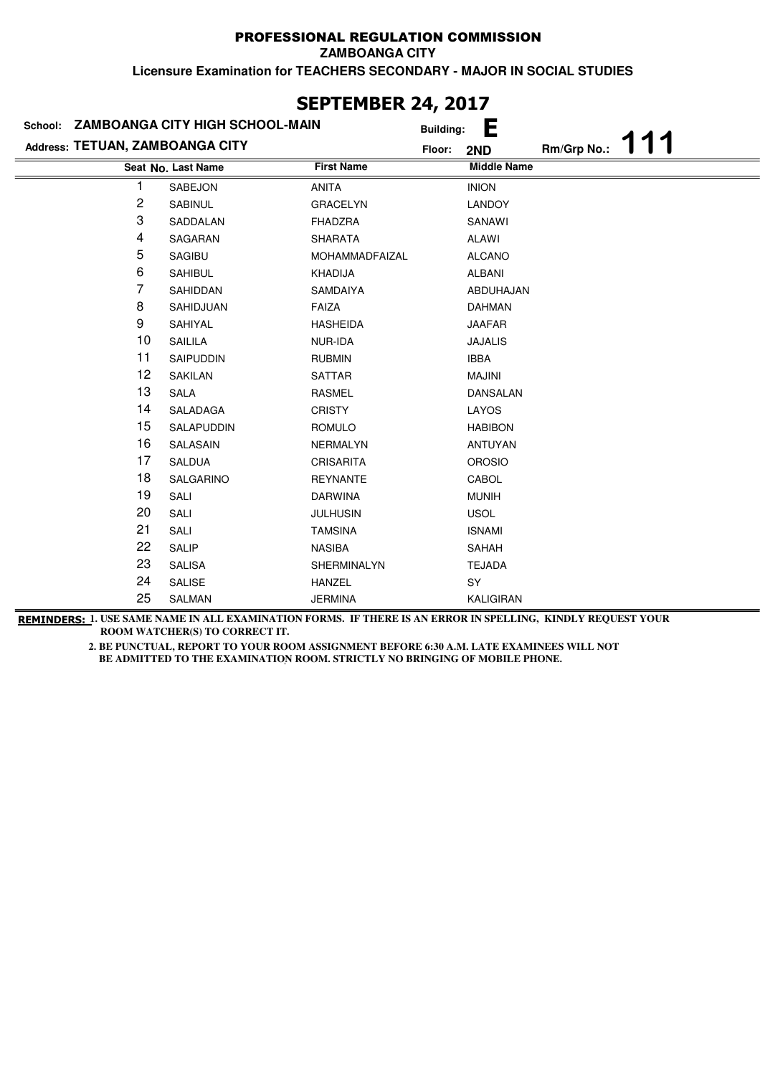## PROFESSIONAL REGULATION COMMISSION

**ZAMBOANGA CITY**

**Licensure Examination for TEACHERS SECONDARY - MAJOR IN SOCIAL STUDIES**

| School:                         | <b>ZAMBOANGA CITY HIGH SCHOOL-MAIN</b> | ---- - - <i>1 -</i> | <b>Building:</b> | Е                  |             |  |
|---------------------------------|----------------------------------------|---------------------|------------------|--------------------|-------------|--|
| Address: TETUAN, ZAMBOANGA CITY |                                        |                     | Floor:           | 2ND                | Rm/Grp No.: |  |
|                                 | Seat No. Last Name                     | <b>First Name</b>   |                  | <b>Middle Name</b> |             |  |
|                                 | SABEJON                                | <b>ANITA</b>        |                  | <b>INION</b>       |             |  |
| 2                               | SABINUL                                | <b>GRACELYN</b>     |                  | LANDOY             |             |  |
| 3                               | SADDALAN                               | <b>FHADZRA</b>      |                  | SANAWI             |             |  |
| 4                               | SAGARAN                                | <b>SHARATA</b>      |                  | ALAWI              |             |  |
| 5                               | <b>SAGIBU</b>                          | MOHAMMADFAIZAL      |                  | <b>ALCANO</b>      |             |  |
| 6                               | <b>SAHIBUL</b>                         | KHADIJA             |                  | ALBANI             |             |  |
| 7                               | SAHIDDAN                               | SAMDAIYA            |                  | ABDUHAJAN          |             |  |
| 8                               | SAHIDJUAN                              | <b>FAIZA</b>        |                  | <b>DAHMAN</b>      |             |  |
| 9                               | SAHIYAL                                | <b>HASHEIDA</b>     |                  | <b>JAAFAR</b>      |             |  |
| 10                              | SAILILA                                | NUR-IDA             |                  | <b>JAJALIS</b>     |             |  |
| 11                              | SAIPUDDIN                              | <b>RUBMIN</b>       |                  | <b>IBBA</b>        |             |  |
| 12                              | <b>SAKILAN</b>                         | <b>SATTAR</b>       |                  | <b>MAJINI</b>      |             |  |
| 13                              | <b>SALA</b>                            | <b>RASMEL</b>       |                  | <b>DANSALAN</b>    |             |  |
| 14                              | SALADAGA                               | <b>CRISTY</b>       |                  | LAYOS              |             |  |
| 15                              | SALAPUDDIN                             | <b>ROMULO</b>       |                  | <b>HABIBON</b>     |             |  |
| 16                              | SALASAIN                               | NERMALYN            |                  | <b>ANTUYAN</b>     |             |  |
| 17                              | SALDUA                                 | <b>CRISARITA</b>    |                  | <b>OROSIO</b>      |             |  |
| 18                              | SALGARINO                              | <b>REYNANTE</b>     |                  | CABOL              |             |  |
| 19                              | SALI                                   | <b>DARWINA</b>      |                  | <b>MUNIH</b>       |             |  |
| 20                              | SALI                                   | <b>JULHUSIN</b>     |                  | <b>USOL</b>        |             |  |
| 21                              | SALI                                   | <b>TAMSINA</b>      |                  | <b>ISNAMI</b>      |             |  |
| 22                              | SALIP                                  | NASIBA              |                  | SAHAH              |             |  |
| 23                              | <b>SALISA</b>                          | SHERMINALYN         |                  | <b>TEJADA</b>      |             |  |
| 24                              | SALISE                                 | <b>HANZEL</b>       |                  | SY                 |             |  |
| 25                              | SALMAN                                 | <b>JERMINA</b>      |                  | <b>KALIGIRAN</b>   |             |  |

**REMINDERS: 1. USE SAME NAME IN ALL EXAMINATION FORMS. IF THERE IS AN ERROR IN SPELLING, KINDLY REQUEST YOUR ROOM WATCHER(S) TO CORRECT IT.** 

> **2. BE PUNCTUAL, REPORT TO YOUR ROOM ASSIGNMENT BEFORE 6:30 A.M. LATE EXAMINEES WILL NOT**  BE ADMITTED TO THE EXAMINATION ROOM. STRICTLY NO BRINGING OF MOBILE PHONE.

# **SEPTEMBER 24, 2017**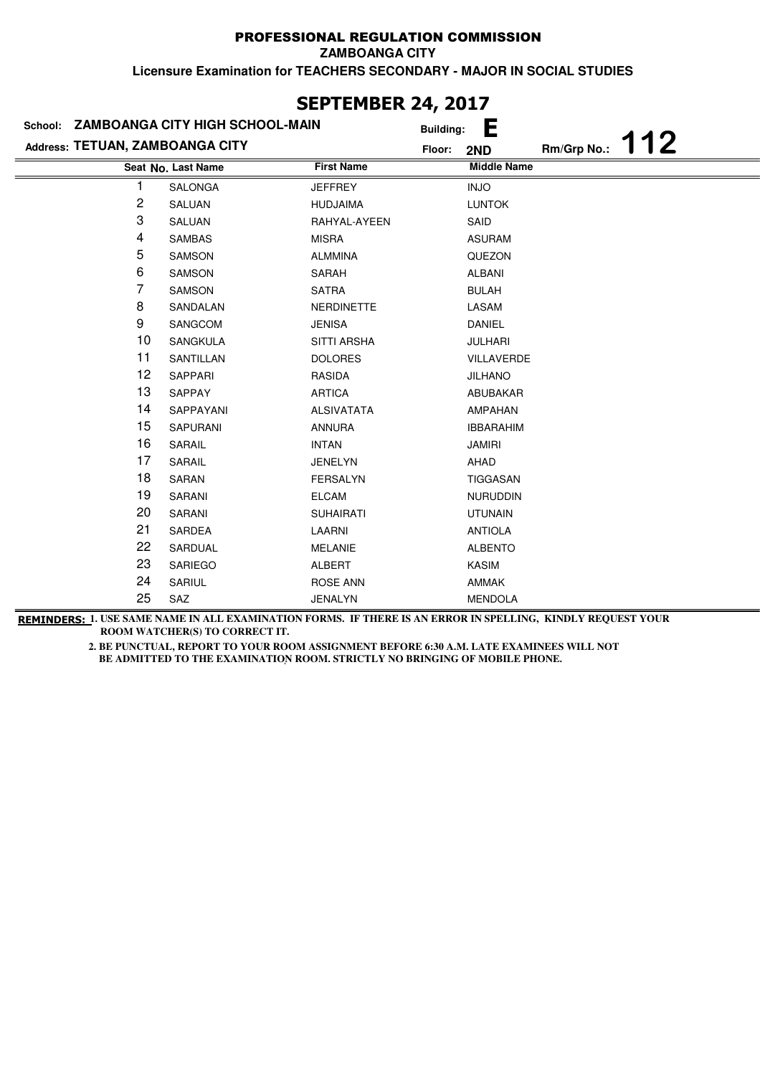## PROFESSIONAL REGULATION COMMISSION

**ZAMBOANGA CITY**

**Licensure Examination for TEACHERS SECONDARY - MAJOR IN SOCIAL STUDIES**

|                                 | School: ZAMBOANGA CITY HIGH SCHOOL-MAIN |                    | Е<br><b>Building:</b> |                    |
|---------------------------------|-----------------------------------------|--------------------|-----------------------|--------------------|
| Address: TETUAN, ZAMBOANGA CITY |                                         | Floor:             | 2ND                   | 112<br>Rm/Grp No.: |
|                                 | Seat No. Last Name                      | <b>First Name</b>  | <b>Middle Name</b>    |                    |
| 1                               | SALONGA                                 | <b>JEFFREY</b>     | <b>INJO</b>           |                    |
| 2                               | SALUAN                                  | <b>HUDJAIMA</b>    | <b>LUNTOK</b>         |                    |
| 3                               | SALUAN                                  | RAHYAL-AYEEN       | SAID                  |                    |
| 4                               | <b>SAMBAS</b>                           | <b>MISRA</b>       | <b>ASURAM</b>         |                    |
| 5                               | <b>SAMSON</b>                           | <b>ALMMINA</b>     | QUEZON                |                    |
| 6                               | <b>SAMSON</b>                           | <b>SARAH</b>       | <b>ALBANI</b>         |                    |
| 7                               | SAMSON                                  | <b>SATRA</b>       | <b>BULAH</b>          |                    |
| 8                               | SANDALAN                                | <b>NERDINETTE</b>  | LASAM                 |                    |
| 9                               | SANGCOM                                 | <b>JENISA</b>      | <b>DANIEL</b>         |                    |
| 10                              | SANGKULA                                | <b>SITTI ARSHA</b> | <b>JULHARI</b>        |                    |
| 11                              | SANTILLAN                               | <b>DOLORES</b>     | VILLAVERDE            |                    |
| 12                              | SAPPARI                                 | RASIDA             | <b>JILHANO</b>        |                    |
| 13                              | <b>SAPPAY</b>                           | <b>ARTICA</b>      | ABUBAKAR              |                    |
| 14                              | SAPPAYANI                               | <b>ALSIVATATA</b>  | <b>AMPAHAN</b>        |                    |
| 15                              | <b>SAPURANI</b>                         | <b>ANNURA</b>      | <b>IBBARAHIM</b>      |                    |
| 16                              | SARAIL                                  | <b>INTAN</b>       | <b>JAMIRI</b>         |                    |
| 17                              | SARAIL                                  | <b>JENELYN</b>     | AHAD                  |                    |
| 18                              | SARAN                                   | <b>FERSALYN</b>    | TIGGASAN              |                    |
| 19                              | SARANI                                  | <b>ELCAM</b>       | <b>NURUDDIN</b>       |                    |
| 20                              | SARANI                                  | <b>SUHAIRATI</b>   | <b>UTUNAIN</b>        |                    |
| 21                              | SARDEA                                  | LAARNI             | <b>ANTIOLA</b>        |                    |
| 22                              | SARDUAL                                 | <b>MELANIE</b>     | <b>ALBENTO</b>        |                    |
| 23                              | <b>SARIEGO</b>                          | <b>ALBERT</b>      | <b>KASIM</b>          |                    |
| 24                              | SARIUL                                  | <b>ROSE ANN</b>    | AMMAK                 |                    |
| 25                              | SAZ                                     | <b>JENALYN</b>     | <b>MENDOLA</b>        |                    |

## **SEPTEMBER 24, 2017**

**REMINDERS: 1. USE SAME NAME IN ALL EXAMINATION FORMS. IF THERE IS AN ERROR IN SPELLING, KINDLY REQUEST YOUR ROOM WATCHER(S) TO CORRECT IT.**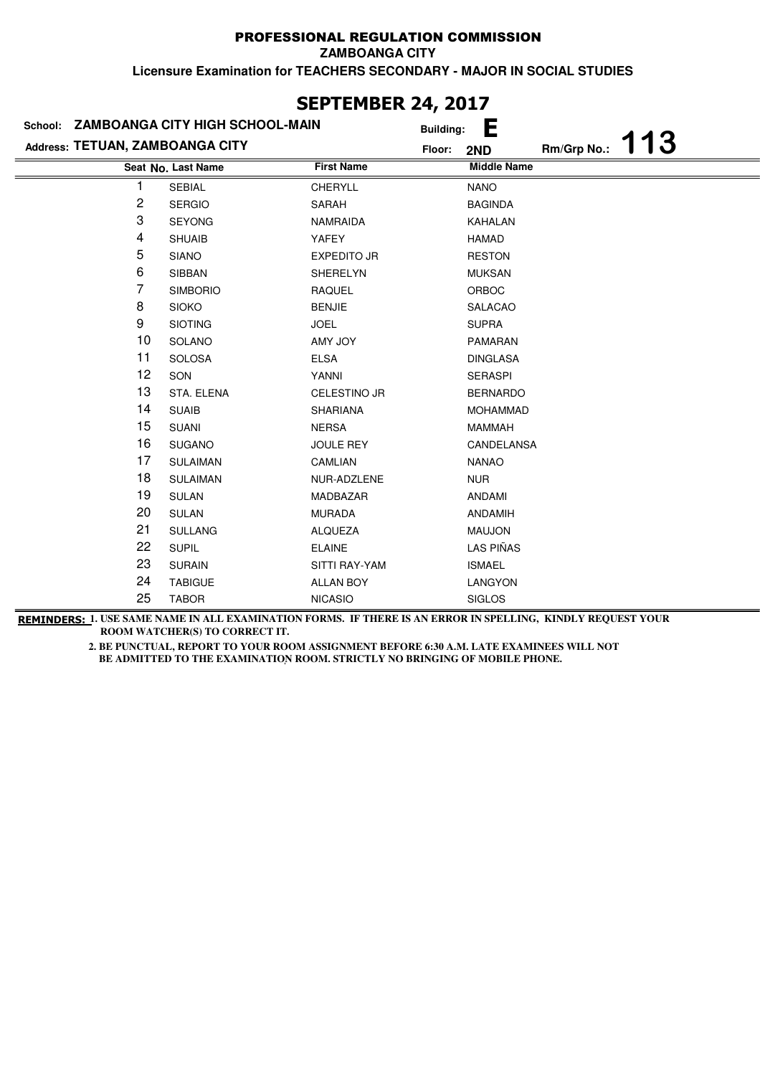## PROFESSIONAL REGULATION COMMISSION **ZAMBOANGA CITY**

**Licensure Examination for TEACHERS SECONDARY - MAJOR IN SOCIAL STUDIES**

| School: ZAMBOANGA CITY HIGH SCHOOL-MAIN |                    | <b>Building:</b>    | Е                  |             |     |
|-----------------------------------------|--------------------|---------------------|--------------------|-------------|-----|
| Address: TETUAN, ZAMBOANGA CITY         |                    | Floor:              | 2ND                | Rm/Grp No.: | 113 |
|                                         | Seat No. Last Name | <b>First Name</b>   | <b>Middle Name</b> |             |     |
|                                         | <b>SEBIAL</b>      | <b>CHERYLL</b>      | <b>NANO</b>        |             |     |
| 2                                       | <b>SERGIO</b>      | <b>SARAH</b>        | <b>BAGINDA</b>     |             |     |
| 3                                       | <b>SEYONG</b>      | <b>NAMRAIDA</b>     | <b>KAHALAN</b>     |             |     |
| 4                                       | <b>SHUAIB</b>      | YAFEY               | <b>HAMAD</b>       |             |     |
| 5                                       | <b>SIANO</b>       | <b>EXPEDITO JR</b>  | <b>RESTON</b>      |             |     |
| 6                                       | SIBBAN             | SHERELYN            | <b>MUKSAN</b>      |             |     |
| 7                                       | <b>SIMBORIO</b>    | <b>RAQUEL</b>       | ORBOC              |             |     |
| 8                                       | <b>SIOKO</b>       | <b>BENJIE</b>       | <b>SALACAO</b>     |             |     |
| 9                                       | <b>SIOTING</b>     | <b>JOEL</b>         | <b>SUPRA</b>       |             |     |
| 10                                      | SOLANO             | AMY JOY             | <b>PAMARAN</b>     |             |     |
| 11                                      | <b>SOLOSA</b>      | <b>ELSA</b>         | <b>DINGLASA</b>    |             |     |
| 12                                      | SON                | YANNI               | <b>SERASPI</b>     |             |     |
| 13                                      | STA. ELENA         | <b>CELESTINO JR</b> | <b>BERNARDO</b>    |             |     |
| 14                                      | <b>SUAIB</b>       | <b>SHARIANA</b>     | <b>MOHAMMAD</b>    |             |     |
| 15                                      | <b>SUANI</b>       | <b>NERSA</b>        | <b>MAMMAH</b>      |             |     |
| 16                                      | <b>SUGANO</b>      | <b>JOULE REY</b>    | CANDELANSA         |             |     |
| 17                                      | <b>SULAIMAN</b>    | CAMLIAN             | <b>NANAO</b>       |             |     |
| 18                                      | <b>SULAIMAN</b>    | NUR-ADZLENE         | <b>NUR</b>         |             |     |
| 19                                      | <b>SULAN</b>       | MADBAZAR            | ANDAMI             |             |     |
| 20                                      | <b>SULAN</b>       | <b>MURADA</b>       | <b>ANDAMIH</b>     |             |     |
| 21                                      | <b>SULLANG</b>     | <b>ALQUEZA</b>      | <b>MAUJON</b>      |             |     |
| 22                                      | <b>SUPIL</b>       | <b>ELAINE</b>       | LAS PIÑAS          |             |     |
| 23                                      | <b>SURAIN</b>      | SITTI RAY-YAM       | <b>ISMAEL</b>      |             |     |
| 24                                      | <b>TABIGUE</b>     | <b>ALLAN BOY</b>    | LANGYON            |             |     |
| 25                                      | <b>TABOR</b>       | <b>NICASIO</b>      | <b>SIGLOS</b>      |             |     |

**REMINDERS: 1. USE SAME NAME IN ALL EXAMINATION FORMS. IF THERE IS AN ERROR IN SPELLING, KINDLY REQUEST YOUR ROOM WATCHER(S) TO CORRECT IT.** 

> **2. BE PUNCTUAL, REPORT TO YOUR ROOM ASSIGNMENT BEFORE 6:30 A.M. LATE EXAMINEES WILL NOT**  BE ADMITTED TO THE EXAMINATION ROOM. STRICTLY NO BRINGING OF MOBILE PHONE.

# **SEPTEMBER 24, 2017**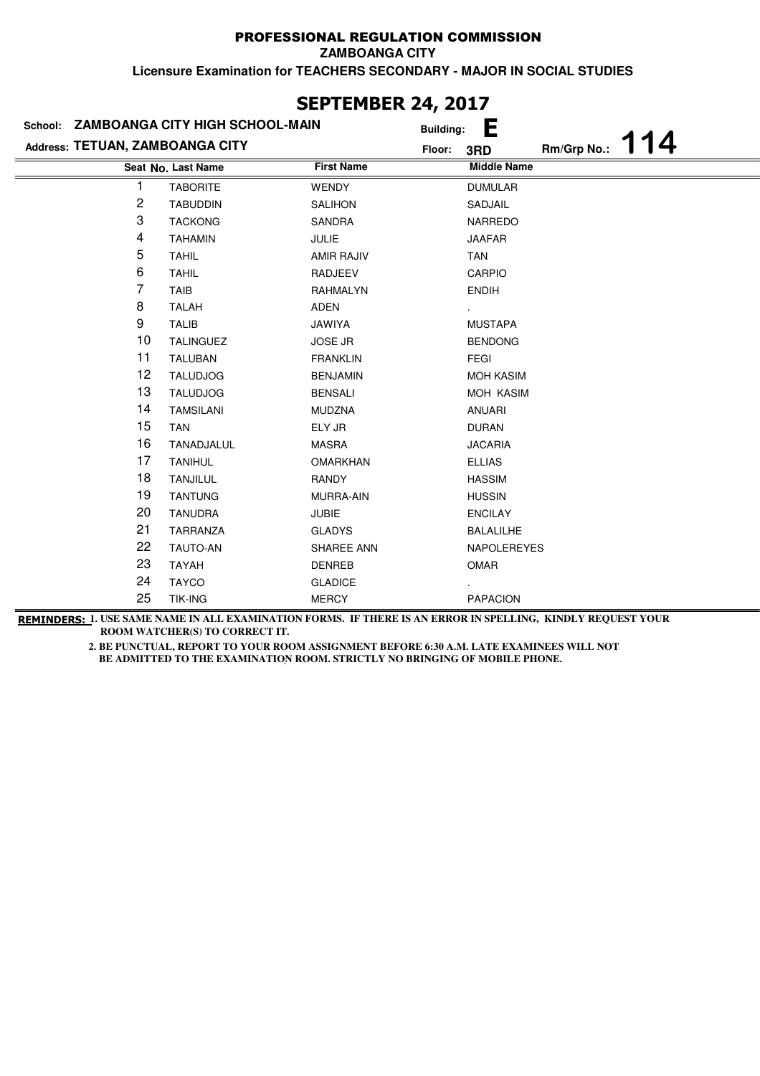#### PROFESSIONAL REGULATION COMMISSION **ZAMBOANGA CITY**

**Licensure Examination for TEACHERS SECONDARY - MAJOR IN SOCIAL STUDIES**

|                                 | School: ZAMBOANGA CITY HIGH SCHOOL-MAIN | <b>Building:</b>  | Е                  |             |     |
|---------------------------------|-----------------------------------------|-------------------|--------------------|-------------|-----|
| Address: TETUAN, ZAMBOANGA CITY |                                         | Floor:            | 3RD                | Rm/Grp No.: | 114 |
|                                 | Seat No. Last Name                      | <b>First Name</b> | <b>Middle Name</b> |             |     |
|                                 | <b>TABORITE</b>                         | <b>WENDY</b>      | <b>DUMULAR</b>     |             |     |
| $\overline{\mathbf{c}}$         | <b>TABUDDIN</b>                         | <b>SALIHON</b>    | SADJAIL            |             |     |
| 3                               | <b>TACKONG</b>                          | <b>SANDRA</b>     | <b>NARREDO</b>     |             |     |
| 4                               | <b>TAHAMIN</b>                          | <b>JULIE</b>      | <b>JAAFAR</b>      |             |     |
| 5                               | <b>TAHIL</b>                            | <b>AMIR RAJIV</b> | <b>TAN</b>         |             |     |
| 6                               | <b>TAHIL</b>                            | <b>RADJEEV</b>    | <b>CARPIO</b>      |             |     |
| 7                               | TAIB                                    | RAHMALYN          | <b>ENDIH</b>       |             |     |
| 8                               | <b>TALAH</b>                            | ADEN              |                    |             |     |
| 9                               | <b>TALIB</b>                            | JAWIYA            | <b>MUSTAPA</b>     |             |     |
| 10                              | <b>TALINGUEZ</b>                        | <b>JOSE JR</b>    | <b>BENDONG</b>     |             |     |
| 11                              | <b>TALUBAN</b>                          | <b>FRANKLIN</b>   | FEGI               |             |     |
| 12                              | <b>TALUDJOG</b>                         | <b>BENJAMIN</b>   | <b>MOH KASIM</b>   |             |     |
| 13                              | <b>TALUDJOG</b>                         | <b>BENSALI</b>    | MOH KASIM          |             |     |
| 14                              | <b>TAMSILANI</b>                        | <b>MUDZNA</b>     | ANUARI             |             |     |
| 15                              | <b>TAN</b>                              | ELY JR            | <b>DURAN</b>       |             |     |
| 16                              | TANADJALUL                              | <b>MASRA</b>      | <b>JACARIA</b>     |             |     |
| 17                              | <b>TANIHUL</b>                          | <b>OMARKHAN</b>   | <b>ELLIAS</b>      |             |     |
| 18                              | <b>TANJILUL</b>                         | RANDY             | <b>HASSIM</b>      |             |     |
| 19                              | <b>TANTUNG</b>                          | <b>MURRA-AIN</b>  | <b>HUSSIN</b>      |             |     |
| 20                              | <b>TANUDRA</b>                          | <b>JUBIE</b>      | <b>ENCILAY</b>     |             |     |
| 21                              | TARRANZA                                | <b>GLADYS</b>     | <b>BALALILHE</b>   |             |     |
| 22                              | TAUTO-AN                                | SHAREE ANN        | NAPOLEREYES        |             |     |
| 23                              | <b>TAYAH</b>                            | <b>DENREB</b>     | OMAR               |             |     |
| 24                              | <b>TAYCO</b>                            | <b>GLADICE</b>    |                    |             |     |
| 25                              | <b>TIK-ING</b>                          | <b>MERCY</b>      | <b>PAPACION</b>    |             |     |

**SEPTEMBER 24, 2017**

**REMINDERS: 1. USE SAME NAME IN ALL EXAMINATION FORMS. IF THERE IS AN ERROR IN SPELLING, KINDLY REQUEST YOUR ROOM WATCHER(S) TO CORRECT IT.**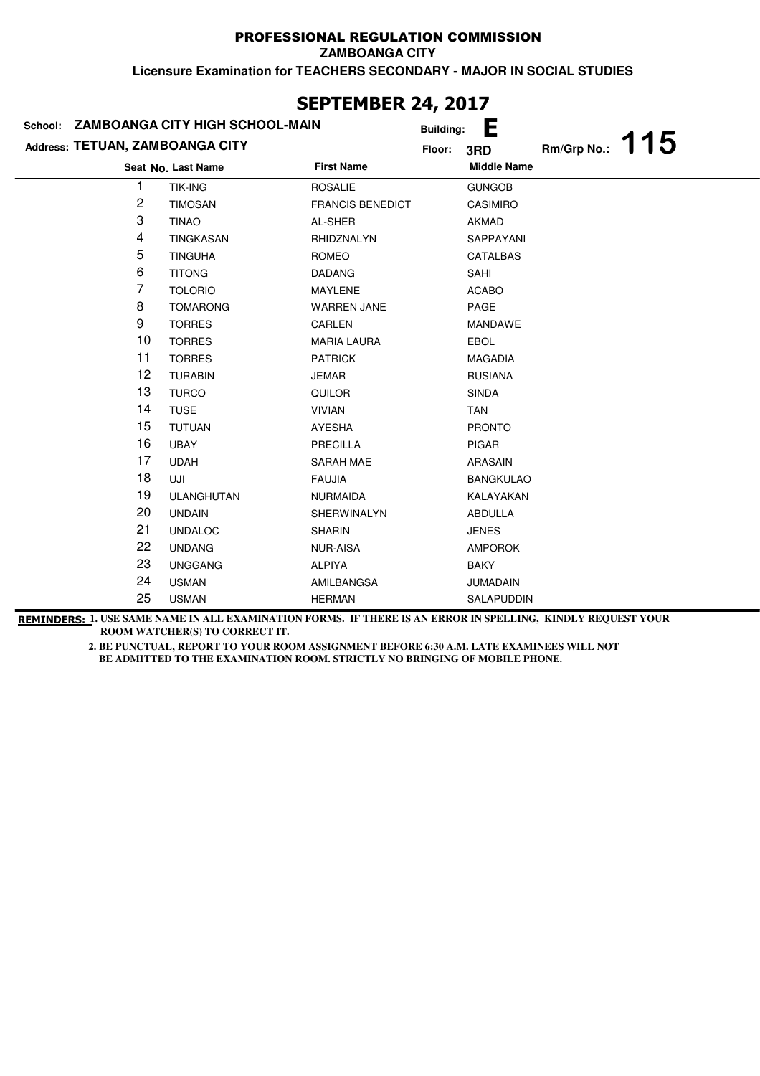## PROFESSIONAL REGULATION COMMISSION

**ZAMBOANGA CITY**

**Licensure Examination for TEACHERS SECONDARY - MAJOR IN SOCIAL STUDIES**

|                                 |                         |                                         | Е                  |                                            |     |
|---------------------------------|-------------------------|-----------------------------------------|--------------------|--------------------------------------------|-----|
| Address: TETUAN, ZAMBOANGA CITY |                         | Floor:                                  | 3RD                | Rm/Grp No.:                                | 115 |
| Seat No. Last Name              | <b>First Name</b>       |                                         | <b>Middle Name</b> |                                            |     |
| <b>TIK-ING</b>                  | <b>ROSALIE</b>          |                                         | <b>GUNGOB</b>      |                                            |     |
| <b>TIMOSAN</b>                  | <b>FRANCIS BENEDICT</b> |                                         | <b>CASIMIRO</b>    |                                            |     |
| <b>TINAO</b>                    | AL-SHER                 |                                         | <b>AKMAD</b>       |                                            |     |
| <b>TINGKASAN</b>                | RHIDZNALYN              |                                         | SAPPAYANI          |                                            |     |
| <b>TINGUHA</b>                  | <b>ROMEO</b>            |                                         | CATALBAS           |                                            |     |
| <b>TITONG</b>                   | <b>DADANG</b>           |                                         | SAHI               |                                            |     |
| <b>TOLORIO</b>                  | <b>MAYLENE</b>          |                                         | <b>ACABO</b>       |                                            |     |
| <b>TOMARONG</b>                 | <b>WARREN JANE</b>      |                                         | PAGE               |                                            |     |
| <b>TORRES</b>                   | CARLEN                  |                                         | MANDAWE            |                                            |     |
| <b>TORRES</b>                   | <b>MARIA LAURA</b>      |                                         | <b>EBOL</b>        |                                            |     |
| <b>TORRES</b>                   | <b>PATRICK</b>          |                                         | <b>MAGADIA</b>     |                                            |     |
| <b>TURABIN</b>                  | <b>JEMAR</b>            |                                         | <b>RUSIANA</b>     |                                            |     |
| <b>TURCO</b>                    | <b>QUILOR</b>           |                                         | <b>SINDA</b>       |                                            |     |
| <b>TUSE</b>                     | <b>VIVIAN</b>           |                                         | <b>TAN</b>         |                                            |     |
| TUTUAN                          | AYESHA                  |                                         | <b>PRONTO</b>      |                                            |     |
| <b>UBAY</b>                     | <b>PRECILLA</b>         |                                         | <b>PIGAR</b>       |                                            |     |
| <b>UDAH</b>                     | SARAH MAE               |                                         | ARASAIN            |                                            |     |
| UJI                             | <b>FAUJIA</b>           |                                         | <b>BANGKULAO</b>   |                                            |     |
| <b>ULANGHUTAN</b>               | <b>NURMAIDA</b>         |                                         | KALAYAKAN          |                                            |     |
| <b>UNDAIN</b>                   | SHERWINALYN             |                                         | <b>ABDULLA</b>     |                                            |     |
| <b>UNDALOC</b>                  | <b>SHARIN</b>           |                                         | <b>JENES</b>       |                                            |     |
| <b>UNDANG</b>                   | <b>NUR-AISA</b>         |                                         | <b>AMPOROK</b>     |                                            |     |
| <b>UNGGANG</b>                  | <b>ALPIYA</b>           |                                         | <b>BAKY</b>        |                                            |     |
| <b>USMAN</b>                    | AMILBANGSA              |                                         | <b>JUMADAIN</b>    |                                            |     |
| <b>USMAN</b>                    | <b>HERMAN</b>           |                                         | SALAPUDDIN         |                                            |     |
|                                 |                         | School: ZAMBOANGA CITY HIGH SCHOOL-MAIN |                    | JLF I LI'IDLR 47, 4V17<br><b>Building:</b> |     |

**SEPTEMBER 24, 2017**

**REMINDERS: 1. USE SAME NAME IN ALL EXAMINATION FORMS. IF THERE IS AN ERROR IN SPELLING, KINDLY REQUEST YOUR ROOM WATCHER(S) TO CORRECT IT.**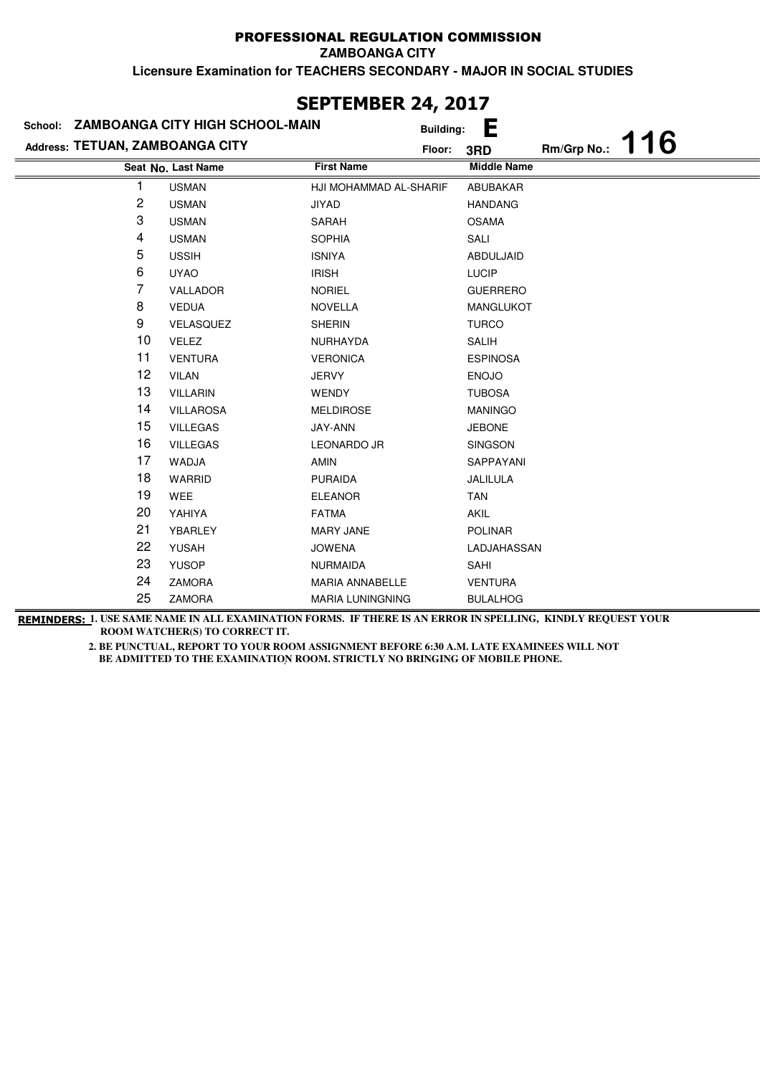## PROFESSIONAL REGULATION COMMISSION

**ZAMBOANGA CITY**

**Licensure Examination for TEACHERS SECONDARY - MAJOR IN SOCIAL STUDIES**

## **Last Name First Name Middle Name Seat No. Address: TETUAN, ZAMBOANGA CITY School: ZAMBOANGA CITY HIGH SCHOOL-MAIN Building: E Floor: 3RD Rm/Grp No.: 116** 1 USMAN HJI MOHAMMAD AL-SHARIF ABUBAKAR 2 USMAN JIYAD JIYAD HANDANG 3 USMAN SARAH OSAMA 4 USMAN SOPHIA SALI 5 USSIH ISNIYA ABDULJAID 6 UYAO IRISH IRISH LUCIP 7 VALLADOR NORIEL GUERRERO 8 VEDUA NOVELLA MANGLUKOT 9 VELASQUEZ SHERIN TURCO 10 VELEZ NURHAYDA SALIH 11 VENTURA VERONICA ESPINOSA 12 VILAN JERVY ENOJO 13 VILLARIN WENDY TUBOSA 14 VILLAROSA MELDIROSE MANINGO 15 VILLEGAS JAY-ANN JEBONE 16 VILLEGAS LEONARDO JR SINGSON 17 WADJA AMIN AMIN 18 WARRID PURAIDA JALILULA 19 WEE ELEANOR 20 YAHIYA FATMA FATMA 21 YBARLEY MARY JANE POLINAR 22 YUSAH JOWENA LADJAHASSAN 23 YUSOP NURMAIDA SAHI 24 ZAMORA MARIA ANNABELLE VENTURA 25 ZAMORA MARIA LUNINGNING BULALHOG

**REMINDERS: 1. USE SAME NAME IN ALL EXAMINATION FORMS. IF THERE IS AN ERROR IN SPELLING, KINDLY REQUEST YOUR ROOM WATCHER(S) TO CORRECT IT.** 

 **2. BE PUNCTUAL, REPORT TO YOUR ROOM ASSIGNMENT BEFORE 6:30 A.M. LATE EXAMINEES WILL NOT BE ADMITTED TO THE EXAMINATION ROOM. STRICTLY NO BRINGING OF MOBILE PHONE.** 

# **SEPTEMBER 24, 2017**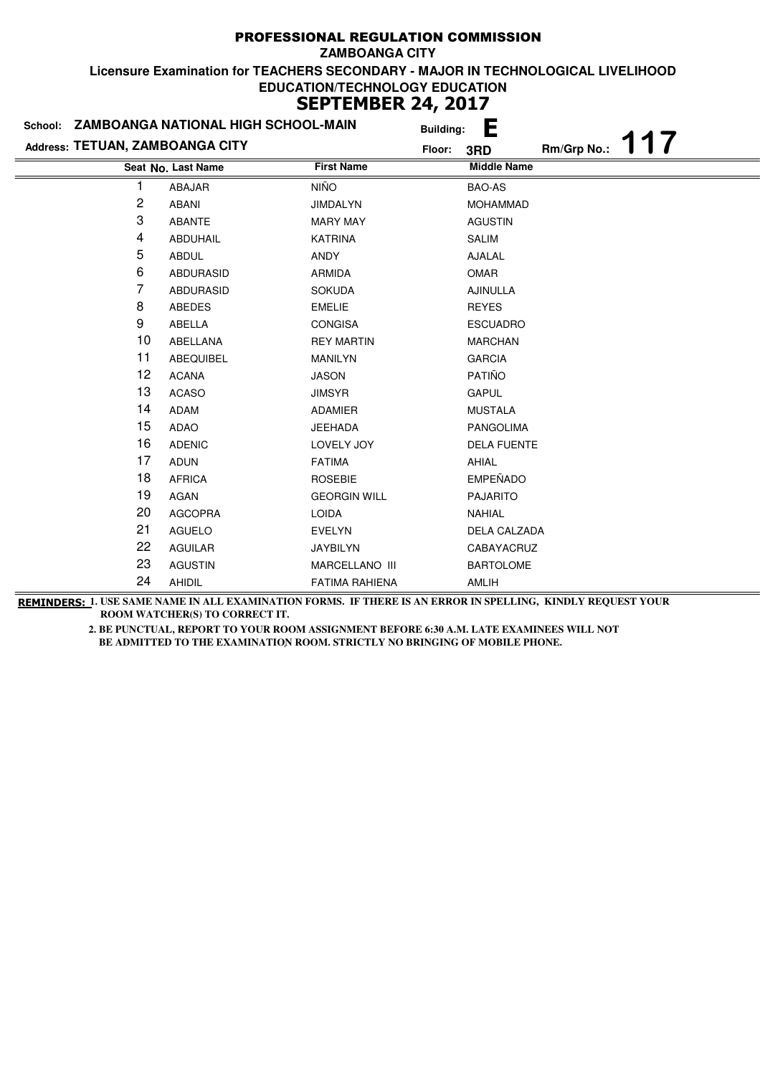| School: ZAMBOANGA NATIONAL HIGH SCHOOL-MAIN |                    | <b>Building:</b>      | E                  |
|---------------------------------------------|--------------------|-----------------------|--------------------|
| Address: TETUAN, ZAMBOANGA CITY             |                    | Floor:                | Rm/Grp No.:<br>3RD |
|                                             | Seat No. Last Name | <b>First Name</b>     | <b>Middle Name</b> |
|                                             | ABAJAR             | <b>NIÑO</b>           | <b>BAO-AS</b>      |
| $\overline{c}$                              | <b>ABANI</b>       | <b>JIMDALYN</b>       | <b>MOHAMMAD</b>    |
| 3                                           | <b>ABANTE</b>      | <b>MARY MAY</b>       | <b>AGUSTIN</b>     |
| 4                                           | <b>ABDUHAIL</b>    | <b>KATRINA</b>        | <b>SALIM</b>       |
| 5                                           | <b>ABDUL</b>       | ANDY                  | AJALAL             |
| 6                                           | <b>ABDURASID</b>   | <b>ARMIDA</b>         | OMAR               |
| 7                                           | <b>ABDURASID</b>   | <b>SOKUDA</b>         | <b>AJINULLA</b>    |
| 8                                           | <b>ABEDES</b>      | <b>EMELIE</b>         | <b>REYES</b>       |
| $\boldsymbol{9}$                            | <b>ABELLA</b>      | <b>CONGISA</b>        | <b>ESCUADRO</b>    |
| 10                                          | ABELLANA           | <b>REY MARTIN</b>     | <b>MARCHAN</b>     |
| 11                                          | <b>ABEQUIBEL</b>   | <b>MANILYN</b>        | <b>GARCIA</b>      |
| 12                                          | <b>ACANA</b>       | <b>JASON</b>          | PATIÑO             |
| 13                                          | <b>ACASO</b>       | <b>JIMSYR</b>         | <b>GAPUL</b>       |
| 14                                          | <b>ADAM</b>        | ADAMIER               | <b>MUSTALA</b>     |
| 15                                          | <b>ADAO</b>        | <b>JEEHADA</b>        | <b>PANGOLIMA</b>   |
| 16                                          | <b>ADENIC</b>      | LOVELY JOY            | <b>DELA FUENTE</b> |
| 17                                          | <b>ADUN</b>        | <b>FATIMA</b>         | AHIAL              |
| 18                                          | <b>AFRICA</b>      | <b>ROSEBIE</b>        | <b>EMPEÑADO</b>    |
| 19                                          | AGAN               | <b>GEORGIN WILL</b>   | <b>PAJARITO</b>    |
| 20                                          | <b>AGCOPRA</b>     | <b>LOIDA</b>          | <b>NAHIAL</b>      |
| 21                                          | <b>AGUELO</b>      | <b>EVELYN</b>         | DELA CALZADA       |
| 22                                          | <b>AGUILAR</b>     | <b>JAYBILYN</b>       | CABAYACRUZ         |
| 23                                          | <b>AGUSTIN</b>     | MARCELLANO III        | <b>BARTOLOME</b>   |
| 24                                          | <b>AHIDIL</b>      | <b>FATIMA RAHIENA</b> | AMLIH              |

**REMINDERS: 1. USE SAME NAME IN ALL EXAMINATION FORMS. IF THERE IS AN ERROR IN SPELLING, KINDLY REQUEST YOUR ROOM WATCHER(S) TO CORRECT IT.**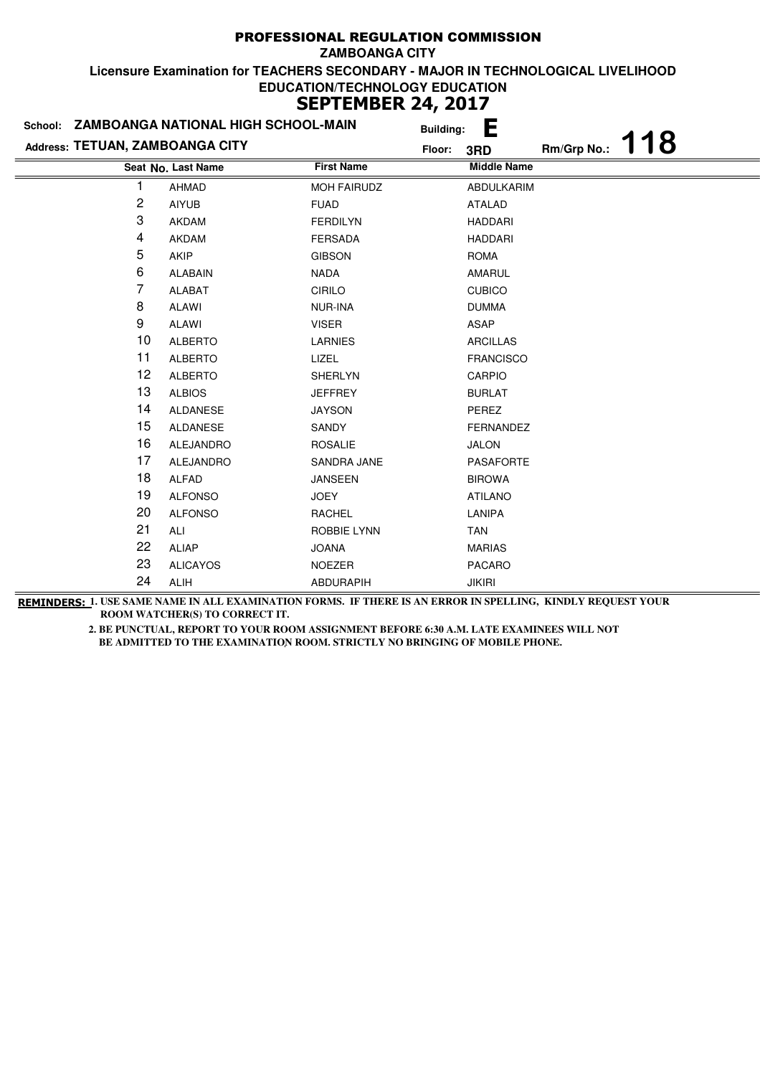|                                 | School: ZAMBOANGA NATIONAL HIGH SCHOOL-MAIN | <b>Building:</b>   | E                  |             |     |
|---------------------------------|---------------------------------------------|--------------------|--------------------|-------------|-----|
| Address: TETUAN, ZAMBOANGA CITY |                                             | Floor:             | 3RD                | Rm/Grp No.: | 118 |
|                                 | Seat No. Last Name                          | <b>First Name</b>  | <b>Middle Name</b> |             |     |
|                                 | <b>AHMAD</b>                                | <b>MOH FAIRUDZ</b> | <b>ABDULKARIM</b>  |             |     |
| 2                               | <b>AIYUB</b>                                | <b>FUAD</b>        | <b>ATALAD</b>      |             |     |
| 3                               | <b>AKDAM</b>                                | <b>FERDILYN</b>    | <b>HADDARI</b>     |             |     |
| 4                               | <b>AKDAM</b>                                | <b>FERSADA</b>     | <b>HADDARI</b>     |             |     |
| 5                               | AKIP                                        | <b>GIBSON</b>      | <b>ROMA</b>        |             |     |
| 6                               | <b>ALABAIN</b>                              | <b>NADA</b>        | AMARUL             |             |     |
| 7                               | <b>ALABAT</b>                               | <b>CIRILO</b>      | <b>CUBICO</b>      |             |     |
| 8                               | <b>ALAWI</b>                                | NUR-INA            | <b>DUMMA</b>       |             |     |
| 9                               | ALAWI                                       | <b>VISER</b>       | <b>ASAP</b>        |             |     |
| 10                              | <b>ALBERTO</b>                              | <b>LARNIES</b>     | <b>ARCILLAS</b>    |             |     |
| 11                              | <b>ALBERTO</b>                              | LIZEL              | <b>FRANCISCO</b>   |             |     |
| 12                              | <b>ALBERTO</b>                              | <b>SHERLYN</b>     | CARPIO             |             |     |
| 13                              | <b>ALBIOS</b>                               | <b>JEFFREY</b>     | <b>BURLAT</b>      |             |     |
| 14                              | ALDANESE                                    | <b>JAYSON</b>      | PEREZ              |             |     |
| 15                              | ALDANESE                                    | SANDY              | <b>FERNANDEZ</b>   |             |     |
| 16                              | <b>ALEJANDRO</b>                            | <b>ROSALIE</b>     | <b>JALON</b>       |             |     |
| 17                              | <b>ALEJANDRO</b>                            | SANDRA JANE        | <b>PASAFORTE</b>   |             |     |
| 18                              | ALFAD                                       | <b>JANSEEN</b>     | <b>BIROWA</b>      |             |     |
| 19                              | <b>ALFONSO</b>                              | JOEY               | <b>ATILANO</b>     |             |     |
| 20                              | <b>ALFONSO</b>                              | RACHEL             | LANIPA             |             |     |
| 21                              | ALI                                         | <b>ROBBIE LYNN</b> | <b>TAN</b>         |             |     |
| 22                              | <b>ALIAP</b>                                | <b>JOANA</b>       | <b>MARIAS</b>      |             |     |
| 23                              | <b>ALICAYOS</b>                             | <b>NOEZER</b>      | <b>PACARO</b>      |             |     |
| 24                              | ALIH                                        | <b>ABDURAPIH</b>   | <b>JIKIRI</b>      |             |     |

**REMINDERS: 1. USE SAME NAME IN ALL EXAMINATION FORMS. IF THERE IS AN ERROR IN SPELLING, KINDLY REQUEST YOUR ROOM WATCHER(S) TO CORRECT IT.**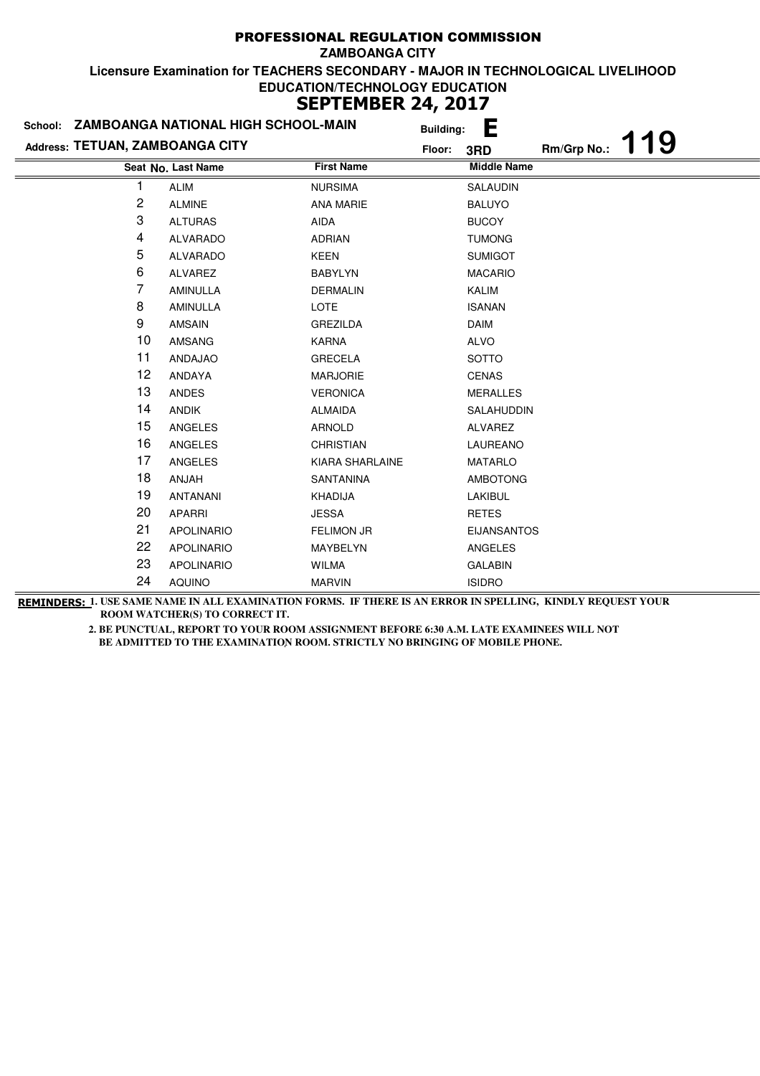|                                 | School: ZAMBOANGA NATIONAL HIGH SCHOOL-MAIN |                   | <b>Building:</b> | È                  |             |     |
|---------------------------------|---------------------------------------------|-------------------|------------------|--------------------|-------------|-----|
| Address: TETUAN, ZAMBOANGA CITY |                                             | Floor:            |                  | 3RD                | Rm/Grp No.: | 119 |
|                                 | Seat No. Last Name                          | <b>First Name</b> |                  | <b>Middle Name</b> |             |     |
|                                 | <b>ALIM</b>                                 | <b>NURSIMA</b>    |                  | <b>SALAUDIN</b>    |             |     |
| 2                               | <b>ALMINE</b>                               | <b>ANA MARIE</b>  |                  | <b>BALUYO</b>      |             |     |
| 3                               | <b>ALTURAS</b>                              | AIDA              |                  | <b>BUCOY</b>       |             |     |
| 4                               | <b>ALVARADO</b>                             | <b>ADRIAN</b>     |                  | <b>TUMONG</b>      |             |     |
| 5                               | <b>ALVARADO</b>                             | <b>KEEN</b>       |                  | <b>SUMIGOT</b>     |             |     |
| 6                               | ALVAREZ                                     | <b>BABYLYN</b>    |                  | <b>MACARIO</b>     |             |     |
| 7                               | <b>AMINULLA</b>                             | <b>DERMALIN</b>   |                  | <b>KALIM</b>       |             |     |
| 8                               | <b>AMINULLA</b>                             | <b>LOTE</b>       |                  | <b>ISANAN</b>      |             |     |
| 9                               | <b>AMSAIN</b>                               | <b>GREZILDA</b>   |                  | <b>DAIM</b>        |             |     |
| 10                              | <b>AMSANG</b>                               | <b>KARNA</b>      |                  | <b>ALVO</b>        |             |     |
| 11                              | ANDAJAO                                     | <b>GRECELA</b>    |                  | <b>SOTTO</b>       |             |     |
| 12                              | <b>ANDAYA</b>                               | <b>MARJORIE</b>   |                  | <b>CENAS</b>       |             |     |
| 13                              | ANDES                                       | <b>VERONICA</b>   |                  | <b>MERALLES</b>    |             |     |
| 14                              | <b>ANDIK</b>                                | <b>ALMAIDA</b>    |                  | SALAHUDDIN         |             |     |
| 15                              | ANGELES                                     | <b>ARNOLD</b>     |                  | <b>ALVAREZ</b>     |             |     |
| 16                              | <b>ANGELES</b>                              | <b>CHRISTIAN</b>  |                  | LAUREANO           |             |     |
| 17                              | <b>ANGELES</b>                              | KIARA SHARLAINE   |                  | <b>MATARLO</b>     |             |     |
| 18                              | ANJAH                                       | SANTANINA         |                  | <b>AMBOTONG</b>    |             |     |
| 19                              | <b>ANTANANI</b>                             | <b>KHADIJA</b>    |                  | LAKIBUL            |             |     |
| 20                              | <b>APARRI</b>                               | <b>JESSA</b>      |                  | <b>RETES</b>       |             |     |
| 21                              | <b>APOLINARIO</b>                           | <b>FELIMON JR</b> |                  | <b>EIJANSANTOS</b> |             |     |
| 22                              | <b>APOLINARIO</b>                           | MAYBELYN          |                  | ANGELES            |             |     |
| 23                              | <b>APOLINARIO</b>                           | <b>WILMA</b>      |                  | <b>GALABIN</b>     |             |     |
| 24                              | <b>AQUINO</b>                               | <b>MARVIN</b>     |                  | <b>ISIDRO</b>      |             |     |

**REMINDERS: 1. USE SAME NAME IN ALL EXAMINATION FORMS. IF THERE IS AN ERROR IN SPELLING, KINDLY REQUEST YOUR ROOM WATCHER(S) TO CORRECT IT.**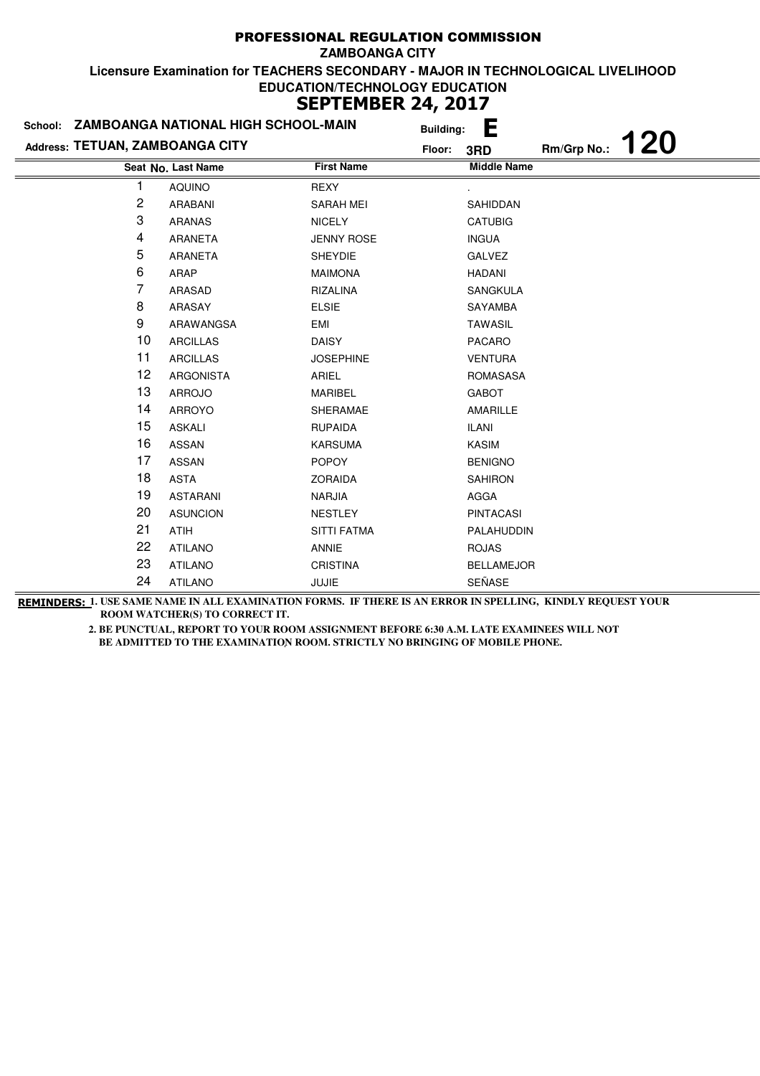| School:                         | ZAMBOANGA NATIONAL HIGH SCHOOL-MAIN | <b>Building:</b>   | Е                  |                   |  |
|---------------------------------|-------------------------------------|--------------------|--------------------|-------------------|--|
| Address: TETUAN, ZAMBOANGA CITY |                                     | Floor:             | 3RD                | Rm/Grp No.: $120$ |  |
|                                 | Seat No. Last Name                  | <b>First Name</b>  | <b>Middle Name</b> |                   |  |
| 1                               | <b>AQUINO</b>                       | REXY               |                    |                   |  |
| 2                               | ARABANI                             | <b>SARAH MEI</b>   | SAHIDDAN           |                   |  |
| 3                               | <b>ARANAS</b>                       | <b>NICELY</b>      | <b>CATUBIG</b>     |                   |  |
| 4                               | ARANETA                             | <b>JENNY ROSE</b>  | <b>INGUA</b>       |                   |  |
| 5                               | <b>ARANETA</b>                      | <b>SHEYDIE</b>     | <b>GALVEZ</b>      |                   |  |
| 6                               | ARAP                                | <b>MAIMONA</b>     | <b>HADANI</b>      |                   |  |
| 7                               | ARASAD                              | RIZALINA           | <b>SANGKULA</b>    |                   |  |
| 8                               | ARASAY                              | <b>ELSIE</b>       | SAYAMBA            |                   |  |
| 9                               | ARAWANGSA                           | <b>EMI</b>         | <b>TAWASIL</b>     |                   |  |
| 10                              | <b>ARCILLAS</b>                     | <b>DAISY</b>       | PACARO             |                   |  |
| 11                              | <b>ARCILLAS</b>                     | <b>JOSEPHINE</b>   | <b>VENTURA</b>     |                   |  |
| 12                              | <b>ARGONISTA</b>                    | ARIEL              | <b>ROMASASA</b>    |                   |  |
| 13                              | <b>ARROJO</b>                       | <b>MARIBEL</b>     | <b>GABOT</b>       |                   |  |
| 14                              | ARROYO                              | SHERAMAE           | AMARILLE           |                   |  |
| 15                              | <b>ASKALI</b>                       | <b>RUPAIDA</b>     | <b>ILANI</b>       |                   |  |
| 16                              | <b>ASSAN</b>                        | <b>KARSUMA</b>     | KASIM              |                   |  |
| 17                              | <b>ASSAN</b>                        | <b>POPOY</b>       | <b>BENIGNO</b>     |                   |  |
| 18                              | <b>ASTA</b>                         | <b>ZORAIDA</b>     | <b>SAHIRON</b>     |                   |  |
| 19                              | <b>ASTARANI</b>                     | NARJIA             | AGGA               |                   |  |
| 20                              | <b>ASUNCION</b>                     | <b>NESTLEY</b>     | <b>PINTACASI</b>   |                   |  |
| 21                              | ATIH                                | <b>SITTI FATMA</b> | PALAHUDDIN         |                   |  |
| 22                              | <b>ATILANO</b>                      | ANNIE              | <b>ROJAS</b>       |                   |  |
| 23                              | <b>ATILANO</b>                      | <b>CRISTINA</b>    | <b>BELLAMEJOR</b>  |                   |  |
| 24                              | <b>ATILANO</b>                      | <b>JUJIE</b>       | SEÑASE             |                   |  |

**REMINDERS: 1. USE SAME NAME IN ALL EXAMINATION FORMS. IF THERE IS AN ERROR IN SPELLING, KINDLY REQUEST YOUR ROOM WATCHER(S) TO CORRECT IT.**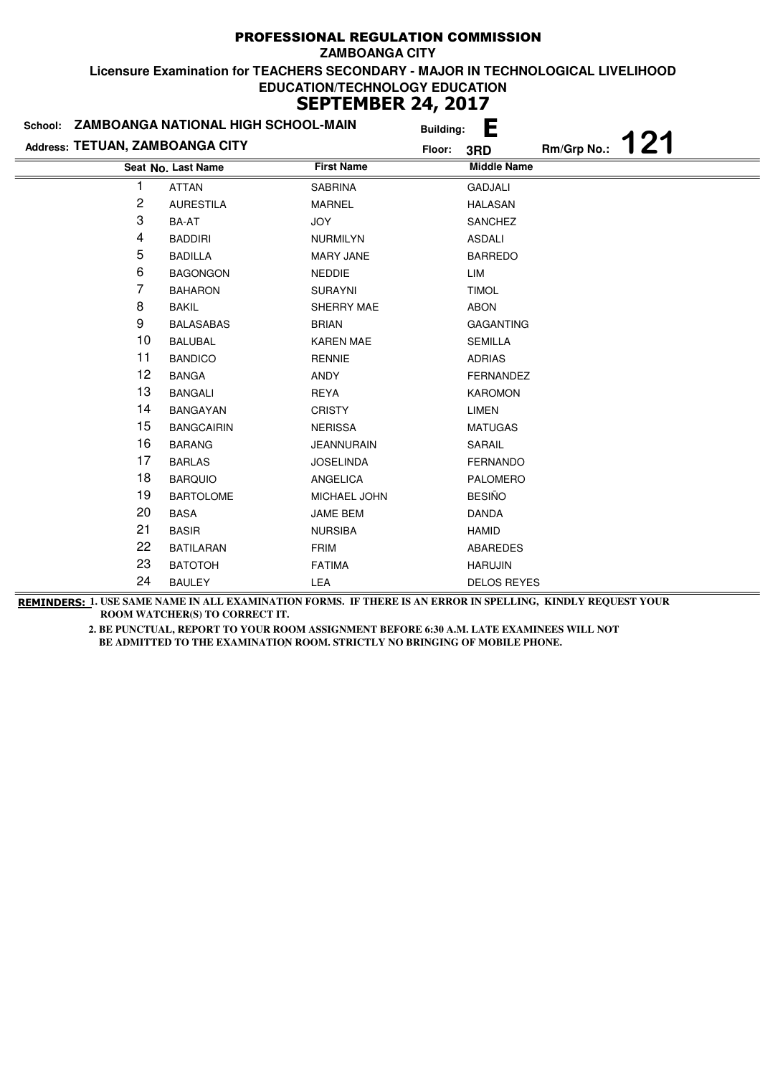|                                 | School: ZAMBOANGA NATIONAL HIGH SCHOOL-MAIN |                   | <b>Building:</b> | È                  |             |     |
|---------------------------------|---------------------------------------------|-------------------|------------------|--------------------|-------------|-----|
| Address: TETUAN, ZAMBOANGA CITY |                                             | Floor:            |                  | 3RD                | Rm/Grp No.: | 121 |
|                                 | Seat No. Last Name                          | <b>First Name</b> |                  | <b>Middle Name</b> |             |     |
|                                 | <b>ATTAN</b>                                | <b>SABRINA</b>    |                  | <b>GADJALI</b>     |             |     |
| 2                               | <b>AURESTILA</b>                            | <b>MARNEL</b>     |                  | <b>HALASAN</b>     |             |     |
| 3                               | BA-AT                                       | <b>JOY</b>        |                  | <b>SANCHEZ</b>     |             |     |
| 4                               | <b>BADDIRI</b>                              | <b>NURMILYN</b>   |                  | <b>ASDALI</b>      |             |     |
| 5                               | <b>BADILLA</b>                              | <b>MARY JANE</b>  |                  | <b>BARREDO</b>     |             |     |
| 6                               | <b>BAGONGON</b>                             | <b>NEDDIE</b>     |                  | LIM                |             |     |
| 7                               | <b>BAHARON</b>                              | <b>SURAYNI</b>    |                  | <b>TIMOL</b>       |             |     |
| 8                               | <b>BAKIL</b>                                | SHERRY MAE        |                  | <b>ABON</b>        |             |     |
| 9                               | <b>BALASABAS</b>                            | <b>BRIAN</b>      |                  | <b>GAGANTING</b>   |             |     |
| 10                              | <b>BALUBAL</b>                              | <b>KAREN MAE</b>  |                  | <b>SEMILLA</b>     |             |     |
| 11                              | <b>BANDICO</b>                              | <b>RENNIE</b>     |                  | <b>ADRIAS</b>      |             |     |
| 12                              | <b>BANGA</b>                                | <b>ANDY</b>       |                  | <b>FERNANDEZ</b>   |             |     |
| 13                              | <b>BANGALI</b>                              | <b>REYA</b>       |                  | <b>KAROMON</b>     |             |     |
| 14                              | <b>BANGAYAN</b>                             | <b>CRISTY</b>     |                  | LIMEN              |             |     |
| 15                              | <b>BANGCAIRIN</b>                           | <b>NERISSA</b>    |                  | <b>MATUGAS</b>     |             |     |
| 16                              | <b>BARANG</b>                               | <b>JEANNURAIN</b> |                  | SARAIL             |             |     |
| 17                              | <b>BARLAS</b>                               | <b>JOSELINDA</b>  |                  | <b>FERNANDO</b>    |             |     |
| 18                              | <b>BARQUIO</b>                              | ANGELICA          |                  | <b>PALOMERO</b>    |             |     |
| 19                              | <b>BARTOLOME</b>                            | MICHAEL JOHN      |                  | <b>BESIÑO</b>      |             |     |
| 20                              | <b>BASA</b>                                 | <b>JAME BEM</b>   |                  | <b>DANDA</b>       |             |     |
| 21                              | <b>BASIR</b>                                | <b>NURSIBA</b>    |                  | <b>HAMID</b>       |             |     |
| 22                              | <b>BATILARAN</b>                            | <b>FRIM</b>       |                  | <b>ABAREDES</b>    |             |     |
| 23                              | <b>BATOTOH</b>                              | <b>FATIMA</b>     |                  | <b>HARUJIN</b>     |             |     |
| 24                              | <b>BAULEY</b>                               | LEA               |                  | <b>DELOS REYES</b> |             |     |

**REMINDERS: 1. USE SAME NAME IN ALL EXAMINATION FORMS. IF THERE IS AN ERROR IN SPELLING, KINDLY REQUEST YOUR ROOM WATCHER(S) TO CORRECT IT.**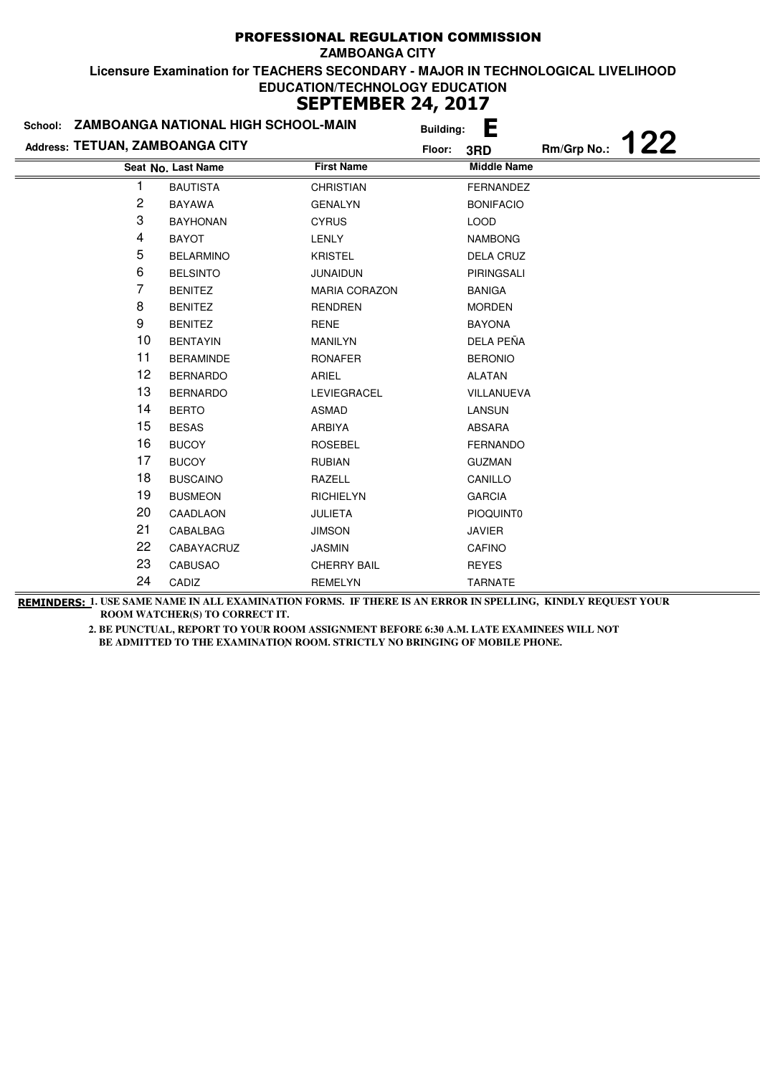|                                 | School: ZAMBOANGA NATIONAL HIGH SCHOOL-MAIN |                      | <b>Building:</b> | E                  |             |     |
|---------------------------------|---------------------------------------------|----------------------|------------------|--------------------|-------------|-----|
| Address: TETUAN, ZAMBOANGA CITY |                                             |                      | Floor:           | 3RD                | Rm/Grp No.: | 122 |
|                                 | Seat No. Last Name                          | <b>First Name</b>    |                  | <b>Middle Name</b> |             |     |
|                                 | <b>BAUTISTA</b>                             | <b>CHRISTIAN</b>     |                  | <b>FERNANDEZ</b>   |             |     |
| 2                               | <b>BAYAWA</b>                               | <b>GENALYN</b>       |                  | <b>BONIFACIO</b>   |             |     |
| 3                               | <b>BAYHONAN</b>                             | <b>CYRUS</b>         |                  | <b>LOOD</b>        |             |     |
| 4                               | <b>BAYOT</b>                                | <b>LENLY</b>         |                  | <b>NAMBONG</b>     |             |     |
| 5                               | <b>BELARMINO</b>                            | <b>KRISTEL</b>       |                  | <b>DELA CRUZ</b>   |             |     |
| 6                               | <b>BELSINTO</b>                             | <b>JUNAIDUN</b>      |                  | PIRINGSALI         |             |     |
| 7                               | <b>BENITEZ</b>                              | <b>MARIA CORAZON</b> |                  | <b>BANIGA</b>      |             |     |
| 8                               | <b>BENITEZ</b>                              | <b>RENDREN</b>       |                  | <b>MORDEN</b>      |             |     |
| 9                               | <b>BENITEZ</b>                              | <b>RENE</b>          |                  | <b>BAYONA</b>      |             |     |
| 10                              | <b>BENTAYIN</b>                             | <b>MANILYN</b>       |                  | DELA PEÑA          |             |     |
| 11                              | <b>BERAMINDE</b>                            | <b>RONAFER</b>       |                  | <b>BERONIO</b>     |             |     |
| 12                              | <b>BERNARDO</b>                             | ARIEL                |                  | <b>ALATAN</b>      |             |     |
| 13                              | <b>BERNARDO</b>                             | LEVIEGRACEL          |                  | VILLANUEVA         |             |     |
| 14                              | <b>BERTO</b>                                | <b>ASMAD</b>         |                  | <b>LANSUN</b>      |             |     |
| 15                              | <b>BESAS</b>                                | ARBIYA               |                  | ABSARA             |             |     |
| 16                              | <b>BUCOY</b>                                | <b>ROSEBEL</b>       |                  | FERNANDO           |             |     |
| 17                              | <b>BUCOY</b>                                | <b>RUBIAN</b>        |                  | <b>GUZMAN</b>      |             |     |
| 18                              | <b>BUSCAINO</b>                             | RAZELL               |                  | CANILLO            |             |     |
| 19                              | <b>BUSMEON</b>                              | <b>RICHIELYN</b>     |                  | <b>GARCIA</b>      |             |     |
| 20                              | CAADLAON                                    | <b>JULIETA</b>       |                  | PIOQUINT0          |             |     |
| 21                              | CABALBAG                                    | <b>JIMSON</b>        |                  | <b>JAVIER</b>      |             |     |
| 22                              | CABAYACRUZ                                  | <b>JASMIN</b>        |                  | <b>CAFINO</b>      |             |     |
| 23                              | <b>CABUSAO</b>                              | <b>CHERRY BAIL</b>   |                  | <b>REYES</b>       |             |     |
| 24                              | CADIZ                                       | <b>REMELYN</b>       |                  | <b>TARNATE</b>     |             |     |

**REMINDERS: 1. USE SAME NAME IN ALL EXAMINATION FORMS. IF THERE IS AN ERROR IN SPELLING, KINDLY REQUEST YOUR ROOM WATCHER(S) TO CORRECT IT.**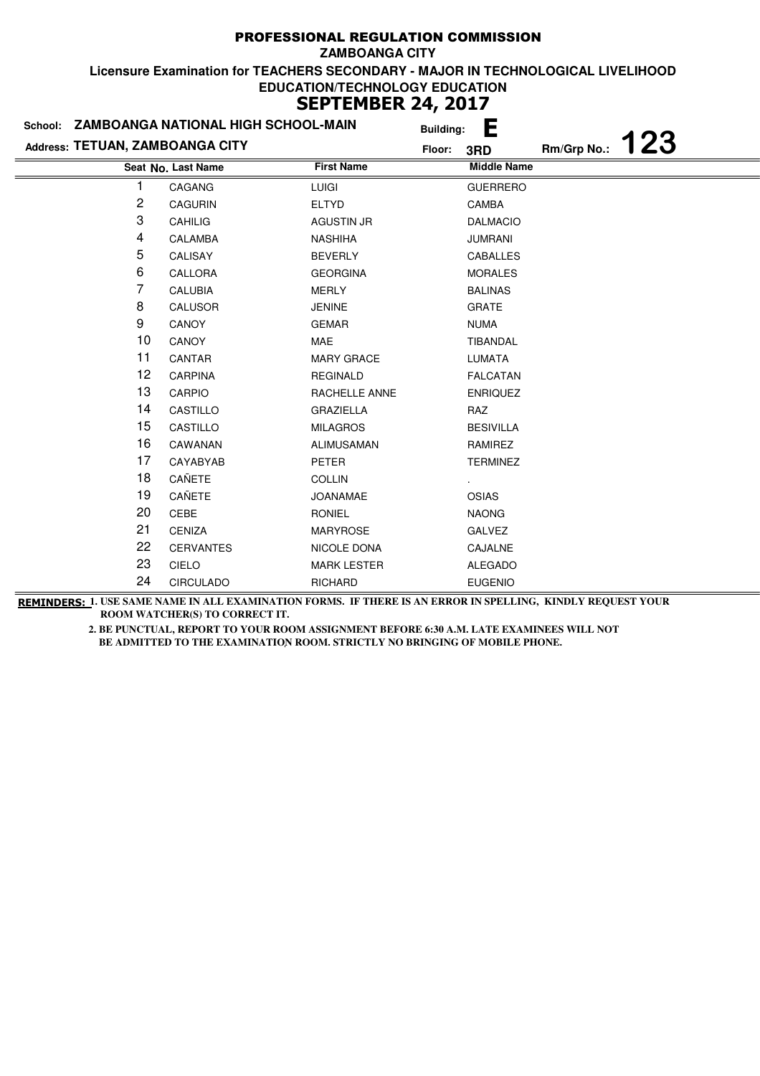|                                 | School: ZAMBOANGA NATIONAL HIGH SCHOOL-MAIN |                    | <b>Building:</b> | È                  |             |     |
|---------------------------------|---------------------------------------------|--------------------|------------------|--------------------|-------------|-----|
| Address: TETUAN, ZAMBOANGA CITY |                                             |                    | Floor:           | 3RD                | Rm/Grp No.: | 123 |
|                                 | Seat No. Last Name                          | <b>First Name</b>  |                  | <b>Middle Name</b> |             |     |
|                                 | CAGANG                                      | LUIGI              |                  | <b>GUERRERO</b>    |             |     |
| 2                               | CAGURIN                                     | <b>ELTYD</b>       |                  | CAMBA              |             |     |
| 3                               | CAHILIG                                     | <b>AGUSTIN JR</b>  |                  | <b>DALMACIO</b>    |             |     |
| 4                               | CALAMBA                                     | <b>NASHIHA</b>     |                  | <b>JUMRANI</b>     |             |     |
| 5                               | CALISAY                                     | <b>BEVERLY</b>     |                  | CABALLES           |             |     |
| 6                               | CALLORA                                     | <b>GEORGINA</b>    |                  | <b>MORALES</b>     |             |     |
| 7                               | <b>CALUBIA</b>                              | <b>MERLY</b>       |                  | <b>BALINAS</b>     |             |     |
| 8                               | CALUSOR                                     | <b>JENINE</b>      |                  | <b>GRATE</b>       |             |     |
| 9                               | CANOY                                       | <b>GEMAR</b>       |                  | <b>NUMA</b>        |             |     |
| 10                              | CANOY                                       | MAE                |                  | <b>TIBANDAL</b>    |             |     |
| 11                              | CANTAR                                      | <b>MARY GRACE</b>  |                  | <b>LUMATA</b>      |             |     |
| 12                              | <b>CARPINA</b>                              | <b>REGINALD</b>    |                  | <b>FALCATAN</b>    |             |     |
| 13                              | CARPIO                                      | RACHELLE ANNE      |                  | <b>ENRIQUEZ</b>    |             |     |
| 14                              | CASTILLO                                    | <b>GRAZIELLA</b>   |                  | RAZ                |             |     |
| 15                              | CASTILLO                                    | <b>MILAGROS</b>    |                  | <b>BESIVILLA</b>   |             |     |
| 16                              | CAWANAN                                     | ALIMUSAMAN         |                  | RAMIREZ            |             |     |
| 17                              | CAYABYAB                                    | PETER              |                  | <b>TERMINEZ</b>    |             |     |
| 18                              | CAÑETE                                      | <b>COLLIN</b>      |                  |                    |             |     |
| 19                              | CAÑETE                                      | <b>JOANAMAE</b>    |                  | OSIAS              |             |     |
| 20                              | CEBE                                        | <b>RONIEL</b>      |                  | <b>NAONG</b>       |             |     |
| 21                              | <b>CENIZA</b>                               | <b>MARYROSE</b>    |                  | <b>GALVEZ</b>      |             |     |
| 22                              | <b>CERVANTES</b>                            | NICOLE DONA        |                  | CAJALNE            |             |     |
| 23                              | <b>CIELO</b>                                | <b>MARK LESTER</b> |                  | <b>ALEGADO</b>     |             |     |
| 24                              | <b>CIRCULADO</b>                            | <b>RICHARD</b>     |                  | <b>EUGENIO</b>     |             |     |

**REMINDERS: 1. USE SAME NAME IN ALL EXAMINATION FORMS. IF THERE IS AN ERROR IN SPELLING, KINDLY REQUEST YOUR ROOM WATCHER(S) TO CORRECT IT.**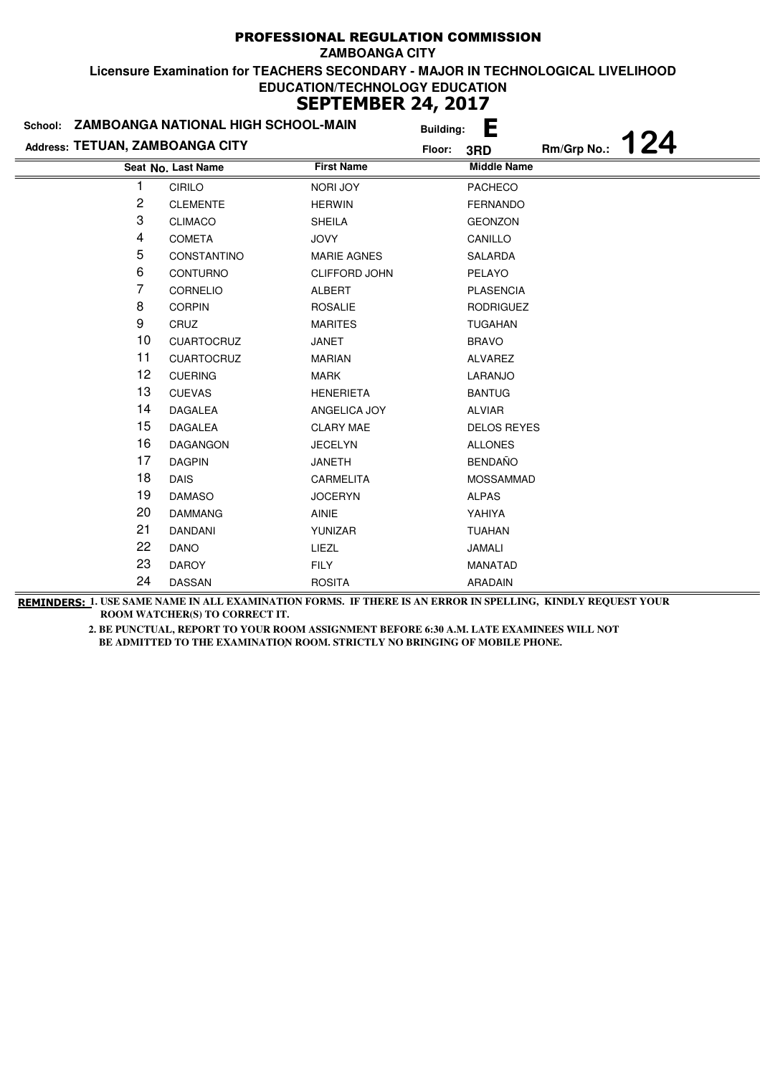|                                 | School: ZAMBOANGA NATIONAL HIGH SCHOOL-MAIN |                      | <b>Building:</b> | E                  |             |     |
|---------------------------------|---------------------------------------------|----------------------|------------------|--------------------|-------------|-----|
| Address: TETUAN, ZAMBOANGA CITY |                                             |                      | Floor:           | 3RD                | Rm/Grp No.: | 124 |
|                                 | Seat No. Last Name                          | <b>First Name</b>    |                  | <b>Middle Name</b> |             |     |
|                                 | <b>CIRILO</b>                               | <b>NORI JOY</b>      |                  | <b>PACHECO</b>     |             |     |
| 2                               | <b>CLEMENTE</b>                             | <b>HERWIN</b>        |                  | <b>FERNANDO</b>    |             |     |
| 3                               | <b>CLIMACO</b>                              | <b>SHEILA</b>        |                  | <b>GEONZON</b>     |             |     |
| 4                               | <b>COMETA</b>                               | <b>JOVY</b>          |                  | CANILLO            |             |     |
| 5                               | CONSTANTINO                                 | <b>MARIE AGNES</b>   |                  | SALARDA            |             |     |
| 6                               | CONTURNO                                    | <b>CLIFFORD JOHN</b> |                  | PELAYO             |             |     |
| 7                               | CORNELIO                                    | ALBERT               |                  | <b>PLASENCIA</b>   |             |     |
| 8                               | <b>CORPIN</b>                               | <b>ROSALIE</b>       |                  | <b>RODRIGUEZ</b>   |             |     |
| 9                               | CRUZ                                        | <b>MARITES</b>       |                  | <b>TUGAHAN</b>     |             |     |
| 10                              | <b>CUARTOCRUZ</b>                           | <b>JANET</b>         |                  | <b>BRAVO</b>       |             |     |
| 11                              | <b>CUARTOCRUZ</b>                           | <b>MARIAN</b>        |                  | ALVAREZ            |             |     |
| 12                              | <b>CUERING</b>                              | <b>MARK</b>          |                  | LARANJO            |             |     |
| 13                              | <b>CUEVAS</b>                               | <b>HENERIETA</b>     |                  | <b>BANTUG</b>      |             |     |
| 14                              | <b>DAGALEA</b>                              | ANGELICA JOY         |                  | <b>ALVIAR</b>      |             |     |
| 15                              | <b>DAGALEA</b>                              | <b>CLARY MAE</b>     |                  | <b>DELOS REYES</b> |             |     |
| 16                              | <b>DAGANGON</b>                             | <b>JECELYN</b>       |                  | <b>ALLONES</b>     |             |     |
| 17                              | <b>DAGPIN</b>                               | <b>JANETH</b>        |                  | <b>BENDAÑO</b>     |             |     |
| 18                              | <b>DAIS</b>                                 | <b>CARMELITA</b>     |                  | <b>MOSSAMMAD</b>   |             |     |
| 19                              | <b>DAMASO</b>                               | <b>JOCERYN</b>       |                  | <b>ALPAS</b>       |             |     |
| 20                              | <b>DAMMANG</b>                              | <b>AINIE</b>         |                  | YAHIYA             |             |     |
| 21                              | <b>DANDANI</b>                              | YUNIZAR              |                  | <b>TUAHAN</b>      |             |     |
| 22                              | <b>DANO</b>                                 | LIEZL                |                  | JAMALI             |             |     |
| 23                              | <b>DAROY</b>                                | <b>FILY</b>          |                  | MANATAD            |             |     |
| 24                              | <b>DASSAN</b>                               | <b>ROSITA</b>        |                  | ARADAIN            |             |     |

**REMINDERS: 1. USE SAME NAME IN ALL EXAMINATION FORMS. IF THERE IS AN ERROR IN SPELLING, KINDLY REQUEST YOUR ROOM WATCHER(S) TO CORRECT IT.**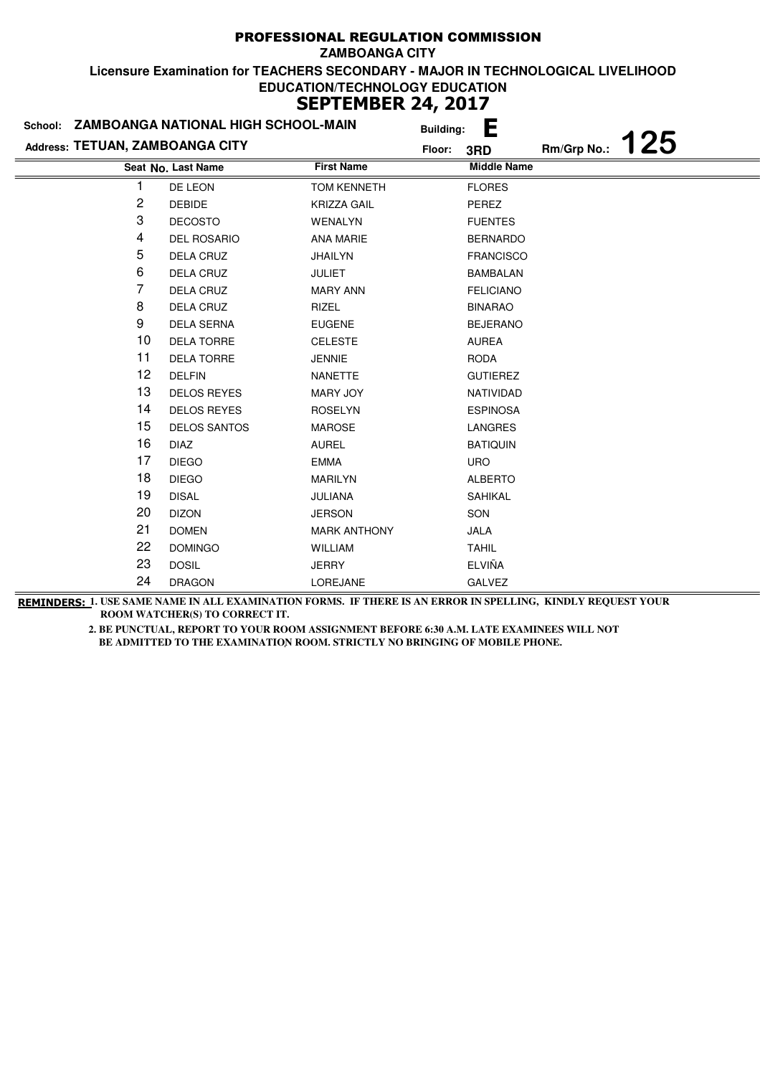| School: ZAMBOANGA NATIONAL HIGH SCHOOL-MAIN |                     |                     | <b>Building:</b> | L                  |             |     |
|---------------------------------------------|---------------------|---------------------|------------------|--------------------|-------------|-----|
| Address: TETUAN, ZAMBOANGA CITY             |                     |                     | Floor:           | 3RD                | Rm/Grp No.: | 125 |
|                                             | Seat No. Last Name  | <b>First Name</b>   |                  | <b>Middle Name</b> |             |     |
|                                             | DE LEON             | <b>TOM KENNETH</b>  |                  | <b>FLORES</b>      |             |     |
| 2                                           | <b>DEBIDE</b>       | <b>KRIZZA GAIL</b>  |                  | PEREZ              |             |     |
| 3                                           | <b>DECOSTO</b>      | <b>WENALYN</b>      |                  | <b>FUENTES</b>     |             |     |
| 4                                           | <b>DEL ROSARIO</b>  | <b>ANA MARIE</b>    |                  | <b>BERNARDO</b>    |             |     |
| 5                                           | DELA CRUZ           | <b>JHAILYN</b>      |                  | <b>FRANCISCO</b>   |             |     |
| 6                                           | DELA CRUZ           | <b>JULIET</b>       |                  | <b>BAMBALAN</b>    |             |     |
| 7                                           | <b>DELA CRUZ</b>    | <b>MARY ANN</b>     |                  | <b>FELICIANO</b>   |             |     |
| 8                                           | DELA CRUZ           | RIZEL               |                  | <b>BINARAO</b>     |             |     |
| 9                                           | <b>DELA SERNA</b>   | <b>EUGENE</b>       |                  | <b>BEJERANO</b>    |             |     |
| 10                                          | <b>DELA TORRE</b>   | <b>CELESTE</b>      |                  | <b>AUREA</b>       |             |     |
| 11                                          | <b>DELA TORRE</b>   | <b>JENNIE</b>       |                  | <b>RODA</b>        |             |     |
| 12                                          | <b>DELFIN</b>       | NANETTE             |                  | <b>GUTIEREZ</b>    |             |     |
| 13                                          | <b>DELOS REYES</b>  | <b>MARY JOY</b>     |                  | NATIVIDAD          |             |     |
| 14                                          | <b>DELOS REYES</b>  | <b>ROSELYN</b>      |                  | <b>ESPINOSA</b>    |             |     |
| 15                                          | <b>DELOS SANTOS</b> | <b>MAROSE</b>       |                  | LANGRES            |             |     |
| 16                                          | <b>DIAZ</b>         | <b>AUREL</b>        |                  | <b>BATIQUIN</b>    |             |     |
| 17                                          | <b>DIEGO</b>        | <b>EMMA</b>         |                  | <b>URO</b>         |             |     |
| 18                                          | <b>DIEGO</b>        | <b>MARILYN</b>      |                  | <b>ALBERTO</b>     |             |     |
| 19                                          | <b>DISAL</b>        | JULIANA             |                  | <b>SAHIKAL</b>     |             |     |
| 20                                          | <b>DIZON</b>        | <b>JERSON</b>       |                  | SON                |             |     |
| 21                                          | <b>DOMEN</b>        | <b>MARK ANTHONY</b> |                  | <b>JALA</b>        |             |     |
| 22                                          | <b>DOMINGO</b>      | <b>WILLIAM</b>      |                  | <b>TAHIL</b>       |             |     |
| 23                                          | <b>DOSIL</b>        | <b>JERRY</b>        |                  | <b>ELVIÑA</b>      |             |     |
| 24                                          | <b>DRAGON</b>       | LOREJANE            |                  | GALVEZ             |             |     |

**REMINDERS: 1. USE SAME NAME IN ALL EXAMINATION FORMS. IF THERE IS AN ERROR IN SPELLING, KINDLY REQUEST YOUR ROOM WATCHER(S) TO CORRECT IT.**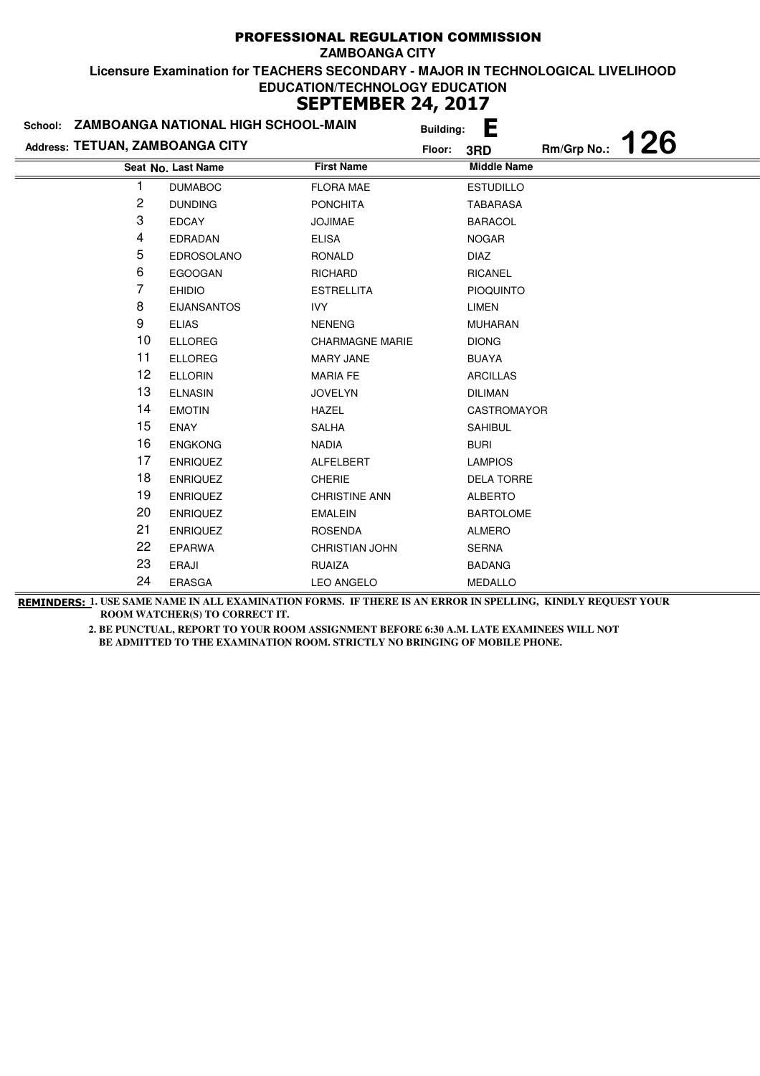| School: ZAMBOANGA NATIONAL HIGH SCHOOL-MAIN |                    |                        | <b>Building:</b> | È                  |             |     |
|---------------------------------------------|--------------------|------------------------|------------------|--------------------|-------------|-----|
| Address: TETUAN, ZAMBOANGA CITY             |                    |                        | Floor:           | 3RD                | Rm/Grp No.: | 126 |
|                                             | Seat No. Last Name | <b>First Name</b>      |                  | <b>Middle Name</b> |             |     |
|                                             | <b>DUMABOC</b>     | <b>FLORA MAE</b>       |                  | <b>ESTUDILLO</b>   |             |     |
| 2                                           | <b>DUNDING</b>     | <b>PONCHITA</b>        |                  | <b>TABARASA</b>    |             |     |
| 3                                           | <b>EDCAY</b>       | <b>JOJIMAE</b>         |                  | <b>BARACOL</b>     |             |     |
| 4                                           | <b>EDRADAN</b>     | <b>ELISA</b>           |                  | <b>NOGAR</b>       |             |     |
| 5                                           | <b>EDROSOLANO</b>  | RONALD                 |                  | <b>DIAZ</b>        |             |     |
| 6                                           | <b>EGOOGAN</b>     | <b>RICHARD</b>         |                  | <b>RICANEL</b>     |             |     |
| 7                                           | <b>EHIDIO</b>      | <b>ESTRELLITA</b>      |                  | <b>PIOQUINTO</b>   |             |     |
| 8                                           | <b>EIJANSANTOS</b> | <b>IVY</b>             |                  | <b>LIMEN</b>       |             |     |
| 9                                           | <b>ELIAS</b>       | <b>NENENG</b>          |                  | <b>MUHARAN</b>     |             |     |
| 10                                          | <b>ELLOREG</b>     | <b>CHARMAGNE MARIE</b> |                  | <b>DIONG</b>       |             |     |
| 11                                          | <b>ELLOREG</b>     | <b>MARY JANE</b>       |                  | <b>BUAYA</b>       |             |     |
| 12                                          | <b>ELLORIN</b>     | <b>MARIA FE</b>        |                  | <b>ARCILLAS</b>    |             |     |
| 13                                          | <b>ELNASIN</b>     | <b>JOVELYN</b>         |                  | <b>DILIMAN</b>     |             |     |
| 14                                          | <b>EMOTIN</b>      | <b>HAZEL</b>           |                  | CASTROMAYOR        |             |     |
| 15                                          | <b>ENAY</b>        | <b>SALHA</b>           |                  | <b>SAHIBUL</b>     |             |     |
| 16                                          | <b>ENGKONG</b>     | <b>NADIA</b>           |                  | <b>BURI</b>        |             |     |
| 17                                          | <b>ENRIQUEZ</b>    | ALFELBERT              |                  | <b>LAMPIOS</b>     |             |     |
| 18                                          | <b>ENRIQUEZ</b>    | <b>CHERIE</b>          |                  | <b>DELA TORRE</b>  |             |     |
| 19                                          | <b>ENRIQUEZ</b>    | <b>CHRISTINE ANN</b>   |                  | <b>ALBERTO</b>     |             |     |
| 20                                          | <b>ENRIQUEZ</b>    | <b>EMALEIN</b>         |                  | <b>BARTOLOME</b>   |             |     |
| 21                                          | <b>ENRIQUEZ</b>    | <b>ROSENDA</b>         |                  | <b>ALMERO</b>      |             |     |
| 22                                          | <b>EPARWA</b>      | <b>CHRISTIAN JOHN</b>  |                  | <b>SERNA</b>       |             |     |
| 23                                          | <b>ERAJI</b>       | <b>RUAIZA</b>          |                  | <b>BADANG</b>      |             |     |
| 24                                          | ERASGA             | <b>LEO ANGELO</b>      |                  | <b>MEDALLO</b>     |             |     |

**REMINDERS: 1. USE SAME NAME IN ALL EXAMINATION FORMS. IF THERE IS AN ERROR IN SPELLING, KINDLY REQUEST YOUR ROOM WATCHER(S) TO CORRECT IT.**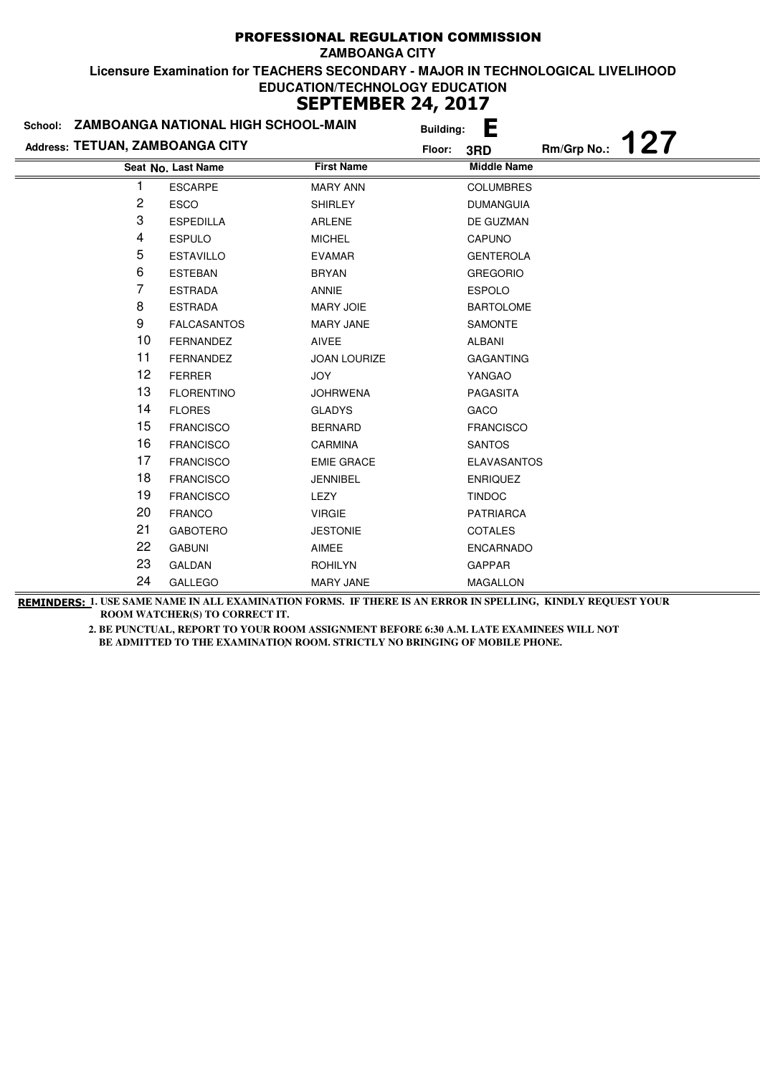|                                 | School: ZAMBOANGA NATIONAL HIGH SCHOOL-MAIN |                     | <b>Building:</b> | E                  |             |     |
|---------------------------------|---------------------------------------------|---------------------|------------------|--------------------|-------------|-----|
| Address: TETUAN, ZAMBOANGA CITY |                                             |                     | Floor:           | 3RD                | Rm/Grp No.: | 127 |
|                                 | Seat No. Last Name                          | <b>First Name</b>   |                  | <b>Middle Name</b> |             |     |
|                                 | <b>ESCARPE</b>                              | <b>MARY ANN</b>     |                  | <b>COLUMBRES</b>   |             |     |
| 2                               | <b>ESCO</b>                                 | <b>SHIRLEY</b>      |                  | <b>DUMANGUIA</b>   |             |     |
| 3                               | <b>ESPEDILLA</b>                            | <b>ARLENE</b>       |                  | DE GUZMAN          |             |     |
| 4                               | <b>ESPULO</b>                               | <b>MICHEL</b>       |                  | <b>CAPUNO</b>      |             |     |
| 5                               | <b>ESTAVILLO</b>                            | <b>EVAMAR</b>       |                  | <b>GENTEROLA</b>   |             |     |
| 6                               | <b>ESTEBAN</b>                              | <b>BRYAN</b>        |                  | <b>GREGORIO</b>    |             |     |
| 7                               | <b>ESTRADA</b>                              | <b>ANNIE</b>        |                  | <b>ESPOLO</b>      |             |     |
| 8                               | <b>ESTRADA</b>                              | <b>MARY JOIE</b>    |                  | <b>BARTOLOME</b>   |             |     |
| 9                               | <b>FALCASANTOS</b>                          | <b>MARY JANE</b>    |                  | SAMONTE            |             |     |
| 10                              | <b>FERNANDEZ</b>                            | <b>AIVEE</b>        |                  | ALBANI             |             |     |
| 11                              | <b>FERNANDEZ</b>                            | <b>JOAN LOURIZE</b> |                  | <b>GAGANTING</b>   |             |     |
| 12                              | <b>FERRER</b>                               | <b>JOY</b>          |                  | YANGAO             |             |     |
| 13                              | <b>FLORENTINO</b>                           | <b>JOHRWENA</b>     |                  | PAGASITA           |             |     |
| 14                              | <b>FLORES</b>                               | <b>GLADYS</b>       |                  | GACO               |             |     |
| 15                              | <b>FRANCISCO</b>                            | <b>BERNARD</b>      |                  | <b>FRANCISCO</b>   |             |     |
| 16                              | <b>FRANCISCO</b>                            | CARMINA             |                  | <b>SANTOS</b>      |             |     |
| 17                              | <b>FRANCISCO</b>                            | <b>EMIE GRACE</b>   |                  | <b>ELAVASANTOS</b> |             |     |
| 18                              | <b>FRANCISCO</b>                            | <b>JENNIBEL</b>     |                  | <b>ENRIQUEZ</b>    |             |     |
| 19                              | <b>FRANCISCO</b>                            | LEZY                |                  | <b>TINDOC</b>      |             |     |
| 20                              | <b>FRANCO</b>                               | <b>VIRGIE</b>       |                  | <b>PATRIARCA</b>   |             |     |
| 21                              | <b>GABOTERO</b>                             | <b>JESTONIE</b>     |                  | <b>COTALES</b>     |             |     |
| 22                              | <b>GABUNI</b>                               | AIMEE               |                  | <b>ENCARNADO</b>   |             |     |
| 23                              | <b>GALDAN</b>                               | <b>ROHILYN</b>      |                  | <b>GAPPAR</b>      |             |     |
| 24                              | <b>GALLEGO</b>                              | <b>MARY JANE</b>    |                  | <b>MAGALLON</b>    |             |     |

**REMINDERS: 1. USE SAME NAME IN ALL EXAMINATION FORMS. IF THERE IS AN ERROR IN SPELLING, KINDLY REQUEST YOUR ROOM WATCHER(S) TO CORRECT IT.**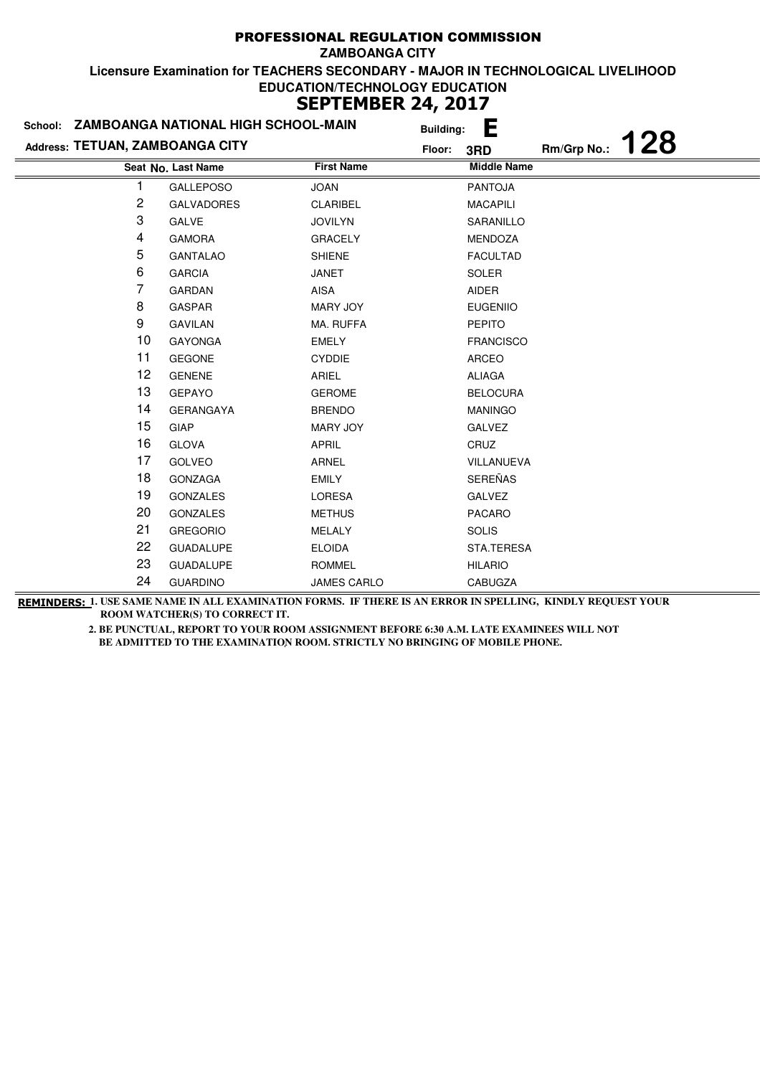| School: ZAMBOANGA NATIONAL HIGH SCHOOL-MAIN |                    | <b>Building:</b>  | E                  |             |     |
|---------------------------------------------|--------------------|-------------------|--------------------|-------------|-----|
| Address: TETUAN, ZAMBOANGA CITY             |                    | Floor:            | 3RD                | Rm/Grp No.: | 128 |
|                                             | Seat No. Last Name | <b>First Name</b> | <b>Middle Name</b> |             |     |
|                                             | <b>GALLEPOSO</b>   | <b>JOAN</b>       | <b>PANTOJA</b>     |             |     |
| 2                                           | <b>GALVADORES</b>  | <b>CLARIBEL</b>   | <b>MACAPILI</b>    |             |     |
| 3                                           | <b>GALVE</b>       | <b>JOVILYN</b>    | SARANILLO          |             |     |
| 4                                           | <b>GAMORA</b>      | <b>GRACELY</b>    | MENDOZA            |             |     |
| 5                                           | <b>GANTALAO</b>    | <b>SHIENE</b>     | <b>FACULTAD</b>    |             |     |
| 6                                           | <b>GARCIA</b>      | <b>JANET</b>      | <b>SOLER</b>       |             |     |
| 7                                           | <b>GARDAN</b>      | <b>AISA</b>       | <b>AIDER</b>       |             |     |
| 8                                           | <b>GASPAR</b>      | <b>MARY JOY</b>   | <b>EUGENIIO</b>    |             |     |
| 9                                           | <b>GAVILAN</b>     | MA. RUFFA         | <b>PEPITO</b>      |             |     |
| 10                                          | <b>GAYONGA</b>     | <b>EMELY</b>      | <b>FRANCISCO</b>   |             |     |
| 11                                          | <b>GEGONE</b>      | <b>CYDDIE</b>     | ARCEO              |             |     |
| 12                                          | <b>GENENE</b>      | ARIEL             | <b>ALIAGA</b>      |             |     |
| 13                                          | <b>GEPAYO</b>      | <b>GEROME</b>     | <b>BELOCURA</b>    |             |     |
| 14                                          | <b>GERANGAYA</b>   | <b>BRENDO</b>     | <b>MANINGO</b>     |             |     |
| 15                                          | GIAP               | <b>MARY JOY</b>   | <b>GALVEZ</b>      |             |     |
| 16                                          | <b>GLOVA</b>       | <b>APRIL</b>      | CRUZ               |             |     |
| 17                                          | <b>GOLVEO</b>      | ARNEL             | <b>VILLANUEVA</b>  |             |     |
| 18                                          | <b>GONZAGA</b>     | <b>EMILY</b>      | <b>SEREÑAS</b>     |             |     |
| 19                                          | <b>GONZALES</b>    | <b>LORESA</b>     | <b>GALVEZ</b>      |             |     |
| 20                                          | <b>GONZALES</b>    | <b>METHUS</b>     | <b>PACARO</b>      |             |     |
| 21                                          | <b>GREGORIO</b>    | <b>MELALY</b>     | <b>SOLIS</b>       |             |     |
| 22                                          | <b>GUADALUPE</b>   | <b>ELOIDA</b>     | STA.TERESA         |             |     |
| 23                                          | <b>GUADALUPE</b>   | <b>ROMMEL</b>     | <b>HILARIO</b>     |             |     |
| 24                                          | <b>GUARDINO</b>    | JAMES CARLO       | <b>CABUGZA</b>     |             |     |

**REMINDERS: 1. USE SAME NAME IN ALL EXAMINATION FORMS. IF THERE IS AN ERROR IN SPELLING, KINDLY REQUEST YOUR ROOM WATCHER(S) TO CORRECT IT.**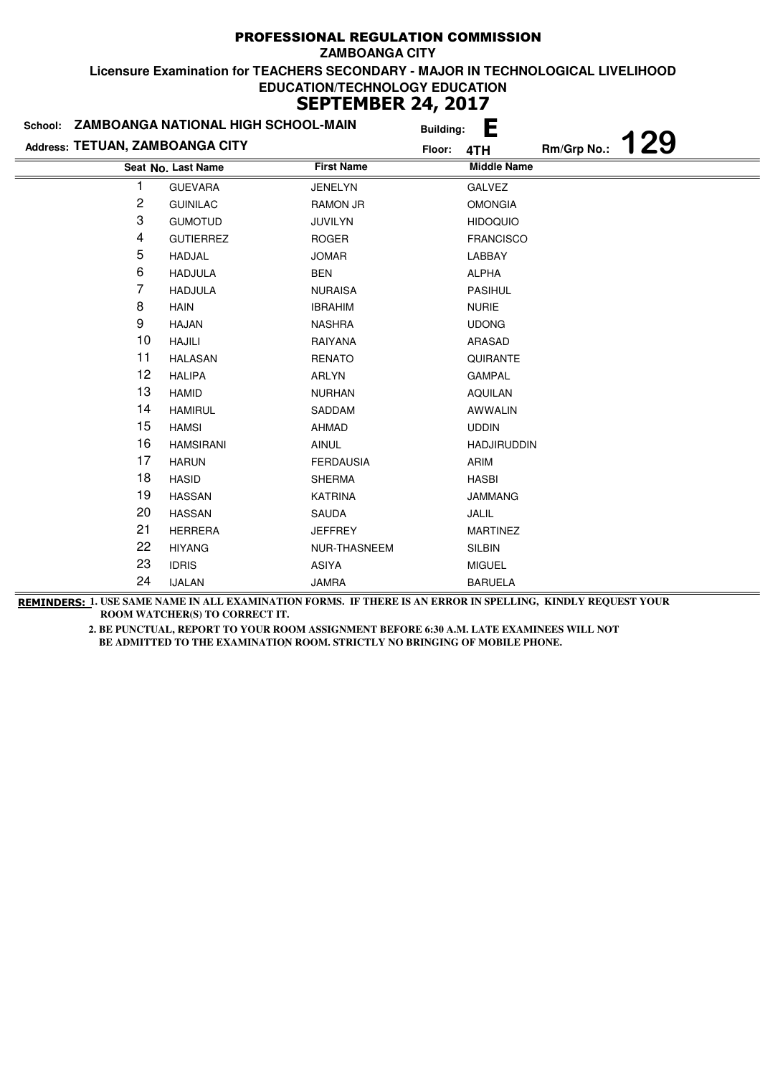|                                 | School: ZAMBOANGA NATIONAL HIGH SCHOOL-MAIN | <b>Building:</b>  | E                         |
|---------------------------------|---------------------------------------------|-------------------|---------------------------|
| Address: TETUAN, ZAMBOANGA CITY |                                             | Floor:            | 129<br>Rm/Grp No.:<br>4TH |
|                                 | Seat No. Last Name                          | <b>First Name</b> | <b>Middle Name</b>        |
|                                 | <b>GUEVARA</b>                              | <b>JENELYN</b>    | <b>GALVEZ</b>             |
| 2                               | <b>GUINILAC</b>                             | <b>RAMON JR</b>   | <b>OMONGIA</b>            |
| 3                               | <b>GUMOTUD</b>                              | JUVILYN           | <b>HIDOQUIO</b>           |
| 4                               | <b>GUTIERREZ</b>                            | <b>ROGER</b>      | <b>FRANCISCO</b>          |
| 5                               | <b>HADJAL</b>                               | <b>JOMAR</b>      | LABBAY                    |
| 6                               | <b>HADJULA</b>                              | <b>BEN</b>        | <b>ALPHA</b>              |
| 7                               | <b>HADJULA</b>                              | <b>NURAISA</b>    | <b>PASIHUL</b>            |
| 8                               | <b>HAIN</b>                                 | <b>IBRAHIM</b>    | <b>NURIE</b>              |
| 9                               | <b>HAJAN</b>                                | <b>NASHRA</b>     | <b>UDONG</b>              |
| 10                              | <b>HAJILI</b>                               | RAIYANA           | ARASAD                    |
| 11                              | <b>HALASAN</b>                              | <b>RENATO</b>     | QUIRANTE                  |
| 12                              | <b>HALIPA</b>                               | <b>ARLYN</b>      | <b>GAMPAL</b>             |
| 13                              | <b>HAMID</b>                                | <b>NURHAN</b>     | <b>AQUILAN</b>            |
| 14                              | <b>HAMIRUL</b>                              | SADDAM            | <b>AWWALIN</b>            |
| 15                              | <b>HAMSI</b>                                | <b>AHMAD</b>      | <b>UDDIN</b>              |
| 16                              | <b>HAMSIRANI</b>                            | <b>AINUL</b>      | <b>HADJIRUDDIN</b>        |
| 17                              | <b>HARUN</b>                                | <b>FERDAUSIA</b>  | ARIM                      |
| 18                              | <b>HASID</b>                                | <b>SHERMA</b>     | <b>HASBI</b>              |
| 19                              | <b>HASSAN</b>                               | <b>KATRINA</b>    | <b>JAMMANG</b>            |
| 20                              | <b>HASSAN</b>                               | SAUDA             | JALIL                     |
| 21                              | <b>HERRERA</b>                              | <b>JEFFREY</b>    | <b>MARTINEZ</b>           |
| 22                              | <b>HIYANG</b>                               | NUR-THASNEEM      | <b>SILBIN</b>             |
| 23                              | <b>IDRIS</b>                                | <b>ASIYA</b>      | <b>MIGUEL</b>             |
| 24                              | <b>IJALAN</b>                               | <b>JAMRA</b>      | <b>BARUELA</b>            |

**REMINDERS: 1. USE SAME NAME IN ALL EXAMINATION FORMS. IF THERE IS AN ERROR IN SPELLING, KINDLY REQUEST YOUR ROOM WATCHER(S) TO CORRECT IT.**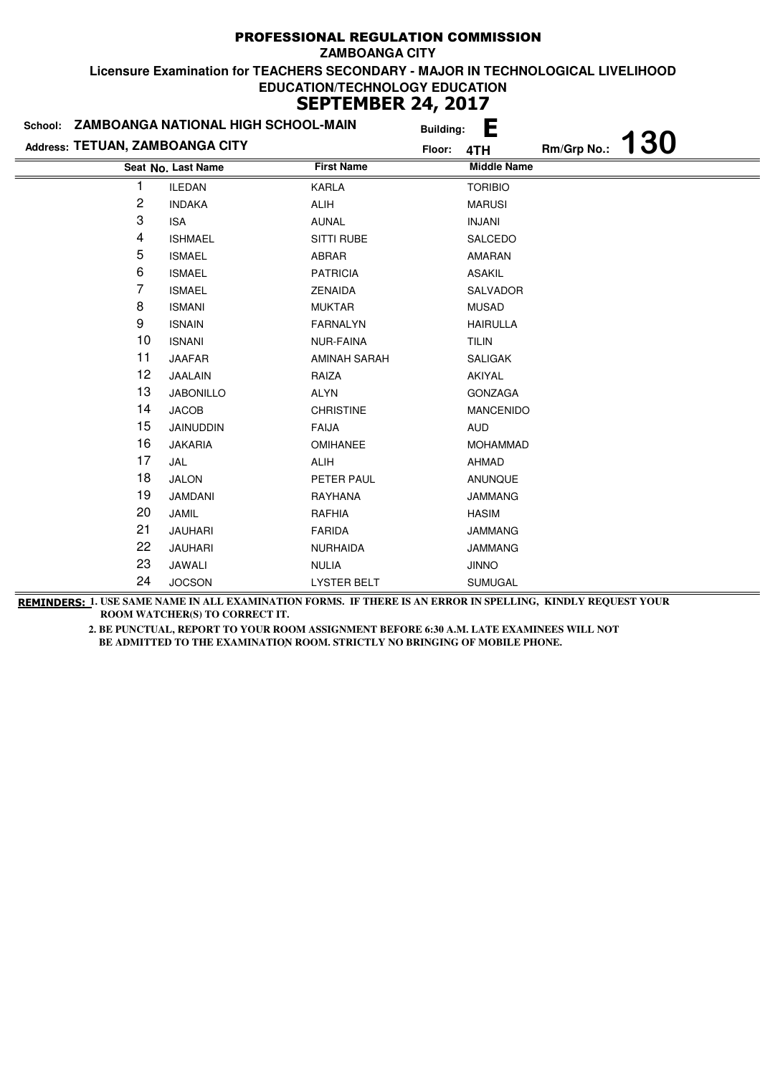|                                 | School: ZAMBOANGA NATIONAL HIGH SCHOOL-MAIN |                    | <b>Building:</b> | E                  |             |     |
|---------------------------------|---------------------------------------------|--------------------|------------------|--------------------|-------------|-----|
| Address: TETUAN, ZAMBOANGA CITY |                                             |                    | Floor:           | 4TH                | Rm/Grp No.: | 130 |
|                                 | Seat No. Last Name                          | <b>First Name</b>  |                  | <b>Middle Name</b> |             |     |
|                                 | <b>ILEDAN</b>                               | <b>KARLA</b>       |                  | <b>TORIBIO</b>     |             |     |
| 2                               | <b>INDAKA</b>                               | <b>ALIH</b>        |                  | <b>MARUSI</b>      |             |     |
| 3                               | <b>ISA</b>                                  | <b>AUNAL</b>       |                  | <b>INJANI</b>      |             |     |
| 4                               | <b>ISHMAEL</b>                              | <b>SITTI RUBE</b>  |                  | SALCEDO            |             |     |
| 5                               | <b>ISMAEL</b>                               | ABRAR              |                  | <b>AMARAN</b>      |             |     |
| 6                               | <b>ISMAEL</b>                               | <b>PATRICIA</b>    |                  | <b>ASAKIL</b>      |             |     |
| 7                               | <b>ISMAEL</b>                               | <b>ZENAIDA</b>     |                  | SALVADOR           |             |     |
| 8                               | <b>ISMANI</b>                               | <b>MUKTAR</b>      |                  | <b>MUSAD</b>       |             |     |
| 9                               | <b>ISNAIN</b>                               | <b>FARNALYN</b>    |                  | <b>HAIRULLA</b>    |             |     |
| 10                              | <b>ISNANI</b>                               | <b>NUR-FAINA</b>   |                  | <b>TILIN</b>       |             |     |
| 11                              | <b>JAAFAR</b>                               | AMINAH SARAH       |                  | <b>SALIGAK</b>     |             |     |
| 12                              | <b>JAALAIN</b>                              | RAIZA              |                  | AKIYAL             |             |     |
| 13                              | <b>JABONILLO</b>                            | <b>ALYN</b>        |                  | <b>GONZAGA</b>     |             |     |
| 14                              | <b>JACOB</b>                                | <b>CHRISTINE</b>   |                  | <b>MANCENIDO</b>   |             |     |
| 15                              | <b>JAINUDDIN</b>                            | <b>FAIJA</b>       |                  | <b>AUD</b>         |             |     |
| 16                              | <b>JAKARIA</b>                              | <b>OMIHANEE</b>    |                  | <b>MOHAMMAD</b>    |             |     |
| 17                              | JAL                                         | <b>ALIH</b>        |                  | AHMAD              |             |     |
| 18                              | <b>JALON</b>                                | PETER PAUL         |                  | <b>ANUNQUE</b>     |             |     |
| 19                              | <b>JAMDANI</b>                              | RAYHANA            |                  | <b>JAMMANG</b>     |             |     |
| 20                              | JAMIL                                       | <b>RAFHIA</b>      |                  | <b>HASIM</b>       |             |     |
| 21                              | <b>JAUHARI</b>                              | <b>FARIDA</b>      |                  | <b>JAMMANG</b>     |             |     |
| 22                              | <b>JAUHARI</b>                              | <b>NURHAIDA</b>    |                  | <b>JAMMANG</b>     |             |     |
| 23                              | JAWALI                                      | <b>NULIA</b>       |                  | <b>JINNO</b>       |             |     |
| 24                              | <b>JOCSON</b>                               | <b>LYSTER BELT</b> |                  | SUMUGAL            |             |     |

**REMINDERS: 1. USE SAME NAME IN ALL EXAMINATION FORMS. IF THERE IS AN ERROR IN SPELLING, KINDLY REQUEST YOUR ROOM WATCHER(S) TO CORRECT IT.**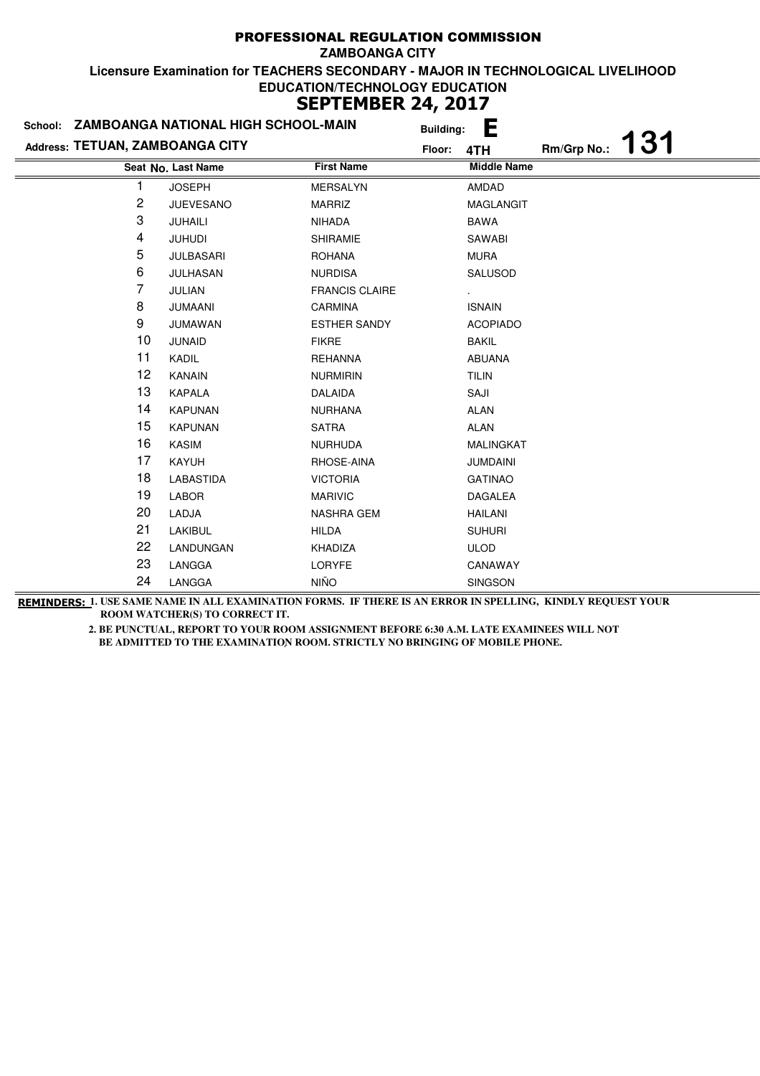|                                 | School: ZAMBOANGA NATIONAL HIGH SCHOOL-MAIN |                       | <b>Building:</b> | E                  |             |     |
|---------------------------------|---------------------------------------------|-----------------------|------------------|--------------------|-------------|-----|
| Address: TETUAN, ZAMBOANGA CITY |                                             |                       | Floor:           | 4TH                | Rm/Grp No.: | 131 |
|                                 | Seat No. Last Name                          | <b>First Name</b>     |                  | <b>Middle Name</b> |             |     |
| 1                               | <b>JOSEPH</b>                               | <b>MERSALYN</b>       |                  | <b>AMDAD</b>       |             |     |
| 2                               | <b>JUEVESANO</b>                            | <b>MARRIZ</b>         |                  | <b>MAGLANGIT</b>   |             |     |
| 3                               | JUHAILI                                     | NIHADA                |                  | <b>BAWA</b>        |             |     |
| 4                               | <b>JUHUDI</b>                               | <b>SHIRAMIE</b>       |                  | SAWABI             |             |     |
| 5                               | <b>JULBASARI</b>                            | <b>ROHANA</b>         |                  | <b>MURA</b>        |             |     |
| 6                               | JULHASAN                                    | <b>NURDISA</b>        |                  | SALUSOD            |             |     |
| 7                               | <b>JULIAN</b>                               | <b>FRANCIS CLAIRE</b> |                  |                    |             |     |
| 8                               | <b>JUMAANI</b>                              | CARMINA               |                  | <b>ISNAIN</b>      |             |     |
| 9                               | <b>JUMAWAN</b>                              | <b>ESTHER SANDY</b>   |                  | <b>ACOPIADO</b>    |             |     |
| 10                              | <b>JUNAID</b>                               | <b>FIKRE</b>          |                  | <b>BAKIL</b>       |             |     |
| 11                              | KADIL                                       | <b>REHANNA</b>        |                  | ABUANA             |             |     |
| 12                              | <b>KANAIN</b>                               | <b>NURMIRIN</b>       |                  | <b>TILIN</b>       |             |     |
| 13                              | <b>KAPALA</b>                               | <b>DALAIDA</b>        |                  | SAJI               |             |     |
| 14                              | <b>KAPUNAN</b>                              | <b>NURHANA</b>        |                  | <b>ALAN</b>        |             |     |
| 15                              | <b>KAPUNAN</b>                              | <b>SATRA</b>          |                  | <b>ALAN</b>        |             |     |
| 16                              | <b>KASIM</b>                                | <b>NURHUDA</b>        |                  | MALINGKAT          |             |     |
| 17                              | <b>KAYUH</b>                                | RHOSE-AINA            |                  | <b>JUMDAINI</b>    |             |     |
| 18                              | LABASTIDA                                   | <b>VICTORIA</b>       |                  | <b>GATINAO</b>     |             |     |
| 19                              | LABOR                                       | <b>MARIVIC</b>        |                  | <b>DAGALEA</b>     |             |     |
| 20                              | LADJA                                       | <b>NASHRA GEM</b>     |                  | <b>HAILANI</b>     |             |     |
| 21                              | <b>LAKIBUL</b>                              | <b>HILDA</b>          |                  | <b>SUHURI</b>      |             |     |
| 22                              | LANDUNGAN                                   | KHADIZA               |                  | <b>ULOD</b>        |             |     |
| 23                              | LANGGA                                      | LORYFE                |                  | CANAWAY            |             |     |
| 24                              | LANGGA                                      | <b>NIÑO</b>           |                  | SINGSON            |             |     |

**REMINDERS: 1. USE SAME NAME IN ALL EXAMINATION FORMS. IF THERE IS AN ERROR IN SPELLING, KINDLY REQUEST YOUR ROOM WATCHER(S) TO CORRECT IT.**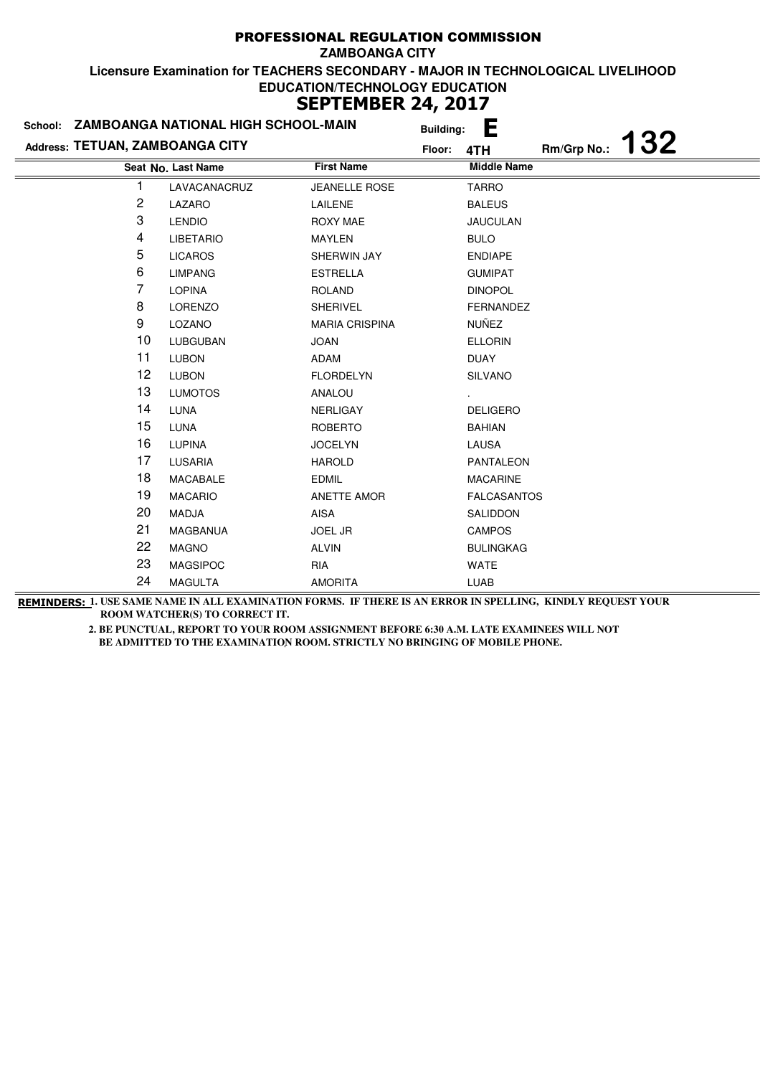| School: ZAMBOANGA NATIONAL HIGH SCHOOL-MAIN |                    |                       | <b>Building:</b> | E                  |             |     |  |
|---------------------------------------------|--------------------|-----------------------|------------------|--------------------|-------------|-----|--|
| Address: TETUAN, ZAMBOANGA CITY             |                    |                       | Floor:<br>4TH    |                    | Rm/Grp No.: | 132 |  |
|                                             | Seat No. Last Name | <b>First Name</b>     |                  | <b>Middle Name</b> |             |     |  |
| 1                                           | LAVACANACRUZ       | <b>JEANELLE ROSE</b>  |                  | <b>TARRO</b>       |             |     |  |
| 2                                           | LAZARO             | LAILENE               |                  | <b>BALEUS</b>      |             |     |  |
| 3                                           | <b>LENDIO</b>      | <b>ROXY MAE</b>       |                  | <b>JAUCULAN</b>    |             |     |  |
| 4                                           | <b>LIBETARIO</b>   | <b>MAYLEN</b>         |                  | <b>BULO</b>        |             |     |  |
| 5                                           | <b>LICAROS</b>     | SHERWIN JAY           |                  | <b>ENDIAPE</b>     |             |     |  |
| 6                                           | <b>LIMPANG</b>     | <b>ESTRELLA</b>       |                  | <b>GUMIPAT</b>     |             |     |  |
| 7                                           | <b>LOPINA</b>      | <b>ROLAND</b>         |                  | <b>DINOPOL</b>     |             |     |  |
| 8                                           | <b>LORENZO</b>     | <b>SHERIVEL</b>       |                  | FERNANDEZ          |             |     |  |
| 9                                           | LOZANO             | <b>MARIA CRISPINA</b> |                  | NUÑEZ              |             |     |  |
| 10                                          | <b>LUBGUBAN</b>    | <b>JOAN</b>           |                  | <b>ELLORIN</b>     |             |     |  |
| 11                                          | <b>LUBON</b>       | ADAM                  |                  | <b>DUAY</b>        |             |     |  |
| 12                                          | <b>LUBON</b>       | <b>FLORDELYN</b>      |                  | <b>SILVANO</b>     |             |     |  |
| 13                                          | <b>LUMOTOS</b>     | ANALOU                |                  |                    |             |     |  |
| 14                                          | <b>LUNA</b>        | <b>NERLIGAY</b>       |                  | <b>DELIGERO</b>    |             |     |  |
| 15                                          | <b>LUNA</b>        | <b>ROBERTO</b>        |                  | <b>BAHIAN</b>      |             |     |  |
| 16                                          | <b>LUPINA</b>      | <b>JOCELYN</b>        |                  | LAUSA              |             |     |  |
| 17                                          | <b>LUSARIA</b>     | <b>HAROLD</b>         |                  | <b>PANTALEON</b>   |             |     |  |
| 18                                          | <b>MACABALE</b>    | <b>EDMIL</b>          |                  | <b>MACARINE</b>    |             |     |  |
| 19                                          | <b>MACARIO</b>     | <b>ANETTE AMOR</b>    |                  | <b>FALCASANTOS</b> |             |     |  |
| 20                                          | <b>MADJA</b>       | AISA                  |                  | SALIDDON           |             |     |  |
| 21                                          | <b>MAGBANUA</b>    | <b>JOEL JR</b>        |                  | <b>CAMPOS</b>      |             |     |  |
| 22                                          | <b>MAGNO</b>       | <b>ALVIN</b>          |                  | <b>BULINGKAG</b>   |             |     |  |
| 23                                          | <b>MAGSIPOC</b>    | <b>RIA</b>            |                  | WATE               |             |     |  |
| 24                                          | <b>MAGULTA</b>     | <b>AMORITA</b>        |                  | <b>LUAB</b>        |             |     |  |

**REMINDERS: 1. USE SAME NAME IN ALL EXAMINATION FORMS. IF THERE IS AN ERROR IN SPELLING, KINDLY REQUEST YOUR ROOM WATCHER(S) TO CORRECT IT.**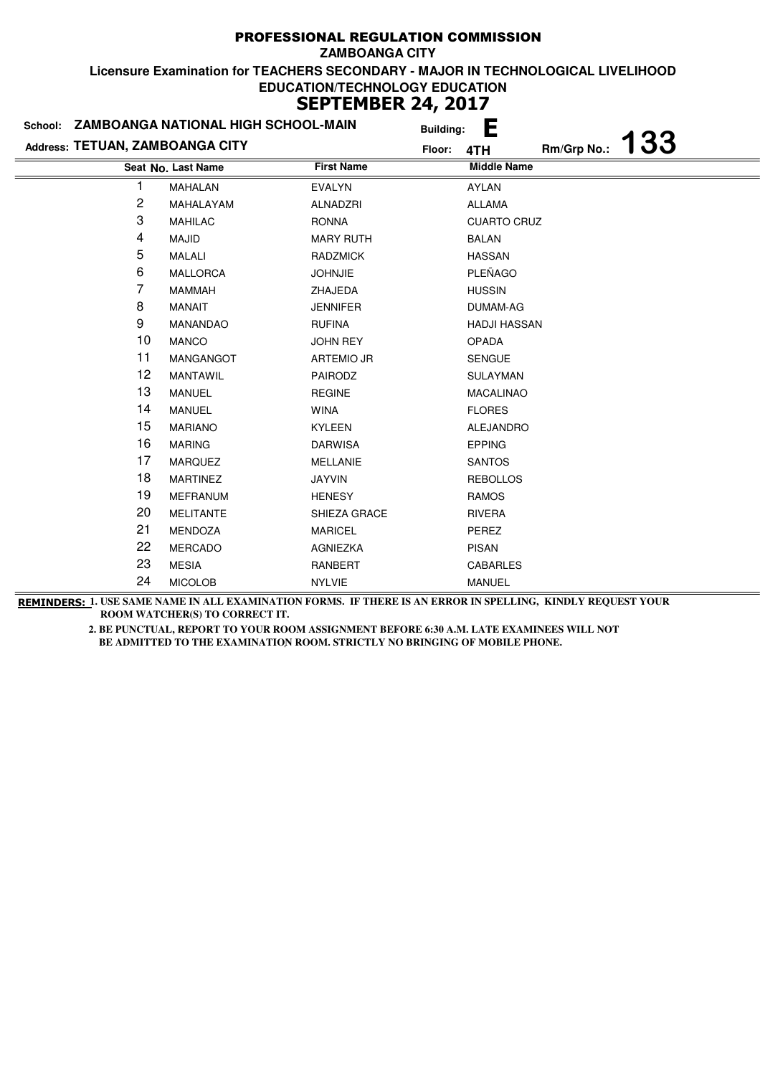|                                 | School: ZAMBOANGA NATIONAL HIGH SCHOOL-MAIN | <b>Building:</b>  | Ε                         |
|---------------------------------|---------------------------------------------|-------------------|---------------------------|
| Address: TETUAN, ZAMBOANGA CITY |                                             | Floor:            | 133<br>Rm/Grp No.:<br>4TH |
|                                 | Seat No. Last Name                          | <b>First Name</b> | <b>Middle Name</b>        |
|                                 | <b>MAHALAN</b>                              | <b>EVALYN</b>     | AYLAN                     |
| 2                               | MAHALAYAM                                   | <b>ALNADZRI</b>   | ALLAMA                    |
| 3                               | <b>MAHILAC</b>                              | <b>RONNA</b>      | <b>CUARTO CRUZ</b>        |
| 4                               | <b>MAJID</b>                                | <b>MARY RUTH</b>  | <b>BALAN</b>              |
| 5                               | <b>MALALI</b>                               | <b>RADZMICK</b>   | <b>HASSAN</b>             |
| 6                               | <b>MALLORCA</b>                             | <b>JOHNJIE</b>    | PLEÑAGO                   |
| 7                               | <b>MAMMAH</b>                               | ZHAJEDA           | <b>HUSSIN</b>             |
| 8                               | <b>MANAIT</b>                               | <b>JENNIFER</b>   | DUMAM-AG                  |
| 9                               | MANANDAO                                    | <b>RUFINA</b>     | <b>HADJI HASSAN</b>       |
| 10                              | <b>MANCO</b>                                | <b>JOHN REY</b>   | <b>OPADA</b>              |
| 11                              | MANGANGOT                                   | <b>ARTEMIO JR</b> | <b>SENGUE</b>             |
| 12                              | <b>MANTAWIL</b>                             | PAIRODZ           | <b>SULAYMAN</b>           |
| 13                              | <b>MANUEL</b>                               | <b>REGINE</b>     | <b>MACALINAO</b>          |
| 14                              | <b>MANUEL</b>                               | <b>WINA</b>       | <b>FLORES</b>             |
| 15                              | <b>MARIANO</b>                              | <b>KYLEEN</b>     | <b>ALEJANDRO</b>          |
| 16                              | <b>MARING</b>                               | <b>DARWISA</b>    | <b>EPPING</b>             |
| 17                              | <b>MARQUEZ</b>                              | <b>MELLANIE</b>   | <b>SANTOS</b>             |
| 18                              | <b>MARTINEZ</b>                             | <b>JAYVIN</b>     | <b>REBOLLOS</b>           |
| 19                              | <b>MEFRANUM</b>                             | <b>HENESY</b>     | <b>RAMOS</b>              |
| 20                              | <b>MELITANTE</b>                            | SHIEZA GRACE      | <b>RIVERA</b>             |
| 21                              | MENDOZA                                     | <b>MARICEL</b>    | PEREZ                     |
| 22                              | <b>MERCADO</b>                              | AGNIEZKA          | <b>PISAN</b>              |
| 23                              | <b>MESIA</b>                                | RANBERT           | CABARLES                  |
| 24                              | <b>MICOLOB</b>                              | <b>NYLVIE</b>     | <b>MANUEL</b>             |

**REMINDERS: 1. USE SAME NAME IN ALL EXAMINATION FORMS. IF THERE IS AN ERROR IN SPELLING, KINDLY REQUEST YOUR ROOM WATCHER(S) TO CORRECT IT.**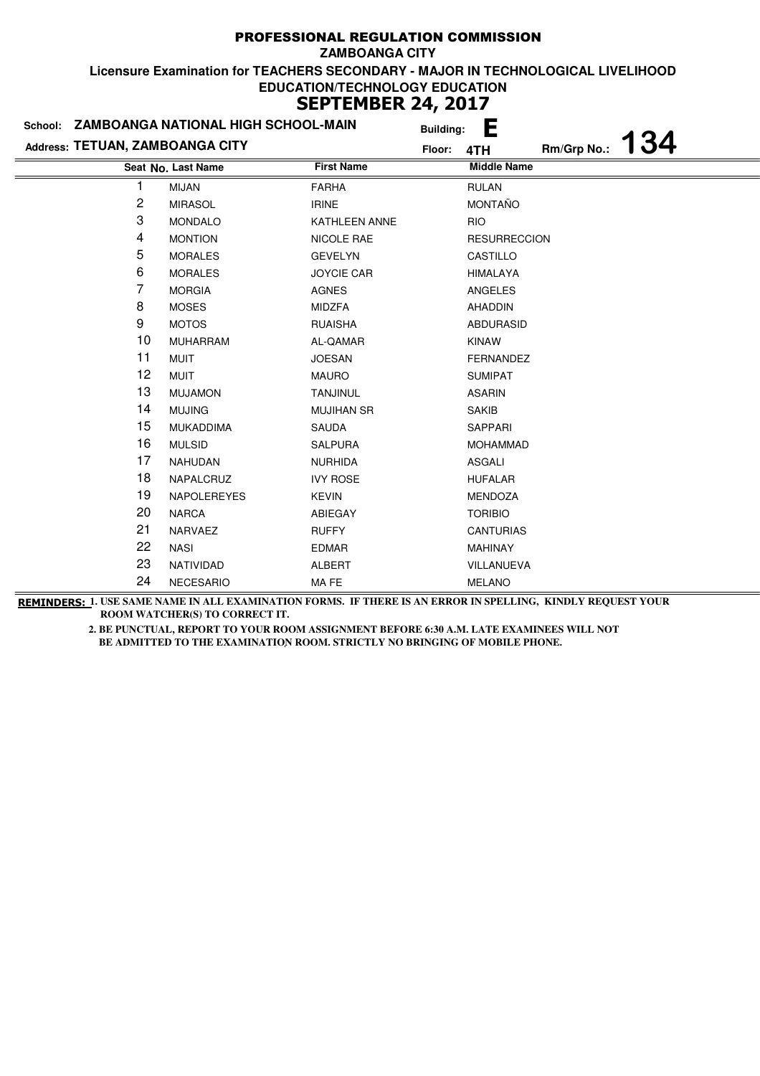|                                 | School: ZAMBOANGA NATIONAL HIGH SCHOOL-MAIN |                      | <b>Building:</b> | E                         |
|---------------------------------|---------------------------------------------|----------------------|------------------|---------------------------|
| Address: TETUAN, ZAMBOANGA CITY |                                             |                      | Floor:           | 134<br>Rm/Grp No.:<br>4TH |
|                                 | Seat No. Last Name                          | <b>First Name</b>    |                  | <b>Middle Name</b>        |
| 1                               | <b>MIJAN</b>                                | <b>FARHA</b>         |                  | <b>RULAN</b>              |
| 2                               | <b>MIRASOL</b>                              | <b>IRINE</b>         |                  | <b>MONTAÑO</b>            |
| 3                               | <b>MONDALO</b>                              | <b>KATHLEEN ANNE</b> |                  | <b>RIO</b>                |
| 4                               | <b>MONTION</b>                              | NICOLE RAE           |                  | <b>RESURRECCION</b>       |
| 5                               | <b>MORALES</b>                              | <b>GEVELYN</b>       |                  | CASTILLO                  |
| 6                               | <b>MORALES</b>                              | <b>JOYCIE CAR</b>    |                  | <b>HIMALAYA</b>           |
| 7                               | <b>MORGIA</b>                               | <b>AGNES</b>         |                  | <b>ANGELES</b>            |
| 8                               | <b>MOSES</b>                                | <b>MIDZFA</b>        |                  | AHADDIN                   |
| 9                               | <b>MOTOS</b>                                | <b>RUAISHA</b>       |                  | ABDURASID                 |
| 10                              | <b>MUHARRAM</b>                             | AL-QAMAR             |                  | <b>KINAW</b>              |
| 11                              | <b>MUIT</b>                                 | <b>JOESAN</b>        |                  | FERNANDEZ                 |
| 12                              | <b>MUIT</b>                                 | <b>MAURO</b>         |                  | <b>SUMIPAT</b>            |
| 13                              | <b>MUJAMON</b>                              | <b>TANJINUL</b>      |                  | <b>ASARIN</b>             |
| 14                              | <b>MUJING</b>                               | <b>MUJIHAN SR</b>    |                  | <b>SAKIB</b>              |
| 15                              | <b>MUKADDIMA</b>                            | <b>SAUDA</b>         |                  | SAPPARI                   |
| 16                              | <b>MULSID</b>                               | <b>SALPURA</b>       |                  | <b>MOHAMMAD</b>           |
| 17                              | <b>NAHUDAN</b>                              | <b>NURHIDA</b>       |                  | <b>ASGALI</b>             |
| 18                              | NAPALCRUZ                                   | <b>IVY ROSE</b>      |                  | <b>HUFALAR</b>            |
| 19                              | <b>NAPOLEREYES</b>                          | <b>KEVIN</b>         |                  | <b>MENDOZA</b>            |
| 20                              | <b>NARCA</b>                                | ABIEGAY              |                  | <b>TORIBIO</b>            |
| 21                              | NARVAEZ                                     | <b>RUFFY</b>         |                  | <b>CANTURIAS</b>          |
| 22                              | <b>NASI</b>                                 | <b>EDMAR</b>         |                  | <b>MAHINAY</b>            |
| 23                              | NATIVIDAD                                   | <b>ALBERT</b>        |                  | VILLANUEVA                |
| 24                              | <b>NECESARIO</b>                            | MA FE                |                  | <b>MELANO</b>             |

**REMINDERS: 1. USE SAME NAME IN ALL EXAMINATION FORMS. IF THERE IS AN ERROR IN SPELLING, KINDLY REQUEST YOUR ROOM WATCHER(S) TO CORRECT IT.**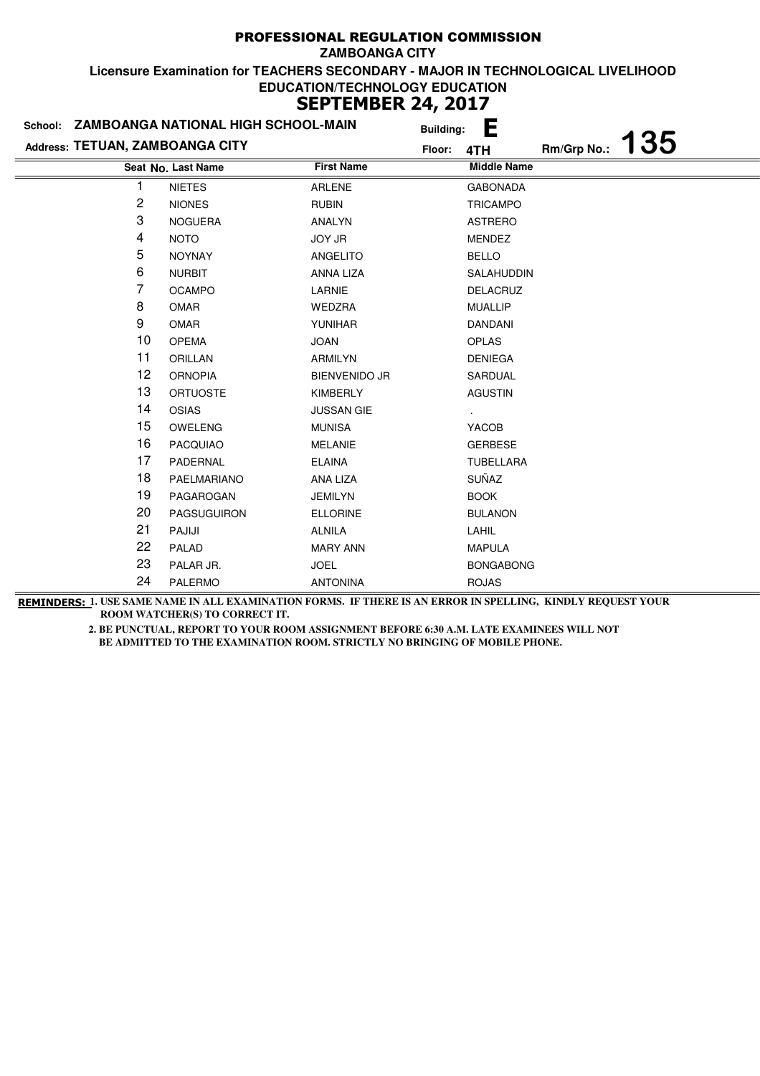|                                 | School: ZAMBOANGA NATIONAL HIGH SCHOOL-MAIN |                      | <b>Building:</b> | E                  |             |     |
|---------------------------------|---------------------------------------------|----------------------|------------------|--------------------|-------------|-----|
| Address: TETUAN, ZAMBOANGA CITY |                                             |                      | Floor:           | 4TH                | Rm/Grp No.: | 135 |
|                                 | Seat No. Last Name                          | <b>First Name</b>    |                  | <b>Middle Name</b> |             |     |
|                                 | <b>NIETES</b>                               | <b>ARLENE</b>        |                  | <b>GABONADA</b>    |             |     |
| 2                               | <b>NIONES</b>                               | <b>RUBIN</b>         |                  | <b>TRICAMPO</b>    |             |     |
| 3                               | <b>NOGUERA</b>                              | ANALYN               |                  | <b>ASTRERO</b>     |             |     |
| 4                               | <b>NOTO</b>                                 | <b>JOY JR</b>        |                  | <b>MENDEZ</b>      |             |     |
| 5                               | <b>NOYNAY</b>                               | ANGELITO             |                  | <b>BELLO</b>       |             |     |
| 6                               | <b>NURBIT</b>                               | ANNA LIZA            |                  | SALAHUDDIN         |             |     |
| 7                               | <b>OCAMPO</b>                               | LARNIE               |                  | <b>DELACRUZ</b>    |             |     |
| 8                               | <b>OMAR</b>                                 | WEDZRA               |                  | <b>MUALLIP</b>     |             |     |
| 9                               | <b>OMAR</b>                                 | YUNIHAR              |                  | <b>DANDANI</b>     |             |     |
| 10                              | <b>OPEMA</b>                                | <b>JOAN</b>          |                  | <b>OPLAS</b>       |             |     |
| 11                              | <b>ORILLAN</b>                              | ARMILYN              |                  | <b>DENIEGA</b>     |             |     |
| 12                              | <b>ORNOPIA</b>                              | <b>BIENVENIDO JR</b> |                  | SARDUAL            |             |     |
| 13                              | <b>ORTUOSTE</b>                             | <b>KIMBERLY</b>      |                  | <b>AGUSTIN</b>     |             |     |
| 14                              | <b>OSIAS</b>                                | <b>JUSSAN GIE</b>    |                  |                    |             |     |
| 15                              | <b>OWELENG</b>                              | <b>MUNISA</b>        |                  | YACOB              |             |     |
| 16                              | <b>PACQUIAO</b>                             | <b>MELANIE</b>       |                  | <b>GERBESE</b>     |             |     |
| 17                              | PADERNAL                                    | <b>ELAINA</b>        |                  | <b>TUBELLARA</b>   |             |     |
| 18                              | PAELMARIANO                                 | ANA LIZA             |                  | SUÑAZ              |             |     |
| 19                              | PAGAROGAN                                   | <b>JEMILYN</b>       |                  | <b>BOOK</b>        |             |     |
| 20                              | <b>PAGSUGUIRON</b>                          | <b>ELLORINE</b>      |                  | <b>BULANON</b>     |             |     |
| 21                              | PAJIJI                                      | <b>ALNILA</b>        |                  | LAHIL              |             |     |
| 22                              | PALAD                                       | <b>MARY ANN</b>      |                  | <b>MAPULA</b>      |             |     |
| 23                              | PALAR JR.                                   | <b>JOEL</b>          |                  | <b>BONGABONG</b>   |             |     |
| 24                              | <b>PALERMO</b>                              | <b>ANTONINA</b>      |                  | <b>ROJAS</b>       |             |     |
|                                 |                                             |                      |                  |                    |             |     |

**REMINDERS: 1. USE SAME NAME IN ALL EXAMINATION FORMS. IF THERE IS AN ERROR IN SPELLING, KINDLY REQUEST YOUR ROOM WATCHER(S) TO CORRECT IT.**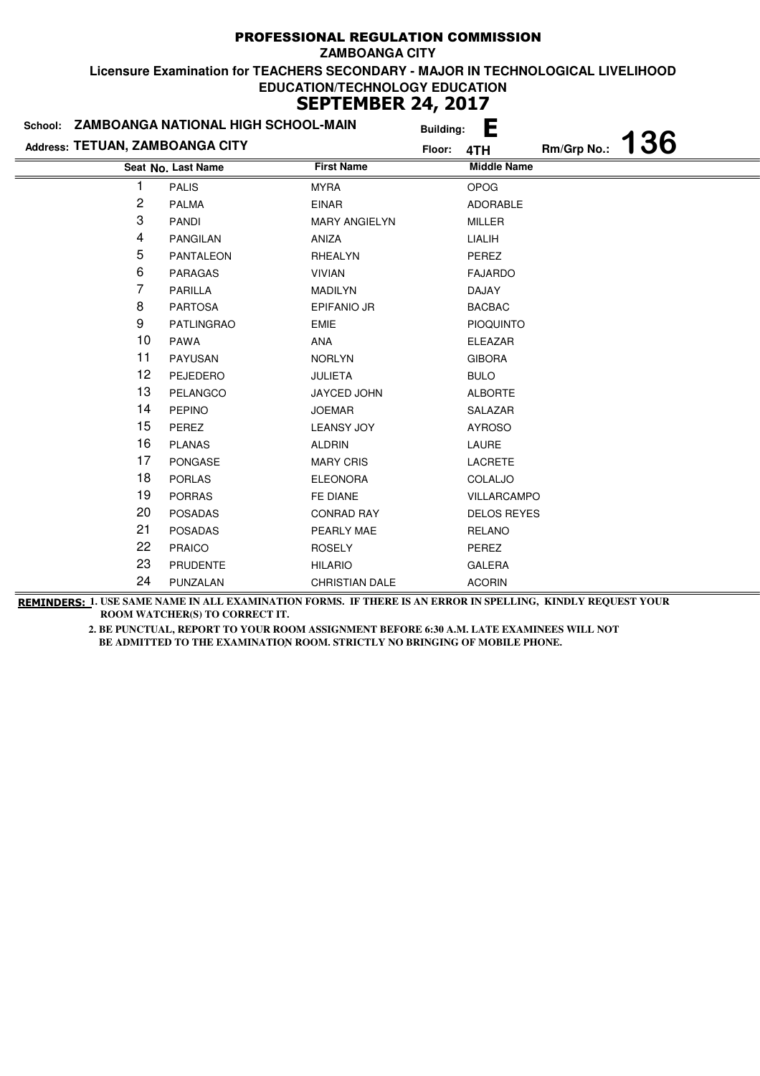| School: ZAMBOANGA NATIONAL HIGH SCHOOL-MAIN |                    | <b>Building:</b>      | E      |                    |             |     |
|---------------------------------------------|--------------------|-----------------------|--------|--------------------|-------------|-----|
| Address: TETUAN, ZAMBOANGA CITY             |                    |                       | Floor: | 4TH                | Rm/Grp No.: | 136 |
|                                             | Seat No. Last Name | <b>First Name</b>     |        | <b>Middle Name</b> |             |     |
| 1                                           | <b>PALIS</b>       | <b>MYRA</b>           |        | <b>OPOG</b>        |             |     |
| 2                                           | <b>PALMA</b>       | <b>EINAR</b>          |        | <b>ADORABLE</b>    |             |     |
| 3                                           | <b>PANDI</b>       | <b>MARY ANGIELYN</b>  |        | <b>MILLER</b>      |             |     |
| 4                                           | <b>PANGILAN</b>    | ANIZA                 |        | LIALIH             |             |     |
| 5                                           | <b>PANTALEON</b>   | RHEALYN               |        | PEREZ              |             |     |
| 6                                           | <b>PARAGAS</b>     | <b>VIVIAN</b>         |        | <b>FAJARDO</b>     |             |     |
| 7                                           | <b>PARILLA</b>     | <b>MADILYN</b>        |        | DAJAY              |             |     |
| 8                                           | <b>PARTOSA</b>     | <b>EPIFANIO JR</b>    |        | <b>BACBAC</b>      |             |     |
| 9                                           | <b>PATLINGRAO</b>  | <b>EMIE</b>           |        | <b>PIOQUINTO</b>   |             |     |
| 10                                          | <b>PAWA</b>        | ANA                   |        | <b>ELEAZAR</b>     |             |     |
| 11                                          | <b>PAYUSAN</b>     | <b>NORLYN</b>         |        | <b>GIBORA</b>      |             |     |
| 12                                          | PEJEDERO           | <b>JULIETA</b>        |        | <b>BULO</b>        |             |     |
| 13                                          | PELANGCO           | JAYCED JOHN           |        | <b>ALBORTE</b>     |             |     |
| 14                                          | <b>PEPINO</b>      | <b>JOEMAR</b>         |        | SALAZAR            |             |     |
| 15                                          | PEREZ              | <b>LEANSY JOY</b>     |        | <b>AYROSO</b>      |             |     |
| 16                                          | <b>PLANAS</b>      | <b>ALDRIN</b>         |        | LAURE              |             |     |
| 17                                          | <b>PONGASE</b>     | <b>MARY CRIS</b>      |        | <b>LACRETE</b>     |             |     |
| 18                                          | <b>PORLAS</b>      | <b>ELEONORA</b>       |        | COLALJO            |             |     |
| 19                                          | <b>PORRAS</b>      | FE DIANE              |        | VILLARCAMPO        |             |     |
| 20                                          | <b>POSADAS</b>     | <b>CONRAD RAY</b>     |        | <b>DELOS REYES</b> |             |     |
| 21                                          | <b>POSADAS</b>     | PEARLY MAE            |        | <b>RELANO</b>      |             |     |
| 22                                          | <b>PRAICO</b>      | <b>ROSELY</b>         |        | PEREZ              |             |     |
| 23                                          | <b>PRUDENTE</b>    | <b>HILARIO</b>        |        | <b>GALERA</b>      |             |     |
| 24                                          | PUNZALAN           | <b>CHRISTIAN DALE</b> |        | <b>ACORIN</b>      |             |     |

**REMINDERS: 1. USE SAME NAME IN ALL EXAMINATION FORMS. IF THERE IS AN ERROR IN SPELLING, KINDLY REQUEST YOUR ROOM WATCHER(S) TO CORRECT IT.**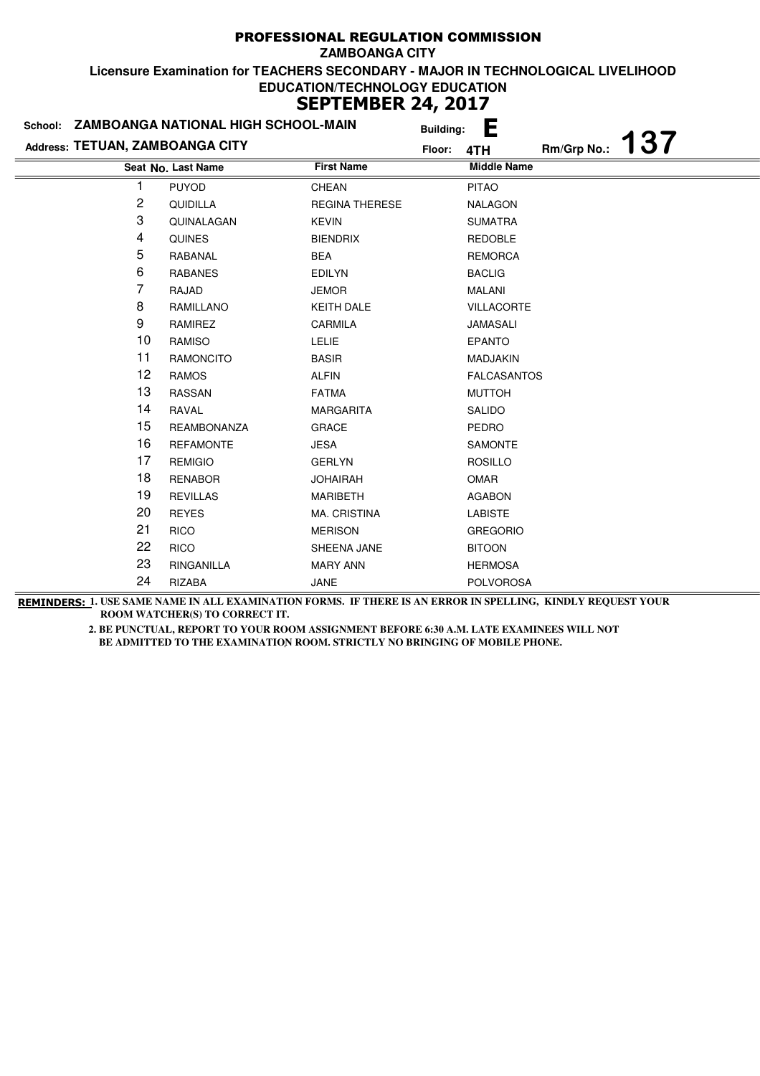|                                 | School: ZAMBOANGA NATIONAL HIGH SCHOOL-MAIN |                       | <b>Building:</b> | È                  |             |            |
|---------------------------------|---------------------------------------------|-----------------------|------------------|--------------------|-------------|------------|
| Address: TETUAN, ZAMBOANGA CITY |                                             |                       | Floor:           | 4TH                | Rm/Grp No.: | <b>137</b> |
|                                 | Seat No. Last Name                          | <b>First Name</b>     |                  | <b>Middle Name</b> |             |            |
|                                 | <b>PUYOD</b>                                | CHEAN                 |                  | <b>PITAO</b>       |             |            |
| 2                               | QUIDILLA                                    | <b>REGINA THERESE</b> |                  | <b>NALAGON</b>     |             |            |
| 3                               | QUINALAGAN                                  | <b>KEVIN</b>          |                  | <b>SUMATRA</b>     |             |            |
| 4                               | <b>QUINES</b>                               | <b>BIENDRIX</b>       |                  | <b>REDOBLE</b>     |             |            |
| 5                               | RABANAL                                     | <b>BEA</b>            |                  | <b>REMORCA</b>     |             |            |
| 6                               | <b>RABANES</b>                              | <b>EDILYN</b>         |                  | <b>BACLIG</b>      |             |            |
| 7                               | RAJAD                                       | <b>JEMOR</b>          |                  | <b>MALANI</b>      |             |            |
| 8                               | RAMILLANO                                   | <b>KEITH DALE</b>     |                  | <b>VILLACORTE</b>  |             |            |
| 9                               | RAMIREZ                                     | <b>CARMILA</b>        |                  | <b>JAMASALI</b>    |             |            |
| 10                              | <b>RAMISO</b>                               | <b>LELIE</b>          |                  | <b>EPANTO</b>      |             |            |
| 11                              | <b>RAMONCITO</b>                            | <b>BASIR</b>          |                  | <b>MADJAKIN</b>    |             |            |
| 12                              | <b>RAMOS</b>                                | <b>ALFIN</b>          |                  | <b>FALCASANTOS</b> |             |            |
| 13                              | <b>RASSAN</b>                               | <b>FATMA</b>          |                  | <b>MUTTOH</b>      |             |            |
| 14                              | RAVAL                                       | <b>MARGARITA</b>      |                  | <b>SALIDO</b>      |             |            |
| 15                              | <b>REAMBONANZA</b>                          | <b>GRACE</b>          |                  | <b>PEDRO</b>       |             |            |
| 16                              | <b>REFAMONTE</b>                            | <b>JESA</b>           |                  | SAMONTE            |             |            |
| 17                              | <b>REMIGIO</b>                              | <b>GERLYN</b>         |                  | <b>ROSILLO</b>     |             |            |
| 18                              | <b>RENABOR</b>                              | <b>JOHAIRAH</b>       |                  | <b>OMAR</b>        |             |            |
| 19                              | <b>REVILLAS</b>                             | <b>MARIBETH</b>       |                  | <b>AGABON</b>      |             |            |
| 20                              | <b>REYES</b>                                | <b>MA. CRISTINA</b>   |                  | <b>LABISTE</b>     |             |            |
| 21                              | <b>RICO</b>                                 | <b>MERISON</b>        |                  | <b>GREGORIO</b>    |             |            |
| 22                              | <b>RICO</b>                                 | SHEENA JANE           |                  | <b>BITOON</b>      |             |            |
| 23                              | RINGANILLA                                  | <b>MARY ANN</b>       |                  | <b>HERMOSA</b>     |             |            |
| 24                              | RIZABA                                      | JANE                  |                  | <b>POLVOROSA</b>   |             |            |

**REMINDERS: 1. USE SAME NAME IN ALL EXAMINATION FORMS. IF THERE IS AN ERROR IN SPELLING, KINDLY REQUEST YOUR ROOM WATCHER(S) TO CORRECT IT.**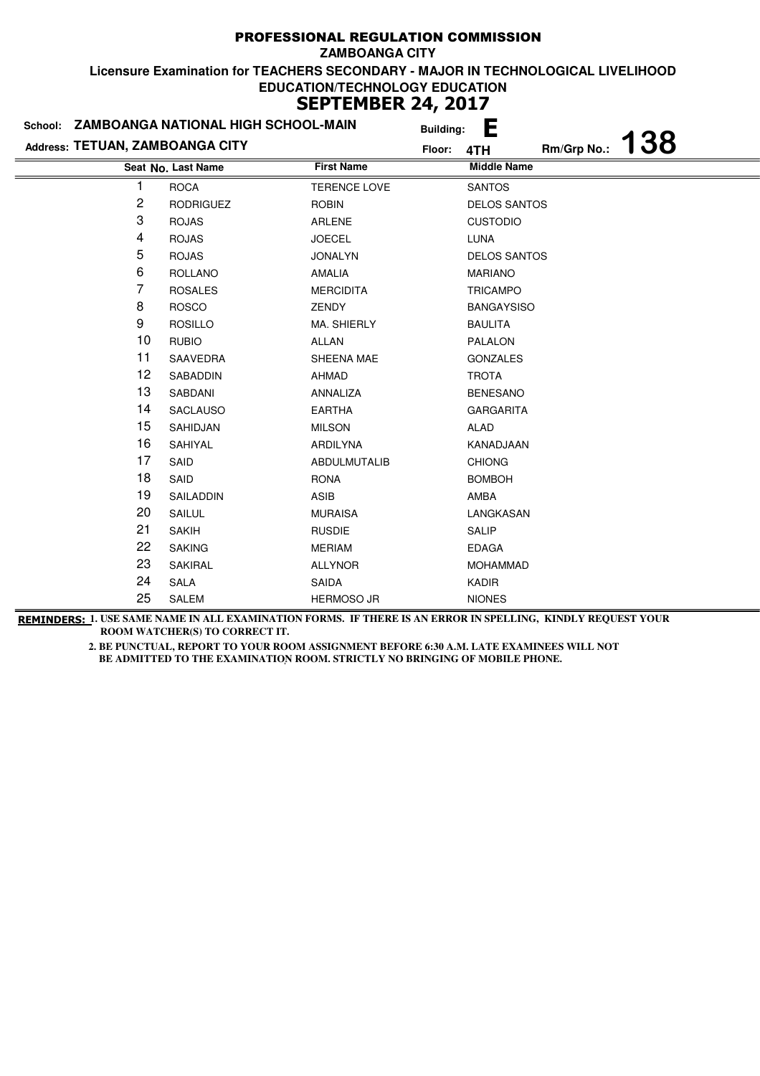|                                 | School: ZAMBOANGA NATIONAL HIGH SCHOOL-MAIN | <b>Building:</b>    | L                                |
|---------------------------------|---------------------------------------------|---------------------|----------------------------------|
| Address: TETUAN, ZAMBOANGA CITY |                                             | Floor:              | <b>138</b><br>Rm/Grp No.:<br>4TH |
|                                 | Seat No. Last Name                          | <b>First Name</b>   | <b>Middle Name</b>               |
|                                 | <b>ROCA</b>                                 | <b>TERENCE LOVE</b> | <b>SANTOS</b>                    |
| 2                               | <b>RODRIGUEZ</b>                            | <b>ROBIN</b>        | <b>DELOS SANTOS</b>              |
| 3                               | <b>ROJAS</b>                                | <b>ARLENE</b>       | <b>CUSTODIO</b>                  |
| 4                               | <b>ROJAS</b>                                | <b>JOECEL</b>       | LUNA                             |
| 5                               | <b>ROJAS</b>                                | <b>JONALYN</b>      | <b>DELOS SANTOS</b>              |
| 6                               | <b>ROLLANO</b>                              | AMALIA              | <b>MARIANO</b>                   |
| 7                               | <b>ROSALES</b>                              | <b>MERCIDITA</b>    | <b>TRICAMPO</b>                  |
| 8                               | <b>ROSCO</b>                                | <b>ZENDY</b>        | <b>BANGAYSISO</b>                |
| 9                               | <b>ROSILLO</b>                              | MA. SHIERLY         | <b>BAULITA</b>                   |
| 10                              | <b>RUBIO</b>                                | <b>ALLAN</b>        | PALALON                          |
| 11                              | SAAVEDRA                                    | SHEENA MAE          | <b>GONZALES</b>                  |
| 12                              | SABADDIN                                    | AHMAD               | <b>TROTA</b>                     |
| 13                              | SABDANI                                     | ANNALIZA            | <b>BENESANO</b>                  |
| 14                              | <b>SACLAUSO</b>                             | <b>EARTHA</b>       | <b>GARGARITA</b>                 |
| 15                              | SAHIDJAN                                    | <b>MILSON</b>       | ALAD                             |
| 16                              | SAHIYAL                                     | <b>ARDILYNA</b>     | KANADJAAN                        |
| 17                              | SAID                                        | <b>ABDULMUTALIB</b> | <b>CHIONG</b>                    |
| 18                              | SAID                                        | <b>RONA</b>         | <b>BOMBOH</b>                    |
| 19                              | SAILADDIN                                   | ASIB                | AMBA                             |
| 20                              | <b>SAILUL</b>                               | <b>MURAISA</b>      | LANGKASAN                        |
| 21                              | <b>SAKIH</b>                                | <b>RUSDIE</b>       | <b>SALIP</b>                     |
| 22                              | <b>SAKING</b>                               | <b>MERIAM</b>       | <b>EDAGA</b>                     |
| 23                              | SAKIRAL                                     | <b>ALLYNOR</b>      | <b>MOHAMMAD</b>                  |
| 24                              | SALA                                        | SAIDA               | <b>KADIR</b>                     |
| 25                              | SALEM                                       | <b>HERMOSO JR</b>   | <b>NIONES</b>                    |

**REMINDERS: 1. USE SAME NAME IN ALL EXAMINATION FORMS. IF THERE IS AN ERROR IN SPELLING, KINDLY REQUEST YOUR ROOM WATCHER(S) TO CORRECT IT.**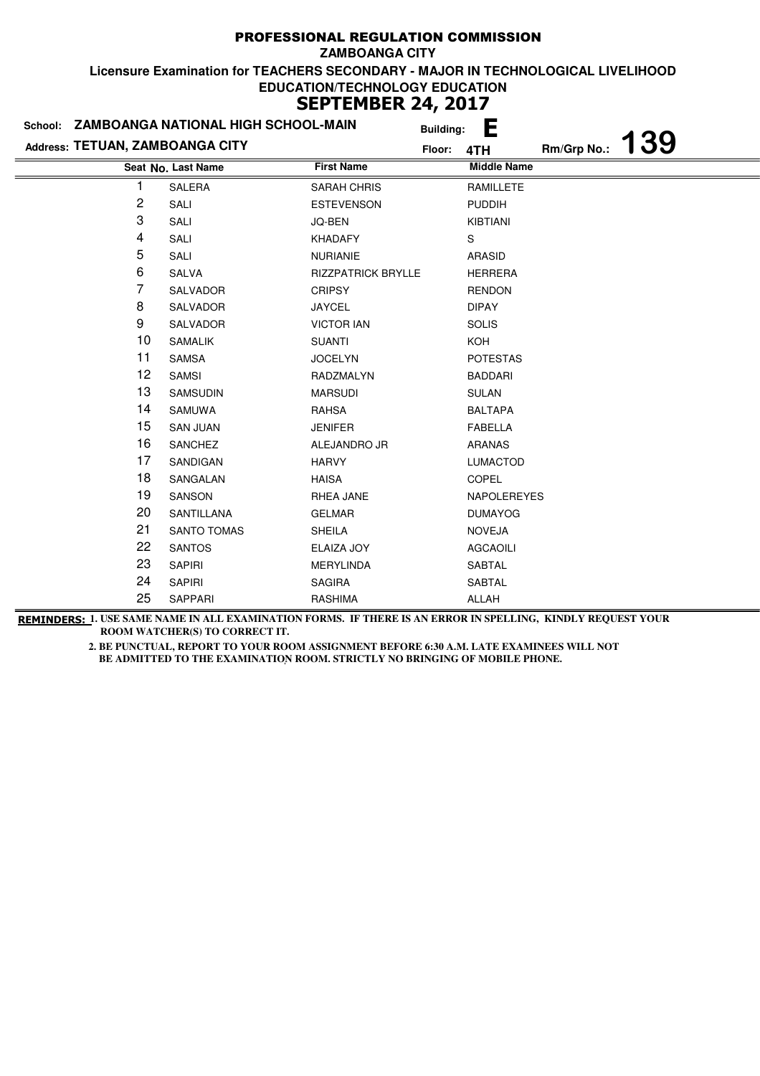| School: ZAMBOANGA NATIONAL HIGH SCHOOL-MAIN |                    | Е<br><b>Building:</b>     |        |                    |                   |  |
|---------------------------------------------|--------------------|---------------------------|--------|--------------------|-------------------|--|
| Address: TETUAN, ZAMBOANGA CITY             |                    |                           | Floor: | 4TH                | Rm/Grp No.: $139$ |  |
|                                             | Seat No. Last Name | <b>First Name</b>         |        | <b>Middle Name</b> |                   |  |
|                                             | <b>SALERA</b>      | <b>SARAH CHRIS</b>        |        | <b>RAMILLETE</b>   |                   |  |
| $\overline{c}$                              | SALI               | <b>ESTEVENSON</b>         |        | <b>PUDDIH</b>      |                   |  |
| 3                                           | SALI               | JQ-BEN                    |        | KIBTIANI           |                   |  |
| 4                                           | SALI               | <b>KHADAFY</b>            |        | S                  |                   |  |
| 5                                           | SALI               | <b>NURIANIE</b>           |        | <b>ARASID</b>      |                   |  |
| 6                                           | SALVA              | <b>RIZZPATRICK BRYLLE</b> |        | <b>HERRERA</b>     |                   |  |
| 7                                           | SALVADOR           | <b>CRIPSY</b>             |        | <b>RENDON</b>      |                   |  |
| 8                                           | SALVADOR           | <b>JAYCEL</b>             |        | <b>DIPAY</b>       |                   |  |
| 9                                           | SALVADOR           | <b>VICTOR IAN</b>         |        | <b>SOLIS</b>       |                   |  |
| 10                                          | <b>SAMALIK</b>     | <b>SUANTI</b>             |        | KOH                |                   |  |
| 11                                          | <b>SAMSA</b>       | <b>JOCELYN</b>            |        | <b>POTESTAS</b>    |                   |  |
| 12                                          | <b>SAMSI</b>       | RADZMALYN                 |        | <b>BADDARI</b>     |                   |  |
| 13                                          | SAMSUDIN           | <b>MARSUDI</b>            |        | <b>SULAN</b>       |                   |  |
| 14                                          | SAMUWA             | RAHSA                     |        | <b>BALTAPA</b>     |                   |  |
| 15                                          | <b>SAN JUAN</b>    | <b>JENIFER</b>            |        | <b>FABELLA</b>     |                   |  |
| 16                                          | SANCHEZ            | ALEJANDRO JR              |        | <b>ARANAS</b>      |                   |  |
| 17                                          | SANDIGAN           | <b>HARVY</b>              |        | <b>LUMACTOD</b>    |                   |  |
| 18                                          | SANGALAN           | <b>HAISA</b>              |        | <b>COPEL</b>       |                   |  |
| 19                                          | SANSON             | RHEA JANE                 |        | NAPOLEREYES        |                   |  |
| 20                                          | SANTILLANA         | <b>GELMAR</b>             |        | <b>DUMAYOG</b>     |                   |  |
| 21                                          | <b>SANTO TOMAS</b> | <b>SHEILA</b>             |        | <b>NOVEJA</b>      |                   |  |
| 22                                          | <b>SANTOS</b>      | ELAIZA JOY                |        | <b>AGCAOILI</b>    |                   |  |
| 23                                          | <b>SAPIRI</b>      | <b>MERYLINDA</b>          |        | <b>SABTAL</b>      |                   |  |
| 24                                          | <b>SAPIRI</b>      | <b>SAGIRA</b>             |        | <b>SABTAL</b>      |                   |  |
| 25                                          | SAPPARI            | <b>RASHIMA</b>            |        | ALLAH              |                   |  |

**REMINDERS: 1. USE SAME NAME IN ALL EXAMINATION FORMS. IF THERE IS AN ERROR IN SPELLING, KINDLY REQUEST YOUR ROOM WATCHER(S) TO CORRECT IT.**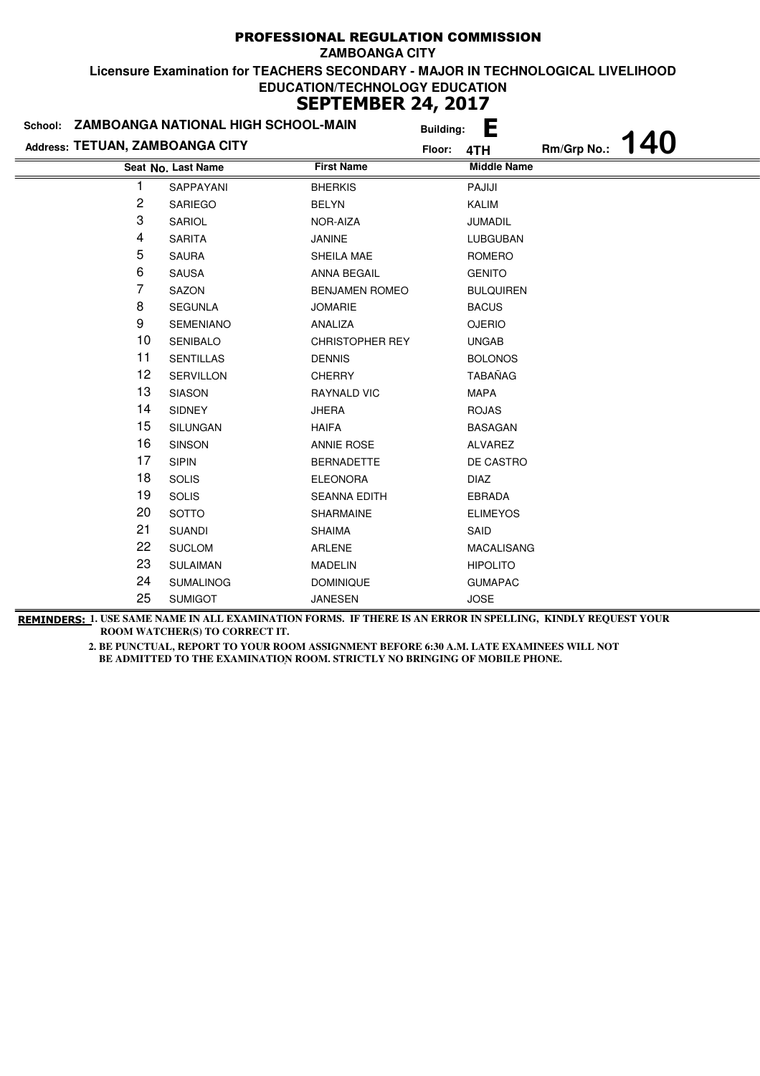| School: ZAMBOANGA NATIONAL HIGH SCHOOL-MAIN |                    |                        | <b>Building:</b> | E                  |             |     |
|---------------------------------------------|--------------------|------------------------|------------------|--------------------|-------------|-----|
| Address: TETUAN, ZAMBOANGA CITY             |                    |                        | Floor:           | 4TH                | Rm/Grp No.: | 140 |
|                                             | Seat No. Last Name | <b>First Name</b>      |                  | <b>Middle Name</b> |             |     |
| 1                                           | SAPPAYANI          | <b>BHERKIS</b>         |                  | PAJIJI             |             |     |
| 2                                           | <b>SARIEGO</b>     | <b>BELYN</b>           |                  | <b>KALIM</b>       |             |     |
| 3                                           | SARIOL             | NOR-AIZA               |                  | <b>JUMADIL</b>     |             |     |
| 4                                           | <b>SARITA</b>      | JANINE                 |                  | LUBGUBAN           |             |     |
| 5                                           | <b>SAURA</b>       | SHEILA MAE             |                  | <b>ROMERO</b>      |             |     |
| 6                                           | <b>SAUSA</b>       | <b>ANNA BEGAIL</b>     |                  | <b>GENITO</b>      |             |     |
| 7                                           | SAZON              | <b>BENJAMEN ROMEO</b>  |                  | <b>BULQUIREN</b>   |             |     |
| 8                                           | <b>SEGUNLA</b>     | <b>JOMARIE</b>         |                  | <b>BACUS</b>       |             |     |
| 9                                           | <b>SEMENIANO</b>   | ANALIZA                |                  | <b>OJERIO</b>      |             |     |
| 10                                          | <b>SENIBALO</b>    | <b>CHRISTOPHER REY</b> |                  | <b>UNGAB</b>       |             |     |
| $11$                                        | <b>SENTILLAS</b>   | <b>DENNIS</b>          |                  | <b>BOLONOS</b>     |             |     |
| 12                                          | <b>SERVILLON</b>   | <b>CHERRY</b>          |                  | <b>TABAÑAG</b>     |             |     |
| 13                                          | <b>SIASON</b>      | <b>RAYNALD VIC</b>     |                  | <b>MAPA</b>        |             |     |
| 14                                          | <b>SIDNEY</b>      | <b>JHERA</b>           |                  | <b>ROJAS</b>       |             |     |
| 15                                          | SILUNGAN           | <b>HAIFA</b>           |                  | <b>BASAGAN</b>     |             |     |
| 16                                          | <b>SINSON</b>      | <b>ANNIE ROSE</b>      |                  | ALVAREZ            |             |     |
| 17                                          | <b>SIPIN</b>       | <b>BERNADETTE</b>      |                  | DE CASTRO          |             |     |
| 18                                          | <b>SOLIS</b>       | <b>ELEONORA</b>        |                  | <b>DIAZ</b>        |             |     |
| 19                                          | <b>SOLIS</b>       | <b>SEANNA EDITH</b>    |                  | <b>EBRADA</b>      |             |     |
| 20                                          | <b>SOTTO</b>       | SHARMAINE              |                  | <b>ELIMEYOS</b>    |             |     |
| 21                                          | <b>SUANDI</b>      | <b>SHAIMA</b>          |                  | SAID               |             |     |
| 22                                          | <b>SUCLOM</b>      | ARLENE                 |                  | <b>MACALISANG</b>  |             |     |
| 23                                          | <b>SULAIMAN</b>    | <b>MADELIN</b>         |                  | <b>HIPOLITO</b>    |             |     |
| 24                                          | <b>SUMALINOG</b>   | <b>DOMINIQUE</b>       |                  | <b>GUMAPAC</b>     |             |     |
| 25                                          | <b>SUMIGOT</b>     | <b>JANESEN</b>         |                  | <b>JOSE</b>        |             |     |

**REMINDERS: 1. USE SAME NAME IN ALL EXAMINATION FORMS. IF THERE IS AN ERROR IN SPELLING, KINDLY REQUEST YOUR ROOM WATCHER(S) TO CORRECT IT.**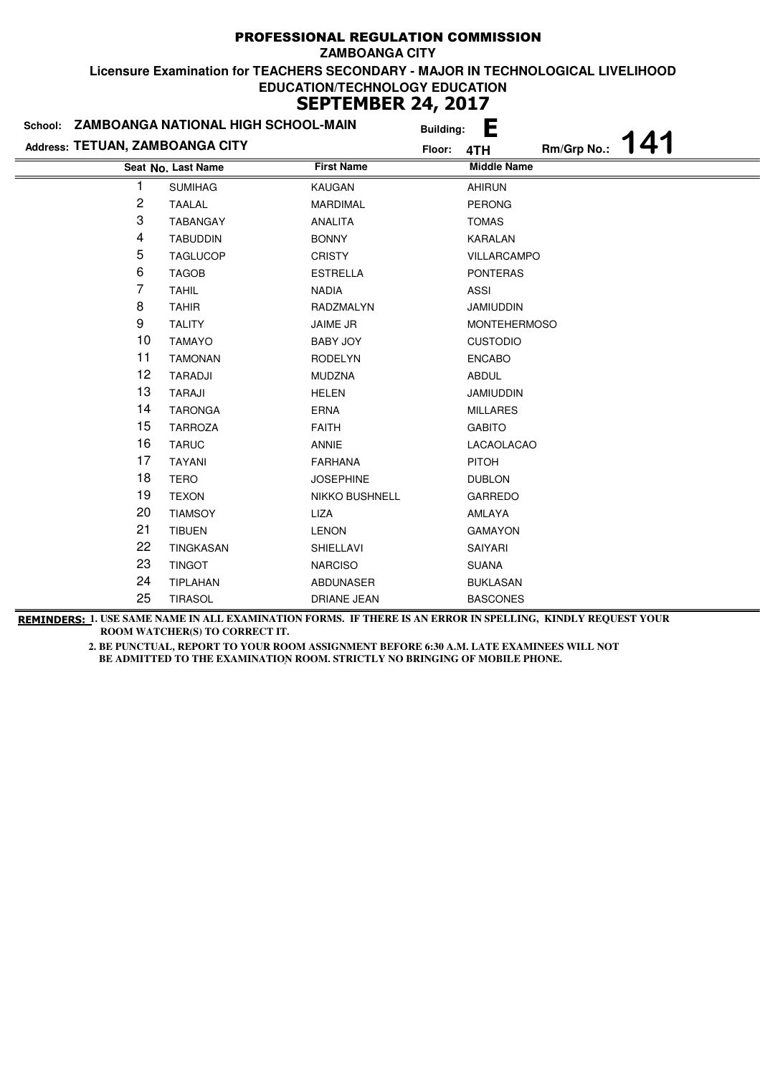| School: ZAMBOANGA NATIONAL HIGH SCHOOL-MAIN |                    | <b>Building:</b>  | Ŀ                   |
|---------------------------------------------|--------------------|-------------------|---------------------|
| Address: TETUAN, ZAMBOANGA CITY             |                    | Floor:            | Rm/Grp No.:<br>4TH  |
|                                             | Seat No. Last Name | <b>First Name</b> | <b>Middle Name</b>  |
| 1                                           | <b>SUMIHAG</b>     | KAUGAN            | <b>AHIRUN</b>       |
| 2                                           | <b>TAALAL</b>      | <b>MARDIMAL</b>   | <b>PERONG</b>       |
| 3                                           | <b>TABANGAY</b>    | ANALITA           | <b>TOMAS</b>        |
| 4                                           | <b>TABUDDIN</b>    | <b>BONNY</b>      | KARALAN             |
| 5                                           | <b>TAGLUCOP</b>    | <b>CRISTY</b>     | VILLARCAMPO         |
| 6                                           | <b>TAGOB</b>       | <b>ESTRELLA</b>   | <b>PONTERAS</b>     |
| 7                                           | <b>TAHIL</b>       | <b>NADIA</b>      | <b>ASSI</b>         |
| 8                                           | <b>TAHIR</b>       | RADZMALYN         | <b>JAMIUDDIN</b>    |
| 9                                           | <b>TALITY</b>      | JAIME JR          | <b>MONTEHERMOSO</b> |
| 10                                          | <b>TAMAYO</b>      | <b>BABY JOY</b>   | <b>CUSTODIO</b>     |
| 11                                          | <b>TAMONAN</b>     | <b>RODELYN</b>    | <b>ENCABO</b>       |
| 12                                          | TARADJI            | <b>MUDZNA</b>     | <b>ABDUL</b>        |
| 13                                          | <b>TARAJI</b>      | <b>HELEN</b>      | <b>JAMIUDDIN</b>    |
| 14                                          | <b>TARONGA</b>     | <b>ERNA</b>       | <b>MILLARES</b>     |
| 15                                          | <b>TARROZA</b>     | <b>FAITH</b>      | <b>GABITO</b>       |
| 16                                          | <b>TARUC</b>       | <b>ANNIE</b>      | LACAOLACAO          |
| 17                                          | <b>TAYANI</b>      | <b>FARHANA</b>    | <b>PITOH</b>        |
| 18                                          | <b>TERO</b>        | <b>JOSEPHINE</b>  | <b>DUBLON</b>       |
| 19                                          | <b>TEXON</b>       | NIKKO BUSHNELL    | <b>GARREDO</b>      |
| 20                                          | <b>TIAMSOY</b>     | LIZA              | AMLAYA              |
| 21                                          | <b>TIBUEN</b>      | <b>LENON</b>      | <b>GAMAYON</b>      |
| 22                                          | TINGKASAN          | SHIELLAVI         | SAIYARI             |
| 23                                          | <b>TINGOT</b>      | <b>NARCISO</b>    | <b>SUANA</b>        |
| 24                                          | <b>TIPLAHAN</b>    | ABDUNASER         | <b>BUKLASAN</b>     |
| 25                                          | <b>TIRASOL</b>     | DRIANE JEAN       | <b>BASCONES</b>     |

**REMINDERS: 1. USE SAME NAME IN ALL EXAMINATION FORMS. IF THERE IS AN ERROR IN SPELLING, KINDLY REQUEST YOUR ROOM WATCHER(S) TO CORRECT IT.**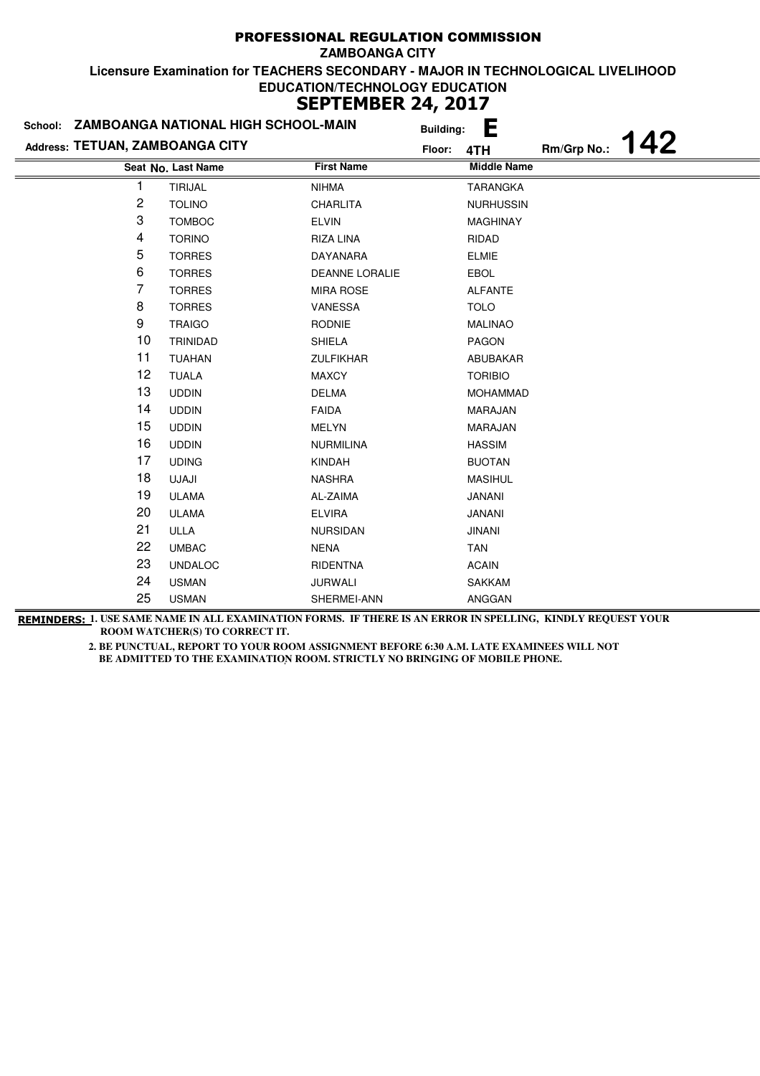|                                 | School: ZAMBOANGA NATIONAL HIGH SCHOOL-MAIN |                       | <b>Building:</b> | E                  |             |     |
|---------------------------------|---------------------------------------------|-----------------------|------------------|--------------------|-------------|-----|
| Address: TETUAN, ZAMBOANGA CITY |                                             |                       | Floor:           | 4TH                | Rm/Grp No.: | 142 |
|                                 | Seat No. Last Name                          | <b>First Name</b>     |                  | <b>Middle Name</b> |             |     |
|                                 | <b>TIRIJAL</b>                              | <b>NIHMA</b>          |                  | <b>TARANGKA</b>    |             |     |
| 2                               | <b>TOLINO</b>                               | CHARLITA              |                  | <b>NURHUSSIN</b>   |             |     |
| 3                               | <b>TOMBOC</b>                               | <b>ELVIN</b>          |                  | <b>MAGHINAY</b>    |             |     |
| 4                               | <b>TORINO</b>                               | RIZA LINA             |                  | RIDAD              |             |     |
| 5                               | <b>TORRES</b>                               | <b>DAYANARA</b>       |                  | <b>ELMIE</b>       |             |     |
| 6                               | <b>TORRES</b>                               | <b>DEANNE LORALIE</b> |                  | <b>EBOL</b>        |             |     |
| 7                               | <b>TORRES</b>                               | <b>MIRA ROSE</b>      |                  | <b>ALFANTE</b>     |             |     |
| 8                               | <b>TORRES</b>                               | VANESSA               |                  | <b>TOLO</b>        |             |     |
| 9                               | <b>TRAIGO</b>                               | <b>RODNIE</b>         |                  | <b>MALINAO</b>     |             |     |
| 10                              | <b>TRINIDAD</b>                             | <b>SHIELA</b>         |                  | PAGON              |             |     |
| 11                              | <b>TUAHAN</b>                               | <b>ZULFIKHAR</b>      |                  | ABUBAKAR           |             |     |
| 12                              | <b>TUALA</b>                                | <b>MAXCY</b>          |                  | <b>TORIBIO</b>     |             |     |
| 13                              | <b>UDDIN</b>                                | <b>DELMA</b>          |                  | <b>MOHAMMAD</b>    |             |     |
| 14                              | <b>UDDIN</b>                                | <b>FAIDA</b>          |                  | MARAJAN            |             |     |
| 15                              | <b>UDDIN</b>                                | <b>MELYN</b>          |                  | <b>MARAJAN</b>     |             |     |
| 16                              | <b>UDDIN</b>                                | <b>NURMILINA</b>      |                  | <b>HASSIM</b>      |             |     |
| 17                              | <b>UDING</b>                                | <b>KINDAH</b>         |                  | <b>BUOTAN</b>      |             |     |
| 18                              | UJAJI                                       | <b>NASHRA</b>         |                  | <b>MASIHUL</b>     |             |     |
| 19                              | <b>ULAMA</b>                                | AL-ZAIMA              |                  | <b>JANANI</b>      |             |     |
| 20                              | <b>ULAMA</b>                                | <b>ELVIRA</b>         |                  | <b>JANANI</b>      |             |     |
| 21                              | ULLA                                        | <b>NURSIDAN</b>       |                  | <b>JINANI</b>      |             |     |
| 22                              | <b>UMBAC</b>                                | <b>NENA</b>           |                  | <b>TAN</b>         |             |     |
| 23                              | <b>UNDALOC</b>                              | <b>RIDENTNA</b>       |                  | <b>ACAIN</b>       |             |     |
| 24                              | <b>USMAN</b>                                | <b>JURWALI</b>        |                  | <b>SAKKAM</b>      |             |     |
| 25                              | <b>USMAN</b>                                | SHERMEI-ANN           |                  | ANGGAN             |             |     |

**REMINDERS: 1. USE SAME NAME IN ALL EXAMINATION FORMS. IF THERE IS AN ERROR IN SPELLING, KINDLY REQUEST YOUR ROOM WATCHER(S) TO CORRECT IT.**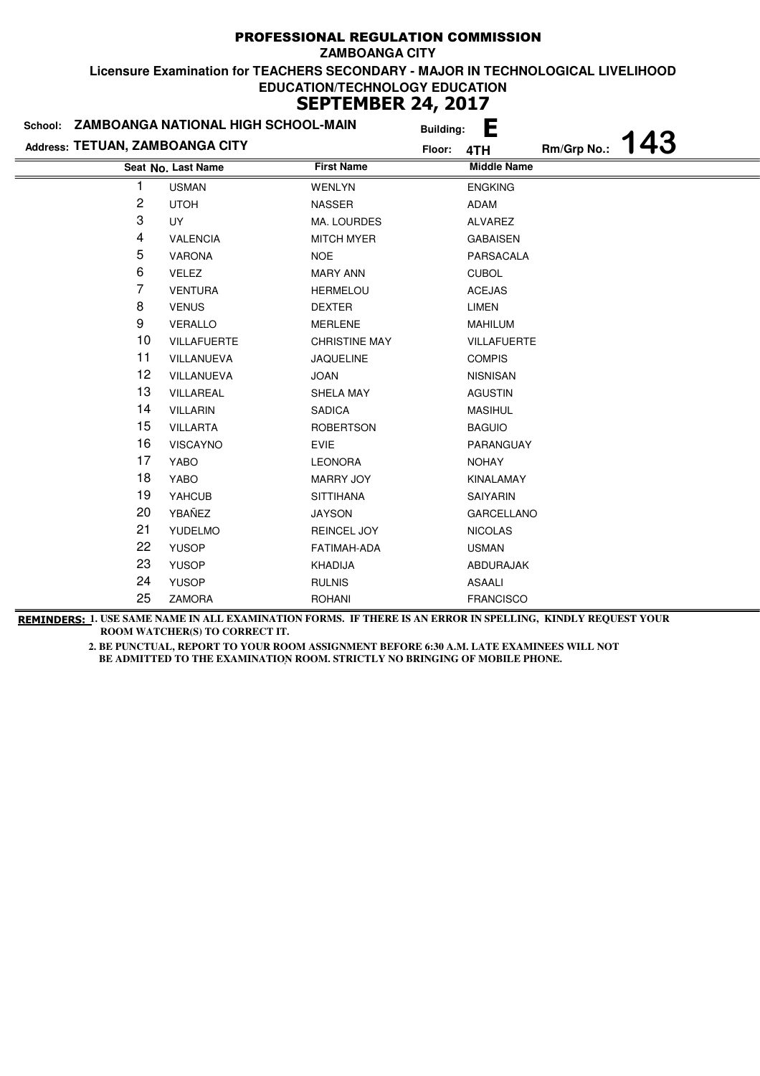| School: ZAMBOANGA NATIONAL HIGH SCHOOL-MAIN |                    |                      | <b>Building:</b> | Ŀ                  |             |            |
|---------------------------------------------|--------------------|----------------------|------------------|--------------------|-------------|------------|
| Address: TETUAN, ZAMBOANGA CITY             |                    |                      | Floor:           | 4TH                | Rm/Grp No.: | <b>143</b> |
|                                             | Seat No. Last Name | <b>First Name</b>    |                  | <b>Middle Name</b> |             |            |
| 1                                           | <b>USMAN</b>       | <b>WENLYN</b>        |                  | <b>ENGKING</b>     |             |            |
| 2                                           | <b>UTOH</b>        | <b>NASSER</b>        |                  | ADAM               |             |            |
| 3                                           | <b>UY</b>          | MA. LOURDES          |                  | <b>ALVAREZ</b>     |             |            |
| 4                                           | <b>VALENCIA</b>    | <b>MITCH MYER</b>    |                  | <b>GABAISEN</b>    |             |            |
| 5                                           | <b>VARONA</b>      | NOE.                 |                  | PARSACALA          |             |            |
| 6                                           | <b>VELEZ</b>       | <b>MARY ANN</b>      |                  | <b>CUBOL</b>       |             |            |
| $\overline{7}$                              | <b>VENTURA</b>     | <b>HERMELOU</b>      |                  | <b>ACEJAS</b>      |             |            |
| 8                                           | <b>VENUS</b>       | <b>DEXTER</b>        |                  | <b>LIMEN</b>       |             |            |
| 9                                           | <b>VERALLO</b>     | <b>MERLENE</b>       |                  | <b>MAHILUM</b>     |             |            |
| 10                                          | <b>VILLAFUERTE</b> | <b>CHRISTINE MAY</b> |                  | <b>VILLAFUERTE</b> |             |            |
| 11                                          | VILLANUEVA         | <b>JAQUELINE</b>     |                  | <b>COMPIS</b>      |             |            |
| 12                                          | VILLANUEVA         | <b>JOAN</b>          |                  | <b>NISNISAN</b>    |             |            |
| 13                                          | VILLAREAL          | SHELA MAY            |                  | <b>AGUSTIN</b>     |             |            |
| 14                                          | <b>VILLARIN</b>    | SADICA               |                  | <b>MASIHUL</b>     |             |            |
| 15                                          | <b>VILLARTA</b>    | <b>ROBERTSON</b>     |                  | <b>BAGUIO</b>      |             |            |
| 16                                          | <b>VISCAYNO</b>    | <b>EVIE</b>          |                  | PARANGUAY          |             |            |
| 17                                          | <b>YABO</b>        | <b>LEONORA</b>       |                  | <b>NOHAY</b>       |             |            |
| 18                                          | YABO               | <b>MARRY JOY</b>     |                  | <b>KINALAMAY</b>   |             |            |
| 19                                          | YAHCUB             | <b>SITTIHANA</b>     |                  | <b>SAIYARIN</b>    |             |            |
| 20                                          | YBAÑEZ             | <b>JAYSON</b>        |                  | <b>GARCELLANO</b>  |             |            |
| 21                                          | <b>YUDELMO</b>     | REINCEL JOY          |                  | <b>NICOLAS</b>     |             |            |
| 22                                          | <b>YUSOP</b>       | FATIMAH-ADA          |                  | <b>USMAN</b>       |             |            |
| 23                                          | <b>YUSOP</b>       | KHADIJA              |                  | ABDURAJAK          |             |            |
| 24                                          | <b>YUSOP</b>       | <b>RULNIS</b>        |                  | ASAALI             |             |            |
| 25                                          | <b>ZAMORA</b>      | <b>ROHANI</b>        |                  | <b>FRANCISCO</b>   |             |            |

**REMINDERS: 1. USE SAME NAME IN ALL EXAMINATION FORMS. IF THERE IS AN ERROR IN SPELLING, KINDLY REQUEST YOUR ROOM WATCHER(S) TO CORRECT IT.**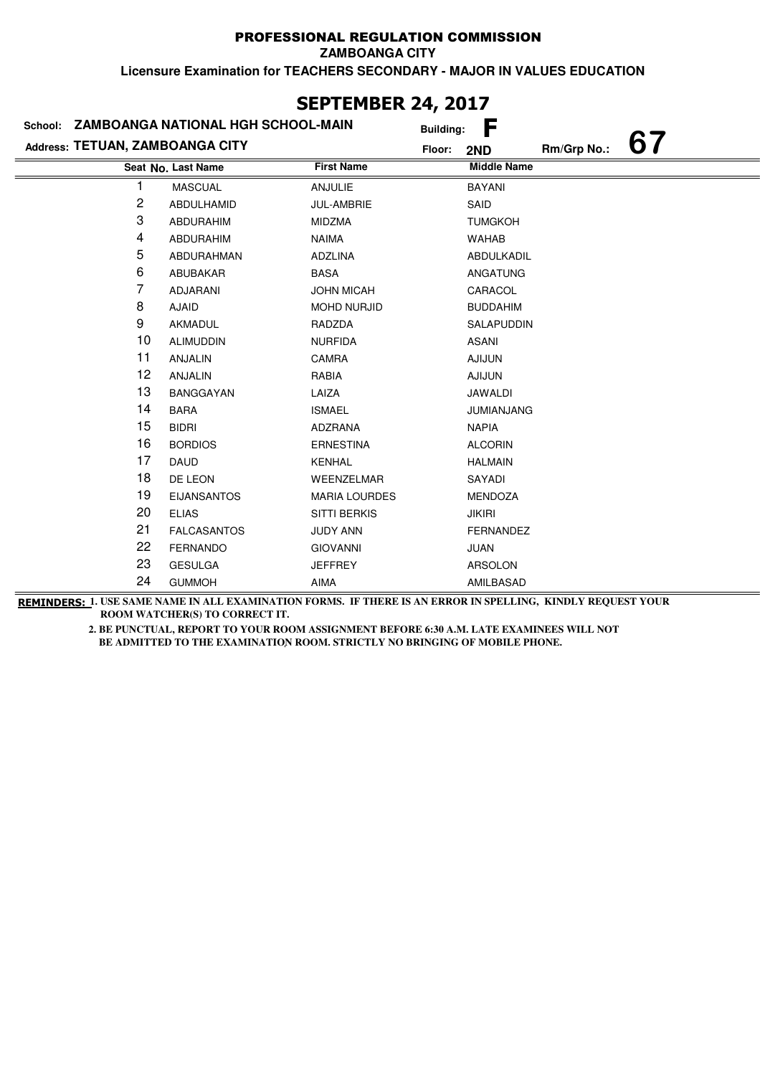## PROFESSIONAL REGULATION COMMISSION

**ZAMBOANGA CITY**

**Licensure Examination for TEACHERS SECONDARY - MAJOR IN VALUES EDUCATION**

| JLF ILMULIN 47, 4V17            |                                    |                      |                  |                    |             |    |
|---------------------------------|------------------------------------|----------------------|------------------|--------------------|-------------|----|
| School:                         | ZAMBOANGA NATIONAL HGH SCHOOL-MAIN |                      | <b>Building:</b> | F                  |             |    |
| Address: TETUAN, ZAMBOANGA CITY |                                    |                      | Floor:           | 2ND                | Rm/Grp No.: | 67 |
|                                 | Seat No. Last Name                 | <b>First Name</b>    |                  | <b>Middle Name</b> |             |    |
|                                 | <b>MASCUAL</b>                     | <b>ANJULIE</b>       |                  | <b>BAYANI</b>      |             |    |
| $\overline{\mathbf{c}}$         | ABDULHAMID                         | JUL-AMBRIE           |                  | SAID               |             |    |
| 3                               | <b>ABDURAHIM</b>                   | <b>MIDZMA</b>        |                  | <b>TUMGKOH</b>     |             |    |
| 4                               | <b>ABDURAHIM</b>                   | <b>NAIMA</b>         |                  | <b>WAHAB</b>       |             |    |
| 5                               | ABDURAHMAN                         | <b>ADZLINA</b>       |                  | ABDULKADIL         |             |    |
| 6                               | ABUBAKAR                           | <b>BASA</b>          |                  | ANGATUNG           |             |    |
| 7                               | <b>ADJARANI</b>                    | <b>JOHN MICAH</b>    |                  | CARACOL            |             |    |
| 8                               | <b>AJAID</b>                       | <b>MOHD NURJID</b>   |                  | <b>BUDDAHIM</b>    |             |    |
| 9                               | <b>AKMADUL</b>                     | RADZDA               |                  | SALAPUDDIN         |             |    |
| 10                              | <b>ALIMUDDIN</b>                   | <b>NURFIDA</b>       |                  | ASANI              |             |    |
| 11                              | <b>ANJALIN</b>                     | <b>CAMRA</b>         |                  | <b>AJIJUN</b>      |             |    |
| 12                              | <b>ANJALIN</b>                     | RABIA                |                  | <b>AJIJUN</b>      |             |    |
| 13                              | <b>BANGGAYAN</b>                   | LAIZA                |                  | <b>JAWALDI</b>     |             |    |
| 14                              | <b>BARA</b>                        | <b>ISMAEL</b>        |                  | <b>JUMIANJANG</b>  |             |    |
| 15                              | <b>BIDRI</b>                       | <b>ADZRANA</b>       |                  | <b>NAPIA</b>       |             |    |
| 16                              | <b>BORDIOS</b>                     | <b>ERNESTINA</b>     |                  | <b>ALCORIN</b>     |             |    |
| 17                              | <b>DAUD</b>                        | <b>KENHAL</b>        |                  | <b>HALMAIN</b>     |             |    |
| 18                              | DE LEON                            | WEENZELMAR           |                  | SAYADI             |             |    |
| 19                              | <b>EIJANSANTOS</b>                 | <b>MARIA LOURDES</b> |                  | <b>MENDOZA</b>     |             |    |
| 20                              | <b>ELIAS</b>                       | <b>SITTI BERKIS</b>  |                  | <b>JIKIRI</b>      |             |    |
| 21                              | <b>FALCASANTOS</b>                 | JUDY ANN             |                  | <b>FERNANDEZ</b>   |             |    |
| 22                              | <b>FERNANDO</b>                    | <b>GIOVANNI</b>      |                  | <b>JUAN</b>        |             |    |
| 23                              | <b>GESULGA</b>                     | <b>JEFFREY</b>       |                  | <b>ARSOLON</b>     |             |    |
| 24                              | <b>GUMMOH</b>                      | <b>AIMA</b>          |                  | AMILBASAD          |             |    |

## **SEPTEMBER 24, 2017**

**REMINDERS: 1. USE SAME NAME IN ALL EXAMINATION FORMS. IF THERE IS AN ERROR IN SPELLING, KINDLY REQUEST YOUR ROOM WATCHER(S) TO CORRECT IT.**